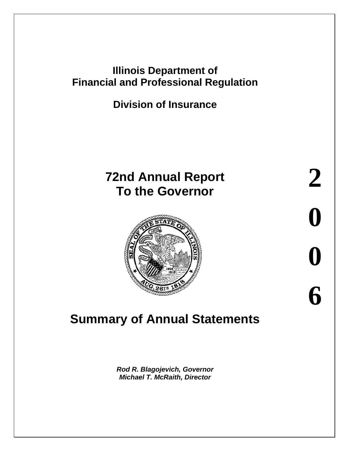## **Illinois Department of Financial and Professional Regulation**

**Division of Insurance**

## **72nd Annual Report To the Governor**



# **Summary of Annual Statements**

*Rod R. Blagojevich, Governor Michael T. McRaith, Director*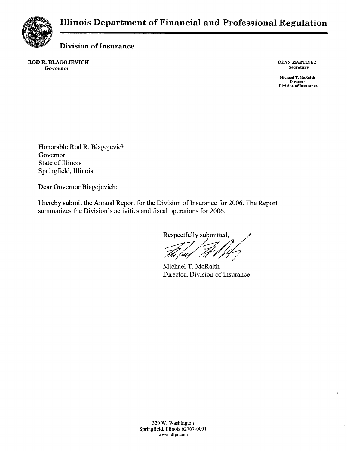

**Division of Insurance** 

ROD R. BLAGOJEVICH Governor

**DEAN MARTINEZ** Secretary

Michael T. McRaith **Director**<br>Division of Insurance

Honorable Rod R. Blagojevich Governor State of Illinois Springfield, Illinois

Dear Governor Blagojevich:

I hereby submit the Annual Report for the Division of Insurance for 2006. The Report summarizes the Division's activities and fiscal operations for 2006.

Respectfully submitted,

Michael T. McRaith Director, Division of Insurance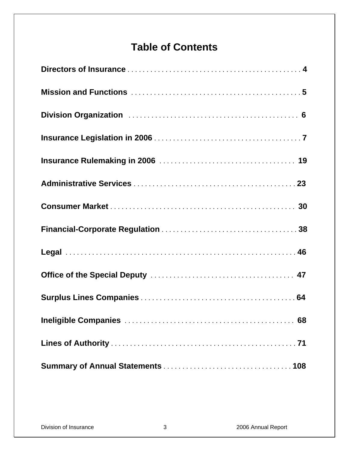## **Table of Contents**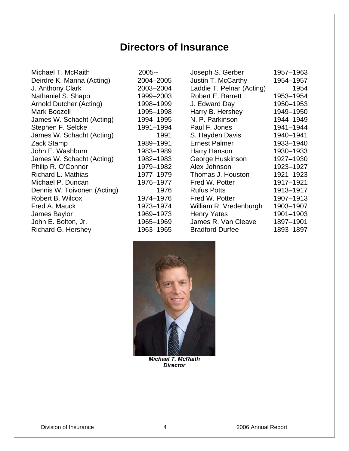## **Directors of Insurance**

Michael T. McRaith Deirdre K. Manna (Acting) J. Anthony Clark Nathaniel S. Shapo Arnold Dutcher (Acting) Mark Boozell James W. Schacht (Acting) Stephen F. Selcke James W. Schacht (Acting) Zack Stamp John E. Washburn James W. Schacht (Acting) Philip R. O'Connor Richard L. Mathias Michael P. Duncan Dennis W. Toivonen (Acting) Robert B. Wilcox Fred A. Mauck James Baylor John E. Bolton, Jr. Richard G. Hershey 1963–1965

| 2005--    |
|-----------|
| 2004-2005 |
| 2003-2004 |
| 1999-2003 |
| 1998-1999 |
| 1995–1998 |
| 1994-1995 |
| 1991–1994 |
| 1991      |
| 1989–1991 |
| 1983–1989 |
| 1982–1983 |
| 1979–1982 |
| 1977–1979 |
| 1976–1977 |
| 1976      |
| 1974–1976 |
| 1973–1974 |
| 1969–1973 |
| 1965–1969 |
| 1063_1065 |

| Joseph S. Gerber          | 1957-1963 |
|---------------------------|-----------|
| Justin T. McCarthy        | 1954-1957 |
| Laddie T. Pelnar (Acting) | 1954      |
| <b>Robert E. Barrett</b>  | 1953-1954 |
| J. Edward Day             | 1950-1953 |
| Harry B. Hershey          | 1949-1950 |
| N. P. Parkinson           | 1944-1949 |
| Paul F. Jones             | 1941-1944 |
| S. Hayden Davis           | 1940-1941 |
| <b>Ernest Palmer</b>      | 1933-1940 |
| Harry Hanson              | 1930-1933 |
| George Huskinson          | 1927-1930 |
| Alex Johnson              | 1923-1927 |
| Thomas J. Houston         | 1921–1923 |
| Fred W. Potter            | 1917-1921 |
| <b>Rufus Potts</b>        | 1913-1917 |
| Fred W. Potter            | 1907-1913 |
| William R. Vredenburgh    | 1903-1907 |
| <b>Henry Yates</b>        | 1901-1903 |
| James R. Van Cleave       | 1897-1901 |
| <b>Bradford Durfee</b>    | 1893–1897 |
|                           |           |



*Michael T. McRaith Director*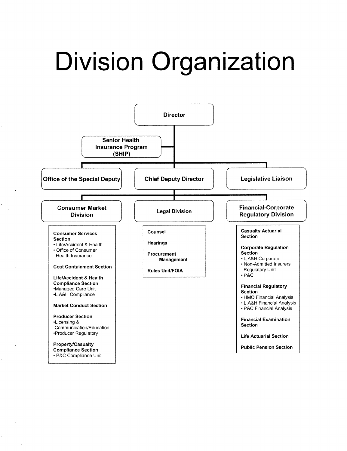# **Division Organization**

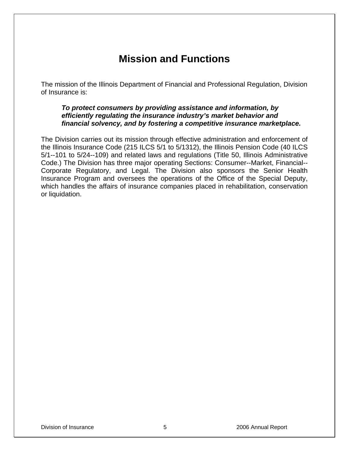## **Mission and Functions**

The mission of the Illinois Department of Financial and Professional Regulation, Division of Insurance is:

#### *To protect consumers by providing assistance and information, by efficiently regulating the insurance industry's market behavior and financial solvency, and by fostering a competitive insurance marketplace.*

The Division carries out its mission through effective administration and enforcement of the Illinois Insurance Code (215 ILCS 5/1 to 5/1312), the Illinois Pension Code (40 ILCS 5/1--101 to 5/24--109) and related laws and regulations (Title 50, Illinois Administrative Code.) The Division has three major operating Sections: Consumer--Market, Financial-- Corporate Regulatory, and Legal. The Division also sponsors the Senior Health Insurance Program and oversees the operations of the Office of the Special Deputy, which handles the affairs of insurance companies placed in rehabilitation, conservation or liquidation.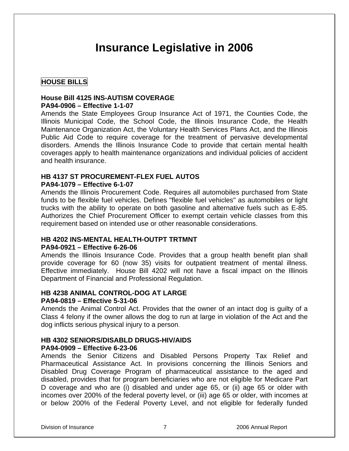## **Insurance Legislative in 2006**

#### **HOUSE BILLS**

#### **House Bill 4125 INS-AUTISM COVERAGE PA94-0906 – Effective 1-1-07**

Amends the State Employees Group Insurance Act of 1971, the Counties Code, the Illinois Municipal Code, the School Code, the Illinois Insurance Code, the Health Maintenance Organization Act, the Voluntary Health Services Plans Act, and the Illinois Public Aid Code to require coverage for the treatment of pervasive developmental disorders. Amends the Illinois Insurance Code to provide that certain mental health coverages apply to health maintenance organizations and individual policies of accident and health insurance.

#### **HB 4137 ST PROCUREMENT-FLEX FUEL AUTOS PA94-1079 – Effective 6-1-07**

Amends the Illinois Procurement Code. Requires all automobiles purchased from State funds to be flexible fuel vehicles. Defines "flexible fuel vehicles" as automobiles or light trucks with the ability to operate on both gasoline and alternative fuels such as E-85. Authorizes the Chief Procurement Officer to exempt certain vehicle classes from this requirement based on intended use or other reasonable considerations.

#### **HB 4202 INS-MENTAL HEALTH-OUTPT TRTMNT**

#### **PA94-0921 – Effective 6-26-06**

Amends the Illinois Insurance Code. Provides that a group health benefit plan shall provide coverage for 60 (now 35) visits for outpatient treatment of mental illness. Effective immediately. House Bill 4202 will not have a fiscal impact on the Illinois Department of Financial and Professional Regulation.

#### **HB 4238 ANIMAL CONTROL-DOG AT LARGE**

#### **PA94-0819 – Effective 5-31-06**

Amends the Animal Control Act. Provides that the owner of an intact dog is guilty of a Class 4 felony if the owner allows the dog to run at large in violation of the Act and the dog inflicts serious physical injury to a person.

#### **HB 4302 SENIORS/DISABLD DRUGS-HIV/AIDS**

#### **PA94-0909 – Effective 6-23-06**

Amends the Senior Citizens and Disabled Persons Property Tax Relief and Pharmaceutical Assistance Act. In provisions concerning the Illinois Seniors and Disabled Drug Coverage Program of pharmaceutical assistance to the aged and disabled, provides that for program beneficiaries who are not eligible for Medicare Part D coverage and who are (i) disabled and under age 65, or (ii) age 65 or older with incomes over 200% of the federal poverty level, or (iii) age 65 or older, with incomes at or below 200% of the Federal Poverty Level, and not eligible for federally funded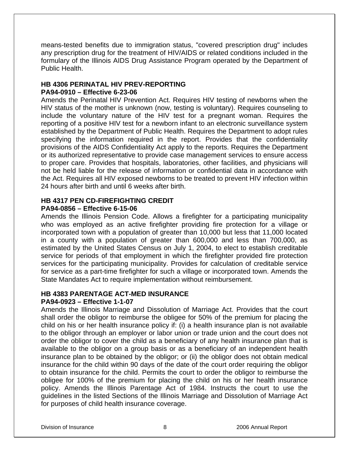means-tested benefits due to immigration status, "covered prescription drug" includes any prescription drug for the treatment of HIV/AIDS or related conditions included in the formulary of the Illinois AIDS Drug Assistance Program operated by the Department of Public Health.

#### **HB 4306 PERINATAL HIV PREV-REPORTING PA94-0910 – Effective 6-23-06**

Amends the Perinatal HIV Prevention Act. Requires HIV testing of newborns when the HIV status of the mother is unknown (now, testing is voluntary). Requires counseling to include the voluntary nature of the HIV test for a pregnant woman. Requires the reporting of a positive HIV test for a newborn infant to an electronic surveillance system established by the Department of Public Health. Requires the Department to adopt rules specifying the information required in the report. Provides that the confidentiality provisions of the AIDS Confidentiality Act apply to the reports. Requires the Department or its authorized representative to provide case management services to ensure access to proper care. Provides that hospitals, laboratories, other facilities, and physicians will not be held liable for the release of information or confidential data in accordance with the Act. Requires all HIV exposed newborns to be treated to prevent HIV infection within 24 hours after birth and until 6 weeks after birth.

## **HB 4317 PEN CD-FIREFIGHTING CREDIT**

#### **PA94-0856 – Effective 6-15-06**

Amends the Illinois Pension Code. Allows a firefighter for a participating municipality who was employed as an active firefighter providing fire protection for a village or incorporated town with a population of greater than 10,000 but less that 11,000 located in a county with a population of greater than 600,000 and less than 700,000, as estimated by the United States Census on July 1, 2004, to elect to establish creditable service for periods of that employment in which the firefighter provided fire protection services for the participating municipality. Provides for calculation of creditable service for service as a part-time firefighter for such a village or incorporated town. Amends the State Mandates Act to require implementation without reimbursement.

#### **HB 4383 PARENTAGE ACT-MED INSURANCE**

#### **PA94-0923 – Effective 1-1-07**

Amends the Illinois Marriage and Dissolution of Marriage Act. Provides that the court shall order the obligor to reimburse the obligee for 50% of the premium for placing the child on his or her health insurance policy if: (i) a health insurance plan is not available to the obligor through an employer or labor union or trade union and the court does not order the obligor to cover the child as a beneficiary of any health insurance plan that is available to the obligor on a group basis or as a beneficiary of an independent health insurance plan to be obtained by the obligor; or (ii) the obligor does not obtain medical insurance for the child within 90 days of the date of the court order requiring the obligor to obtain insurance for the child. Permits the court to order the obligor to reimburse the obligee for 100% of the premium for placing the child on his or her health insurance policy. Amends the Illinois Parentage Act of 1984. Instructs the court to use the guidelines in the listed Sections of the Illinois Marriage and Dissolution of Marriage Act for purposes of child health insurance coverage.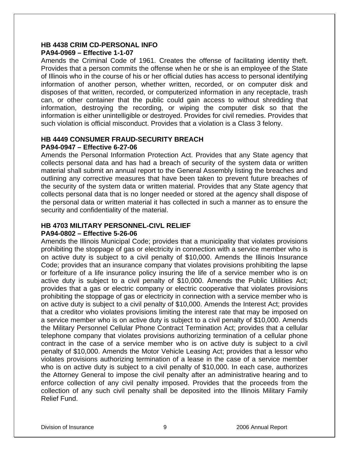#### **HB 4438 CRIM CD-PERSONAL INFO PA94-0969 – Effective 1-1-07**

Amends the Criminal Code of 1961. Creates the offense of facilitating identity theft. Provides that a person commits the offense when he or she is an employee of the State of Illinois who in the course of his or her official duties has access to personal identifying information of another person, whether written, recorded, or on computer disk and disposes of that written, recorded, or computerized information in any receptacle, trash can, or other container that the public could gain access to without shredding that information, destroying the recording, or wiping the computer disk so that the information is either unintelligible or destroyed. Provides for civil remedies. Provides that such violation is official misconduct. Provides that a violation is a Class 3 felony.

#### **HB 4449 CONSUMER FRAUD-SECURITY BREACH PA94-0947 – Effective 6-27-06**

Amends the Personal Information Protection Act. Provides that any State agency that collects personal data and has had a breach of security of the system data or written material shall submit an annual report to the General Assembly listing the breaches and outlining any corrective measures that have been taken to prevent future breaches of the security of the system data or written material. Provides that any State agency that collects personal data that is no longer needed or stored at the agency shall dispose of the personal data or written material it has collected in such a manner as to ensure the security and confidentiality of the material.

## **HB 4703 MILITARY PERSONNEL-CIVL RELIEF**

#### **PA94-0802 – Effective 5-26-06**

Amends the Illinois Municipal Code; provides that a municipality that violates provisions prohibiting the stoppage of gas or electricity in connection with a service member who is on active duty is subject to a civil penalty of \$10,000. Amends the Illinois Insurance Code; provides that an insurance company that violates provisions prohibiting the lapse or forfeiture of a life insurance policy insuring the life of a service member who is on active duty is subject to a civil penalty of \$10,000. Amends the Public Utilities Act; provides that a gas or electric company or electric cooperative that violates provisions prohibiting the stoppage of gas or electricity in connection with a service member who is on active duty is subject to a civil penalty of \$10,000. Amends the Interest Act; provides that a creditor who violates provisions limiting the interest rate that may be imposed on a service member who is on active duty is subject to a civil penalty of \$10,000. Amends the Military Personnel Cellular Phone Contract Termination Act; provides that a cellular telephone company that violates provisions authorizing termination of a cellular phone contract in the case of a service member who is on active duty is subject to a civil penalty of \$10,000. Amends the Motor Vehicle Leasing Act; provides that a lessor who violates provisions authorizing termination of a lease in the case of a service member who is on active duty is subject to a civil penalty of \$10,000. In each case, authorizes the Attorney General to impose the civil penalty after an administrative hearing and to enforce collection of any civil penalty imposed. Provides that the proceeds from the collection of any such civil penalty shall be deposited into the Illinois Military Family Relief Fund.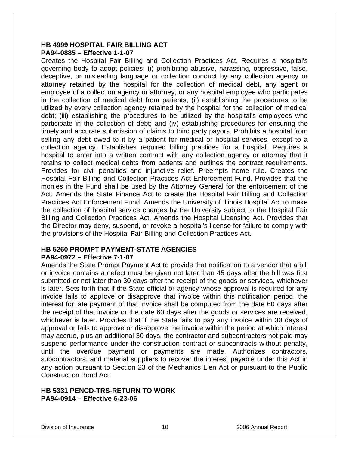#### **HB 4999 HOSPITAL FAIR BILLING ACT PA94-0885 – Effective 1-1-07**

Creates the Hospital Fair Billing and Collection Practices Act. Requires a hospital's governing body to adopt policies: (i) prohibiting abusive, harassing, oppressive, false, deceptive, or misleading language or collection conduct by any collection agency or attorney retained by the hospital for the collection of medical debt, any agent or employee of a collection agency or attorney, or any hospital employee who participates in the collection of medical debt from patients; (ii) establishing the procedures to be utilized by every collection agency retained by the hospital for the collection of medical debt; (iii) establishing the procedures to be utilized by the hospital's employees who participate in the collection of debt; and (iv) establishing procedures for ensuring the timely and accurate submission of claims to third party payors. Prohibits a hospital from selling any debt owed to it by a patient for medical or hospital services, except to a collection agency. Establishes required billing practices for a hospital. Requires a hospital to enter into a written contract with any collection agency or attorney that it retains to collect medical debts from patients and outlines the contract requirements. Provides for civil penalties and injunctive relief. Preempts home rule. Creates the Hospital Fair Billing and Collection Practices Act Enforcement Fund. Provides that the monies in the Fund shall be used by the Attorney General for the enforcement of the Act. Amends the State Finance Act to create the Hospital Fair Billing and Collection Practices Act Enforcement Fund. Amends the University of Illinois Hospital Act to make the collection of hospital service charges by the University subject to the Hospital Fair Billing and Collection Practices Act. Amends the Hospital Licensing Act. Provides that the Director may deny, suspend, or revoke a hospital's license for failure to comply with the provisions of the Hospital Fair Billing and Collection Practices Act.

## **HB 5260 PROMPT PAYMENT-STATE AGENCIES**

#### **PA94-0972 – Effective 7-1-07**

Amends the State Prompt Payment Act to provide that notification to a vendor that a bill or invoice contains a defect must be given not later than 45 days after the bill was first submitted or not later than 30 days after the receipt of the goods or services, whichever is later. Sets forth that if the State official or agency whose approval is required for any invoice fails to approve or disapprove that invoice within this notification period, the interest for late payment of that invoice shall be computed from the date 60 days after the receipt of that invoice or the date 60 days after the goods or services are received, whichever is later. Provides that if the State fails to pay any invoice within 30 days of approval or fails to approve or disapprove the invoice within the period at which interest may accrue, plus an additional 30 days, the contractor and subcontractors not paid may suspend performance under the construction contract or subcontracts without penalty, until the overdue payment or payments are made. Authorizes contractors, subcontractors, and material suppliers to recover the interest payable under this Act in any action pursuant to Section 23 of the Mechanics Lien Act or pursuant to the Public Construction Bond Act.

#### **HB 5331 PENCD-TRS-RETURN TO WORK PA94-0914 – Effective 6-23-06**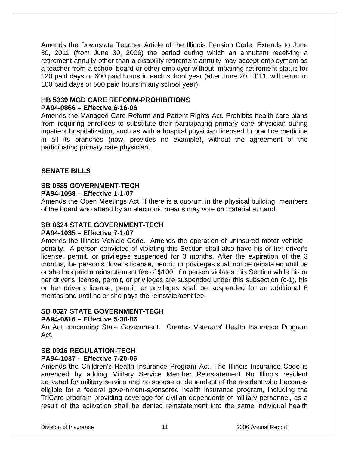Amends the Downstate Teacher Article of the Illinois Pension Code. Extends to June 30, 2011 (from June 30, 2006) the period during which an annuitant receiving a retirement annuity other than a disability retirement annuity may accept employment as a teacher from a school board or other employer without impairing retirement status for 120 paid days or 600 paid hours in each school year (after June 20, 2011, will return to 100 paid days or 500 paid hours in any school year).

#### **HB 5339 MGD CARE REFORM-PROHIBITIONS PA94-0866 – Effective 6-16-06**

Amends the Managed Care Reform and Patient Rights Act. Prohibits health care plans from requiring enrollees to substitute their participating primary care physician during inpatient hospitalization, such as with a hospital physician licensed to practice medicine in all its branches (now, provides no example), without the agreement of the participating primary care physician.

#### **SENATE BILLS**

## **SB 0585 GOVERNMENT-TECH**

#### **PA94-1058 – Effective 1-1-07**

Amends the Open Meetings Act, if there is a quorum in the physical building, members of the board who attend by an electronic means may vote on material at hand.

#### **SB 0624 STATE GOVERNMENT-TECH**

#### **PA94-1035 – Effective 7-1-07**

Amends the Illinois Vehicle Code. Amends the operation of uninsured motor vehicle penalty. A person convicted of violating this Section shall also have his or her driver's license, permit, or privileges suspended for 3 months. After the expiration of the 3 months, the person's driver's license, permit, or privileges shall not be reinstated until he or she has paid a reinstatement fee of \$100. If a person violates this Section while his or her driver's license, permit, or privileges are suspended under this subsection (c-1), his or her driver's license, permit, or privileges shall be suspended for an additional 6 months and until he or she pays the reinstatement fee.

#### **SB 0627 STATE GOVERNMENT-TECH PA94-0816 – Effective 5-30-06**

An Act concerning State Government. Creates Veterans' Health Insurance Program Act.

#### **SB 0916 REGULATION-TECH**

#### **PA94-1037 – Effective 7-20-06**

Amends the Children's Health Insurance Program Act. The Illinois Insurance Code is amended by adding Military Service Member Reinstatement No Illinois resident activated for military service and no spouse or dependent of the resident who becomes eligible for a federal government-sponsored health insurance program, including the TriCare program providing coverage for civilian dependents of military personnel, as a result of the activation shall be denied reinstatement into the same individual health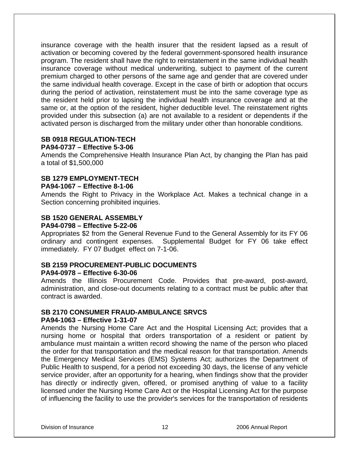insurance coverage with the health insurer that the resident lapsed as a result of activation or becoming covered by the federal government-sponsored health insurance program. The resident shall have the right to reinstatement in the same individual health insurance coverage without medical underwriting, subject to payment of the current premium charged to other persons of the same age and gender that are covered under the same individual health coverage. Except in the case of birth or adoption that occurs during the period of activation, reinstatement must be into the same coverage type as the resident held prior to lapsing the individual health insurance coverage and at the same or, at the option of the resident, higher deductible level. The reinstatement rights provided under this subsection (a) are not available to a resident or dependents if the activated person is discharged from the military under other than honorable conditions.

## **SB 0918 REGULATION-TECH**

#### **PA94-0737 – Effective 5-3-06**

Amends the Comprehensive Health Insurance Plan Act, by changing the Plan has paid a total of \$1,500,000

#### **SB 1279 EMPLOYMENT-TECH**

#### **PA94-1067 – Effective 8-1-06**

Amends the Right to Privacy in the Workplace Act. Makes a technical change in a Section concerning prohibited inquiries.

#### **SB 1520 GENERAL ASSEMBLY PA94-0798 – Effective 5-22-06**

Appropriates \$2 from the General Revenue Fund to the General Assembly for its FY 06 ordinary and contingent expenses. Supplemental Budget for FY 06 take effect immediately. FY 07 Budget effect on 7-1-06.

#### **SB 2159 PROCUREMENT-PUBLIC DOCUMENTS PA94-0978 – Effective 6-30-06**

Amends the Illinois Procurement Code. Provides that pre-award, post-award, administration, and close-out documents relating to a contract must be public after that contract is awarded.

#### **SB 2170 CONSUMER FRAUD-AMBULANCE SRVCS**

#### **PA94-1063 – Effective 1-31-07**

Amends the Nursing Home Care Act and the Hospital Licensing Act; provides that a nursing home or hospital that orders transportation of a resident or patient by ambulance must maintain a written record showing the name of the person who placed the order for that transportation and the medical reason for that transportation. Amends the Emergency Medical Services (EMS) Systems Act; authorizes the Department of Public Health to suspend, for a period not exceeding 30 days, the license of any vehicle service provider, after an opportunity for a hearing, when findings show that the provider has directly or indirectly given, offered, or promised anything of value to a facility licensed under the Nursing Home Care Act or the Hospital Licensing Act for the purpose of influencing the facility to use the provider's services for the transportation of residents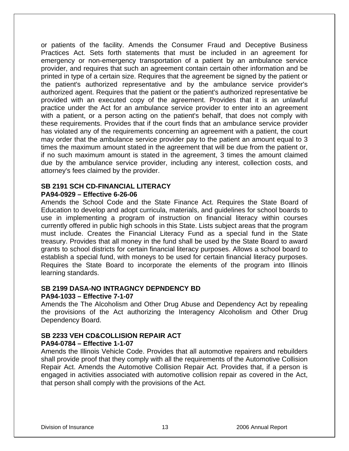or patients of the facility. Amends the Consumer Fraud and Deceptive Business Practices Act. Sets forth statements that must be included in an agreement for emergency or non-emergency transportation of a patient by an ambulance service provider, and requires that such an agreement contain certain other information and be printed in type of a certain size. Requires that the agreement be signed by the patient or the patient's authorized representative and by the ambulance service provider's authorized agent. Requires that the patient or the patient's authorized representative be provided with an executed copy of the agreement. Provides that it is an unlawful practice under the Act for an ambulance service provider to enter into an agreement with a patient, or a person acting on the patient's behalf, that does not comply with these requirements. Provides that if the court finds that an ambulance service provider has violated any of the requirements concerning an agreement with a patient, the court may order that the ambulance service provider pay to the patient an amount equal to 3 times the maximum amount stated in the agreement that will be due from the patient or, if no such maximum amount is stated in the agreement, 3 times the amount claimed due by the ambulance service provider, including any interest, collection costs, and attorney's fees claimed by the provider.

#### **SB 2191 SCH CD-FINANCIAL LITERACY PA94-0929 – Effective 6-26-06**

Amends the School Code and the State Finance Act. Requires the State Board of Education to develop and adopt curricula, materials, and guidelines for school boards to use in implementing a program of instruction on financial literacy within courses currently offered in public high schools in this State. Lists subject areas that the program must include. Creates the Financial Literacy Fund as a special fund in the State treasury. Provides that all money in the fund shall be used by the State Board to award grants to school districts for certain financial literacy purposes. Allows a school board to establish a special fund, with moneys to be used for certain financial literacy purposes. Requires the State Board to incorporate the elements of the program into Illinois learning standards.

#### **SB 2199 DASA-NO INTRAGNCY DEPNDENCY BD**

#### **PA94-1033 – Effective 7-1-07**

Amends the The Alcoholism and Other Drug Abuse and Dependency Act by repealing the provisions of the Act authorizing the Interagency Alcoholism and Other Drug Dependency Board.

#### **SB 2233 VEH CD&COLLISION REPAIR ACT PA94-0784 – Effective 1-1-07**

Amends the Illinois Vehicle Code. Provides that all automotive repairers and rebuilders shall provide proof that they comply with all the requirements of the Automotive Collision Repair Act. Amends the Automotive Collision Repair Act. Provides that, if a person is engaged in activities associated with automotive collision repair as covered in the Act, that person shall comply with the provisions of the Act.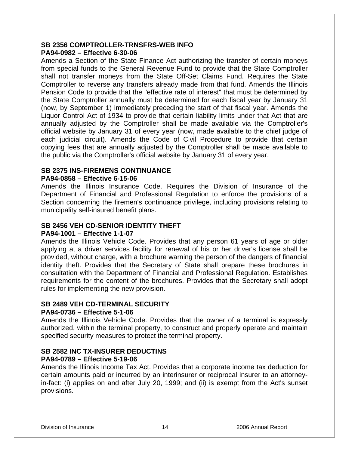#### **SB 2356 COMPTROLLER-TRNSFRS-WEB INFO PA94-0982 – Effective 6-30-06**

Amends a Section of the State Finance Act authorizing the transfer of certain moneys from special funds to the General Revenue Fund to provide that the State Comptroller shall not transfer moneys from the State Off-Set Claims Fund. Requires the State Comptroller to reverse any transfers already made from that fund. Amends the Illinois Pension Code to provide that the "effective rate of interest" that must be determined by the State Comptroller annually must be determined for each fiscal year by January 31 (now, by September 1) immediately preceding the start of that fiscal year. Amends the Liquor Control Act of 1934 to provide that certain liability limits under that Act that are annually adjusted by the Comptroller shall be made available via the Comptroller's official website by January 31 of every year (now, made available to the chief judge of each judicial circuit). Amends the Code of Civil Procedure to provide that certain copying fees that are annually adjusted by the Comptroller shall be made available to the public via the Comptroller's official website by January 31 of every year.

#### **SB 2375 INS-FIREMENS CONTINUANCE**

#### **PA94-0858 – Effective 6-15-06**

Amends the Illinois Insurance Code. Requires the Division of Insurance of the Department of Financial and Professional Regulation to enforce the provisions of a Section concerning the firemen's continuance privilege, including provisions relating to municipality self-insured benefit plans.

#### **SB 2456 VEH CD-SENIOR IDENTITY THEFT**

#### **PA94-1001 – Effective 1-1-07**

Amends the Illinois Vehicle Code. Provides that any person 61 years of age or older applying at a driver services facility for renewal of his or her driver's license shall be provided, without charge, with a brochure warning the person of the dangers of financial identity theft. Provides that the Secretary of State shall prepare these brochures in consultation with the Department of Financial and Professional Regulation. Establishes requirements for the content of the brochures. Provides that the Secretary shall adopt rules for implementing the new provision.

#### **SB 2489 VEH CD-TERMINAL SECURITY**

#### **PA94-0736 – Effective 5-1-06**

Amends the Illinois Vehicle Code. Provides that the owner of a terminal is expressly authorized, within the terminal property, to construct and properly operate and maintain specified security measures to protect the terminal property.

#### **SB 2582 INC TX-INSURER DEDUCTINS**

#### **PA94-0789 – Effective 5-19-06**

Amends the Illinois Income Tax Act. Provides that a corporate income tax deduction for certain amounts paid or incurred by an interinsurer or reciprocal insurer to an attorneyin-fact: (i) applies on and after July 20, 1999; and (ii) is exempt from the Act's sunset provisions.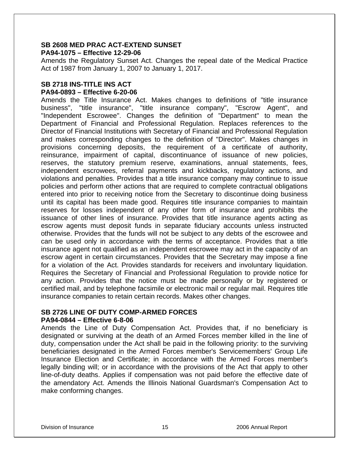#### **SB 2608 MED PRAC ACT-EXTEND SUNSET PA94-1075 – Effective 12-29-06**

Amends the Regulatory Sunset Act. Changes the repeal date of the Medical Practice Act of 1987 from January 1, 2007 to January 1, 2017.

#### **SB 2718 INS-TITLE INS ACT PA94-0893 – Effective 6-20-06**

Amends the Title Insurance Act. Makes changes to definitions of "title insurance business", "title insurance", "title insurance company", "Escrow Agent", and "Independent Escrowee". Changes the definition of "Department" to mean the Department of Financial and Professional Regulation. Replaces references to the Director of Financial Institutions with Secretary of Financial and Professional Regulation and makes corresponding changes to the definition of "Director". Makes changes in provisions concerning deposits, the requirement of a certificate of authority, reinsurance, impairment of capital, discontinuance of issuance of new policies, reserves, the statutory premium reserve, examinations, annual statements, fees, independent escrowees, referral payments and kickbacks, regulatory actions, and violations and penalties. Provides that a title insurance company may continue to issue policies and perform other actions that are required to complete contractual obligations entered into prior to receiving notice from the Secretary to discontinue doing business until its capital has been made good. Requires title insurance companies to maintain reserves for losses independent of any other form of insurance and prohibits the issuance of other lines of insurance. Provides that title insurance agents acting as escrow agents must deposit funds in separate fiduciary accounts unless instructed otherwise. Provides that the funds will not be subject to any debts of the escrowee and can be used only in accordance with the terms of acceptance. Provides that a title insurance agent not qualified as an independent escrowee may act in the capacity of an escrow agent in certain circumstances. Provides that the Secretary may impose a fine for a violation of the Act. Provides standards for receivers and involuntary liquidation. Requires the Secretary of Financial and Professional Regulation to provide notice for any action. Provides that the notice must be made personally or by registered or certified mail, and by telephone facsimile or electronic mail or regular mail. Requires title insurance companies to retain certain records. Makes other changes.

#### **SB 2726 LINE OF DUTY COMP-ARMED FORCES PA94-0844 – Effective 6-8-06**

Amends the Line of Duty Compensation Act. Provides that, if no beneficiary is designated or surviving at the death of an Armed Forces member killed in the line of duty, compensation under the Act shall be paid in the following priority: to the surviving beneficiaries designated in the Armed Forces member's Servicemembers' Group Life Insurance Election and Certificate; in accordance with the Armed Forces member's legally binding will; or in accordance with the provisions of the Act that apply to other line-of-duty deaths. Applies if compensation was not paid before the effective date of the amendatory Act. Amends the Illinois National Guardsman's Compensation Act to make conforming changes.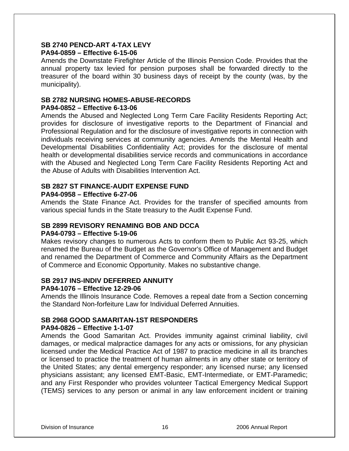#### **SB 2740 PENCD-ART 4-TAX LEVY PA94-0859 – Effective 6-15-06**

Amends the Downstate Firefighter Article of the Illinois Pension Code. Provides that the annual property tax levied for pension purposes shall be forwarded directly to the treasurer of the board within 30 business days of receipt by the county (was, by the municipality).

## **SB 2782 NURSING HOMES-ABUSE-RECORDS**

#### **PA94-0852 – Effective 6-13-06**

Amends the Abused and Neglected Long Term Care Facility Residents Reporting Act; provides for disclosure of investigative reports to the Department of Financial and Professional Regulation and for the disclosure of investigative reports in connection with individuals receiving services at community agencies. Amends the Mental Health and Developmental Disabilities Confidentiality Act; provides for the disclosure of mental health or developmental disabilities service records and communications in accordance with the Abused and Neglected Long Term Care Facility Residents Reporting Act and the Abuse of Adults with Disabilities Intervention Act.

#### **SB 2827 ST FINANCE-AUDIT EXPENSE FUND PA94-0958 – Effective 6-27-06**

Amends the State Finance Act. Provides for the transfer of specified amounts from various special funds in the State treasury to the Audit Expense Fund.

## **SB 2899 REVISORY RENAMING BOB AND DCCA**

#### **PA94-0793 – Effective 5-19-06**

Makes revisory changes to numerous Acts to conform them to Public Act 93-25, which renamed the Bureau of the Budget as the Governor's Office of Management and Budget and renamed the Department of Commerce and Community Affairs as the Department of Commerce and Economic Opportunity. Makes no substantive change.

#### **SB 2917 INS-INDIV DEFERRED ANNUITY**

#### **PA94-1076 – Effective 12-29-06**

Amends the Illinois Insurance Code. Removes a repeal date from a Section concerning the Standard Non-forfeiture Law for Individual Deferred Annuities.

### **SB 2968 GOOD SAMARITAN-1ST RESPONDERS**

#### **PA94-0826 – Effective 1-1-07**

Amends the Good Samaritan Act. Provides immunity against criminal liability, civil damages, or medical malpractice damages for any acts or omissions, for any physician licensed under the Medical Practice Act of 1987 to practice medicine in all its branches or licensed to practice the treatment of human ailments in any other state or territory of the United States; any dental emergency responder; any licensed nurse; any licensed physicians assistant; any licensed EMT-Basic, EMT-Intermediate, or EMT-Paramedic; and any First Responder who provides volunteer Tactical Emergency Medical Support (TEMS) services to any person or animal in any law enforcement incident or training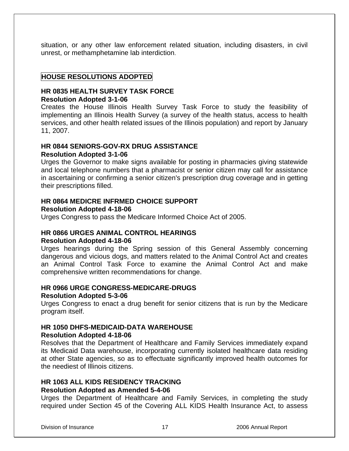situation, or any other law enforcement related situation, including disasters, in civil unrest, or methamphetamine lab interdiction.

#### **HOUSE RESOLUTIONS ADOPTED**

#### **HR 0835 HEALTH SURVEY TASK FORCE Resolution Adopted 3-1-06**

Creates the House Illinois Health Survey Task Force to study the feasibility of implementing an Illinois Health Survey (a survey of the health status, access to health services, and other health related issues of the Illinois population) and report by January 11, 2007.

#### **HR 0844 SENIORS-GOV-RX DRUG ASSISTANCE**

#### **Resolution Adopted 3-1-06**

Urges the Governor to make signs available for posting in pharmacies giving statewide and local telephone numbers that a pharmacist or senior citizen may call for assistance in ascertaining or confirming a senior citizen's prescription drug coverage and in getting their prescriptions filled.

#### **HR 0864 MEDICRE INFRMED CHOICE SUPPORT**

#### **Resolution Adopted 4-18-06**

Urges Congress to pass the Medicare Informed Choice Act of 2005.

#### **HR 0866 URGES ANIMAL CONTROL HEARINGS**

#### **Resolution Adopted 4-18-06**

Urges hearings during the Spring session of this General Assembly concerning dangerous and vicious dogs, and matters related to the Animal Control Act and creates an Animal Control Task Force to examine the Animal Control Act and make comprehensive written recommendations for change.

#### **HR 0966 URGE CONGRESS-MEDICARE-DRUGS**

#### **Resolution Adopted 5-3-06**

Urges Congress to enact a drug benefit for senior citizens that is run by the Medicare program itself.

#### **HR 1050 DHFS-MEDICAID-DATA WAREHOUSE**

#### **Resolution Adopted 4-18-06**

Resolves that the Department of Healthcare and Family Services immediately expand its Medicaid Data warehouse, incorporating currently isolated healthcare data residing at other State agencies, so as to effectuate significantly improved health outcomes for the neediest of Illinois citizens.

## **HR 1063 ALL KIDS RESIDENCY TRACKING**

#### **Resolution Adopted as Amended 5-4-06**

Urges the Department of Healthcare and Family Services, in completing the study required under Section 45 of the Covering ALL KIDS Health Insurance Act, to assess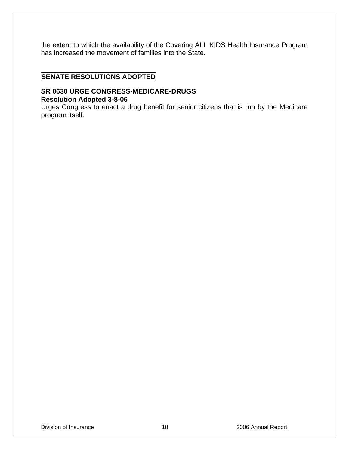the extent to which the availability of the Covering ALL KIDS Health Insurance Program has increased the movement of families into the State.

#### **SENATE RESOLUTIONS ADOPTED**

#### **SR 0630 URGE CONGRESS-MEDICARE-DRUGS Resolution Adopted 3-8-06**

Urges Congress to enact a drug benefit for senior citizens that is run by the Medicare program itself.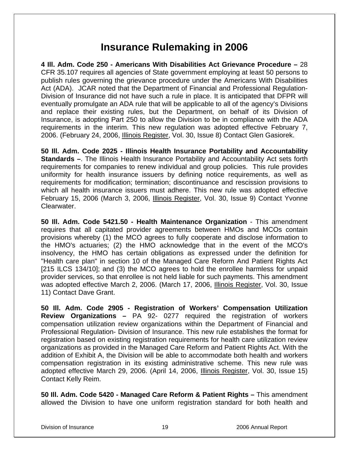## **Insurance Rulemaking in 2006**

**4 Ill. Adm. Code 250 - Americans With Disabilities Act Grievance Procedure –** 28 CFR 35.107 requires all agencies of State government employing at least 50 persons to publish rules governing the grievance procedure under the Americans With Disabilities Act (ADA). JCAR noted that the Department of Financial and Professional Regulation-Division of Insurance did not have such a rule in place. It is anticipated that DFPR will eventually promulgate an ADA rule that will be applicable to all of the agency's Divisions and replace their existing rules, but the Department, on behalf of its Division of Insurance, is adopting Part 250 to allow the Division to be in compliance with the ADA requirements in the interim. This new regulation was adopted effective February 7, 2006. (February 24, 2006, Illinois Register, Vol. 30, Issue 8) Contact Glen Gasiorek.

**50 Ill. Adm. Code 2025 - Illinois Health Insurance Portability and Accountability Standards –**. The Illinois Health Insurance Portability and Accountability Act sets forth requirements for companies to renew individual and group policies. This rule provides uniformity for health insurance issuers by defining notice requirements, as well as requirements for modification; termination; discontinuance and rescission provisions to which all health insurance issuers must adhere. This new rule was adopted effective February 15, 2006 (March 3, 2006, Illinois Register, Vol. 30, Issue 9) Contact Yvonne Clearwater.

**50 Ill. Adm. Code 5421.50 - Health Maintenance Organization** - This amendment requires that all capitated provider agreements between HMOs and MCOs contain provisions whereby (1) the MCO agrees to fully cooperate and disclose information to the HMO's actuaries; (2) the HMO acknowledge that in the event of the MCO's insolvency, the HMO has certain obligations as expressed under the definition for "Health care plan" in section 10 of the Managed Care Reform And Patient Rights Act [215 ILCS 134/10]; and (3) the MCO agrees to hold the enrollee harmless for unpaid provider services, so that enrollee is not held liable for such payments. This amendment was adopted effective March 2, 2006. (March 17, 2006, Illinois Register, Vol. 30, Issue 11) Contact Dave Grant.

**50 Ill. Adm. Code 2905 - Registration of Workers' Compensation Utilization Review Organizations –** PA 92- 0277 required the registration of workers compensation utilization review organizations within the Department of Financial and Professional Regulation- Division of Insurance. This new rule establishes the format for registration based on existing registration requirements for health care utilization review organizations as provided in the Managed Care Reform and Patient Rights Act. With the addition of Exhibit A, the Division will be able to accommodate both health and workers compensation registration in its existing administrative scheme. This new rule was adopted effective March 29, 2006. (April 14, 2006, *Illinois Register*, Vol. 30, Issue 15) Contact Kelly Reim.

**50 Ill. Adm. Code 5420 - Managed Care Reform & Patient Rights –** This amendment allowed the Division to have one uniform registration standard for both health and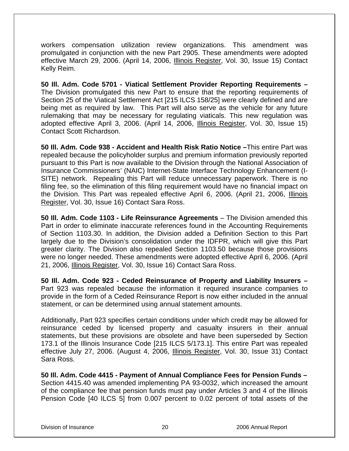workers compensation utilization review organizations. This amendment was promulgated in conjunction with the new Part 2905. These amendments were adopted effective March 29, 2006. (April 14, 2006, Illinois Register, Vol. 30, Issue 15) Contact Kelly Reim.

**50 Ill. Adm. Code 5701 - Viatical Settlement Provider Reporting Requirements –** The Division promulgated this new Part to ensure that the reporting requirements of Section 25 of the Viatical Settlement Act [215 ILCS 158/25] were clearly defined and are being met as required by law. This Part will also serve as the vehicle for any future rulemaking that may be necessary for regulating viaticals. This new regulation was adopted effective April 3, 2006. (April 14, 2006, Illinois Register, Vol. 30, Issue 15) Contact Scott Richardson.

**50 Ill. Adm. Code 938 - Accident and Health Risk Ratio Notice –**This entire Part was repealed because the policyholder surplus and premium information previously reported pursuant to this Part is now available to the Division through the National Association of Insurance Commissioners' (NAIC) Internet-State Interface Technology Enhancement (I-SITE) network. Repealing this Part will reduce unnecessary paperwork. There is no filing fee, so the elimination of this filing requirement would have no financial impact on the Division. This Part was repealed effective April 6, 2006. (April 21, 2006, Illinois Register, Vol. 30, Issue 16) Contact Sara Ross.

**50 Ill. Adm. Code 1103 - Life Reinsurance Agreements** – The Division amended this Part in order to eliminate inaccurate references found in the Accounting Requirements of Section 1103.30. In addition, the Division added a Definition Section to this Part largely due to the Division's consolidation under the IDFPR, which will give this Part greater clarity. The Division also repealed Section 1103.50 because those provisions were no longer needed. These amendments were adopted effective April 6, 2006. (April 21, 2006, Illinois Register, Vol. 30, Issue 16) Contact Sara Ross.

**50 Ill. Adm. Code 923 - Ceded Reinsurance of Property and Liability Insurers –**  Part 923 was repealed because the information it required insurance companies to provide in the form of a Ceded Reinsurance Report is now either included in the annual statement, or can be determined using annual statement amounts.

Additionally, Part 923 specifies certain conditions under which credit may be allowed for reinsurance ceded by licensed property and casualty insurers in their annual statements, but these provisions are obsolete and have been superseded by Section 173.1 of the Illinois Insurance Code [215 ILCS 5/173.1]. This entire Part was repealed effective July 27, 2006. (August 4, 2006, Illinois Register, Vol. 30, Issue 31) Contact Sara Ross.

**50 Ill. Adm. Code 4415 - Payment of Annual Compliance Fees for Pension Funds –**  Section 4415.40 was amended implementing PA 93-0032, which increased the amount of the compliance fee that pension funds must pay under Articles 3 and 4 of the Illinois Pension Code [40 ILCS 5] from 0.007 percent to 0.02 percent of total assets of the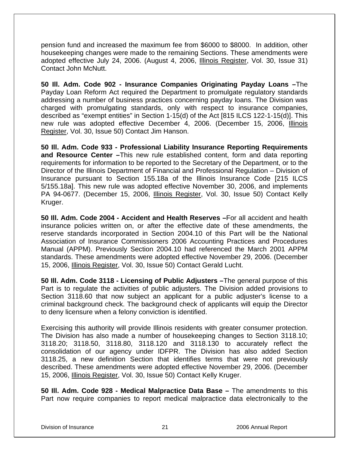pension fund and increased the maximum fee from \$6000 to \$8000. In addition, other housekeeping changes were made to the remaining Sections. These amendments were adopted effective July 24, 2006. (August 4, 2006, Illinois Register, Vol. 30, Issue 31) Contact John McNutt.

**50 Ill. Adm. Code 902 - Insurance Companies Originating Payday Loans –**The Payday Loan Reform Act required the Department to promulgate regulatory standards addressing a number of business practices concerning payday loans. The Division was charged with promulgating standards, only with respect to insurance companies, described as "exempt entities" in Section 1-15(d) of the Act [815 ILCS 122-1-15(d)]. This new rule was adopted effective December 4, 2006. (December 15, 2006, Illinois Register, Vol. 30, Issue 50) Contact Jim Hanson.

**50 Ill. Adm. Code 933 - Professional Liability Insurance Reporting Requirements and Resource Center –**This new rule established content, form and data reporting requirements for information to be reported to the Secretary of the Department, or to the Director of the Illinois Department of Financial and Professional Regulation – Division of Insurance pursuant to Section 155.18a of the Illinois Insurance Code [215 ILCS 5/155.18a]. This new rule was adopted effective November 30, 2006, and implements PA 94-0677. (December 15, 2006, Illinois Register, Vol. 30, Issue 50) Contact Kelly Kruger.

**50 Ill. Adm. Code 2004 - Accident and Health Reserves –**For all accident and health insurance policies written on, or after the effective date of these amendments, the reserve standards incorporated in Section 2004.10 of this Part will be the National Association of Insurance Commissioners 2006 Accounting Practices and Procedures Manual (APPM). Previously Section 2004.10 had referenced the March 2001 APPM standards. These amendments were adopted effective November 29, 2006. (December 15, 2006, Illinois Register, Vol. 30, Issue 50) Contact Gerald Lucht.

**50 Ill. Adm. Code 3118 - Licensing of Public Adjusters –**The general purpose of this Part is to regulate the activities of public adjusters. The Division added provisions to Section 3118.60 that now subject an applicant for a public adjuster's license to a criminal background check. The background check of applicants will equip the Director to deny licensure when a felony conviction is identified.

Exercising this authority will provide Illinois residents with greater consumer protection. The Division has also made a number of housekeeping changes to Section 3118.10; 3118.20; 3118.50, 3118.80, 3118.120 and 3118.130 to accurately reflect the consolidation of our agency under IDFPR. The Division has also added Section 3118.25, a new definition Section that identifies terms that were not previously described. These amendments were adopted effective November 29, 2006. (December 15, 2006, Illinois Register, Vol. 30, Issue 50) Contact Kelly Kruger.

**50 Ill. Adm. Code 928 - Medical Malpractice Data Base –** The amendments to this Part now require companies to report medical malpractice data electronically to the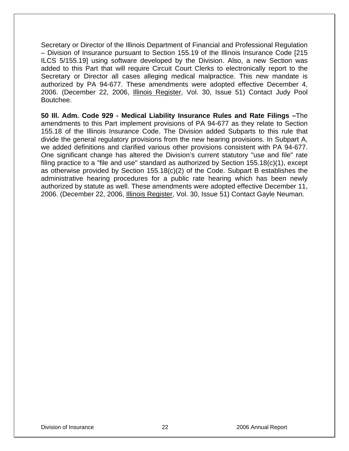Secretary or Director of the Illinois Department of Financial and Professional Regulation – Division of Insurance pursuant to Section 155.19 of the Illinois Insurance Code [215 ILCS 5/155.19] using software developed by the Division. Also, a new Section was added to this Part that will require Circuit Court Clerks to electronically report to the Secretary or Director all cases alleging medical malpractice. This new mandate is authorized by PA 94-677. These amendments were adopted effective December 4, 2006. (December 22, 2006, Illinois Register, Vol. 30, Issue 51) Contact Judy Pool Boutchee.

**50 Ill. Adm. Code 929 - Medical Liability Insurance Rules and Rate Filings –**The amendments to this Part implement provisions of PA 94-677 as they relate to Section 155.18 of the Illinois Insurance Code. The Division added Subparts to this rule that divide the general regulatory provisions from the new hearing provisions. In Subpart A, we added definitions and clarified various other provisions consistent with PA 94-677. One significant change has altered the Division's current statutory "use and file" rate filing practice to a "file and use" standard as authorized by Section 155.18(c)(1), except as otherwise provided by Section 155.18(c)(2) of the Code. Subpart B establishes the administrative hearing procedures for a public rate hearing which has been newly authorized by statute as well. These amendments were adopted effective December 11, 2006. (December 22, 2006, Illinois Register, Vol. 30, Issue 51) Contact Gayle Neuman.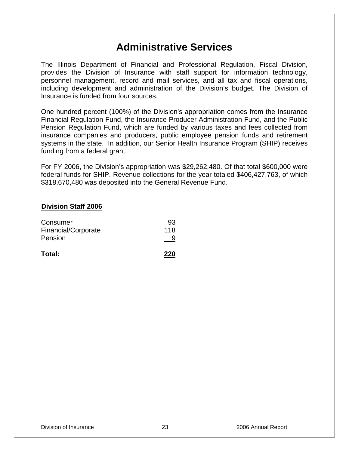## **Administrative Services**

The Illinois Department of Financial and Professional Regulation, Fiscal Division, provides the Division of Insurance with staff support for information technology, personnel management, record and mail services, and all tax and fiscal operations, including development and administration of the Division's budget. The Division of Insurance is funded from four sources.

One hundred percent (100%) of the Division's appropriation comes from the Insurance Financial Regulation Fund, the Insurance Producer Administration Fund, and the Public Pension Regulation Fund, which are funded by various taxes and fees collected from insurance companies and producers, public employee pension funds and retirement systems in the state. In addition, our Senior Health Insurance Program (SHIP) receives funding from a federal grant.

For FY 2006, the Division's appropriation was \$29,262,480. Of that total \$600,000 were federal funds for SHIP. Revenue collections for the year totaled \$406,427,763, of which \$318,670,480 was deposited into the General Revenue Fund.

#### **Division Staff 2006**

| Total:              | 220 |
|---------------------|-----|
| Pension             |     |
| Financial/Corporate | 118 |
| Consumer            | 93  |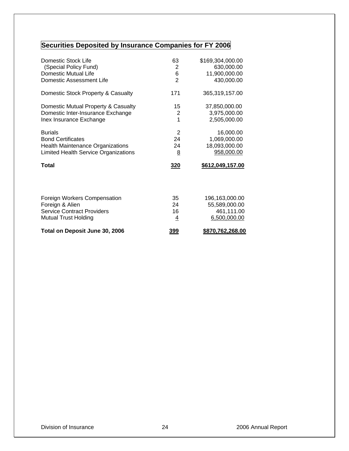## **Securities Deposited by Insurance Companies for FY 2006**

| Domestic Stock Life                     | 63             | \$169,304,000.00 |
|-----------------------------------------|----------------|------------------|
| (Special Policy Fund)                   | 2              | 630,000.00       |
| <b>Domestic Mutual Life</b>             | 6              | 11,900,000.00    |
| Domestic Assessment Life                | $\overline{2}$ | 430,000.00       |
| Domestic Stock Property & Casualty      | 171            | 365,319,157.00   |
| Domestic Mutual Property & Casualty     | 15             | 37,850,000.00    |
| Domestic Inter-Insurance Exchange       | $\overline{2}$ | 3,975,000.00     |
| Inex Insurance Exchange                 | 1              | 2,505,000.00     |
| <b>Burials</b>                          | 2              | 16,000.00        |
| <b>Bond Certificates</b>                | 24             | 1,069,000.00     |
| <b>Health Maintenance Organizations</b> | 24             | 18,093,000.00    |
| Limited Health Service Organizations    | 8              | 958,000.00       |
| <b>Total</b>                            | 320            | \$612,049,157.00 |
|                                         |                |                  |
| Foreign Workers Compensation            | 35             | 196,163,000.00   |
| Foreign & Alien                         | 24             | 55,589,000.00    |
| <b>Service Contract Providers</b>       | 16             | 461,111.00       |
| <b>Mutual Trust Holding</b>             | $\overline{4}$ | 6,500,000.00     |
| Total on Deposit June 30, 2006          | 399            | \$870,762,268.00 |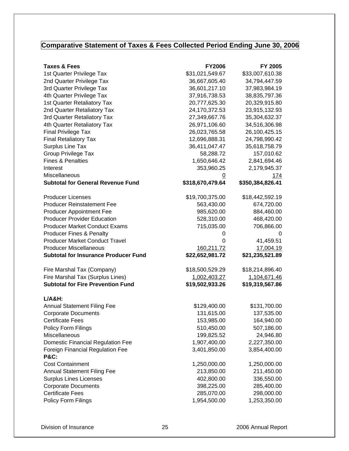## **Comparative Statement of Taxes & Fees Collected Period Ending June 30, 2006**

| \$31,021,549.67<br>\$33,007,610.38<br>1st Quarter Privilege Tax<br>2nd Quarter Privilege Tax<br>36,667,605.40<br>34,794,447.59<br>3rd Quarter Privilege Tax<br>36,601,217.10<br>37,983,984.19<br>37,916,738.53<br>38,835,797.36<br>4th Quarter Privilege Tax<br>1st Quarter Retaliatory Tax<br>20,777,625.30<br>20,329,915.80<br>24,170,372.53<br>2nd Quarter Retaliatory Tax<br>23,915,132.93<br>3rd Quarter Retaliatory Tax<br>27,349,667.76<br>35,304,632.37<br>4th Quarter Retaliatory Tax<br>26,971,106.60<br>34,516,306.98<br>Final Privilege Tax<br>26,023,765.58<br>26,100,425.15<br><b>Final Retaliatory Tax</b><br>12,696,888.31<br>24,798,990.42<br>Surplus Line Tax<br>35,618,758.79<br>36,411,047.47<br>Group Privilege Tax<br>157,010.62<br>58,288.72<br>1,650,646.42<br>2,841,694.46<br><b>Fines &amp; Penalties</b><br>353,960.25<br>2,179,945.37<br>Interest<br>Miscellaneous<br>$\overline{0}$<br><u>174</u><br><b>Subtotal for General Revenue Fund</b><br>\$318,670,479.64<br>\$350,384,826.41<br><b>Producer Licenses</b><br>\$19,700,375.00<br>\$18,442,592.19<br><b>Producer Reinstatement Fee</b><br>674,720.00<br>563,430.00<br><b>Producer Appointment Fee</b><br>985,620.00<br>884,460.00<br><b>Producer Provider Education</b><br>528,310.00<br>468,420.00<br><b>Producer Market Conduct Exams</b><br>715,035.00<br>706,866.00<br><b>Producer Fines &amp; Penalty</b><br>0<br>0<br><b>Producer Market Conduct Travel</b><br>41,459.51<br>0<br><b>Producer Miscellaneous</b><br>17,004.19<br>160,211.72<br><b>Subtotal for Insurance Producer Fund</b><br>\$22,652,981.72<br>\$21,235,521.89<br>\$18,500,529.29<br>\$18,214,896.40<br>Fire Marshal Tax (Company)<br>Fire Marshal Tax (Surplus Lines)<br>1,002,403.27<br>1,104,671.46<br><b>Subtotal for Fire Prevention Fund</b><br>\$19,502,933.26<br>\$19,319,567.86<br>$L/A&H$ :<br><b>Annual Statement Filing Fee</b><br>\$129,400.00<br>\$131,700.00<br>131,615.00<br>137,535.00<br><b>Corporate Documents</b><br><b>Certificate Fees</b><br>153,985.00<br>164,940.00<br>Policy Form Filings<br>510,450.00<br>507,186.00<br>Miscellaneous<br>199,825.52<br>24,946.80<br><b>Domestic Financial Regulation Fee</b><br>1,907,400.00<br>2,227,350.00<br><b>Foreign Financial Regulation Fee</b><br>3,401,850.00<br>3,854,400.00<br><b>P&amp;C:</b><br>1,250,000.00<br>1,250,000.00<br><b>Cost Containment</b><br><b>Annual Statement Filing Fee</b><br>211,450.00<br>213,850.00<br><b>Surplus Lines Licenses</b><br>402,800.00<br>336,550.00<br>398,225.00<br><b>Corporate Documents</b><br>285,400.00<br><b>Certificate Fees</b><br>285,070.00<br>298,000.00<br>Policy Form Filings<br>1,954,500.00<br>1,253,350.00 | <b>Taxes &amp; Fees</b> | <b>FY2006</b> | FY 2005 |
|--------------------------------------------------------------------------------------------------------------------------------------------------------------------------------------------------------------------------------------------------------------------------------------------------------------------------------------------------------------------------------------------------------------------------------------------------------------------------------------------------------------------------------------------------------------------------------------------------------------------------------------------------------------------------------------------------------------------------------------------------------------------------------------------------------------------------------------------------------------------------------------------------------------------------------------------------------------------------------------------------------------------------------------------------------------------------------------------------------------------------------------------------------------------------------------------------------------------------------------------------------------------------------------------------------------------------------------------------------------------------------------------------------------------------------------------------------------------------------------------------------------------------------------------------------------------------------------------------------------------------------------------------------------------------------------------------------------------------------------------------------------------------------------------------------------------------------------------------------------------------------------------------------------------------------------------------------------------------------------------------------------------------------------------------------------------------------------------------------------------------------------------------------------------------------------------------------------------------------------------------------------------------------------------------------------------------------------------------------------------------------------------------------------------------------------------------------------------------------------------------------------------------------------------------------------------------------------------------------------------------------------------------------------------------------------------------|-------------------------|---------------|---------|
|                                                                                                                                                                                                                                                                                                                                                                                                                                                                                                                                                                                                                                                                                                                                                                                                                                                                                                                                                                                                                                                                                                                                                                                                                                                                                                                                                                                                                                                                                                                                                                                                                                                                                                                                                                                                                                                                                                                                                                                                                                                                                                                                                                                                                                                                                                                                                                                                                                                                                                                                                                                                                                                                                                  |                         |               |         |
|                                                                                                                                                                                                                                                                                                                                                                                                                                                                                                                                                                                                                                                                                                                                                                                                                                                                                                                                                                                                                                                                                                                                                                                                                                                                                                                                                                                                                                                                                                                                                                                                                                                                                                                                                                                                                                                                                                                                                                                                                                                                                                                                                                                                                                                                                                                                                                                                                                                                                                                                                                                                                                                                                                  |                         |               |         |
|                                                                                                                                                                                                                                                                                                                                                                                                                                                                                                                                                                                                                                                                                                                                                                                                                                                                                                                                                                                                                                                                                                                                                                                                                                                                                                                                                                                                                                                                                                                                                                                                                                                                                                                                                                                                                                                                                                                                                                                                                                                                                                                                                                                                                                                                                                                                                                                                                                                                                                                                                                                                                                                                                                  |                         |               |         |
|                                                                                                                                                                                                                                                                                                                                                                                                                                                                                                                                                                                                                                                                                                                                                                                                                                                                                                                                                                                                                                                                                                                                                                                                                                                                                                                                                                                                                                                                                                                                                                                                                                                                                                                                                                                                                                                                                                                                                                                                                                                                                                                                                                                                                                                                                                                                                                                                                                                                                                                                                                                                                                                                                                  |                         |               |         |
|                                                                                                                                                                                                                                                                                                                                                                                                                                                                                                                                                                                                                                                                                                                                                                                                                                                                                                                                                                                                                                                                                                                                                                                                                                                                                                                                                                                                                                                                                                                                                                                                                                                                                                                                                                                                                                                                                                                                                                                                                                                                                                                                                                                                                                                                                                                                                                                                                                                                                                                                                                                                                                                                                                  |                         |               |         |
|                                                                                                                                                                                                                                                                                                                                                                                                                                                                                                                                                                                                                                                                                                                                                                                                                                                                                                                                                                                                                                                                                                                                                                                                                                                                                                                                                                                                                                                                                                                                                                                                                                                                                                                                                                                                                                                                                                                                                                                                                                                                                                                                                                                                                                                                                                                                                                                                                                                                                                                                                                                                                                                                                                  |                         |               |         |
|                                                                                                                                                                                                                                                                                                                                                                                                                                                                                                                                                                                                                                                                                                                                                                                                                                                                                                                                                                                                                                                                                                                                                                                                                                                                                                                                                                                                                                                                                                                                                                                                                                                                                                                                                                                                                                                                                                                                                                                                                                                                                                                                                                                                                                                                                                                                                                                                                                                                                                                                                                                                                                                                                                  |                         |               |         |
|                                                                                                                                                                                                                                                                                                                                                                                                                                                                                                                                                                                                                                                                                                                                                                                                                                                                                                                                                                                                                                                                                                                                                                                                                                                                                                                                                                                                                                                                                                                                                                                                                                                                                                                                                                                                                                                                                                                                                                                                                                                                                                                                                                                                                                                                                                                                                                                                                                                                                                                                                                                                                                                                                                  |                         |               |         |
|                                                                                                                                                                                                                                                                                                                                                                                                                                                                                                                                                                                                                                                                                                                                                                                                                                                                                                                                                                                                                                                                                                                                                                                                                                                                                                                                                                                                                                                                                                                                                                                                                                                                                                                                                                                                                                                                                                                                                                                                                                                                                                                                                                                                                                                                                                                                                                                                                                                                                                                                                                                                                                                                                                  |                         |               |         |
|                                                                                                                                                                                                                                                                                                                                                                                                                                                                                                                                                                                                                                                                                                                                                                                                                                                                                                                                                                                                                                                                                                                                                                                                                                                                                                                                                                                                                                                                                                                                                                                                                                                                                                                                                                                                                                                                                                                                                                                                                                                                                                                                                                                                                                                                                                                                                                                                                                                                                                                                                                                                                                                                                                  |                         |               |         |
|                                                                                                                                                                                                                                                                                                                                                                                                                                                                                                                                                                                                                                                                                                                                                                                                                                                                                                                                                                                                                                                                                                                                                                                                                                                                                                                                                                                                                                                                                                                                                                                                                                                                                                                                                                                                                                                                                                                                                                                                                                                                                                                                                                                                                                                                                                                                                                                                                                                                                                                                                                                                                                                                                                  |                         |               |         |
|                                                                                                                                                                                                                                                                                                                                                                                                                                                                                                                                                                                                                                                                                                                                                                                                                                                                                                                                                                                                                                                                                                                                                                                                                                                                                                                                                                                                                                                                                                                                                                                                                                                                                                                                                                                                                                                                                                                                                                                                                                                                                                                                                                                                                                                                                                                                                                                                                                                                                                                                                                                                                                                                                                  |                         |               |         |
|                                                                                                                                                                                                                                                                                                                                                                                                                                                                                                                                                                                                                                                                                                                                                                                                                                                                                                                                                                                                                                                                                                                                                                                                                                                                                                                                                                                                                                                                                                                                                                                                                                                                                                                                                                                                                                                                                                                                                                                                                                                                                                                                                                                                                                                                                                                                                                                                                                                                                                                                                                                                                                                                                                  |                         |               |         |
|                                                                                                                                                                                                                                                                                                                                                                                                                                                                                                                                                                                                                                                                                                                                                                                                                                                                                                                                                                                                                                                                                                                                                                                                                                                                                                                                                                                                                                                                                                                                                                                                                                                                                                                                                                                                                                                                                                                                                                                                                                                                                                                                                                                                                                                                                                                                                                                                                                                                                                                                                                                                                                                                                                  |                         |               |         |
|                                                                                                                                                                                                                                                                                                                                                                                                                                                                                                                                                                                                                                                                                                                                                                                                                                                                                                                                                                                                                                                                                                                                                                                                                                                                                                                                                                                                                                                                                                                                                                                                                                                                                                                                                                                                                                                                                                                                                                                                                                                                                                                                                                                                                                                                                                                                                                                                                                                                                                                                                                                                                                                                                                  |                         |               |         |
|                                                                                                                                                                                                                                                                                                                                                                                                                                                                                                                                                                                                                                                                                                                                                                                                                                                                                                                                                                                                                                                                                                                                                                                                                                                                                                                                                                                                                                                                                                                                                                                                                                                                                                                                                                                                                                                                                                                                                                                                                                                                                                                                                                                                                                                                                                                                                                                                                                                                                                                                                                                                                                                                                                  |                         |               |         |
|                                                                                                                                                                                                                                                                                                                                                                                                                                                                                                                                                                                                                                                                                                                                                                                                                                                                                                                                                                                                                                                                                                                                                                                                                                                                                                                                                                                                                                                                                                                                                                                                                                                                                                                                                                                                                                                                                                                                                                                                                                                                                                                                                                                                                                                                                                                                                                                                                                                                                                                                                                                                                                                                                                  |                         |               |         |
|                                                                                                                                                                                                                                                                                                                                                                                                                                                                                                                                                                                                                                                                                                                                                                                                                                                                                                                                                                                                                                                                                                                                                                                                                                                                                                                                                                                                                                                                                                                                                                                                                                                                                                                                                                                                                                                                                                                                                                                                                                                                                                                                                                                                                                                                                                                                                                                                                                                                                                                                                                                                                                                                                                  |                         |               |         |
|                                                                                                                                                                                                                                                                                                                                                                                                                                                                                                                                                                                                                                                                                                                                                                                                                                                                                                                                                                                                                                                                                                                                                                                                                                                                                                                                                                                                                                                                                                                                                                                                                                                                                                                                                                                                                                                                                                                                                                                                                                                                                                                                                                                                                                                                                                                                                                                                                                                                                                                                                                                                                                                                                                  |                         |               |         |
|                                                                                                                                                                                                                                                                                                                                                                                                                                                                                                                                                                                                                                                                                                                                                                                                                                                                                                                                                                                                                                                                                                                                                                                                                                                                                                                                                                                                                                                                                                                                                                                                                                                                                                                                                                                                                                                                                                                                                                                                                                                                                                                                                                                                                                                                                                                                                                                                                                                                                                                                                                                                                                                                                                  |                         |               |         |
|                                                                                                                                                                                                                                                                                                                                                                                                                                                                                                                                                                                                                                                                                                                                                                                                                                                                                                                                                                                                                                                                                                                                                                                                                                                                                                                                                                                                                                                                                                                                                                                                                                                                                                                                                                                                                                                                                                                                                                                                                                                                                                                                                                                                                                                                                                                                                                                                                                                                                                                                                                                                                                                                                                  |                         |               |         |
|                                                                                                                                                                                                                                                                                                                                                                                                                                                                                                                                                                                                                                                                                                                                                                                                                                                                                                                                                                                                                                                                                                                                                                                                                                                                                                                                                                                                                                                                                                                                                                                                                                                                                                                                                                                                                                                                                                                                                                                                                                                                                                                                                                                                                                                                                                                                                                                                                                                                                                                                                                                                                                                                                                  |                         |               |         |
|                                                                                                                                                                                                                                                                                                                                                                                                                                                                                                                                                                                                                                                                                                                                                                                                                                                                                                                                                                                                                                                                                                                                                                                                                                                                                                                                                                                                                                                                                                                                                                                                                                                                                                                                                                                                                                                                                                                                                                                                                                                                                                                                                                                                                                                                                                                                                                                                                                                                                                                                                                                                                                                                                                  |                         |               |         |
|                                                                                                                                                                                                                                                                                                                                                                                                                                                                                                                                                                                                                                                                                                                                                                                                                                                                                                                                                                                                                                                                                                                                                                                                                                                                                                                                                                                                                                                                                                                                                                                                                                                                                                                                                                                                                                                                                                                                                                                                                                                                                                                                                                                                                                                                                                                                                                                                                                                                                                                                                                                                                                                                                                  |                         |               |         |
|                                                                                                                                                                                                                                                                                                                                                                                                                                                                                                                                                                                                                                                                                                                                                                                                                                                                                                                                                                                                                                                                                                                                                                                                                                                                                                                                                                                                                                                                                                                                                                                                                                                                                                                                                                                                                                                                                                                                                                                                                                                                                                                                                                                                                                                                                                                                                                                                                                                                                                                                                                                                                                                                                                  |                         |               |         |
|                                                                                                                                                                                                                                                                                                                                                                                                                                                                                                                                                                                                                                                                                                                                                                                                                                                                                                                                                                                                                                                                                                                                                                                                                                                                                                                                                                                                                                                                                                                                                                                                                                                                                                                                                                                                                                                                                                                                                                                                                                                                                                                                                                                                                                                                                                                                                                                                                                                                                                                                                                                                                                                                                                  |                         |               |         |
|                                                                                                                                                                                                                                                                                                                                                                                                                                                                                                                                                                                                                                                                                                                                                                                                                                                                                                                                                                                                                                                                                                                                                                                                                                                                                                                                                                                                                                                                                                                                                                                                                                                                                                                                                                                                                                                                                                                                                                                                                                                                                                                                                                                                                                                                                                                                                                                                                                                                                                                                                                                                                                                                                                  |                         |               |         |
|                                                                                                                                                                                                                                                                                                                                                                                                                                                                                                                                                                                                                                                                                                                                                                                                                                                                                                                                                                                                                                                                                                                                                                                                                                                                                                                                                                                                                                                                                                                                                                                                                                                                                                                                                                                                                                                                                                                                                                                                                                                                                                                                                                                                                                                                                                                                                                                                                                                                                                                                                                                                                                                                                                  |                         |               |         |
|                                                                                                                                                                                                                                                                                                                                                                                                                                                                                                                                                                                                                                                                                                                                                                                                                                                                                                                                                                                                                                                                                                                                                                                                                                                                                                                                                                                                                                                                                                                                                                                                                                                                                                                                                                                                                                                                                                                                                                                                                                                                                                                                                                                                                                                                                                                                                                                                                                                                                                                                                                                                                                                                                                  |                         |               |         |
|                                                                                                                                                                                                                                                                                                                                                                                                                                                                                                                                                                                                                                                                                                                                                                                                                                                                                                                                                                                                                                                                                                                                                                                                                                                                                                                                                                                                                                                                                                                                                                                                                                                                                                                                                                                                                                                                                                                                                                                                                                                                                                                                                                                                                                                                                                                                                                                                                                                                                                                                                                                                                                                                                                  |                         |               |         |
|                                                                                                                                                                                                                                                                                                                                                                                                                                                                                                                                                                                                                                                                                                                                                                                                                                                                                                                                                                                                                                                                                                                                                                                                                                                                                                                                                                                                                                                                                                                                                                                                                                                                                                                                                                                                                                                                                                                                                                                                                                                                                                                                                                                                                                                                                                                                                                                                                                                                                                                                                                                                                                                                                                  |                         |               |         |
|                                                                                                                                                                                                                                                                                                                                                                                                                                                                                                                                                                                                                                                                                                                                                                                                                                                                                                                                                                                                                                                                                                                                                                                                                                                                                                                                                                                                                                                                                                                                                                                                                                                                                                                                                                                                                                                                                                                                                                                                                                                                                                                                                                                                                                                                                                                                                                                                                                                                                                                                                                                                                                                                                                  |                         |               |         |
|                                                                                                                                                                                                                                                                                                                                                                                                                                                                                                                                                                                                                                                                                                                                                                                                                                                                                                                                                                                                                                                                                                                                                                                                                                                                                                                                                                                                                                                                                                                                                                                                                                                                                                                                                                                                                                                                                                                                                                                                                                                                                                                                                                                                                                                                                                                                                                                                                                                                                                                                                                                                                                                                                                  |                         |               |         |
|                                                                                                                                                                                                                                                                                                                                                                                                                                                                                                                                                                                                                                                                                                                                                                                                                                                                                                                                                                                                                                                                                                                                                                                                                                                                                                                                                                                                                                                                                                                                                                                                                                                                                                                                                                                                                                                                                                                                                                                                                                                                                                                                                                                                                                                                                                                                                                                                                                                                                                                                                                                                                                                                                                  |                         |               |         |
|                                                                                                                                                                                                                                                                                                                                                                                                                                                                                                                                                                                                                                                                                                                                                                                                                                                                                                                                                                                                                                                                                                                                                                                                                                                                                                                                                                                                                                                                                                                                                                                                                                                                                                                                                                                                                                                                                                                                                                                                                                                                                                                                                                                                                                                                                                                                                                                                                                                                                                                                                                                                                                                                                                  |                         |               |         |
|                                                                                                                                                                                                                                                                                                                                                                                                                                                                                                                                                                                                                                                                                                                                                                                                                                                                                                                                                                                                                                                                                                                                                                                                                                                                                                                                                                                                                                                                                                                                                                                                                                                                                                                                                                                                                                                                                                                                                                                                                                                                                                                                                                                                                                                                                                                                                                                                                                                                                                                                                                                                                                                                                                  |                         |               |         |
|                                                                                                                                                                                                                                                                                                                                                                                                                                                                                                                                                                                                                                                                                                                                                                                                                                                                                                                                                                                                                                                                                                                                                                                                                                                                                                                                                                                                                                                                                                                                                                                                                                                                                                                                                                                                                                                                                                                                                                                                                                                                                                                                                                                                                                                                                                                                                                                                                                                                                                                                                                                                                                                                                                  |                         |               |         |
|                                                                                                                                                                                                                                                                                                                                                                                                                                                                                                                                                                                                                                                                                                                                                                                                                                                                                                                                                                                                                                                                                                                                                                                                                                                                                                                                                                                                                                                                                                                                                                                                                                                                                                                                                                                                                                                                                                                                                                                                                                                                                                                                                                                                                                                                                                                                                                                                                                                                                                                                                                                                                                                                                                  |                         |               |         |
|                                                                                                                                                                                                                                                                                                                                                                                                                                                                                                                                                                                                                                                                                                                                                                                                                                                                                                                                                                                                                                                                                                                                                                                                                                                                                                                                                                                                                                                                                                                                                                                                                                                                                                                                                                                                                                                                                                                                                                                                                                                                                                                                                                                                                                                                                                                                                                                                                                                                                                                                                                                                                                                                                                  |                         |               |         |
|                                                                                                                                                                                                                                                                                                                                                                                                                                                                                                                                                                                                                                                                                                                                                                                                                                                                                                                                                                                                                                                                                                                                                                                                                                                                                                                                                                                                                                                                                                                                                                                                                                                                                                                                                                                                                                                                                                                                                                                                                                                                                                                                                                                                                                                                                                                                                                                                                                                                                                                                                                                                                                                                                                  |                         |               |         |
|                                                                                                                                                                                                                                                                                                                                                                                                                                                                                                                                                                                                                                                                                                                                                                                                                                                                                                                                                                                                                                                                                                                                                                                                                                                                                                                                                                                                                                                                                                                                                                                                                                                                                                                                                                                                                                                                                                                                                                                                                                                                                                                                                                                                                                                                                                                                                                                                                                                                                                                                                                                                                                                                                                  |                         |               |         |
|                                                                                                                                                                                                                                                                                                                                                                                                                                                                                                                                                                                                                                                                                                                                                                                                                                                                                                                                                                                                                                                                                                                                                                                                                                                                                                                                                                                                                                                                                                                                                                                                                                                                                                                                                                                                                                                                                                                                                                                                                                                                                                                                                                                                                                                                                                                                                                                                                                                                                                                                                                                                                                                                                                  |                         |               |         |
|                                                                                                                                                                                                                                                                                                                                                                                                                                                                                                                                                                                                                                                                                                                                                                                                                                                                                                                                                                                                                                                                                                                                                                                                                                                                                                                                                                                                                                                                                                                                                                                                                                                                                                                                                                                                                                                                                                                                                                                                                                                                                                                                                                                                                                                                                                                                                                                                                                                                                                                                                                                                                                                                                                  |                         |               |         |
|                                                                                                                                                                                                                                                                                                                                                                                                                                                                                                                                                                                                                                                                                                                                                                                                                                                                                                                                                                                                                                                                                                                                                                                                                                                                                                                                                                                                                                                                                                                                                                                                                                                                                                                                                                                                                                                                                                                                                                                                                                                                                                                                                                                                                                                                                                                                                                                                                                                                                                                                                                                                                                                                                                  |                         |               |         |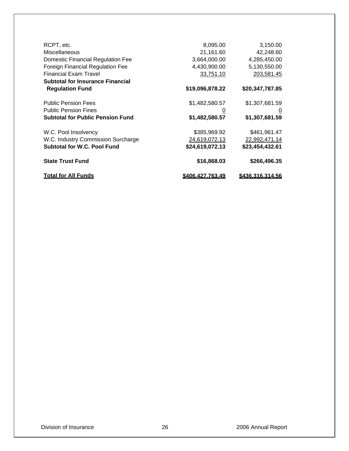| <b>Total for All Funds</b>                                                   | <u>\$406.427.763.49</u>      | <u>\$436.316.314.56</u>      |
|------------------------------------------------------------------------------|------------------------------|------------------------------|
| <b>State Trust Fund</b>                                                      | \$16,868.03                  | \$266,496.35                 |
| <b>Subtotal for W.C. Pool Fund</b>                                           | \$24,619,072.13              | \$23,454,432.61              |
| W.C. Industry Commission Surcharge                                           | 24,619,072.13                | 22,992,471.14                |
| W.C. Pool Insolvency                                                         | \$385,969.92                 | \$461,961.47                 |
| <b>Subtotal for Public Pension Fund</b>                                      | \$1,482,580.57               | \$1,307,681.59               |
| <b>Public Pension Fines</b>                                                  | 0                            | $\overline{0}$               |
| <b>Public Pension Fees</b>                                                   | \$1,482,580.57               | \$1,307,681.59               |
| <b>Subtotal for Insurance Financial</b><br><b>Regulation Fund</b>            | \$19,096,878.22              | \$20,347,787.85              |
|                                                                              |                              | 203,581.45                   |
| <b>Financial Exam Travel</b>                                                 | 33,751.10                    |                              |
| <b>Domestic Financial Regulation Fee</b><br>Foreign Financial Regulation Fee | 3,664,000.00<br>4,430,900.00 | 4,285,450.00<br>5,130,550.00 |
|                                                                              |                              |                              |
| Miscellaneous                                                                | 21,161.60                    | 42,248.60                    |
| RCPT, etc.                                                                   | 8,095.00                     | 3,150.00                     |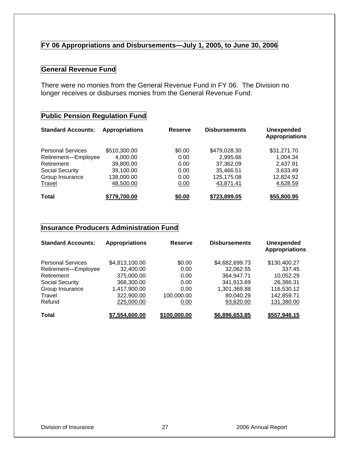#### **FY 06 Appropriations and Disbursements—July 1, 2005, to June 30, 2006**

#### **General Revenue Fund**

There were no monies from the General Revenue Fund in FY 06. The Division no longer receives or disburses monies from the General Revenue Fund.

#### **Public Pension Regulation Fund**

| <b>Standard Accounts:</b> | <b>Appropriations</b> | <b>Reserve</b> | <b>Disbursements</b> | <b>Unexpended</b><br><b>Appropriations</b> |
|---------------------------|-----------------------|----------------|----------------------|--------------------------------------------|
| <b>Personal Services</b>  | \$510,300.00          | \$0.00         | \$479,028.30         | \$31,271.70                                |
| Retirement-Employee       | 4,000.00              | 0.00           | 2,995.66             | 1.004.34                                   |
| Retirement                | 39,800.00             | 0.00           | 37,362.09            | 2.437.91                                   |
| Social Security           | 39,100.00             | 0.00           | 35,466.51            | 3,633.49                                   |
| Group Insurance           | 138,000.00            | 0.00           | 125,175.08           | 12,824.92                                  |
| Travel                    | 48,500.00             | 0.00           | 43,871.41            | 4,628.59                                   |
| <b>Total</b>              | \$779,700.00          | \$0.00         | \$723,899.05         | \$55,800.95                                |

#### **Insurance Producers Administration Fund**

| <b>Standard Accounts:</b> | <b>Appropriations</b> | <b>Reserve</b> | <b>Disbursements</b> | <b>Unexpended</b><br><b>Appropriations</b> |
|---------------------------|-----------------------|----------------|----------------------|--------------------------------------------|
| <b>Personal Services</b>  | \$4,813,100.00        | \$0.00         | \$4,682,699.73       | \$130,400.27                               |
| Retirement-Employee       | 32,400.00             | 0.00           | 32,062.55            | 337.45                                     |
| Retirement                | 375,000.00            | 0.00           | 364,947.71           | 10,052.29                                  |
| <b>Social Security</b>    | 368,300.00            | 0.00           | 341,913.69           | 26,386.31                                  |
| Group Insurance           | 1,417,900.00          | 0.00           | 1,301,369.88         | 116,530.12                                 |
| Travel                    | 322,900.00            | 100,000.00     | 80,040.29            | 142,859.71                                 |
| Refund                    | 225,000.00            | 0.00           | 93,620.00            | 131,380.00                                 |
| <b>Total</b>              | \$7,554,600.00        | \$100,000.00   | \$6,896,653.85       | \$557,946.15                               |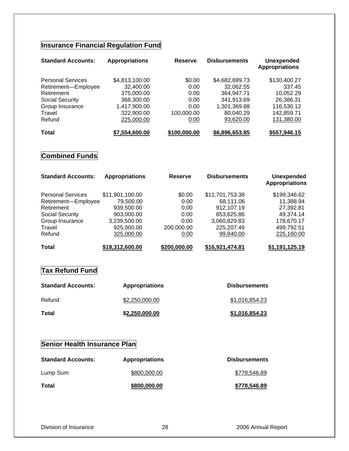## **Insurance Financial Regulation Fund**

| <b>Standard Accounts:</b> | <b>Appropriations</b> | <b>Reserve</b> | <b>Disbursements</b> | <b>Unexpended</b><br><b>Appropriations</b> |
|---------------------------|-----------------------|----------------|----------------------|--------------------------------------------|
| <b>Personal Services</b>  | \$4,813,100.00        | \$0.00         | \$4,682,699.73       | \$130,400.27                               |
| Retirement-Employee       | 32,400.00             | 0.00           | 32,062.55            | 337.45                                     |
| Retirement                | 375,000.00            | 0.00           | 364,947.71           | 10,052.29                                  |
| Social Security           | 368,300.00            | 0.00           | 341,913.69           | 26,386.31                                  |
| Group Insurance           | 1,417,900.00          | 0.00           | 1,301,369.88         | 116,530.12                                 |
| Travel                    | 322,900.00            | 100.000.00     | 80,040.29            | 142,859.71                                 |
| Refund                    | 225,000.00            | 0.00           | 93,620.00            | 131,380.00                                 |
| <b>Total</b>              | \$7,554,600.00        | \$100,000.00   | \$6,896,653.85       | \$557,946.15                               |

## **Combined Funds**

| <b>Standard Accounts:</b> | <b>Appropriations</b> | <b>Reserve</b> | <b>Disbursements</b> | <b>Unexpended</b><br><b>Appropriations</b> |
|---------------------------|-----------------------|----------------|----------------------|--------------------------------------------|
| <b>Personal Services</b>  | \$11,901,100.00       | \$0.00         | \$11,701,753.38      | \$199,346.62                               |
| Retirement-Employee       | 79,500.00             | 0.00           | 68,111.06            | 11,388.94                                  |
| Retirement                | 939,500.00            | 0.00           | 912,107.19           | 27,392.81                                  |
| Social Security           | 903,000.00            | 0.00           | 853,625.86           | 49.374.14                                  |
| Group Insurance           | 3,239,500.00          | 0.00           | 3,060,829.83         | 178,670.17                                 |
| Travel                    | 925,000.00            | 200,000.00     | 225,207.49           | 499,792.51                                 |
| Refund                    | 325,000.00            | 0.00           | 99,840.00            | 225,160.00                                 |
| Total                     | \$18,312,600.00       | \$200,000.00   | \$16,921,474.81      | \$1.191.125.19                             |

#### **Tax Refund Fund**

| <b>Standard Accounts:</b> | <b>Appropriations</b> | <b>Disbursements</b> |
|---------------------------|-----------------------|----------------------|
| Refund                    | \$2,250,000.00        | \$1.016.854.23       |
| Total                     | \$2,250,000.00        | \$1,016,854.23       |

## **Senior Health Insurance Plan**

| <b>Standard Accounts:</b> | <b>Appropriations</b> | <b>Disbursements</b> |
|---------------------------|-----------------------|----------------------|
| Lump Sum                  | \$800,000,00          | \$778,546.89         |
| Total                     | \$800,000,00          | \$778,546.89         |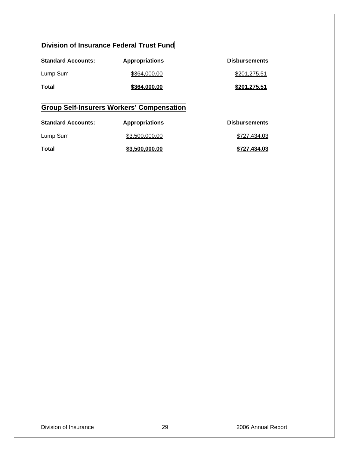## **Division of Insurance Federal Trust Fund**

| <b>Standard Accounts:</b> | <b>Appropriations</b> | <b>Disbursements</b> |
|---------------------------|-----------------------|----------------------|
| Lump Sum                  | \$364,000,00          | \$201,275.51         |
| Total                     | \$364,000.00          | \$201,275.51         |

## **Group Self-Insurers Workers' Compensation**

| <b>Standard Accounts:</b> | <b>Appropriations</b> | <b>Disbursements</b> |
|---------------------------|-----------------------|----------------------|
| Lump Sum                  | \$3,500,000.00        | \$727.434.03         |
| Total                     | \$3,500,000.00        | \$727.434.03         |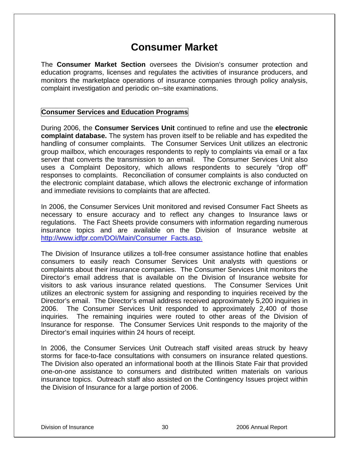## **Consumer Market**

The **Consumer Market Section** oversees the Division's consumer protection and education programs, licenses and regulates the activities of insurance producers, and monitors the marketplace operations of insurance companies through policy analysis, complaint investigation and periodic on--site examinations.

#### **Consumer Services and Education Programs**

During 2006, the **Consumer Services Unit** continued to refine and use the **electronic complaint database.** The system has proven itself to be reliable and has expedited the handling of consumer complaints. The Consumer Services Unit utilizes an electronic group mailbox, which encourages respondents to reply to complaints via email or a fax server that converts the transmission to an email. The Consumer Services Unit also uses a Complaint Depository, which allows respondents to securely "drop off" responses to complaints. Reconciliation of consumer complaints is also conducted on the electronic complaint database, which allows the electronic exchange of information and immediate revisions to complaints that are affected.

In 2006, the Consumer Services Unit monitored and revised Consumer Fact Sheets as necessary to ensure accuracy and to reflect any changes to Insurance laws or regulations. The Fact Sheets provide consumers with information regarding numerous insurance topics and are available on the Division of Insurance website at http://www.idfpr.com/DOI/Main/Consumer\_Facts.asp.

The Division of Insurance utilizes a toll-free consumer assistance hotline that enables consumers to easily reach Consumer Services Unit analysts with questions or complaints about their insurance companies. The Consumer Services Unit monitors the Director's email address that is available on the Division of Insurance website for visitors to ask various insurance related questions. The Consumer Services Unit utilizes an electronic system for assigning and responding to inquiries received by the Director's email. The Director's email address received approximately 5,200 inquiries in 2006. The Consumer Services Unit responded to approximately 2,400 of those inquiries. The remaining inquiries were routed to other areas of the Division of Insurance for response. The Consumer Services Unit responds to the majority of the Director's email inquiries within 24 hours of receipt.

In 2006, the Consumer Services Unit Outreach staff visited areas struck by heavy storms for face-to-face consultations with consumers on insurance related questions. The Division also operated an informational booth at the Illinois State Fair that provided one-on-one assistance to consumers and distributed written materials on various insurance topics. Outreach staff also assisted on the Contingency Issues project within the Division of Insurance for a large portion of 2006.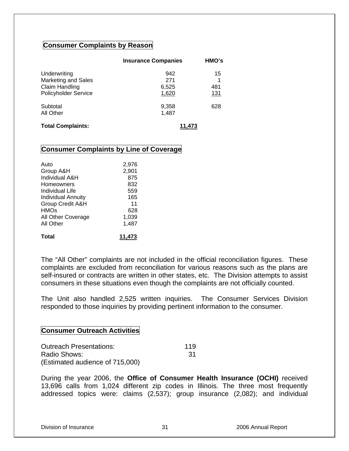#### **Consumer Complaints by Reason**

|                                                                                      | <b>Insurance Companies</b>   | HMO's                 |
|--------------------------------------------------------------------------------------|------------------------------|-----------------------|
| Underwriting<br><b>Marketing and Sales</b><br>Claim Handling<br>Policyholder Service | 942<br>271<br>6,525<br>1,620 | 15<br>1<br>481<br>131 |
| Subtotal<br>All Other                                                                | 9,358<br>1,487               | 628                   |
| <b>Total Complaints:</b>                                                             | 11.473                       |                       |

#### **Consumer Complaints by Line of Coverage**

| Auto                      | 2,976  |
|---------------------------|--------|
| Group A&H                 | 2,901  |
| Individual A&H            | 875    |
| <b>Homeowners</b>         | 832    |
| Individual Life           | 559    |
| <b>Individual Annuity</b> | 165    |
| Group Credit A&H          | 11     |
| <b>HMOs</b>               | 628    |
| All Other Coverage        | 1,039  |
| All Other                 | 1,487  |
| Total                     | 11.473 |

The "All Other" complaints are not included in the official reconciliation figures. These complaints are excluded from reconciliation for various reasons such as the plans are self-insured or contracts are written in other states, etc. The Division attempts to assist consumers in these situations even though the complaints are not officially counted.

The Unit also handled 2,525 written inquiries. The Consumer Services Division responded to those inquiries by providing pertinent information to the consumer.

#### **Consumer Outreach Activities**

| <b>Outreach Presentations:</b>  | 119 |
|---------------------------------|-----|
| Radio Shows:                    | -31 |
| (Estimated audience of 715,000) |     |

During the year 2006, the **Office of Consumer Health Insurance (OCHI)** received 13,696 calls from 1,024 different zip codes in Illinois. The three most frequently addressed topics were: claims (2,537); group insurance (2,082); and individual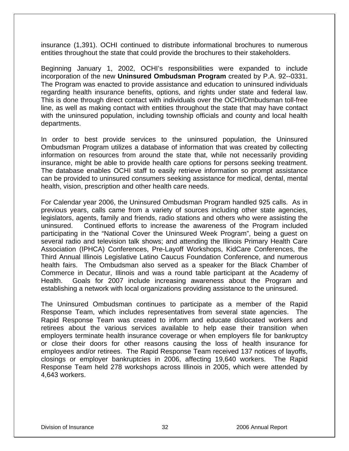insurance (1,391). OCHI continued to distribute informational brochures to numerous entities throughout the state that could provide the brochures to their stakeholders.

Beginning January 1, 2002, OCHI's responsibilities were expanded to include incorporation of the new **Uninsured Ombudsman Program** created by P.A. 92--0331. The Program was enacted to provide assistance and education to uninsured individuals regarding health insurance benefits, options, and rights under state and federal law. This is done through direct contact with individuals over the OCHI/Ombudsman toll-free line, as well as making contact with entities throughout the state that may have contact with the uninsured population, including township officials and county and local health departments.

In order to best provide services to the uninsured population, the Uninsured Ombudsman Program utilizes a database of information that was created by collecting information on resources from around the state that, while not necessarily providing insurance, might be able to provide health care options for persons seeking treatment. The database enables OCHI staff to easily retrieve information so prompt assistance can be provided to uninsured consumers seeking assistance for medical, dental, mental health, vision, prescription and other health care needs.

For Calendar year 2006, the Uninsured Ombudsman Program handled 925 calls. As in previous years, calls came from a variety of sources including other state agencies, legislators, agents, family and friends, radio stations and others who were assisting the uninsured. Continued efforts to increase the awareness of the Program included participating in the "National Cover the Uninsured Week Program", being a guest on several radio and television talk shows; and attending the Illinois Primary Health Care Association (IPHCA) Conferences, Pre-Layoff Workshops, KidCare Conferences, the Third Annual Illinois Legislative Latino Caucus Foundation Conference, and numerous health fairs. The Ombudsman also served as a speaker for the Black Chamber of Commerce in Decatur, Illinois and was a round table participant at the Academy of Health. Goals for 2007 include increasing awareness about the Program and establishing a network with local organizations providing assistance to the uninsured.

The Uninsured Ombudsman continues to participate as a member of the Rapid Response Team, which includes representatives from several state agencies. The Rapid Response Team was created to inform and educate dislocated workers and retirees about the various services available to help ease their transition when employers terminate health insurance coverage or when employers file for bankruptcy or close their doors for other reasons causing the loss of health insurance for employees and/or retirees. The Rapid Response Team received 137 notices of layoffs, closings or employer bankruptcies in 2006, affecting 19,640 workers. The Rapid Response Team held 278 workshops across Illinois in 2005, which were attended by 4,643 workers.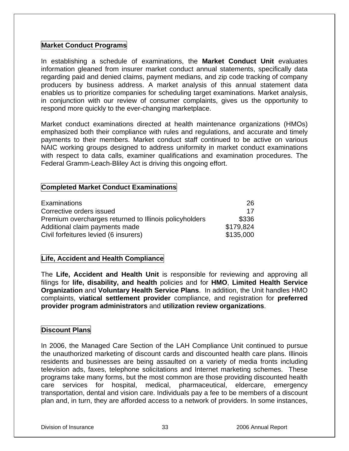#### **Market Conduct Programs**

In establishing a schedule of examinations, the **Market Conduct Unit** evaluates information gleaned from insurer market conduct annual statements, specifically data regarding paid and denied claims, payment medians, and zip code tracking of company producers by business address. A market analysis of this annual statement data enables us to prioritize companies for scheduling target examinations. Market analysis, in conjunction with our review of consumer complaints, gives us the opportunity to respond more quickly to the ever-changing marketplace.

Market conduct examinations directed at health maintenance organizations (HMOs) emphasized both their compliance with rules and regulations, and accurate and timely payments to their members. Market conduct staff continued to be active on various NAIC working groups designed to address uniformity in market conduct examinations with respect to data calls, examiner qualifications and examination procedures. The Federal Gramm-Leach-Bliley Act is driving this ongoing effort.

#### **Completed Market Conduct Examinations**

| <b>Examinations</b>                                    | 26        |
|--------------------------------------------------------|-----------|
| Corrective orders issued                               | 17        |
| Premium overcharges returned to Illinois policyholders | \$336     |
| Additional claim payments made                         | \$179,824 |
| Civil forfeitures levied (6 insurers)                  | \$135,000 |

#### **Life, Accident and Health Compliance**

The **Life, Accident and Health Unit** is responsible for reviewing and approving all filings for **life, disability, and health** policies and for **HMO**, **Limited Health Service Organization** and **Voluntary Health Service Plans**. In addition, the Unit handles HMO complaints, **viatical settlement provider** compliance, and registration for **preferred provider program administrators** and **utilization review organizations**.

#### **Discount Plans**

In 2006, the Managed Care Section of the LAH Compliance Unit continued to pursue the unauthorized marketing of discount cards and discounted health care plans. Illinois residents and businesses are being assaulted on a variety of media fronts including television ads, faxes, telephone solicitations and Internet marketing schemes. These programs take many forms, but the most common are those providing discounted health care services for hospital, medical, pharmaceutical, eldercare, emergency transportation, dental and vision care. Individuals pay a fee to be members of a discount plan and, in turn, they are afforded access to a network of providers. In some instances,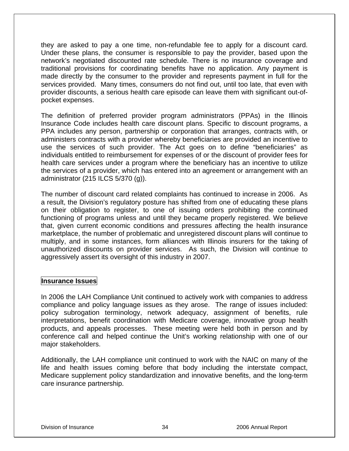they are asked to pay a one time, non-refundable fee to apply for a discount card. Under these plans, the consumer is responsible to pay the provider, based upon the network's negotiated discounted rate schedule. There is no insurance coverage and traditional provisions for coordinating benefits have no application. Any payment is made directly by the consumer to the provider and represents payment in full for the services provided. Many times, consumers do not find out, until too late, that even with provider discounts, a serious health care episode can leave them with significant out-ofpocket expenses.

The definition of preferred provider program administrators (PPAs) in the Illinois Insurance Code includes health care discount plans. Specific to discount programs, a PPA includes any person, partnership or corporation that arranges, contracts with, or administers contracts with a provider whereby beneficiaries are provided an incentive to use the services of such provider. The Act goes on to define "beneficiaries" as individuals entitled to reimbursement for expenses of or the discount of provider fees for health care services under a program where the beneficiary has an incentive to utilize the services of a provider, which has entered into an agreement or arrangement with an administrator (215 ILCS 5/370 (g)).

The number of discount card related complaints has continued to increase in 2006. As a result, the Division's regulatory posture has shifted from one of educating these plans on their obligation to register, to one of issuing orders prohibiting the continued functioning of programs unless and until they became properly registered. We believe that, given current economic conditions and pressures affecting the health insurance marketplace, the number of problematic and unregistered discount plans will continue to multiply, and in some instances, form alliances with Illinois insurers for the taking of unauthorized discounts on provider services. As such, the Division will continue to aggressively assert its oversight of this industry in 2007.

#### **Insurance Issues**

In 2006 the LAH Compliance Unit continued to actively work with companies to address compliance and policy language issues as they arose. The range of issues included: policy subrogation terminology, network adequacy, assignment of benefits, rule interpretations, benefit coordination with Medicare coverage, innovative group health products, and appeals processes. These meeting were held both in person and by conference call and helped continue the Unit's working relationship with one of our major stakeholders.

Additionally, the LAH compliance unit continued to work with the NAIC on many of the life and health issues coming before that body including the interstate compact, Medicare supplement policy standardization and innovative benefits, and the long-term care insurance partnership.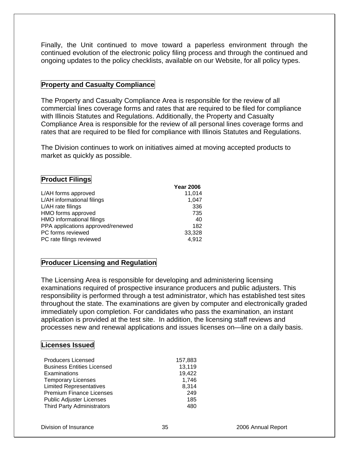Finally, the Unit continued to move toward a paperless environment through the continued evolution of the electronic policy filing process and through the continued and ongoing updates to the policy checklists, available on our Website, for all policy types.

#### **Property and Casualty Compliance**

The Property and Casualty Compliance Area is responsible for the review of all commercial lines coverage forms and rates that are required to be filed for compliance with Illinois Statutes and Regulations. Additionally, the Property and Casualty Compliance Area is responsible for the review of all personal lines coverage forms and rates that are required to be filed for compliance with Illinois Statutes and Regulations.

The Division continues to work on initiatives aimed at moving accepted products to market as quickly as possible.

#### **Product Filings**

|                                   | <b>Year 2006</b> |
|-----------------------------------|------------------|
| L/AH forms approved               | 11,014           |
| L/AH informational filings        | 1,047            |
| L/AH rate filings                 | 336              |
| HMO forms approved                | 735              |
| HMO informational filings         | 40               |
| PPA applications approved/renewed | 182              |
| PC forms reviewed                 | 33,328           |
| PC rate filings reviewed          | 4,912            |

#### **Producer Licensing and Regulation**

The Licensing Area is responsible for developing and administering licensing examinations required of prospective insurance producers and public adjusters. This responsibility is performed through a test administrator, which has established test sites throughout the state. The examinations are given by computer and electronically graded immediately upon completion. For candidates who pass the examination, an instant application is provided at the test site. In addition, the licensing staff reviews and processes new and renewal applications and issues licenses on—line on a daily basis.

#### **Licenses Issued**

| <b>Producers Licensed</b>         | 157,883 |
|-----------------------------------|---------|
| <b>Business Entities Licensed</b> | 13,119  |
| Examinations                      | 19,422  |
| <b>Temporary Licenses</b>         | 1,746   |
| <b>Limited Representatives</b>    | 8,314   |
| <b>Premium Finance Licenses</b>   | 249     |
| <b>Public Adjuster Licenses</b>   | 185     |
| <b>Third Party Administrators</b> | 480     |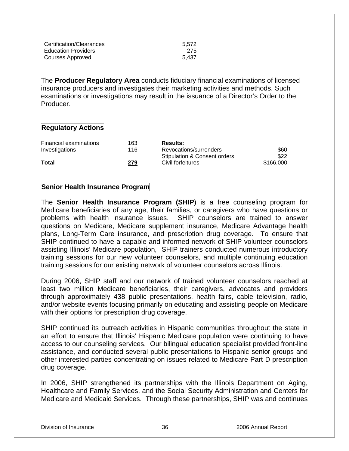| Certification/Clearances   | 5.572 |
|----------------------------|-------|
| <b>Education Providers</b> | -275  |
| Courses Approved           | 5.437 |

The **Producer Regulatory Area** conducts fiduciary financial examinations of licensed insurance producers and investigates their marketing activities and methods. Such examinations or investigations may result in the issuance of a Director's Order to the Producer.

#### **Regulatory Actions**

| <b>Results:</b>              |           |
|------------------------------|-----------|
| Revocations/surrenders       | \$60      |
| Stipulation & Consent orders | \$22      |
| Civil forfeitures            | \$166,000 |
|                              |           |

#### **Senior Health Insurance Program**

The **Senior Health Insurance Program (SHIP**) is a free counseling program for Medicare beneficiaries of any age, their families, or caregivers who have questions or problems with health insurance issues. SHIP counselors are trained to answer questions on Medicare, Medicare supplement insurance, Medicare Advantage health plans, Long-Term Care insurance, and prescription drug coverage. To ensure that SHIP continued to have a capable and informed network of SHIP volunteer counselors assisting Illinois' Medicare population, SHIP trainers conducted numerous introductory training sessions for our new volunteer counselors, and multiple continuing education training sessions for our existing network of volunteer counselors across Illinois.

During 2006, SHIP staff and our network of trained volunteer counselors reached at least two million Medicare beneficiaries, their caregivers, advocates and providers through approximately 438 public presentations, health fairs, cable television, radio, and/or website events focusing primarily on educating and assisting people on Medicare with their options for prescription drug coverage.

SHIP continued its outreach activities in Hispanic communities throughout the state in an effort to ensure that Illinois' Hispanic Medicare population were continuing to have access to our counseling services. Our bilingual education specialist provided front-line assistance, and conducted several public presentations to Hispanic senior groups and other interested parties concentrating on issues related to Medicare Part D prescription drug coverage.

In 2006, SHIP strengthened its partnerships with the Illinois Department on Aging, Healthcare and Family Services, and the Social Security Administration and Centers for Medicare and Medicaid Services. Through these partnerships, SHIP was and continues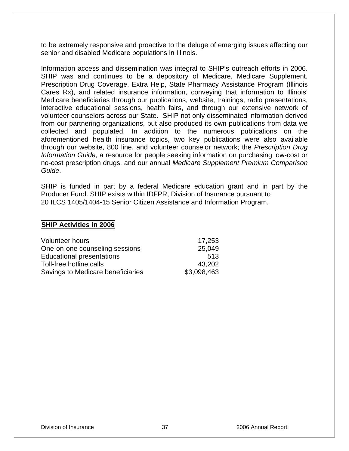to be extremely responsive and proactive to the deluge of emerging issues affecting our senior and disabled Medicare populations in Illinois.

Information access and dissemination was integral to SHIP's outreach efforts in 2006. SHIP was and continues to be a depository of Medicare, Medicare Supplement, Prescription Drug Coverage, Extra Help, State Pharmacy Assistance Program (Illinois Cares Rx), and related insurance information, conveying that information to Illinois' Medicare beneficiaries through our publications, website, trainings, radio presentations, interactive educational sessions, health fairs, and through our extensive network of volunteer counselors across our State. SHIP not only disseminated information derived from our partnering organizations, but also produced its own publications from data we collected and populated. In addition to the numerous publications on the aforementioned health insurance topics, two key publications were also available through our website, 800 line, and volunteer counselor network; the *Prescription Drug Information Guide,* a resource for people seeking information on purchasing low-cost or no-cost prescription drugs, and our annual *Medicare Supplement Premium Comparison Guide*.

SHIP is funded in part by a federal Medicare education grant and in part by the Producer Fund. SHIP exists within IDFPR, Division of Insurance pursuant to 20 ILCS 1405/1404-15 Senior Citizen Assistance and Information Program.

#### **SHIP Activities in 2006**

| <b>Volunteer hours</b>            | 17,253      |
|-----------------------------------|-------------|
| One-on-one counseling sessions    | 25,049      |
| <b>Educational presentations</b>  | 513         |
| Toll-free hotline calls           | 43.202      |
| Savings to Medicare beneficiaries | \$3,098,463 |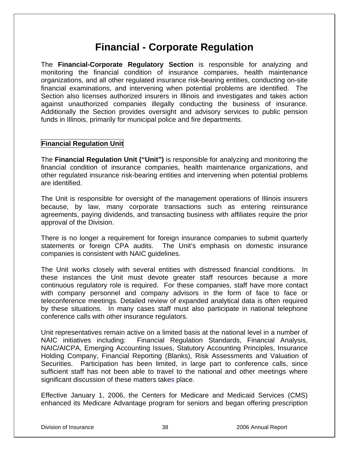# **Financial - Corporate Regulation**

The **Financial-Corporate Regulatory Section** is responsible for analyzing and monitoring the financial condition of insurance companies, health maintenance organizations, and all other regulated insurance risk-bearing entities, conducting on-site financial examinations, and intervening when potential problems are identified. The Section also licenses authorized insurers in Illinois and investigates and takes action against unauthorized companies illegally conducting the business of insurance. Additionally the Section provides oversight and advisory services to public pension funds in Illinois, primarily for municipal police and fire departments.

## **Financial Regulation Unit**

The **Financial Regulation Unit ("Unit")** is responsible for analyzing and monitoring the financial condition of insurance companies, health maintenance organizations, and other regulated insurance risk-bearing entities and intervening when potential problems are identified.

The Unit is responsible for oversight of the management operations of Illinois insurers because, by law, many corporate transactions such as entering reinsurance agreements, paying dividends, and transacting business with affiliates require the prior approval of the Division.

There is no longer a requirement for foreign insurance companies to submit quarterly statements or foreign CPA audits. The Unit's emphasis on domestic insurance companies is consistent with NAIC guidelines.

The Unit works closely with several entities with distressed financial conditions. In these instances the Unit must devote greater staff resources because a more continuous regulatory role is required. For these companies, staff have more contact with company personnel and company advisors in the form of face to face or teleconference meetings. Detailed review of expanded analytical data is often required by these situations. In many cases staff must also participate in national telephone conference calls with other insurance regulators.

Unit representatives remain active on a limited basis at the national level in a number of NAIC initiatives including: Financial Regulation Standards, Financial Analysis, NAIC/AICPA, Emerging Accounting Issues, Statutory Accounting Principles, Insurance Holding Company, Financial Reporting (Blanks), Risk Assessments and Valuation of Securities. Participation has been limited, in large part to conference calls, since sufficient staff has not been able to travel to the national and other meetings where significant discussion of these matters takes place.

Effective January 1, 2006, the Centers for Medicare and Medicaid Services (CMS) enhanced its Medicare Advantage program for seniors and began offering prescription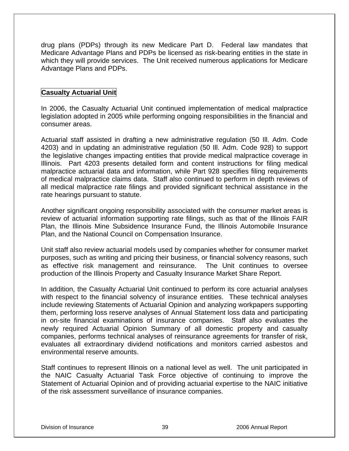drug plans (PDPs) through its new Medicare Part D. Federal law mandates that Medicare Advantage Plans and PDPs be licensed as risk-bearing entities in the state in which they will provide services. The Unit received numerous applications for Medicare Advantage Plans and PDPs.

## **Casualty Actuarial Unit**

In 2006, the Casualty Actuarial Unit continued implementation of medical malpractice legislation adopted in 2005 while performing ongoing responsibilities in the financial and consumer areas.

Actuarial staff assisted in drafting a new administrative regulation (50 Ill. Adm. Code 4203) and in updating an administrative regulation (50 Ill. Adm. Code 928) to support the legislative changes impacting entities that provide medical malpractice coverage in Illinois. Part 4203 presents detailed form and content instructions for filing medical malpractice actuarial data and information, while Part 928 specifies filing requirements of medical malpractice claims data. Staff also continued to perform in depth reviews of all medical malpractice rate filings and provided significant technical assistance in the rate hearings pursuant to statute.

Another significant ongoing responsibility associated with the consumer market areas is review of actuarial information supporting rate filings, such as that of the Illinois FAIR Plan, the Illinois Mine Subsidence Insurance Fund, the Illinois Automobile Insurance Plan, and the National Council on Compensation Insurance.

Unit staff also review actuarial models used by companies whether for consumer market purposes, such as writing and pricing their business, or financial solvency reasons, such as effective risk management and reinsurance. The Unit continues to oversee production of the Illinois Property and Casualty Insurance Market Share Report.

In addition, the Casualty Actuarial Unit continued to perform its core actuarial analyses with respect to the financial solvency of insurance entities. These technical analyses include reviewing Statements of Actuarial Opinion and analyzing workpapers supporting them, performing loss reserve analyses of Annual Statement loss data and participating in on-site financial examinations of insurance companies. Staff also evaluates the newly required Actuarial Opinion Summary of all domestic property and casualty companies, performs technical analyses of reinsurance agreements for transfer of risk, evaluates all extraordinary dividend notifications and monitors carried asbestos and environmental reserve amounts.

Staff continues to represent Illinois on a national level as well. The unit participated in the NAIC Casualty Actuarial Task Force objective of continuing to improve the Statement of Actuarial Opinion and of providing actuarial expertise to the NAIC initiative of the risk assessment surveillance of insurance companies.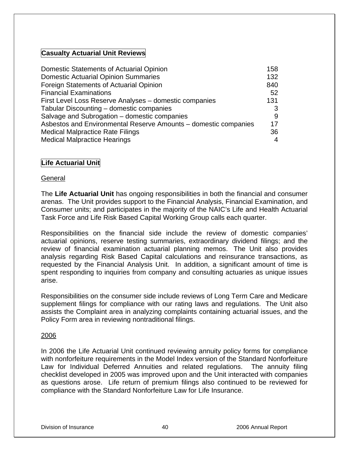## **Casualty Actuarial Unit Reviews**

| Domestic Statements of Actuarial Opinion                        | 158 |
|-----------------------------------------------------------------|-----|
| <b>Domestic Actuarial Opinion Summaries</b>                     | 132 |
| Foreign Statements of Actuarial Opinion                         | 840 |
| <b>Financial Examinations</b>                                   | 52  |
| First Level Loss Reserve Analyses - domestic companies          | 131 |
| Tabular Discounting - domestic companies                        | 3   |
| Salvage and Subrogation - domestic companies                    | 9   |
| Asbestos and Environmental Reserve Amounts - domestic companies | 17  |
| <b>Medical Malpractice Rate Filings</b>                         | 36  |
| <b>Medical Malpractice Hearings</b>                             | 4   |

## **Life Actuarial Unit**

## **General**

The **Life Actuarial Unit** has ongoing responsibilities in both the financial and consumer arenas. The Unit provides support to the Financial Analysis, Financial Examination, and Consumer units; and participates in the majority of the NAIC's Life and Health Actuarial Task Force and Life Risk Based Capital Working Group calls each quarter.

Responsibilities on the financial side include the review of domestic companies' actuarial opinions, reserve testing summaries, extraordinary dividend filings; and the review of financial examination actuarial planning memos. The Unit also provides analysis regarding Risk Based Capital calculations and reinsurance transactions, as requested by the Financial Analysis Unit. In addition, a significant amount of time is spent responding to inquiries from company and consulting actuaries as unique issues arise.

Responsibilities on the consumer side include reviews of Long Term Care and Medicare supplement filings for compliance with our rating laws and regulations. The Unit also assists the Complaint area in analyzing complaints containing actuarial issues, and the Policy Form area in reviewing nontraditional filings.

## 2006

In 2006 the Life Actuarial Unit continued reviewing annuity policy forms for compliance with nonforfeiture requirements in the Model Index version of the Standard Nonforfeiture Law for Individual Deferred Annuities and related regulations. The annuity filing checklist developed in 2005 was improved upon and the Unit interacted with companies as questions arose. Life return of premium filings also continued to be reviewed for compliance with the Standard Nonforfeiture Law for Life Insurance.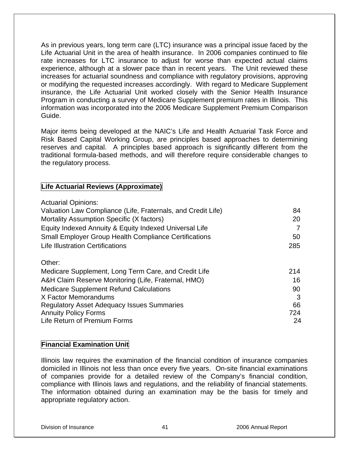As in previous years, long term care (LTC) insurance was a principal issue faced by the Life Actuarial Unit in the area of health insurance. In 2006 companies continued to file rate increases for LTC insurance to adjust for worse than expected actual claims experience, although at a slower pace than in recent years. The Unit reviewed these increases for actuarial soundness and compliance with regulatory provisions, approving or modifying the requested increases accordingly. With regard to Medicare Supplement insurance, the Life Actuarial Unit worked closely with the Senior Health Insurance Program in conducting a survey of Medicare Supplement premium rates in Illinois. This information was incorporated into the 2006 Medicare Supplement Premium Comparison Guide.

Major items being developed at the NAIC's Life and Health Actuarial Task Force and Risk Based Capital Working Group, are principles based approaches to determining reserves and capital. A principles based approach is significantly different from the traditional formula-based methods, and will therefore require considerable changes to the regulatory process.

## **Life Actuarial Reviews (Approximate)**

| <b>Actuarial Opinions:</b>                                   |     |
|--------------------------------------------------------------|-----|
| Valuation Law Compliance (Life, Fraternals, and Credit Life) | 84  |
| Mortality Assumption Specific (X factors)                    | 20  |
| Equity Indexed Annuity & Equity Indexed Universal Life       | 7   |
| <b>Small Employer Group Health Compliance Certifications</b> | 50  |
| <b>Life Illustration Certifications</b>                      | 285 |
| Other:                                                       |     |
| Medicare Supplement, Long Term Care, and Credit Life         | 214 |
| A&H Claim Reserve Monitoring (Life, Fraternal, HMO)          | 16  |
| <b>Medicare Supplement Refund Calculations</b>               | 90  |
| X Factor Memorandums                                         | 3   |
| <b>Regulatory Asset Adequacy Issues Summaries</b>            | 66  |
| <b>Annuity Policy Forms</b>                                  | 724 |
| Life Return of Premium Forms                                 | 24  |

## **Financial Examination Unit**

Illinois law requires the examination of the financial condition of insurance companies domiciled in Illinois not less than once every five years. On-site financial examinations of companies provide for a detailed review of the Company's financial condition, compliance with Illinois laws and regulations, and the reliability of financial statements. The information obtained during an examination may be the basis for timely and appropriate regulatory action.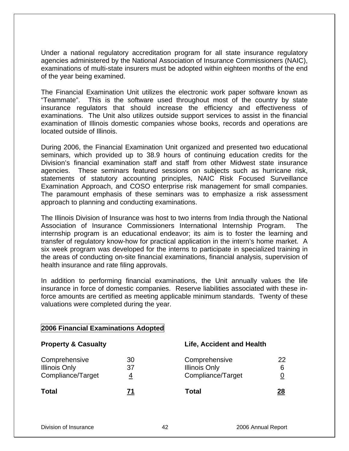Under a national regulatory accreditation program for all state insurance regulatory agencies administered by the National Association of Insurance Commissioners (NAIC), examinations of multi-state insurers must be adopted within eighteen months of the end of the year being examined.

The Financial Examination Unit utilizes the electronic work paper software known as "Teammate". This is the software used throughout most of the country by state insurance regulators that should increase the efficiency and effectiveness of examinations. The Unit also utilizes outside support services to assist in the financial examination of Illinois domestic companies whose books, records and operations are located outside of Illinois.

During 2006, the Financial Examination Unit organized and presented two educational seminars, which provided up to 38.9 hours of continuing education credits for the Division's financial examination staff and staff from other Midwest state insurance agencies. These seminars featured sessions on subjects such as hurricane risk, statements of statutory accounting principles, NAIC Risk Focused Surveillance Examination Approach, and COSO enterprise risk management for small companies. The paramount emphasis of these seminars was to emphasize a risk assessment approach to planning and conducting examinations.

The Illinois Division of Insurance was host to two interns from India through the National Association of Insurance Commissioners International Internship Program. The internship program is an educational endeavor; its aim is to foster the learning and transfer of regulatory know-how for practical application in the intern's home market. A six week program was developed for the interns to participate in specialized training in the areas of conducting on-site financial examinations, financial analysis, supervision of health insurance and rate filing approvals.

In addition to performing financial examinations, the Unit annually values the life insurance in force of domestic companies. Reserve liabilities associated with these inforce amounts are certified as meeting applicable minimum standards. Twenty of these valuations were completed during the year.

| <b>Property &amp; Casualty</b>                             |               | <b>Life, Accident and Health</b>                           |              |
|------------------------------------------------------------|---------------|------------------------------------------------------------|--------------|
| Comprehensive<br><b>Illinois Only</b><br>Compliance/Target | 30<br>37<br>4 | Comprehensive<br><b>Illinois Only</b><br>Compliance/Target | 22<br>6<br>0 |
| Total                                                      |               | Total                                                      | 28           |

#### Division of Insurance 42 2006 Annual Report

**2006 Financial Examinations Adopted**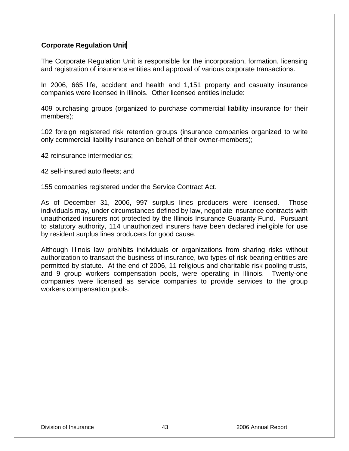## **Corporate Regulation Unit**

The Corporate Regulation Unit is responsible for the incorporation, formation, licensing and registration of insurance entities and approval of various corporate transactions.

In 2006, 665 life, accident and health and 1,151 property and casualty insurance companies were licensed in Illinois. Other licensed entities include:

409 purchasing groups (organized to purchase commercial liability insurance for their members);

102 foreign registered risk retention groups (insurance companies organized to write only commercial liability insurance on behalf of their owner-members);

42 reinsurance intermediaries;

42 self-insured auto fleets; and

155 companies registered under the Service Contract Act.

As of December 31, 2006, 997 surplus lines producers were licensed. Those individuals may, under circumstances defined by law, negotiate insurance contracts with unauthorized insurers not protected by the Illinois Insurance Guaranty Fund. Pursuant to statutory authority, 114 unauthorized insurers have been declared ineligible for use by resident surplus lines producers for good cause.

Although Illinois law prohibits individuals or organizations from sharing risks without authorization to transact the business of insurance, two types of risk-bearing entities are permitted by statute. At the end of 2006, 11 religious and charitable risk pooling trusts, and 9 group workers compensation pools, were operating in Illinois. Twenty-one companies were licensed as service companies to provide services to the group workers compensation pools.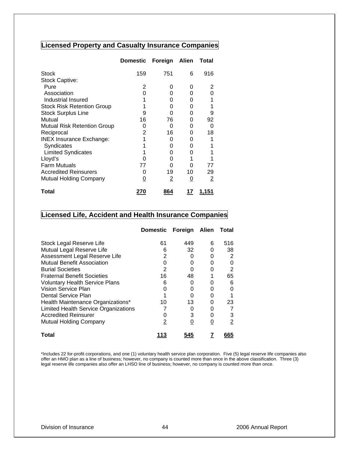## **Licensed Property and Casualty Insurance Companies**

|                                   | <b>Domestic</b> | Foreign        | Alien    | Total |
|-----------------------------------|-----------------|----------------|----------|-------|
| <b>Stock</b>                      | 159             | 751            | 6        | 916   |
| <b>Stock Captive:</b>             |                 |                |          |       |
| Pure                              | 2               | O              | O        | 2     |
| Association                       | O               |                | O        |       |
| Industrial Insured                |                 |                | O        |       |
| <b>Stock Risk Retention Group</b> |                 | O              | 0        |       |
| <b>Stock Surplus Line</b>         | 9               | O              | 0        | 9     |
| Mutual                            | 16              | 76             | 0        | 92    |
| Mutual Risk Retention Group       | O               | O              | O        | 0     |
| Reciprocal                        | 2               | 16             | O        | 18    |
| <b>INEX Insurance Exchange:</b>   |                 | O              | 0        |       |
| Syndicates                        |                 |                | O        |       |
| <b>Limited Syndicates</b>         |                 | O              | Ω        |       |
| Lloyd's                           |                 |                |          |       |
| <b>Farm Mutuals</b>               | 77              |                | Ω        | 77    |
| <b>Accredited Reinsurers</b>      | 0               | 19             | 10       | 29    |
| Mutual Holding Company            | 0               | $\overline{2}$ | <u>0</u> | 2     |
| Total                             | 27 U            | 864            | 17       | 1,151 |

## **Licensed Life, Accident and Health Insurance Companies**

|                                       | <b>Domestic</b> | Foreign | Alien    | Total |
|---------------------------------------|-----------------|---------|----------|-------|
| Stock Legal Reserve Life              | 61              | 449     | 6        | 516   |
| Mutual Legal Reserve Life             | 6               | 32      | O        | 38    |
| Assessment Legal Reserve Life         | 2               |         | O        | 2     |
| <b>Mutual Benefit Association</b>     |                 |         | O        | 0     |
| <b>Burial Societies</b>               | 2               |         | ∩        | 2     |
| <b>Fraternal Benefit Societies</b>    | 16              | 48      |          | 65    |
| <b>Voluntary Health Service Plans</b> | ิค              | O       | O        | 6     |
| Vision Service Plan                   |                 |         |          |       |
| Dental Service Plan                   |                 |         |          |       |
| Health Maintenance Organizations*     | 10              | 13      | O        | 23    |
| Limited Health Service Organizations  |                 | O       | U        |       |
| <b>Accredited Reinsurer</b>           |                 |         | 0        | 3     |
| <b>Mutual Holding Company</b>         | 2               |         | <u>0</u> | 2     |
| Total                                 | 113             | 545     |          | 665   |

\*Includes 22 for-profit corporations, and one (1) voluntary health service plan corporation. Five (5) legal reserve life companies also offer an HMO plan as a line of business; however, no company is counted more than once in the above classification. Three (3) legal reserve life companies also offer an LHSO line of business; however, no company is counted more than once.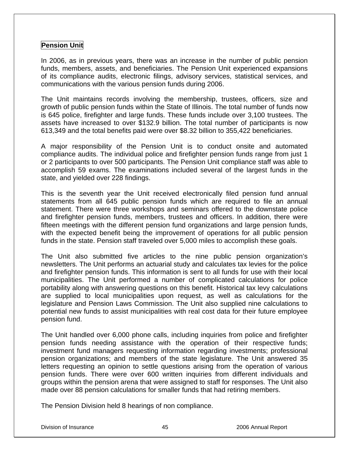## **Pension Unit**

In 2006, as in previous years, there was an increase in the number of public pension funds, members, assets, and beneficiaries. The Pension Unit experienced expansions of its compliance audits, electronic filings, advisory services, statistical services, and communications with the various pension funds during 2006.

The Unit maintains records involving the membership, trustees, officers, size and growth of public pension funds within the State of Illinois. The total number of funds now is 645 police, firefighter and large funds. These funds include over 3,100 trustees. The assets have increased to over \$132.9 billion. The total number of participants is now 613,349 and the total benefits paid were over \$8.32 billion to 355,422 beneficiaries.

A major responsibility of the Pension Unit is to conduct onsite and automated compliance audits. The individual police and firefighter pension funds range from just 1 or 2 participants to over 500 participants. The Pension Unit compliance staff was able to accomplish 59 exams. The examinations included several of the largest funds in the state, and yielded over 228 findings.

This is the seventh year the Unit received electronically filed pension fund annual statements from all 645 public pension funds which are required to file an annual statement. There were three workshops and seminars offered to the downstate police and firefighter pension funds, members, trustees and officers. In addition, there were fifteen meetings with the different pension fund organizations and large pension funds, with the expected benefit being the improvement of operations for all public pension funds in the state. Pension staff traveled over 5,000 miles to accomplish these goals.

The Unit also submitted five articles to the nine public pension organization's newsletters. The Unit performs an actuarial study and calculates tax levies for the police and firefighter pension funds. This information is sent to all funds for use with their local municipalities. The Unit performed a number of complicated calculations for police portability along with answering questions on this benefit. Historical tax levy calculations are supplied to local municipalities upon request, as well as calculations for the legislature and Pension Laws Commission. The Unit also supplied nine calculations to potential new funds to assist municipalities with real cost data for their future employee pension fund.

The Unit handled over 6,000 phone calls, including inquiries from police and firefighter pension funds needing assistance with the operation of their respective funds; investment fund managers requesting information regarding investments; professional pension organizations; and members of the state legislature. The Unit answered 35 letters requesting an opinion to settle questions arising from the operation of various pension funds. There were over 600 written inquiries from different individuals and groups within the pension arena that were assigned to staff for responses. The Unit also made over 88 pension calculations for smaller funds that had retiring members.

The Pension Division held 8 hearings of non compliance.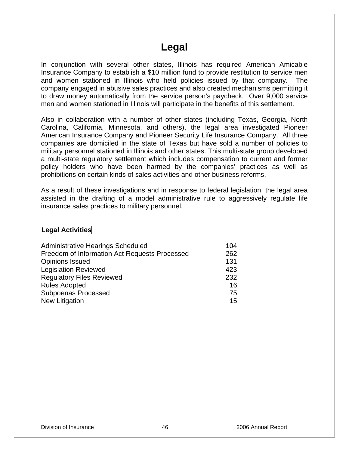## **Legal**

In conjunction with several other states, Illinois has required American Amicable Insurance Company to establish a \$10 million fund to provide restitution to service men and women stationed in Illinois who held policies issued by that company. The company engaged in abusive sales practices and also created mechanisms permitting it to draw money automatically from the service person's paycheck. Over 9,000 service men and women stationed in Illinois will participate in the benefits of this settlement.

Also in collaboration with a number of other states (including Texas, Georgia, North Carolina, California, Minnesota, and others), the legal area investigated Pioneer American Insurance Company and Pioneer Security Life Insurance Company. All three companies are domiciled in the state of Texas but have sold a number of policies to military personnel stationed in Illinois and other states. This multi-state group developed a multi-state regulatory settlement which includes compensation to current and former policy holders who have been harmed by the companies' practices as well as prohibitions on certain kinds of sales activities and other business reforms.

As a result of these investigations and in response to federal legislation, the legal area assisted in the drafting of a model administrative rule to aggressively regulate life insurance sales practices to military personnel.

## **Legal Activities**

| Administrative Hearings Scheduled             | 104 |
|-----------------------------------------------|-----|
| Freedom of Information Act Requests Processed | 262 |
| <b>Opinions Issued</b>                        | 131 |
| <b>Legislation Reviewed</b>                   | 423 |
| <b>Regulatory Files Reviewed</b>              | 232 |
| <b>Rules Adopted</b>                          | 16  |
| <b>Subpoenas Processed</b>                    | 75  |
| New Litigation                                | 15  |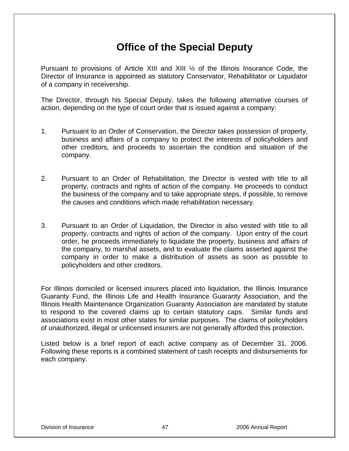# **Office of the Special Deputy**

Pursuant to provisions of Article XIII and XIII ½ of the Illinois Insurance Code, the Director of Insurance is appointed as statutory Conservator, Rehabilitator or Liquidator of a company in receivership.

The Director, through his Special Deputy, takes the following alternative courses of action, depending on the type of court order that is issued against a company:

- 1. Pursuant to an Order of Conservation, the Director takes possession of property, business and affairs of a company to protect the interests of policyholders and other creditors, and proceeds to ascertain the condition and situation of the company.
- 2. Pursuant to an Order of Rehabilitation, the Director is vested with title to all property, contracts and rights of action of the company. He proceeds to conduct the business of the company and to take appropriate steps, if possible, to remove the causes and conditions which made rehabilitation necessary.
- 3. Pursuant to an Order of Liquidation, the Director is also vested with title to all property, contracts and rights of action of the company. Upon entry of the court order, he proceeds immediately to liquidate the property, business and affairs of the company, to marshal assets, and to evaluate the claims asserted against the company in order to make a distribution of assets as soon as possible to policyholders and other creditors.

For Illinois domiciled or licensed insurers placed into liquidation, the Illinois Insurance Guaranty Fund, the Illinois Life and Health Insurance Guaranty Association, and the Illinois Health Maintenance Organization Guaranty Association are mandated by statute to respond to the covered claims up to certain statutory caps. Similar funds and associations exist in most other states for similar purposes. The claims of policyholders of unauthorized, illegal or unlicensed insurers are not generally afforded this protection.

Listed below is a brief report of each active company as of December 31, 2006. Following these reports is a combined statement of cash receipts and disbursements for each company.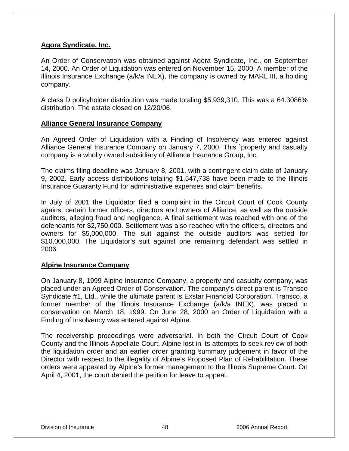## **Agora Syndicate, Inc.**

An Order of Conservation was obtained against Agora Syndicate, Inc., on September 14, 2000. An Order of Liquidation was entered on November 15, 2000. A member of the Illinois Insurance Exchange (a/k/a INEX), the company is owned by MARL III, a holding company.

A class D policyholder distribution was made totaling \$5,939,310. This was a 64.3086% distribution. The estate closed on 12/20/06.

## **Alliance General Insurance Company**

An Agreed Order of Liquidation with a Finding of Insolvency was entered against Alliance General Insurance Company on January 7, 2000. This `property and casualty company is a wholly owned subsidiary of Alliance Insurance Group, Inc.

The claims filing deadline was January 8, 2001, with a contingent claim date of January 9, 2002. Early access distributions totaling \$1,547,738 have been made to the Illinois Insurance Guaranty Fund for administrative expenses and claim benefits.

In July of 2001 the Liquidator filed a complaint in the Circuit Court of Cook County against certain former officers, directors and owners of Alliance, as well as the outside auditors, alleging fraud and negligence. A final settlement was reached with one of the defendants for \$2,750,000. Settlement was also reached with the officers, directors and owners for \$5,000,000. The suit against the outside auditors was settled for \$10,000,000. The Liquidator's suit against one remaining defendant was settled in 2006.

## **Alpine Insurance Company**

On January 8, 1999 Alpine Insurance Company, a property and casualty company, was placed under an Agreed Order of Conservation. The company's direct parent is Transco Syndicate #1, Ltd., while the ultimate parent is Exstar Financial Corporation. Transco, a former member of the Illinois Insurance Exchange (a/k/a INEX), was placed in conservation on March 18, 1999. On June 28, 2000 an Order of Liquidation with a Finding of Insolvency was entered against Alpine.

The receivership proceedings were adversarial. In both the Circuit Court of Cook County and the Illinois Appellate Court, Alpine lost in its attempts to seek review of both the liquidation order and an earlier order granting summary judgement in favor of the Director with respect to the illegality of Alpine's Proposed Plan of Rehabilitation. These orders were appealed by Alpine's former management to the Illinois Supreme Court. On April 4, 2001, the court denied the petition for leave to appeal.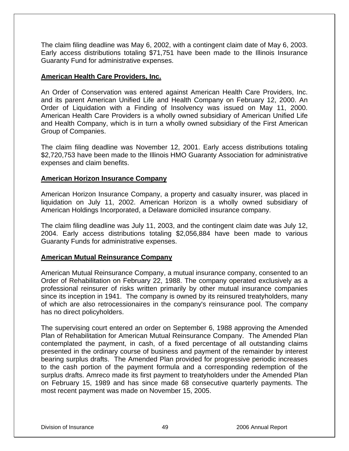The claim filing deadline was May 6, 2002, with a contingent claim date of May 6, 2003. Early access distributions totaling \$71,751 have been made to the Illinois Insurance Guaranty Fund for administrative expenses.

## **American Health Care Providers, Inc.**

An Order of Conservation was entered against American Health Care Providers, Inc. and its parent American Unified Life and Health Company on February 12, 2000. An Order of Liquidation with a Finding of Insolvency was issued on May 11, 2000. American Health Care Providers is a wholly owned subsidiary of American Unified Life and Health Company, which is in turn a wholly owned subsidiary of the First American Group of Companies.

The claim filing deadline was November 12, 2001. Early access distributions totaling \$2,720,753 have been made to the Illinois HMO Guaranty Association for administrative expenses and claim benefits.

## **American Horizon Insurance Company**

American Horizon Insurance Company, a property and casualty insurer, was placed in liquidation on July 11, 2002. American Horizon is a wholly owned subsidiary of American Holdings Incorporated, a Delaware domiciled insurance company.

The claim filing deadline was July 11, 2003, and the contingent claim date was July 12, 2004. Early access distributions totaling \$2,056,884 have been made to various Guaranty Funds for administrative expenses.

#### **American Mutual Reinsurance Company**

American Mutual Reinsurance Company, a mutual insurance company, consented to an Order of Rehabilitation on February 22, 1988. The company operated exclusively as a professional reinsurer of risks written primarily by other mutual insurance companies since its inception in 1941. The company is owned by its reinsured treatyholders, many of which are also retrocessionaires in the company's reinsurance pool. The company has no direct policyholders.

The supervising court entered an order on September 6, 1988 approving the Amended Plan of Rehabilitation for American Mutual Reinsurance Company. The Amended Plan contemplated the payment, in cash, of a fixed percentage of all outstanding claims presented in the ordinary course of business and payment of the remainder by interest bearing surplus drafts. The Amended Plan provided for progressive periodic increases to the cash portion of the payment formula and a corresponding redemption of the surplus drafts. Amreco made its first payment to treatyholders under the Amended Plan on February 15, 1989 and has since made 68 consecutive quarterly payments. The most recent payment was made on November 15, 2005.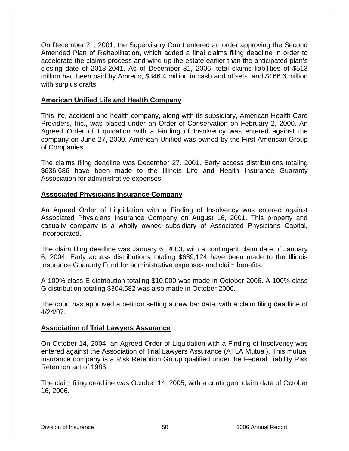On December 21, 2001, the Supervisory Court entered an order approving the Second Amended Plan of Rehabilitation, which added a final claims filing deadline in order to accelerate the claims process and wind up the estate earlier than the anticipated plan's closing date of 2018-2041. As of December 31, 2006, total claims liabilities of \$513 million had been paid by Amreco, \$346.4 million in cash and offsets, and \$166.6 million with surplus drafts.

### **American Unified Life and Health Company**

This life, accident and health company, along with its subsidiary, American Health Care Providers, Inc., was placed under an Order of Conservation on February 2, 2000. An Agreed Order of Liquidation with a Finding of Insolvency was entered against the company on June 27, 2000. American Unified was owned by the First American Group of Companies.

The claims filing deadline was December 27, 2001. Early access distributions totaling \$636,686 have been made to the Illinois Life and Health Insurance Guaranty Association for administrative expenses.

## **Associated Physicians Insurance Company**

An Agreed Order of Liquidation with a Finding of Insolvency was entered against Associated Physicians Insurance Company on August 16, 2001. This property and casualty company is a wholly owned subsidiary of Associated Physicians Capital, Incorporated.

The claim filing deadline was January 6, 2003, with a contingent claim date of January 6, 2004. Early access distributions totaling \$639,124 have been made to the Illinois Insurance Guaranty Fund for administrative expenses and claim benefits.

A 100% class E distribution totaling \$10,000 was made in October 2006. A 100% class G distribution totaling \$304,582 was also made in October 2006.

The court has approved a petition setting a new bar date, with a claim filing deadline of 4/24/07.

#### **Association of Trial Lawyers Assurance**

On October 14, 2004, an Agreed Order of Liquidation with a Finding of Insolvency was entered against the Association of Trial Lawyers Assurance (ATLA Mutual). This mutual insurance company is a Risk Retention Group qualified under the Federal Liability Risk Retention act of 1986.

The claim filing deadline was October 14, 2005, with a contingent claim date of October 16, 2006.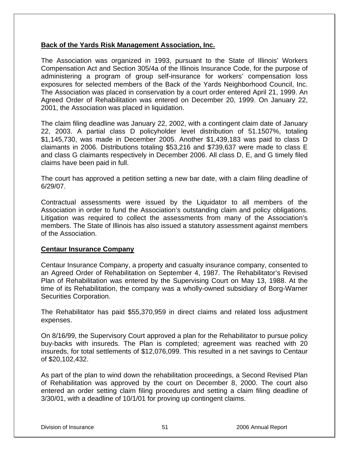## **Back of the Yards Risk Management Association, Inc.**

The Association was organized in 1993, pursuant to the State of Illinois' Workers Compensation Act and Section 305/4a of the Illinois Insurance Code, for the purpose of administering a program of group self-insurance for workers' compensation loss exposures for selected members of the Back of the Yards Neighborhood Council, Inc. The Association was placed in conservation by a court order entered April 21, 1999. An Agreed Order of Rehabilitation was entered on December 20, 1999. On January 22, 2001, the Association was placed in liquidation.

The claim filing deadline was January 22, 2002, with a contingent claim date of January 22, 2003. A partial class D policyholder level distribution of 51.1507%, totaling \$1,145,730, was made in December 2005. Another \$1,439,183 was paid to class D claimants in 2006. Distributions totaling \$53,216 and \$739,637 were made to class E and class G claimants respectively in December 2006. All class D, E, and G timely filed claims have been paid in full.

The court has approved a petition setting a new bar date, with a claim filing deadline of 6/29/07.

Contractual assessments were issued by the Liquidator to all members of the Association in order to fund the Association's outstanding claim and policy obligations. Litigation was required to collect the assessments from many of the Association's members. The State of Illinois has also issued a statutory assessment against members of the Association.

#### **Centaur Insurance Company**

Centaur Insurance Company, a property and casualty insurance company, consented to an Agreed Order of Rehabilitation on September 4, 1987. The Rehabilitator's Revised Plan of Rehabilitation was entered by the Supervising Court on May 13, 1988. At the time of its Rehabilitation, the company was a wholly-owned subsidiary of Borg-Warner Securities Corporation.

The Rehabilitator has paid \$55,370,959 in direct claims and related loss adjustment expenses.

On 8/16/99, the Supervisory Court approved a plan for the Rehabilitator to pursue policy buy-backs with insureds. The Plan is completed; agreement was reached with 20 insureds, for total settlements of \$12,076,099. This resulted in a net savings to Centaur of \$20,102,432.

As part of the plan to wind down the rehabilitation proceedings, a Second Revised Plan of Rehabilitation was approved by the court on December 8, 2000. The court also entered an order setting claim filing procedures and setting a claim filing deadline of 3/30/01, with a deadline of 10/1/01 for proving up contingent claims.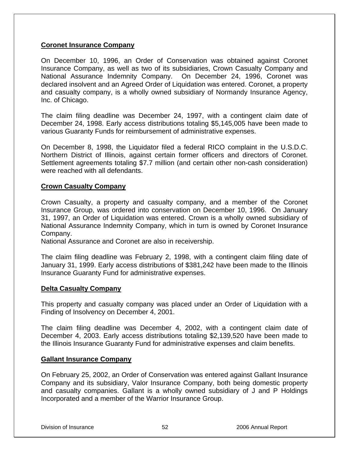## **Coronet Insurance Company**

On December 10, 1996, an Order of Conservation was obtained against Coronet Insurance Company, as well as two of its subsidiaries, Crown Casualty Company and National Assurance Indemnity Company. On December 24, 1996, Coronet was declared insolvent and an Agreed Order of Liquidation was entered. Coronet, a property and casualty company, is a wholly owned subsidiary of Normandy Insurance Agency, Inc. of Chicago.

The claim filing deadline was December 24, 1997, with a contingent claim date of December 24, 1998. Early access distributions totaling \$5,145,005 have been made to various Guaranty Funds for reimbursement of administrative expenses.

On December 8, 1998, the Liquidator filed a federal RICO complaint in the U.S.D.C. Northern District of Illinois, against certain former officers and directors of Coronet. Settlement agreements totaling \$7.7 million (and certain other non-cash consideration) were reached with all defendants.

## **Crown Casualty Company**

Crown Casualty, a property and casualty company, and a member of the Coronet Insurance Group, was ordered into conservation on December 10, 1996. On January 31, 1997, an Order of Liquidation was entered. Crown is a wholly owned subsidiary of National Assurance Indemnity Company, which in turn is owned by Coronet Insurance Company.

National Assurance and Coronet are also in receivership.

The claim filing deadline was February 2, 1998, with a contingent claim filing date of January 31, 1999. Early access distributions of \$381,242 have been made to the Illinois Insurance Guaranty Fund for administrative expenses.

#### **Delta Casualty Company**

This property and casualty company was placed under an Order of Liquidation with a Finding of Insolvency on December 4, 2001.

The claim filing deadline was December 4, 2002, with a contingent claim date of December 4, 2003. Early access distributions totaling \$2,139,520 have been made to the Illinois Insurance Guaranty Fund for administrative expenses and claim benefits.

#### **Gallant Insurance Company**

On February 25, 2002, an Order of Conservation was entered against Gallant Insurance Company and its subsidiary, Valor Insurance Company, both being domestic property and casualty companies. Gallant is a wholly owned subsidiary of J and P Holdings Incorporated and a member of the Warrior Insurance Group.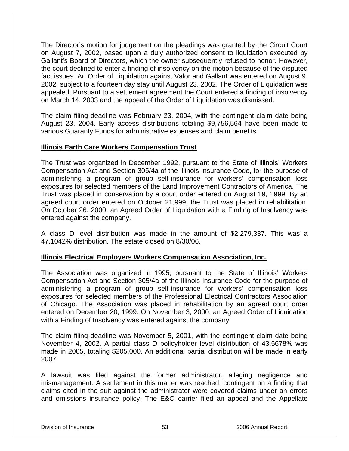The Director's motion for judgement on the pleadings was granted by the Circuit Court on August 7, 2002, based upon a duly authorized consent to liquidation executed by Gallant's Board of Directors, which the owner subsequently refused to honor. However, the court declined to enter a finding of insolvency on the motion because of the disputed fact issues. An Order of Liquidation against Valor and Gallant was entered on August 9, 2002, subject to a fourteen day stay until August 23, 2002. The Order of Liquidation was appealed. Pursuant to a settlement agreement the Court entered a finding of insolvency on March 14, 2003 and the appeal of the Order of Liquidation was dismissed.

The claim filing deadline was February 23, 2004, with the contingent claim date being August 23, 2004. Early access distributions totaling \$9,756,564 have been made to various Guaranty Funds for administrative expenses and claim benefits.

## **Illinois Earth Care Workers Compensation Trust**

The Trust was organized in December 1992, pursuant to the State of Illinois' Workers Compensation Act and Section 305/4a of the Illinois Insurance Code, for the purpose of administering a program of group self-insurance for workers' compensation loss exposures for selected members of the Land Improvement Contractors of America. The Trust was placed in conservation by a court order entered on August 19, 1999. By an agreed court order entered on October 21,999, the Trust was placed in rehabilitation. On October 26, 2000, an Agreed Order of Liquidation with a Finding of Insolvency was entered against the company.

A class D level distribution was made in the amount of \$2,279,337. This was a 47.1042% distribution. The estate closed on 8/30/06.

## **Illinois Electrical Employers Workers Compensation Association, Inc.**

The Association was organized in 1995, pursuant to the State of Illinois' Workers Compensation Act and Section 305/4a of the Illinois Insurance Code for the purpose of administering a program of group self-insurance for workers' compensation loss exposures for selected members of the Professional Electrical Contractors Association of Chicago. The Association was placed in rehabilitation by an agreed court order entered on December 20, 1999. On November 3, 2000, an Agreed Order of Liquidation with a Finding of Insolvency was entered against the company.

The claim filing deadline was November 5, 2001, with the contingent claim date being November 4, 2002. A partial class D policyholder level distribution of 43.5678% was made in 2005, totaling \$205,000. An additional partial distribution will be made in early 2007.

A lawsuit was filed against the former administrator, alleging negligence and mismanagement. A settlement in this matter was reached, contingent on a finding that claims cited in the suit against the administrator were covered claims under an errors and omissions insurance policy. The E&O carrier filed an appeal and the Appellate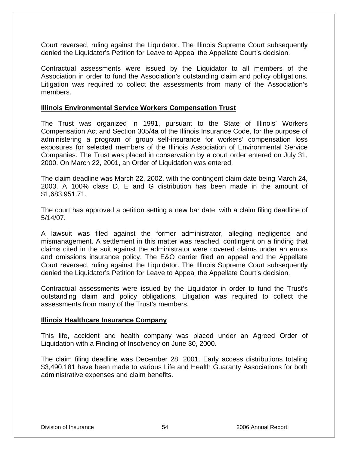Court reversed, ruling against the Liquidator. The Illinois Supreme Court subsequently denied the Liquidator's Petition for Leave to Appeal the Appellate Court's decision.

Contractual assessments were issued by the Liquidator to all members of the Association in order to fund the Association's outstanding claim and policy obligations. Litigation was required to collect the assessments from many of the Association's members.

### **Illinois Environmental Service Workers Compensation Trust**

The Trust was organized in 1991, pursuant to the State of Illinois' Workers Compensation Act and Section 305/4a of the Illinois Insurance Code, for the purpose of administering a program of group self-insurance for workers' compensation loss exposures for selected members of the Illinois Association of Environmental Service Companies. The Trust was placed in conservation by a court order entered on July 31, 2000. On March 22, 2001, an Order of Liquidation was entered.

The claim deadline was March 22, 2002, with the contingent claim date being March 24, 2003. A 100% class D, E and G distribution has been made in the amount of \$1,683,951.71.

The court has approved a petition setting a new bar date, with a claim filing deadline of 5/14/07.

A lawsuit was filed against the former administrator, alleging negligence and mismanagement. A settlement in this matter was reached, contingent on a finding that claims cited in the suit against the administrator were covered claims under an errors and omissions insurance policy. The E&O carrier filed an appeal and the Appellate Court reversed, ruling against the Liquidator. The Illinois Supreme Court subsequently denied the Liquidator's Petition for Leave to Appeal the Appellate Court's decision.

Contractual assessments were issued by the Liquidator in order to fund the Trust's outstanding claim and policy obligations. Litigation was required to collect the assessments from many of the Trust's members.

#### **Illinois Healthcare Insurance Company**

This life, accident and health company was placed under an Agreed Order of Liquidation with a Finding of Insolvency on June 30, 2000.

The claim filing deadline was December 28, 2001. Early access distributions totaling \$3,490,181 have been made to various Life and Health Guaranty Associations for both administrative expenses and claim benefits.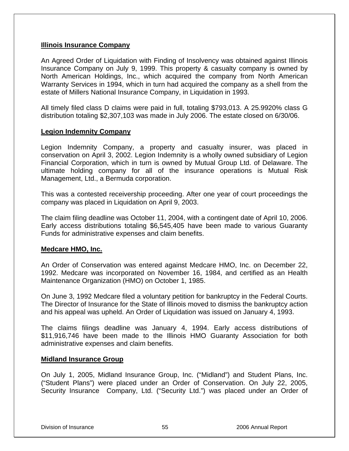### **Illinois Insurance Company**

An Agreed Order of Liquidation with Finding of Insolvency was obtained against Illinois Insurance Company on July 9, 1999. This property & casualty company is owned by North American Holdings, Inc., which acquired the company from North American Warranty Services in 1994, which in turn had acquired the company as a shell from the estate of Millers National Insurance Company, in Liquidation in 1993.

All timely filed class D claims were paid in full, totaling \$793,013. A 25.9920% class G distribution totaling \$2,307,103 was made in July 2006. The estate closed on 6/30/06.

## **Legion Indemnity Company**

Legion Indemnity Company, a property and casualty insurer, was placed in conservation on April 3, 2002. Legion Indemnity is a wholly owned subsidiary of Legion Financial Corporation, which in turn is owned by Mutual Group Ltd. of Delaware. The ultimate holding company for all of the insurance operations is Mutual Risk Management, Ltd., a Bermuda corporation.

This was a contested receivership proceeding. After one year of court proceedings the company was placed in Liquidation on April 9, 2003.

The claim filing deadline was October 11, 2004, with a contingent date of April 10, 2006. Early access distributions totaling \$6,545,405 have been made to various Guaranty Funds for administrative expenses and claim benefits.

#### **Medcare HMO, Inc.**

An Order of Conservation was entered against Medcare HMO, Inc. on December 22, 1992. Medcare was incorporated on November 16, 1984, and certified as an Health Maintenance Organization (HMO) on October 1, 1985.

On June 3, 1992 Medcare filed a voluntary petition for bankruptcy in the Federal Courts. The Director of Insurance for the State of Illinois moved to dismiss the bankruptcy action and his appeal was upheld. An Order of Liquidation was issued on January 4, 1993.

The claims filings deadline was January 4, 1994. Early access distributions of \$11,916,746 have been made to the Illinois HMO Guaranty Association for both administrative expenses and claim benefits.

#### **Midland Insurance Group**

On July 1, 2005, Midland Insurance Group, Inc. ("Midland") and Student Plans, Inc. ("Student Plans") were placed under an Order of Conservation. On July 22, 2005, Security Insurance Company, Ltd. ("Security Ltd.") was placed under an Order of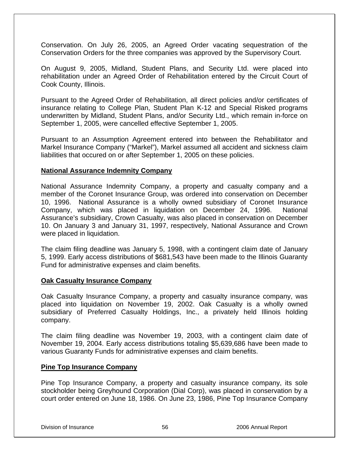Conservation. On July 26, 2005, an Agreed Order vacating sequestration of the Conservation Orders for the three companies was approved by the Supervisory Court.

On August 9, 2005, Midland, Student Plans, and Security Ltd. were placed into rehabilitation under an Agreed Order of Rehabilitation entered by the Circuit Court of Cook County, Illinois.

Pursuant to the Agreed Order of Rehabilitation, all direct policies and/or certificates of insurance relating to College Plan, Student Plan K-12 and Special Risked programs underwritten by Midland, Student Plans, and/or Security Ltd., which remain in-force on September 1, 2005, were cancelled effective September 1, 2005.

Pursuant to an Assumption Agreement entered into between the Rehabilitator and Markel Insurance Company ("Markel"), Markel assumed all accident and sickness claim liabilities that occured on or after September 1, 2005 on these policies.

## **National Assurance Indemnity Company**

National Assurance Indemnity Company, a property and casualty company and a member of the Coronet Insurance Group, was ordered into conservation on December 10, 1996. National Assurance is a wholly owned subsidiary of Coronet Insurance Company, which was placed in liquidation on December 24, 1996. National Assurance's subsidiary, Crown Casualty, was also placed in conservation on December 10. On January 3 and January 31, 1997, respectively, National Assurance and Crown were placed in liquidation.

The claim filing deadline was January 5, 1998, with a contingent claim date of January 5, 1999. Early access distributions of \$681,543 have been made to the Illinois Guaranty Fund for administrative expenses and claim benefits.

#### **Oak Casualty Insurance Company**

Oak Casualty Insurance Company, a property and casualty insurance company, was placed into liquidation on November 19, 2002. Oak Casualty is a wholly owned subsidiary of Preferred Casualty Holdings, Inc., a privately held Illinois holding company.

The claim filing deadline was November 19, 2003, with a contingent claim date of November 19, 2004. Early access distributions totaling \$5,639,686 have been made to various Guaranty Funds for administrative expenses and claim benefits.

#### **Pine Top Insurance Company**

Pine Top Insurance Company, a property and casualty insurance company, its sole stockholder being Greyhound Corporation (Dial Corp), was placed in conservation by a court order entered on June 18, 1986. On June 23, 1986, Pine Top Insurance Company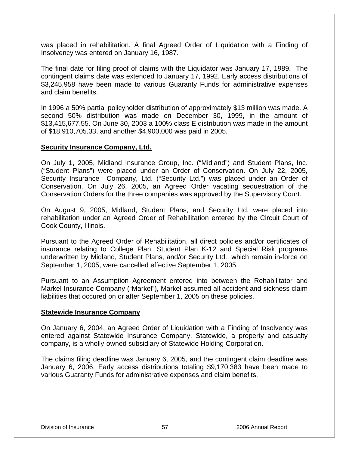was placed in rehabilitation. A final Agreed Order of Liquidation with a Finding of Insolvency was entered on January 16, 1987.

The final date for filing proof of claims with the Liquidator was January 17, 1989. The contingent claims date was extended to January 17, 1992. Early access distributions of \$3,245,958 have been made to various Guaranty Funds for administrative expenses and claim benefits.

In 1996 a 50% partial policyholder distribution of approximately \$13 million was made. A second 50% distribution was made on December 30, 1999, in the amount of \$13,415,677.55. On June 30, 2003 a 100% class E distribution was made in the amount of \$18,910,705.33, and another \$4,900,000 was paid in 2005.

## **Security Insurance Company, Ltd.**

On July 1, 2005, Midland Insurance Group, Inc. ("Midland") and Student Plans, Inc. ("Student Plans") were placed under an Order of Conservation. On July 22, 2005, Security Insurance Company, Ltd. ("Security Ltd.") was placed under an Order of Conservation. On July 26, 2005, an Agreed Order vacating sequestration of the Conservation Orders for the three companies was approved by the Supervisory Court.

On August 9, 2005, Midland, Student Plans, and Security Ltd. were placed into rehabilitation under an Agreed Order of Rehabilitation entered by the Circuit Court of Cook County, Illinois.

Pursuant to the Agreed Order of Rehabilitation, all direct policies and/or certificates of insurance relating to College Plan, Student Plan K-12 and Special Risk programs underwritten by Midland, Student Plans, and/or Security Ltd., which remain in-force on September 1, 2005, were cancelled effective September 1, 2005.

Pursuant to an Assumption Agreement entered into between the Rehabilitator and Markel Insurance Company ("Markel"), Markel assumed all accident and sickness claim liabilities that occured on or after September 1, 2005 on these policies.

#### **Statewide Insurance Company**

On January 6, 2004, an Agreed Order of Liquidation with a Finding of Insolvency was entered against Statewide Insurance Company. Statewide, a property and casualty company, is a wholly-owned subsidiary of Statewide Holding Corporation.

The claims filing deadline was January 6, 2005, and the contingent claim deadline was January 6, 2006. Early access distributions totaling \$9,170,383 have been made to various Guaranty Funds for administrative expenses and claim benefits.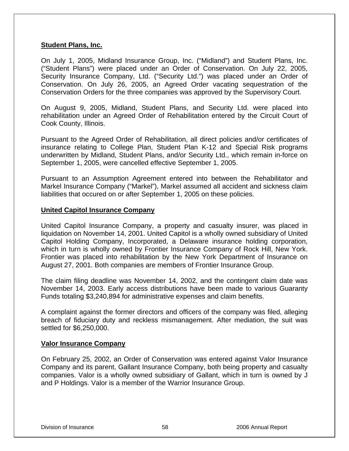#### **Student Plans, Inc.**

On July 1, 2005, Midland Insurance Group, Inc. ("Midland") and Student Plans, Inc. ("Student Plans") were placed under an Order of Conservation. On July 22, 2005, Security Insurance Company, Ltd. ("Security Ltd.") was placed under an Order of Conservation. On July 26, 2005, an Agreed Order vacating sequestration of the Conservation Orders for the three companies was approved by the Supervisory Court.

On August 9, 2005, Midland, Student Plans, and Security Ltd. were placed into rehabilitation under an Agreed Order of Rehabilitation entered by the Circuit Court of Cook County, Illinois.

Pursuant to the Agreed Order of Rehabilitation, all direct policies and/or certificates of insurance relating to College Plan, Student Plan K-12 and Special Risk programs underwritten by Midland, Student Plans, and/or Security Ltd., which remain in-force on September 1, 2005, were cancelled effective September 1, 2005.

Pursuant to an Assumption Agreement entered into between the Rehabilitator and Markel Insurance Company ("Markel"), Markel assumed all accident and sickness claim liabilities that occured on or after September 1, 2005 on these policies.

#### **United Capitol Insurance Company**

United Capitol Insurance Company, a property and casualty insurer, was placed in liquidation on November 14, 2001. United Capitol is a wholly owned subsidiary of United Capitol Holding Company, Incorporated, a Delaware insurance holding corporation, which in turn is wholly owned by Frontier Insurance Company of Rock Hill, New York. Frontier was placed into rehabilitation by the New York Department of Insurance on August 27, 2001. Both companies are members of Frontier Insurance Group.

The claim filing deadline was November 14, 2002, and the contingent claim date was November 14, 2003. Early access distributions have been made to various Guaranty Funds totaling \$3,240,894 for administrative expenses and claim benefits.

A complaint against the former directors and officers of the company was filed, alleging breach of fiduciary duty and reckless mismanagement. After mediation, the suit was settled for \$6,250,000.

#### **Valor Insurance Company**

On February 25, 2002, an Order of Conservation was entered against Valor Insurance Company and its parent, Gallant Insurance Company, both being property and casualty companies. Valor is a wholly owned subsidiary of Gallant, which in turn is owned by J and P Holdings. Valor is a member of the Warrior Insurance Group.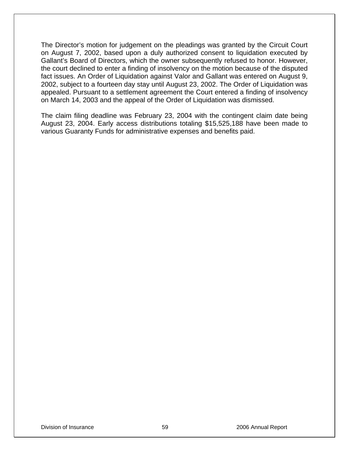The Director's motion for judgement on the pleadings was granted by the Circuit Court on August 7, 2002, based upon a duly authorized consent to liquidation executed by Gallant's Board of Directors, which the owner subsequently refused to honor. However, the court declined to enter a finding of insolvency on the motion because of the disputed fact issues. An Order of Liquidation against Valor and Gallant was entered on August 9, 2002, subject to a fourteen day stay until August 23, 2002. The Order of Liquidation was appealed. Pursuant to a settlement agreement the Court entered a finding of insolvency on March 14, 2003 and the appeal of the Order of Liquidation was dismissed.

The claim filing deadline was February 23, 2004 with the contingent claim date being August 23, 2004. Early access distributions totaling \$15,525,188 have been made to various Guaranty Funds for administrative expenses and benefits paid.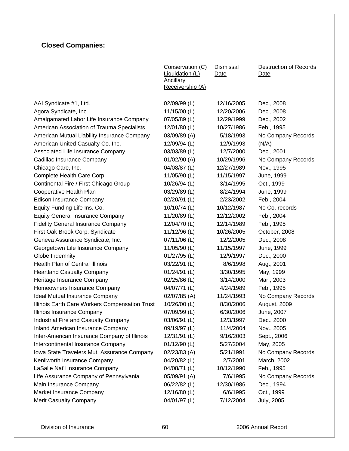## **Closed Companies:**

|                                                | Conservation (C)<br>Liquidation (L)<br><b>Ancillary</b><br>Receivership (A) | Dismissal<br>Date | Destruction of Records<br>Date |
|------------------------------------------------|-----------------------------------------------------------------------------|-------------------|--------------------------------|
| AAI Syndicate #1, Ltd.                         | 02/09/99 (L)                                                                | 12/16/2005        | Dec., 2008                     |
| Agora Syndicate, Inc.                          | 11/15/00 (L)                                                                | 12/20/2006        | Dec., 2008                     |
| Amalgamated Labor Life Insurance Company       | 07/05/89 (L)                                                                | 12/29/1999        | Dec., 2002                     |
| American Association of Trauma Specialists     | 12/01/80 (L)                                                                | 10/27/1986        | Feb., 1995                     |
| American Mutual Liability Insurance Company    | 03/09/89 (A)                                                                | 5/18/1993         | No Company Records             |
| American United Casualty Co., Inc.             | 12/09/94 (L)                                                                | 12/9/1993         | (N/A)                          |
| Associated Life Insurance Company              | 03/03/89 (L)                                                                | 12/7/2000         | Dec., 2001                     |
| Cadillac Insurance Company                     | 01/02/90 (A)                                                                | 10/29/1996        | No Company Records             |
| Chicago Care, Inc.                             | 04/08/87 (L)                                                                | 12/27/1989        | Nov., 1995                     |
| Complete Health Care Corp.                     | 11/05/90 (L)                                                                | 11/15/1997        | June, 1999                     |
| Continental Fire / First Chicago Group         | 10/26/94 (L)                                                                | 3/14/1995         | Oct., 1999                     |
| Cooperative Health Plan                        | 03/29/89 (L)                                                                | 8/24/1994         | June, 1999                     |
| <b>Edison Insurance Company</b>                | 02/20/91 (L)                                                                | 2/23/2002         | Feb., 2004                     |
| Equity Funding Life Ins. Co.                   | 10/10/74 (L)                                                                | 10/12/1987        | No Co. records                 |
| <b>Equity General Insurance Company</b>        | 11/20/89 (L)                                                                | 12/12/2002        | Feb., 2004                     |
| <b>Fidelity General Insurance Company</b>      | 12/04/70 (L)                                                                | 12/14/1989        | Feb., 1995                     |
| First Oak Brook Corp. Syndicate                | 11/12/96 (L)                                                                | 10/26/2005        | October, 2008                  |
| Geneva Assurance Syndicate, Inc.               | 07/11/06 (L)                                                                | 12/2/2005         | Dec., 2008                     |
| Georgetown Life Insurance Company              | 11/05/90 (L)                                                                | 11/15/1997        | June, 1999                     |
| Globe Indemnity                                | 01/27/95 (L)                                                                | 12/9/1997         | Dec., 2000                     |
| Health Plan of Central Illinois                | 03/22/91 (L)                                                                | 8/6/1998          | Aug., 2001                     |
| <b>Heartland Casualty Company</b>              | $01/24/91$ (L)                                                              | 3/30/1995         | May, 1999                      |
| Heritage Insurance Company                     | 02/25/86 (L)                                                                | 3/14/2000         | Mar., 2003                     |
| Homeowners Insurance Company                   | 04/07/71 (L)                                                                | 4/24/1989         | Feb., 1995                     |
| Ideal Mutual Insurance Company                 | 02/07/85 (A)                                                                | 11/24/1993        | No Company Records             |
| Illinois Earth Care Workers Compensation Trust | 10/26/00 (L)                                                                | 8/30/2006         | August, 2009                   |
| Illinois Insurance Company                     | 07/09/99 (L)                                                                | 6/30/2006         | June, 2007                     |
| Industrial Fire and Casualty Company           | 03/06/91 (L)                                                                | 12/3/1997         | Dec., 2000                     |
| Inland American Insurance Company              | 09/19/97 (L)                                                                | 11/4/2004         | Nov., 2005                     |
| Inter-American Insurance Company of Illinois   | 12/31/91 (L)                                                                | 9/16/2003         | Sept., 2006                    |
| Intercontinental Insurance Company             | 01/12/90 (L)                                                                | 5/27/2004         | May, 2005                      |
| Iowa State Travelers Mut. Assurance Company    | 02/23/83 (A)                                                                | 5/21/1991         | No Company Records             |
| Kenilworth Insurance Company                   | 04/20/82 (L)                                                                | 2/7/2001          | March, 2002                    |
| LaSalle Nat'l Insurance Company                | 04/08/71 (L)                                                                | 10/12/1990        | Feb., 1995                     |
| Life Assurance Company of Pennsylvania         | 05/09/91 (A)                                                                | 7/6/1995          | No Company Records             |
| Main Insurance Company                         | 06/22/82 (L)                                                                | 12/30/1986        | Dec., 1994                     |
| Market Insurance Company                       | 12/16/80 (L)                                                                | 6/6/1995          | Oct., 1999                     |
| <b>Merit Casualty Company</b>                  | 04/01/97 (L)                                                                | 7/12/2004         | <b>July, 2005</b>              |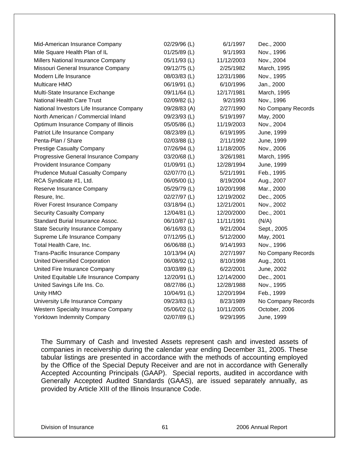| Mid-American Insurance Company             | 02/29/96 (L) | 6/1/1997   | Dec., 2000         |
|--------------------------------------------|--------------|------------|--------------------|
| Mile Square Health Plan of IL              | 01/25/89 (L) | 9/1/1993   | Nov., 1996         |
| Millers National Insurance Company         | 05/11/93 (L) | 11/12/2003 | Nov., 2004         |
| Missouri General Insurance Company         | 09/12/75 (L) | 2/25/1982  | March, 1995        |
| Modern Life Insurance                      | 08/03/83 (L) | 12/31/1986 | Nov., 1995         |
| Multicare HMO                              | 06/19/91 (L) | 6/10/1996  | Jan., 2000         |
| Multi-State Insurance Exchange             | 09/11/64 (L) | 12/17/1981 | March, 1995        |
| <b>National Health Care Trust</b>          | 02/09/82 (L) | 9/2/1993   | Nov., 1996         |
| National Investors Life Insurance Company  | 09/28/83 (A) | 2/27/1990  | No Company Records |
| North American / Commercial Inland         | 09/23/93 (L) | 5/19/1997  | May, 2000          |
| Optimum Insurance Company of Illinois      | 05/05/86 (L) | 11/19/2003 | Nov., 2004         |
| Patriot Life Insurance Company             | 08/23/89 (L) | 6/19/1995  | June, 1999         |
| Penta-Plan / Share                         | 02/03/88 (L) | 2/11/1992  | June, 1999         |
| <b>Prestige Casualty Company</b>           | 07/26/94 (L) | 11/18/2005 | Nov., 2006         |
| Progressive General Insurance Company      | 03/20/68 (L) | 3/26/1981  | March, 1995        |
| Provident Insurance Company                | 01/09/91 (L) | 12/28/1994 | June, 1999         |
| <b>Prudence Mutual Casualty Company</b>    | 02/07/70 (L) | 5/21/1991  | Feb., 1995         |
| RCA Syndicate #1, Ltd.                     | 06/05/00 (L) | 8/19/2004  | Aug., 2007         |
| Reserve Insurance Company                  | 05/29/79 (L) | 10/20/1998 | Mar., 2000         |
| Resure, Inc.                               | 02/27/97 (L) | 12/19/2002 | Dec., 2005         |
| River Forest Insurance Company             | 03/18/94 (L) | 12/21/2001 | Nov., 2002         |
| <b>Security Casualty Company</b>           | 12/04/81 (L) | 12/20/2000 | Dec., 2001         |
| Standard Burial Insurance Assoc.           | 06/10/87 (L) | 11/11/1991 | (N/A)              |
| <b>State Security Insurance Company</b>    | 06/16/93 (L) | 9/21/2004  | Sept., 2005        |
| Supreme Life Insurance Company             | 07/12/95 (L) | 5/12/2000  | May, 2001          |
| Total Health Care, Inc.                    | 06/06/88 (L) | 9/14/1993  | Nov., 1996         |
| <b>Trans-Pacific Insurance Company</b>     | 10/13/94 (A) | 2/27/1997  | No Company Records |
| <b>United Diversified Corporation</b>      | 06/08/92 (L) | 8/10/1998  | Aug., 2001         |
| United Fire Insurance Company              | 03/03/89 (L) | 6/22/2001  | June, 2002         |
| United Equitable Life Insurance Company    | 12/20/91 (L) | 12/14/2000 | Dec., 2001         |
| United Savings Life Ins. Co.               | 08/27/86 (L) | 12/28/1988 | Nov., 1995         |
| Unity HMO                                  | 10/04/91 (L) | 12/20/1994 | Feb., 1999         |
| University Life Insurance Company          | 09/23/83 (L) | 8/23/1989  | No Company Records |
| <b>Western Specialty Insurance Company</b> | 05/06/02 (L) | 10/11/2005 | October, 2006      |
| <b>Yorktown Indemnity Company</b>          | 02/07/89 (L) | 9/29/1995  | June, 1999         |

The Summary of Cash and Invested Assets represent cash and invested assets of companies in receivership during the calendar year ending December 31, 2005. These tabular listings are presented in accordance with the methods of accounting employed by the Office of the Special Deputy Receiver and are not in accordance with Generally Accepted Accounting Principals (GAAP). Special reports, audited in accordance with Generally Accepted Audited Standards (GAAS), are issued separately annually, as provided by Article XIII of the Illinois Insurance Code.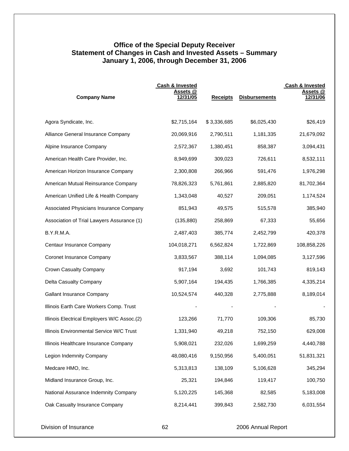## **Office of the Special Deputy Receiver Statement of Changes in Cash and Invested Assets – Summary January 1, 2006, through December 31, 2006**

| <b>Company Name</b>                         | <b>Cash &amp; Invested</b><br>Assets @<br>12/31/05 | <b>Receipts</b> | <b>Disbursements</b> | Cash & Invested<br>Assets @<br>12/31/06 |
|---------------------------------------------|----------------------------------------------------|-----------------|----------------------|-----------------------------------------|
| Agora Syndicate, Inc.                       | \$2,715,164                                        | \$3,336,685     | \$6,025,430          | \$26,419                                |
| Alliance General Insurance Company          | 20,069,916                                         | 2,790,511       | 1,181,335            | 21,679,092                              |
| Alpine Insurance Company                    | 2,572,367                                          | 1,380,451       | 858,387              | 3,094,431                               |
| American Health Care Provider, Inc.         | 8,949,699                                          | 309,023         | 726,611              | 8,532,111                               |
| American Horizon Insurance Company          | 2,300,808                                          | 266,966         | 591,476              | 1,976,298                               |
| American Mutual Reinsurance Company         | 78,826,323                                         | 5,761,861       | 2,885,820            | 81,702,364                              |
| American Unified Life & Health Company      | 1,343,048                                          | 40,527          | 209,051              | 1,174,524                               |
| Associated Physicians Insurance Company     | 851,943                                            | 49,575          | 515,578              | 385,940                                 |
| Association of Trial Lawyers Assurance (1)  | (135, 880)                                         | 258,869         | 67,333               | 55,656                                  |
| B.Y.R.M.A.                                  | 2,487,403                                          | 385,774         | 2,452,799            | 420,378                                 |
| Centaur Insurance Company                   | 104,018,271                                        | 6,562,824       | 1,722,869            | 108,858,226                             |
| Coronet Insurance Company                   | 3,833,567                                          | 388,114         | 1,094,085            | 3,127,596                               |
| Crown Casualty Company                      | 917,194                                            | 3,692           | 101,743              | 819,143                                 |
| Delta Casualty Company                      | 5,907,164                                          | 194,435         | 1,766,385            | 4,335,214                               |
| Gallant Insurance Company                   | 10,524,574                                         | 440,328         | 2,775,888            | 8,189,014                               |
| Illinois Earth Care Workers Comp. Trust     |                                                    |                 |                      |                                         |
| Illinois Electrical Employers W/C Assoc.(2) | 123,266                                            | 71,770          | 109,306              | 85,730                                  |
| Illinois Environmental Service W/C Trust    | 1,331,940                                          | 49,218          | 752,150              | 629,008                                 |
| Illinois Healthcare Insurance Company       | 5,908,021                                          | 232,026         | 1,699,259            | 4,440,788                               |
| Legion Indemnity Company                    | 48,080,416                                         | 9,150,956       | 5,400,051            | 51,831,321                              |
| Medcare HMO, Inc.                           | 5,313,813                                          | 138,109         | 5,106,628            | 345,294                                 |
| Midland Insurance Group, Inc.               | 25,321                                             | 194,846         | 119,417              | 100,750                                 |
| National Assurance Indemnity Company        | 5,120,225                                          | 145,368         | 82,585               | 5,183,008                               |
| Oak Casualty Insurance Company              | 8,214,441                                          | 399,843         | 2,582,730            | 6,031,554                               |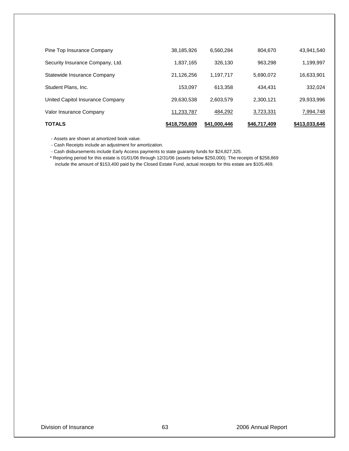| <b>TOTALS</b>                    | \$418,750,609 | \$41,000,446 | \$46,717,409 | \$413,033,646 |
|----------------------------------|---------------|--------------|--------------|---------------|
| Valor Insurance Company          | 11,233,787    | 484,292      | 3,723,331    | 7,994,748     |
| United Capitol Insurance Company | 29,630,538    | 2,603,579    | 2,300,121    | 29,933,996    |
| Student Plans, Inc.              | 153,097       | 613,358      | 434.431      | 332,024       |
| Statewide Insurance Company      | 21,126,256    | 1,197,717    | 5,690,072    | 16,633,901    |
| Security Insurance Company, Ltd. | 1,837,165     | 326.130      | 963,298      | 1,199,997     |
| Pine Top Insurance Company       | 38,185,926    | 6,560,284    | 804,670      | 43,941,540    |

- Assets are shown at amortized book value.

- Cash Receipts include an adjustment for amortization.

- Cash disbursements include Early Access payments to state guaranty funds for \$24,827,325.

 \* Reporting period for this estate is 01/01/06 through 12/31/06 (assets below \$250,000). The receipts of \$258,869 include the amount of \$153,400 paid by the Closed Estate Fund, actual receipts for this estate are \$105,469.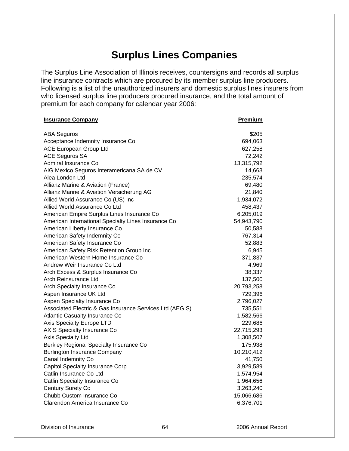# **Surplus Lines Companies**

The Surplus Line Association of Illinois receives, countersigns and records all surplus line insurance contracts which are procured by its member surplus line producers. Following is a list of the unauthorized insurers and domestic surplus lines insurers from who licensed surplus line producers procured insurance, and the total amount of premium for each company for calendar year 2006:

| <b>Insurance Company</b>                                 | Premium    |
|----------------------------------------------------------|------------|
| <b>ABA Seguros</b>                                       | \$205      |
| Acceptance Indemnity Insurance Co                        | 694,063    |
| <b>ACE European Group Ltd</b>                            | 627,258    |
| <b>ACE Seguros SA</b>                                    | 72,242     |
| Admiral Insurance Co                                     | 13,315,792 |
| AIG Mexico Seguros Interamericana SA de CV               | 14,663     |
| Alea London Ltd                                          | 235,574    |
| Allianz Marine & Aviation (France)                       | 69,480     |
| Allianz Marine & Aviation Versicherung AG                | 21,840     |
| Allied World Assurance Co (US) Inc                       | 1,934,072  |
| Allied World Assurance Co Ltd                            | 458,437    |
| American Empire Surplus Lines Insurance Co               | 6,205,019  |
| American International Specialty Lines Insurance Co      | 54,943,790 |
| American Liberty Insurance Co                            | 50,588     |
| American Safety Indemnity Co                             | 767,314    |
| American Safety Insurance Co                             | 52,883     |
| American Safety Risk Retention Group Inc                 | 6,945      |
| American Western Home Insurance Co                       | 371,837    |
| Andrew Weir Insurance Co Ltd                             | 4,969      |
| Arch Excess & Surplus Insurance Co                       | 38,337     |
| Arch Reinsurance Ltd                                     | 137,500    |
| Arch Specialty Insurance Co                              | 20,793,258 |
| Aspen Insurance UK Ltd                                   | 729,396    |
| Aspen Specialty Insurance Co                             | 2,796,027  |
| Associated Electric & Gas Insurance Services Ltd (AEGIS) | 735,551    |
| <b>Atlantic Casualty Insurance Co</b>                    | 1,582,566  |
| Axis Specialty Europe LTD                                | 229,686    |
| <b>AXIS Specialty Insurance Co</b>                       | 22,715,293 |
| Axis Specialty Ltd                                       | 1,308,507  |
| Berkley Regional Specialty Insurance Co                  | 175,938    |
| <b>Burlington Insurance Company</b>                      | 10,210,412 |
| Canal Indemnity Co                                       | 41,750     |
| <b>Capitol Specialty Insurance Corp</b>                  | 3,929,589  |
| Catlin Insurance Co Ltd                                  | 1,574,954  |
| Catlin Specialty Insurance Co                            | 1,964,656  |
| Century Surety Co                                        | 3,263,240  |
| Chubb Custom Insurance Co                                | 15,066,686 |
| Clarendon America Insurance Co                           | 6,376,701  |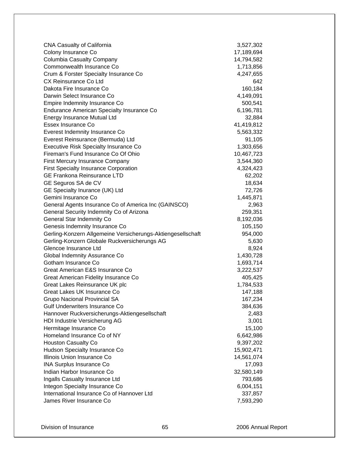| <b>CNA Casualty of California</b>                                              | 3,527,302       |
|--------------------------------------------------------------------------------|-----------------|
| Colony Insurance Co                                                            | 17,189,694      |
| Columbia Casualty Company                                                      | 14,794,582      |
| Commonwealth Insurance Co                                                      | 1,713,856       |
| Crum & Forster Specialty Insurance Co                                          | 4,247,655       |
| CX Reinsurance Co Ltd                                                          | 642             |
| Dakota Fire Insurance Co                                                       | 160,184         |
| Darwin Select Insurance Co                                                     | 4,149,091       |
| Empire Indemnity Insurance Co                                                  | 500,541         |
| <b>Endurance American Specialty Insurance Co</b>                               | 6,196,781       |
| Energy Insurance Mutual Ltd                                                    | 32,884          |
| Essex Insurance Co                                                             | 41,419,812      |
| Everest Indemnity Insurance Co                                                 | 5,563,332       |
| Everest Reinsurance (Bermuda) Ltd                                              | 91,105          |
| <b>Executive Risk Specialty Insurance Co</b>                                   | 1,303,656       |
| Fireman's Fund Insurance Co Of Ohio                                            | 10,467,723      |
| <b>First Mercury Insurance Company</b>                                         | 3,544,360       |
| <b>First Specialty Insurance Corporation</b>                                   | 4,324,423       |
| <b>GE Frankona Reinsurance LTD</b>                                             | 62,202          |
| GE Seguros SA de CV                                                            | 18,634          |
| GE Specialty Inurance (UK) Ltd                                                 | 72,726          |
| Gemini Insurance Co                                                            | 1,445,871       |
| General Agents Insurance Co of America Inc (GAINSCO)                           | 2,963           |
| General Security Indemnity Co of Arizona                                       | 259,351         |
| General Star Indemnity Co                                                      | 8,192,036       |
| Genesis Indemnity Insurance Co                                                 | 105,150         |
| Gerling-Konzern Allgemeine Versicherungs-Aktiengesellschaft                    | 954,000         |
| Gerling-Konzern Globale Ruckversicherungs AG                                   | 5,630           |
| Glencoe Insurance Ltd                                                          | 8,924           |
| Global Indemnity Assurance Co                                                  | 1,430,728       |
| Gotham Insurance Co                                                            | 1,693,714       |
| Great American E&S Insurance Co                                                | 3,222,537       |
| Great American Fidelity Insurance Co                                           | 405,425         |
| Great Lakes Reinsurance UK plc                                                 | 1,784,533       |
| Great Lakes UK Insurance Co                                                    | 147,188         |
| <b>Grupo Nacional Provincial SA</b>                                            | 167,234         |
| <b>Gulf Underwriters Insurance Co</b>                                          | 384,636         |
| Hannover Ruckversicherungs-Aktiengesellschaft<br>HDI Industrie Versicherung AG | 2,483           |
|                                                                                | 3,001<br>15,100 |
| Hermitage Insurance Co<br>Homeland Insurance Co of NY                          | 6,642,986       |
| <b>Houston Casualty Co</b>                                                     | 9,397,202       |
| <b>Hudson Specialty Insurance Co</b>                                           | 15,902,471      |
| Illinois Union Insurance Co                                                    | 14,561,074      |
| <b>INA Surplus Insurance Co</b>                                                | 17,093          |
| Indian Harbor Insurance Co                                                     | 32,580,149      |
| Ingalls Casualty Insurance Ltd                                                 | 793,686         |
| Integon Specialty Insurance Co                                                 | 6,004,151       |
| International Insurance Co of Hannover Ltd                                     | 337,857         |
| James River Insurance Co                                                       | 7,593,290       |
|                                                                                |                 |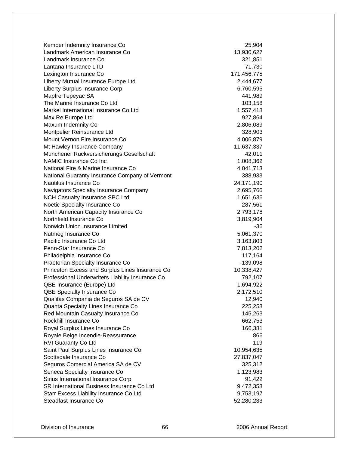| Kemper Indemnity Insurance Co                    | 25,904       |
|--------------------------------------------------|--------------|
| Landmark American Insurance Co                   | 13,930,627   |
| Landmark Insurance Co                            | 321,851      |
| Lantana Insurance LTD                            | 71,730       |
| Lexington Insurance Co                           | 171,456,775  |
| Liberty Mutual Insurance Europe Ltd              | 2,444,677    |
| Liberty Surplus Insurance Corp                   | 6,760,595    |
| Mapfre Tepeyac SA                                | 441,989      |
| The Marine Insurance Co Ltd                      | 103,158      |
| Markel International Insurance Co Ltd            | 1,557,418    |
| Max Re Europe Ltd                                | 927,864      |
| Maxum Indemnity Co                               | 2,806,089    |
| Montpelier Reinsurance Ltd                       | 328,903      |
| Mount Vernon Fire Insurance Co                   | 4,006,879    |
| Mt Hawley Insurance Company                      | 11,637,337   |
| Munchener Ruckversicherungs Gesellschaft         | 42,011       |
| NAMIC Insurance Co Inc                           | 1,008,362    |
| National Fire & Marine Insurance Co              | 4,041,713    |
| National Guaranty Insurance Company of Vermont   | 388,933      |
| Nautilus Insurance Co                            | 24, 171, 190 |
| Navigators Specialty Insurance Company           | 2,695,766    |
| <b>NCH Casualty Insurance SPC Ltd</b>            | 1,651,636    |
| Noetic Specialty Insurance Co                    | 287,561      |
| North American Capacity Insurance Co             | 2,793,178    |
| Northfield Insurance Co                          | 3,819,904    |
| Norwich Union Insurance Limited                  | -36          |
| Nutmeg Insurance Co                              | 5,061,370    |
| Pacific Insurance Co Ltd                         | 3,163,803    |
| Penn-Star Insurance Co                           | 7,813,202    |
| Philadelphia Insurance Co                        | 117,164      |
| Praetorian Specialty Insurance Co                | $-139,098$   |
| Princeton Excess and Surplus Lines Insurance Co  | 10,338,427   |
| Professional Underwriters Liability Insurance Co | 792,107      |
| QBE Insurance (Europe) Ltd                       | 1,694,922    |
| QBE Specialty Insurance Co                       | 2,172,510    |
| Qualitas Compania de Seguros SA de CV            | 12,940       |
| Quanta Specialty Lines Insurance Co              | 225,258      |
| Red Mountain Casualty Insurance Co               | 145,263      |
| Rockhill Insurance Co                            | 662,753      |
| Royal Surplus Lines Insurance Co                 | 166,381      |
| Royale Belge Incendie-Reassurance                | 866          |
| RVI Guaranty Co Ltd                              | 119          |
| Saint Paul Surplus Lines Insurance Co            | 10,954,635   |
| Scottsdale Insurance Co                          | 27,837,047   |
| Seguros Comercial America SA de CV               | 325,312      |
| Seneca Specialty Insurance Co                    | 1,123,983    |
| Sirius International Insurance Corp              | 91,422       |
| SR International Business Insurance Co Ltd       | 9,472,358    |
| Starr Excess Liability Insurance Co Ltd          | 9,753,197    |
| Steadfast Insurance Co                           | 52,280,233   |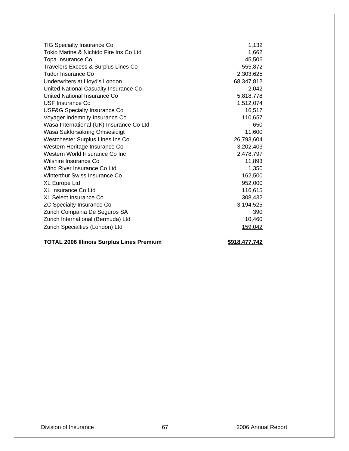| TIG Specialty Insurance Co               | 1,132        |
|------------------------------------------|--------------|
| Tokio Marine & Nichido Fire Ins Co Ltd   | 1,662        |
| Topa Insurance Co                        | 45,506       |
| Travelers Excess & Surplus Lines Co      | 555,872      |
| Tudor Insurance Co                       | 2,303,625    |
| Underwriters at Lloyd's London           | 68,347,812   |
| United National Casualty Insurance Co    | 2,042        |
| United National Insurance Co             | 5,818,778    |
| USF Insurance Co                         | 1,512,074    |
| USF&G Specialty Insurance Co             | 16,517       |
| Voyager Indemnity Insurance Co           | 110,657      |
| Wasa International (UK) Insurance Co Ltd | 650          |
| Wasa Sakforsakring Omsesidigt            | 11,600       |
| Westchester Surplus Lines Ins Co         | 26,793,604   |
| Western Heritage Insurance Co            | 3,202,403    |
| Western World Insurance Co Inc           | 2,478,797    |
| Wilshire Insurance Co                    | 11,893       |
| Wind River Insurance Co Ltd              | 1,350        |
| Winterthur Swiss Insurance Co            | 162,500      |
| <b>XL Europe Ltd</b>                     | 952,000      |
| <b>XL Insurance Co Ltd</b>               | 116,615      |
| <b>XL Select Insurance Co</b>            | 308,432      |
| <b>ZC Specialty Insurance Co</b>         | $-3,194,525$ |
| Zurich Compania De Seguros SA            | 390          |
| Zurich International (Bermuda) Ltd       | 10,460       |
| Zurich Specialties (London) Ltd          | 159,042      |
|                                          |              |

## TOTAL 2006 Illinois Surplus Lines Premium **1998** 1918,477,742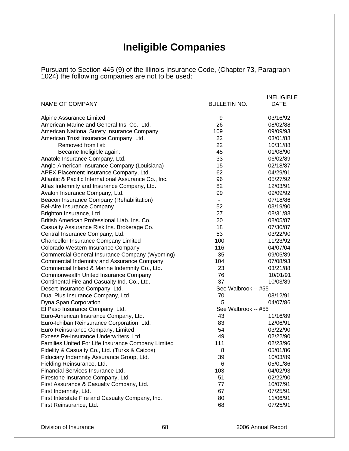# **Ineligible Companies**

Pursuant to Section 445 (9) of the Illinois Insurance Code, (Chapter 73, Paragraph 1024) the following companies are not to be used:

|                                                      |                     | <b>INELIGIBLE</b> |
|------------------------------------------------------|---------------------|-------------------|
| NAME OF COMPANY                                      | <b>BULLETIN NO.</b> | <b>DATE</b>       |
|                                                      |                     |                   |
| Alpine Assurance Limited                             | 9                   | 03/16/92          |
| American Marine and General Ins. Co., Ltd.           | 26                  | 08/02/88          |
| American National Surety Insurance Company           | 109                 | 09/09/93          |
| American Trust Insurance Company, Ltd.               | 22                  | 03/01/88          |
| Removed from list:                                   | 22                  | 10/31/88          |
| Became Ineligible again:                             | 45                  | 01/08/90          |
| Anatole Insurance Company, Ltd.                      | 33                  | 06/02/89          |
| Anglo-American Insurance Company (Louisiana)         | 15                  | 02/18/87          |
| APEX Placement Insurance Company, Ltd.               | 62                  | 04/29/91          |
| Atlantic & Pacific International Assurance Co., Inc. | 96                  | 05/27/92          |
| Atlas Indemnity and Insurance Company, Ltd.          | 82                  | 12/03/91          |
| Avalon Insurance Company, Ltd.                       | 99                  | 09/09/92          |
| Beacon Insurance Company (Rehabilitation)            | $\blacksquare$      | 07/18/86          |
| Bel-Aire Insurance Company                           | 52                  | 03/19/90          |
| Brighton Insurance, Ltd.                             | 27                  | 08/31/88          |
| British American Professional Liab. Ins. Co.         | 20                  | 08/05/87          |
| Casualty Assurance Risk Ins. Brokerage Co.           | 18                  | 07/30/87          |
| Central Insurance Company, Ltd.                      | 53                  | 03/22/90          |
| <b>Chancellor Insurance Company Limited</b>          | 100                 | 11/23/92          |
| Colorado Western Insurance Company                   | 116                 | 04/07/04          |
| Commercial General Insurance Company (Wyoming)       | 35                  | 09/05/89          |
| Commercial Indemnity and Assurance Company           | 104                 | 07/08/93          |
| Commercial Inland & Marine Indemnity Co., Ltd.       | 23                  | 03/21/88          |
| Commonwealth United Insurance Company                | 76                  | 10/01/91          |
| Continental Fire and Casualty Ind. Co., Ltd.         | 37                  | 10/03/89          |
| Desert Insurance Company, Ltd.                       | See Walbrook -- #55 |                   |
| Dual Plus Insurance Company, Ltd.                    | 70                  | 08/12/91          |
| Dyna Span Corporation                                | 5                   | 04/07/86          |
| El Paso Insurance Company, Ltd.                      | See Walbrook -- #55 |                   |
| Euro-American Insurance Company, Ltd.                | 43                  | 11/16/89          |
| Euro-Ichiban Reinsurance Corporation, Ltd.           | 83                  | 12/06/91          |
| Euro Reinsurance Company, Limited                    | 54                  | 03/22/90          |
| Excess Re-Insurance Underwriters, Ltd.               | 49                  | 02/22/90          |
| Families United For Life Insurance Company Limited   | 111                 | 02/23/96          |
| Fidelity & Casualty Co., Ltd. (Turks & Caicos)       | 8                   | 05/01/86          |
| Fiduciary Indemnity Assurance Group, Ltd.            | 39                  | 10/03/89          |
| Fielding Reinsurance, Ltd.                           | 6                   | 05/01/86          |
| Financial Services Insurance Ltd.                    | 103                 | 04/02/93          |
| Firestone Insurance Company, Ltd.                    | 51                  | 02/22/90          |
| First Assurance & Casualty Company, Ltd.             | 77                  | 10/07/91          |
| First Indemnity, Ltd.                                | 67                  | 07/25/91          |
| First Interstate Fire and Casualty Company, Inc.     | 80                  | 11/06/91          |
| First Reinsurance, Ltd.                              | 68                  | 07/25/91          |
|                                                      |                     |                   |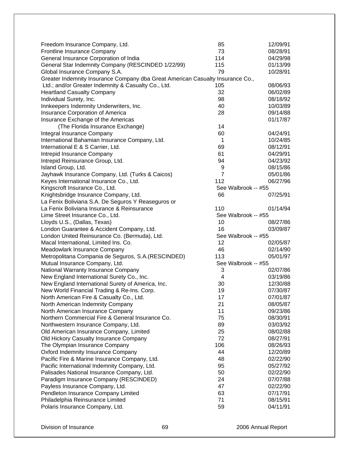| Freedom Insurance Company, Ltd.                                                | 85                  | 12/09/91 |
|--------------------------------------------------------------------------------|---------------------|----------|
| Frontline Insurance Company                                                    | 73                  | 08/28/91 |
| General Insurance Corporation of India                                         | 114                 | 04/29/98 |
| General Star Indemnity Company (RESCINDED 1/22/99)                             | 115                 | 01/13/99 |
| Global Insurance Company S.A.                                                  | 79                  | 10/28/91 |
| Greater Indemnity Insurance Company dba Great American Casualty Insurance Co., |                     |          |
| Ltd.; and/or Greater Indemnity & Casualty Co., Ltd.                            | 105                 | 08/06/93 |
| <b>Heartland Casualty Company</b>                                              | 32                  | 06/02/89 |
| Individual Surety, Inc.                                                        | 98                  | 08/18/92 |
| Innkeepers Indemnity Underwriters, Inc.                                        | 40                  | 10/03/89 |
| Insurance Corporation of America                                               | 28                  | 09/14/88 |
| Insurance Exchange of the Americas                                             |                     | 01/17/87 |
| (The Florida Insurance Exchange)                                               | 14                  |          |
| Integral Insurance Company                                                     | 60                  | 04/24/91 |
| International Bahamian Insurance Company, Ltd.                                 | 1                   | 10/24/85 |
| International E & S Carrier, Ltd.                                              | 69                  | 08/12/91 |
| Intrepid Insurance Company                                                     | 61                  | 04/29/91 |
| Intrepid Reinsurance Group, Ltd.                                               | 94                  | 04/23/92 |
| Island Group, Ltd.                                                             | 9                   | 08/15/86 |
| Jayhawk Insurance Company, Ltd. (Turks & Caicos)                               | $\overline{7}$      | 05/01/86 |
| Keyes International Insurance Co., Ltd.                                        | 112                 | 06/27/96 |
| Kingscroft Insurance Co., Ltd.                                                 | See Walbrook -- #55 |          |
| Knightsbridge Insurance Company, Ltd.                                          | 66                  | 07/25/91 |
| La Fenix Boliviana S.A. De Seguros Y Reaseguros or                             |                     |          |
| La Fenix Boliviana Insurance & Reinsurance                                     | 110                 | 01/14/94 |
| Lime Street Insurance Co., Ltd.                                                | See Walbrook -- #55 |          |
| Lloyds U.S., (Dallas, Texas)                                                   | 10                  | 08/27/86 |
| London Guarantee & Accident Company, Ltd.                                      | 16                  | 03/09/87 |
| London United Reinsurance Co. (Bermuda), Ltd.                                  | See Walbrook -- #55 |          |
| Macal International, Limited Ins. Co.                                          | 12                  | 02/05/87 |
| Meadowlark Insurance Company                                                   | 46                  | 02/14/90 |
| Metropolitana Compania de Seguros, S.A. (RESCINDED)                            | 113                 | 05/01/97 |
| Mutual Insurance Company, Ltd.                                                 | See Walbrook -- #55 |          |
| National Warranty Insurance Company                                            | 3                   | 02/07/86 |
| New England International Surety Co., Inc.                                     | 4                   | 03/19/86 |
| New England International Surety of America, Inc.                              | 30                  | 12/30/88 |
| New World Financial Trading & Re-Ins. Corp.                                    | 19                  | 07/30/87 |
| North American Fire & Casualty Co., Ltd.                                       | 17                  | 07/01/87 |
| North American Indemnity Company                                               | 21                  | 08/05/87 |
| North American Insurance Company                                               | 11                  | 09/23/86 |
| Northern Commercial Fire & General Insurance Co.                               | 75                  | 08/30/91 |
| Northwestern Insurance Company, Ltd.                                           | 89                  | 03/03/92 |
| Old American Insurance Company, Limited                                        | 25                  | 08/02/88 |
| Old Hickory Casualty Insurance Company                                         | 72                  | 08/27/91 |
| The Olympian Insurance Company                                                 | 106                 | 08/26/93 |
| Oxford Indemnity Insurance Company                                             | 44                  | 12/20/89 |
| Pacific Fire & Marine Insurance Company, Ltd.                                  | 48                  | 02/22/90 |
| Pacific International Indemnity Company, Ltd.                                  | 95                  | 05/27/92 |
| Palisades National Insurance Company, Ltd.                                     | 50                  | 02/22/90 |
| Paradigm Insurance Company (RESCINDED)                                         | 24                  | 07/07/88 |
| Payless Insurance Company, Ltd.                                                | 47                  | 02/22/90 |
| Pendleton Insurance Company Limited                                            | 63                  | 07/17/91 |
| Philadelphia Reinsurance Limited                                               | 71                  | 08/15/91 |
| Polaris Insurance Company, Ltd.                                                | 59                  | 04/11/91 |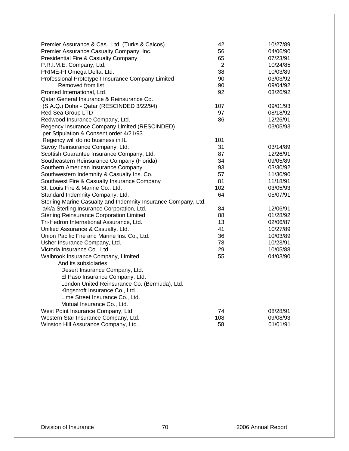| Premier Assurance & Cas., Ltd. (Turks & Caicos)<br>Premier Assurance Casualty Company, Inc.<br>Presidential Fire & Casualty Company<br>P.R.I.M.E. Company, Ltd.<br>PRIME-PI Omega Delta, Ltd.<br>Professional Prototype I Insurance Company Limited<br>Removed from list<br>Promed International, Ltd. | 42<br>56<br>65<br>$\overline{2}$<br>38<br>90<br>90<br>92 | 10/27/89<br>04/06/90<br>07/23/91<br>10/24/85<br>10/03/89<br>03/03/92<br>09/04/92<br>03/26/92 |
|--------------------------------------------------------------------------------------------------------------------------------------------------------------------------------------------------------------------------------------------------------------------------------------------------------|----------------------------------------------------------|----------------------------------------------------------------------------------------------|
| Qatar General Insurance & Reinsurance Co.<br>(S.A.Q.) Doha - Qatar (RESCINDED 3/22/94)<br>Red Sea Group LTD                                                                                                                                                                                            | 107<br>97                                                | 09/01/93<br>08/18/92                                                                         |
| Redwood Insurance Company, Ltd.<br>Regency Insurance Company Limited (RESCINDED)<br>per Stipulation & Consent order 4/21/93                                                                                                                                                                            | 86                                                       | 12/26/91<br>03/05/93                                                                         |
| Regency will do no business in IL                                                                                                                                                                                                                                                                      | 101                                                      |                                                                                              |
| Savoy Reinsurance Company, Ltd.                                                                                                                                                                                                                                                                        | 31                                                       | 03/14/89                                                                                     |
| Scottish Guarantee Insurance Company, Ltd.                                                                                                                                                                                                                                                             | 87                                                       | 12/26/91                                                                                     |
| Southeastern Reinsurance Company (Florida)                                                                                                                                                                                                                                                             | 34                                                       | 09/05/89                                                                                     |
| Southern American Insurance Company                                                                                                                                                                                                                                                                    | 93                                                       | 03/30/92                                                                                     |
| Southwestern Indemnity & Casualty Ins. Co.                                                                                                                                                                                                                                                             | 57                                                       | 11/30/90                                                                                     |
| Southwest Fire & Casualty Insurance Company                                                                                                                                                                                                                                                            | 81                                                       | 11/18/91                                                                                     |
| St. Louis Fire & Marine Co., Ltd.                                                                                                                                                                                                                                                                      | 102                                                      | 03/05/93                                                                                     |
| Standard Indemnity Company, Ltd.                                                                                                                                                                                                                                                                       | 64                                                       | 05/07/91                                                                                     |
| Sterling Marine Casualty and Indemnity Insurance Company, Ltd.                                                                                                                                                                                                                                         |                                                          |                                                                                              |
| a/k/a Sterling Insurance Corporation, Ltd.                                                                                                                                                                                                                                                             | 84                                                       | 12/06/91                                                                                     |
| <b>Sterling Reinsurance Corporation Limited</b>                                                                                                                                                                                                                                                        | 88                                                       | 01/28/92                                                                                     |
| Tri-Hedron International Assurance, Ltd.                                                                                                                                                                                                                                                               | 13                                                       | 02/06/87                                                                                     |
| Unified Assurance & Casualty, Ltd.                                                                                                                                                                                                                                                                     | 41                                                       | 10/27/89                                                                                     |
| Union Pacific Fire and Marine Ins. Co., Ltd.                                                                                                                                                                                                                                                           | 36                                                       | 10/03/89                                                                                     |
| Usher Insurance Company, Ltd.                                                                                                                                                                                                                                                                          | 78                                                       | 10/23/91                                                                                     |
| Victoria Insurance Co., Ltd.                                                                                                                                                                                                                                                                           | 29                                                       | 10/05/88                                                                                     |
| Walbrook Insurance Company, Limited                                                                                                                                                                                                                                                                    | 55                                                       | 04/03/90                                                                                     |
| And its subsidiaries:                                                                                                                                                                                                                                                                                  |                                                          |                                                                                              |
| Desert Insurance Company, Ltd.                                                                                                                                                                                                                                                                         |                                                          |                                                                                              |
| El Paso Insurance Company, Ltd.                                                                                                                                                                                                                                                                        |                                                          |                                                                                              |
| London United Reinsurance Co. (Bermuda), Ltd.                                                                                                                                                                                                                                                          |                                                          |                                                                                              |
| Kingscroft Insurance Co., Ltd.                                                                                                                                                                                                                                                                         |                                                          |                                                                                              |
| Lime Street Insurance Co., Ltd.                                                                                                                                                                                                                                                                        |                                                          |                                                                                              |
| Mutual Insurance Co., Ltd.                                                                                                                                                                                                                                                                             |                                                          |                                                                                              |
| West Point Insurance Company, Ltd.                                                                                                                                                                                                                                                                     | 74                                                       | 08/28/91                                                                                     |
| Western Star Insurance Company, Ltd.                                                                                                                                                                                                                                                                   | 108                                                      | 09/08/93                                                                                     |
| Winston Hill Assurance Company, Ltd.                                                                                                                                                                                                                                                                   | 58                                                       | 01/01/91                                                                                     |
|                                                                                                                                                                                                                                                                                                        |                                                          |                                                                                              |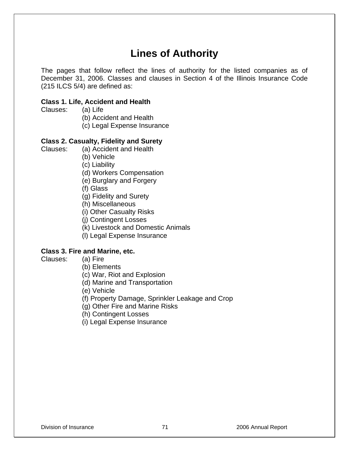# **Lines of Authority**

The pages that follow reflect the lines of authority for the listed companies as of December 31, 2006. Classes and clauses in Section 4 of the Illinois Insurance Code (215 ILCS 5/4) are defined as:

### **Class 1. Life, Accident and Health**

Clauses: (a) Life

(b) Accident and Health

(c) Legal Expense Insurance

## **Class 2. Casualty, Fidelity and Surety**

Clauses: (a) Accident and Health

(b) Vehicle

(c) Liability

(d) Workers Compensation

(e) Burglary and Forgery

(f) Glass

(g) Fidelity and Surety

(h) Miscellaneous

(i) Other Casualty Risks

(j) Contingent Losses

(k) Livestock and Domestic Animals

(l) Legal Expense Insurance

## **Class 3. Fire and Marine, etc.**

- Clauses: (a) Fire
	- (b) Elements

(c) War, Riot and Explosion

(d) Marine and Transportation

(e) Vehicle

(f) Property Damage, Sprinkler Leakage and Crop

(g) Other Fire and Marine Risks

(h) Contingent Losses

(i) Legal Expense Insurance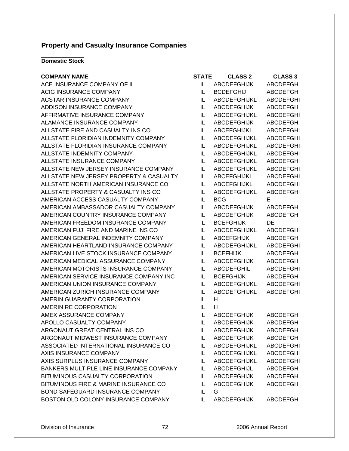## **Property and Casualty Insurance Companies**

#### **Domestic Stock**

#### **COMPANY NAME**

ACE INSURANCE COMPANY OF IL ACIG INSURANCE COMPANY ACSTAR INSURANCE COMPANY ADDISON INSURANCE COMPANY AFFIRMATIVE INSURANCE COMPANY ALAMANCE INSURANCE COMPANY ALLSTATE FIRE AND CASUALTY INS CO ALLSTATE FLORIDIAN INDEMNITY COMPANY ALLSTATE FLORIDIAN INSURANCE COMPANY ALLSTATE INDEMNITY COMPANY ALLSTATE INSURANCE COMPANY ALLSTATE NEW JERSEY INSURANCE COMPANY ALLSTATE NEW JERSEY PROPERTY & CASUALTY ALLSTATE NORTH AMERICAN INSURANCE CO ALLSTATE PROPERTY & CASUALTY INS CO AMERICAN ACCESS CASUALTY COMPANY AMERICAN AMBASSADOR CASUALTY COMPANY AMERICAN COUNTRY INSURANCE COMPANY AMERICAN FREEDOM INSURANCE COMPANY AMERICAN FUJI FIRE AND MARINE INS CO AMERICAN GENERAL INDEMNITY COMPANY AMERICAN HEARTLAND INSURANCE COMPANY AMERICAN LIVE STOCK INSURANCE COMPANY AMERICAN MEDICAL ASSURANCE COMPANY AMERICAN MOTORISTS INSURANCE COMPANY AMERICAN SERVICE INSURANCE COMPANY INC AMERICAN UNION INSURANCE COMPANY AMERICAN ZURICH INSURANCE COMPANY AMERIN GUARANTY CORPORATION AMERIN RE CORPORATION AMEX ASSURANCE COMPANY APOLLO CASUALTY COMPANY ARGONAUT GREAT CENTRAL INS CO ARGONAUT MIDWEST INSURANCE COMPANY ASSOCIATED INTERNATIONAL INSURANCE CO AXIS INSURANCE COMPANY AXIS SURPLUS INSURANCE COMPANY BANKERS MULTIPLE LINE INSURANCE COMPANY BITUMINOUS CASUALTY CORPORATION BITUMINOUS FIRE & MARINE INSURANCE CO BOND SAFEGUARD INSURANCE COMPANY BOSTON OLD COLONY INSURANCE COMPANY IL ABCDEFGHIJK ABCDEFGH

| STATE | <b>CLASS 2</b>      | <b>CLASS 3</b>   |
|-------|---------------------|------------------|
| IL    | <b>ABCDEFGHIJK</b>  | <b>ABCDEFGH</b>  |
| IL    | <b>BCDEFGHIJ</b>    | <b>ABCDEFGH</b>  |
| IL    | <b>ABCDEFGHIJKL</b> | <b>ABCDEFGHI</b> |
| IL    | <b>ABCDEFGHIJK</b>  | <b>ABCDEFGH</b>  |
| IL    | <b>ABCDEFGHIJKL</b> | <b>ABCDEFGHI</b> |
| IL    | <b>ABCDEFGHIJK</b>  | ABCDEFGH         |
| IL    | <b>ABCEFGHIJKL</b>  | <b>ABCDEFGHI</b> |
| IL    | ABCDEFGHIJKL        | <b>ABCDEFGHI</b> |
| IL    | <b>ABCDEFGHIJKL</b> | <b>ABCDEFGHI</b> |
| IL    | <b>ABCDEFGHIJKL</b> | <b>ABCDEFGHI</b> |
| IL    | <b>ABCDEFGHIJKL</b> | <b>ABCDEFGHI</b> |
| IL    | <b>ABCDEFGHIJKL</b> | <b>ABCDEFGHI</b> |
| IL    | ABCEFGHIJKL         | <b>ABCDEFGHI</b> |
| IL    | <b>ABCEFGHIJKL</b>  | <b>ABCDEFGHI</b> |
| IL    | <b>ABCDEFGHIJKL</b> | <b>ABCDEFGHI</b> |
| IL    | BCG                 | Е                |
| IL    | <b>ABCDEFGHIJK</b>  | <b>ABCDEFGH</b>  |
| IL    | <b>ABCDEFGHIJK</b>  | <b>ABCDEFGH</b>  |
| IL    | <b>BCEFGHIJK</b>    | DE               |
| IL    | <b>ABCDEFGHIJKL</b> | <b>ABCDEFGHI</b> |
| IL    | <b>ABCEFGHIJK</b>   | ABCDEFGH         |
| IL    | <b>ABCDEFGHIJKL</b> | <b>ABCDEFGHI</b> |
| IL    | <b>BCEFHIJK</b>     | <b>ABCDEFGH</b>  |
| IL    | <b>ABCDEFGHIJK</b>  | ABCDEFGH         |
| IL    | <b>ABCDEFGHIL</b>   | <b>ABCDEFGHI</b> |
| IL    | <b>BCEFGHIJK</b>    | ABCDEFGH         |
| IL    | <b>ABCDEFGHIJKL</b> | <b>ABCDEFGHI</b> |
| IL    | <b>ABCDEFGHIJKL</b> | <b>ABCDEFGHI</b> |
| IL    | н                   |                  |
| IL    | н                   |                  |
| IL    | <b>ABCDEFGHIJK</b>  | <b>ABCDEFGH</b>  |
| IL    | <b>ABCDEFGHIJK</b>  | <b>ABCDEFGH</b>  |
| IL    | <b>ABCDEFGHIJK</b>  | <b>ABCDEFGH</b>  |
| IL    | <b>ABCDEFGHIJK</b>  | <b>ABCDEFGH</b>  |
| IL    | ABCDEFGHIJKL        | <b>ABCDEFGHI</b> |
| IL    | ABCDEFGHIJKL        | <b>ABCDEFGHI</b> |
| IL    | ABCDEFGHIJKL        | <b>ABCDEFGHI</b> |
| IL    | ABCDEFGHIJL         | <b>ABCDEFGH</b>  |
| IL    | <b>ABCDEFGHIJK</b>  | <b>ABCDEFGH</b>  |
| IL    | <b>ABCDEFGHIJK</b>  | <b>ABCDEFGH</b>  |
| IL    | G                   |                  |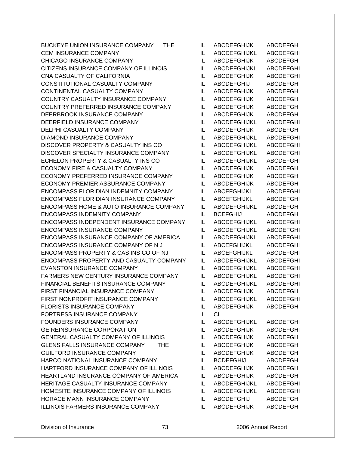BUCKEYE UNION INSURANCE COMPANY THE IL ABCDEFGHIJK ABCDEFGH CEM INSURANCE COMPANY **ILLY ABCDEFGHIJKL** ABCDEFGHI CHICAGO INSURANCE COMPANY IL ABCDEFGHIJK ABCDEFGH CITIZENS INSURANCE COMPANY OF ILLINOIS IL ABCDEFGHIJKL ABCDEFGHI CNA CASUALTY OF CALIFORNIA ILLET ABCDEFGHIJK ABCDEFGHI CONSTITUTIONAL CASUALTY COMPANY IL ABCDEFGHIJ ABCDEFGH CONTINENTAL CASUALTY COMPANY IL ABCDEFGHIJK ABCDEFGH COUNTRY CASUALTY INSURANCE COMPANY IL ABCDEFGHIJK ABCDEFGH COUNTRY PREFERRED INSURANCE COMPANY IL ABCDEFGHIJK ABCDEFGH DEERBROOK INSURANCE COMPANY IL ABCDEFGHIJK ABCDEFGH DEERFIELD INSURANCE COMPANY IL ABCDEFGHIJKL ABCDEFGHI DELPHI CASUALTY COMPANY **ILLET ABCDEFGHIJK ABCDEFGH** DIAMOND INSURANCE COMPANY IL ABCDEFGHIJKL ABCDEFGHI DISCOVER PROPERTY & CASUALTY INS CO IL ABCDEFGHIJKL ABCDEFGHI DISCOVER SPECIALTY INSURANCE COMPANY IL ABCDEFGHIJKL ABCDEFGHI ECHELON PROPERTY & CASUALTY INS CO IL ABCDEFGHIJKL ABCDEFGHI ECONOMY FIRE & CASUALTY COMPANY IL ABCDEFGHIJK ABCDEFGH ECONOMY PREFERRED INSURANCE COMPANY IL ABCDEFGHIJK ABCDEFGH ECONOMY PREMIER ASSURANCE COMPANY IL ABCDEFGHIJK ABCDEFGH ENCOMPASS FLORIDIAN INDEMNITY COMPANY IL ABCEFGHIJKL ABCDEFGHI ENCOMPASS FLORIDIAN INSURANCE COMPANY IL ABCEFGHIJKL ABCDEFGHI ENCOMPASS HOME & AUTO INSURANCE COMPANY IL ABCDEFGHIJKL ABCDEFGH ENCOMPASS INDEMNITY COMPANY IL BCEFGHIJ ABCDEFGH ENCOMPASS INDEPENDENT INSURANCE COMPANY IL ABCDEFGHIJKL ABCDEFGHI ENCOMPASS INSURANCE COMPANY IL ABCDEFGHIJKL ABCDEFGHI ENCOMPASS INSURANCE COMPANY OF AMERICA IL ABCDEFGHIJKL ABCDEFGHI ENCOMPASS INSURANCE COMPANY OF N J LABCEFGHIJKL ABCDEFGHI ENCOMPASS PROPERTY & CAS INS CO OF NJ IL ABCEFGHIJKL ABCDEFGHI ENCOMPASS PROPERTY AND CASUALTY COMPANY IL ABCDEFGHIJKL ABCDEFGHI EVANSTON INSURANCE COMPANY IL ABCDEFGHIJKL ABCDEFGHI FARMERS NEW CENTURY INSURANCE COMPANY IL ABCDEFGHIJKL ABCDEFGHI FINANCIAL BENEFITS INSURANCE COMPANY IL ABCDEFGHIJKL ABCDEFGHI FIRST FINANCIAL INSURANCE COMPANY IL ABCDEFGHIJK ABCDEFGH FIRST NONPROFIT INSURANCE COMPANY IL ABCDEFGHIJKL ABCDEFGHI FLORISTS INSURANCE COMPANY **ILLY ABCDEFGHIJK ABCDEFGH** FORTRESS INSURANCE COMPANY IL CI FOUNDERS INSURANCE COMPANY IL ABCDEFGHIJKL ABCDEFGHI GE REINSURANCE CORPORATION IL ABCDEFGHIJK ABCDEFGHI GENERAL CASUALTY COMPANY OF ILLINOIS IL ABCDEFGHIJK ABCDEFGH GLENS FALLS INSURANCE COMPANY THE IL ABCDEFGHIJK ABCDEFGH GUILFORD INSURANCE COMPANY **IL** ABCDEFGHIJK ABCDEFGH HARCO NATIONAL INSURANCE COMPANY IL BCDEFGHIJ ABCDEFGH HARTFORD INSURANCE COMPANY OF ILLINOIS IL ABCDEFGHIJK ABCDEFGH HEARTLAND INSURANCE COMPANY OF AMERICA IL ABCDEFGHIJK ABCDEFGH HERITAGE CASUALTY INSURANCE COMPANY IL ABCDEFGHIJKL ABCDEFGHI HOMESITE INSURANCE COMPANY OF ILLINOIS IL ABCDEFGHIJKL ABCDEFGHI HORACE MANN INSURANCE COMPANY IL ABCDEFGHIJ ABCDEFGH ILLINOIS FARMERS INSURANCE COMPANY IL ABCDEFGHIJK ABCDEFGH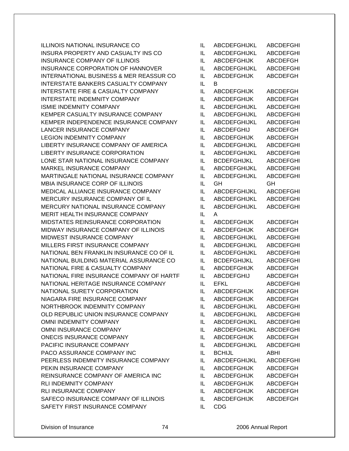ILLINOIS NATIONAL INSURANCE CO IL ABCDEFGHIJKL ABCDEFGHI INSURA PROPERTY AND CASUALTY INS CO IL ABCDEFGHIJKL ABCDEFGHI INSURANCE COMPANY OF ILLINOIS ILLETTING ILLETTING ABCDEFGHIJK ABCDEFGH INSURANCE CORPORATION OF HANNOVER IL ABCDEFGHIJKL ABCDEFGHI INTERNATIONAL BUSINESS & MER REASSUR CO IL ABCDEFGHIJK ABCDEFGH INTERSTATE BANKERS CASUALTY COMPANY IL B INTERSTATE FIRE & CASUALTY COMPANY IL ABCDEFGHIJK ABCDEFGH INTERSTATE INDEMNITY COMPANY IL ABCDEFGHIJK ABCDEFGH ISMIE INDEMNITY COMPANY **ILLY ABCDEFGHIJKL ABCDEFGHI** KEMPER CASUALTY INSURANCE COMPANY IL ABCDEFGHIJKL ABCDEFGHI KEMPER INDEPENDENCE INSURANCE COMPANY IL ABCDEFGHIJKL ABCDEFGHI LANCER INSURANCE COMPANY **ILLY ABCDEFGHIJ** ABCDEFGH LEGION INDEMNITY COMPANY **IL ABCDEFGHIJK ABCDEFGH** LIBERTY INSURANCE COMPANY OF AMERICA IL ABCDEFGHIJKL ABCDEFGHI LIBERTY INSURANCE CORPORATION IL ABCDEFGHIJKL ABCDEFGHI LONE STAR NATIONAL INSURANCE COMPANY IL BCDEFGHIJKL ABCDEFGHI MARKEL INSURANCE COMPANY IL ABCDEFGHIJKL ABCDEFGHI MARTINGALE NATIONAL INSURANCE COMPANY IL ABCDEFGHIJKL ABCDEFGHI MBIA INSURANCE CORP OF ILLINOIS IL GH GH MEDICAL ALLIANCE INSURANCE COMPANY IL ABCDEFGHIJKL ABCDEFGHI MERCURY INSURANCE COMPANY OF IL ILLETTING ABCDEFGHIJKLE ABCDEFGHI MERCURY NATIONAL INSURANCE COMPANY IL ABCDEFGHIJKL ABCDEFGHI MERIT HEALTH INSURANCE COMPANY IL A MIDSTATES REINSURANCE CORPORATION IL ABCDEFGHIJK ABCDEFGH MIDWAY INSURANCE COMPANY OF ILLINOIS IL ABCDEFGHIJK ABCDEFGH MIDWEST INSURANCE COMPANY IL ABCDEFGHIJKL ABCDEFGHI MILLERS FIRST INSURANCE COMPANY ILL ABCDEFGHIJKL ABCDEFGHI NATIONAL BEN FRANKLIN INSURANCE CO OF IL IL ABCDEFGHIJKL ABCDEFGHI NATIONAL BUILDING MATERIAL ASSURANCE CO IL BCDEFGHIJKL ABCDEFGHI NATIONAL FIRE & CASUALTY COMPANY IL ABCDEFGHIJK ABCDEFGH NATIONAL FIRE INSURANCE COMPANY OF HARTF IL ABCDEFGHIJ ABCDEFGH NATIONAL HERITAGE INSURANCE COMPANY IL EFKL ABCDEFGHI NATIONAL SURETY CORPORATION IL ABCDEFGHIJK ABCDEFGH NIAGARA FIRE INSURANCE COMPANY IL ABCDEFGHIJK ABCDEFGH NORTHBROOK INDEMNITY COMPANY IL ABCDEFGHIJKL ABCDEFGHI OLD REPUBLIC UNION INSURANCE COMPANY IL ABCDEFGHIJKL ABCDEFGHI OMNI INDEMNITY COMPANY IL ABCDEFGHIJKL ABCDEFGHI OMNI INSURANCE COMPANY IL ABCDEFGHIJKL ABCDEFGHI ONECIS INSURANCE COMPANY **ILLY ABCDEFGHIJK ABCDEFGH** PACIFIC INSURANCE COMPANY IL ABCDEFGHIJKL ABCDEFGHI PACO ASSURANCE COMPANY INC IL BCHIJL BOLITY ABHI PEERLESS INDEMNITY INSURANCE COMPANY IL ABCDEFGHIJKL ABCDEFGHI PEKIN INSURANCE COMPANY IL ABCDEFGHIJK ABCDEFGH REINSURANCE COMPANY OF AMERICA INC IL ABCDEFGHIJK ABCDEFGH RLI INDEMNITY COMPANY **ILLY ABCDEFGHIJK ABCDEFGH** RLI INSURANCE COMPANY **ILLY ABCDEFGHIJK ABCDEFGH** SAFECO INSURANCE COMPANY OF ILLINOIS IL ABCDEFGHIJK ABCDEFGH SAFETY FIRST INSURANCE COMPANY IL CDG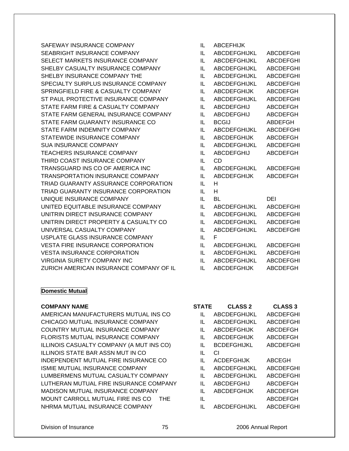SAFEWAY INSURANCE COMPANY SEABRIGHT INSURANCE COMPANY SELECT MARKETS INSURANCE COMPANY SHELBY CASUALTY INSURANCE COMPANY SHELBY INSURANCE COMPANY THE SPECIALTY SURPLUS INSURANCE COMPANY SPRINGFIELD FIRE & CASUALTY COMPANY ST PAUL PROTECTIVE INSURANCE COMPANY STATE FARM FIRE & CASUALTY COMPANY STATE FARM GENERAL INSURANCE COMPANY STATE FARM GUARANTY INSURANCE CO STATE FARM INDEMNITY COMPANY STATEWIDE INSURANCE COMPANY SUA INSURANCE COMPANY TEACHERS INSURANCE COMPANY THIRD COAST INSURANCE COMPANY TRANSGUARD INS CO OF AMERICA INC TRANSPORTATION INSURANCE COMPANY TRIAD GUARANTY ASSURANCE CORPORATION TRIAD GUARANTY INSURANCE CORPORATION UNIQUE INSURANCE COMPANY UNITED EQUITABLE INSURANCE COMPANY UNITRIN DIRECT INSURANCE COMPANY UNITRIN DIRECT PROPERTY & CASUALTY CO UNIVERSAL CASUALTY COMPANY USPLATE GLASS INSURANCE COMPANY VESTA FIRE INSURANCE CORPORATION VESTA INSURANCE CORPORATION VIRGINIA SURETY COMPANY INC ZURICH AMERICAN INSURANCE COMPANY OF IL

## **Domestic Mutual**

### **COMPANY NAME**

AMERICAN MANUFACTURERS MUTUAL INS CO CHICAGO MUTUAL INSURANCE COMPANY COUNTRY MUTUAL INSURANCE COMPANY FLORISTS MUTUAL INSURANCE COMPANY ILLINOIS CASUALTY COMPANY (A MUT INS CO) ILLINOIS STATE BAR ASSN MUT IN CO INDEPENDENT MUTUAL FIRE INSURANCE CO ISMIE MUTUAL INSURANCE COMPANY LUMBERMENS MUTUAL CASUALTY COMPANY LUTHERAN MUTUAL FIRE INSURANCE COMPANY MADISON MUTUAL INSURANCE COMPANY MOUNT CARROLL MUTUAL FIRE INS CO THE NHRMA MUTUAL INSURANCE COMPANY

| IL | <b>ABCEFHIJK</b>    |                  |
|----|---------------------|------------------|
| IL | <b>ABCDEFGHIJKL</b> | <b>ABCDEFGHI</b> |
| IL | <b>ABCDEFGHIJKL</b> | <b>ABCDEFGHI</b> |
| IL | <b>ABCDEFGHIJKL</b> | <b>ABCDEFGHI</b> |
| IL | <b>ABCDEFGHIJKL</b> | <b>ABCDEFGHI</b> |
| IL | <b>ABCDEFGHIJKL</b> | <b>ABCDEFGHI</b> |
| IL | <b>ABCDEFGHIJK</b>  | <b>ABCDEFGH</b>  |
| IL | <b>ABCDEFGHIJKL</b> | <b>ABCDEFGHI</b> |
| IL | <b>ABCDEFGHIJ</b>   | <b>ABCDEFGH</b>  |
| IL | <b>ABCDEFGHIJ</b>   | <b>ABCDEFGH</b>  |
| IL | <b>BCGIJ</b>        | <b>ABDEFGH</b>   |
| IL | ABCDEFGHIJKL        | <b>ABCDEFGHI</b> |
| IL | <b>ABCDEFGHIJK</b>  | <b>ABCDEFGH</b>  |
| IL | <b>ABCDEFGHIJKL</b> | <b>ABCDEFGHI</b> |
| IL | <b>ABCDEFGHIJ</b>   | <b>ABCDEFGH</b>  |
| IL | CD                  |                  |
| IL | <b>ABCDEFGHIJKL</b> | <b>ABCDEFGHI</b> |
| IL | <b>ABCDEFGHIJK</b>  | <b>ABCDEFGH</b>  |
| IL | н                   |                  |
| IL | н                   |                  |
| IL | BL                  | DEI              |
| IL | ABCDEFGHIJKL        | <b>ABCDEFGHI</b> |
| IL | <b>ABCDEFGHIJKL</b> | <b>ABCDEFGHI</b> |
| IL | <b>ABCDEFGHIJKL</b> | <b>ABCDEFGHI</b> |
| IL | <b>ABCDEFGHIJKL</b> | <b>ABCDEFGHI</b> |
| IL | F                   |                  |
| IL | <b>ABCDEFGHIJKL</b> | <b>ABCDEFGHI</b> |
| IL | <b>ABCDEFGHIJKL</b> | <b>ABCDEFGHI</b> |
| IL | <b>ABCDEFGHIJKL</b> | <b>ABCDEFGHI</b> |
| IL | <b>ABCDEFGHIJK</b>  | <b>ABCDEFGH</b>  |

| STATE | <b>CLASS 2</b>      | <b>CLASS 3</b> |
|-------|---------------------|----------------|
| Ш.    | <b>ABCDEFGHIJKL</b> | ABCDEFGHI      |
| н.    | <b>ABCDEFGHIJKL</b> | ABCDEFGHI      |
| IL    | <b>ABCDEFGHIJK</b>  | ABCDEFGH       |
| Ш.    | <b>ABCDEFGHIJK</b>  | ABCDEFGH       |
| Ш.    | <b>BCDEFGHIJKL</b>  | ABCDEFGHI      |
| Ш.    | СI                  |                |
| Ш.    | <b>ACDEFGHIJK</b>   | ABCEGH         |
| Ш.    | <b>ABCDEFGHIJKL</b> | ABCDEFGHI      |
| Ш.    | <b>ABCDEFGHIJKL</b> | ABCDEFGHI      |
| Ш.    | <b>ABCDEFGHIJ</b>   | ABCDEFGH       |
| Ш.    | <b>ABCDEFGHIJK</b>  | ABCDEFGH       |
| Н.    |                     | ABCDEFGH       |
|       | <b>ABCDEFGHIJKL</b> | ABCDEFGHI      |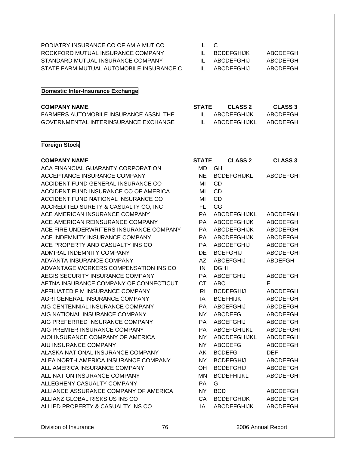| PODIATRY INSURANCE CO OF AM A MUT CO     | IL C         |            |          |
|------------------------------------------|--------------|------------|----------|
| ROCKFORD MUTUAL INSURANCE COMPANY        | $\mathbf{H}$ | BCDFFGHLIK | ABCDEFGH |
| STANDARD MUTUAL INSURANCE COMPANY        | $\mathbf{H}$ | ABCDEEGHIJ | ABCDEEGH |
| STATE FARM MUTUAL AUTOMOBILE INSURANCE C |              | ABCDEFGHIJ | ABCDEFGH |

### **Domestic Inter-Insurance Exchange**

| <b>COMPANY NAME</b>                   | <b>STATE</b> | CLASS 2      | <b>CLASS 3</b> |
|---------------------------------------|--------------|--------------|----------------|
| FARMERS AUTOMOBILE INSURANCE ASSN THE |              | ABCDEFGHIJK  | ABCDEFGH       |
| GOVERNMENTAL INTERINSURANCE EXCHANGE  |              | ABCDEFGHIJKL | ABCDEFGH       |

### **Foreign Stock**

#### **COMPANY NAME**

ACA FINANCIAL GUARANTY CORPORATION ACCEPTANCE INSURANCE COMPANY ACCIDENT FUND GENERAL INSURANCE CO ACCIDENT FUND INSURANCE CO OF AMERICA ACCIDENT FUND NATIONAL INSURANCE CO ACCREDITED SURETY & CASUALTY CO, INC ACE AMERICAN INSURANCE COMPANY ACE AMERICAN REINSURANCE COMPANY ACE FIRE UNDERWRITERS INSURANCE COMPANY ACE INDEMNITY INSURANCE COMPANY ACE PROPERTY AND CASUALTY INS CO ADMIRAL INDEMNITY COMPANY ADVANTA INSURANCE COMPANY ADVANTAGE WORKERS COMPENSATION INS CO AEGIS SECURITY INSURANCE COMPANY AETNA INSURANCE COMPANY OF CONNECTICUT AFFILIATED F M INSURANCE COMPANY AGRI GENERAL INSURANCE COMPANY AIG CENTENNIAL INSURANCE COMPANY AIG NATIONAL INSURANCE COMPANY AIG PREFERRED INSURANCE COMPANY AIG PREMIER INSURANCE COMPANY AIOI INSURANCE COMPANY OF AMERICA AIU INSURANCE COMPANY ALASKA NATIONAL INSURANCE COMPANY ALEA NORTH AMERICA INSURANCE COMPANY ALL AMERICA INSURANCE COMPANY ALL NATION INSURANCE COMPANY ALLEGHENY CASUALTY COMPANY ALLIANCE ASSURANCE COMPANY OF AMERICA ALLIANZ GLOBAL RISKS US INS CO ALLIED PROPERTY & CASUALTY INS CO ALLIED IA ABCDEFGHIJK ABCDEFGH

| <b>STATE</b>   | <b>CLASS 2</b>         | <b>CLASS 3</b>   |
|----------------|------------------------|------------------|
| MD             | GHI                    |                  |
| NE.            | <b>BCDEFGHIJKL</b>     | <b>ABCDEFGHI</b> |
| MI             | <b>CD</b>              |                  |
| MI             | <b>CD</b>              |                  |
| MI             | <b>CD</b>              |                  |
| FL.            | CG                     |                  |
| PA             | ABCDEFGHIJKL           | <b>ABCDEFGHI</b> |
| <b>PA</b>      | <b>ABCDEFGHIJK</b>     | ABCDEFGH         |
| PA             | ABCDEFGHIJK            | <b>ABCDEFGH</b>  |
| PA             | <b>ABCDEFGHIJK</b>     | <b>ABCDEFGH</b>  |
| <b>PA</b>      | ABCDEFGHIJ             | <b>ABCDEFGH</b>  |
| DE             | <b>BCEFGHIJ</b>        | <b>ABCDEFGHI</b> |
| AZ.            | ABCEFGHIJ              | ABDEFGH          |
| <b>IN</b>      | <b>DGHI</b>            |                  |
| <b>PA</b>      | <b>ABCEFGHIJ</b>       | <b>ABCDEFGH</b>  |
| <b>CT</b>      | <b>ABC</b>             | F                |
| R <sub>1</sub> | <b>BCDEFGHIJ</b>       | <b>ABCDEFGH</b>  |
| IA             | <b>BCEFHIJK</b>        | <b>ABCDEFGH</b>  |
| PA             | <b>ABCEFGHIJ</b>       | <b>ABCDEFGH</b>  |
| NY .           | <b>ABCDEFG</b>         | ABCDEFGH         |
| <b>PA</b>      | <b>ABCEFGHIJ</b>       | <b>ABCDEFGH</b>  |
| PA             | <b>ABCEFGHIJKL</b>     | <b>ABCDEFGHI</b> |
| <b>NY</b>      | ABCDEFGHIJKL           | <b>ABCDEFGHI</b> |
| <b>NY</b>      | <b>ABCDEFG</b>         | <b>ABCDEFGH</b>  |
| AK             | <b>BCDEFG</b>          | <b>DEF</b>       |
| NY.            | <b>BCDEFGHIJ</b>       | <b>ABCDEFGH</b>  |
| OH             | <b>BCDEFGHIJ</b>       | ABCDEFGH         |
| MN             | <b>BCDEFHIJKL</b>      | <b>ABCDEFGHI</b> |
| PA             | G                      |                  |
| <b>NY</b>      | <b>BCD</b>             | ABCDEFGH         |
| CA             | <b>BCDEFGHIJK</b>      | <b>ABCDEFGH</b>  |
| $\overline{1}$ | $\Lambda$ DODEEOLILIIZ | ADOPFCHI         |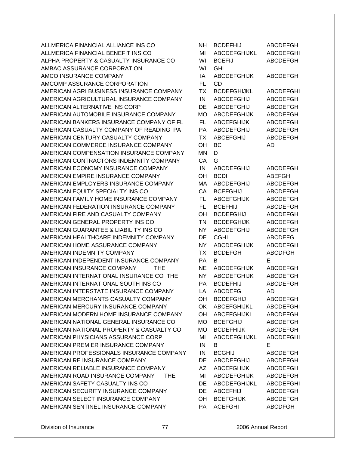ALLMERICA FINANCIAL ALLIANCE INS CO ALLMERICA FINANCIAL BENEFIT INS CO ALPHA PROPERTY & CASUALTY INSURANCE CO AMBAC ASSURANCE CORPORATION AMCO INSURANCE COMPANY AMCOMP ASSURANCE CORPORATION AMERICAN AGRI BUSINESS INSURANCE COMPANY AMERICAN AGRICULTURAL INSURANCE COMPANY AMERICAN ALTERNATIVE INS CORP AMERICAN AUTOMOBILE INSURANCE COMPANY AMERICAN BANKERS INSURANCE COMPANY OF FL AMERICAN CASUALTY COMPANY OF READING PA AMERICAN CENTURY CASUALTY COMPANY AMERICAN COMMERCE INSURANCE COMPANY AMERICAN COMPENSATION INSURANCE COMPANY AMERICAN CONTRACTORS INDEMNITY COMPANY AMERICAN ECONOMY INSURANCE COMPANY AMERICAN EMPIRE INSURANCE COMPANY AMERICAN EMPLOYERS INSURANCE COMPANY AMERICAN EQUITY SPECIALTY INS CO AMERICAN FAMILY HOME INSURANCE COMPANY AMERICAN FEDERATION INSURANCE COMPANY AMERICAN FIRE AND CASUALTY COMPANY AMERICAN GENERAL PROPERTY INS CO AMERICAN GUARANTEE & LIABILITY INS CO AMERICAN HEALTHCARE INDEMNITY COMPANY AMERICAN HOME ASSURANCE COMPANY AMERICAN INDEMNITY COMPANY AMERICAN INDEPENDENT INSURANCE COMPANY AMERICAN INSURANCE COMPANY THE AMERICAN INTERNATIONAL INSURANCE CO THE AMERICAN INTERNATIONAL SOUTH INS CO AMERICAN INTERSTATE INSURANCE COMPANY AMERICAN MERCHANTS CASUALTY COMPANY AMERICAN MERCURY INSURANCE COMPANY AMERICAN MODERN HOME INSURANCE COMPANY AMERICAN NATIONAL GENERAL INSURANCE CO AMERICAN NATIONAL PROPERTY & CASUALTY CO AMERICAN PHYSICIANS ASSURANCE CORP AMERICAN PREMIER INSURANCE COMPANY AMERICAN PROFESSIONALS INSURANCE COMPANY AMERICAN RE INSURANCE COMPANY AMERICAN RELIABLE INSURANCE COMPANY AMERICAN ROAD INSURANCE COMPANY THE AMERICAN SAFETY CASUALTY INS CO AMERICAN SECURITY INSURANCE COMPANY AMERICAN SELECT INSURANCE COMPANY AMERICAN SENTINEL INSURANCE COMPANY

| NΗ        | <b>BCDEFHIJ</b>     | <b>ABCDEFGH</b>  |
|-----------|---------------------|------------------|
| MI        | <b>ABCDEFGHIJKL</b> | <b>ABCDEFGHI</b> |
| WI        | <b>BCEFIJ</b>       | <b>ABCDEFGH</b>  |
| WI        | <b>GHI</b>          |                  |
| IA        | <b>ABCDEFGHIJK</b>  | <b>ABCDEFGH</b>  |
| <b>FL</b> | <b>CD</b>           |                  |
| <b>TX</b> | <b>BCDEFGHIJKL</b>  | <b>ABCDEFGHI</b> |
| IN        | <b>ABCDEFGHIJ</b>   | <b>ABCDEFGH</b>  |
| DE        | <b>ABCDEFGHIJ</b>   | <b>ABCDEFGH</b>  |
| <b>MO</b> | <b>ABCDEFGHIJK</b>  | <b>ABCDEFGH</b>  |
| FL.       | <b>ABCEFGHIJK</b>   |                  |
|           |                     | <b>ABCDEFGH</b>  |
| PA        | ABCDEFGHIJ          | <b>ABCDEFGH</b>  |
| ТX        | <b>ABCEFGHIJ</b>    | <b>ABCDEFGH</b>  |
| OH        | <b>BC</b>           | AD               |
| <b>MN</b> | D                   |                  |
| CA        | G                   |                  |
| IN        | <b>ABCDEFGHIJ</b>   | <b>ABCDEFGH</b>  |
| OH        | <b>BCDI</b>         | <b>ABEFGH</b>    |
| МA        | <b>ABCDEFGHIJ</b>   | <b>ABCDEFGH</b>  |
| CA        | <b>BCEFGHIJ</b>     | <b>ABCDEFGH</b>  |
| FL.       | <b>ABCEFGHIJK</b>   | <b>ABCDEFGH</b>  |
| FL.       | <b>BCEFHIJ</b>      | <b>ABCDEFGH</b>  |
| OH        | <b>BCDEFGHIJ</b>    | <b>ABCDEFGH</b>  |
| <b>TN</b> | <b>BCDEFGHIJK</b>   | <b>ABCDEFGH</b>  |
| <b>NY</b> | <b>ABCDEFGHIJ</b>   | <b>ABCDEFGH</b>  |
| DE        | <b>CGHI</b>         | <b>ABCDEFG</b>   |
| <b>NY</b> | <b>ABCDEFGHIJK</b>  | <b>ABCDEFGH</b>  |
| <b>TX</b> | <b>BCDEFGH</b>      | <b>ABCDFGH</b>   |
| <b>PA</b> | В                   | E                |
| <b>NE</b> | <b>ABCDEFGHIJK</b>  | <b>ABCDEFGH</b>  |
| <b>NY</b> | <b>ABCDEFGHIJK</b>  | <b>ABCDEFGH</b>  |
| PA        | <b>BCDEFHIJ</b>     | <b>ABCDEFGH</b>  |
|           |                     |                  |
| LA        | <b>ABCDEFG</b>      | AD               |
| OΗ        | BCDEFGHIJ           | <b>ABCDEFGH</b>  |
| OK        | ABCEFGHIJKL         | <b>ABCDEFGHI</b> |
| OH        | <b>ABCEFGHIJKL</b>  | <b>ABCDEFGH</b>  |
| <b>MO</b> | <b>BCEFGHIJ</b>     | <b>ABCDEFGH</b>  |
| MO        | <b>BCDEFHIJK</b>    | ABCDEFGH         |
| MI        | ABCDEFGHIJKL        | <b>ABCDEFGHI</b> |
| IN        | B                   | E                |
| IN        | <b>BCGHIJ</b>       | ABCDEFGH         |
| DE        | <b>ABCDEFGHIJ</b>   | <b>ABCDEFGH</b>  |
| AΖ        | <b>ABCEFGHIJK</b>   | <b>ABCDEFGH</b>  |
| MI        | <b>ABCDEFGHIJK</b>  | <b>ABCDEFGH</b>  |
| DE        | ABCDEFGHIJKL        | <b>ABCDEFGHI</b> |
| DE        | <b>ABCEFHIJ</b>     | <b>ABCDEFGH</b>  |
| ОH        | <b>BCEFGHIJK</b>    | ABCDEFGH         |
| PA        | <b>ACEFGHI</b>      | <b>ABCDFGH</b>   |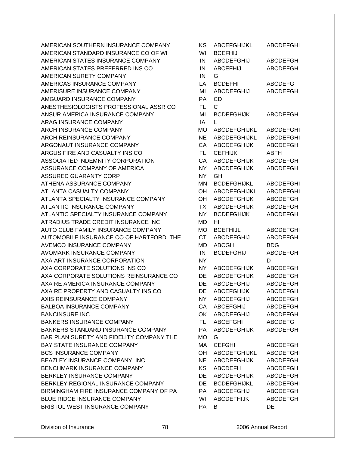AMERICAN SOUTHERN INSURANCE COMPANY AMERICAN STANDARD INSURANCE CO OF WI AMERICAN STATES INSURANCE COMPANY AMERICAN STATES PREFERRED INS CO AMERICAN SURETY COMPANY AMERICAS INSURANCE COMPANY AMERISURE INSURANCE COMPANY AMGUARD INSURANCE COMPANY ANESTHESIOLOGISTS PROFESSIONAL ASSR CO ANSUR AMERICA INSURANCE COMPANY ARAG INSURANCE COMPANY ARCH INSURANCE COMPANY ARCH REINSURANCE COMPANY ARGONAUT INSURANCE COMPANY ARGUS FIRE AND CASUALTY INS CO ASSOCIATED INDEMNITY CORPORATION ASSURANCE COMPANY OF AMERICA ASSURED GUARANTY CORP ATHENA ASSURANCE COMPANY ATLANTA CASUALTY COMPANY ATLANTA SPECIALTY INSURANCE COMPANY ATLANTIC INSURANCE COMPANY ATLANTIC SPECIALTY INSURANCE COMPANY ATRADIUS TRADE CREDIT INSURANCE INC AUTO CLUB FAMILY INSURANCE COMPANY AUTOMOBILE INSURANCE CO OF HARTFORD THE AVEMCO INSURANCE COMPANY AVOMARK INSURANCE COMPANY AXA ART INSURANCE CORPORATION AXA CORPORATE SOLUTIONS INS CO AXA CORPORATE SOLUTIONS REINSURANCE CO AXA RE AMERICA INSURANCE COMPANY AXA RE PROPERTY AND CASUALTY INS CO AXIS REINSURANCE COMPANY BALBOA INSURANCE COMPANY BANCINSURE INC BANKERS INSURANCE COMPANY BANKERS STANDARD INSURANCE COMPANY BAR PLAN SURETY AND FIDELITY COMPANY THE BAY STATE INSURANCE COMPANY BCS INSURANCE COMPANY BEAZLEY INSURANCE COMPANY, INC BENCHMARK INSURANCE COMPANY BERKLEY INSURANCE COMPANY BERKLEY REGIONAL INSURANCE COMPANY BIRMINGHAM FIRE INSURANCE COMPANY OF PA BLUE RIDGE INSURANCE COMPANY BRISTOL WEST INSURANCE COMPANY

| κs        | ABCEFGHIJKL         | <b>ABCDEFGHI</b> |
|-----------|---------------------|------------------|
| WI        | <b>BCEFHIJ</b>      |                  |
| IN        | <b>ABCDEFGHIJ</b>   | <b>ABCDEFGH</b>  |
| IN        | <b>ABCEFHIJ</b>     | ABCDEFGH         |
| IN        | G                   |                  |
| LA        | <b>BCDEFHI</b>      | <b>ABCDEFG</b>   |
| MI        | <b>ABCDEFGHIJ</b>   | <b>ABCDEFGH</b>  |
| PA        | <b>CD</b>           |                  |
| FL        | C.                  |                  |
| MI        |                     | <b>ABCDEFGH</b>  |
|           | <b>BCDEFGHIJK</b>   |                  |
| ΙA        | L                   |                  |
| МO        | ABCDEFGHIJKL        | <b>ABCDEFGHI</b> |
| <b>NE</b> | <b>ABCDEFGHIJKL</b> | <b>ABCDEFGHI</b> |
| CA        | <b>ABCDEFGHIJK</b>  | <b>ABCDEFGH</b>  |
| <b>FL</b> | <b>CEFHIJK</b>      | ABFH             |
| CA        | <b>ABCDEFGHIJK</b>  | <b>ABCDEFGH</b>  |
| <b>NY</b> | <b>ABCDEFGHIJK</b>  | <b>ABCDEFGH</b>  |
| NY.       | GH                  |                  |
| ΜN        | <b>BCDEFGHIJKL</b>  | <b>ABCDEFGHI</b> |
| ОH        | <b>ABCDEFGHIJKL</b> | <b>ABCDEFGHI</b> |
| OH        | <b>ABCDEFGHIJK</b>  | <b>ABCDEFGH</b>  |
| <b>TX</b> | <b>ABCDEFGHIJK</b>  | <b>ABCDEFGH</b>  |
| NΥ        | <b>BCDEFGHIJK</b>   | <b>ABCDEFGH</b>  |
| <b>MD</b> | ΗI                  |                  |
| <b>MO</b> | <b>BCEFHIJL</b>     | <b>ABCDEFGHI</b> |
| <b>CT</b> | <b>ABCDEFGHIJ</b>   | <b>ABCDEFGH</b>  |
| MD        | ABCGH               | BDG              |
| IN        | <b>BCDEFGHIJ</b>    | <b>ABCDEFGH</b>  |
| <b>NY</b> |                     | D                |
| NY.       | <b>ABCDEFGHIJK</b>  | <b>ABCDEFGH</b>  |
| DE        | <b>ABCDEFGHIJK</b>  | <b>ABCDEFGH</b>  |
|           |                     |                  |
| DE        | <b>ABCDEFGHIJ</b>   | <b>ABCDEFGH</b>  |
| DE        | <b>ABCEFGHIJK</b>   | <b>ABCDEFGH</b>  |
| <b>NY</b> | <b>ABCDEFGHIJ</b>   | <b>ABCDEFGH</b>  |
| CA        | <b>ABCEFGHIJ</b>    | <b>ABCDEFGH</b>  |
| <b>OK</b> | <b>ABCDEFGHIJ</b>   | <b>ABCDEFGH</b>  |
| FL.       | <b>ABCEFGHI</b>     | <b>ABCDEFG</b>   |
| PA        | <b>ABCDEFGHIJK</b>  | <b>ABCDEFGH</b>  |
| МO        | G                   |                  |
| MA        | <b>CEFGHI</b>       | <b>ABCDEFGH</b>  |
| OH        | ABCDEFGHIJKL        | <b>ABCDEFGHI</b> |
| <b>NE</b> | <b>ABCDEFGHIJK</b>  | <b>ABCDEFGH</b>  |
| <b>KS</b> | <b>ABCDEFH</b>      | <b>ABCDEFGH</b>  |
| DE        | <b>ABCDEFGHIJK</b>  | <b>ABCDEFGH</b>  |
| DE        | <b>BCDEFGHIJKL</b>  | <b>ABCDEFGHI</b> |
| РA        | <b>ABCDEFGHIJ</b>   | <b>ABCDEFGH</b>  |
| WI        | <b>ABCDEFHIJK</b>   | <b>ABCDEFGH</b>  |
| PA        | В                   | DE               |
|           |                     |                  |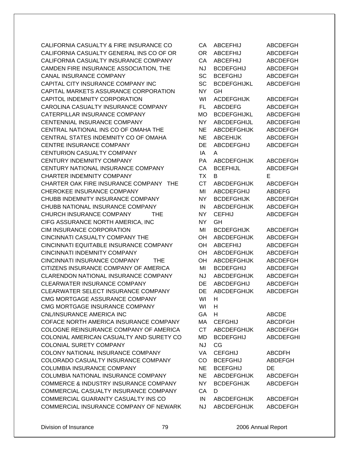CALIFORNIA CASUALTY & FIRE INSURANCE CO CALIFORNIA CASUALTY GENERAL INS CO OF OR CALIFORNIA CASUALTY INSURANCE COMPANY CAMDEN FIRE INSURANCE ASSOCIATION, THE CANAL INSURANCE COMPANY CAPITAL CITY INSURANCE COMPANY INC CAPITAL MARKETS ASSURANCE CORPORATION CAPITOL INDEMNITY CORPORATION CAROLINA CASUALTY INSURANCE COMPANY CATERPILLAR INSURANCE COMPANY CENTENNIAL INSURANCE COMPANY CENTRAL NATIONAL INS CO OF OMAHA THE CENTRAL STATES INDEMNITY CO OF OMAHA CENTRE INSURANCE COMPANY **CENTURION CASUALTY COMPANY** CENTURY INDEMNITY COMPANY CENTURY NATIONAL INSURANCE COMPANY CHARTER INDEMNITY COMPANY CHARTER OAK FIRE INSURANCE COMPANY THE CHEROKEE INSURANCE COMPANY CHUBB INDEMNITY INSURANCE COMPANY CHUBB NATIONAL INSURANCE COMPANY CHURCH INSURANCE COMPANY THE CIFG ASSURANCE NORTH AMERICA, INC. CIM INSURANCE CORPORATION CINCINNATI CASUALTY COMPANY THE CINCINNATI EQUITABLE INSURANCE COMPANY CINCINNATI INDEMNITY COMPANY CINCINNATI INSURANCE COMPANY THE CITIZENS INSURANCE COMPANY OF AMERICA CLARENDON NATIONAL INSURANCE COMPANY CLEARWATER INSURANCE COMPANY CLEARWATER SELECT INSURANCE COMPANY CMG MORTGAGE ASSURANCE COMPANY CMG MORTGAGE INSURANCE COMPANY CNL/INSURANCE AMERICA INC COFACE NORTH AMERICA INSURANCE COMPANY COLOGNE REINSURANCE COMPANY OF AMERICA COLONIAL AMERICAN CASUALTY AND SURETY CO COLONIAL SURETY COMPANY COLONY NATIONAL INSURANCE COMPANY COLORADO CASUALTY INSURANCE COMPANY COLUMBIA INSURANCE COMPANY COLUMBIA NATIONAL INSURANCE COMPANY COMMERCE & INDUSTRY INSURANCE COMPANY COMMERCIAL CASUALTY INSURANCE COMPANY COMMERCIAL GUARANTY CASUALTY INS CO COMMERCIAL INSURANCE COMPANY OF NEWARK

| CA        | <b>ABCEFHIJ</b>    | <b>ABCDEFGH</b>  |
|-----------|--------------------|------------------|
| <b>OR</b> | <b>ABCEFHIJ</b>    | <b>ABCDEFGH</b>  |
| CA        | <b>ABCEFHIJ</b>    | <b>ABCDEFGH</b>  |
| <b>NJ</b> | <b>BCDEFGHIJ</b>   | <b>ABCDEFGH</b>  |
| <b>SC</b> | <b>BCEFGHIJ</b>    | <b>ABCDEFGH</b>  |
| <b>SC</b> | <b>BCDEFGHIJKL</b> | <b>ABCDEFGHI</b> |
| <b>NY</b> | GH                 |                  |
| WI        | <b>ACDEFGHIJK</b>  | <b>ABCDEFGH</b>  |
| <b>FL</b> | <b>ABCDEFG</b>     | <b>ABCDEFGH</b>  |
| <b>MO</b> | <b>BCDEFGHIJKL</b> | <b>ABCDEFGHI</b> |
| <b>NY</b> | <b>ABCDEFGHIJL</b> | <b>ABCDEFGHI</b> |
| <b>NE</b> | <b>ABCDEFGHIJK</b> | <b>ABCDEFGH</b>  |
| <b>NE</b> | <b>ABCEHIJK</b>    | <b>ABCDEFGH</b>  |
| DE        | <b>ABCDEFGHIJ</b>  | <b>ABCDEFGH</b>  |
| IA        | A                  |                  |
| PA        | <b>ABCDEFGHIJK</b> | <b>ABCDEFGH</b>  |
| CA        | <b>BCEFHIJL</b>    | <b>ABCDEFGH</b>  |
| <b>TX</b> | B                  | Е                |
| <b>CT</b> | <b>ABCDEFGHIJK</b> |                  |
| MI        | <b>ABCDEFGHIJ</b>  | <b>ABCDEFGH</b>  |
| <b>NY</b> |                    | <b>ABDEFG</b>    |
|           | <b>BCDEFGHIJK</b>  | <b>ABCDEFGH</b>  |
| IN        | <b>ABCDEFGHIJK</b> | <b>ABCDEFGH</b>  |
| <b>NY</b> | <b>CEFHIJ</b>      | <b>ABCDEFGH</b>  |
| <b>NY</b> | GH                 |                  |
| MI        | <b>BCDEFGHIJK</b>  | <b>ABCDEFGH</b>  |
| OH        | <b>ABCDEFGHIJK</b> | <b>ABCDEFGH</b>  |
| OH        | <b>ABCEFHIJ</b>    | <b>ABCDEFGH</b>  |
| OH        | <b>ABCDEFGHIJK</b> | <b>ABCDEFGH</b>  |
| OH        | <b>ABCDEFGHIJK</b> | <b>ABCDEFGH</b>  |
| MI        | <b>BCDEFGHIJ</b>   | <b>ABCDEFGH</b>  |
| <b>NJ</b> | <b>ABCDEFGHIJK</b> | <b>ABCDEFGH</b>  |
| DE        | <b>ABCDEFGHIJ</b>  | <b>ABCDEFGH</b>  |
| DE        | <b>ABCDEFGHIJK</b> | <b>ABCDEFGH</b>  |
| WI        | H.                 |                  |
| WI        | н                  |                  |
| GA        | H                  | <b>ABCDE</b>     |
| МA        | <b>CEFGHIJ</b>     | <b>ABCDFGH</b>   |
| <b>CT</b> | <b>ABCDEFGHIJK</b> | <b>ABCDEFGH</b>  |
| MD        | <b>BCDEFGHIJ</b>   | <b>ABCDEFGHI</b> |
| <b>NJ</b> | CG                 |                  |
| <b>VA</b> | <b>CEFGHIJ</b>     | <b>ABCDFH</b>    |
| CO        | <b>BCEFGHIJ</b>    | <b>ABDEFGH</b>   |
| <b>NE</b> | <b>BCEFGHIJ</b>    | DE               |
| NE        | ABCDEFGHIJK        | <b>ABCDEFGH</b>  |
| NY.       | <b>BCDEFGHIJK</b>  | <b>ABCDEFGH</b>  |
| CA        | D                  |                  |
| IN.       | <b>ABCDEFGHIJK</b> | <b>ABCDEFGH</b>  |
| NJ        | <b>ABCDEFGHIJK</b> | <b>ABCDEFGH</b>  |
|           |                    |                  |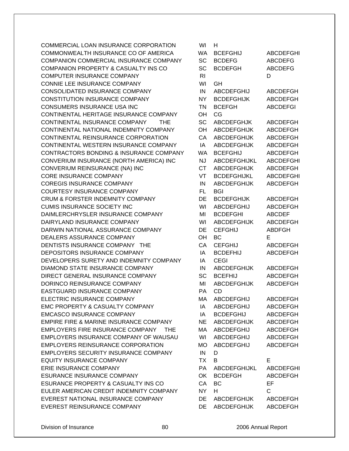COMMERCIAL LOAN INSURANCE CORPORATION COMMONWEALTH INSURANCE CO OF AMERICA COMPANION COMMERCIAL INSURANCE COMPANY COMPANION PROPERTY & CASUALTY INS CO COMPUTER INSURANCE COMPANY CONNIE LEE INSURANCE COMPANY CONSOLIDATED INSURANCE COMPANY CONSTITUTION INSURANCE COMPANY CONSUMERS INSURANCE USA INC CONTINENTAL HERITAGE INSURANCE COMPANY CONTINENTAL INSURANCE COMPANY THE CONTINENTAL NATIONAL INDEMNITY COMPANY CONTINENTAL REINSURANCE CORPORATION CONTINENTAL WESTERN INSURANCE COMPANY CONTRACTORS BONDING & INSURANCE COMPANY CONVERIUM INSURANCE (NORTH AMERICA) INC CONVERIUM REINSURANCE (NA) INC CORE INSURANCE COMPANY COREGIS INSURANCE COMPANY COURTESY INSURANCE COMPANY CRUM & FORSTER INDEMNITY COMPANY CUMIS INSURANCE SOCIETY INC DAIMLERCHRYSLER INSURANCE COMPANY DAIRYLAND INSURANCE COMPANY DARWIN NATIONAL ASSURANCE COMPANY DEALERS ASSURANCE COMPANY DENTISTS INSURANCE COMPANY THE DEPOSITORS INSURANCE COMPANY DEVELOPERS SURETY AND INDEMNITY COMPANY DIAMOND STATE INSURANCE COMPANY DIRECT GENERAL INSURANCE COMPANY DORINCO REINSURANCE COMPANY EASTGUARD INSURANCE COMPANY ELECTRIC INSURANCE COMPANY EMC PROPERTY & CASUALTY COMPANY EMCASCO INSURANCE COMPANY EMPIRE FIRE & MARINE INSURANCE COMPANY EMPLOYERS FIRE INSURANCE COMPANY THE EMPLOYERS INSURANCE COMPANY OF WAUSAU EMPLOYERS REINSURANCE CORPORATION EMPLOYERS SECURITY INSURANCE COMPANY EQUITY INSURANCE COMPANY ERIE INSURANCE COMPANY ESURANCE INSURANCE COMPANY ESURANCE PROPERTY & CASUALTY INS CO EULER AMERICAN CREDIT INDEMNITY COMPANY EVEREST NATIONAL INSURANCE COMPANY EVEREST REINSURANCE COMPANY

| wı             | н                   |                  |
|----------------|---------------------|------------------|
| <b>WA</b>      | <b>BCEFGHIJ</b>     | <b>ABCDEFGHI</b> |
| SC             | <b>BCDEFG</b>       | <b>ABCDEFG</b>   |
| SC             | <b>BCDEFGH</b>      | <b>ABCDEFG</b>   |
| R <sub>l</sub> |                     | D                |
| WI             | GH                  |                  |
| IN             | <b>ABCDEFGHIJ</b>   | <b>ABCDEFGH</b>  |
|                |                     |                  |
| <b>NY</b>      | <b>BCDEFGHIJK</b>   | <b>ABCDEFGH</b>  |
| <b>TN</b>      | <b>BCEFGH</b>       | <b>ABCDEFGI</b>  |
| OH             | CG.                 |                  |
| <b>SC</b>      | <b>ABCDEFGHJK</b>   | ABCDEFGH         |
| OH             | <b>ABCDEFGHIJK</b>  | <b>ABCDEFGH</b>  |
| CA             | <b>ABCDEFGHIJK</b>  | <b>ABCDEFGH</b>  |
| IA             | <b>ABCDEFGHIJK</b>  | <b>ABCDEFGH</b>  |
| <b>WA</b>      | <b>BCEFGHIJ</b>     | ABCDEFGH         |
| <b>NJ</b>      | <b>ABCDEFGHIJKL</b> | <b>ABCDEFGHI</b> |
| <b>CT</b>      | <b>ABCDEFGHIJK</b>  | ABCDEFGH         |
| VT             | <b>BCDEFGHIJKL</b>  | <b>ABCDEFGHI</b> |
| IN             | <b>ABCDEFGHIJK</b>  | <b>ABCDEFGH</b>  |
| FL             | <b>BGI</b>          |                  |
| DE             | <b>BCDEFGHIJK</b>   | <b>ABCDEFGH</b>  |
|                |                     |                  |
| WI             | ABCDEFGHIJ          | <b>ABCDEFGH</b>  |
| MI             | <b>BCDEFGHI</b>     | <b>ABCDEF</b>    |
| WI             | ABCDEFGHIJK         | <b>ABCDEFGH</b>  |
| DE             | <b>CEFGHIJ</b>      | <b>ABDFGH</b>    |
| OH             | ВC                  | Е                |
| CA             | <b>CEFGHIJ</b>      | <b>ABCDEFGH</b>  |
| IA             | <b>BCDEFHIJ</b>     | <b>ABCDEFGH</b>  |
| IA             | <b>CEGI</b>         |                  |
| IN             | <b>ABCDEFGHIJK</b>  | ABCDEFGH         |
| SC             | <b>BCEFHIJ</b>      | <b>ABCDEFGH</b>  |
| MI             | <b>ABCDEFGHIJK</b>  | <b>ABCDEFGH</b>  |
| PA             | CD                  |                  |
| MA             | ABCDEFGHIJ          | ABCDEFGH         |
| IA             | ABCDEFGHIJ          | <b>ABCDEFGH</b>  |
| IA             | <b>BCDEFGHIJ</b>    | <b>ABCDEFGH</b>  |
| <b>NE</b>      | <b>ABCDEFGHIJK</b>  | <b>ABCDEFGH</b>  |
|                |                     |                  |
| МA             | <b>ABCDEFGHIJ</b>   | <b>ABCDEFGH</b>  |
| WI             | <b>ABCDEFGHIJ</b>   | <b>ABCDEFGH</b>  |
| МO             | <b>ABCDEFGHIJ</b>   | <b>ABCDEFGH</b>  |
| IN             | D                   |                  |
| <b>TX</b>      | B                   | Е                |
| PA             | ABCDEFGHIJKL        | <b>ABCDEFGHI</b> |
| OK             | <b>BCDEFGH</b>      | <b>ABCDEFGH</b>  |
| CA             | BC                  | EF               |
| <b>NY</b>      | н                   | C                |
| DE             | <b>ABCDEFGHIJK</b>  | <b>ABCDEFGH</b>  |
| DE             | <b>ABCDEFGHIJK</b>  | <b>ABCDEFGH</b>  |
|                |                     |                  |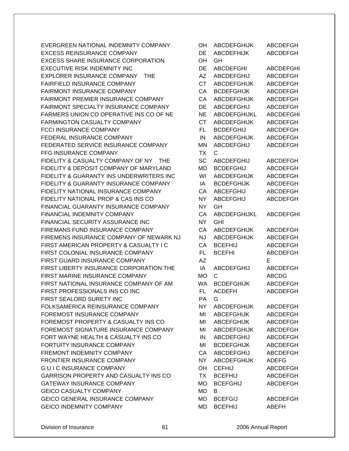EVERGREEN NATIONAL INDEMNITY COMPANY EXCESS REINSURANCE COMPANY EXCESS SHARE INSURANCE CORPORATION EXECUTIVE RISK INDEMNITY INC EXPLORER INSURANCE COMPANY THE FAIRFIELD INSURANCE COMPANY FAIRMONT INSURANCE COMPANY FAIRMONT PREMIER INSURANCE COMPANY FAIRMONT SPECIALTY INSURANCE COMPANY FARMERS UNION CO OPERATIVE INS CO OF NE FARMINGTON CASUALTY COMPANY FCCI INSURANCE COMPANY FEDERAL INSURANCE COMPANY FEDERATED SERVICE INSURANCE COMPANY **FFG INSURANCE COMPANY** FIDELITY & CASUALTY COMPANY OF NY THE FIDELITY & DEPOSIT COMPANY OF MARYLAND FIDELITY & GUARANTY INS UNDERWRITERS INC FIDELITY & GUARANTY INSURANCE COMPANY FIDELITY NATIONAL INSURANCE COMPANY FIDELITY NATIONAL PROP & CAS INS CO FINANCIAL GUARANTY INSURANCE COMPANY FINANCIAL INDEMNITY COMPANY FINANCIAL SECURITY ASSURANCE INC FIREMANS FUND INSURANCE COMPANY FIREMENS INSURANCE COMPANY OF NEWARK NJ FIRST AMERICAN PROPERTY & CASUALTY I C FIRST COLONIAL INSURANCE COMPANY FIRST GUARD INSURANCE COMPANY FIRST LIBERTY INSURANCE CORPORATION THE FIRST MARINE INSURANCE COMPANY FIRST NATIONAL INSURANCE COMPANY OF AM FIRST PROFESSIONALS INS CO INC FIRST SEALORD SURETY INC FOLKSAMERICA REINSURANCE COMPANY FOREMOST INSURANCE COMPANY FOREMOST PROPERTY & CASUALTY INS CO FOREMOST SIGNATURE INSURANCE COMPANY FORT WAYNE HEALTH & CASUALTY INS CO FORTUITY INSURANCE COMPANY FREMONT INDEMNITY COMPANY FRONTIER INSURANCE COMPANY G U I C INSURANCE COMPANY GARRISON PROPERTY AND CASUALTY INS CO GATEWAY INSURANCE COMPANY **GEICO CASUALTY COMPANY** GEICO GENERAL INSURANCE COMPANY GEICO INDEMNITY COMPANY

| OH        | <b>ABCDEFGHIJK</b> | <b>ABCDEFGH</b>  |
|-----------|--------------------|------------------|
| DE        | <b>ABCDEFHIJK</b>  | <b>ABCDEFGH</b>  |
| OH        | GH.                |                  |
| DE        | <b>ABCDEFGHI</b>   | <b>ABCDEFGHI</b> |
| <b>AZ</b> | <b>ABCDEFGHIJ</b>  | <b>ABCDEFGH</b>  |
| <b>CT</b> | <b>ABCDEFGHIJK</b> | <b>ABCDEFGH</b>  |
| CA        | <b>BCDEFGHIJK</b>  | <b>ABCDEFGH</b>  |
| CA        | <b>ABCDEFGHIJK</b> | <b>ABCDEFGH</b>  |
| DE        | <b>ABCDEFGHIJ</b>  | <b>ABCDEFGH</b>  |
| <b>NE</b> | ABCDEFGHIJKL       | <b>ABCDEFGHI</b> |
| <b>CT</b> | <b>ABCDEFGHIJK</b> | <b>ABCDEFGH</b>  |
| <b>FL</b> | <b>BCDEFGHIJ</b>   | <b>ABCDEFGH</b>  |
| IN        | <b>ABCDEFGHIJK</b> | <b>ABCDEFGH</b>  |
| <b>MN</b> | <b>ABCDEFGHIJ</b>  | <b>ABCDEFGH</b>  |
| <b>TX</b> | С                  |                  |
|           |                    |                  |
| SC        | <b>ABCDEFGHIJ</b>  | <b>ABCDEFGH</b>  |
| <b>MD</b> | <b>BCDEFGHIJ</b>   | <b>ABCDEFGH</b>  |
| WI        | <b>ABCDEFGHIJK</b> | <b>ABCDEFGH</b>  |
| IA        | <b>BCDEFGHIJK</b>  | <b>ABCDEFGH</b>  |
| CA        | <b>ABCEFGHIJ</b>   | <b>ABCDEFGH</b>  |
| <b>NY</b> | <b>ABCEFGHIJ</b>   | <b>ABCDEFGH</b>  |
| <b>NY</b> | GH                 |                  |
| CA        | ABCDEFGHIJKL       | <b>ABCDEFGHI</b> |
| <b>NY</b> | <b>GHI</b>         |                  |
| CA        | <b>ABCDEFGHIJK</b> | <b>ABCDEFGH</b>  |
| <b>NJ</b> | <b>ABCDEFGHIJK</b> | <b>ABCDEFGH</b>  |
| CA        | <b>BCEFHIJ</b>     | <b>ABCDEFGH</b>  |
| <b>FL</b> | <b>BCEFHI</b>      | <b>ABCDEFGH</b>  |
| <b>AZ</b> |                    | E                |
| IA        | <b>ABCDEFGHIJ</b>  | <b>ABCDEFGH</b>  |
| <b>MO</b> | C                  | <b>ABCDG</b>     |
| <b>WA</b> | <b>BCDEFGHIJK</b>  | <b>ABCDEFGH</b>  |
| <b>FL</b> | <b>ACDEFH</b>      | <b>ABCDEFGH</b>  |
| РA        | G                  |                  |
| <b>NY</b> | ABCDEFGHIJK        | <b>ABCDEFGH</b>  |
| MI        | <b>ABCEFGHIJK</b>  | <b>ABCDEFGH</b>  |
| MI        | <b>ABCEFGHIJK</b>  | <b>ABCDEFGH</b>  |
| MI        | <b>ABCDEFGHIJK</b> | <b>ABCDEFGH</b>  |
| IN        | <b>ABCDEFGHIJ</b>  | <b>ABCDEFGH</b>  |
| MI        | <b>BCDEFGHIJK</b>  | <b>ABCDEFGH</b>  |
| CA        | ABCDEFGHIJ         | <b>ABCDEFGH</b>  |
| <b>NY</b> |                    |                  |
|           | <b>ABCDEFGHIJK</b> | <b>ADEFG</b>     |
| OH        | <b>CEFHIJ</b>      | <b>ABCDEFGH</b>  |
| <b>TX</b> | <b>BCEFHIJ</b>     | <b>ABCDEFGH</b>  |
| МO        | <b>BCEFGHIJ</b>    | <b>ABCDEFGH</b>  |
| MD        | B                  |                  |
| MD        | <b>BCEFGIJ</b>     | <b>ABCDEFGH</b>  |
| MD        | <b>BCEFHIJ</b>     | ABEFH            |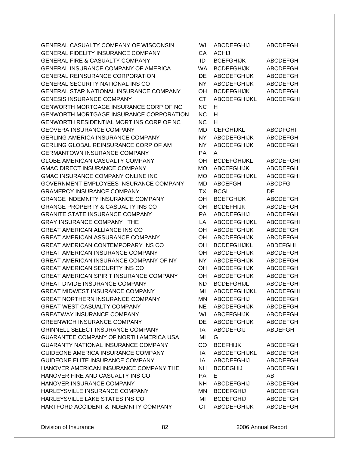GENERAL CASUALTY COMPANY OF WISCONSIN GENERAL FIDELITY INSURANCE COMPANY GENERAL FIRE & CASUALTY COMPANY GENERAL INSURANCE COMPANY OF AMERICA GENERAL REINSURANCE CORPORATION GENERAL SECURITY NATIONAL INS CO GENERAL STAR NATIONAL INSURANCE COMPANY GENESIS INSURANCE COMPANY GENWORTH MORTGAGE INSURANCE CORP OF NC GENWORTH MORTGAGE INSURANCE CORPORATION GENWORTH RESIDENTIAL MORT INS CORP OF NC GEOVERA INSURANCE COMPANY GERLING AMERICA INSURANCE COMPANY GERLING GLOBAL REINSURANCE CORP OF AM **GERMANTOWN INSURANCE COMPANY** GLOBE AMERICAN CASUALTY COMPANY GMAC DIRECT INSURANCE COMPANY GMAC INSURANCE COMPANY ONLINE INC GOVERNMENT EMPLOYEES INSURANCE COMPANY **GRAMERCY INSURANCE COMPANY** GRANGE INDEMNITY INSURANCE COMPANY GRANGE PROPERTY & CASUALTY INS CO GRANITE STATE INSURANCE COMPANY GRAY INSURANCE COMPANY THE GREAT AMERICAN ALLIANCE INS CO GREAT AMERICAN ASSURANCE COMPANY GREAT AMERICAN CONTEMPORARY INS CO GREAT AMERICAN INSURANCE COMPANY GREAT AMERICAN INSURANCE COMPANY OF NY GREAT AMERICAN SECURITY INS CO GREAT AMERICAN SPIRIT INSURANCE COMPANY GREAT DIVIDE INSURANCE COMPANY GREAT MIDWEST INSURANCE COMPANY GREAT NORTHERN INSURANCE COMPANY GREAT WEST CASUALTY COMPANY GREATWAY INSURANCE COMPANY GREENWICH INSURANCE COMPANY GRINNELL SELECT INSURANCE COMPANY GUARANTEE COMPANY OF NORTH AMERICA USA GUARANTY NATIONAL INSURANCE COMPANY GUIDEONE AMERICA INSURANCE COMPANY GUIDEONE ELITE INSURANCE COMPANY HANOVER AMERICAN INSURANCE COMPANY THE HANOVER FIRE AND CASUALTY INS CO HANOVER INSURANCE COMPANY HARLEYSVILLE INSURANCE COMPANY HARLEYSVILLE LAKE STATES INS CO HARTFORD ACCIDENT & INDEMNITY COMPANY

| WI        | ABCDEFGHIJ          | ABCDEFGH         |
|-----------|---------------------|------------------|
| CA        | <b>ACHIJ</b>        |                  |
| ID        | <b>BCEFGHIJK</b>    | ABCDEFGH         |
| WA        | <b>BCDEFGHIJK</b>   | <b>ABCDEFGH</b>  |
| DE        | <b>ABCDEFGHIJK</b>  | <b>ABCDEFGH</b>  |
| <b>NY</b> | <b>ABCDEFGHIJK</b>  | <b>ABCDEFGH</b>  |
| OH        | <b>BCDEFGHIJK</b>   | ABCDEFGH         |
| <b>CT</b> | ABCDEFGHIJKL        | <b>ABCDEFGHI</b> |
| <b>NC</b> | н                   |                  |
| <b>NC</b> | н                   |                  |
| <b>NC</b> | н                   |                  |
| MD        | <b>CEFGHIJKL</b>    | ABCDFGHI         |
| NΥ        | <b>ABCDEFGHIJK</b>  | <b>ABCDEFGH</b>  |
| <b>NY</b> | <b>ABCDEFGHIJK</b>  | <b>ABCDEFGH</b>  |
| <b>PA</b> | A                   |                  |
| OН        | <b>BCDEFGHIJKL</b>  | ABCDEFGHI        |
| МO        | <b>ABCEFGHIJK</b>   | <b>ABCDEFGH</b>  |
| <b>MO</b> | <b>ABCDEFGHIJKL</b> | <b>ABCDEFGHI</b> |
| MD        | <b>ABCEFGH</b>      | <b>ABCDFG</b>    |
| ТX        | <b>BCGI</b>         | DE               |
| OH        | <b>BCEFGHIJK</b>    | ABCDEFGH         |
| OH        | <b>BCDEFHIJK</b>    | <b>ABCDEFGH</b>  |
| <b>PA</b> | ABCDEFGHIJ          | <b>ABCDEFGH</b>  |
| LA        | <b>ABCDEFGHIJKL</b> | <b>ABCDEFGHI</b> |
| OН        | <b>ABCDEFGHIJK</b>  | <b>ABCDEFGH</b>  |
| OH        | <b>ABCDEFGHIJK</b>  | <b>ABCDEFGH</b>  |
| OH        | <b>BCDEFGHIJKL</b>  | ABDEFGHI         |
| OН        | <b>ABCDEFGHIJK</b>  | <b>ABCDEFGH</b>  |
| <b>NY</b> | <b>ABCDEFGHIJK</b>  | <b>ABCDEFGH</b>  |
| OH        | <b>ABCDEFGHIJK</b>  | <b>ABCDEFGH</b>  |
| OH        | <b>ABCDEFGHIJK</b>  | ABCDEFGH         |
| ND        | <b>BCDEFGHIJL</b>   |                  |
| MI        |                     | <b>ABCDEFGHI</b> |
|           | ABCDEFGHIJKL        | ABCDEFGHI        |
| ΜN        | ABCDEFGHIJ          | <b>ABCDEFGH</b>  |
| <b>NE</b> | <b>ABCDEFGHIJK</b>  | <b>ABCDEFGH</b>  |
| WI        | <b>ABCEFGHIJK</b>   | <b>ABCDEFGH</b>  |
| DE        | ABCDEFGHIJK         | <b>ABCDEFGH</b>  |
| IA        | <b>ABCDEFGIJ</b>    | ABDEFGH          |
| MI        | G                   |                  |
| CO        | <b>BCEFHIJK</b>     | <b>ABCDEFGH</b>  |
| IA        | ABCDEFGHIJKL        | ABCDEFGHI        |
| IA        | ABCDEFGHIJ          | ABCDEFGH         |
| <b>NH</b> | <b>BCDEGHIJ</b>     | <b>ABCDEFGH</b>  |
| <b>PA</b> | E.                  | AB.              |
| NH .      | ABCDEFGHIJ          | <b>ABCDEFGH</b>  |
| <b>MN</b> | <b>BCDEFGHIJ</b>    | ABCDEFGH         |
| MI        | <b>BCDEFGHIJ</b>    | ABCDEFGH         |
| CT        | <b>ARCDEFGHLIK</b>  | <b>ARCDEFGH</b>  |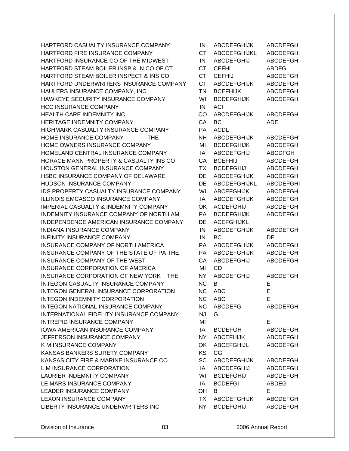HARTFORD CASUALTY INSURANCE COMPANY HARTFORD FIRE INSURANCE COMPANY HARTFORD INSURANCE CO OF THE MIDWEST HARTFORD STEAM BOILER INSP & IN CO OF CT HARTFORD STEAM BOILER INSPECT & INS CO HARTFORD UNDERWRITERS INSURANCE COMPANY HAULERS INSURANCE COMPANY, INC HAWKEYE SECURITY INSURANCE COMPANY **HCC INSURANCE COMPANY** HEALTH CARE INDEMNITY INC HERITAGE INDEMNITY COMPANY HIGHMARK CASUALTY INSURANCE COMPANY HOME INSURANCE COMPANY THE HOME OWNERS INSURANCE COMPANY HOMELAND CENTRAL INSURANCE COMPANY HORACE MANN PROPERTY & CASUALTY INS CO HOUSTON GENERAL INSURANCE COMPANY HSBC INSURANCE COMPANY OF DELAWARE HUDSON INSURANCE COMPANY IDS PROPERTY CASUALTY INSURANCE COMPANY **ILLINOIS EMCASCO INSURANCE COMPANY** IMPERIAL CASUALTY & INDEMNITY COMPANY INDEMNITY INSURANCE COMPANY OF NORTH AM INDEPENDENCE AMERICAN INSURANCE COMPANY INDIANA INSURANCE COMPANY **INFINITY INSURANCE COMPANY** INSURANCE COMPANY OF NORTH AMERICA INSURANCE COMPANY OF THE STATE OF PA THE INSURANCE COMPANY OF THE WEST INSURANCE CORPORATION OF AMERICA INSURANCE CORPORATION OF NEW YORK THE INTEGON CASUALTY INSURANCE COMPANY INTEGON GENERAL INSURANCE CORPORATION INTEGON INDEMNITY CORPORATION INTEGON NATIONAL INSURANCE COMPANY INTERNATIONAL FIDELITY INSURANCE COMPANY INTREPID INSURANCE COMPANY **IOWA AMERICAN INSURANCE COMPANY** JEFFERSON INSURANCE COMPANY K M INSURANCE COMPANY KANSAS BANKERS SURETY COMPANY KANSAS CITY FIRE & MARINE INSURANCE CO L M INSURANCE CORPORATION LAURIER INDEMNITY COMPANY LE MARS INSURANCE COMPANY LEADER INSURANCE COMPANY LEXON INSURANCE COMPANY LIBERTY INSURANCE UNDERWRITERS INC

| IN        | <b>ABCDEFGHIJK</b>  | ABCDEFGH         |
|-----------|---------------------|------------------|
| <b>CT</b> | <b>ABCDEFGHIJKL</b> | <b>ABCDEFGHI</b> |
| IN        | ABCDEFGHIJ          | <b>ABCDEFGH</b>  |
| <b>CT</b> | CEFHI               | <b>ABDFG</b>     |
| <b>CT</b> | <b>CEFHIJ</b>       | <b>ABCDEFGH</b>  |
| <b>CT</b> | <b>ABCDEFGHIJK</b>  | <b>ABCDEFGH</b>  |
| <b>TN</b> | <b>BCEFHIJK</b>     | <b>ABCDEFGH</b>  |
| WI        | <b>BCDEFGHIJK</b>   | <b>ABCDEFGH</b>  |
| IN        | ACI                 |                  |
| CO        | <b>ABCDEFGHIJK</b>  | <b>ABCDEFGH</b>  |
| СA        | BС                  | ADE              |
| РA        | <b>ACDL</b>         |                  |
| NΗ        | <b>ABCDEFGHIJK</b>  | <b>ABCDEFGH</b>  |
| MI        | <b>BCDEFGHIJK</b>   | <b>ABCDEFGH</b>  |
| IA        | ABCDEFGHIJ          | <b>ABCDFGH</b>   |
| CA        | <b>BCEFHIJ</b>      | <b>ABCDEFGH</b>  |
| ТX        | <b>BCDEFGHIJ</b>    | <b>ABCDEFGH</b>  |
| DE        | <b>ABCDEFGHIJK</b>  | <b>ABCDEFGH</b>  |
| DE        | ABCDEFGHIJKL        | <b>ABCDEFGHI</b> |
| WI        | <b>ABCEFGHIJK</b>   | <b>ABCDEFGHI</b> |
| IA        | <b>ABCDEFGHIJK</b>  | <b>ABCDEFGH</b>  |
| OK        | <b>ACDEFGHIJ</b>    | ABCDEFGH         |
| <b>PA</b> | <b>BCDEFGHIJK</b>   | <b>ABCDEFGH</b>  |
| DE        | <b>ACEFGHIJKL</b>   |                  |
| IN        | <b>ABCDEFGHIJK</b>  | <b>ABCDEFGH</b>  |
| IN        | BC                  | DE               |
| PA        | <b>ABCDEFGHIJK</b>  | <b>ABCDEFGH</b>  |
| PA        | <b>ABCDEFGHIJK</b>  | <b>ABCDEFGH</b>  |
| CA        | <b>ABCDEFGHIJ</b>   | <b>ABCDEFGH</b>  |
| MI        | CD                  |                  |
| NY        | <b>ABCDEFGHIJ</b>   | ABCDEFGH         |
| ΝC        | B.                  | E                |
| ΝC        | ABC                 | E                |
| ΝC        | ABC                 | E                |
| <b>NC</b> | ABCDEFG             | <b>ABCDEFGH</b>  |
| <b>NJ</b> | G                   |                  |
| MI        |                     | E                |
| IA        | <b>BCDEFGH</b>      | <b>ABCDEFGH</b>  |
| NY I      | ABCEFHIJK           | <b>ABCDEFGH</b>  |
| ОK        | ABCEFGHIJL          | <b>ABCDEFGHI</b> |
| <b>KS</b> | CG                  |                  |
| SC        | ABCDEFGHIJK         | <b>ABCDEFGH</b>  |
| IA        | <b>ABCDEFGHIJ</b>   | <b>ABCDEFGH</b>  |
| WI        | <b>BCDEFGHIJ</b>    | <b>ABCDEFGH</b>  |
| IA        | <b>BCDEFGI</b>      | <b>ABDEG</b>     |
| OH        | B                   | E                |
|           | TX ABCDEFGHIJK      | <b>ABCDEFGH</b>  |
| NY L      | <b>BCDEFGHIJ</b>    | <b>ABCDEFGH</b>  |
|           |                     |                  |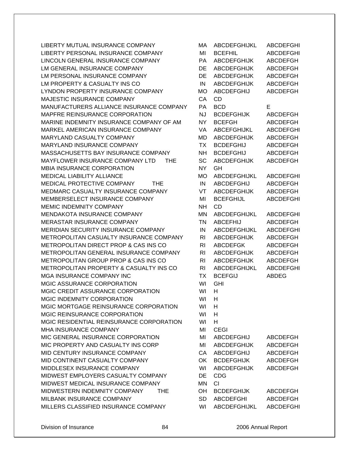LIBERTY MUTUAL INSURANCE COMPANY LIBERTY PERSONAL INSURANCE COMPANY LINCOLN GENERAL INSURANCE COMPANY LM GENERAL INSURANCE COMPANY LM PERSONAL INSURANCE COMPANY LM PROPERTY & CASUALTY INS CO LYNDON PROPERTY INSURANCE COMPANY MAJESTIC INSURANCE COMPANY MANUFACTURERS ALLIANCE INSURANCE COMPANY MAPFRE REINSURANCE CORPORATION MARINE INDEMNITY INSURANCE COMPANY OF AM MARKEL AMERICAN INSURANCE COMPANY MARYLAND CASUALTY COMPANY MARYLAND INSURANCE COMPANY MASSACHUSETTS BAY INSURANCE COMPANY MAYFLOWER INSURANCE COMPANY LTD THE MBIA INSURANCE CORPORATION MEDICAL LIABILITY ALLIANCE MEDICAL PROTECTIVE COMPANY THE MEDMARC CASUALTY INSURANCE COMPANY MEMBERSELECT INSURANCE COMPANY MEMIC INDEMNITY COMPANY MENDAKOTA INSURANCE COMPANY MERASTAR INSURANCE COMPANY MERIDIAN SECURITY INSURANCE COMPANY METROPOLITAN CASUALTY INSURANCE COMPANY METROPOLITAN DIRECT PROP & CAS INS CO METROPOLITAN GENERAL INSURANCE COMPANY METROPOLITAN GROUP PROP & CAS INS CO METROPOLITAN PROPERTY & CASUALTY INS CO MGA INSURANCE COMPANY INC MGIC ASSURANCE CORPORATION MGIC CREDIT ASSURANCE CORPORATION MGIC INDEMNITY CORPORATION MGIC MORTGAGE REINSURANCE CORPORATION MGIC REINSURANCE CORPORATION MGIC RESIDENTIAL REINSURANCE CORPORATION MHA INSURANCE COMPANY MIC GENERAL INSURANCE CORPORATION MIC PROPERTY AND CASUALTY INS CORP MID CENTURY INSURANCE COMPANY MID CONTINENT CASUALTY COMPANY MIDDLESEX INSURANCE COMPANY MIDWEST EMPLOYERS CASUALTY COMPANY MIDWEST MEDICAL INSURANCE COMPANY MIDWESTERN INDEMNITY COMPANY THE MILBANK INSURANCE COMPANY MILLERS CLASSIFIED INSURANCE COMPANY

| МA             | ABCDEFGHIJKL        | ABCDEFGHI        |
|----------------|---------------------|------------------|
| MI             | <b>BCEFHIL</b>      | <b>ABCDEFGHI</b> |
| PA             | <b>ABCDEFGHIJK</b>  | <b>ABCDEFGH</b>  |
| DE             | <b>ABCDEFGHIJK</b>  | <b>ABCDEFGH</b>  |
| DE             | <b>ABCDEFGHIJK</b>  | <b>ABCDEFGH</b>  |
| IN             | <b>ABCDEFGHIJK</b>  | <b>ABCDEFGH</b>  |
| <b>MO</b>      | <b>ABCDEFGHIJ</b>   | <b>ABCDEFGH</b>  |
| CA             | CD                  |                  |
| PA             | <b>BCD</b>          | E                |
| <b>NJ</b>      | <b>BCDEFGHIJK</b>   | <b>ABCDEFGH</b>  |
| <b>NY</b>      | <b>BCEFGH</b>       | <b>ABCDEFGH</b>  |
| VA             | <b>ABCEFGHIJKL</b>  | <b>ABCDEFGHI</b> |
|                |                     |                  |
| MD             | <b>ABCDEFGHIJK</b>  | <b>ABCDEFGH</b>  |
| <b>TX</b>      | <b>BCDEFGHIJ</b>    | <b>ABCDEFGH</b>  |
| NΗ             | <b>BCDEFGHIJ</b>    | <b>ABCDEFGH</b>  |
| <b>SC</b>      | <b>ABCDEFGHIJK</b>  | <b>ABCDEFGH</b>  |
| <b>NY</b>      | GH                  |                  |
| <b>MO</b>      | <b>ABCDEFGHIJKL</b> | <b>ABCDEFGHI</b> |
| IN             | <b>ABCDEFGHIJ</b>   | <b>ABCDEFGH</b>  |
| VT             | <b>ABCDEFGHIJK</b>  | ABCDEFGH         |
| MI             | <b>BCEFGHIJL</b>    | <b>ABCDEFGHI</b> |
| <b>NH</b>      | <b>CD</b>           |                  |
| MN             | <b>ABCDEFGHIJKL</b> | <b>ABCDEFGHI</b> |
| <b>TN</b>      | <b>ABCEFHIJ</b>     | <b>ABCDEFGH</b>  |
| IN             | <b>ABCDEFGHIJKL</b> | <b>ABCDEFGHI</b> |
| RI             | <b>ABCDEFGHIJK</b>  | <b>ABCDEFGH</b>  |
| RI             | <b>ABCDEFGK</b>     | <b>ABCDEFGH</b>  |
| RI             | <b>ABCDEFGHIJK</b>  | <b>ABCDEFGH</b>  |
| R <sub>l</sub> | <b>ABCDEFGHIJK</b>  | <b>ABCDEFGH</b>  |
| RI             | <b>ABCDEFGHIJKL</b> | <b>ABCDEFGHI</b> |
| ТX             | <b>BCEFGIJ</b>      | <b>ABDEG</b>     |
| WI             | GHI                 |                  |
| WI             | н                   |                  |
| WI             | H.                  |                  |
| WI             | н                   |                  |
| WI             | H                   |                  |
| WI             | н                   |                  |
| MI             | <b>CEGI</b>         |                  |
| MI             | ABCDEFGHIJ          | ABCDEFGH         |
| MI             | ABCDEFGHIJK         | <b>ABCDEFGH</b>  |
| CA             | <b>ABCDEFGHIJ</b>   | <b>ABCDEFGH</b>  |
|                |                     |                  |
| OK             | <b>BCDEFGHIJK</b>   | <b>ABCDEFGH</b>  |
| WI             | <b>ABCDEFGHIJK</b>  | <b>ABCDEFGH</b>  |
| DE             | <b>CDG</b>          |                  |
| MN             | CI                  |                  |
| OH             | <b>BCDEFGHIJK</b>   | ABCDEFGH         |
| SD             | <b>ABCDEFGHI</b>    | <b>ABCDEFGH</b>  |
| WI             | ABCDEFGHIJKL        | <b>ABCDEFGHI</b> |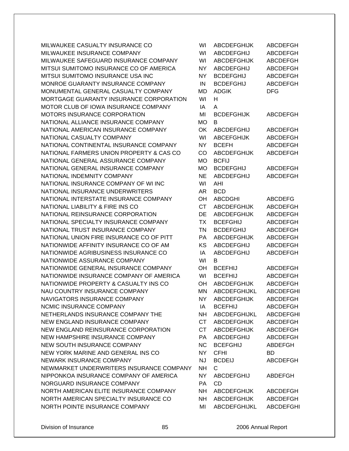MILWAUKEE CASUALTY INSURANCE CO MILWAUKEE INSURANCE COMPANY MILWAUKEE SAFEGUARD INSURANCE COMPANY MITSUI SUMITOMO INSURANCE CO OF AMERICA MITSUI SUMITOMO INSURANCE USA INC MONROE GUARANTY INSURANCE COMPANY MONUMENTAL GENERAL CASUALTY COMPANY MORTGAGE GUARANTY INSURANCE CORPORATION MOTOR CLUB OF IOWA INSURANCE COMPANY MOTORS INSURANCE CORPORATION NATIONAL ALLIANCE INSURANCE COMPANY NATIONAL AMERICAN INSURANCE COMPANY NATIONAL CASUALTY COMPANY NATIONAL CONTINENTAL INSURANCE COMPANY NATIONAL FARMERS UNION PROPERTY & CAS CO NATIONAL GENERAL ASSURANCE COMPANY NATIONAL GENERAL INSURANCE COMPANY NATIONAL INDEMNITY COMPANY NATIONAL INSURANCE COMPANY OF WI INC NATIONAL INSURANCE UNDERWRITERS NATIONAL INTERSTATE INSURANCE COMPANY NATIONAL LIABILITY & FIRE INS CO NATIONAL REINSURANCE CORPORATION NATIONAL SPECIALTY INSURANCE COMPANY NATIONAL TRUST INSURANCE COMPANY NATIONAL UNION FIRE INSURANCE CO OF PITT NATIONWIDE AFFINITY INSURANCE CO OF AM NATIONWIDE AGRIBUSINESS INSURANCE CO NATIONWIDE ASSURANCE COMPANY NATIONWIDE GENERAL INSURANCE COMPANY NATIONWIDE INSURANCE COMPANY OF AMERICA NATIONWIDE PROPERTY & CASUALTY INS CO NAU COUNTRY INSURANCE COMPANY NAVIGATORS INSURANCE COMPANY NCMIC INSURANCE COMPANY NETHERLANDS INSURANCE COMPANY THE NEW ENGLAND INSURANCE COMPANY NEW ENGLAND REINSURANCE CORPORATION NEW HAMPSHIRE INSURANCE COMPANY NEW SOUTH INSURANCE COMPANY NEW YORK MARINE AND GENERAL INS CO NEWARK INSURANCE COMPANY NEWMARKET UNDERWRITERS INSURANCE COMPANY NIPPONKOA INSURANCE COMPANY OF AMERICA NORGUARD INSURANCE COMPANY NORTH AMERICAN ELITE INSURANCE COMPANY NORTH AMERICAN SPECIALTY INSURANCE CO NORTH POINTE INSURANCE COMPANY

| WI        | <b>ABCDEFGHIJK</b> | ABCDEFGH         |
|-----------|--------------------|------------------|
| WI        | <b>ABCDEFGHIJ</b>  | <b>ABCDEFGH</b>  |
| WI        | <b>ABCDEFGHIJK</b> | <b>ABCDEFGH</b>  |
| NΥ        | ABCDEFGHIJ         | <b>ABCDEFGH</b>  |
| NY        | <b>BCDEFGHIJ</b>   | <b>ABCDEFGH</b>  |
| IN        | <b>BCDEFGHIJ</b>   | <b>ABCDEFGH</b>  |
| MD        | <b>ADGIK</b>       | <b>DFG</b>       |
| WI        | н                  |                  |
| IA        | A                  |                  |
| MI        | <b>BCDEFGHIJK</b>  | ABCDEFGH         |
| MО        | в                  |                  |
| OK        | <b>ABCDEFGHIJ</b>  | <b>ABCDEFGH</b>  |
| WI        | <b>ABCEFGHIJK</b>  | <b>ABCDEFGH</b>  |
| <b>NY</b> | <b>BCEFH</b>       | <b>ABCDEFGH</b>  |
| CO        | <b>ABCDEFGHIJK</b> | <b>ABCDEFGH</b>  |
|           |                    |                  |
| МO        | <b>BCFIJ</b>       |                  |
| МO        | <b>BCDEFGHIJ</b>   | <b>ABCDEFGH</b>  |
| <b>NE</b> | ABCDEFGHIJ         | <b>ABCDEFGH</b>  |
| WI        | AHI                |                  |
| AR        | <b>BCD</b>         |                  |
| OН        | <b>ABCDGHI</b>     | <b>ABCDEFG</b>   |
| <b>CT</b> | <b>ABCDEFGHIJK</b> | <b>ABCDEFGH</b>  |
| DE        | <b>ABCDEFGHIJK</b> | <b>ABCDEFGH</b>  |
| <b>TX</b> | <b>BCEFGHIJ</b>    | <b>ABCDEFGH</b>  |
| <b>TN</b> | <b>BCDEFGHIJ</b>   | ABCDEFGH         |
| PA        | <b>ABCDEFGHIJK</b> | <b>ABCDEFGH</b>  |
| KS        | ABCDEFGHIJ         | <b>ABCDEFGH</b>  |
| IA        | <b>ABCDEFGHIJ</b>  | <b>ABCDEFGH</b>  |
| WI        | B                  |                  |
| OН        | <b>BCEFHIJ</b>     | <b>ABCDEFGH</b>  |
| WI        | <b>BCEFHIJ</b>     | <b>ABCDEFGH</b>  |
| OН        | <b>ABCDEFGHIJK</b> | <b>ABCDEFGH</b>  |
| MN        | ABCDEFGHIJKL       | <b>ABCDEFGHI</b> |
| NY L      | <b>ABCDEFGHIJK</b> | <b>ABCDEFGH</b>  |
| IA        | <b>BCEFHIJ</b>     | <b>ABCDEFGH</b>  |
| NH        | ABCDEFGHIJKL       | <b>ABCDEFGHI</b> |
| CT        | <b>ABCDEFGHIJK</b> | <b>ABCDEFGH</b>  |
|           | CT ABCDEFGHIJK     | <b>ABCDEFGH</b>  |
|           | PA ABCDEFGHIJ      | <b>ABCDEFGH</b>  |
|           | NC BCEFGHIJ        | <b>ABDEFGH</b>   |
| <b>NY</b> | <b>CFHI</b>        | BD.              |
| <b>NJ</b> | <b>BCDEIJ</b>      | <b>ABCDEFGH</b>  |
| <b>NH</b> | $\mathsf{C}$       |                  |
| NY I      | ABCDEFGHIJ         | ABDEFGH          |
| PA        | CD                 |                  |
| <b>NH</b> | ABCDEFGHIJK        | ABCDEFGH         |
|           | NH ABCDEFGHIJK     | ABCDEFGH         |
| MI        | ABCDEFGHIJKL       | <b>ABCDEFGHI</b> |
|           |                    |                  |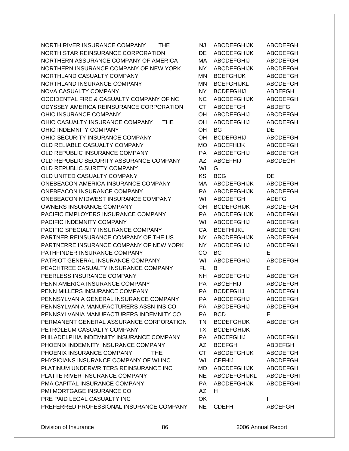NORTH RIVER INSURANCE COMPANY THE NJ ABCDEFGHIJK ABCDEFGH NORTH STAR REINSURANCE CORPORATION DE ABCDEFGHIJK ABCDEFGH NORTHERN ASSURANCE COMPANY OF AMERICA MA ABCDEFGHIJ ABCDEFGH NORTHERN INSURANCE COMPANY OF NEW YORK NY ABCDEFGHIJK ABCDEFGH NORTHLAND CASUALTY COMPANY **MORTHLAND CASUALTY COMPANY** MAN BCEFGHIJK ABCDEFGH NORTHLAND INSURANCE COMPANY MN BCEFGHIJKL ABCDEFGH NOVA CASUALTY COMPANY NARRY NEW NY BCDEFGHIJ ABDEFGH OCCIDENTAL FIRE & CASUALTY COMPANY OF NC NC ABCDEFGHIJK ABCDEFGH ODYSSEY AMERICA REINSURANCE CORPORATION CT ABCDEFGH ABDEFG OHIC INSURANCE COMPANY **OH ABCDEFGHIJ** ABCDEFGH OHIO CASUALTY INSURANCE COMPANY THE OH ABCDEFGHIJ ABCDEFGH OHIO INDEMNITY COMPANY **OHIO INDEMNITY COMPANY OHIO IN** OH BG DE OHIO SECURITY INSURANCE COMPANY **OH BCDEFGHIJ** ABCDEFGH OLD RELIABLE CASUALTY COMPANY **MO** ABCEFHIJK ABCDEFGH OLD REPUBLIC INSURANCE COMPANY **PA ABCDEFGHIJ** ABCDEFGH OLD REPUBLIC SECURITY ASSURANCE COMPANY AZ ABCEFHIJ ABCDEGH OLD REPUBLIC SURETY COMPANY WI G OLD UNITED CASUALTY COMPANY GALLERY AND MANY A REGARD METALLY AND METALLY COMPANY ONEBEACON AMERICA INSURANCE COMPANY MA ABCDEFGHIJK ABCDEFGH ONEBEACON INSURANCE COMPANY PA ABCDEFGHIJK ABCDEFGH ONEBEACON MIDWEST INSURANCE COMPANY WI ABCDEFGH ADEFG OWNERS INSURANCE COMPANY **OH BEDEFGHIJK** ABCDEFGH PACIFIC EMPLOYERS INSURANCE COMPANY **PA ABCDEFGHIJK ABCDEFGH** PACIFIC INDEMNITY COMPANY WILL NOT THE WILL ABCDEFGHIJ ABCDEFGH PACIFIC SPECIALTY INSURANCE COMPANY CA BCEFHIJKL ABCDEFGHI PARTNER REINSURANCE COMPANY OF THE US NY ABCDEFGHIJK ABCDEFGH PARTNERRE INSURANCE COMPANY OF NEW YORK NY ABCDEFGHIJ ABCDEFGH PATHFINDER INSURANCE COMPANY CO BC E PATRIOT GENERAL INSURANCE COMPANY WI ABCDEFGHIJ ABCDEFGH PEACHTREE CASUALTY INSURANCE COMPANY FL B E PEERLESS INSURANCE COMPANY NH ABCDEFGHIJ ABCDEFGH PENN AMERICA INSURANCE COMPANY **PA ABCEFHIJ ABCDEFGH** PENN MILLERS INSURANCE COMPANY 
BERRY PA BCDEFGHJ

PENN MILLERS INSURANCE COMPANY PENNSYLVANIA GENERAL INSURANCE COMPANY PA ABCDEFGHIJ ABCDEFGH PENNSYLVANIA MANUFACTURERS ASSN INS CO PA ABCDEFGHIJ ABCDEFGH PENNSYLVANIA MANUFACTURERS INDEMNITY CO PA BCD E PERMANENT GENERAL ASSURANCE CORPORATION TN BCDEFGHIJK ABCDEFGH PETROLEUM CASUALTY COMPANY TALL TX BCDEFGHIJK PHILADELPHIA INDEMNITY INSURANCE COMPANY PA ABCEFGHIJ ABCDEFGH PHOENIX INDEMNITY INSURANCE COMPANY AZ BCEFGH ABDEFGH PHOENIX INSURANCE COMPANY THE CT ABCDEFGHIJK ABCDEFGH PHYSICIANS INSURANCE COMPANY OF WI INC WI CEFHIJ ABCDEFGH PLATINUM UNDERWRITERS REINSURANCE INC MD ABCDEFGHIJK ABCDEFGH PLATTE RIVER INSURANCE COMPANY NE ABCDEFGHIJKL ABCDEFGHI PMA CAPITAL INSURANCE COMPANY FAND PAN ABCDEFGHIJK ABCDEFGHI PMI MORTGAGE INSURANCE CO AZ H PRE PAID LEGAL CASUALTY INC **Internal CONFIDENT** OK **I** PREFERRED PROFESSIONAL INSURANCE COMPANY NE CDEFH ABCEFGH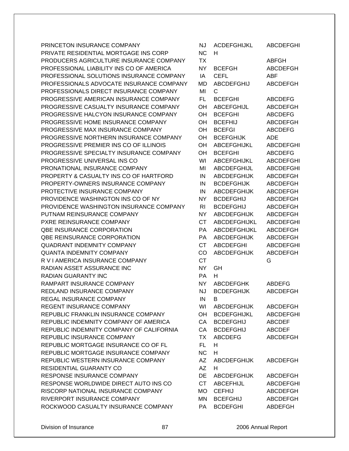| PRINCETON INSURANCE COMPANY              | <b>NJ</b> | <b>ACDEFGHIJKL</b>  | <b>ABCDEFGHI</b> |
|------------------------------------------|-----------|---------------------|------------------|
| PRIVATE RESIDENTIAL MORTGAGE INS CORP    | <b>NC</b> | H                   |                  |
| PRODUCERS AGRICULTURE INSURANCE COMPANY  | TX        |                     | <b>ABFGH</b>     |
| PROFESSIONAL LIABILITY INS CO OF AMERICA | NY.       | <b>BCEFGH</b>       | <b>ABCDEFGH</b>  |
| PROFESSIONAL SOLUTIONS INSURANCE COMPANY | IA        | <b>CEFL</b>         | <b>ABF</b>       |
| PROFESSIONALS ADVOCATE INSURANCE COMPANY | <b>MD</b> | <b>ABCDEFGHIJ</b>   | <b>ABCDEFGH</b>  |
| PROFESSIONALS DIRECT INSURANCE COMPANY   | MI        | С                   |                  |
| PROGRESSIVE AMERICAN INSURANCE COMPANY   | FL.       | <b>BCEFGHI</b>      | <b>ABCDEFG</b>   |
| PROGRESSIVE CASUALTY INSURANCE COMPANY   | OН        | <b>ABCEFGHIJL</b>   | <b>ABCDEFGH</b>  |
| PROGRESSIVE HALCYON INSURANCE COMPANY    | OH        | <b>BCEFGHI</b>      | <b>ABCDEFG</b>   |
| PROGRESSIVE HOME INSURANCE COMPANY       | OH        | <b>BCEFHIJ</b>      | <b>ABCDEFGH</b>  |
| PROGRESSIVE MAX INSURANCE COMPANY        | OH        | <b>BCEFGI</b>       | <b>ABCDEFG</b>   |
| PROGRESSIVE NORTHERN INSURANCE COMPANY   | OН        | <b>BCEFGHIJK</b>    | <b>ADE</b>       |
| PROGRESSIVE PREMIER INS CO OF ILLINOIS   | OH        | ABCEFGHIJKL         | <b>ABCDEFGHI</b> |
| PROGRESSIVE SPECIALTY INSURANCE COMPANY  | OH        | <b>BCEFGHI</b>      | <b>ABCDEFG</b>   |
| PROGRESSIVE UNIVERSAL INS CO             | WI        | <b>ABCEFGHIJKL</b>  | <b>ABCDEFGHI</b> |
| PRONATIONAL INSURANCE COMPANY            | MI        | ABCDEFGHIJL         | <b>ABCDEFGHI</b> |
| PROPERTY & CASUALTY INS CO OF HARTFORD   | IN        | <b>ABCDEFGHIJK</b>  | <b>ABCDEFGH</b>  |
| PROPERTY-OWNERS INSURANCE COMPANY        | IN        | <b>BCDEFGHIJK</b>   | <b>ABCDEFGH</b>  |
| PROTECTIVE INSURANCE COMPANY             | IN        | <b>ABCDEFGHIJK</b>  | <b>ABCDEFGH</b>  |
| PROVIDENCE WASHINGTON INS CO OF NY       | NY.       | <b>BCDEFGHIJ</b>    | <b>ABCDEFGH</b>  |
| PROVIDENCE WASHINGTON INSURANCE COMPANY  | RI        | <b>BCDEFGHIJ</b>    | <b>ABCDEFGH</b>  |
| PUTNAM REINSURANCE COMPANY               | <b>NY</b> | <b>ABCDEFGHIJK</b>  | <b>ABCDEFGH</b>  |
| PXRE REINSURANCE COMPANY                 | <b>CT</b> | <b>ABCDEFGHIJKL</b> | <b>ABCDEFGHI</b> |
| <b>QBE INSURANCE CORPORATION</b>         | PA        | ABCDEFGHIJKL        | <b>ABCDEFGH</b>  |
| QBE REINSURANCE CORPORATION              | PA        | <b>ABCDEFGHIJK</b>  | <b>ABCDEFGH</b>  |
| <b>QUADRANT INDEMNITY COMPANY</b>        | <b>CT</b> | <b>ABCDEFGHI</b>    | <b>ABCDEFGHI</b> |
| <b>QUANTA INDEMNITY COMPANY</b>          | CO        | <b>ABCDEFGHIJK</b>  | <b>ABCDEFGH</b>  |
| R V I AMERICA INSURANCE COMPANY          | <b>CT</b> |                     | G                |
| RADIAN ASSET ASSURANCE INC               | <b>NY</b> | GH                  |                  |
| <b>RADIAN GUARANTY INC</b>               | <b>PA</b> | н                   |                  |
| RAMPART INSURANCE COMPANY                | NY.       | <b>ABCDEFGHK</b>    | ABDEFG           |
| REDLAND INSURANCE COMPANY                | <b>NJ</b> | <b>BCDEFGHIJK</b>   | <b>ABCDEFGH</b>  |
| REGAL INSURANCE COMPANY                  | IN        | в                   |                  |
| <b>REGENT INSURANCE COMPANY</b>          | WI        | ABCDEFGHIJK         | ABCDEFGH         |
| REPUBLIC FRANKLIN INSURANCE COMPANY      | OH        | <b>BCDEFGHIJKL</b>  | <b>ABCDEFGHI</b> |
| REPUBLIC INDEMNITY COMPANY OF AMERICA    | CA        | <b>BCDEFGHIJ</b>    | <b>ABCDEF</b>    |
| REPUBLIC INDEMNITY COMPANY OF CALIFORNIA | CA        | <b>BCDEFGHIJ</b>    | <b>ABCDEF</b>    |
| REPUBLIC INSURANCE COMPANY               | <b>TX</b> | <b>ABCDEFG</b>      | ABCDEFGH         |
| REPUBLIC MORTGAGE INSURANCE CO OF FL     | FL.       | H                   |                  |
| REPUBLIC MORTGAGE INSURANCE COMPANY      | <b>NC</b> | Н                   |                  |
| REPUBLIC WESTERN INSURANCE COMPANY       | AZ        | <b>ABCDEFGHIJK</b>  | ABCDEFGH         |
| <b>RESIDENTIAL GUARANTY CO</b>           | AZ        | н                   |                  |
| RESPONSE INSURANCE COMPANY               | <b>DE</b> | <b>ABCDEFGHIJK</b>  | ABCDEFGH         |
| RESPONSE WORLDWIDE DIRECT AUTO INS CO    | <b>CT</b> | <b>ABCEFHIJL</b>    | <b>ABCDEFGHI</b> |
| RISCORP NATIONAL INSURANCE COMPANY       | <b>MO</b> | <b>CEFHIJ</b>       | ABCDEFGH         |
| RIVERPORT INSURANCE COMPANY              | MN        | <b>BCEFGHIJ</b>     | ABCDEFGH         |
| ROCKWOOD CASUALTY INSURANCE COMPANY      | <b>PA</b> | <b>BCDEFGHI</b>     | <b>ABDEFGH</b>   |
|                                          |           |                     |                  |

| NJ             | <b>ACDEFGHIJKL</b>  | <b>ABCDEFGHI</b> |
|----------------|---------------------|------------------|
| ΝC             | н                   |                  |
| TX             |                     | <b>ABFGH</b>     |
| NΥ             | <b>BCEFGH</b>       | <b>ABCDEFGH</b>  |
| IA             | <b>CEFL</b>         | ABF              |
| МD             | <b>ABCDEFGHIJ</b>   | <b>ABCDEFGH</b>  |
| MI             | С                   |                  |
| FL             | <b>BCEFGHI</b>      | <b>ABCDEFG</b>   |
| OН             | ABCEFGHIJL          | <b>ABCDEFGH</b>  |
| OН             | <b>BCEFGHI</b>      | <b>ABCDEFG</b>   |
| OН             | <b>BCEFHIJ</b>      | <b>ABCDEFGH</b>  |
| OН             | <b>BCEFGI</b>       | <b>ABCDEFG</b>   |
| OН             | <b>BCEFGHIJK</b>    | <b>ADE</b>       |
| OН             | <b>ABCEFGHIJKL</b>  | <b>ABCDEFGHI</b> |
| OН             | <b>BCEFGHI</b>      | <b>ABCDEFG</b>   |
| WI             | ABCEFGHIJKL         | <b>ABCDEFGHI</b> |
| MI             | <b>ABCDEFGHIJL</b>  | <b>ABCDEFGHI</b> |
| IN             | <b>ABCDEFGHIJK</b>  | <b>ABCDEFGH</b>  |
| IN             | <b>BCDEFGHIJK</b>   | <b>ABCDEFGH</b>  |
| IN             | <b>ABCDEFGHIJK</b>  | <b>ABCDEFGH</b>  |
| NY             | <b>BCDEFGHIJ</b>    | <b>ABCDEFGH</b>  |
| R <sub>l</sub> | <b>BCDEFGHIJ</b>    | <b>ABCDEFGH</b>  |
| NY             | <b>ABCDEFGHIJK</b>  | <b>ABCDEFGH</b>  |
| СT             | ABCDEFGHIJKL        | <b>ABCDEFGHI</b> |
| PA             | <b>ABCDEFGHIJKL</b> | <b>ABCDEFGH</b>  |
| PA             | <b>ABCDEFGHIJK</b>  | <b>ABCDEFGH</b>  |
| СT             | <b>ABCDEFGHI</b>    | <b>ABCDEFGHI</b> |
| CO             | <b>ABCDEFGHIJK</b>  | <b>ABCDEFGH</b>  |
| СT             |                     | G                |
| NΥ             | GH                  |                  |
| PA             | н                   |                  |
| NΥ             | <b>ABCDEFGHK</b>    | <b>ABDEFG</b>    |
| <b>NJ</b>      | <b>BCDEFGHIJK</b>   | <b>ABCDEFGH</b>  |
| IN             | В                   |                  |
| WI             | <b>ABCDEFGHIJK</b>  | ABCDEFGH         |
| OН             | <b>BCDEFGHIJKL</b>  | <b>ABCDEFGHI</b> |
| СA             | <b>BCDEFGHIJ</b>    | <b>ABCDEF</b>    |
| CA             | <b>BCDEFGHIJ</b>    | <b>ABCDEF</b>    |
| <b>TX</b>      | <b>ABCDEFG</b>      | <b>ABCDEFGH</b>  |
| FL.            | H                   |                  |
| <b>NC</b>      | н                   |                  |
|                | <b>ABCDEFGHIJK</b>  |                  |
| AZ             |                     | <b>ABCDEFGH</b>  |
| AΖ             | н                   |                  |
| DE             | <b>ABCDEFGHIJK</b>  | <b>ABCDEFGH</b>  |
| СT             | <b>ABCEFHIJL</b>    | <b>ABCDEFGHI</b> |
|                | MO CEFHIJ           | ABCDEFGH         |
| MN             | <b>BCEFGHIJ</b>     | <b>ABCDEFGH</b>  |
| PA             | <b>BCDEFGHI</b>     | <b>ABDEFGH</b>   |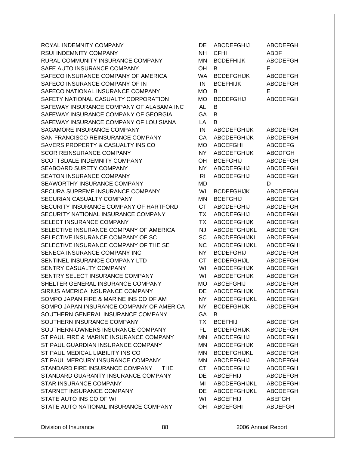ROYAL INDEMNITY COMPANY RSUI INDEMNITY COMPANY RURAL COMMUNITY INSURANCE COMPANY SAFE AUTO INSURANCE COMPANY SAFECO INSURANCE COMPANY OF AMERICA SAFECO INSURANCE COMPANY OF IN SAFECO NATIONAL INSURANCE COMPANY SAFETY NATIONAL CASUALTY CORPORATION SAFEWAY INSURANCE COMPANY OF ALABAMA INC SAFEWAY INSURANCE COMPANY OF GEORGIA SAFEWAY INSURANCE COMPANY OF LOUISIANA SAGAMORE INSURANCE COMPANY SAN FRANCISCO REINSURANCE COMPANY SAVERS PROPERTY & CASUALTY INS CO SCOR REINSURANCE COMPANY SCOTTSDALE INDEMNITY COMPANY SEABOARD SURETY COMPANY SEATON INSURANCE COMPANY SEAWORTHY INSURANCE COMPANY SECURA SUPREME INSURANCE COMPANY SECURIAN CASUALTY COMPANY SECURITY INSURANCE COMPANY OF HARTFORD SECURITY NATIONAL INSURANCE COMPANY SELECT INSURANCE COMPANY SELECTIVE INSURANCE COMPANY OF AMERICA SELECTIVE INSURANCE COMPANY OF SC SELECTIVE INSURANCE COMPANY OF THE SE SENECA INSURANCE COMPANY INC SENTINEL INSURANCE COMPANY LTD SENTRY CASUALTY COMPANY SENTRY SELECT INSURANCE COMPANY SHELTER GENERAL INSURANCE COMPANY SIRIUS AMERICA INSURANCE COMPANY SOMPO JAPAN FIRE & MARINE INS CO OF AM SOMPO JAPAN INSURANCE COMPANY OF AMERICA SOUTHERN GENERAL INSURANCE COMPANY SOUTHERN INSURANCE COMPANY SOUTHERN-OWNERS INSURANCE COMPANY ST PAUL FIRE & MARINE INSURANCE COMPANY ST PAUL GUARDIAN INSURANCE COMPANY ST PAUL MEDICAL LIABILITY INS CO ST PAUL MERCURY INSURANCE COMPANY STANDARD FIRE INSURANCE COMPANY THE STANDARD GUARANTY INSURANCE COMPANY STAR INSURANCE COMPANY STARNET INSURANCE COMPANY STATE AUTO INS CO OF WI STATE AUTO NATIONAL INSURANCE COMPANY

| DE             | <b>ABCDEFGHIJ</b>   | <b>ABCDEFGH</b>  |
|----------------|---------------------|------------------|
| <b>NH</b>      | CFHI                | ABDF             |
| <b>MN</b>      | <b>BCDEFHIJK</b>    | <b>ABCDEFGH</b>  |
| OH             | в                   | Е                |
| WA             | <b>BCDEFGHIJK</b>   | <b>ABCDEFGH</b>  |
| IN             | <b>BCEFHIJK</b>     | ABCDEFGH         |
| <b>MO</b>      | B                   | E                |
| <b>MO</b>      | <b>BCDEFGHIJ</b>    | <b>ABCDEFGH</b>  |
| <b>AL</b>      | B                   |                  |
| GA             | B                   |                  |
| LA             | B                   |                  |
| IN             | <b>ABCDEFGHIJK</b>  | <b>ABCDEFGH</b>  |
| CA             | <b>ABCDEFGHIJK</b>  | <b>ABCDEFGH</b>  |
| МO             | <b>ABCEFGHI</b>     | <b>ABCDEFG</b>   |
|                |                     |                  |
| <b>NY</b>      | <b>ABCDEFGHIJK</b>  | <b>ABCDFGH</b>   |
| OH             | <b>BCEFGHIJ</b>     | ABCDEFGH         |
| <b>NY</b>      | <b>ABCDEFGHIJ</b>   | <b>ABCDEFGH</b>  |
| R <sub>1</sub> | ABCDEFGHIJ          | ABCDEFGH         |
| MD             |                     | D                |
| WI             | <b>BCDEFGHIJK</b>   | <b>ABCDEFGH</b>  |
| ΜN             | <b>BCEFGHIJ</b>     | <b>ABCDEFGH</b>  |
| <b>CT</b>      | <b>ABCDEFGHIJ</b>   | <b>ABCDEFGH</b>  |
| <b>TX</b>      | <b>ABCDEFGHIJ</b>   | <b>ABCDEFGH</b>  |
| <b>TX</b>      | <b>ABCDEFGHIJK</b>  | <b>ABCDEFGH</b>  |
| <b>NJ</b>      | <b>ABCDEFGHIJKL</b> | <b>ABCDEFGHI</b> |
| SC             | <b>ABCDEFGHIJKL</b> | <b>ABCDEFGHI</b> |
| <b>NC</b>      | ABCDEFGHIJKL        | <b>ABCDEFGHI</b> |
| <b>NY</b>      | <b>BCDEFGHIJ</b>    | ABCDEFGH         |
| <b>CT</b>      | <b>BCDEFGHIJL</b>   | <b>ABCDEFGHI</b> |
| WI             | <b>ABCDEFGHIJK</b>  | <b>ABCDEFGH</b>  |
| WI             | <b>ABCDEFGHIJK</b>  | ABCDEFGH         |
| <b>MO</b>      | <b>ABCEFGHIJ</b>    | ABCDEFGH         |
| DE             | <b>ABCDEFGHIJK</b>  | <b>ABCDEFGH</b>  |
| NΥ             | ABCDEFGHIJKL        | <b>ABCDEFGHI</b> |
| <b>NY</b>      | <b>BCDEFGHIJK</b>   | <b>ABCDEFGH</b>  |
| GA             | В                   |                  |
| <b>TX</b>      | <b>BCEFHIJ</b>      | <b>ABCDEFGH</b>  |
| FL.            | <b>BCDEFGHIJK</b>   | <b>ABCDEFGH</b>  |
| MN             | <b>ABCDEFGHIJ</b>   | <b>ABCDEFGH</b>  |
| <b>MN</b>      | <b>ABCDEFGHIJK</b>  | <b>ABCDEFGH</b>  |
| MN             | <b>BCDEFGHIJKL</b>  | <b>ABCDEFGHI</b> |
| MN             | <b>ABCDEFGHIJ</b>   | <b>ABCDEFGH</b>  |
| <b>CT</b>      | <b>ABCDEFGHIJ</b>   | <b>ABCDEFGH</b>  |
| DE             | <b>ABCEFHIJ</b>     | <b>ABCDEFGH</b>  |
| MI             | ABCDEFGHIJKL        | <b>ABCDEFGHI</b> |
| DE             | ABCDEFGHIJKL        | <b>ABCDEFGH</b>  |
|                |                     |                  |
| WI             | <b>ABCEFHIJ</b>     | <b>ABEFGH</b>    |
| <b>OH</b>      | <b>ABCEFGHI</b>     | ABDEFGH          |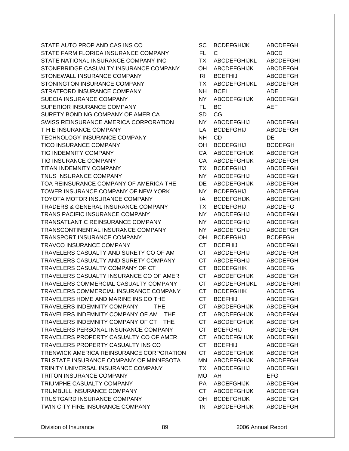STATE AUTO PROP AND CAS INS CO STATE FARM FLORIDA INSURANCE COMPANY STATE NATIONAL INSURANCE COMPANY INC STONEBRIDGE CASUALTY INSURANCE COMPANY STONEWALL INSURANCE COMPANY STONINGTON INSURANCE COMPANY STRATFORD INSURANCE COMPANY SUECIA INSURANCE COMPANY SUPERIOR INSURANCE COMPANY SURETY BONDING COMPANY OF AMERICA SWISS REINSURANCE AMERICA CORPORATION T H E INSURANCE COMPANY TECHNOLOGY INSURANCE COMPANY TICO INSURANCE COMPANY TIG INDEMNITY COMPANY TIG INSURANCE COMPANY TITAN INDEMNITY COMPANY TNUS INSURANCE COMPANY TOA REINSURANCE COMPANY OF AMERICA THE TOWER INSURANCE COMPANY OF NEW YORK TOYOTA MOTOR INSURANCE COMPANY TRADERS & GENERAL INSURANCE COMPANY TRANS PACIFIC INSURANCE COMPANY TRANSATLANTIC REINSURANCE COMPANY TRANSCONTINENTAL INSURANCE COMPANY TRANSPORT INSURANCE COMPANY TRAVCO INSURANCE COMPANY TRAVELERS CASUALTY AND SURETY CO OF AM TRAVELERS CASUALTY AND SURETY COMPANY TRAVELERS CASUALTY COMPANY OF CT TRAVELERS CASUALTY INSURANCE CO OF AMER TRAVELERS COMMERCIAL CASUALTY COMPANY TRAVELERS COMMERCIAL INSURANCE COMPANY TRAVELERS HOME AND MARINE INS CO THE TRAVELERS INDEMNITY COMPANY THE TRAVELERS INDEMNITY COMPANY OF AM THE TRAVELERS INDEMNITY COMPANY OF CT THE TRAVELERS PERSONAL INSURANCE COMPANY TRAVELERS PROPERTY CASUALTY CO OF AMER TRAVELERS PROPERTY CASUALTY INS CO TRENWICK AMERICA REINSURANCE CORPORATION TRI STATE INSURANCE COMPANY OF MINNESOTA TRINITY UNIVERSAL INSURANCE COMPANY TRITON INSURANCE COMPANY TRIUMPHE CASUALTY COMPANY TRUMBULL INSURANCE COMPANY TRUSTGARD INSURANCE COMPANY TWIN CITY FIRE INSURANCE COMPANY

| SC             | <b>BCDEFGHIJK</b>   | <b>ABCDEFGH</b>  |
|----------------|---------------------|------------------|
| FL.            | С                   | <b>ABCD</b>      |
| <b>TX</b>      | <b>ABCDEFGHIJKL</b> | <b>ABCDEFGHI</b> |
| OН             | <b>ABCDEFGHIJK</b>  | <b>ABCDEFGH</b>  |
| R <sub>1</sub> | <b>BCEFHIJ</b>      | <b>ABCDEFGH</b>  |
| <b>TX</b>      | ABCDEFGHIJKL        | <b>ABCDEFGH</b>  |
| <b>NH</b>      | <b>BCEI</b>         | ADE              |
| <b>NY</b>      | <b>ABCDEFGHIJK</b>  | <b>ABCDEFGH</b>  |
| <b>FL</b>      | BC                  | AEF              |
| <b>SD</b>      | CG                  |                  |
| NY.            | <b>ABCDEFGHIJ</b>   | <b>ABCDEFGH</b>  |
| LA             | <b>BCDEFGHIJ</b>    | <b>ABCDEFGH</b>  |
| NΗ             | <b>CD</b>           | DE               |
| OH             | <b>BCDEFGHIJ</b>    | <b>BCDEFGH</b>   |
| CA             | <b>ABCDEFGHIJK</b>  | <b>ABCDEFGH</b>  |
| CA             | <b>ABCDEFGHIJK</b>  | <b>ABCDEFGH</b>  |
| <b>TX</b>      | <b>BCDEFGHIJ</b>    | <b>ABCDEFGH</b>  |
| NY.            | <b>ABCDEFGHIJ</b>   | ABCDEFGH         |
| DE             | <b>ABCDEFGHIJK</b>  | <b>ABCDEFGH</b>  |
| <b>NY</b>      | <b>BCDEFGHIJ</b>    | <b>ABCDEFGH</b>  |
| IA             | <b>BCDEFGHIJK</b>   | <b>ABCDEFGHI</b> |
| <b>TX</b>      | <b>BCDEFGHIJ</b>    | <b>ABCDEFG</b>   |
| <b>NY</b>      | <b>ABCDEFGHIJ</b>   | <b>ABCDEFGH</b>  |
| NΥ             | <b>ABCDEFGHIJ</b>   | <b>ABCDEFGH</b>  |
| ΝY             | <b>ABCDEFGHIJ</b>   | <b>ABCDEFGH</b>  |
| OH             | <b>BCDEFGHIJ</b>    | <b>BCDEFGH</b>   |
| <b>CT</b>      | <b>BCEFHIJ</b>      | <b>ABCDEFGH</b>  |
| <b>CT</b>      | ABCDEFGHIJ          | <b>ABCDEFGH</b>  |
| <b>CT</b>      | <b>ABCDEFGHIJ</b>   | <b>ABCDEFGH</b>  |
| <b>CT</b>      | <b>BCDEFGHIK</b>    | <b>ABCDEFG</b>   |
| <b>CT</b>      | <b>ABCDEFGHIJK</b>  | <b>ABCDEFGH</b>  |
| СT             | <b>ABCDEFGHIJKL</b> | <b>ABCDEFGHI</b> |
| <b>CT</b>      | <b>BCDEFGHIK</b>    | <b>ABCDEFG</b>   |
| СT             | <b>BCEFHIJ</b>      | <b>ABCDEFGH</b>  |
| <b>CT</b>      | <b>ABCDEFGHIJK</b>  | <b>ABCDEFGH</b>  |
| <b>CT</b>      | <b>ABCDEFGHIJK</b>  | <b>ABCDEFGH</b>  |
| <b>CT</b>      | <b>ABCDEFGHIJK</b>  | <b>ABCDEFGH</b>  |
| <b>CT</b>      | <b>BCEFGHIJ</b>     | <b>ABCDEFGH</b>  |
| <b>CT</b>      | <b>ABCDEFGHIJK</b>  | ABCDEFGH         |
| <b>CT</b>      | <b>BCEFHIJ</b>      | ABCDEFGH         |
| <b>CT</b>      | <b>ABCDEFGHIJK</b>  | <b>ABCDEFGH</b>  |
| MN             | <b>ABCDEFGHIJK</b>  | <b>ABCDEFGH</b>  |
| <b>TX</b>      | <b>ABCDEFGHIJ</b>   | <b>ABCDEFGH</b>  |
| МO             | AH                  | <b>EFG</b>       |
| PA             | <b>ABCEFGHIJK</b>   | <b>ABCDEFGH</b>  |
| <b>CT</b>      | <b>ABCDEFGHIJK</b>  | <b>ABCDEFGH</b>  |
| OH             | <b>BCDEFGHIJK</b>   | <b>ABCDEFGH</b>  |
| IN             | <b>ABCDEFGHIJK</b>  | <b>ABCDEFGH</b>  |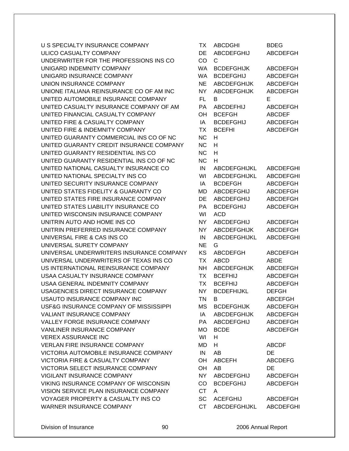U S SPECIALTY INSURANCE COMPANY ULICO CASUALTY COMPANY UNDERWRITER FOR THE PROFESSIONS INS CO. UNIGARD INDEMNITY COMPANY UNIGARD INSURANCE COMPANY UNION INSURANCE COMPANY UNIONE ITALIANA REINSURANCE CO OF AM INC UNITED AUTOMOBILE INSURANCE COMPANY UNITED CASUALTY INSURANCE COMPANY OF AM UNITED FINANCIAL CASUALTY COMPANY UNITED FIRE & CASUALTY COMPANY UNITED FIRE & INDEMNITY COMPANY UNITED GUARANTY COMMERCIAL INS CO OF NC UNITED GUARANTY CREDIT INSURANCE COMPANY UNITED GUARANTY RESIDENTIAL INS CO UNITED GUARANTY RESIDENTIAL INS CO OF NC UNITED NATIONAL CASUALTY INSURANCE CO UNITED NATIONAL SPECIALTY INS CO UNITED SECURITY INSURANCE COMPANY UNITED STATES FIDELITY & GUARANTY CO UNITED STATES FIRE INSURANCE COMPANY UNITED STATES LIABILITY INSURANCE CO UNITED WISCONSIN INSURANCE COMPANY UNITRIN AUTO AND HOME INS CO UNITRIN PREFERRED INSURANCE COMPANY UNIVERSAL FIRE & CAS INS CO UNIVERSAL SURETY COMPANY UNIVERSAL UNDERWRITERS INSURANCE COMPANY UNIVERSAL UNDERWRITERS OF TEXAS INS CO US INTERNATIONAL REINSURANCE COMPANY USAA CASUALTY INSURANCE COMPANY USAA GENERAL INDEMNITY COMPANY USAGENCIES DIRECT INSURANCE COMPANY USAUTO INSURANCE COMPANY INC USF&G INSURANCE COMPANY OF MISSISSIPPI VALIANT INSURANCE COMPANY VALLEY FORGE INSURANCE COMPANY VANLINER INSURANCE COMPANY **VEREX ASSURANCE INC** VERLAN FIRE INSURANCE COMPANY VICTORIA AUTOMOBILE INSURANCE COMPANY VICTORIA FIRE & CASUALTY COMPANY VICTORIA SELECT INSURANCE COMPANY VIGILANT INSURANCE COMPANY VIKING INSURANCE COMPANY OF WISCONSIN VISION SERVICE PLAN INSURANCE COMPANY VOYAGER PROPERTY & CASUALTY INS CO WARNER INSURANCE COMPANY

| ТX        | ABCDGHI                | <b>BDEG</b>      |
|-----------|------------------------|------------------|
| DE        | <b>ABCDEFGHIJ</b>      | <b>ABCDEFGH</b>  |
| CO        | С                      |                  |
| <b>WA</b> | <b>BCDEFGHIJK</b>      | <b>ABCDEFGH</b>  |
| <b>WA</b> | <b>BCDEFGHIJ</b>       | <b>ABCDEFGH</b>  |
| <b>NE</b> | <b>ABCDEFGHIJK</b>     | <b>ABCDEFGH</b>  |
| <b>NY</b> | <b>ABCDEFGHIJK</b>     | <b>ABCDEFGH</b>  |
| <b>FL</b> | B                      | E                |
| PA        | <b>ABCDEFHIJ</b>       | <b>ABCDEFGH</b>  |
| OH        | <b>BCEFGH</b>          | <b>ABCDEF</b>    |
| IA        | <b>BCDEFGHIJ</b>       | <b>ABCDEFGH</b>  |
| <b>TX</b> | <b>BCEFHI</b>          | <b>ABCDEFGH</b>  |
| <b>NC</b> | н                      |                  |
| <b>NC</b> | н                      |                  |
| <b>NC</b> | н                      |                  |
| <b>NC</b> | н                      |                  |
| IN        | <b>ABCDEFGHIJKL</b>    | <b>ABCDEFGHI</b> |
| WI        | ABCDEFGHIJKL           | <b>ABCDEFGHI</b> |
| IA        | <b>BCDEFGH</b>         | <b>ABCDEFGH</b>  |
| <b>MD</b> |                        |                  |
|           | <b>ABCDEFGHIJ</b>      | <b>ABCDEFGH</b>  |
| DE        | <b>ABCDEFGHIJ</b>      | <b>ABCDEFGH</b>  |
| PA        | <b>BCDEFGHIJ</b>       | <b>ABCDEFGH</b>  |
| WI        | <b>ACD</b>             |                  |
| <b>NY</b> | ABCDEFGHIJ             | <b>ABCDEFGH</b>  |
| NΥ        | <b>ABCDEFGHIJK</b>     | <b>ABCDEFGH</b>  |
| IN        | <b>ABCDEFGHIJKL</b>    | <b>ABCDEFGHI</b> |
| <b>NE</b> | G                      |                  |
| KS        | <b>ABCDEFGH</b>        | <b>ABCDEFGH</b>  |
| <b>TX</b> | <b>ABCD</b>            | <b>ABDE</b>      |
| <b>NH</b> | <b>ABCDEFGHIJK</b>     | <b>ABCDEFGH</b>  |
| <b>TX</b> | <b>BCEFHIJ</b>         | <b>ABCDEFGH</b>  |
| <b>TX</b> | <b>BCEFHIJ</b>         | <b>ABCDEFGH</b>  |
| ΝY        | <b>BCDEFHIJKL</b>      | <b>DEFGH</b>     |
| TΝ        | в.                     | <b>ABCEFGH</b>   |
| MS        | <b>BCDEFGHIJK</b>      | <b>ABCDEFGH</b>  |
| IA        | <b>ABCDEFGHIJK</b>     | <b>ABCDEFGH</b>  |
| <b>PA</b> | ABCDEFGHIJ             | <b>ABCDEFGH</b>  |
| MO        | <b>BCDE</b>            | <b>ABCDEFGH</b>  |
| WI        | H                      |                  |
| MD        | н                      | <b>ABCDF</b>     |
| IN        | AB                     | DE               |
|           | OH ABCEFH              | <b>ABCDEFG</b>   |
| OH        | AB                     | DE               |
| NY I      | ABCDEFGHIJ             | <b>ABCDEFGH</b>  |
| CO        | <b>BCDEFGHIJ</b>       | <b>ABCDEFGH</b>  |
| <b>CT</b> | A                      |                  |
|           | SC ACEFGHIJ            | <b>ABCDEFGH</b>  |
| <b>CT</b> | ABCDEFGHIJKL ABCDEFGHI |                  |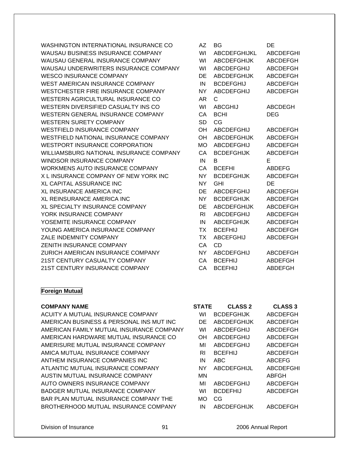WASHINGTON INTERNATIONAL INSURANCE CO WAUSAU BUSINESS INSURANCE COMPANY WAUSAU GENERAL INSURANCE COMPANY WAUSAU UNDERWRITERS INSURANCE COMPANY WESCO INSURANCE COMPANY WEST AMERICAN INSURANCE COMPANY WESTCHESTER FIRE INSURANCE COMPANY WESTERN AGRICULTURAL INSURANCE CO WESTERN DIVERSIFIED CASUALTY INS CO WESTERN GENERAL INSURANCE COMPANY WESTERN SURETY COMPANY WESTFIELD INSURANCE COMPANY WESTFIELD NATIONAL INSURANCE COMPANY WESTPORT INSURANCE CORPORATION WILLIAMSBURG NATIONAL INSURANCE COMPANY WINDSOR INSURANCE COMPANY WORKMENS AUTO INSURANCE COMPANY X L INSURANCE COMPANY OF NEW YORK INC XL CAPITAL ASSURANCE INC XL INSURANCE AMERICA INC XL REINSURANCE AMERICA INC XL SPECIALTY INSURANCE COMPANY YORK INSURANCE COMPANY YOSEMITE INSURANCE COMPANY YOUNG AMERICA INSURANCE COMPANY ZALE INDEMNITY COMPANY ZENITH INSURANCE COMPANY ZURICH AMERICAN INSURANCE COMPANY 21ST CENTURY CASUALTY COMPANY 21ST CENTURY INSURANCE COMPANY

| AZ             | ΒG                  | DE               |
|----------------|---------------------|------------------|
| WI             | <b>ABCDEFGHIJKL</b> | <b>ABCDEFGHI</b> |
| WI             | <b>ABCDEFGHIJK</b>  | <b>ABCDEFGH</b>  |
| WI             | <b>ABCDEFGHIJ</b>   | <b>ABCDEFGH</b>  |
| DE             | <b>ABCDEFGHIJK</b>  | <b>ABCDEFGH</b>  |
| IN             | <b>BCDEFGHIJ</b>    | ABCDEFGH         |
| <b>NY</b>      | <b>ABCDEFGHIJ</b>   | <b>ABCDEFGH</b>  |
| AR             | C.                  |                  |
| WI             | <b>ABCGHIJ</b>      | <b>ABCDEGH</b>   |
| CA             | <b>BCHI</b>         | DEG              |
| <b>SD</b>      | CG                  |                  |
| OН             | ABCDEFGHIJ          | <b>ABCDEFGH</b>  |
| OН             | ABCDEFGHIJK         | <b>ABCDEFGH</b>  |
| МO             | ABCDEFGHIJ          | <b>ABCDEFGH</b>  |
| CА             | <b>BCDEFGHIJK</b>   | ABCDEFGH         |
| IN             | B.                  | Е                |
| CA             | <b>BCEFHI</b>       | <b>ABDEFG</b>    |
| <b>NY</b>      | <b>BCDEFGHIJK</b>   | <b>ABCDEFGH</b>  |
| NΥ             | GHI                 | DE               |
| DE             | <b>ABCDEFGHIJ</b>   | <b>ABCDEFGH</b>  |
| NY             | <b>BCDEFGHIJK</b>   | <b>ABCDEFGH</b>  |
| DE             | <b>ABCDEFGHIJK</b>  | <b>ABCDEFGH</b>  |
| R <sub>1</sub> | <b>ABCDEFGHIJ</b>   | <b>ABCDEFGH</b>  |
| IN             | <b>ABCEFGHIJK</b>   | <b>ABCDEFGH</b>  |
| <b>TX</b>      | <b>BCEFHIJ</b>      | <b>ABCDEFGH</b>  |
| <b>TX</b>      | <b>ABCEFGHIJ</b>    | <b>ABCDEFGH</b>  |
| CA             | CD.                 |                  |
| <b>NY</b>      | <b>ABCDEFGHIJ</b>   | <b>ABCDEFGH</b>  |
| CA             | <b>BCEFHIJ</b>      | <b>ABDEFGH</b>   |
| CA             | <b>BCEFHIJ</b>      | <b>ABDEFGH</b>   |

### **Foreign Mutual**

#### **COMPANY NAME**

ACUITY A MUTUAL INSURANCE COMPANY AMERICAN BUSINESS & PERSONAL INS MUT INC AMERICAN FAMILY MUTUAL INSURANCE COMPANY AMERICAN HARDWARE MUTUAL INSURANCE CO AMERISURE MUTUAL INSURANCE COMPANY AMICA MUTUAL INSURANCE COMPANY ANTHEM INSURANCE COMPANIES INC ATLANTIC MUTUAL INSURANCE COMPANY AUSTIN MUTUAL INSURANCE COMPANY AUTO OWNERS INSURANCE COMPANY BADGER MUTUAL INSURANCE COMPANY BAR PLAN MUTUAL INSURANCE COMPANY THE BROTHERHOOD MUTUAL INSURANCE COMPANY

| STATE | <b>CLASS 2</b>     | <b>CLASS 3</b>   |
|-------|--------------------|------------------|
| WI    | <b>BCDEFGHIJK</b>  | <b>ABCDEFGH</b>  |
| DE    | <b>ABCDEFGHIJK</b> | ABCDEFGH         |
| WI    | <b>ABCDEFGHIJ</b>  | ABCDEFGH         |
| ΟH    | <b>ABCDEFGHIJ</b>  | ABCDEFGH         |
| МІ    | <b>ABCDEFGHIJ</b>  | ABCDEFGH         |
| RI    | <b>BCEFHIJ</b>     | ABCDEFGH         |
| IN    | ABC                | <b>ABCEFG</b>    |
| NΥ    | <b>ABCDEFGHIJL</b> | <b>ABCDEFGHI</b> |
| MN    |                    | ABFGH            |
| МΙ    | <b>ABCDEFGHIJ</b>  | ABCDEFGH         |
| WI    | <b>BCDEFHIJ</b>    | ABCDEFGH         |
| MO    | CG                 |                  |
| ΙN    | ABCDEFGHIJK        | ABCDEFGH         |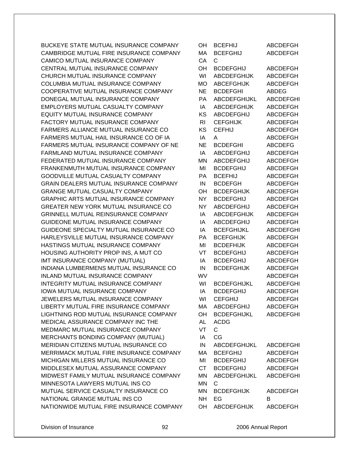BUCKEYE STATE MUTUAL INSURANCE COMPANY CAMBRIDGE MUTUAL FIRE INSURANCE COMPANY CAMICO MUTUAL INSURANCE COMPANY CENTRAL MUTUAL INSURANCE COMPANY CHURCH MUTUAL INSURANCE COMPANY COLUMBIA MUTUAL INSURANCE COMPANY COOPERATIVE MUTUAL INSURANCE COMPANY DONEGAL MUTUAL INSURANCE COMPANY EMPLOYERS MUTUAL CASUALTY COMPANY EQUITY MUTUAL INSURANCE COMPANY FACTORY MUTUAL INSURANCE COMPANY FARMERS ALLIANCE MUTUAL INSURANCE CO FARMERS MUTUAL HAIL INSURANCE CO OF IA FARMERS MUTUAL INSURANCE COMPANY OF NE FARMLAND MUTUAL INSURANCE COMPANY FEDERATED MUTUAL INSURANCE COMPANY FRANKENMUTH MUTUAL INSURANCE COMPANY GOODVILLE MUTUAL CASUALTY COMPANY GRAIN DEALERS MUTUAL INSURANCE COMPANY GRANGE MUTUAL CASUALTY COMPANY GRAPHIC ARTS MUTUAL INSURANCE COMPANY GREATER NEW YORK MUTUAL INSURANCE CO GRINNELL MUTUAL REINSURANCE COMPANY GUIDEONE MUTUAL INSURANCE COMPANY GUIDEONE SPECIALTY MUTUAL INSURANCE CO HARLEYSVILLE MUTUAL INSURANCE COMPANY HASTINGS MUTUAL INSURANCE COMPANY HOUSING AUTHORITY PROP INS, A MUT CO IMT INSURANCE COMPANY (MUTUAL) INDIANA LUMBERMENS MUTUAL INSURANCE CO INLAND MUTUAL INSURANCE COMPANY INTEGRITY MUTUAL INSURANCE COMPANY IOWA MUTUAL INSURANCE COMPANY JEWELERS MUTUAL INSURANCE COMPANY LIBERTY MUTUAL FIRE INSURANCE COMPANY LIGHTNING ROD MUTUAL INSURANCE COMPANY MEDICAL ASSURANCE COMPANY INC THE MEDMARC MUTUAL INSURANCE COMPANY MERCHANTS BONDING COMPANY (MUTUAL) MERIDIAN CITIZENS MUTUAL INSURANCE CO MERRIMACK MUTUAL FIRE INSURANCE COMPANY MICHIGAN MILLERS MUTUAL INSURANCE CO MIDDLESEX MUTUAL ASSURANCE COMPANY MIDWEST FAMILY MUTUAL INSURANCE COMPANY MINNESOTA LAWYERS MUTUAL INS CO MUTUAL SERVICE CASUALTY INSURANCE CO NATIONAL GRANGE MUTUAL INS CO NATIONWIDE MUTUAL FIRE INSURANCE COMPANY

| OН        | <b>BCEFHIJ</b>      | <b>ABCDEFGH</b>  |
|-----------|---------------------|------------------|
| MA        | <b>BCEFGHIJ</b>     | <b>ABCDEFGH</b>  |
| CA        | C.                  |                  |
| OH        | <b>BCDEFGHIJ</b>    | ABCDEFGH         |
| WI        | <b>ABCDEFGHIJK</b>  | <b>ABCDEFGH</b>  |
| <b>MO</b> | <b>ABCEFGHIJK</b>   | <b>ABCDEFGH</b>  |
| <b>NE</b> | <b>BCDEFGHI</b>     | ABDEG            |
| <b>PA</b> | <b>ABCDEFGHIJKL</b> | <b>ABCDEFGHI</b> |
| IA        | <b>ABCDEFGHIJK</b>  | <b>ABCDEFGH</b>  |
| <b>KS</b> | ABCDEFGHIJ          | ABCDEFGH         |
| <b>RI</b> | <b>CEFGHIJK</b>     | <b>ABCDEFGH</b>  |
| KS        | <b>CEFHIJ</b>       | <b>ABCDEFGH</b>  |
| IA        | A                   | <b>ABCDEFGH</b>  |
| <b>NE</b> | <b>BCDEFGHI</b>     | <b>ABCDEFG</b>   |
| IA        | <b>ABCDEFGHIJ</b>   | <b>ABCDEFGH</b>  |
| <b>MN</b> | <b>ABCDEFGHIJ</b>   | <b>ABCDEFGH</b>  |
| MI        | <b>BCDEFGHIJ</b>    | <b>ABCDEFGH</b>  |
| <b>PA</b> | <b>BCEFHIJ</b>      | ABCDEFGH         |
| IN        | <b>BCDEFGH</b>      | <b>ABCDEFGH</b>  |
| OH        | <b>BCDEFGHIJK</b>   | <b>ABCDEFGH</b>  |
| <b>NY</b> | <b>BCDEFGHIJ</b>    | <b>ABCDEFGH</b>  |
| <b>NY</b> | <b>ABCDEFGHIJ</b>   | ABCDEFGH         |
| IA        | <b>ABCDEFGHIJK</b>  | <b>ABCDEFGH</b>  |
| IA        | <b>ABCDEFGHIJ</b>   | <b>ABCDEFGH</b>  |
| IA        | <b>BCEFGHIJKL</b>   | <b>ABCDEFGHI</b> |
| PA        | <b>BCEFGHIJK</b>    | ABCDEFGH         |
| MI        | <b>BCDEFHIJK</b>    | <b>ABCDEFGH</b>  |
| VT        | <b>BCDEFGHIJ</b>    | <b>ABCDEFGH</b>  |
| IA        | <b>BCDEFGHIJ</b>    | <b>ABCDEFGH</b>  |
| IN        | <b>BCDEFGHIJK</b>   | <b>ABCDEFGH</b>  |
| WV        |                     | <b>ABCDEFGH</b>  |
| WI        | <b>BCDEFGHIJKL</b>  | <b>ABCDEFGHI</b> |
| IA        | <b>BCDEFGHIJ</b>    | <b>ABCDEFGH</b>  |
| WI        | <b>CEFGHIJ</b>      | <b>ABCDEFGH</b>  |
| MA        | <b>ABCDEFGHIJ</b>   | <b>ABCDEFGH</b>  |
| OH        | <b>BCDEFGHIJKL</b>  | <b>ABCDEFGHI</b> |
| <b>AL</b> | <b>ACDG</b>         |                  |
| VT        | $\mathsf{C}$        |                  |
| IA        | CG                  |                  |
| IN        | ABCDEFGHIJKL        | <b>ABCDEFGHI</b> |
| МA        | <b>BCEFGHIJ</b>     | <b>ABCDEFGH</b>  |
| MI        | <b>BCDEFGHIJ</b>    | <b>ABCDEFGH</b>  |
| <b>CT</b> | <b>BCDEFGHIJ</b>    | ABCDEFGH         |
| MN        | ABCDEFGHIJKL        | <b>ABCDEFGHI</b> |
| <b>MN</b> | C.                  |                  |
| MN        | <b>BCDEFGHIJK</b>   | <b>ABCDEFGH</b>  |
| <b>NH</b> | EG                  | B                |
|           | OH ABCDEFGHIJK      | ABCDEFGH         |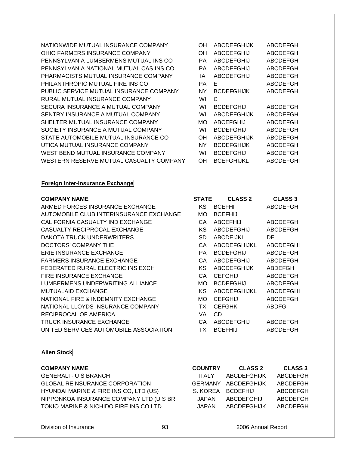NATIONWIDE MUTUAL INSURANCE COMPANY OH ABCDEFGHIJK ABCDEFGH OHIO FARMERS INSURANCE COMPANY PENNSYLVANIA LUMBERMENS MUTUAL INS CO PENNSYLVANIA NATIONAL MUTUAL CAS INS CO PHARMACISTS MUTUAL INSURANCE COMPANY PHILANTHROPIC MUTUAL FIRE INS CO PUBLIC SERVICE MUTUAL INSURANCE COMPANY RURAL MUTUAL INSURANCE COMPANY SECURA INSURANCE A MUTUAL COMPANY SENTRY INSURANCE A MUTUAL COMPANY SHELTER MUTUAL INSURANCE COMPANY SOCIETY INSURANCE A MUTUAL COMPANY STATE AUTOMOBILE MUTUAL INSURANCE CO UTICA MUTUAL INSURANCE COMPANY WEST BEND MUTUAL INSURANCE COMPANY WESTERN RESERVE MUTUAL CASUALTY COMPANY

### **Foreign Inter-Insurance Exchange**

### **COMPANY NAME**

ARMED FORCES INSURANCE EXCHANGE AUTOMOBILE CLUB INTERINSURANCE EXCHANGE CALIFORNIA CASUALTY IND EXCHANGE CASUALTY RECIPROCAL EXCHANGE DAKOTA TRUCK UNDERWRITERS DOCTORS' COMPANY THE ERIE INSURANCE EXCHANGE FARMERS INSURANCE EXCHANGE FEDERATED RURAL ELECTRIC INS EXCH FIRE INSURANCE EXCHANGE LUMBERMENS UNDERWRITING ALLIANCE MUTUALAID EXCHANGE NATIONAL FIRE & INDEMNITY EXCHANGE NATIONAL LLOYDS INSURANCE COMPANY RECIPROCAL OF AMERICA TRUCK INSURANCE EXCHANGE UNITED SERVICES AUTOMOBILE ASSOCIATION

### **Alien Stock**

| <b>COMPANY NAME</b>                     | <b>COUNIRY</b>    | -CLASS 2            | -CLASS 3 |
|-----------------------------------------|-------------------|---------------------|----------|
| <b>GENERALI - U S BRANCH</b>            | ITAI Y            | ABCDEFGHIJK         | ABCDEFGH |
| <b>GLOBAL REINSURANCE CORPORATION</b>   |                   | GERMANY ABCDEFGHIJK | ABCDEFGH |
| HYUNDAI MARINE & FIRE INS CO, LTD (US)  | S. KOREA BCDEFHIJ |                     | ABCDEFGH |
| NIPPONKOA INSURANCE COMPANY LTD (U S BR | JAPAN.            | ABCDEFGHIJ          | ABCDEFGH |
| TOKIO MARINE & NICHIDO FIRE INS CO LTD  | JAPAN             | ABCDEFGHIJK         | ABCDEFGH |

| (JH | ABCDEFGHIJK        | ABCDEFGH        |
|-----|--------------------|-----------------|
| OН  | <b>ABCDEFGHIJ</b>  | ABCDEFGH        |
| РA  | <b>ABCDEFGHIJ</b>  | ABCDEFGH        |
| РA  | <b>ABCDEFGHIJ</b>  | ABCDEFGH        |
| ΙA  | <b>ABCDEFGHIJ</b>  | ABCDEFGH        |
| РA  | Е                  | ABCDEFGH        |
| NΥ  | <b>BCDEFGHIJK</b>  | ABCDEFGH        |
| WI  | C                  |                 |
| WI  | <b>BCDEFGHIJ</b>   | ABCDEFGH        |
| WI  | <b>ABCDEFGHIJK</b> | ABCDEFGH        |
| МO  | ABCEFGHIJ          | ABCDEFGH        |
| WI  | <b>BCDEFGHIJ</b>   | <b>ABCDEFGH</b> |
| OH  | <b>ABCDEFGHIJK</b> | ABCDEFGH        |
| NY  | <b>BCDEFGHIJK</b>  | <b>ABCDEFGH</b> |
| WI  | <b>BCDEFGHIJ</b>   | ABCDEFGH        |
| OΗ  | BCEFGHIJKL         | ABCDEFGHI       |

| <b>STATE</b> | <b>CLASS 2</b>      | <b>CLASS 3</b>   |
|--------------|---------------------|------------------|
| ΚS           | BCEFHI              | ABCDEFGH         |
| MΟ           | <b>BCEFHIJ</b>      |                  |
| CА           | <b>ABCEFHIJ</b>     | ABCDEFGH         |
| κs           | ABCDEFGHIJ          | ABCDEFGH         |
| SD           | <b>ABCDEIJKL</b>    | DE               |
| СA           | <b>ABCDEFGHIJKL</b> | <b>ABCDEFGHI</b> |
| PA           | BCDEFGHIJ           | ABCDEFGH         |
| СA           | <b>ABCDEFGHIJ</b>   | ABCDEFGH         |
| κs           | <b>ABCDEFGHIJK</b>  | ABDEFGH          |
| СA           | CEFGHIJ             | ABCDEFGH         |
| МO           | <b>BCDEFGHIJ</b>    | ABCDEFGH         |
| κs           | <b>ABCDEFGHIJKL</b> | ABCDEFGHI        |
| MΟ           | CEFGHIJ             | ABCDEFGH         |
| TX           | CEFGHK              | ABDFG            |
| VA           | CD                  |                  |
| СA           | ABCDEFGHIJ          | <b>ABCDEFGH</b>  |
| тх           | RCEEHLI             | ARCDEFGH         |

| <b>COMPANY NAME</b>                     | <b>COUNTRY</b>    | <b>CLASS 2</b>      | <b>CLASS 3</b> |
|-----------------------------------------|-------------------|---------------------|----------------|
| <b>GENERALI - U S BRANCH</b>            | <b>ITALY</b>      | ABCDEFGHIJK         | ABCDEFGH       |
| <b>GLOBAL REINSURANCE CORPORATION</b>   |                   | GERMANY ABCDEFGHIJK | ABCDEFGH       |
| HYUNDAI MARINE & FIRE INS CO, LTD (US)  | S. KOREA BCDEFHIJ |                     | ABCDEFGH       |
| NIPPONKOA INSURANCE COMPANY LTD (U S BR | JAPAN             | ABCDEFGHIJ          | ABCDEFGH       |
| TOKIO MARINE & NICHIDO FIRE INS CO LTD  | JAPAN             | ABCDEFGHIJK         | ABCDEFGH       |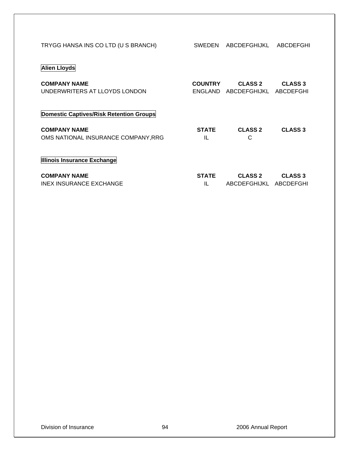| TRYGG HANSA INS CO LTD (U S BRANCH)                        | SWEDEN                    | ABCDEFGHIJKL                             | ABCDEFGHI                   |
|------------------------------------------------------------|---------------------------|------------------------------------------|-----------------------------|
| <b>Alien Lloyds</b>                                        |                           |                                          |                             |
| <b>COMPANY NAME</b><br>UNDERWRITERS AT LLOYDS LONDON       | <b>COUNTRY</b><br>ENGLAND | <b>CLASS 2</b><br>ABCDEFGHIJKL           | <b>CLASS 3</b><br>ABCDEFGHI |
| Domestic Captives/Risk Retention Groups                    |                           |                                          |                             |
| <b>COMPANY NAME</b><br>OMS NATIONAL INSURANCE COMPANY, RRG | <b>STATE</b><br>IL        | <b>CLASS 2</b><br>C                      | <b>CLASS 3</b>              |
| Illinois Insurance Exchange                                |                           |                                          |                             |
| <b>COMPANY NAME</b><br><b>INEX INSURANCE EXCHANGE</b>      | <b>STATE</b><br>IL        | <b>CLASS 2</b><br>ABCDEFGHIJKL ABCDEFGHI | <b>CLASS 3</b>              |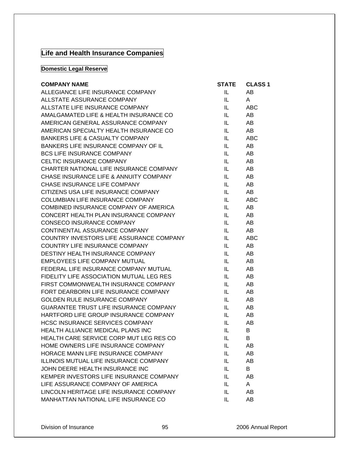# **Life and Health Insurance Companies**

## **Domestic Legal Reserve**

| <b>COMPANY NAME</b>                           | <b>STATE</b> | <b>CLASS 1</b> |
|-----------------------------------------------|--------------|----------------|
| ALLEGIANCE LIFE INSURANCE COMPANY             | IL.          | AB             |
| ALLSTATE ASSURANCE COMPANY                    | IL.          | A              |
| ALLSTATE LIFE INSURANCE COMPANY               | IL -         | ABC            |
| AMALGAMATED LIFE & HEALTH INSURANCE CO        | IL.          | AB             |
| AMERICAN GENERAL ASSURANCE COMPANY            | IL.          | AB             |
| AMERICAN SPECIALTY HEALTH INSURANCE CO        | IL.          | AB             |
| <b>BANKERS LIFE &amp; CASUALTY COMPANY</b>    | IL.          | <b>ABC</b>     |
| BANKERS LIFE INSURANCE COMPANY OF IL          | IL.          | AB             |
| <b>BCS LIFE INSURANCE COMPANY</b>             | IL.          | AB             |
| CELTIC INSURANCE COMPANY                      | IL.          | AB             |
| CHARTER NATIONAL LIFE INSURANCE COMPANY       | IL I         | AB             |
| CHASE INSURANCE LIFE & ANNUITY COMPANY        | IL.          | AB             |
| CHASE INSURANCE LIFE COMPANY                  | IL.          | AB             |
| CITIZENS USA LIFE INSURANCE COMPANY           | IL.          | AB             |
| COLUMBIAN LIFE INSURANCE COMPANY              | IL -         | <b>ABC</b>     |
| COMBINED INSURANCE COMPANY OF AMERICA         | IL.          | AB             |
| CONCERT HEALTH PLAN INSURANCE COMPANY         | IL.          | AB             |
| <b>CONSECO INSURANCE COMPANY</b>              | IL.          | AB             |
| CONTINENTAL ASSURANCE COMPANY                 | IL -         | AB             |
| COUNTRY INVESTORS LIFE ASSURANCE COMPANY      | IL.          | <b>ABC</b>     |
| COUNTRY LIFE INSURANCE COMPANY                | IL.          | AB             |
| DESTINY HEALTH INSURANCE COMPANY              | IL.          | AB             |
| EMPLOYEES LIFE COMPANY MUTUAL                 | IL.          | AB             |
| FEDERAL LIFE INSURANCE COMPANY MUTUAL         | IL.          | AB             |
| FIDELITY LIFE ASSOCIATION MUTUAL LEG RES      | IL.          | AB             |
| FIRST COMMONWEALTH INSURANCE COMPANY          | IL.          | AB             |
| FORT DEARBORN LIFE INSURANCE COMPANY          | IL           | AB             |
| GOLDEN RULE INSURANCE COMPANY                 | IL.          | AB             |
| <b>GUARANTEE TRUST LIFE INSURANCE COMPANY</b> | IL.          | AB             |
| HARTFORD LIFE GROUP INSURANCE COMPANY         | IL.          | AB             |
| <b>HCSC INSURANCE SERVICES COMPANY</b>        | IL –         | AB             |
| HEALTH ALLIANCE MEDICAL PLANS INC             | IL.          | B              |
| HEALTH CARE SERVICE CORP MUT LEG RES CO       | IL -         | B              |
| HOME OWNERS LIFE INSURANCE COMPANY            | IL           | AB             |
| HORACE MANN LIFE INSURANCE COMPANY            | IL           | AB             |
| ILLINOIS MUTUAL LIFE INSURANCE COMPANY        | IL           | AB             |
| JOHN DEERE HEALTH INSURANCE INC               | IL.          | B              |
| KEMPER INVESTORS LIFE INSURANCE COMPANY       | IL           | AB             |
| LIFE ASSURANCE COMPANY OF AMERICA             | IL.          | A              |
| LINCOLN HERITAGE LIFE INSURANCE COMPANY       | IL           | AB             |
| MANHATTAN NATIONAL LIFE INSURANCE CO          | IL.          | AB             |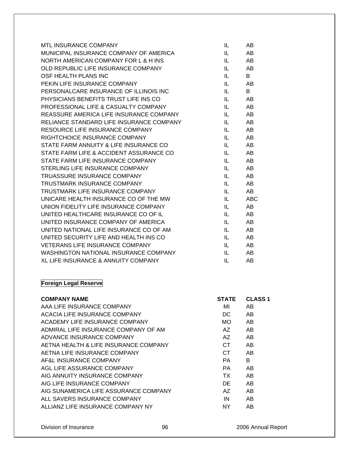| <b>MTL INSURANCE COMPANY</b>             | IL  | AB         |
|------------------------------------------|-----|------------|
| MUNICIPAL INSURANCE COMPANY OF AMERICA   | IL. | AB         |
| NORTH AMERICAN COMPANY FOR L & H INS     | IL  | AB         |
| OLD REPUBLIC LIFE INSURANCE COMPANY      | IL  | AB         |
| OSF HEALTH PLANS INC                     | IL  | B          |
| PEKIN LIFE INSURANCE COMPANY             | IL  | AB         |
| PERSONALCARE INSURANCE OF ILLINOIS INC   | IL  | B          |
| PHYSICIANS BENEFITS TRUST LIFE INS CO    | IL  | AB         |
| PROFESSIONAL LIFE & CASUALTY COMPANY     | IL  | AB         |
| REASSURE AMERICA LIFE INSURANCE COMPANY  | IL  | AB         |
| RELIANCE STANDARD LIFE INSURANCE COMPANY | IL  | AB         |
| RESOURCE LIFE INSURANCE COMPANY          | IL  | AB         |
| RIGHTCHOICE INSURANCE COMPANY            | IL  | AB         |
| STATE FARM ANNUITY & LIFE INSURANCE CO   | IL  | AB         |
| STATE FARM LIFE & ACCIDENT ASSURANCE CO  | IL. | AB         |
| STATE FARM LIFE INSURANCE COMPANY        | IL. | AB         |
| STERLING LIFE INSURANCE COMPANY          | IL. | AB         |
| TRUASSURE INSURANCE COMPANY              | IL  | AB         |
| <b>TRUSTMARK INSURANCE COMPANY</b>       | IL  | AB         |
| TRUSTMARK LIFE INSURANCE COMPANY         | IL. | AB         |
| UNICARE HEALTH INSURANCE CO OF THE MW    | IL  | <b>ABC</b> |
| UNION FIDELITY LIFE INSURANCE COMPANY    | IL  | AB         |
| UNITED HEALTHCARE INSURANCE CO OF IL     | IL  | AB         |
| UNITED INSURANCE COMPANY OF AMERICA      | IL  | AB         |
| UNITED NATIONAL LIFE INSURANCE CO OF AM  | IL  | AB         |
| UNITED SECURITY LIFE AND HEALTH INS CO   | IL  | AB         |
| <b>VETERANS LIFE INSURANCE COMPANY</b>   | IL  | AB         |
| WASHINGTON NATIONAL INSURANCE COMPANY    | IL  | AB         |
| XL LIFE INSURANCE & ANNUITY COMPANY      | IL  | AB         |

# **Foreign Legal Reserve**

| <b>COMPANY NAME</b>                   | <b>STATE</b> | <b>CLASS 1</b> |
|---------------------------------------|--------------|----------------|
| AAA LIFE INSURANCE COMPANY            | MI           | AB             |
| ACACIA LIFE INSURANCE COMPANY         | DC.          | AB             |
| ACADEMY LIFE INSURANCE COMPANY        | MO.          | AB             |
| ADMIRAL LIFE INSURANCE COMPANY OF AM  | AZ.          | AB             |
| ADVANCE INSURANCE COMPANY             | AZ.          | AB             |
| AETNA HEALTH & LIFE INSURANCE COMPANY | CT.          | AB             |
| AETNA LIFE INSURANCE COMPANY          | CT.          | AB.            |
| AF&L INSURANCE COMPANY                | PA.          | B              |
| AGL LIFE ASSURANCE COMPANY            | PA.          | AB             |
| AIG ANNUITY INSURANCE COMPANY         | TX.          | AB             |
| AIG LIFE INSURANCE COMPANY            | DE           | AB.            |
| AIG SUNAMERICA LIFE ASSURANCE COMPANY | AZ.          | AB             |
| ALL SAVERS INSURANCE COMPANY          | IN           | AB             |
| ALLIANZ LIFE INSURANCE COMPANY NY     | <b>NY</b>    | AB             |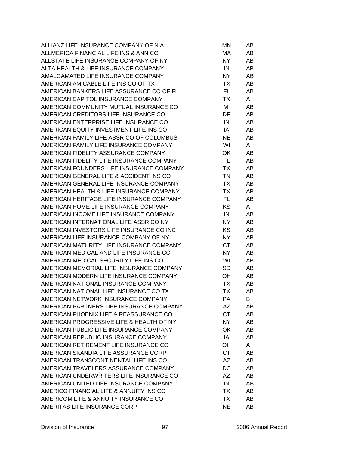| ALLIANZ LIFE INSURANCE COMPANY OF N A    | ΜN        | AB |
|------------------------------------------|-----------|----|
| ALLMERICA FINANCIAL LIFE INS & ANN CO    | МA        | AB |
| ALLSTATE LIFE INSURANCE COMPANY OF NY    | NY.       | AB |
| ALTA HEALTH & LIFE INSURANCE COMPANY     | IN        | AB |
| AMALGAMATED LIFE INSURANCE COMPANY       | NY.       | AB |
| AMERICAN AMICABLE LIFE INS CO OF TX      | TX        | AB |
| AMERICAN BANKERS LIFE ASSURANCE CO OF FL | FL.       | AB |
| AMERICAN CAPITOL INSURANCE COMPANY       | ТX        | A  |
| AMERICAN COMMUNITY MUTUAL INSURANCE CO   | MI        | AB |
| AMERICAN CREDITORS LIFE INSURANCE CO     | DE        | AB |
| AMERICAN ENTERPRISE LIFE INSURANCE CO    | IN        | AB |
| AMERICAN EQUITY INVESTMENT LIFE INS CO   | IA        | AB |
|                                          |           |    |
| AMERICAN FAMILY LIFE ASSR CO OF COLUMBUS | <b>NE</b> | AB |
| AMERICAN FAMILY LIFE INSURANCE COMPANY   | WI        | A  |
| AMERICAN FIDELITY ASSURANCE COMPANY      | OK        | AB |
| AMERICAN FIDELITY LIFE INSURANCE COMPANY | FL.       | AB |
| AMERICAN FOUNDERS LIFE INSURANCE COMPANY | TX        | AB |
| AMERICAN GENERAL LIFE & ACCIDENT INS CO  | TN        | AB |
| AMERICAN GENERAL LIFE INSURANCE COMPANY  | TX        | AB |
| AMERICAN HEALTH & LIFE INSURANCE COMPANY | ТX        | AB |
| AMERICAN HERITAGE LIFE INSURANCE COMPANY | FL.       | AB |
| AMERICAN HOME LIFE INSURANCE COMPANY     | KS        | A  |
| AMERICAN INCOME LIFE INSURANCE COMPANY   | IN        | AB |
| AMERICAN INTERNATIONAL LIFE ASSR CO NY   | NY.       | AB |
| AMERICAN INVESTORS LIFE INSURANCE CO INC | <b>KS</b> | AB |
| AMERICAN LIFE INSURANCE COMPANY OF NY    | NY        | AB |
| AMERICAN MATURITY LIFE INSURANCE COMPANY | CT        | AB |
| AMERICAN MEDICAL AND LIFE INSURANCE CO   | NY.       | AB |
| AMERICAN MEDICAL SECURITY LIFE INS CO    | WI        | AB |
| AMERICAN MEMORIAL LIFE INSURANCE COMPANY | <b>SD</b> | AB |
| AMERICAN MODERN LIFE INSURANCE COMPANY   | OH        | AB |
| AMERICAN NATIONAL INSURANCE COMPANY      | ТX        | AB |
| AMERICAN NATIONAL LIFE INSURANCE CO TX   | <b>TX</b> | AB |
| AMERICAN NETWORK INSURANCE COMPANY       | РA        | В  |
| AMERICAN PARTNERS LIFE INSURANCE COMPANY | AΖ        | AB |
| AMERICAN PHOENIX LIFE & REASSURANCE CO   | <b>CT</b> | AB |
| AMERICAN PROGRESSIVE LIFE & HEALTH OF NY | <b>NY</b> | AB |
| AMERICAN PUBLIC LIFE INSURANCE COMPANY   | OK        | AB |
| AMERICAN REPUBLIC INSURANCE COMPANY      | IA        | AB |
| AMERICAN RETIREMENT LIFE INSURANCE CO    | OH        | A  |
| AMERICAN SKANDIA LIFE ASSURANCE CORP     | <b>CT</b> |    |
|                                          |           | AB |
| AMERICAN TRANSCONTINENTAL LIFE INS CO    | AΖ        | AB |
| AMERICAN TRAVELERS ASSURANCE COMPANY     | DC        | AB |
| AMERICAN UNDERWRITERS LIFE INSURANCE CO  | AΖ        | AB |
| AMERICAN UNITED LIFE INSURANCE COMPANY   | IN        | AB |
| AMERICO FINANCIAL LIFE & ANNUITY INS CO  | ТX        | AB |
| AMERICOM LIFE & ANNUITY INSURANCE CO     | TX        | AB |
| AMERITAS LIFE INSURANCE CORP             | <b>NE</b> | AB |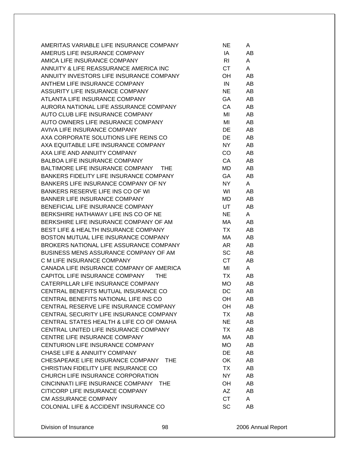| AMERITAS VARIABLE LIFE INSURANCE COMPANY        | NE.       | A  |
|-------------------------------------------------|-----------|----|
| AMERUS LIFE INSURANCE COMPANY                   | IA        | AB |
| AMICA LIFE INSURANCE COMPANY                    | <b>RI</b> | A  |
| ANNUITY & LIFE REASSURANCE AMERICA INC          | CT.       | A  |
| ANNUITY INVESTORS LIFE INSURANCE COMPANY        | OH        | AB |
| ANTHEM LIFE INSURANCE COMPANY                   | IN        | AB |
| ASSURITY LIFE INSURANCE COMPANY                 | <b>NE</b> | AB |
| ATLANTA LIFE INSURANCE COMPANY                  | GA        | AB |
| AURORA NATIONAL LIFE ASSURANCE COMPANY          | CA        | AB |
| AUTO CLUB LIFE INSURANCE COMPANY                | MI        | AB |
| AUTO OWNERS LIFE INSURANCE COMPANY              | MI        | AB |
| AVIVA LIFE INSURANCE COMPANY                    | DE        | AB |
| AXA CORPORATE SOLUTIONS LIFE REINS CO           | <b>DE</b> | AB |
| AXA EQUITABLE LIFE INSURANCE COMPANY            | NY        | AB |
| AXA LIFE AND ANNUITY COMPANY                    | CO        | AB |
| <b>BALBOA LIFE INSURANCE COMPANY</b>            | CA        | AB |
| BALTIMORE LIFE INSURANCE COMPANY THE            | MD        | AB |
| BANKERS FIDELITY LIFE INSURANCE COMPANY         |           |    |
|                                                 | GA        | AB |
| BANKERS LIFE INSURANCE COMPANY OF NY            | NY        | A  |
| BANKERS RESERVE LIFE INS CO OF WI               | WI        | AB |
| <b>BANNER LIFE INSURANCE COMPANY</b>            | MD        | AB |
| BENEFICIAL LIFE INSURANCE COMPANY               | UT        | AB |
| BERKSHIRE HATHAWAY LIFE INS CO OF NE            | <b>NE</b> | A  |
| BERKSHIRE LIFE INSURANCE COMPANY OF AM          | МA        | AB |
| <b>BEST LIFE &amp; HEALTH INSURANCE COMPANY</b> | TX        | AB |
| BOSTON MUTUAL LIFE INSURANCE COMPANY            | MA        | AB |
| BROKERS NATIONAL LIFE ASSURANCE COMPANY         | AR        | AB |
| BUSINESS MENS ASSURANCE COMPANY OF AM           | <b>SC</b> | AB |
| C M LIFE INSURANCE COMPANY                      | <b>CT</b> | AB |
| CANADA LIFE INSURANCE COMPANY OF AMERICA        | MI        | A  |
| CAPITOL LIFE INSURANCE COMPANY THE              | TX        | AB |
| CATERPILLAR LIFE INSURANCE COMPANY              | <b>MO</b> | AB |
| CENTRAL BENEFITS MUTUAL INSURANCE CO            | DC        | AB |
| CENTRAL BENEFITS NATIONAL LIFE INS CO           | OH        | AB |
| CENTRAL RESERVE LIFE INSURANCE COMPANY          | OH        | AB |
| CENTRAL SECURITY LIFE INSURANCE COMPANY         | TX        | AB |
| CENTRAL STATES HEALTH & LIFE CO OF OMAHA        | <b>NE</b> | AB |
| CENTRAL UNITED LIFE INSURANCE COMPANY           | <b>TX</b> | AB |
| CENTRE LIFE INSURANCE COMPANY                   | МA        | AB |
| CENTURION LIFE INSURANCE COMPANY                | <b>MO</b> | AB |
| <b>CHASE LIFE &amp; ANNUITY COMPANY</b>         | <b>DE</b> | AB |
| CHESAPEAKE LIFE INSURANCE COMPANY<br>THE        | OK        | AB |
| CHRISTIAN FIDELITY LIFE INSURANCE CO            | TX        | AB |
| CHURCH LIFE INSURANCE CORPORATION               | NY.       | AB |
| CINCINNATI LIFE INSURANCE COMPANY THE           | <b>OH</b> | AB |
| CITICORP LIFE INSURANCE COMPANY                 | AZ        | AB |
| <b>CM ASSURANCE COMPANY</b>                     | <b>CT</b> | A  |
| COLONIAL LIFE & ACCIDENT INSURANCE CO           | <b>SC</b> | AВ |
|                                                 |           |    |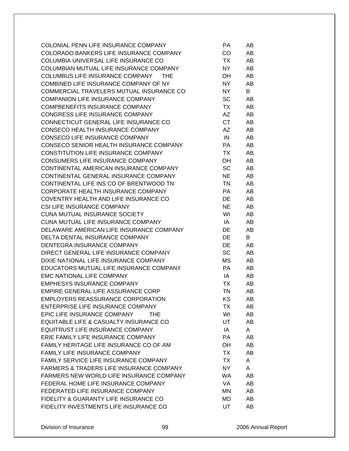| COLONIAL PENN LIFE INSURANCE COMPANY                | <b>PA</b> | AB |
|-----------------------------------------------------|-----------|----|
| COLORADO BANKERS LIFE INSURANCE COMPANY             | <b>CO</b> | AB |
| COLUMBIA UNIVERSAL LIFE INSURANCE CO                | TX        | AB |
| COLUMBIAN MUTUAL LIFE INSURANCE COMPANY             | NY.       | AB |
| COLUMBUS LIFE INSURANCE COMPANY<br><b>THE</b>       | OH        | AB |
| COMBINED LIFE INSURANCE COMPANY OF NY               | NY        | AB |
| COMMERCIAL TRAVELERS MUTUAL INSURANCE CO            | NY.       | B  |
| <b>COMPANION LIFE INSURANCE COMPANY</b>             | <b>SC</b> | AB |
| <b>COMPBENEFITS INSURANCE COMPANY</b>               | TX        | AB |
| CONGRESS LIFE INSURANCE COMPANY                     | AZ        | AB |
| CONNECTICUT GENERAL LIFE INSURANCE CO               | <b>CT</b> | AB |
| CONSECO HEALTH INSURANCE COMPANY                    | AΖ        | AB |
| CONSECO LIFE INSURANCE COMPANY                      | IN        | AB |
| CONSECO SENIOR HEALTH INSURANCE COMPANY             | PA        | AB |
| <b>CONSTITUTION LIFE INSURANCE COMPANY</b>          | TX        | AB |
| CONSUMERS LIFE INSURANCE COMPANY                    | OH.       | AB |
| CONTINENTAL AMERICAN INSURANCE COMPANY              | <b>SC</b> | AB |
| CONTINENTAL GENERAL INSURANCE COMPANY               | <b>NE</b> | AB |
| CONTINENTAL LIFE INS CO OF BRENTWOOD TN             | TN        | AB |
| CORPORATE HEALTH INSURANCE COMPANY                  | PA.       | AB |
| COVENTRY HEALTH AND LIFE INSURANCE CO               | DE        | AB |
| <b>CSI LIFE INSURANCE COMPANY</b>                   | <b>NE</b> | AB |
| <b>CUNA MUTUAL INSURANCE SOCIETY</b>                | WI        | AB |
| CUNA MUTUAL LIFE INSURANCE COMPANY                  | IA        | AB |
| DELAWARE AMERICAN LIFE INSURANCE COMPANY            | DE        | AB |
| DELTA DENTAL INSURANCE COMPANY                      | DE        | B  |
| DENTEGRA INSURANCE COMPANY                          | DE        | AB |
| DIRECT GENERAL LIFE INSURANCE COMPANY               | <b>SC</b> | AB |
| DIXIE NATIONAL LIFE INSURANCE COMPANY               | МS        | AB |
| EDUCATORS MUTUAL LIFE INSURANCE COMPANY             | PA.       | AB |
| <b>EMC NATIONAL LIFE COMPANY</b>                    | IA        | AB |
| <b>EMPHESYS INSURANCE COMPANY</b>                   | TX        | AB |
| EMPIRE GENERAL LIFE ASSURANCE CORP                  | TN        | AB |
| <b>EMPLOYERS REASSURANCE CORPORATION</b>            | ΚS        | AB |
| ENTERPRISE LIFE INSURANCE COMPANY                   | TX        | AB |
| EPIC LIFE INSURANCE COMPANY<br><b>THE</b>           | WI        | AB |
| EQUITABLE LIFE & CASUALTY INSURANCE CO              | UT        | AB |
| <b>EQUITRUST LIFE INSURANCE COMPANY</b>             | IA        | A  |
| ERIE FAMILY LIFE INSURANCE COMPANY                  | PA        | AB |
| FAMILY HERITAGE LIFE INSURANCE CO OF AM             | OH        | AB |
| FAMILY LIFE INSURANCE COMPANY                       | <b>TX</b> | AB |
| FAMILY SERVICE LIFE INSURANCE COMPANY               | TX        | A  |
| <b>FARMERS &amp; TRADERS LIFE INSURANCE COMPANY</b> | NY.       | A  |
| FARMERS NEW WORLD LIFE INSURANCE COMPANY            | <b>WA</b> | AB |
| FEDERAL HOME LIFE INSURANCE COMPANY                 | VA        | AB |
| FEDERATED LIFE INSURANCE COMPANY                    | ΜN        | AB |
| FIDELITY & GUARANTY LIFE INSURANCE CO               | MD        | AB |
| FIDELITY INVESTMENTS LIFE INSURANCE CO              | <b>UT</b> | AB |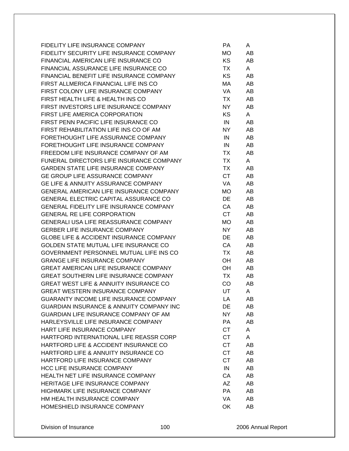| FIDELITY LIFE INSURANCE COMPANY                      | PA        | A  |
|------------------------------------------------------|-----------|----|
| FIDELITY SECURITY LIFE INSURANCE COMPANY             | MO        | AB |
| FINANCIAL AMERICAN LIFE INSURANCE CO                 | KS.       | AB |
| FINANCIAL ASSURANCE LIFE INSURANCE CO                | TX        | A  |
| FINANCIAL BENEFIT LIFE INSURANCE COMPANY             | <b>KS</b> | AB |
| FIRST ALLMERICA FINANCIAL LIFE INS CO                | МA        | AB |
| FIRST COLONY LIFE INSURANCE COMPANY                  | VA        | AB |
| FIRST HEALTH LIFE & HEALTH INS CO                    | TX        | AB |
| FIRST INVESTORS LIFE INSURANCE COMPANY               | NY.       | AB |
| FIRST LIFE AMERICA CORPORATION                       | <b>KS</b> | A  |
| FIRST PENN PACIFIC LIFE INSURANCE CO                 | IN        | AB |
| FIRST REHABILITATION LIFE INS CO OF AM               | NY.       | AB |
| FORETHOUGHT LIFE ASSURANCE COMPANY                   | IN        | AB |
| FORETHOUGHT LIFE INSURANCE COMPANY                   | IN        | AB |
| FREEDOM LIFE INSURANCE COMPANY OF AM                 | TX        | AB |
| FUNERAL DIRECTORS LIFE INSURANCE COMPANY             | TX        | A  |
| <b>GARDEN STATE LIFE INSURANCE COMPANY</b>           | TX        | AB |
| GE GROUP LIFE ASSURANCE COMPANY                      | <b>CT</b> | AB |
| <b>GE LIFE &amp; ANNUITY ASSURANCE COMPANY</b>       | VA        | AB |
| <b>GENERAL AMERICAN LIFE INSURANCE COMPANY</b>       | MO.       | AB |
| <b>GENERAL ELECTRIC CAPITAL ASSURANCE CO</b>         | DE        | AB |
| <b>GENERAL FIDELITY LIFE INSURANCE COMPANY</b>       | CA        | AB |
| <b>GENERAL RE LIFE CORPORATION</b>                   | <b>CT</b> | AB |
| <b>GENERALI USA LIFE REASSURANCE COMPANY</b>         | MO        | AB |
| <b>GERBER LIFE INSURANCE COMPANY</b>                 | NY.       | AB |
| <b>GLOBE LIFE &amp; ACCIDENT INSURANCE COMPANY</b>   | DE        | AB |
| GOLDEN STATE MUTUAL LIFE INSURANCE CO                | CA        | AB |
| GOVERNMENT PERSONNEL MUTUAL LIFE INS CO              | TX        | AB |
| <b>GRANGE LIFE INSURANCE COMPANY</b>                 | OH        | AB |
| <b>GREAT AMERICAN LIFE INSURANCE COMPANY</b>         | OH        | AB |
| <b>GREAT SOUTHERN LIFE INSURANCE COMPANY</b>         | TX        | AB |
| <b>GREAT WEST LIFE &amp; ANNUITY INSURANCE CO</b>    | CO        | AB |
| <b>GREAT WESTERN INSURANCE COMPANY</b>               | UT        | A  |
| <b>GUARANTY INCOME LIFE INSURANCE COMPANY</b>        | LA        | AB |
| <b>GUARDIAN INSURANCE &amp; ANNUITY COMPANY INC.</b> | DE        | AB |
| GUARDIAN LIFE INSURANCE COMPANY OF AM                | NY.       | AB |
| HARLEYSVILLE LIFE INSURANCE COMPANY                  | PA        | AB |
| HART LIFE INSURANCE COMPANY                          | <b>CT</b> | A  |
| HARTFORD INTERNATIONAL LIFE REASSR CORP              | <b>CT</b> | A  |
| HARTFORD LIFE & ACCIDENT INSURANCE CO                | <b>CT</b> | AB |
| HARTFORD LIFE & ANNUITY INSURANCE CO                 | <b>CT</b> | AB |
| HARTFORD LIFE INSURANCE COMPANY                      | <b>CT</b> | AB |
| <b>HCC LIFE INSURANCE COMPANY</b>                    | IN        | AB |
| HEALTH NET LIFE INSURANCE COMPANY                    | CA        | AB |
| HERITAGE LIFE INSURANCE COMPANY                      | AΖ        | AB |
| <b>HIGHMARK LIFE INSURANCE COMPANY</b>               | <b>PA</b> | AB |
| HM HEALTH INSURANCE COMPANY                          | VA        | AB |
| HOMESHIELD INSURANCE COMPANY                         | OK        | AB |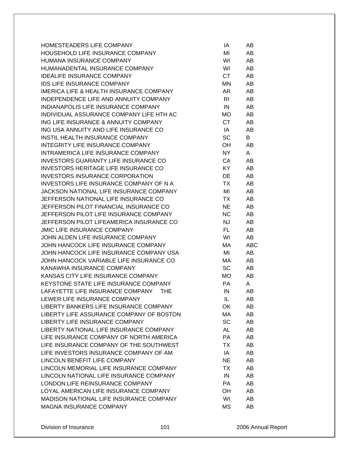| HOMESTEADERS LIFE COMPANY                          | ΙA        | AB  |
|----------------------------------------------------|-----------|-----|
| HOUSEHOLD LIFE INSURANCE COMPANY                   | MI        | AB  |
| HUMANA INSURANCE COMPANY                           | WI        | AB  |
| HUMANADENTAL INSURANCE COMPANY                     | WI        | AB  |
| <b>IDEALIFE INSURANCE COMPANY</b>                  | <b>CT</b> | AB  |
| IDS LIFE INSURANCE COMPANY                         | <b>MN</b> | AB  |
| <b>IMERICA LIFE &amp; HEALTH INSURANCE COMPANY</b> | AR        | AB  |
| INDEPENDENCE LIFE AND ANNUITY COMPANY              | RI        | AB  |
| INDIANAPOLIS LIFE INSURANCE COMPANY                | IN        | AB  |
| INDIVIDUAL ASSURANCE COMPANY LIFE HTH AC           | MO        | AB  |
| ING LIFE INSURANCE & ANNUITY COMPANY               | <b>CT</b> | AB  |
| ING USA ANNUITY AND LIFE INSURANCE CO              | IA        | AB  |
| INSTIL HEALTH INSURANCE COMPANY                    | SC        | B   |
| INTEGRITY LIFE INSURANCE COMPANY                   | OH        | AB  |
| INTRAMERICA LIFE INSURANCE COMPANY                 | <b>NY</b> | A   |
| <b>INVESTORS GUARANTY LIFE INSURANCE CO</b>        | CA        | AB  |
| INVESTORS HERITAGE LIFE INSURANCE CO               | KY        | AB  |
| <b>INVESTORS INSURANCE CORPORATION</b>             | DE        | AB  |
| INVESTORS LIFE INSURANCE COMPANY OF N A            | <b>TX</b> | AB  |
| JACKSON NATIONAL LIFE INSURANCE COMPANY            | MI        | AB  |
| JEFFERSON NATIONAL LIFE INSURANCE CO               | TX        | AB  |
| JEFFERSON PILOT FINANCIAL INSURANCE CO             | <b>NE</b> | AB  |
| JEFFERSON PILOT LIFE INSURANCE COMPANY             | <b>NC</b> | AB  |
| JEFFERSON PILOT LIFEAMERICA INSURANCE CO           | <b>NJ</b> | AB  |
| <b>JMIC LIFE INSURANCE COMPANY</b>                 | FL        | AB  |
| JOHN ALDEN LIFE INSURANCE COMPANY                  | WI        | AB  |
| JOHN HANCOCK LIFE INSURANCE COMPANY                | МA        | ABC |
| JOHN HANCOCK LIFE INSURANCE COMPANY USA            | MI        | AB  |
| JOHN HANCOCK VARIABLE LIFE INSURANCE CO            | МA        | AB  |
| KANAWHA INSURANCE COMPANY                          | SC        | AB  |
| KANSAS CITY LIFE INSURANCE COMPANY                 | MO.       | AB  |
| KEYSTONE STATE LIFE INSURANCE COMPANY              | <b>PA</b> | A   |
| LAFAYETTE LIFE INSURANCE COMPANY<br><b>THE</b>     | IN        | AB  |
| LEWER LIFE INSURANCE COMPANY                       | IL        | AB  |
| LIBERTY BANKERS LIFE INSURANCE COMPANY             | 0K        | AB  |
| LIBERTY LIFE ASSURANCE COMPANY OF BOSTON           | MA        | AB  |
| LIBERTY LIFE INSURANCE COMPANY                     | SC        | AB  |
| LIBERTY NATIONAL LIFE INSURANCE COMPANY            | <b>AL</b> | AB  |
| LIFE INSURANCE COMPANY OF NORTH AMERICA            | PA        | AB  |
| LIFE INSURANCE COMPANY OF THE SOUTHWEST            | ТX        | AB  |
| LIFE INVESTORS INSURANCE COMPANY OF AM             | IA        | AB  |
| LINCOLN BENEFIT LIFE COMPANY                       | <b>NE</b> | AB  |
| LINCOLN MEMORIAL LIFE INSURANCE COMPANY            | ТX        | AB  |
| LINCOLN NATIONAL LIFE INSURANCE COMPANY            | IN        | AB  |
| LONDON LIFE REINSURANCE COMPANY                    | <b>PA</b> | AB  |
| LOYAL AMERICAN LIFE INSURANCE COMPANY              | OH        | AB  |
| MADISON NATIONAL LIFE INSURANCE COMPANY            | WI        | AB  |
| <b>MAGNA INSURANCE COMPANY</b>                     | <b>MS</b> | AB  |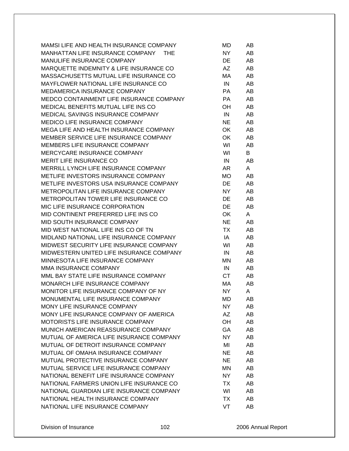| MAMSI LIFE AND HEALTH INSURANCE COMPANY  | MD        | AB |
|------------------------------------------|-----------|----|
| MANHATTAN LIFE INSURANCE COMPANY THE     | NY        | AB |
| MANULIFE INSURANCE COMPANY               | DE        | AB |
| MARQUETTE INDEMNITY & LIFE INSURANCE CO  | AZ        | AB |
| MASSACHUSETTS MUTUAL LIFE INSURANCE CO   | МA        | AB |
| MAYFLOWER NATIONAL LIFE INSURANCE CO     | IN        | AB |
| MEDAMERICA INSURANCE COMPANY             | PA        | AB |
| MEDCO CONTAINMENT LIFE INSURANCE COMPANY | PA.       | AB |
| MEDICAL BENEFITS MUTUAL LIFE INS CO      | OH        | AB |
| MEDICAL SAVINGS INSURANCE COMPANY        | IN        | AB |
| <b>MEDICO LIFE INSURANCE COMPANY</b>     | <b>NE</b> | AB |
| MEGA LIFE AND HEALTH INSURANCE COMPANY   | OK        | AB |
| MEMBER SERVICE LIFE INSURANCE COMPANY    | OK        | AB |
| MEMBERS LIFE INSURANCE COMPANY           | WI        | AB |
| MERCYCARE INSURANCE COMPANY              | WI        | B  |
| <b>MERIT LIFE INSURANCE CO</b>           | IN        | AB |
| MERRILL LYNCH LIFE INSURANCE COMPANY     | AR        | A  |
| METLIFE INVESTORS INSURANCE COMPANY      | MO        | AB |
| METLIFE INVESTORS USA INSURANCE COMPANY  | DE        | AB |
| METROPOLITAN LIFE INSURANCE COMPANY      | NY        | AB |
| METROPOLITAN TOWER LIFE INSURANCE CO     | DE        | AB |
| MIC LIFE INSURANCE CORPORATION           | DE        | AB |
| MID CONTINENT PREFERRED LIFE INS CO      | OK        | A  |
| MID SOUTH INSURANCE COMPANY              | <b>NE</b> | AB |
| MID WEST NATIONAL LIFE INS CO OF TN      | TX        | AB |
| MIDLAND NATIONAL LIFE INSURANCE COMPANY  | IA        | AB |
| MIDWEST SECURITY LIFE INSURANCE COMPANY  | WI        | AB |
| MIDWESTERN UNITED LIFE INSURANCE COMPANY | IN        | AB |
| MINNESOTA LIFE INSURANCE COMPANY         | ΜN        | AB |
| MMA INSURANCE COMPANY                    | IN        | AB |
| MML BAY STATE LIFE INSURANCE COMPANY     | <b>CT</b> | AB |
| MONARCH LIFE INSURANCE COMPANY           | МA        | AB |
| MONITOR LIFE INSURANCE COMPANY OF NY     | NY        | A  |
| MONUMENTAL LIFE INSURANCE COMPANY        | MD        | AB |
| MONY LIFE INSURANCE COMPANY              | NY.       | AB |
| MONY LIFE INSURANCE COMPANY OF AMERICA   | AΖ        | AB |
| MOTORISTS LIFE INSURANCE COMPANY         | OН        | AB |
| MUNICH AMERICAN REASSURANCE COMPANY      | GA        | AB |
| MUTUAL OF AMERICA LIFE INSURANCE COMPANY | NY        | AB |
| MUTUAL OF DETROIT INSURANCE COMPANY      | MI        | AB |
| MUTUAL OF OMAHA INSURANCE COMPANY        | NE.       | AB |
| MUTUAL PROTECTIVE INSURANCE COMPANY      | NE.       | AB |
| MUTUAL SERVICE LIFE INSURANCE COMPANY    | ΜN        | AB |
| NATIONAL BENEFIT LIFE INSURANCE COMPANY  | NY.       | AB |
| NATIONAL FARMERS UNION LIFE INSURANCE CO | TX        | AB |
| NATIONAL GUARDIAN LIFE INSURANCE COMPANY | WI        | AB |
| NATIONAL HEALTH INSURANCE COMPANY        | TX        | AB |
| NATIONAL LIFE INSURANCE COMPANY          | VT        | AB |
|                                          |           |    |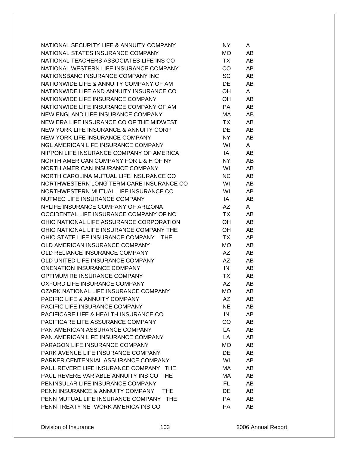| NATIONAL SECURITY LIFE & ANNUITY COMPANY        | NY.       | A  |
|-------------------------------------------------|-----------|----|
| NATIONAL STATES INSURANCE COMPANY               | MO        | AB |
| NATIONAL TEACHERS ASSOCIATES LIFE INS CO        | TX        | AB |
| NATIONAL WESTERN LIFE INSURANCE COMPANY         | CO        | AB |
| NATIONSBANC INSURANCE COMPANY INC               | SC        | AB |
| NATIONWIDE LIFE & ANNUITY COMPANY OF AM         | DE        | AB |
| NATIONWIDE LIFE AND ANNUITY INSURANCE CO        | OH        | A  |
| NATIONWIDE LIFE INSURANCE COMPANY               | OH        | AB |
| NATIONWIDE LIFE INSURANCE COMPANY OF AM         | PA        | AB |
| NEW ENGLAND LIFE INSURANCE COMPANY              | МA        | AB |
| NEW ERA LIFE INSURANCE CO OF THE MIDWEST        | TX.       | AB |
| NEW YORK LIFE INSURANCE & ANNUITY CORP          | DE        | AB |
| NEW YORK LIFE INSURANCE COMPANY                 | NY.       | AB |
| NGL AMERICAN LIFE INSURANCE COMPANY             | WI        | A  |
| NIPPON LIFE INSURANCE COMPANY OF AMERICA        | IA        | AB |
| NORTH AMERICAN COMPANY FOR L & H OF NY          | NY.       | AB |
| NORTH AMERICAN INSURANCE COMPANY                | WI        | AB |
| NORTH CAROLINA MUTUAL LIFE INSURANCE CO         | <b>NC</b> | AB |
|                                                 |           |    |
| NORTHWESTERN LONG TERM CARE INSURANCE CO        | WI        | AB |
| NORTHWESTERN MUTUAL LIFE INSURANCE CO           | WI        | AB |
| NUTMEG LIFE INSURANCE COMPANY                   | IA        | AB |
| NYLIFE INSURANCE COMPANY OF ARIZONA             | AZ        | A  |
| OCCIDENTAL LIFE INSURANCE COMPANY OF NC         | TX        | AB |
| OHIO NATIONAL LIFE ASSURANCE CORPORATION        | OH        | AB |
| OHIO NATIONAL LIFE INSURANCE COMPANY THE        | OH        | AB |
| OHIO STATE LIFE INSURANCE COMPANY<br><b>THE</b> | TX        | AB |
| OLD AMERICAN INSURANCE COMPANY                  | MO        | AB |
| OLD RELIANCE INSURANCE COMPANY                  | AZ        | AB |
| OLD UNITED LIFE INSURANCE COMPANY               | AZ        | AB |
| <b>ONENATION INSURANCE COMPANY</b>              | IN        | AB |
| OPTIMUM RE INSURANCE COMPANY                    | TX        | AB |
| OXFORD LIFE INSURANCE COMPANY                   | AΖ        | AB |
| OZARK NATIONAL LIFE INSURANCE COMPANY           | MO        | AB |
| PACIFIC LIFE & ANNUITY COMPANY                  | AΖ        | AΒ |
| PACIFIC LIFE INSURANCE COMPANY                  | NE.       | AB |
| PACIFICARE LIFE & HEALTH INSURANCE CO           | IN        | AB |
| PACIFICARE LIFE ASSURANCE COMPANY               | CO        | AB |
| PAN AMERICAN ASSURANCE COMPANY                  | LA        | AB |
| PAN AMERICAN LIFE INSURANCE COMPANY             | LA        | AB |
| PARAGON LIFE INSURANCE COMPANY                  | МO        | AB |
| PARK AVENUE LIFE INSURANCE COMPANY              | DE        | AB |
| PARKER CENTENNIAL ASSURANCE COMPANY             | WI        | AB |
| PAUL REVERE LIFE INSURANCE COMPANY THE          | МA        | AB |
| PAUL REVERE VARIABLE ANNUITY INS CO THE         | МA        | AB |
| PENINSULAR LIFE INSURANCE COMPANY               | FL        | AB |
| PENN INSURANCE & ANNUITY COMPANY<br>THE.        | DE        | AB |
| PENN MUTUAL LIFE INSURANCE COMPANY THE          | PA        | AB |
| PENN TREATY NETWORK AMERICA INS CO              | PA        | AB |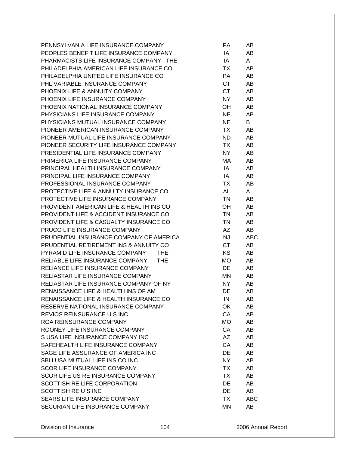| PENNSYLVANIA LIFE INSURANCE COMPANY          | РA        | AB         |
|----------------------------------------------|-----------|------------|
| PEOPLES BENEFIT LIFE INSURANCE COMPANY       | IA        | AB         |
| PHARMACISTS LIFE INSURANCE COMPANY THE       | ΙA        | A          |
| PHILADELPHIA AMERICAN LIFE INSURANCE CO      | ТX        | AB         |
| PHILADELPHIA UNITED LIFE INSURANCE CO        | <b>PA</b> | AB         |
| PHL VARIABLE INSURANCE COMPANY               | <b>CT</b> | AB         |
| PHOENIX LIFE & ANNUITY COMPANY               | <b>CT</b> | AB         |
| PHOENIX LIFE INSURANCE COMPANY               | <b>NY</b> | AB         |
| PHOENIX NATIONAL INSURANCE COMPANY           | OH        | AB         |
| PHYSICIANS LIFE INSURANCE COMPANY            | <b>NE</b> | AB         |
| PHYSICIANS MUTUAL INSURANCE COMPANY          | <b>NE</b> | B          |
| PIONEER AMERICAN INSURANCE COMPANY           | TX        | AB         |
| PIONEER MUTUAL LIFE INSURANCE COMPANY        | <b>ND</b> | AB         |
| PIONEER SECURITY LIFE INSURANCE COMPANY      | TX        | AB         |
| PRESIDENTIAL LIFE INSURANCE COMPANY          | <b>NY</b> | AB         |
| PRIMERICA LIFE INSURANCE COMPANY             | МA        | AB         |
| PRINCIPAL HEALTH INSURANCE COMPANY           | IA        | AB         |
| PRINCIPAL LIFE INSURANCE COMPANY             | IA        | AB         |
| PROFESSIONAL INSURANCE COMPANY               | ТX        | AB         |
| PROTECTIVE LIFE & ANNUITY INSURANCE CO       | <b>AL</b> | A          |
| PROTECTIVE LIFE INSURANCE COMPANY            | <b>TN</b> | AB         |
| PROVIDENT AMERICAN LIFE & HEALTH INS CO      | OН        | AB         |
| PROVIDENT LIFE & ACCIDENT INSURANCE CO       | <b>TN</b> | AB         |
| PROVIDENT LIFE & CASUALTY INSURANCE CO       | <b>TN</b> | AB         |
| PRUCO LIFE INSURANCE COMPANY                 | AZ        | AB         |
| PRUDENTIAL INSURANCE COMPANY OF AMERICA      | <b>NJ</b> | <b>ABC</b> |
| PRUDENTIAL RETIREMENT INS & ANNUITY CO       | <b>CT</b> | AB         |
| PYRAMID LIFE INSURANCE COMPANY<br><b>THE</b> | KS        | AB         |
| RELIABLE LIFE INSURANCE COMPANY<br>THE       | <b>MO</b> | AB         |
| RELIANCE LIFE INSURANCE COMPANY              | DE        | AB         |
| RELIASTAR LIFE INSURANCE COMPANY             | MN        | AB         |
| RELIASTAR LIFE INSURANCE COMPANY OF NY       | <b>NY</b> | AB         |
| RENAISSANCE LIFE & HEALTH INS OF AM          | DE        | AB         |
| RENAISSANCE LIFE & HEALTH INSURANCE CO       | IN        | AB         |
| RESERVE NATIONAL INSURANCE COMPANY           | OK        | AB         |
| REVIOS REINSURANCE U S INC                   | CA        | AB         |
| <b>RGA REINSURANCE COMPANY</b>               | MO        | AB         |
| ROONEY LIFE INSURANCE COMPANY                | CA        | AB         |
| S USA LIFE INSURANCE COMPANY INC             | AZ        | AB         |
| SAFEHEALTH LIFE INSURANCE COMPANY            | CA        | AB         |
| SAGE LIFE ASSURANCE OF AMERICA INC           | DE        | AB         |
| SBLI USA MUTUAL LIFE INS CO INC              | NY        | AB         |
| <b>SCOR LIFE INSURANCE COMPANY</b>           | TX        | AB         |
| SCOR LIFE US RE INSURANCE COMPANY            | <b>TX</b> |            |
| SCOTTISH RE LIFE CORPORATION                 | <b>DE</b> | AB<br>AB   |
| SCOTTISH RE U S INC                          | <b>DE</b> |            |
| SEARS LIFE INSURANCE COMPANY                 |           | AB         |
|                                              | TX        | ABC        |
| SECURIAN LIFE INSURANCE COMPANY              | MN        | AB         |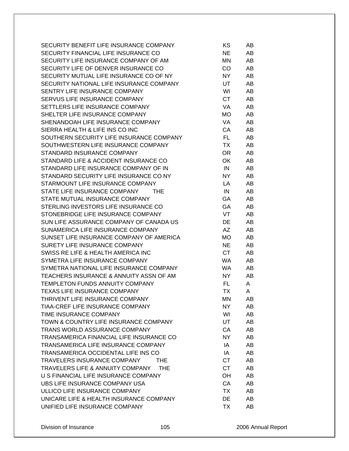| SECURITY BENEFIT LIFE INSURANCE COMPANY        | ΚS        | AB  |
|------------------------------------------------|-----------|-----|
| SECURITY FINANCIAL LIFE INSURANCE CO           | <b>NE</b> | AB  |
| SECURITY LIFE INSURANCE COMPANY OF AM          | ΜN        | AB  |
| SECURITY LIFE OF DENVER INSURANCE CO           | CO.       | AB  |
| SECURITY MUTUAL LIFE INSURANCE CO OF NY        | NY.       | AB  |
| SECURITY NATIONAL LIFE INSURANCE COMPANY       | UT        | AB  |
| SENTRY LIFE INSURANCE COMPANY                  | WI        | AB. |
| SERVUS LIFE INSURANCE COMPANY                  | CT        | AB  |
| SETTLERS LIFE INSURANCE COMPANY                | VA.       | AB  |
| SHELTER LIFE INSURANCE COMPANY                 | MO.       | AB  |
| SHENANDOAH LIFE INSURANCE COMPANY              | VA        | AB  |
| SIERRA HEALTH & LIFE INS CO INC                | CA        | AB  |
| SOUTHERN SECURITY LIFE INSURANCE COMPANY       | FL.       | AB  |
| SOUTHWESTERN LIFE INSURANCE COMPANY            | TX        | AB  |
| STANDARD INSURANCE COMPANY                     | OR.       | AB  |
| STANDARD LIFE & ACCIDENT INSURANCE CO          | OK.       | AB  |
| STANDARD LIFE INSURANCE COMPANY OF IN          | IN        | AB  |
| STANDARD SECURITY LIFE INSURANCE CO NY         | NY.       | AB  |
| STARMOUNT LIFE INSURANCE COMPANY               | LA.       | AB  |
| STATE LIFE INSURANCE COMPANY<br><b>THE</b>     | IN        | AB  |
| STATE MUTUAL INSURANCE COMPANY                 | GA        | AB  |
| STERLING INVESTORS LIFE INSURANCE CO           | <b>GA</b> | AB  |
| STONEBRIDGE LIFE INSURANCE COMPANY             | VT        | AB. |
| SUN LIFE ASSURANCE COMPANY OF CANADA US        | <b>DE</b> | AB  |
| SUNAMERICA LIFE INSURANCE COMPANY              | AZ.       | AB  |
|                                                |           |     |
| SUNSET LIFE INSURANCE COMPANY OF AMERICA       | MO.       | AB  |
| SURETY LIFE INSURANCE COMPANY                  | <b>NE</b> | AB  |
| SWISS RE LIFE & HEALTH AMERICA INC             | CT.       | AB  |
| SYMETRA LIFE INSURANCE COMPANY                 | WA.       | AB  |
| SYMETRA NATIONAL LIFE INSURANCE COMPANY        | WA.       | AB  |
| TEACHERS INSURANCE & ANNUITY ASSN OF AM        | NY.       | AB  |
| <b>TEMPLETON FUNDS ANNUITY COMPANY</b>         | FL.       | A   |
| TEXAS LIFE INSURANCE COMPANY                   | ТX        | A   |
| THRIVENT LIFE INSURANCE COMPANY                | ΜN        | AB  |
| TIAA-CREF LIFE INSURANCE COMPANY               | NY.       | AB  |
| TIME INSURANCE COMPANY                         | WI        | AB  |
| TOWN & COUNTRY LIFE INSURANCE COMPANY          | <b>UT</b> | AB  |
| TRANS WORLD ASSURANCE COMPANY                  | CA        | AB  |
| TRANSAMERICA FINANCIAL LIFE INSURANCE CO       | NY.       | AB  |
| TRANSAMERICA LIFE INSURANCE COMPANY            | IA        | AB  |
| TRANSAMERICA OCCIDENTAL LIFE INS CO            | IA        | AB  |
| TRAVELERS INSURANCE COMPANY<br><b>THE</b>      | CT        | AB  |
| TRAVELERS LIFE & ANNUITY COMPANY<br><b>THE</b> | <b>CT</b> | AB  |
| U S FINANCIAL LIFE INSURANCE COMPANY           | OH        | AB  |
| UBS LIFE INSURANCE COMPANY USA                 | CA        | AB  |
| ULLICO LIFE INSURANCE COMPANY                  | <b>TX</b> | AB  |
| UNICARE LIFE & HEALTH INSURANCE COMPANY        | DE        | AB  |
| UNIFIED LIFE INSURANCE COMPANY                 | TX        | AB  |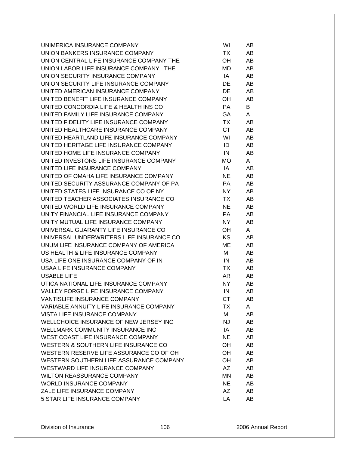| UNIMERICA INSURANCE COMPANY              | WI        | AB |
|------------------------------------------|-----------|----|
| UNION BANKERS INSURANCE COMPANY          | TX        | AB |
| UNION CENTRAL LIFE INSURANCE COMPANY THE | OH        | AB |
| UNION LABOR LIFE INSURANCE COMPANY THE   | MD        | AB |
| UNION SECURITY INSURANCE COMPANY         | IA        | AB |
| UNION SECURITY LIFE INSURANCE COMPANY    | DE        | AB |
| UNITED AMERICAN INSURANCE COMPANY        | DE        | AB |
| UNITED BENEFIT LIFE INSURANCE COMPANY    | OH        | AB |
| UNITED CONCORDIA LIFE & HEALTH INS CO    | PA        | B  |
| UNITED FAMILY LIFE INSURANCE COMPANY     | GA.       | A  |
| UNITED FIDELITY LIFE INSURANCE COMPANY   | TX        | AB |
| UNITED HEALTHCARE INSURANCE COMPANY      | CT.       | AB |
| UNITED HEARTLAND LIFE INSURANCE COMPANY  | WI        | AB |
| UNITED HERITAGE LIFE INSURANCE COMPANY   | ID        | AB |
| UNITED HOME LIFE INSURANCE COMPANY       | IN        | AB |
| UNITED INVESTORS LIFE INSURANCE COMPANY  | MO.       | A  |
| UNITED LIFE INSURANCE COMPANY            | IA        | AB |
| UNITED OF OMAHA LIFE INSURANCE COMPANY   | NE.       | AB |
| UNITED SECURITY ASSURANCE COMPANY OF PA  | PA.       | AB |
| UNITED STATES LIFE INSURANCE CO OF NY    | NY.       | AB |
| UNITED TEACHER ASSOCIATES INSURANCE CO   | TX        | AB |
| UNITED WORLD LIFE INSURANCE COMPANY      | <b>NE</b> | AB |
| UNITY FINANCIAL LIFE INSURANCE COMPANY   | PA        | AB |
| UNITY MUTUAL LIFE INSURANCE COMPANY      | NY.       | AB |
| UNIVERSAL GUARANTY LIFE INSURANCE CO     | OH        | A  |
| UNIVERSAL UNDERWRITERS LIFE INSURANCE CO | KS.       | AB |
| UNUM LIFE INSURANCE COMPANY OF AMERICA   | МE        | AB |
| US HEALTH & LIFE INSURANCE COMPANY       | MI        | AB |
| USA LIFE ONE INSURANCE COMPANY OF IN     | IN        | AB |
| USAA LIFE INSURANCE COMPANY              | TX        | AB |
| <b>USABLE LIFE</b>                       | AR        | AB |
| UTICA NATIONAL LIFE INSURANCE COMPANY    | NY.       | AB |
| VALLEY FORGE LIFE INSURANCE COMPANY      | IN        | AB |
| VANTISLIFE INSURANCE COMPANY             | <b>CT</b> | AB |
| VARIABLE ANNUITY LIFE INSURANCE COMPANY  | TX        | A  |
| VISTA LIFE INSURANCE COMPANY             | MI        | AB |
| WELLCHOICE INSURANCE OF NEW JERSEY INC   | NJ        | AB |
| WELLMARK COMMUNITY INSURANCE INC         | IA        | AB |
| WEST COAST LIFE INSURANCE COMPANY        | NE.       | AB |
| WESTERN & SOUTHERN LIFE INSURANCE CO     | OН        | AB |
| WESTERN RESERVE LIFE ASSURANCE CO OF OH  | OН        | AB |
| WESTERN SOUTHERN LIFE ASSURANCE COMPANY  | OH        | AB |
| WESTWARD LIFE INSURANCE COMPANY          | AZ        | AB |
| <b>WILTON REASSURANCE COMPANY</b>        | ΜN        | AB |
| <b>WORLD INSURANCE COMPANY</b>           | <b>NE</b> | AB |
| ZALE LIFE INSURANCE COMPANY              | AZ        | AB |
| 5 STAR LIFE INSURANCE COMPANY            | LA        | AB |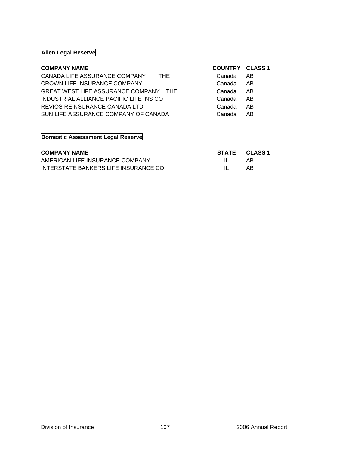# **Alien Legal Reserve**

| CANADA LIFE ASSURANCE COMPANY<br><b>THE</b><br>Canada<br>AB.<br>CROWN LIFE INSURANCE COMPANY<br>Canada<br>AB<br>GREAT WEST LIFE ASSURANCE COMPANY THE<br>AB<br>Canada<br>INDUSTRIAL ALLIANCE PACIFIC LIFE INS CO<br>AB<br>Canada<br>REVIOS REINSURANCE CANADA LTD<br>AB<br>Canada<br>SUN LIFE ASSURANCE COMPANY OF CANADA<br>AB<br>Canada | <b>COMPANY NAME</b> | <b>COUNTRY CLASS 1</b> |  |
|-------------------------------------------------------------------------------------------------------------------------------------------------------------------------------------------------------------------------------------------------------------------------------------------------------------------------------------------|---------------------|------------------------|--|
|                                                                                                                                                                                                                                                                                                                                           |                     |                        |  |
|                                                                                                                                                                                                                                                                                                                                           |                     |                        |  |
|                                                                                                                                                                                                                                                                                                                                           |                     |                        |  |
|                                                                                                                                                                                                                                                                                                                                           |                     |                        |  |
|                                                                                                                                                                                                                                                                                                                                           |                     |                        |  |
|                                                                                                                                                                                                                                                                                                                                           |                     |                        |  |

# **Domestic Assessment Legal Reserve**

| <b>COMPANY NAME</b>                  |              | STATE CLASS 1 |
|--------------------------------------|--------------|---------------|
| AMERICAN LIFE INSURANCE COMPANY      | $\mathbf{H}$ | AB            |
| INTERSTATE BANKERS LIFE INSURANCE CO | $\mathbf{H}$ | AB            |

## Division of Insurance 107 107 107 2006 Annual Report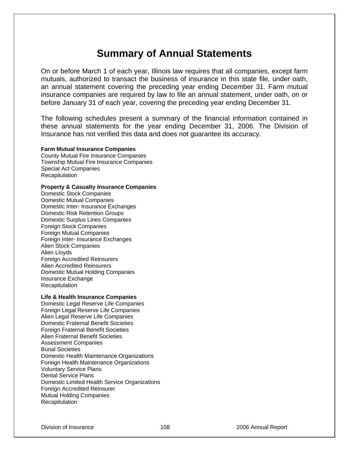# **Summary of Annual Statements**

On or before March 1 of each year, Illinois law requires that all companies, except farm mutuals, authorized to transact the business of insurance in this state file, under oath, an annual statement covering the preceding year ending December 31. Farm mutual insurance companies are required by law to file an annual statement, under oath, on or before January 31 of each year, covering the preceding year ending December 31.

The following schedules present a summary of the financial information contained in these annual statements for the year ending December 31, 2006. The Division of Insurance has not verified this data and does not guarantee its accuracy.

**Farm Mutual Insurance Companies** County Mutual Fire Insurance Companies Township Mutual Fire Insurance Companies Special Act Companies **Recapitulation** 

### **Property & Casualty Insurance Companies**

Domestic Stock Companies Domestic Mutual Companies Domestic Inter- Insurance Exchanges Domestic Risk Retention Groups Domestic Surplus Lines Companies Foreign Stock Companies Foreign Mutual Companies Foreign Inter- Insurance Exchanges Alien Stock Companies Alien Lloyds Foreign Accredited Reinsurers Alien Accredited Reinsurers Domestic Mutual Holding Companies Insurance Exchange Recapitulation

#### **Life & Health Insurance Companies**

Domestic Legal Reserve Life Companies Foreign Legal Reserve Life Companies Alien Legal Reserve Life Companies Domestic Fraternal Benefit Societies Foreign Fraternal Benefit Societies Alien Fraternal Benefit Societies Assessment Companies Burial Societies Domestic Health Maintenance Organizations Foreign Health Maintenance Organizations Voluntary Service Plans Dental Service Plans Domestic Limited Health Service Organizations Foreign Accredited Reinsurer Mutual Holding Companies **Recapitulation**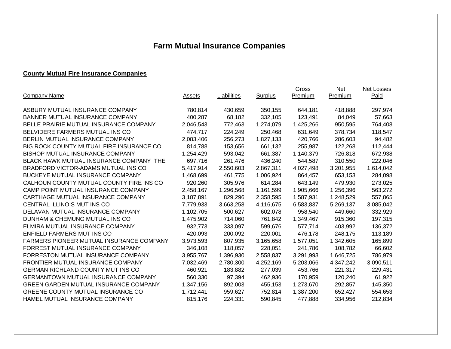# **Farm Mutual Insurance Companies**

# **County Mutual Fire Insurance Companies**

|                                                |               |             |                | Gross     | <b>Net</b> | Net Losses |
|------------------------------------------------|---------------|-------------|----------------|-----------|------------|------------|
| <b>Company Name</b>                            | <u>Assets</u> | Liabilities | <b>Surplus</b> | Premium   | Premium    | Paid       |
| ASBURY MUTUAL INSURANCE COMPANY                | 780,814       | 430,659     | 350,155        | 644,181   | 418,888    | 297,974    |
| BANNER MUTUAL INSURANCE COMPANY                | 400,287       | 68,182      | 332,105        | 123,491   | 84,049     | 57,663     |
| BELLE PRAIRIE MUTUAL INSURANCE COMPANY         | 2,046,543     | 772,463     | 1,274,079      | 1,425,266 | 950,595    | 764,408    |
| BELVIDERE FARMERS MUTUAL INS CO                | 474,717       | 224,249     | 250,468        | 631,649   | 378,734    | 118,547    |
| BERLIN MUTUAL INSURANCE COMPANY                | 2,083,406     | 256,273     | 1,827,133      | 420,766   | 286,603    | 94,482     |
| BIG ROCK COUNTY MUTUAL FIRE INSURANCE CO       | 814,788       | 153,656     | 661,132        | 255,987   | 122,268    | 112,444    |
| <b>BISHOP MUTUAL INSURANCE COMPANY</b>         | 1,254,429     | 593,042     | 661,387        | 1,140,379 | 726,818    | 672,938    |
| <b>BLACK HAWK MUTUAL INSURANCE COMPANY THE</b> | 697,716       | 261,476     | 436,240        | 544,587   | 310,550    | 222,046    |
| BRADFORD VICTOR-ADAMS MUTUAL INS CO            | 5,417,914     | 2,550,603   | 2,867,311      | 4,027,498 | 3,201,955  | 1,614,042  |
| BUCKEYE MUTUAL INSURANCE COMPANY               | 1,468,699     | 461,775     | 1,006,924      | 864,457   | 653,153    | 284,098    |
| CALHOUN COUNTY MUTUAL COUNTY FIRE INS CO       | 920,260       | 305,976     | 614,284        | 643,149   | 479,930    | 273,025    |
| CAMP POINT MUTUAL INSURANCE COMPANY            | 2,458,167     | 1,296,568   | 1,161,599      | 1,905,666 | 1,256,396  | 563,272    |
| CARTHAGE MUTUAL INSURANCE COMPANY              | 3,187,891     | 829,296     | 2,358,595      | 1,587,931 | 1,248,529  | 557,865    |
| CENTRAL ILLINOIS MUT INS CO                    | 7,779,933     | 3,663,258   | 4,116,675      | 6,583,837 | 5,269,137  | 3,085,042  |
| DELAVAN MUTUAL INSURANCE COMPANY               | 1,102,705     | 500,627     | 602,078        | 958,540   | 449,660    | 332,929    |
| DUNHAM & CHEMUNG MUTUAL INS CO                 | 1,475,902     | 714,060     | 761,842        | 1,349,467 | 915,360    | 197,315    |
| ELMIRA MUTUAL INSURANCE COMPANY                | 932,773       | 333,097     | 599,676        | 577,714   | 403,992    | 136,372    |
| ENFIELD FARMERS MUT INS CO                     | 420,093       | 200,092     | 220,001        | 476,178   | 248,175    | 113,189    |
| FARMERS PIONEER MUTUAL INSURANCE COMPANY       | 3,973,593     | 807,935     | 3,165,658      | 1,577,051 | 1,342,605  | 165,899    |
| FORREST MUTUAL INSURANCE COMPANY               | 346,108       | 118,057     | 228,051        | 241,786   | 108,782    | 66,602     |
| FORRESTON MUTUAL INSURANCE COMPANY             | 3,955,767     | 1,396,930   | 2,558,837      | 3,291,993 | 1,646,725  | 786,979    |
| FRONTIER MUTUAL INSURANCE COMPANY              | 7,032,469     | 2,780,300   | 4,252,169      | 5,203,066 | 4,347,242  | 3,090,511  |
| <b>GERMAN RICHLAND COUNTY MUT INS CO</b>       | 460,921       | 183,882     | 277,039        | 453,766   | 221,317    | 229,431    |
| <b>GERMANTOWN MUTUAL INSURANCE COMPANY</b>     | 560,330       | 97,394      | 462,936        | 170,959   | 120,240    | 61,922     |
| <b>GREEN GARDEN MUTUAL INSURANCE COMPANY</b>   | 1,347,156     | 892,003     | 455,153        | 1,273,670 | 292,857    | 145,350    |
| GREENE COUNTY MUTUAL INSURANCE CO              | 1,712,441     | 959,627     | 752,814        | 1,387,200 | 652,427    | 554,653    |
| HAMEL MUTUAL INSURANCE COMPANY                 | 815,176       | 224,331     | 590,845        | 477,888   | 334,956    | 212,834    |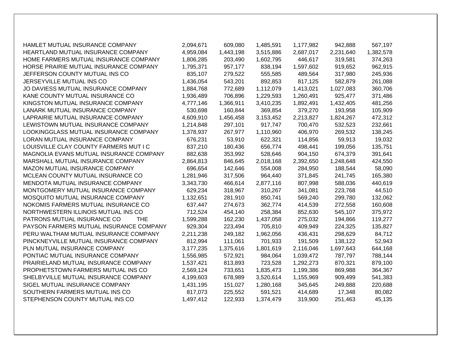| HAMLET MUTUAL INSURANCE COMPANY           | 2,094,671 | 609,080   | 1,485,591 | 1,177,982 | 942,888   | 567,197   |
|-------------------------------------------|-----------|-----------|-----------|-----------|-----------|-----------|
| HEARTLAND MUTUAL INSURANCE COMPANY        | 4,959,084 | 1,443,198 | 3,515,886 | 2,687,017 | 2,231,640 | 1,382,578 |
| HOME FARMERS MUTUAL INSURANCE COMPANY     | 1,806,285 | 203,490   | 1,602,795 | 446,617   | 319,581   | 374,263   |
| HORSE PRAIRIE MUTUAL INSURANCE COMPANY    | 1,795,371 | 957,177   | 838,194   | 1,597,602 | 919,652   | 962,915   |
| JEFFERSON COUNTY MUTUAL INS CO            | 835,107   | 279,522   | 555,585   | 489,564   | 317,980   | 245,936   |
| JERSEYVILLE MUTUAL INS CO                 | 1,436,054 | 543,201   | 892,853   | 817,125   | 582,879   | 261,088   |
| JO DAVIESS MUTUAL INSURANCE COMPANY       | 1,884,768 | 772,689   | 1,112,079 | 1,413,021 | 1,027,083 | 360,706   |
| KANE COUNTY MUTUAL INSURANCE CO           | 1,936,489 | 706,896   | 1,229,593 | 1,260,491 | 925,477   | 371,486   |
| KINGSTON MUTUAL INSURANCE COMPANY         | 4,777,146 | 1,366,911 | 3,410,235 | 1,892,491 | 1,432,405 | 481,256   |
| LANARK MUTUAL INSURANCE COMPANY           | 530,698   | 160,844   | 369,854   | 379,270   | 193,958   | 105,909   |
| LAPRAIRIE MUTUAL INSURANCE COMPANY        | 4,609,910 | 1,456,458 | 3,153,452 | 2,213,827 | 1,824,267 | 472,312   |
| LEWISTOWN MUTUAL INSURANCE COMPANY        | 1,214,848 | 297,101   | 917,747   | 700,470   | 532,523   | 232,661   |
| LOOKINGGLASS MUTUAL INSURANCE COMPANY     | 1,378,937 | 267,977   | 1,110,960 | 406,970   | 269,532   | 138,245   |
| LORAN MUTUAL INSURANCE COMPANY            | 676,231   | 53,910    | 622,321   | 114,856   | 59,913    | 19,032    |
| LOUISVILLE CLAY COUNTY FARMERS MUT I C    | 837,210   | 180,436   | 656,774   | 498,441   | 199,056   | 135,751   |
| MAGNOLIA EVANS MUTUAL INSURANCE COMPANY   | 882,638   | 353,992   | 528,646   | 904,150   | 674,379   | 391,641   |
| MARSHALL MUTUAL INSURANCE COMPANY         | 2,864,813 | 846,645   | 2,018,168 | 2,392,650 | 1,248,648 | 424,550   |
| MAZON MUTUAL INSURANCE COMPANY            | 696,654   | 142,646   | 554,008   | 284,950   | 188,544   | 58,090    |
| MCLEAN COUNTY MUTUAL INSURANCE CO         | 1,281,946 | 317,506   | 964,440   | 371,845   | 241,745   | 165,380   |
| MENDOTA MUTUAL INSURANCE COMPANY          | 3,343,730 | 466,614   | 2,877,116 | 807,998   | 588,036   | 440,619   |
| MONTGOMERY MUTUAL INSURANCE COMPANY       | 629,234   | 318,967   | 310,267   | 341,081   | 223,768   | 44,510    |
| MOSQUITO MUTUAL INSURANCE COMPANY         | 1,132,651 | 281,910   | 850,741   | 569,240   | 299,780   | 132,062   |
| NOKOMIS FARMERS MUTUAL INSURANCE CO       | 637,447   | 274,673   | 362,774   | 414,539   | 272,558   | 160,608   |
| NORTHWESTERN ILLINOIS MUTUAL INS CO       | 712,524   | 454,140   | 258,384   | 852,630   | 545,107   | 375,972   |
| PATRONS MUTUAL INSURANCE CO<br><b>THE</b> | 1,599,288 | 162,230   | 1,437,058 | 275,032   | 194,866   | 119,277   |
| PAYSON FARMERS MUTUAL INSURANCE COMPANY   | 929,304   | 223,494   | 705,810   | 409,949   | 224,325   | 135,827   |
| PERU WALTHAM MUTUAL INSURANCE COMPANY     | 2,211,238 | 249,182   | 1,962,056 | 436,431   | 298,629   | 84,712    |
| PINCKNEYVILLE MUTUAL INSURANCE COMPANY    | 812,994   | 111,061   | 701,933   | 191,509   | 138,122   | 52,943    |
| PLN MUTUAL INSURANCE COMPANY              | 3,177,235 | 1,375,616 | 1,801,619 | 2,116,046 | 1,697,643 | 644,168   |
| PONTIAC MUTUAL INSURANCE COMPANY          | 1,556,985 | 572,921   | 984,064   | 1,039,472 | 787,797   | 788,144   |
| PRAIRIELAND MUTUAL INSURANCE COMPANY      | 1,537,421 | 813,893   | 723,528   | 1,292,273 | 870,321   | 879,100   |
| PROPHETSTOWN FARMERS MUTUAL INS CO        | 2,569,124 | 733,651   | 1,835,473 | 1,199,386 | 869,988   | 364,367   |
| SHELBYVILLE MUTUAL INSURANCE COMPANY      | 4,199,603 | 678,989   | 3,520,614 | 1,155,969 | 909,499   | 541,383   |
| SIGEL MUTUAL INSURANCE COMPANY            | 1,431,195 | 151,027   | 1,280,168 | 345,645   | 249,888   | 220,688   |
| SOUTHERN FARMERS MUTUAL INS CO            | 817,073   | 225,552   | 591,521   | 414,689   | 17,348    | 80,082    |
| STEPHENSON COUNTY MUTUAL INS CO           | 1,497,412 | 122,933   | 1,374,479 | 319,900   | 251,463   | 45,135    |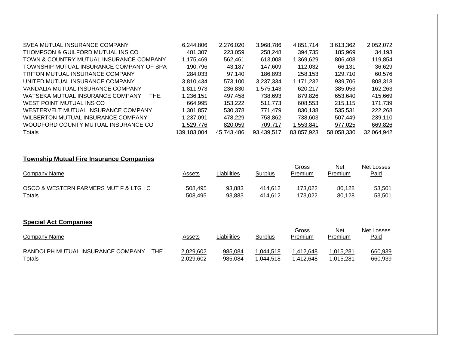| SVEA MUTUAL INSURANCE COMPANY            | 6,244,806   | 2,276,020  | 3,968,786  | 4.851.714  | 3,613,362  | 2,052,072  |
|------------------------------------------|-------------|------------|------------|------------|------------|------------|
| THOMPSON & GUILFORD MUTUAL INS CO        | 481.307     | 223,059    | 258,248    | 394,735    | 185,969    | 34,193     |
| TOWN & COUNTRY MUTUAL INSURANCE COMPANY  | 1.175.469   | 562,461    | 613.008    | 1,369,629  | 806,408    | 119,854    |
| TOWNSHIP MUTUAL INSURANCE COMPANY OF SPA | 190.796     | 43.187     | 147.609    | 112.032    | 66.131     | 36,629     |
| <b>TRITON MUTUAL INSURANCE COMPANY</b>   | 284.033     | 97.140     | 186.893    | 258.153    | 129.710    | 60,576     |
| UNITED MUTUAL INSURANCE COMPANY          | 3,810,434   | 573.100    | 3.237.334  | 1.171.232  | 939.706    | 808,318    |
| VANDALIA MUTUAL INSURANCE COMPANY        | 1.811.973   | 236,830    | 1.575.143  | 620.217    | 385.053    | 162.263    |
| WATSEKA MUTUAL INSURANCE COMPANY<br>THE. | 1,236,151   | 497.458    | 738,693    | 879.826    | 653,640    | 415,669    |
| WEST POINT MUTUAL INS CO                 | 664.995     | 153.222    | 511.773    | 608.553    | 215,115    | 171,739    |
| WESTERVELT MUTUAL INSURANCE COMPANY      | 1.301.857   | 530.378    | 771.479    | 830.138    | 535.531    | 222,268    |
| WILBERTON MUTUAL INSURANCE COMPANY       | 1.237.091   | 478.229    | 758.862    | 738,603    | 507,449    | 239,110    |
| WOODFORD COUNTY MUTUAL INSURANCE CO      | 1,529,776   | 820,059    | 709,717    | 1,553,841  | 977,025    | 669,826    |
| Totals                                   | 139,183,004 | 45.743.486 | 93,439,517 | 83.857.923 | 58,058,330 | 32,064,942 |
|                                          |             |            |            |            |            |            |

# **Township Mutual Fire Insurance Companies**

| Company Name                           | Assets  | Liabilities | Surplus | Gross<br>Premium | <b>Net</b><br>Premium | Net Losses<br>Paid |
|----------------------------------------|---------|-------------|---------|------------------|-----------------------|--------------------|
| OSCO & WESTERN FARMERS MUT F & LTG I C | 508,495 | 93,883      | 414.612 | 173.022          | 80,128                | 53,501             |
| Totals                                 | 508.495 | 93.883      | 414.612 | 173.022          | 80.128                | 53,501             |

## **Special Act Companies**

| <b>Company Name</b>               |       | Assets    | Liabilities | Surplus   | <u>Gross</u><br>Premium | <b>Net</b><br>Premium | Net Losses<br>Paid |
|-----------------------------------|-------|-----------|-------------|-----------|-------------------------|-----------------------|--------------------|
| RANDOLPH MUTUAL INSURANCE COMPANY | THE . | 2,029,602 | 985.084     | 1.044.518 | 1.412.648               | l.015.281             | 660,939            |
| Totals                            |       | 2.029.602 | 985.084     | 1.044.518 | 1.412.648               | l.015.281             | 660,939            |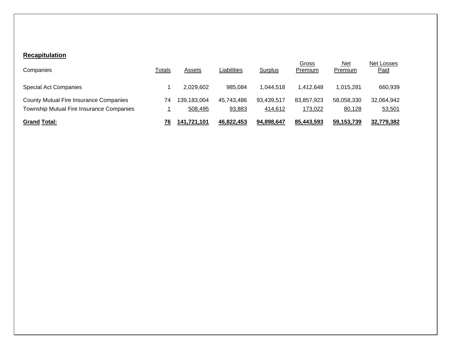## **Recapitulation**

| <b>Grand Total:</b>                                                                       | 76     | 141.721.101            | 46.822.453           | 94.898.647            | 85.443.593            | 59,153,739            | 32.779.382                |
|-------------------------------------------------------------------------------------------|--------|------------------------|----------------------|-----------------------|-----------------------|-----------------------|---------------------------|
| <b>County Mutual Fire Insurance Companies</b><br>Township Mutual Fire Insurance Companies | 74     | 139.183.004<br>508,495 | 45.743.486<br>93,883 | 93.439.517<br>414,612 | 83.857.923<br>173,022 | 58,058,330<br>80,128  | 32,064,942<br>53,501      |
| <b>Special Act Companies</b>                                                              |        | 2,029,602              | 985,084              | 1.044.518             | 1.412.648             | 1,015,281             | 660,939                   |
| Companies                                                                                 | Totals | Assets                 | Liabilities          | Surplus               | Gross<br>Premium      | <u>Net</u><br>Premium | Net Losses<br><b>Paid</b> |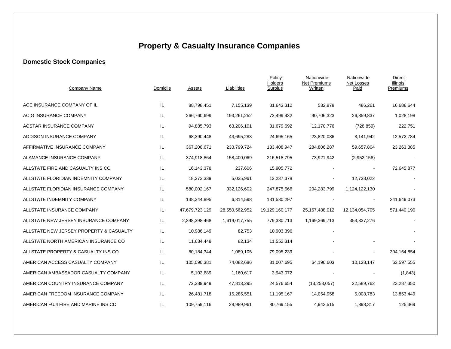# **Property & Casualty Insurance Companies**

#### **Domestic Stock Companies**

| Company Name                            | Domicile | Assets         | Liabilities    | Policy<br>Holders<br>Surplus | Nationwide<br><b>Net Premiums</b><br>Written | Nationwide<br><b>Net Losses</b><br>Paid | Direct<br><b>Illinois</b><br>Premiums |
|-----------------------------------------|----------|----------------|----------------|------------------------------|----------------------------------------------|-----------------------------------------|---------------------------------------|
| ACE INSURANCE COMPANY OF IL             | IL       | 88,798,451     | 7,155,139      | 81,643,312                   | 532,878                                      | 486,261                                 | 16,686,644                            |
| ACIG INSURANCE COMPANY                  | IL.      | 266,760,699    | 193,261,252    | 73,499,432                   | 90,706,323                                   | 26,859,837                              | 1,028,198                             |
| <b>ACSTAR INSURANCE COMPANY</b>         | IL       | 94,885,793     | 63,206,101     | 31,679,692                   | 12,170,776                                   | (726, 859)                              | 222,751                               |
| ADDISON INSURANCE COMPANY               | IL.      | 68,390,448     | 43,695,283     | 24,695,165                   | 23,820,086                                   | 8,141,942                               | 12,572,784                            |
| AFFIRMATIVE INSURANCE COMPANY           | IL.      | 367,208,671    | 233,799,724    | 133,408,947                  | 284,806,287                                  | 59,657,804                              | 23,263,385                            |
| ALAMANCE INSURANCE COMPANY              | IL       | 374,918,864    | 158,400,069    | 216,518,795                  | 73,921,942                                   | (2,952,158)                             |                                       |
| ALLSTATE FIRE AND CASUALTY INS CO       | IL.      | 16,143,378     | 237,606        | 15,905,772                   |                                              |                                         | 72,645,877                            |
| ALLSTATE FLORIDIAN INDEMNITY COMPANY    | IL.      | 18,273,339     | 5,035,961      | 13,237,378                   |                                              | 12,738,022                              |                                       |
| ALLSTATE FLORIDIAN INSURANCE COMPANY    | IL.      | 580,002,167    | 332,126,602    | 247,875,566                  | 204,283,799                                  | 1,124,122,130                           |                                       |
| ALLSTATE INDEMNITY COMPANY              | IL.      | 138,344,895    | 6,814,598      | 131,530,297                  |                                              |                                         | 241,649,073                           |
| ALLSTATE INSURANCE COMPANY              | IL.      | 47,679,723,129 | 28,550,562,952 | 19,129,160,177               | 25,167,488,012                               | 12,134,054,705                          | 571,440,190                           |
| ALLSTATE NEW JERSEY INSURANCE COMPANY   | IL.      | 2,398,398,468  | 1,619,017,755  | 779,380,713                  | 1,169,369,713                                | 353,337,276                             |                                       |
| ALLSTATE NEW JERSEY PROPERTY & CASUALTY | IL.      | 10,986,149     | 82,753         | 10,903,396                   |                                              |                                         |                                       |
| ALLSTATE NORTH AMERICAN INSURANCE CO    | IL.      | 11,634,448     | 82,134         | 11,552,314                   |                                              |                                         |                                       |
| ALLSTATE PROPERTY & CASUALTY INS CO     | IL       | 80,184,344     | 1,089,105      | 79,095,239                   |                                              |                                         | 304,164,854                           |
| AMERICAN ACCESS CASUALTY COMPANY        | IL.      | 105,090,381    | 74,082,686     | 31,007,695                   | 64,196,603                                   | 10,128,147                              | 63,597,555                            |
| AMERICAN AMBASSADOR CASUALTY COMPANY    | IL.      | 5,103,689      | 1,160,617      | 3,943,072                    |                                              |                                         | (1, 843)                              |
| AMERICAN COUNTRY INSURANCE COMPANY      | IL.      | 72,389,949     | 47,813,295     | 24,576,654                   | (13, 258, 057)                               | 22,589,762                              | 23,287,350                            |
| AMERICAN FREEDOM INSURANCE COMPANY      | IL.      | 26,481,718     | 15,286,551     | 11,195,167                   | 14,054,958                                   | 5,008,783                               | 13,853,449                            |
| AMERICAN FUJI FIRE AND MARINE INS CO    | IL.      | 109,759,116    | 28,989,961     | 80,769,155                   | 4,943,515                                    | 1,898,317                               | 125,369                               |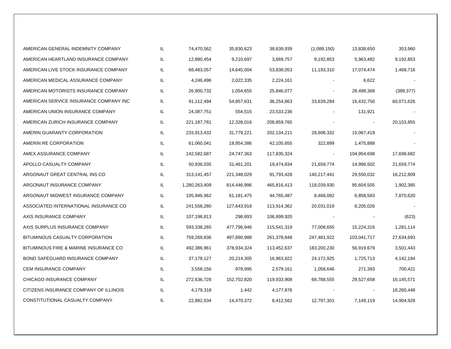| AMERICAN GENERAL INDEMNITY COMPANY     | IL  | 74,470,562    | 35,830,623  | 38,639,939  | (1,089,150) | 13,838,650  | 353,960    |
|----------------------------------------|-----|---------------|-------------|-------------|-------------|-------------|------------|
| AMERICAN HEARTLAND INSURANCE COMPANY   | IL  | 12,880,454    | 9,210,697   | 3,669,757   | 9,192,853   | 5,963,482   | 9,192,853  |
| AMERICAN LIVE STOCK INSURANCE COMPANY  | IL. | 68,483,057    | 14,645,004  | 53,838,053  | 11,193,310  | 17,074,474  | 1,468,716  |
| AMERICAN MEDICAL ASSURANCE COMPANY     | IL. | 4,246,496     | 2,022,335   | 2,224,161   |             | 6,622       |            |
| AMERICAN MOTORISTS INSURANCE COMPANY   | IL. | 26,900,732    | 1,054,655   | 25,846,077  |             | 28,498,368  | (389, 377) |
| AMERICAN SERVICE INSURANCE COMPANY INC | IL. | 91,112,494    | 54,857,631  | 36,254,863  | 33,639,284  | 16,432,750  | 60,071,626 |
| AMERICAN UNION INSURANCE COMPANY       | IL. | 24,087,751    | 554,515     | 23,533,236  |             | 131,921     |            |
| AMERICAN ZURICH INSURANCE COMPANY      | IL. | 221, 187, 781 | 12,328,016  | 208,859,765 |             |             | 20,153,855 |
| AMERIN GUARANTY CORPORATION            | IL. | 233,913,432   | 31,779,221  | 202,134,211 | 28,608,332  | 15,067,419  |            |
| AMERIN RE CORPORATION                  | IL  | 61,060,041    | 18,954,386  | 42,105,655  | 322,899     | 1,475,888   |            |
| AMEX ASSURANCE COMPANY                 | IL. | 142,582,687   | 24,747,363  | 117,835,324 |             | 104,954,698 | 17,698,682 |
| APOLLO CASUALTY COMPANY                | IL. | 50,936,035    | 31,461,201  | 19,474,834  | 21,659,774  | 14,996,502  | 21,659,774 |
| ARGONAUT GREAT CENTRAL INS CO          | IL. | 313,141,457   | 221,348,029 | 91,793,428  | 140,217,441 | 29,550,032  | 16,212,809 |
| ARGONAUT INSURANCE COMPANY             | IL. | 1,280,263,409 | 814,446,996 | 465,816,413 | 118,039,930 | 95,604,505  | 1,902,385  |
| ARGONAUT MIDWEST INSURANCE COMPANY     | IL. | 105,946,962   | 61,181,475  | 44,765,487  | 8,468,082   | 6,858,583   | 7,870,620  |
| ASSOCIATED INTERNATIONAL INSURANCE CO  | IL. | 241,558,280   | 127,643,918 | 113,914,362 | 20,031,019  | 8,205,026   |            |
| AXIS INSURANCE COMPANY                 | IL. | 107,198,813   | 298,893     | 106,899,920 |             |             | (623)      |
| AXIS SURPLUS INSURANCE COMPANY         | IL. | 593,338,265   | 477,796,946 | 115,541,319 | 77,008,655  | 15,224,316  | 1,281,114  |
| BITUMINOUS CASUALTY CORPORATION        | IL. | 759,269,836   | 497,890,988 | 261,378,848 | 247,481,922 | 103,041,717 | 27,634,693 |
| BITUMINOUS FIRE & MARINE INSURANCE CO  | IL. | 492,386,961   | 378,934,324 | 113,452,637 | 183,200,230 | 56,919,679  | 3,501,443  |
| BOND SAFEGUARD INSURANCE COMPANY       | IL. | 37,178,127    | 20,214,305  | 16,963,822  | 24,172,925  | 1,725,713   | 4,142,184  |
| CEM INSURANCE COMPANY                  | IL  | 3,558,156     | 978,995     | 2,579,161   | 1,058,646   | 271,393     | 700,421    |
| CHICAGO INSURANCE COMPANY              | IL  | 272,636,728   | 152,702,820 | 119,933,908 | 68,788,555  | 29,527,658  | 16,145,571 |
| CITIZENS INSURANCE COMPANY OF ILLINOIS | IL. | 4,179,318     | 1,442       | 4,177,876   |             |             | 18,260,448 |
| CONSTITUTIONAL CASUALTY COMPANY        | IL  | 22,882,934    | 14,470,372  | 8,412,562   | 12,797,301  | 7,149,119   | 14,904,928 |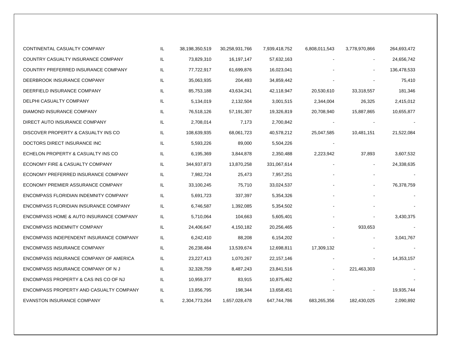| CONTINENTAL CASUALTY COMPANY                       | IL. | 38,198,350,519 | 30,258,931,766 | 7,939,418,752 | 6,808,011,543 | 3,778,970,866 | 264,693,472 |
|----------------------------------------------------|-----|----------------|----------------|---------------|---------------|---------------|-------------|
| COUNTRY CASUALTY INSURANCE COMPANY                 | IL. | 73,829,310     | 16,197,147     | 57,632,163    |               |               | 24,656,742  |
| COUNTRY PREFERRED INSURANCE COMPANY                | IL. | 77,722,917     | 61,699,876     | 16,023,041    |               |               | 136,478,533 |
| DEERBROOK INSURANCE COMPANY                        | IL. | 35,063,935     | 204,493        | 34,859,442    |               |               | 75,410      |
| DEERFIELD INSURANCE COMPANY                        | IL  | 85,753,188     | 43,634,241     | 42,118,947    | 20,530,610    | 33,318,557    | 181,346     |
| DELPHI CASUALTY COMPANY                            | IL  | 5,134,019      | 2,132,504      | 3,001,515     | 2,344,004     | 26,325        | 2,415,012   |
| DIAMOND INSURANCE COMPANY                          | IL  | 76,518,126     | 57,191,307     | 19,326,819    | 20,708,940    | 15,887,865    | 10,655,877  |
| DIRECT AUTO INSURANCE COMPANY                      | IL  | 2,708,014      | 7,173          | 2,700,842     |               |               |             |
| DISCOVER PROPERTY & CASUALTY INS CO                | IL  | 108,639,935    | 68,061,723     | 40,578,212    | 25,047,585    | 10,481,151    | 21,522,084  |
| DOCTORS DIRECT INSURANCE INC                       | IL  | 5,593,226      | 89,000         | 5,504,226     |               |               |             |
| ECHELON PROPERTY & CASUALTY INS CO                 | IL  | 6,195,369      | 3,844,878      | 2,350,488     | 2,223,942     | 37,893        | 3,607,532   |
| ECONOMY FIRE & CASUALTY COMPANY                    | IL  | 344,937,873    | 13,870,258     | 331,067,614   |               |               | 24,338,635  |
| ECONOMY PREFERRED INSURANCE COMPANY                | IL. | 7,982,724      | 25,473         | 7,957,251     |               |               |             |
| ECONOMY PREMIER ASSURANCE COMPANY                  | IL  | 33,100,245     | 75,710         | 33,024,537    |               |               | 76,378,759  |
| ENCOMPASS FLORIDIAN INDEMNITY COMPANY              | IL  | 5,691,723      | 337,397        | 5,354,326     |               |               |             |
| ENCOMPASS FLORIDIAN INSURANCE COMPANY              | IL  | 6,746,587      | 1,392,085      | 5,354,502     |               |               |             |
| <b>ENCOMPASS HOME &amp; AUTO INSURANCE COMPANY</b> | IL. | 5,710,064      | 104,663        | 5,605,401     |               |               | 3,430,375   |
| <b>ENCOMPASS INDEMNITY COMPANY</b>                 | IL. | 24,406,647     | 4,150,182      | 20,256,465    |               | 933,653       |             |
| ENCOMPASS INDEPENDENT INSURANCE COMPANY            | IL. | 6,242,410      | 88,208         | 6,154,202     |               |               | 3,041,767   |
| ENCOMPASS INSURANCE COMPANY                        | IL. | 26,238,484     | 13,539,674     | 12,698,811    | 17,309,132    |               |             |
| ENCOMPASS INSURANCE COMPANY OF AMERICA             | IL. | 23,227,413     | 1,070,267      | 22, 157, 146  |               |               | 14,353,157  |
| ENCOMPASS INSURANCE COMPANY OF NJ                  | IL  | 32,328,759     | 8,487,243      | 23,841,516    |               | 221,463,303   |             |
| ENCOMPASS PROPERTY & CAS INS CO OF NJ              | IL. | 10,959,377     | 83,915         | 10,875,462    |               |               |             |
| ENCOMPASS PROPERTY AND CASUALTY COMPANY            | IL  | 13,856,795     | 198,344        | 13,658,451    |               |               | 19,935,744  |
| EVANSTON INSURANCE COMPANY                         | IL. | 2,304,773,264  | 1,657,028,478  | 647,744,786   | 683,265,356   | 182,430,025   | 2,090,892   |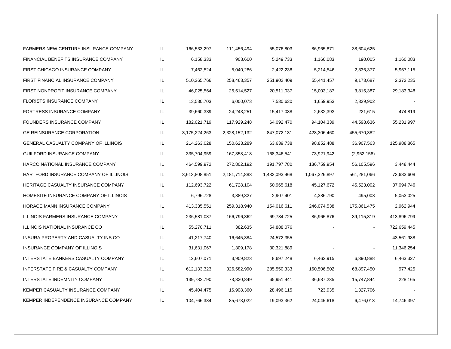| <b>FARMERS NEW CENTURY INSURANCE COMPANY</b> | IL. | 166,533,297   | 111,456,494   | 55,076,803    | 86,965,871    | 38,604,625     |             |
|----------------------------------------------|-----|---------------|---------------|---------------|---------------|----------------|-------------|
| <b>FINANCIAL BENEFITS INSURANCE COMPANY</b>  | IL. | 6,158,333     | 908,600       | 5,249,733     | 1,160,083     | 190,005        | 1,160,083   |
| FIRST CHICAGO INSURANCE COMPANY              | IL  | 7,462,524     | 5,040,286     | 2,422,238     | 5,214,546     | 2,336,377      | 5,957,115   |
| FIRST FINANCIAL INSURANCE COMPANY            | IL. | 510,365,766   | 258,463,357   | 251,902,409   | 55,441,457    | 9,173,687      | 2,372,235   |
| FIRST NONPROFIT INSURANCE COMPANY            | IL  | 46,025,564    | 25,514,527    | 20,511,037    | 15,003,187    | 3,815,387      | 29,183,348  |
| <b>FLORISTS INSURANCE COMPANY</b>            | IL. | 13,530,703    | 6,000,073     | 7,530,630     | 1,659,953     | 2,329,902      |             |
| FORTRESS INSURANCE COMPANY                   | IL  | 39,660,339    | 24,243,251    | 15,417,088    | 2,632,393     | 221,615        | 474,819     |
| FOUNDERS INSURANCE COMPANY                   | IL  | 182,021,719   | 117,929,248   | 64,092,470    | 94,104,339    | 44,598,636     | 55,231,997  |
| <b>GE REINSURANCE CORPORATION</b>            | IL. | 3,175,224,263 | 2,328,152,132 | 847,072,131   | 428,306,460   | 455,670,382    |             |
| <b>GENERAL CASUALTY COMPANY OF ILLINOIS</b>  | IL. | 214,263,028   | 150,623,289   | 63,639,738    | 98,852,488    | 36,907,563     | 125,988,865 |
| GUILFORD INSURANCE COMPANY                   | IL  | 335,704,959   | 167,358,418   | 168,346,541   | 73,921,942    | (2,952,158)    |             |
| HARCO NATIONAL INSURANCE COMPANY             | IL. | 464,599,972   | 272,802,192   | 191,797,780   | 136,759,954   | 56,105,596     | 3,448,444   |
| HARTFORD INSURANCE COMPANY OF ILLINOIS       | IL  | 3,613,808,851 | 2,181,714,883 | 1,432,093,968 | 1,067,326,897 | 561,281,066    | 73,683,608  |
| HERITAGE CASUALTY INSURANCE COMPANY          | IL  | 112,693,722   | 61,728,104    | 50,965,618    | 45,127,672    | 45,523,002     | 37,094,746  |
| HOMESITE INSURANCE COMPANY OF ILLINOIS       | IL  | 6,796,728     | 3,889,327     | 2,907,401     | 4,386,790     | 495,008        | 5,053,025   |
| HORACE MANN INSURANCE COMPANY                | IL  | 413,335,551   | 259,318,940   | 154,016,611   | 246,074,538   | 175,861,475    | 2,962,944   |
| ILLINOIS FARMERS INSURANCE COMPANY           | IL  | 236,581,087   | 166,796,362   | 69,784,725    | 86,965,876    | 39,115,319     | 413,896,799 |
| ILLINOIS NATIONAL INSURANCE CO               | IL  | 55,270,711    | 382,635       | 54,888,076    |               | $\blacksquare$ | 722,659,445 |
| INSURA PROPERTY AND CASUALTY INS CO          | IL  | 41,217,740    | 16,645,384    | 24,572,355    |               |                | 43,561,988  |
| INSURANCE COMPANY OF ILLINOIS                | IL. | 31,631,067    | 1,309,178     | 30,321,889    |               |                | 11,346,254  |
| INTERSTATE BANKERS CASUALTY COMPANY          | IL. | 12,607,071    | 3,909,823     | 8,697,248     | 6,462,915     | 6,390,888      | 6,463,327   |
| INTERSTATE FIRE & CASUALTY COMPANY           | IL. | 612,133,323   | 326,582,990   | 285,550,333   | 160,506,502   | 68,897,450     | 977,425     |
| INTERSTATE INDEMNITY COMPANY                 | IL  | 139,782,790   | 73,830,849    | 65,951,941    | 36,687,235    | 15,747,844     | 228,165     |
| KEMPER CASUALTY INSURANCE COMPANY            | IL. | 45,404,475    | 16,908,360    | 28,496,115    | 723,935       | 1,327,706      |             |
| KEMPER INDEPENDENCE INSURANCE COMPANY        | IL. | 104,766,384   | 85,673,022    | 19,093,362    | 24,045,618    | 6,476,013      | 14,746,397  |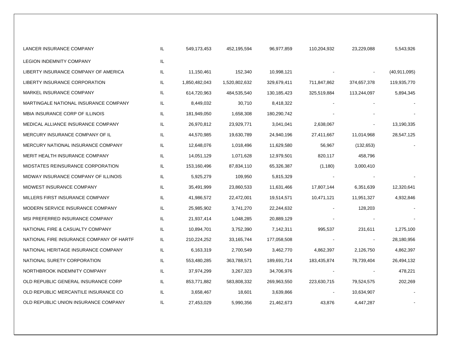| LANCER INSURANCE COMPANY                 | IL. | 549,173,453   | 452,195,594   | 96,977,859  | 110,204,932 | 23,229,088  | 5,543,926      |
|------------------------------------------|-----|---------------|---------------|-------------|-------------|-------------|----------------|
| <b>LEGION INDEMNITY COMPANY</b>          | IL. |               |               |             |             |             |                |
| LIBERTY INSURANCE COMPANY OF AMERICA     | IL. | 11,150,461    | 152,340       | 10,998,121  |             |             | (40, 911, 095) |
| LIBERTY INSURANCE CORPORATION            | IL  | 1,850,482,043 | 1,520,802,632 | 329,679,411 | 711,847,862 | 374,657,378 | 119,935,770    |
| MARKEL INSURANCE COMPANY                 | IL. | 614,720,963   | 484,535,540   | 130,185,423 | 325,519,884 | 113,244,097 | 5,894,345      |
| MARTINGALE NATIONAL INSURANCE COMPANY    | IL. | 8,449,032     | 30,710        | 8,418,322   |             |             |                |
| MBIA INSURANCE CORP OF ILLINOIS          | IL. | 181,949,050   | 1,658,308     | 180,290,742 |             |             |                |
| MEDICAL ALLIANCE INSURANCE COMPANY       | IL. | 26,970,812    | 23,929,771    | 3,041,041   | 2,638,067   |             | 13,190,335     |
| MERCURY INSURANCE COMPANY OF IL          | IL. | 44,570,985    | 19,630,789    | 24,940,196  | 27,411,667  | 11,014,968  | 28,547,125     |
| MERCURY NATIONAL INSURANCE COMPANY       | IL. | 12,648,076    | 1,018,496     | 11,629,580  | 56,967      | (132, 653)  |                |
| MERIT HEALTH INSURANCE COMPANY           | IL  | 14,051,129    | 1,071,628     | 12,979,501  | 820,117     | 458,796     |                |
| MIDSTATES REINSURANCE CORPORATION        | IL. | 153,160,496   | 87,834,110    | 65,326,387  | (1, 180)    | 3,000,410   |                |
| MIDWAY INSURANCE COMPANY OF ILLINOIS     | IL  | 5,925,279     | 109,950       | 5,815,329   |             |             |                |
| MIDWEST INSURANCE COMPANY                | IL. | 35,491,999    | 23,860,533    | 11,631,466  | 17,807,144  | 6,351,639   | 12,320,641     |
| MILLERS FIRST INSURANCE COMPANY          | IL. | 41,986,572    | 22,472,001    | 19,514,571  | 10,471,121  | 11,951,327  | 4,932,846      |
| MODERN SERVICE INSURANCE COMPANY         | IL  | 25,985,902    | 3,741,270     | 22,244,632  |             | 128,203     |                |
| MSI PREFERRED INSURANCE COMPANY          | IL  | 21,937,414    | 1,048,285     | 20,889,129  |             |             |                |
| NATIONAL FIRE & CASUALTY COMPANY         | IL. | 10,894,701    | 3,752,390     | 7,142,311   | 995,537     | 231,611     | 1,275,100      |
| NATIONAL FIRE INSURANCE COMPANY OF HARTF | IL. | 210,224,252   | 33, 165, 744  | 177,058,508 |             |             | 28,180,956     |
| NATIONAL HERITAGE INSURANCE COMPANY      | IL. | 6,163,319     | 2,700,549     | 3,462,770   | 4,862,397   | 2,126,750   | 4,862,397      |
| NATIONAL SURETY CORPORATION              | IL. | 553,480,285   | 363,788,571   | 189,691,714 | 183,435,874 | 78,739,404  | 26,494,132     |
| NORTHBROOK INDEMNITY COMPANY             | IL. | 37,974,299    | 3,267,323     | 34,706,976  |             |             | 478,221        |
| OLD REPUBLIC GENERAL INSURANCE CORP      | IL. | 853,771,882   | 583,808,332   | 269,963,550 | 223,630,715 | 79,524,575  | 202,269        |
| OLD REPUBLIC MERCANTILE INSURANCE CO     | IL  | 3,658,467     | 18,601        | 3,639,866   |             | 10,634,907  |                |
| OLD REPUBLIC UNION INSURANCE COMPANY     | IL. | 27,453,029    | 5,990,356     | 21,462,673  | 43,876      | 4,447,287   |                |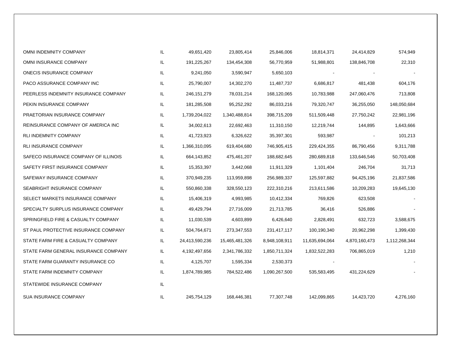| OMNI INDEMNITY COMPANY               | IL  | 49,651,420     | 23,805,414     | 25,846,006    | 18,814,371     | 24,414,829    | 574,949       |
|--------------------------------------|-----|----------------|----------------|---------------|----------------|---------------|---------------|
| OMNI INSURANCE COMPANY               | IL  | 191,225,267    | 134,454,308    | 56,770,959    | 51,988,801     | 138,846,708   | 22,310        |
| ONECIS INSURANCE COMPANY             | IL  | 9,241,050      | 3,590,947      | 5,650,103     |                |               |               |
| PACO ASSURANCE COMPANY INC           | IL  | 25,790,007     | 14,302,270     | 11,487,737    | 6,686,817      | 481,438       | 604,176       |
| PEERLESS INDEMNITY INSURANCE COMPANY | IL. | 246, 151, 279  | 78,031,214     | 168,120,065   | 10,783,988     | 247,060,476   | 713,808       |
| PEKIN INSURANCE COMPANY              | IL. | 181,285,508    | 95,252,292     | 86,033,216    | 79,320,747     | 36,255,050    | 148,050,684   |
| PRAETORIAN INSURANCE COMPANY         | IL  | 1,739,204,022  | 1,340,488,814  | 398,715,209   | 511,509,448    | 27,750,242    | 22,981,196    |
| REINSURANCE COMPANY OF AMERICA INC   | IL. | 34,002,613     | 22,692,463     | 11,310,150    | 12,219,744     | 144,895       | 1,643,666     |
| <b>RLI INDEMNITY COMPANY</b>         | IL  | 41,723,923     | 6,326,622      | 35,397,301    | 593,987        |               | 101,213       |
| <b>RLI INSURANCE COMPANY</b>         | IL  | 1,366,310,095  | 619,404,680    | 746,905,415   | 229,424,355    | 86,790,456    | 9,311,788     |
| SAFECO INSURANCE COMPANY OF ILLINOIS | IL. | 664,143,852    | 475,461,207    | 188,682,645   | 280,689,818    | 133,646,546   | 50,703,408    |
| SAFETY FIRST INSURANCE COMPANY       | IL. | 15,353,397     | 3,442,068      | 11,911,329    | 1,101,404      | 246,704       | 31,713        |
| SAFEWAY INSURANCE COMPANY            | IL  | 370,949,235    | 113,959,898    | 256,989,337   | 125,597,882    | 94,425,196    | 21,837,586    |
| SEABRIGHT INSURANCE COMPANY          | IL  | 550,860,338    | 328,550,123    | 222,310,216   | 213,611,586    | 10,209,283    | 19,645,130    |
| SELECT MARKETS INSURANCE COMPANY     | IL. | 15,406,319     | 4,993,985      | 10,412,334    | 769,826        | 623,508       |               |
| SPECIALTY SURPLUS INSURANCE COMPANY  | IL. | 49,429,794     | 27,716,009     | 21,713,785    | 36,416         | 526,886       |               |
| SPRINGFIELD FIRE & CASUALTY COMPANY  | IL  | 11,030,539     | 4,603,899      | 6,426,640     | 2,828,491      | 632,723       | 3,588,675     |
| ST PAUL PROTECTIVE INSURANCE COMPANY | IL. | 504,764,671    | 273,347,553    | 231,417,117   | 100,190,340    | 20,962,298    | 1,399,430     |
| STATE FARM FIRE & CASUALTY COMPANY   | IL. | 24,413,590,236 | 15,465,481,326 | 8,948,108,911 | 11,635,694,064 | 4,870,160,473 | 1,112,268,344 |
| STATE FARM GENERAL INSURANCE COMPANY | IL. | 4,192,497,656  | 2,341,786,332  | 1,850,711,324 | 1,832,522,283  | 706,865,019   | 1,210         |
| STATE FARM GUARANTY INSURANCE CO     | IL. | 4,125,707      | 1,595,334      | 2,530,373     |                |               |               |
| STATE FARM INDEMNITY COMPANY         | IL. | 1,874,789,985  | 784,522,486    | 1,090,267,500 | 535,583,495    | 431,224,629   |               |
| STATEWIDE INSURANCE COMPANY          | IL  |                |                |               |                |               |               |
| <b>SUA INSURANCE COMPANY</b>         | IL  | 245,754,129    | 168,446,381    | 77,307,748    | 142,099,865    | 14,423,720    | 4,276,160     |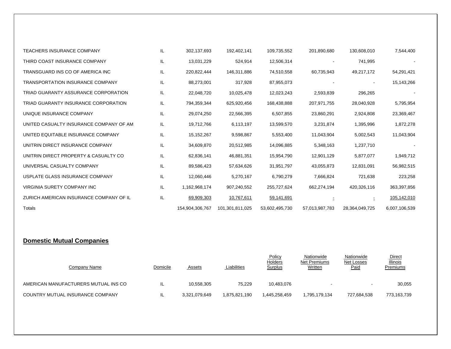| <b>TEACHERS INSURANCE COMPANY</b>       | IL  | 302,137,693     | 192,402,141     | 109,735,552    | 201,890,680    | 130,608,010    | 7,544,400     |
|-----------------------------------------|-----|-----------------|-----------------|----------------|----------------|----------------|---------------|
| THIRD COAST INSURANCE COMPANY           | IL  | 13,031,229      | 524,914         | 12,506,314     |                | 741,995        |               |
| TRANSGUARD INS CO OF AMERICA INC        | IL  | 220,822,444     | 146,311,886     | 74,510,558     | 60,735,943     | 49,217,172     | 54,291,421    |
| <b>TRANSPORTATION INSURANCE COMPANY</b> | IL  | 88,273,001      | 317,928         | 87,955,073     |                |                | 15,143,266    |
| TRIAD GUARANTY ASSURANCE CORPORATION    | IL  | 22,048,720      | 10,025,478      | 12,023,243     | 2,593,839      | 296,265        |               |
| TRIAD GUARANTY INSURANCE CORPORATION    | IL  | 794,359,344     | 625,920,456     | 168,438,888    | 207,971,755    | 28,040,928     | 5,795,954     |
| UNIQUE INSURANCE COMPANY                | IL  | 29,074,250      | 22,566,395      | 6,507,855      | 23,860,291     | 2,924,808      | 23,369,467    |
| UNITED CASUALTY INSURANCE COMPANY OF AM | IL. | 19,712,766      | 6,113,197       | 13,599,570     | 3,231,874      | 1,395,996      | 1,872,278     |
| UNITED EQUITABLE INSURANCE COMPANY      | IL. | 15,152,267      | 9,598,867       | 5,553,400      | 11,043,904     | 5,002,543      | 11,043,904    |
| UNITRIN DIRECT INSURANCE COMPANY        | IL  | 34,609,870      | 20,512,985      | 14,096,885     | 5,348,163      | 1,237,710      |               |
| UNITRIN DIRECT PROPERTY & CASUALTY CO   | IL  | 62,836,141      | 46,881,351      | 15,954,790     | 12,901,129     | 5,877,077      | 1,949,712     |
| UNIVERSAL CASUALTY COMPANY              | IL  | 89,586,423      | 57,634,626      | 31,951,797     | 43,055,873     | 12,831,091     | 56,982,515    |
| USPLATE GLASS INSURANCE COMPANY         | IL  | 12,060,446      | 5,270,167       | 6,790,279      | 7,666,824      | 721,638        | 223,258       |
| VIRGINIA SURETY COMPANY INC             | IL  | 1,162,968,174   | 907,240,552     | 255,727,624    | 662,274,194    | 420,326,116    | 363,397,856   |
| ZURICH AMERICAN INSURANCE COMPANY OF IL | IL  | 69,909,303      | 10,767,611      | 59,141,691     |                |                | 105,142,010   |
| Totals                                  |     | 154,904,306,767 | 101,301,811,025 | 53,602,495,730 | 57,013,987,783 | 28,364,049,725 | 6,007,106,539 |

#### **Domestic Mutual Companies**

| Company Name                         | Domicile | Assets        | Liabilities   | Policy<br>Holders<br><b>Surplus</b> | Nationwide<br>Net Premiums<br><b>Written</b> | Nationwide<br>Net Losses<br><b>Paid</b> | <b>Direct</b><br><b>Illinois</b><br>Premiums |
|--------------------------------------|----------|---------------|---------------|-------------------------------------|----------------------------------------------|-----------------------------------------|----------------------------------------------|
| AMERICAN MANUFACTURERS MUTUAL INS CO | IL       | 10.558.305    | 75,229        | 10.483.076                          |                                              | $\sim$                                  | 30,055                                       |
| COUNTRY MUTUAL INSURANCE COMPANY     | IL       | 3,321,079,649 | 1.875.821.190 | 1.445.258.459                       | 1,795,179,134                                | 727,684,538                             | 773,163,739                                  |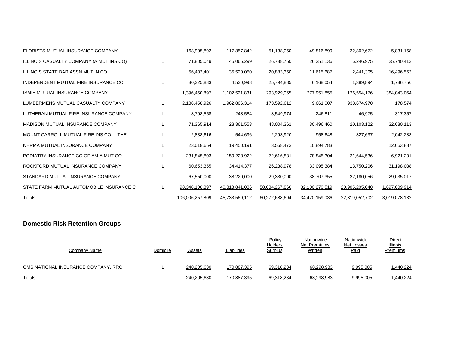| <b>FLORISTS MUTUAL INSURANCE COMPANY</b>       | IL | 168,995,892     | 117,857,842    | 51,138,050     | 49,816,899     | 32,802,672     | 5,831,158     |
|------------------------------------------------|----|-----------------|----------------|----------------|----------------|----------------|---------------|
| ILLINOIS CASUALTY COMPANY (A MUT INS CO)       | IL | 71,805,049      | 45,066,299     | 26,738,750     | 26,251,136     | 6,246,975      | 25,740,413    |
| ILLINOIS STATE BAR ASSN MUT IN CO              | IL | 56,403,401      | 35,520,050     | 20,883,350     | 11,615,687     | 2,441,305      | 16,496,563    |
| INDEPENDENT MUTUAL FIRE INSURANCE CO           | IL | 30,325,883      | 4,530,998      | 25,794,885     | 6,168,054      | 1,389,894      | 1,736,756     |
| ISMIE MUTUAL INSURANCE COMPANY                 | IL | 1,396,450,897   | 1,102,521,831  | 293,929,065    | 277,951,855    | 126,554,176    | 384,043,064   |
| LUMBERMENS MUTUAL CASUALTY COMPANY             | IL | 2,136,458,926   | 1,962,866,314  | 173,592,612    | 9,661,007      | 938,674,970    | 178,574       |
| LUTHERAN MUTUAL FIRE INSURANCE COMPANY         | IL | 8,798,558       | 248,584        | 8,549,974      | 246,811        | 46,975         | 317,357       |
| MADISON MUTUAL INSURANCE COMPANY               | IL | 71,365,914      | 23,361,553     | 48,004,361     | 30,496,460     | 20,103,122     | 32,680,113    |
| MOUNT CARROLL MUTUAL FIRE INS CO<br><b>THE</b> | IL | 2,838,616       | 544,696        | 2,293,920      | 958,648        | 327,637        | 2,042,283     |
| NHRMA MUTUAL INSURANCE COMPANY                 | IL | 23,018,664      | 19,450,191     | 3,568,473      | 10,894,783     |                | 12,053,887    |
| PODIATRY INSURANCE CO OF AM A MUT CO           | IL | 231,845,803     | 159,228,922    | 72,616,881     | 78,845,304     | 21,644,536     | 6,921,201     |
| ROCKFORD MUTUAL INSURANCE COMPANY              | IL | 60,653,355      | 34,414,377     | 26,238,978     | 33,095,384     | 13,750,206     | 31,198,038    |
| STANDARD MUTUAL INSURANCE COMPANY              | IL | 67,550,000      | 38,220,000     | 29,330,000     | 38,707,355     | 22,180,056     | 29,035,017    |
| STATE FARM MUTUAL AUTOMOBILE INSURANCE C       | IL | 98,348,108,897  | 40,313,841,036 | 58,034,267,860 | 32,100,270,519 | 20,905,205,640 | 1,697,609,914 |
| Totals                                         |    | 106,006,257,809 | 45,733,569,112 | 60,272,688,694 | 34,470,159,036 | 22,819,052,702 | 3,019,078,132 |

#### **Domestic Risk Retention Groups**

| Company Name                        | Domicile | <u>Assets</u> | Liabilities | Policy<br>Holders<br><b>Surplus</b> | Nationwide<br>Net Premiums<br><b>Written</b> | Nationwide<br>Net Losses<br>Paid | Direct<br><b>Illinois</b><br>Premiums |
|-------------------------------------|----------|---------------|-------------|-------------------------------------|----------------------------------------------|----------------------------------|---------------------------------------|
| OMS NATIONAL INSURANCE COMPANY, RRG | IL.      | 240,205,630   | 170,887,395 | 69,318,234                          | 68,298,983                                   | 9,995,005                        | ,440,224                              |
| Totals                              |          | 240,205,630   | 170,887,395 | 69,318,234                          | 68,298,983                                   | 9,995,005                        | .440,224                              |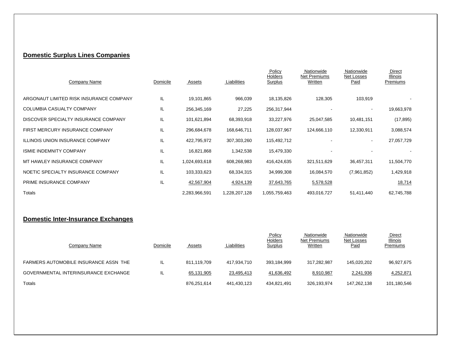## **Domestic Surplus Lines Companies**

| Company Name                            | Domicile | Assets        | Liabilities   | Policy<br>Holders<br><b>Surplus</b> | Nationwide<br>Net Premiums<br>Written | Nationwide<br>Net Losses<br>Paid | Direct<br>Illinois<br>Premiums |
|-----------------------------------------|----------|---------------|---------------|-------------------------------------|---------------------------------------|----------------------------------|--------------------------------|
| ARGONAUT LIMITED RISK INSURANCE COMPANY | IL       | 19,101,865    | 966,039       | 18,135,826                          | 128,305                               | 103,919                          |                                |
| COLUMBIA CASUALTY COMPANY               | IL       | 256,345,169   | 27,225        | 256,317,944                         |                                       | $\overline{\phantom{a}}$         | 19,663,978                     |
| DISCOVER SPECIALTY INSURANCE COMPANY    | IL       | 101,621,894   | 68,393,918    | 33,227,976                          | 25,047,585                            | 10,481,151                       | (17, 895)                      |
| FIRST MERCURY INSURANCE COMPANY         | IL       | 296,684,678   | 168,646,711   | 128,037,967                         | 124,666,110                           | 12,330,911                       | 3,088,574                      |
| <b>ILLINOIS UNION INSURANCE COMPANY</b> | IL       | 422,795,972   | 307,303,260   | 115,492,712                         |                                       | $\blacksquare$                   | 27,057,729                     |
| <b>ISMIE INDEMNITY COMPANY</b>          | IL       | 16,821,868    | 1,342,538     | 15,479,330                          |                                       |                                  |                                |
| MT HAWLEY INSURANCE COMPANY             | IL       | 1,024,693,618 | 608,268,983   | 416,424,635                         | 321,511,629                           | 36,457,311                       | 11,504,770                     |
| NOETIC SPECIALTY INSURANCE COMPANY      | IL       | 103,333,623   | 68,334,315    | 34,999,308                          | 16,084,570                            | (7,961,852)                      | 1,429,918                      |
| PRIME INSURANCE COMPANY                 | IL       | 42,567,904    | 4,924,139     | 37,643,765                          | 5,578,528                             |                                  | 18,714                         |
| Totals                                  |          | 2,283,966,591 | 1,228,207,128 | 1,055,759,463                       | 493,016,727                           | 51,411,440                       | 62,745,788                     |

#### **Domestic Inter-Insurance Exchanges**

| Company Name                          | Domicile | Assets      | Liabilities | Policy<br><b>Holders</b><br><b>Surplus</b> | Nationwide<br>Net Premiums<br><b>Written</b> | Nationwide<br>Net Losses<br><u>Paid</u> | Direct<br><b>Illinois</b><br>Premiums |
|---------------------------------------|----------|-------------|-------------|--------------------------------------------|----------------------------------------------|-----------------------------------------|---------------------------------------|
| FARMERS AUTOMOBILE INSURANCE ASSN THE |          | 811.119.709 | 417.934.710 | 393.184.999                                | 317.282.987                                  | 145.020.202                             | 96,927,675                            |
| GOVERNMENTAL INTERINSURANCE EXCHANGE  | IL.      | 65,131,905  | 23,495,413  | 41,636,492                                 | 8,910,987                                    | 2,241,936                               | 4,252,871                             |
| Totals                                |          | 876,251,614 | 441,430,123 | 434,821,491                                | 326,193,974                                  | 147,262,138                             | 101,180,546                           |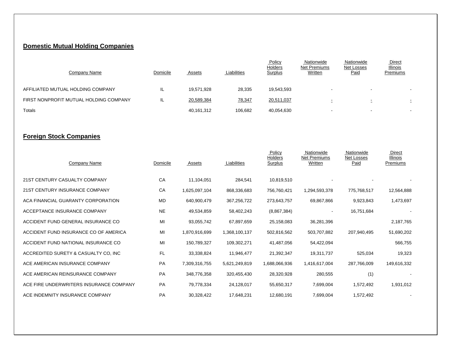#### **Domestic Mutual Holding Companies**

| Company Name                           | Domicile | Assets     | Liabilities | Policy<br>Holders<br><b>Surplus</b> | Nationwide<br>Net Premiums<br>Written | Nationwide<br>Net Losses<br><u>Paid</u> | <b>Direct</b><br><b>Illinois</b><br>Premiums |
|----------------------------------------|----------|------------|-------------|-------------------------------------|---------------------------------------|-----------------------------------------|----------------------------------------------|
| AFFILIATED MUTUAL HOLDING COMPANY      | IL       | 19.571.928 | 28,335      | 19,543,593                          | -                                     | . .                                     |                                              |
| FIRST NONPROFIT MUTUAL HOLDING COMPANY | IL       | 20,589,384 | 78,347      | 20,511,037                          | $\overline{\phantom{0}}$              | $\sim$<br>÷                             | <b>College</b>                               |
| Totals                                 |          | 40,161,312 | 106.682     | 40,054,630                          | $\overline{\phantom{0}}$              | . .                                     |                                              |

#### **Foreign Stock Companies**

| Company Name                            | Domicile  | Assets        | Liabilities   | Policy<br>Holders<br><b>Surplus</b> | Nationwide<br>Net Premiums<br>Written | Nationwide<br>Net Losses<br>Paid | Direct<br><b>Illinois</b><br>Premiums |
|-----------------------------------------|-----------|---------------|---------------|-------------------------------------|---------------------------------------|----------------------------------|---------------------------------------|
| 21ST CENTURY CASUALTY COMPANY           | CA        | 11,104,051    | 284,541       | 10,819,510                          |                                       |                                  |                                       |
| 21ST CENTURY INSURANCE COMPANY          | CA        | 1,625,097,104 | 868,336,683   | 756,760,421                         | 1,294,593,378                         | 775,768,517                      | 12,564,888                            |
| ACA FINANCIAL GUARANTY CORPORATION      | <b>MD</b> | 640,900,479   | 367,256,722   | 273,643,757                         | 69,867,866                            | 9,923,843                        | 1,473,697                             |
| ACCEPTANCE INSURANCE COMPANY            | <b>NE</b> | 49,534,859    | 58,402,243    | (8,867,384)                         |                                       | 16,751,684                       |                                       |
| ACCIDENT FUND GENERAL INSURANCE CO      | MI        | 93,055,742    | 67,897,659    | 25,158,083                          | 36,281,396                            |                                  | 2,187,765                             |
| ACCIDENT FUND INSURANCE CO OF AMERICA   | MI        | 1,870,916,699 | 1,368,100,137 | 502,816,562                         | 503,707,882                           | 207,940,495                      | 51,690,202                            |
| ACCIDENT FUND NATIONAL INSURANCE CO     | MI        | 150,789,327   | 109,302,271   | 41,487,056                          | 54,422,094                            |                                  | 566,755                               |
| ACCREDITED SURETY & CASUALTY CO, INC    | FL.       | 33,338,824    | 11,946,477    | 21,392,347                          | 19,311,737                            | 525,034                          | 19,323                                |
| ACE AMERICAN INSURANCE COMPANY          | PA        | 7,309,316,755 | 5,621,249,819 | 1,688,066,936                       | 1,416,617,004                         | 287,766,009                      | 149,616,332                           |
| ACE AMERICAN REINSURANCE COMPANY        | PA        | 348,776,358   | 320,455,430   | 28,320,928                          | 280,555                               | (1)                              |                                       |
| ACE FIRE UNDERWRITERS INSURANCE COMPANY | <b>PA</b> | 79,778,334    | 24,128,017    | 55,650,317                          | 7,699,004                             | 1,572,492                        | 1,931,012                             |
| ACE INDEMNITY INSURANCE COMPANY         | PA        | 30,328,422    | 17,648,231    | 12,680,191                          | 7,699,004                             | 1,572,492                        |                                       |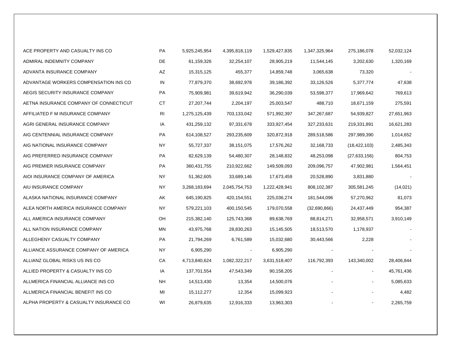| ACE PROPERTY AND CASUALTY INS CO       | PA        | 5,925,245,954 | 4,395,818,119 | 1,529,427,835 | 1,347,325,964 | 275,186,078    | 52,032,124 |
|----------------------------------------|-----------|---------------|---------------|---------------|---------------|----------------|------------|
| ADMIRAL INDEMNITY COMPANY              | DE        | 61,159,326    | 32,254,107    | 28,905,219    | 11,544,145    | 3,202,630      | 1,320,169  |
| ADVANTA INSURANCE COMPANY              | AZ        | 15,315,125    | 455,377       | 14,859,748    | 3,065,638     | 73,320         |            |
| ADVANTAGE WORKERS COMPENSATION INS CO  | IN        | 77,879,370    | 38,692,978    | 39,186,392    | 33,126,526    | 5,377,774      | 47,638     |
| AEGIS SECURITY INSURANCE COMPANY       | PA        | 75,909,981    | 39,619,942    | 36,290,039    | 53,598,377    | 17,969,642     | 769,613    |
| AETNA INSURANCE COMPANY OF CONNECTICUT | <b>CT</b> | 27,207,744    | 2,204,197     | 25,003,547    | 488,710       | 18,671,159     | 275,591    |
| AFFILIATED F M INSURANCE COMPANY       | RI        | 1,275,125,439 | 703,133,042   | 571,992,397   | 347,267,687   | 54,939,827     | 27,651,963 |
| AGRI GENERAL INSURANCE COMPANY         | IA        | 431,259,132   | 97,331,678    | 333,927,454   | 327,233,631   | 219,331,891    | 16,621,283 |
| AIG CENTENNIAL INSURANCE COMPANY       | PA        | 614,108,527   | 293,235,609   | 320,872,918   | 289,518,586   | 297,989,390    | 1,014,652  |
| AIG NATIONAL INSURANCE COMPANY         | <b>NY</b> | 55,727,337    | 38,151,075    | 17,576,262    | 32,168,733    | (18, 422, 103) | 2,485,343  |
| AIG PREFERRED INSURANCE COMPANY        | PA        | 82,629,139    | 54,480,307    | 28,148,832    | 48,253,098    | (27, 633, 156) | 804,753    |
| AIG PREMIER INSURANCE COMPANY          | PA        | 360,431,755   | 210,922,662   | 149,509,093   | 209,096,757   | 47,902,981     | 1,564,451  |
| AIOI INSURANCE COMPANY OF AMERICA      | <b>NY</b> | 51,362,605    | 33,689,146    | 17,673,459    | 20,528,890    | 3,831,880      |            |
| AIU INSURANCE COMPANY                  | <b>NY</b> | 3,268,183,694 | 2,045,754,753 | 1,222,428,941 | 808,102,387   | 305,581,245    | (14, 021)  |
| ALASKA NATIONAL INSURANCE COMPANY      | AΚ        | 645,190,825   | 420, 154, 551 | 225,036,274   | 181,544,096   | 57,270,962     | 81,073     |
| ALEA NORTH AMERICA INSURANCE COMPANY   | <b>NY</b> | 579,221,103   | 400,150,545   | 179,070,558   | (32,690,866)  | 24,437,449     | 954,387    |
| ALL AMERICA INSURANCE COMPANY          | OH        | 215,382,140   | 125,743,368   | 89,638,769    | 88,814,271    | 32,958,571     | 3,910,149  |
| ALL NATION INSURANCE COMPANY           | <b>MN</b> | 43,975,768    | 28,830,263    | 15,145,505    | 18,513,570    | 1,178,937      |            |
| ALLEGHENY CASUALTY COMPANY             | PA        | 21,794,269    | 6,761,589     | 15,032,680    | 30,443,566    | 2,228          |            |
| ALLIANCE ASSURANCE COMPANY OF AMERICA  | <b>NY</b> | 6,905,290     |               | 6,905,290     |               |                |            |
| ALLIANZ GLOBAL RISKS US INS CO         | CA        | 4,713,840,624 | 1,082,322,217 | 3,631,518,407 | 116,792,393   | 143,340,002    | 28,406,844 |
| ALLIED PROPERTY & CASUALTY INS CO      | IA        | 137,701,554   | 47,543,349    | 90,158,205    |               | $\blacksquare$ | 45,761,436 |
| ALLMERICA FINANCIAL ALLIANCE INS CO    | <b>NH</b> | 14,513,430    | 13,354        | 14,500,076    |               |                | 5,085,633  |
| ALLMERICA FINANCIAL BENEFIT INS CO     | MI        | 15,112,277    | 12,354        | 15,099,923    |               |                | 4,482      |
| ALPHA PROPERTY & CASUALTY INSURANCE CO | WI        | 26,879,635    | 12,916,333    | 13,963,303    |               |                | 2,265,759  |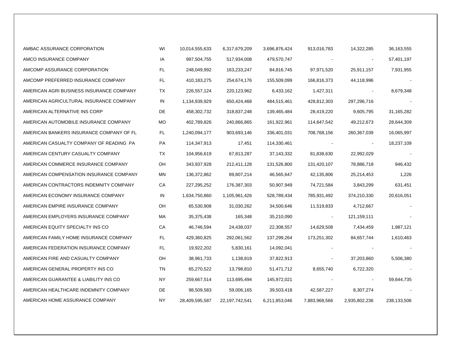| AMBAC ASSURANCE CORPORATION              | WI  | 10,014,555,633 | 6,317,679,209  | 3,696,876,424 | 913,016,783   | 14,322,285    | 36,163,555  |
|------------------------------------------|-----|----------------|----------------|---------------|---------------|---------------|-------------|
| AMCO INSURANCE COMPANY                   | IA  | 997,504,755    | 517,934,008    | 479,570,747   |               |               | 57,401,197  |
| AMCOMP ASSURANCE CORPORATION             | FL. | 248,049,992    | 163,233,247    | 84,816,745    | 97,971,520    | 25,911,157    | 7,931,955   |
| AMCOMP PREFERRED INSURANCE COMPANY       | FL. | 410,183,275    | 254,674,176    | 155,509,099   | 166,816,373   | 44,118,996    |             |
| AMERICAN AGRI BUSINESS INSURANCE COMPANY | TX. | 226,557,124    | 220,123,962    | 6,433,162     | 1,427,311     |               | 8,679,348   |
| AMERICAN AGRICULTURAL INSURANCE COMPANY  | IN  | 1,134,939,929  | 650,424,468    | 484,515,461   | 428,812,303   | 297,296,716   |             |
| AMERICAN ALTERNATIVE INS CORP            | DE. | 458,302,732    | 318,837,248    | 139,465,484   | 28,419,220    | 9,605,795     | 31,165,282  |
| AMERICAN AUTOMOBILE INSURANCE COMPANY    | MO  | 402,789,826    | 240,866,865    | 161,922,961   | 114,647,542   | 49,212,673    | 28,644,309  |
| AMERICAN BANKERS INSURANCE COMPANY OF FL | FL. | 1,240,094,177  | 903,693,146    | 336,401,031   | 708,768,156   | 260,367,039   | 16,065,997  |
| AMERICAN CASUALTY COMPANY OF READING PA  | PA  | 114,347,913    | 17,451         | 114,330,461   |               |               | 18,237,109  |
| AMERICAN CENTURY CASUALTY COMPANY        | TX  | 104,956,619    | 67,813,287     | 37,143,332    | 81,838,630    | 22,992,029    |             |
| AMERICAN COMMERCE INSURANCE COMPANY      | OH  | 343,937,928    | 212,411,128    | 131,526,800   | 131,420,107   | 78,886,718    | 946,432     |
| AMERICAN COMPENSATION INSURANCE COMPANY  | MN  | 136,372,862    | 89,807,214     | 46,565,647    | 42,135,806    | 25,214,453    | 1,226       |
| AMERICAN CONTRACTORS INDEMNITY COMPANY   | CA  | 227,295,252    | 176,387,303    | 50,907,949    | 74,721,584    | 3,843,299     | 631,451     |
| AMERICAN ECONOMY INSURANCE COMPANY       | IN  | 1,634,750,860  | 1,105,961,426  | 528,789,434   | 785,931,492   | 374,210,330   | 20,616,051  |
| AMERICAN EMPIRE INSURANCE COMPANY        | OH  | 65,530,908     | 31,030,262     | 34,500,646    | 11,519,833    | 4,712,667     |             |
| AMERICAN EMPLOYERS INSURANCE COMPANY     | МA  | 35,375,438     | 165,348        | 35,210,090    |               | 121,159,111   |             |
| AMERICAN EQUITY SPECIALTY INS CO         | СA  | 46,746,594     | 24,438,037     | 22,308,557    | 14,629,508    | 7,434,459     | 1,987,121   |
| AMERICAN FAMILY HOME INSURANCE COMPANY   | FL  | 429,360,825    | 292,061,562    | 137,299,264   | 173,251,302   | 84,657,744    | 1,610,463   |
| AMERICAN FEDERATION INSURANCE COMPANY    | FL  | 19,922,202     | 5,830,161      | 14,092,041    |               |               |             |
| AMERICAN FIRE AND CASUALTY COMPANY       | OH  | 38,961,733     | 1,138,819      | 37,822,913    |               | 37,203,860    | 5,506,380   |
| AMERICAN GENERAL PROPERTY INS CO         | TN  | 65,270,522     | 13,798,810     | 51,471,712    | 8,655,740     | 6,722,320     |             |
| AMERICAN GUARANTEE & LIABILITY INS CO    | ΝY  | 259,667,514    | 113,695,494    | 145,972,021   |               |               | 59,644,735  |
| AMERICAN HEALTHCARE INDEMNITY COMPANY    | DE  | 98,509,583     | 59,006,165     | 39,503,418    | 42,587,227    | 8,307,274     |             |
| AMERICAN HOME ASSURANCE COMPANY          | NY. | 28,409,595,587 | 22,197,742,541 | 6,211,853,046 | 7,883,968,566 | 2,935,802,236 | 238,133,506 |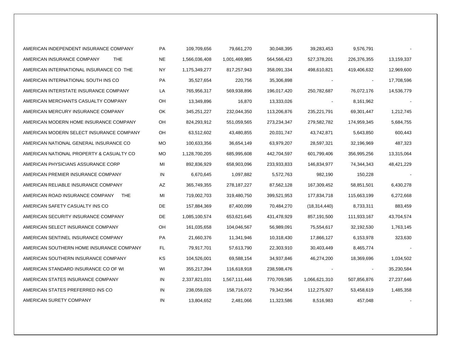| AMERICAN INDEPENDENT INSURANCE COMPANY        | PA        | 109,709,656   | 79,661,270    | 30,048,395  | 39,283,453     | 9,576,791      |            |
|-----------------------------------------------|-----------|---------------|---------------|-------------|----------------|----------------|------------|
| AMERICAN INSURANCE COMPANY<br><b>THE</b>      | NE.       | 1,566,036,408 | 1,001,469,985 | 564,566,423 | 527,378,201    | 226,376,355    | 13,159,337 |
| AMERICAN INTERNATIONAL INSURANCE CO THE       | ΝY        | 1,175,349,277 | 817,257,943   | 358,091,334 | 498,610,821    | 419,406,632    | 12,969,600 |
| AMERICAN INTERNATIONAL SOUTH INS CO           | PA        | 35,527,654    | 220,756       | 35,306,898  |                | $\blacksquare$ | 17,708,596 |
| AMERICAN INTERSTATE INSURANCE COMPANY         | LA        | 765,956,317   | 569,938,896   | 196,017,420 | 250,782,687    | 76,072,176     | 14,536,779 |
| AMERICAN MERCHANTS CASUALTY COMPANY           | OH        | 13,349,896    | 16,870        | 13,333,026  |                | 8,161,962      |            |
| AMERICAN MERCURY INSURANCE COMPANY            | OK        | 345,251,227   | 232,044,350   | 113,206,876 | 235,221,791    | 69,301,447     | 1,212,745  |
| AMERICAN MODERN HOME INSURANCE COMPANY        | OH        | 824,293,912   | 551,059,565   | 273,234,347 | 279,582,782    | 174,959,345    | 5,684,755  |
| AMERICAN MODERN SELECT INSURANCE COMPANY      | OН        | 63,512,602    | 43,480,855    | 20,031,747  | 43,742,871     | 5,643,850      | 600,443    |
| AMERICAN NATIONAL GENERAL INSURANCE CO        | <b>MO</b> | 100,633,356   | 36,654,149    | 63,979,207  | 28,597,321     | 32,196,969     | 487,323    |
| AMERICAN NATIONAL PROPERTY & CASUALTY CO      | <b>MO</b> | 1,128,700,205 | 685,995,608   | 442,704,597 | 601,799,406    | 356,995,256    | 13,315,064 |
| AMERICAN PHYSICIANS ASSURANCE CORP            | MI        | 892,836,929   | 658,903,096   | 233,933,833 | 146,834,977    | 74,344,343     | 48,421,229 |
| AMERICAN PREMIER INSURANCE COMPANY            | IN        | 6,670,645     | 1,097,882     | 5,572,763   | 982,190        | 150,228        |            |
| AMERICAN RELIABLE INSURANCE COMPANY           | AZ        | 365,749,355   | 278, 187, 227 | 87,562,128  | 167,309,452    | 58,851,501     | 6,430,278  |
| AMERICAN ROAD INSURANCE COMPANY<br><b>THE</b> | MI        | 719,002,703   | 319,480,750   | 399,521,953 | 177,834,718    | 115,663,199    | 6,272,668  |
| AMERICAN SAFETY CASUALTY INS CO               | DE        | 157,884,369   | 87,400,099    | 70,484,270  | (18, 314, 440) | 8,733,311      | 883,459    |
| AMERICAN SECURITY INSURANCE COMPANY           | DE        | 1,085,100,574 | 653,621,645   | 431,478,929 | 857,191,500    | 111,933,167    | 43,704,574 |
| AMERICAN SELECT INSURANCE COMPANY             | OH        | 161,035,658   | 104,046,567   | 56,989,091  | 75,554,617     | 32,192,530     | 1,763,145  |
| AMERICAN SENTINEL INSURANCE COMPANY           | PA        | 21,660,376    | 11,341,946    | 10,318,430  | 17,866,127     | 6,153,978      | 323,630    |
| AMERICAN SOUTHERN HOME INSURANCE COMPANY      | FL.       | 79,917,701    | 57,613,790    | 22,303,910  | 30,403,449     | 8,465,774      |            |
| AMERICAN SOUTHERN INSURANCE COMPANY           | KS        | 104,526,001   | 69,588,154    | 34,937,846  | 46,274,200     | 18,369,696     | 1,034,502  |
| AMERICAN STANDARD INSURANCE CO OF WI          | WI        | 355,217,394   | 116,618,918   | 238,598,476 |                |                | 35,230,584 |
| AMERICAN STATES INSURANCE COMPANY             | IN        | 2,337,821,031 | 1,567,111,446 | 770,709,585 | 1,066,621,310  | 507,856,876    | 27,237,646 |
| AMERICAN STATES PREFERRED INS CO              | IN        | 238,059,026   | 158,716,072   | 79,342,954  | 112,275,927    | 53,458,619     | 1,485,358  |
| AMERICAN SURETY COMPANY                       | IN        | 13,804,652    | 2,481,066     | 11,323,586  | 8,516,983      | 457,048        |            |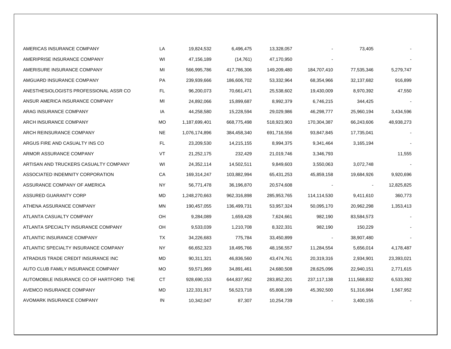| AMERICAS INSURANCE COMPANY              | LA        | 19,824,532    | 6,496,475   | 13,328,057  |             | 73,405      |            |
|-----------------------------------------|-----------|---------------|-------------|-------------|-------------|-------------|------------|
| AMERIPRISE INSURANCE COMPANY            | WI        | 47,156,189    | (14,761)    | 47,170,950  |             |             |            |
| AMERISURE INSURANCE COMPANY             | MI        | 566,995,786   | 417,786,306 | 149,209,480 | 184,707,410 | 77,535,346  | 5,279,747  |
| AMGUARD INSURANCE COMPANY               | PA        | 239,939,666   | 186,606,702 | 53,332,964  | 68,354,966  | 32,137,682  | 916,899    |
| ANESTHESIOLOGISTS PROFESSIONAL ASSR CO  | FL.       | 96,200,073    | 70,661,471  | 25,538,602  | 19,430,009  | 8,970,392   | 47,550     |
| ANSUR AMERICA INSURANCE COMPANY         | MI        | 24,892,066    | 15,899,687  | 8,992,379   | 6,746,215   | 344,425     |            |
| ARAG INSURANCE COMPANY                  | IA        | 44,258,580    | 15,228,594  | 29,029,986  | 46,298,777  | 25,960,194  | 3,434,596  |
| ARCH INSURANCE COMPANY                  | МO        | 1,187,699,401 | 668,775,498 | 518,923,903 | 170,304,387 | 66,243,606  | 48,938,273 |
| ARCH REINSURANCE COMPANY                | NE        | 1,076,174,896 | 384,458,340 | 691,716,556 | 93,847,845  | 17,735,041  |            |
| ARGUS FIRE AND CASUALTY INS CO          | FL        | 23,209,530    | 14,215,155  | 8,994,375   | 9,341,464   | 3,165,194   |            |
| ARMOR ASSURANCE COMPANY                 | VT        | 21,252,175    | 232,429     | 21,019,746  | 3,346,793   |             | 11,555     |
| ARTISAN AND TRUCKERS CASUALTY COMPANY   | WI        | 24,352,114    | 14,502,511  | 9,849,603   | 3,550,063   | 3,072,748   |            |
| ASSOCIATED INDEMNITY CORPORATION        | СA        | 169,314,247   | 103,882,994 | 65,431,253  | 45,859,158  | 19,684,926  | 9,920,696  |
| ASSURANCE COMPANY OF AMERICA            | NY.       | 56,771,478    | 36,196,870  | 20,574,608  |             |             | 12,825,825 |
| ASSURED GUARANTY CORP                   | MD        | 1,248,270,663 | 962,316,898 | 285,953,765 | 114,114,530 | 9,411,610   | 360,773    |
| ATHENA ASSURANCE COMPANY                | MN        | 190,457,055   | 136,499,731 | 53,957,324  | 50,095,170  | 20,962,298  | 1,353,413  |
| ATLANTA CASUALTY COMPANY                | OH        | 9,284,089     | 1,659,428   | 7,624,661   | 982,190     | 83,584,573  |            |
| ATLANTA SPECIALTY INSURANCE COMPANY     | OH        | 9,533,039     | 1,210,708   | 8,322,331   | 982,190     | 150,229     |            |
| ATLANTIC INSURANCE COMPANY              | TX        | 34,226,683    | 775,784     | 33,450,899  |             | 38,907,480  |            |
| ATLANTIC SPECIALTY INSURANCE COMPANY    | <b>NY</b> | 66,652,323    | 18,495,766  | 48,156,557  | 11,284,554  | 5,656,014   | 4,178,487  |
| ATRADIUS TRADE CREDIT INSURANCE INC     | MD        | 90,311,321    | 46,836,560  | 43,474,761  | 20,319,316  | 2,934,901   | 23,393,021 |
| AUTO CLUB FAMILY INSURANCE COMPANY      | <b>MO</b> | 59,571,969    | 34,891,461  | 24,680,508  | 28,625,096  | 22,940,151  | 2,771,615  |
| AUTOMOBILE INSURANCE CO OF HARTFORD THE | CT        | 928,690,153   | 644,837,952 | 283,852,201 | 237,117,138 | 111,568,832 | 6,533,392  |
| AVEMCO INSURANCE COMPANY                | MD        | 122,331,917   | 56,523,718  | 65,808,199  | 45,392,500  | 51,316,984  | 1,567,952  |
| AVOMARK INSURANCE COMPANY               | IN        | 10,342,047    | 87,307      | 10,254,739  |             | 3,400,155   |            |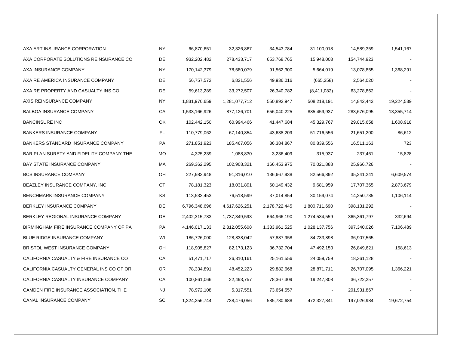| AXA ART INSURANCE CORPORATION             | <b>NY</b> | 66,870,651    | 32,326,867    | 34,543,784    | 31,100,018    | 14,589,359  | 1,541,167  |
|-------------------------------------------|-----------|---------------|---------------|---------------|---------------|-------------|------------|
| AXA CORPORATE SOLUTIONS REINSURANCE CO    | DE        | 932,202,482   | 278,433,717   | 653,768,765   | 15,948,003    | 154,744,923 |            |
| AXA INSURANCE COMPANY                     | NY        | 170,142,379   | 78,580,079    | 91,562,300    | 5,664,019     | 13,078,855  | 1,368,291  |
| AXA RE AMERICA INSURANCE COMPANY          | DE        | 56,757,572    | 6,821,556     | 49,936,016    | (665, 258)    | 2,564,020   |            |
| AXA RE PROPERTY AND CASUALTY INS CO       | DE        | 59,613,289    | 33,272,507    | 26,340,782    | (8,411,082)   | 63,278,862  |            |
| AXIS REINSURANCE COMPANY                  | NY.       | 1,831,970,659 | 1,281,077,712 | 550,892,947   | 508,218,191   | 14,842,443  | 19,224,539 |
| <b>BALBOA INSURANCE COMPANY</b>           | CA        | 1,533,166,926 | 877,126,701   | 656,040,225   | 885,459,937   | 283,676,095 | 13,355,714 |
| <b>BANCINSURE INC</b>                     | OK        | 102,442,150   | 60,994,466    | 41,447,684    | 45,329,767    | 29,015,658  | 1,608,918  |
| <b>BANKERS INSURANCE COMPANY</b>          | FL.       | 110,779,062   | 67,140,854    | 43,638,209    | 51,716,556    | 21,651,200  | 86,612     |
| <b>BANKERS STANDARD INSURANCE COMPANY</b> | PA        | 271,851,923   | 185,467,056   | 86,384,867    | 80,839,556    | 16,511,163  | 723        |
| BAR PLAN SURETY AND FIDELITY COMPANY THE  | MO        | 4,325,239     | 1,088,830     | 3,236,409     | 315,937       | 237,461     | 15,828     |
| <b>BAY STATE INSURANCE COMPANY</b>        | МA        | 269,362,295   | 102,908,321   | 166,453,975   | 70,021,888    | 25,966,726  |            |
| <b>BCS INSURANCE COMPANY</b>              | OH        | 227,983,948   | 91,316,010    | 136,667,938   | 82,566,892    | 35,241,241  | 6,609,574  |
| BEAZLEY INSURANCE COMPANY, INC            | СT        | 78,181,323    | 18,031,891    | 60,149,432    | 9,681,959     | 17,707,365  | 2,873,679  |
| BENCHMARK INSURANCE COMPANY               | KS        | 113,533,453   | 76,518,599    | 37,014,854    | 30,159,074    | 14,250,735  | 1,106,114  |
| BERKLEY INSURANCE COMPANY                 | DE        | 6,796,348,696 | 4,617,626,251 | 2,178,722,445 | 1,800,711,690 | 398,131,292 |            |
| BERKLEY REGIONAL INSURANCE COMPANY        | DE        | 2,402,315,783 | 1,737,349,593 | 664,966,190   | 1,274,534,559 | 365,361,797 | 332,694    |
| BIRMINGHAM FIRE INSURANCE COMPANY OF PA   | PA        | 4,146,017,133 | 2,812,055,608 | 1,333,961,525 | 1,028,137,756 | 397,340,026 | 7,106,489  |
| <b>BLUE RIDGE INSURANCE COMPANY</b>       | WI        | 186,726,000   | 128,838,042   | 57,887,958    | 84,733,898    | 36,907,565  |            |
| <b>BRISTOL WEST INSURANCE COMPANY</b>     | OH        | 118,905,827   | 82,173,123    | 36,732,704    | 47,492,150    | 26,849,621  | 158,613    |
| CALIFORNIA CASUALTY & FIRE INSURANCE CO   | СA        | 51,471,717    | 26,310,161    | 25,161,556    | 24,059,759    | 18,361,128  |            |
| CALIFORNIA CASUALTY GENERAL INS CO OF OR  | OR        | 78,334,891    | 48,452,223    | 29,882,668    | 28,871,711    | 26,707,095  | 1,366,221  |
| CALIFORNIA CASUALTY INSURANCE COMPANY     | CA        | 100,861,066   | 22,493,757    | 78,367,309    | 19,247,808    | 36,722,257  |            |
| CAMDEN FIRE INSURANCE ASSOCIATION, THE    | <b>NJ</b> | 78,972,108    | 5,317,551     | 73,654,557    |               | 201,931,867 |            |
| CANAL INSURANCE COMPANY                   | <b>SC</b> | 1,324,256,744 | 738,476,056   | 585,780,688   | 472,327,841   | 197,026,984 | 19,672,754 |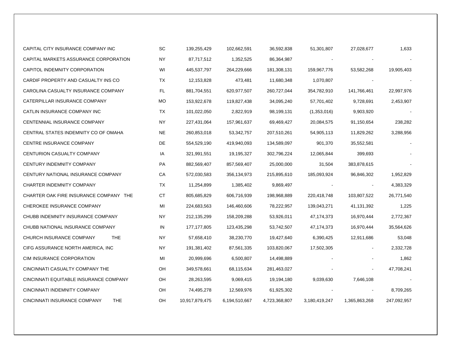| CAPITAL CITY INSURANCE COMPANY INC         | <b>SC</b> | 139,255,429    | 102,662,591   | 36,592,838    | 51,301,807    | 27,028,677    | 1,633       |
|--------------------------------------------|-----------|----------------|---------------|---------------|---------------|---------------|-------------|
| CAPITAL MARKETS ASSURANCE CORPORATION      | NY        | 87,717,512     | 1,352,525     | 86,364,987    |               |               |             |
| CAPITOL INDEMNITY CORPORATION              | WI        | 445,537,797    | 264,229,666   | 181,308,131   | 159,967,776   | 53,582,268    | 19,905,403  |
| CARDIF PROPERTY AND CASUALTY INS CO        | TX        | 12,153,828     | 473,481       | 11,680,348    | 1,070,807     |               |             |
| CAROLINA CASUALTY INSURANCE COMPANY        | FL        | 881,704,551    | 620,977,507   | 260,727,044   | 354,782,910   | 141,766,461   | 22,997,976  |
| CATERPILLAR INSURANCE COMPANY              | MO        | 153,922,678    | 119,827,438   | 34,095,240    | 57,701,402    | 9,728,691     | 2,453,907   |
| CATLIN INSURANCE COMPANY INC               | TX.       | 101,022,050    | 2,822,919     | 98,199,131    | (1,353,016)   | 9,903,920     |             |
| CENTENNIAL INSURANCE COMPANY               | NY.       | 227,431,064    | 157,961,637   | 69,469,427    | 20,084,575    | 91,150,654    | 238,282     |
| CENTRAL STATES INDEMNITY CO OF OMAHA       | <b>NE</b> | 260,853,018    | 53,342,757    | 207,510,261   | 54,905,113    | 11,829,262    | 3,288,956   |
| CENTRE INSURANCE COMPANY                   | DE        | 554,529,190    | 419,940,093   | 134,589,097   | 901,370       | 35,552,581    |             |
| CENTURION CASUALTY COMPANY                 | IA        | 321,991,551    | 19,195,327    | 302,796,224   | 12,065,844    | 399,693       |             |
| CENTURY INDEMNITY COMPANY                  | PA        | 882,569,407    | 857,569,407   | 25,000,000    | 31,504        | 383,878,615   |             |
| CENTURY NATIONAL INSURANCE COMPANY         | СA        | 572,030,583    | 356,134,973   | 215,895,610   | 185,093,924   | 96,846,302    | 1,952,829   |
| CHARTER INDEMNITY COMPANY                  | TX        | 11,254,899     | 1,385,402     | 9,869,497     |               |               | 4,383,329   |
| CHARTER OAK FIRE INSURANCE COMPANY THE     | СT        | 805,685,829    | 606,716,939   | 198,968,889   | 220,418,748   | 103,807,522   | 26,771,540  |
| CHEROKEE INSURANCE COMPANY                 | MI        | 224,683,563    | 146,460,606   | 78,222,957    | 139,043,271   | 41,131,392    | 1,225       |
| CHUBB INDEMNITY INSURANCE COMPANY          | NY        | 212, 135, 299  | 158,209,288   | 53,926,011    | 47,174,373    | 16,970,444    | 2,772,367   |
| CHUBB NATIONAL INSURANCE COMPANY           | IN        | 177, 177, 805  | 123,435,298   | 53,742,507    | 47,174,373    | 16,970,444    | 35,564,626  |
| CHURCH INSURANCE COMPANY<br><b>THE</b>     | ΝY        | 57,658,410     | 38,230,770    | 19,427,640    | 6,390,425     | 12,911,686    | 53,048      |
| CIFG ASSURANCE NORTH AMERICA, INC          | NY        | 191,381,402    | 87,561,335    | 103,820,067   | 17,502,305    |               | 2,332,728   |
| CIM INSURANCE CORPORATION                  | MI        | 20,999,696     | 6,500,807     | 14,498,889    |               |               | 1,862       |
| CINCINNATI CASUALTY COMPANY THE            | OH        | 349,578,661    | 68,115,634    | 281,463,027   |               |               | 47,708,241  |
| CINCINNATI EQUITABLE INSURANCE COMPANY     | OH        | 28,263,595     | 9,069,415     | 19,194,180    | 9,039,630     | 7,646,108     |             |
| CINCINNATI INDEMNITY COMPANY               | OH        | 74,495,278     | 12,569,976    | 61,925,302    |               |               | 8,709,265   |
| CINCINNATI INSURANCE COMPANY<br><b>THE</b> | OH        | 10,917,879,475 | 6,194,510,667 | 4,723,368,807 | 3,180,419,247 | 1,365,863,268 | 247,092,957 |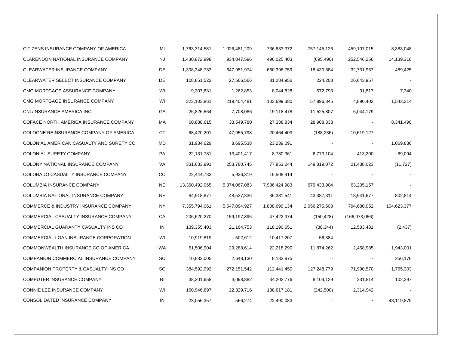| CITIZENS INSURANCE COMPANY OF AMERICA            | MI        | 1,763,314,581  | 1,026,481,209 | 736,833,372   | 757,145,126   | 459,107,015    | 8,383,048   |
|--------------------------------------------------|-----------|----------------|---------------|---------------|---------------|----------------|-------------|
| CLARENDON NATIONAL INSURANCE COMPANY             | NJ        | 1,430,872,998  | 934,847,596   | 496,025,403   | (695, 490)    | 252,546,256    | 14,139,316  |
| CLEARWATER INSURANCE COMPANY                     | DE        | 1,308,348,733  | 647,951,974   | 660,396,759   | 18,430,884    | 32,731,957     | 489,425     |
| CLEARWATER SELECT INSURANCE COMPANY              | DE        | 108,851,522    | 27,566,566    | 81,284,956    | 224,208       | 26,643,957     |             |
| CMG MORTGAGE ASSURANCE COMPANY                   | WI        | 9,307,681      | 1,262,853     | 8,044,828     | 572,793       | 31,817         | 7,340       |
| CMG MORTGAGE INSURANCE COMPANY                   | WI        | 323,103,861    | 219,404,481   | 103,699,380   | 57,896,845    | 4,890,402      | 1,543,314   |
| CNL/INSURANCE AMERICA INC                        | GA        | 26,826,564     | 7,708,086     | 19,118,478    | 11,525,807    | 6,044,179      |             |
| COFACE NORTH AMERICA INSURANCE COMPANY           | МA        | 60,888,615     | 33,549,780    | 27,338,834    | 28,908,338    | $\blacksquare$ | 8,341,490   |
| COLOGNE REINSURANCE COMPANY OF AMERICA           | СT        | 68,420,201     | 47,955,798    | 20,464,403    | (188, 236)    | 10,619,127     |             |
| COLONIAL AMERICAN CASUALTY AND SURETY CO         | MD        | 31,934,629     | 8,695,538     | 23,239,091    |               | $\blacksquare$ | 1,069,836   |
| COLONIAL SURETY COMPANY                          | PA        | 22,131,781     | 13,401,417    | 8,730,361     | 6,773,104     | 413,200        | 89,094      |
| COLONY NATIONAL INSURANCE COMPANY                | VA        | 331,633,991    | 253,780,745   | 77,853,244    | 149,819,072   | 21,438,023     | (11, 727)   |
| COLORADO CASUALTY INSURANCE COMPANY              | CO        | 22,444,733     | 5,936,319     | 16,508,414    |               |                |             |
| COLUMBIA INSURANCE COMPANY                       | <b>NE</b> | 13,360,492,065 | 5,374,067,083 | 7,986,424,983 | 679,433,904   | 63,205,157     |             |
| COLUMBIA NATIONAL INSURANCE COMPANY              | <b>NE</b> | 84,918,877     | 48,537,336    | 36,381,541    | 43,387,311    | 18,941,677     | 802,814     |
| <b>COMMERCE &amp; INDUSTRY INSURANCE COMPANY</b> | ΝY        | 7,355,794,061  | 5,547,094,927 | 1,808,699,134 | 2,056,275,508 | 794,680,052    | 104,623,377 |
| COMMERCIAL CASUALTY INSURANCE COMPANY            | CA        | 206,620,270    | 159,197,896   | 47,422,374    | (150, 428)    | (166,073,056)  |             |
| COMMERCIAL GUARANTY CASUALTY INS CO              | IN        | 139,355,403    | 21,164,753    | 118,190,651   | (38, 344)     | 12,533,481     | (2, 437)    |
| COMMERCIAL LOAN INSURANCE CORPORATION            | WI        | 10,919,819     | 502,612       | 10,417,207    | 56,384        |                |             |
| COMMONWEALTH INSURANCE CO OF AMERICA             | WA        | 51,506,904     | 29,288,614    | 22,218,290    | 11,874,262    | 2,458,985      | 1,943,001   |
| COMPANION COMMERCIAL INSURANCE COMPANY           | SC        | 10,832,005     | 2,648,130     | 8,183,875     |               |                | 256,176     |
| COMPANION PROPERTY & CASUALTY INS CO             | SC        | 384,592,992    | 272,151,542   | 112,441,450   | 127,248,779   | 71,990,570     | 1,765,303   |
| COMPUTER INSURANCE COMPANY                       | RI        | 38,301,658     | 4,098,882     | 34,202,776    | 8,104,129     | 231,814        | 102,297     |
| CONNIE LEE INSURANCE COMPANY                     | WI        | 160,946,897    | 22,329,716    | 138,617,181   | (242, 500)    | 2,314,942      |             |
| CONSOLIDATED INSURANCE COMPANY                   | IN        | 23,056,357     | 566,274       | 22,490,083    |               |                | 43,119,879  |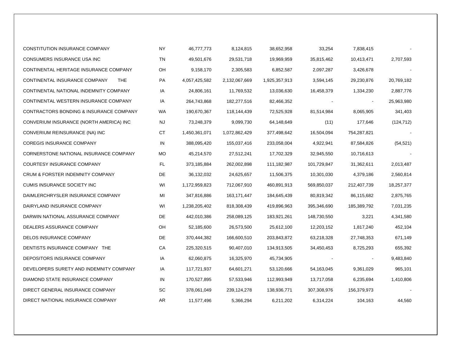| CONSTITUTION INSURANCE COMPANY              | <b>NY</b> | 46,777,773    | 8,124,815     | 38,652,958    | 33,254      | 7,838,415   |            |
|---------------------------------------------|-----------|---------------|---------------|---------------|-------------|-------------|------------|
| CONSUMERS INSURANCE USA INC                 | TN        | 49,501,676    | 29,531,718    | 19,969,959    | 35,815,462  | 10,413,471  | 2,707,593  |
| CONTINENTAL HERITAGE INSURANCE COMPANY      | OН        | 9,158,170     | 2,305,583     | 6,852,587     | 2,097,287   | 3,426,678   |            |
| CONTINENTAL INSURANCE COMPANY<br><b>THE</b> | PA        | 4,057,425,582 | 2,132,067,669 | 1,925,357,913 | 3,594,145   | 29,230,876  | 20,769,182 |
| CONTINENTAL NATIONAL INDEMNITY COMPANY      | IA        | 24,806,161    | 11,769,532    | 13,036,630    | 16,458,379  | 1,334,230   | 2,887,776  |
| CONTINENTAL WESTERN INSURANCE COMPANY       | IA        | 264,743,868   | 182,277,516   | 82,466,352    |             |             | 25,963,980 |
| CONTRACTORS BONDING & INSURANCE COMPANY     | <b>WA</b> | 190,670,367   | 118,144,439   | 72,525,928    | 81,514,984  | 8,065,905   | 341,403    |
| CONVERIUM INSURANCE (NORTH AMERICA) INC     | <b>NJ</b> | 73,248,379    | 9,099,730     | 64,148,649    | (11)        | 177,646     | (124, 712) |
| CONVERIUM REINSURANCE (NA) INC              | СT        | 1,450,361,071 | 1,072,862,429 | 377,498,642   | 16,504,094  | 754,287,821 |            |
| <b>COREGIS INSURANCE COMPANY</b>            | IN        | 388,095,420   | 155,037,416   | 233,058,004   | 4,922,941   | 87,584,826  | (54, 521)  |
| CORNERSTONE NATIONAL INSURANCE COMPANY      | MO        | 45,214,570    | 27,512,241    | 17,702,329    | 32,945,550  | 10,716,613  |            |
| COURTESY INSURANCE COMPANY                  | FL.       | 373,185,884   | 262,002,898   | 111,182,987   | 101,729,847 | 31,362,611  | 2,013,487  |
| CRUM & FORSTER INDEMNITY COMPANY            | DE        | 36,132,032    | 24,625,657    | 11,506,375    | 10,301,030  | 4,379,186   | 2,560,814  |
| CUMIS INSURANCE SOCIETY INC                 | WI        | 1,172,959,823 | 712,067,910   | 460,891,913   | 569,850,037 | 212,407,739 | 18,257,377 |
| DAIMLERCHRYSLER INSURANCE COMPANY           | MI        | 347,816,886   | 163, 171, 447 | 184,645,439   | 80,819,342  | 86,115,682  | 2,875,765  |
| DAIRYLAND INSURANCE COMPANY                 | WI        | 1,238,205,402 | 818,308,439   | 419,896,963   | 395,346,690 | 185,389,792 | 7,031,235  |
| DARWIN NATIONAL ASSURANCE COMPANY           | DE        | 442,010,386   | 258,089,125   | 183,921,261   | 148,730,550 | 3,221       | 4,341,580  |
| DEALERS ASSURANCE COMPANY                   | OH        | 52,185,600    | 26,573,500    | 25,612,100    | 12,203,152  | 1,817,240   | 452,104    |
| DELOS INSURANCE COMPANY                     | DE        | 370,444,382   | 166,600,510   | 203,843,872   | 63,218,328  | 27,748,353  | 671,149    |
| DENTISTS INSURANCE COMPANY THE              | СA        | 225,320,515   | 90,407,010    | 134,913,505   | 34,450,453  | 8,725,293   | 655,392    |
| DEPOSITORS INSURANCE COMPANY                | IA        | 62,060,875    | 16,325,970    | 45,734,905    |             |             | 9,483,840  |
| DEVELOPERS SURETY AND INDEMNITY COMPANY     | IA        | 117,721,937   | 64,601,271    | 53,120,666    | 54,163,045  | 9,361,029   | 965,101    |
| DIAMOND STATE INSURANCE COMPANY             | IN        | 170,527,895   | 57,533,946    | 112,993,949   | 13,717,058  | 6,235,694   | 1,410,806  |
| DIRECT GENERAL INSURANCE COMPANY            | SC.       | 378,061,049   | 239,124,278   | 138,936,771   | 307,308,976 | 156,379,973 |            |
| DIRECT NATIONAL INSURANCE COMPANY           | AR        | 11,577,496    | 5,366,294     | 6,211,202     | 6,314,224   | 104,163     | 44,560     |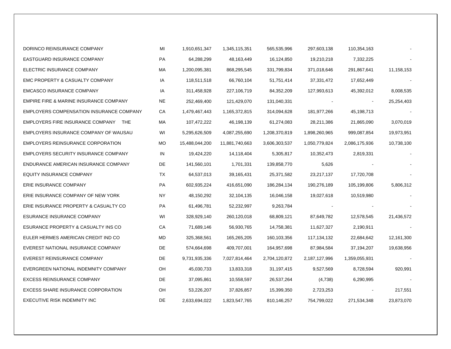| DORINCO REINSURANCE COMPANY                     | MI | 1,910,651,347  | 1,345,115,351  | 565,535,996   | 297,603,138   | 110,354,163    |            |
|-------------------------------------------------|----|----------------|----------------|---------------|---------------|----------------|------------|
| EASTGUARD INSURANCE COMPANY                     | PA | 64,288,299     | 48,163,449     | 16,124,850    | 19,210,218    | 7,332,225      |            |
| ELECTRIC INSURANCE COMPANY                      | МA | 1,200,095,381  | 868,295,545    | 331,799,834   | 371,018,646   | 291,867,641    | 11,158,153 |
| EMC PROPERTY & CASUALTY COMPANY                 | IA | 118,511,518    | 66,760,104     | 51,751,414    | 37,331,472    | 17,652,449     |            |
| <b>EMCASCO INSURANCE COMPANY</b>                | IA | 311,458,928    | 227,106,719    | 84,352,209    | 127,993,613   | 45,392,012     | 8,008,535  |
| EMPIRE FIRE & MARINE INSURANCE COMPANY          | NE | 252,469,400    | 121,429,070    | 131,040,331   |               | $\blacksquare$ | 25,254,403 |
| <b>EMPLOYERS COMPENSATION INSURANCE COMPANY</b> | СA | 1,479,467,443  | 1,165,372,815  | 314,094,628   | 181,977,266   | 45,198,713     |            |
| EMPLOYERS FIRE INSURANCE COMPANY THE            | МA | 107,472,222    | 46,198,139     | 61,274,083    | 28,211,386    | 21,865,090     | 3,070,019  |
| EMPLOYERS INSURANCE COMPANY OF WAUSAU           | WI | 5,295,626,509  | 4,087,255,690  | 1,208,370,819 | 1,898,260,965 | 999,087,854    | 19,973,951 |
| <b>EMPLOYERS REINSURANCE CORPORATION</b>        | МO | 15,488,044,200 | 11,881,740,663 | 3,606,303,537 | 1,050,779,824 | 2,086,175,936  | 10,738,100 |
| EMPLOYERS SECURITY INSURANCE COMPANY            | IN | 19,424,220     | 14,118,404     | 5,305,817     | 10,352,473    | 2,819,331      |            |
| ENDURANCE AMERICAN INSURANCE COMPANY            | DE | 141,560,101    | 1,701,331      | 139,858,770   | 5,626         |                |            |
| <b>EQUITY INSURANCE COMPANY</b>                 | ТX | 64,537,013     | 39,165,431     | 25,371,582    | 23,217,137    | 17,720,708     |            |
| ERIE INSURANCE COMPANY                          | PA | 602,935,224    | 416,651,090    | 186,284,134   | 190,276,189   | 105,199,806    | 5,806,312  |
| ERIE INSURANCE COMPANY OF NEW YORK              | ΝY | 48,150,292     | 32,104,135     | 16,046,158    | 19,027,618    | 10,519,980     |            |
| ERIE INSURANCE PROPERTY & CASUALTY CO           | PA | 61,496,781     | 52,232,997     | 9,263,784     |               |                |            |
| ESURANCE INSURANCE COMPANY                      | WI | 328,929,140    | 260,120,018    | 68,809,121    | 87,649,782    | 12,578,545     | 21,436,572 |
| ESURANCE PROPERTY & CASUALTY INS CO             | СA | 71,689,146     | 56,930,765     | 14,758,381    | 11,627,327    | 2,190,911      |            |
| EULER HERMES AMERICAN CREDIT IND CO             | MD | 325,368,561    | 165,265,205    | 160,103,356   | 117,134,132   | 22,684,642     | 12,161,300 |
| EVEREST NATIONAL INSURANCE COMPANY              | DE | 574,664,698    | 409,707,001    | 164,957,698   | 87,984,584    | 37,194,207     | 19,638,956 |
| EVEREST REINSURANCE COMPANY                     | DE | 9,731,935,336  | 7,027,814,464  | 2,704,120,872 | 2,187,127,996 | 1,359,055,931  |            |
| EVERGREEN NATIONAL INDEMNITY COMPANY            | OH | 45,030,733     | 13,833,318     | 31, 197, 415  | 9,527,569     | 8,728,594      | 920,991    |
| <b>EXCESS REINSURANCE COMPANY</b>               | DE | 37,095,861     | 10,558,597     | 26,537,264    | (4,738)       | 6,290,995      |            |
| <b>EXCESS SHARE INSURANCE CORPORATION</b>       | OH | 53,226,207     | 37,826,857     | 15,399,350    | 2,723,253     |                | 217,551    |
| EXECUTIVE RISK INDEMNITY INC                    | DE | 2,633,694,022  | 1,823,547,765  | 810,146,257   | 754,799,022   | 271,534,348    | 23,873,070 |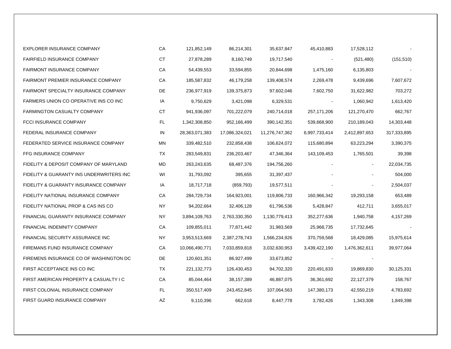| EXPLORER INSURANCE COMPANY                  | CA        | 121,852,149    | 86,214,301     | 35,637,847     | 45,410,883     | 17,528,112     |             |
|---------------------------------------------|-----------|----------------|----------------|----------------|----------------|----------------|-------------|
| FAIRFIELD INSURANCE COMPANY                 | <b>CT</b> | 27,878,289     | 8,160,749      | 19,717,540     |                | (521, 480)     | (151, 510)  |
| <b>FAIRMONT INSURANCE COMPANY</b>           | CA        | 54,439,553     | 33,594,855     | 20,844,698     | 1,475,160      | 6,135,803      |             |
| FAIRMONT PREMIER INSURANCE COMPANY          | СA        | 185,587,832    | 46,179,258     | 139,408,574    | 2,269,478      | 9,439,696      | 7,607,672   |
| <b>FAIRMONT SPECIALTY INSURANCE COMPANY</b> | DE        | 236,977,919    | 139,375,873    | 97,602,046     | 7,602,750      | 31,622,982     | 703,272     |
| FARMERS UNION CO OPERATIVE INS CO INC       | IA        | 9,750,629      | 3,421,098      | 6,329,531      | $\blacksquare$ | 1,060,942      | 1,613,420   |
| <b>FARMINGTON CASUALTY COMPANY</b>          | СT        | 941,936,097    | 701,222,079    | 240,714,018    | 257, 171, 206  | 121,270,470    | 662,767     |
| FCCI INSURANCE COMPANY                      | FL.       | 1,342,308,850  | 952,166,499    | 390,142,351    | 539,668,900    | 210,189,043    | 14,303,448  |
| FEDERAL INSURANCE COMPANY                   | IN        | 28,363,071,383 | 17,086,324,021 | 11,276,747,362 | 6,997,733,414  | 2,412,897,653  | 317,333,895 |
| FEDERATED SERVICE INSURANCE COMPANY         | ΜN        | 339,482,510    | 232,858,438    | 106,624,072    | 115,680,894    | 63,223,294     | 3,390,375   |
| FFG INSURANCE COMPANY                       | TX        | 283,549,831    | 236,203,467    | 47,346,364     | 143,109,453    | 1,765,501      | 39,398      |
| FIDELITY & DEPOSIT COMPANY OF MARYLAND      | MD        | 263,243,635    | 68,487,376     | 194,756,260    |                | $\blacksquare$ | 22,034,735  |
| FIDELITY & GUARANTY INS UNDERWRITERS INC    | WI        | 31,793,092     | 395,655        | 31,397,437     |                |                | 504,000     |
| FIDELITY & GUARANTY INSURANCE COMPANY       | IA        | 18,717,718     | (859, 793)     | 19,577,511     |                |                | 2,504,037   |
| FIDELITY NATIONAL INSURANCE COMPANY         | СA        | 284,729,734    | 164,923,001    | 119,806,733    | 160,966,342    | 19,293,158     | 653,489     |
| FIDELITY NATIONAL PROP & CAS INS CO         | NY.       | 94,202,664     | 32,406,128     | 61,796,536     | 5,428,847      | 412,711        | 3,655,017   |
| FINANCIAL GUARANTY INSURANCE COMPANY        | NY.       | 3,894,109,763  | 2,763,330,350  | 1,130,779,413  | 352,277,636    | 1,940,758      | 4,157,269   |
| FINANCIAL INDEMNITY COMPANY                 | CA        | 109,855,011    | 77,871,442     | 31,983,569     | 25,968,735     | 17,732,645     |             |
| FINANCIAL SECURITY ASSURANCE INC            | NY.       | 3,953,513,669  | 2,387,278,743  | 1,566,234,926  | 370,759,568    | 18,429,085     | 15,975,614  |
| FIREMANS FUND INSURANCE COMPANY             | СA        | 10,066,490,771 | 7,033,859,818  | 3,032,630,953  | 3,439,422,190  | 1,476,362,611  | 39,977,064  |
| FIREMENS INSURANCE CO OF WASHINGTON DC      | DE        | 120,601,351    | 86,927,499     | 33,673,852     |                |                |             |
| FIRST ACCEPTANCE INS CO INC                 | TX        | 221, 132, 773  | 126,430,453    | 94,702,320     | 220,491,633    | 19,869,830     | 30,125,331  |
| FIRST AMERICAN PROPERTY & CASUALTY I C      | СA        | 85,044,464     | 38,157,389     | 46,887,075     | 36,361,692     | 22,127,379     | 158,767     |
| FIRST COLONIAL INSURANCE COMPANY            | FL.       | 350,517,409    | 243,452,845    | 107,064,563    | 147,380,173    | 42,550,219     | 4,783,692   |
| FIRST GUARD INSURANCE COMPANY               | AZ        | 9,110,396      | 662,618        | 8,447,778      | 3,782,426      | 1,343,308      | 1,849,398   |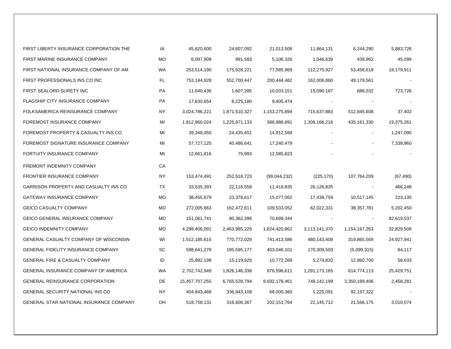| FIRST LIBERTY INSURANCE CORPORATION THE        | IA        | 45,620,600     | 24,607,092    | 21,013,508    | 11,864,131    | 6,244,290      | 5,883,726  |
|------------------------------------------------|-----------|----------------|---------------|---------------|---------------|----------------|------------|
| FIRST MARINE INSURANCE COMPANY                 | <b>MO</b> | 6,097,909      | 991,583       | 5,106,326     | 1,046,639     | 439,962        | 45,099     |
| FIRST NATIONAL INSURANCE COMPANY OF AM         | WA        | 253,514,190    | 175,928,221   | 77,585,969    | 112,275,927   | 53,458,619     | 18,179,911 |
| FIRST PROFESSIONALS INS CO INC                 | FL        | 753,144,928    | 552,700,447   | 200,444,482   | 162,006,860   | 49,179,561     |            |
| FIRST SEALORD SURETY INC                       | PA        | 11,640,436     | 1,607,285     | 10,033,151    | 15,090,187    | 686,032        | 723,726    |
| FLAGSHIP CITY INSURANCE COMPANY                | PA        | 17,630,654     | 8,225,180     | 9,405,474     |               |                |            |
| FOLKSAMERICA REINSURANCE COMPANY               | ΝY        | 3,024,786,221  | 1,871,510,327 | 1,153,275,894 | 715,637,883   | 512,845,608    | 37,402     |
| FOREMOST INSURANCE COMPANY                     | MI        | 1,812,960,024  | 1,225,971,133 | 586,988,891   | 1,309,166,216 | 435,161,330    | 19,375,261 |
| FOREMOST PROPERTY & CASUALTY INS CO            | MI        | 39,348,050     | 24,435,451    | 14,912,599    |               | $\blacksquare$ | 1,247,090  |
| FOREMOST SIGNATURE INSURANCE COMPANY           | MI        | 57,727,120     | 40,486,641    | 17,240,479    |               |                | 7,339,960  |
| FORTUITY INSURANCE COMPANY                     | MI        | 12,661,816     | 75,993        | 12,585,823    |               |                |            |
| FREMONT INDEMNITY COMPANY                      | CA        |                |               |               |               |                |            |
| <b>FRONTIER INSURANCE COMPANY</b>              | ΝY        | 153,474,491    | 252,518,723   | (99,044,232)  | (225, 170)    | 107,764,209    | (67, 490)  |
| GARRISON PROPERTY AND CASUALTY INS CO          | ТX        | 33,535,393     | 22,116,558    | 11,418,835    | 26,126,835    |                | 466,248    |
| <b>GATEWAY INSURANCE COMPANY</b>               | МO        | 38,455,679     | 23,378,617    | 15,077,062    | 17,438,759    | 10,517,145     | 223,135    |
| <b>GEICO CASUALTY COMPANY</b>                  | MD        | 272,005,663    | 162,472,611   | 109,533,052   | 62,022,331    | 38,357,781     | 5,202,450  |
| <b>GEICO GENERAL INSURANCE COMPANY</b>         | MD        | 151,061,741    | 80,362,396    | 70,699,344    |               | $\blacksquare$ | 82,619,537 |
| <b>GEICO INDEMNITY COMPANY</b>                 | MD        | 4,288,406,091  | 2,463,985,229 | 1,824,420,862 | 3,113,141,370 | 1,154,167,263  | 32,829,509 |
| GENERAL CASUALTY COMPANY OF WISCONSIN          | WI        | 1,512,185,615  | 770,772,029   | 741,413,586   | 480,143,408   | 319,865,569    | 24,927,941 |
| <b>GENERAL FIDELITY INSURANCE COMPANY</b>      | SC        | 598,641,278    | 195,595,177   | 403,046,101   | 170,309,503   | (5,099,315)    | 84,117     |
| <b>GENERAL FIRE &amp; CASUALTY COMPANY</b>     | ID        | 25,892,198     | 15,119,929    | 10,772,269    | 5,274,820     | 12,860,700     | 58,633     |
| <b>GENERAL INSURANCE COMPANY OF AMERICA</b>    | <b>WA</b> | 2,702,742,949  | 1,826,146,338 | 876,596,611   | 1,291,173,165 | 614,774,113    | 25,429,751 |
| <b>GENERAL REINSURANCE CORPORATION</b>         | DE.       | 15,457,707,255 | 6,765,528,794 | 8,692,178,461 | 749,142,199   | 3,350,189,406  | 2,458,281  |
| <b>GENERAL SECURITY NATIONAL INS CO</b>        | NY.       | 404,843,468    | 336,843,108   | 68,000,360    | 1,225,091     | 92,157,322     |            |
| <b>GENERAL STAR NATIONAL INSURANCE COMPANY</b> | OН        | 518,758,131    | 316,606,367   | 202, 151, 764 | 22,145,712    | 21,566,175     | 3,010,074  |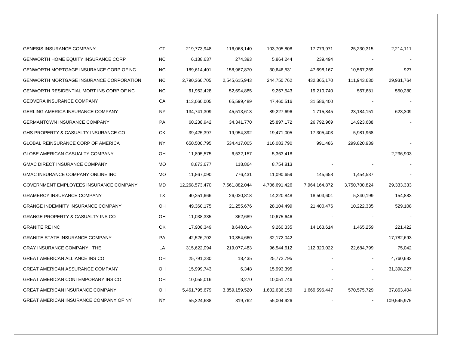| <b>GENESIS INSURANCE COMPANY</b>               | <b>CT</b> | 219,773,948    | 116,068,140   | 103,705,808   | 17,779,971    | 25,230,315    | 2,214,111   |
|------------------------------------------------|-----------|----------------|---------------|---------------|---------------|---------------|-------------|
| <b>GENWORTH HOME EQUITY INSURANCE CORP</b>     | <b>NC</b> | 6,138,637      | 274,393       | 5,864,244     | 239,494       |               |             |
| GENWORTH MORTGAGE INSURANCE CORP OF NC         | NC.       | 189,614,401    | 158,967,870   | 30,646,531    | 47,698,167    | 10,567,269    | 927         |
| <b>GENWORTH MORTGAGE INSURANCE CORPORATION</b> | <b>NC</b> | 2,790,366,705  | 2,545,615,943 | 244,750,762   | 432,365,170   | 111,943,630   | 29,931,764  |
| GENWORTH RESIDENTIAL MORT INS CORP OF NC       | NC.       | 61,952,428     | 52,694,885    | 9,257,543     | 19,210,740    | 557,681       | 550,280     |
| <b>GEOVERA INSURANCE COMPANY</b>               | CA        | 113,060,005    | 65,599,489    | 47,460,516    | 31,586,400    |               |             |
| <b>GERLING AMERICA INSURANCE COMPANY</b>       | ΝY        | 134,741,309    | 45,513,613    | 89,227,696    | 1,715,845     | 23,184,151    | 623,309     |
| <b>GERMANTOWN INSURANCE COMPANY</b>            | PA        | 60,238,942     | 34, 341, 770  | 25,897,172    | 26,792,969    | 14,923,688    |             |
| GHS PROPERTY & CASUALTY INSURANCE CO           | <b>OK</b> | 39,425,397     | 19,954,392    | 19,471,005    | 17,305,403    | 5,981,968     |             |
| <b>GLOBAL REINSURANCE CORP OF AMERICA</b>      | <b>NY</b> | 650,500,795    | 534,417,005   | 116,083,790   | 991,486       | 299,820,939   |             |
| GLOBE AMERICAN CASUALTY COMPANY                | OH        | 11,895,575     | 6,532,157     | 5,363,418     |               |               | 2,236,903   |
| <b>GMAC DIRECT INSURANCE COMPANY</b>           | <b>MO</b> | 8,873,677      | 118,864       | 8,754,813     |               |               |             |
| GMAC INSURANCE COMPANY ONLINE INC              | МO        | 11,867,090     | 776,431       | 11,090,659    | 145,658       | 1,454,537     |             |
| GOVERNMENT EMPLOYEES INSURANCE COMPANY         | MD        | 12,268,573,470 | 7,561,882,044 | 4,706,691,426 | 7,964,164,872 | 3,750,700,824 | 29,333,333  |
| <b>GRAMERCY INSURANCE COMPANY</b>              | <b>TX</b> | 40,251,666     | 26,030,818    | 14,220,848    | 18,503,601    | 5,340,199     | 154,883     |
| <b>GRANGE INDEMNITY INSURANCE COMPANY</b>      | OH        | 49,360,175     | 21,255,676    | 28,104,499    | 21,400,476    | 10,222,335    | 529,108     |
| <b>GRANGE PROPERTY &amp; CASUALTY INS CO</b>   | OH        | 11,038,335     | 362,689       | 10,675,646    |               |               |             |
| <b>GRANITE RE INC</b>                          | OK        | 17,908,349     | 8,648,014     | 9,260,335     | 14,163,614    | 1,465,259     | 221,422     |
| <b>GRANITE STATE INSURANCE COMPANY</b>         | PA        | 42,526,702     | 10,354,660    | 32,172,042    |               |               | 17,782,693  |
| GRAY INSURANCE COMPANY THE                     | LA        | 315,622,094    | 219,077,483   | 96,544,612    | 112,320,022   | 22,684,799    | 75,042      |
| <b>GREAT AMERICAN ALLIANCE INS CO</b>          | OH        | 25,791,230     | 18,435        | 25,772,795    |               |               | 4,760,682   |
| GREAT AMERICAN ASSURANCE COMPANY               | OH        | 15,999,743     | 6,348         | 15,993,395    |               |               | 31,398,227  |
| <b>GREAT AMERICAN CONTEMPORARY INS CO</b>      | OH        | 10,055,016     | 3,270         | 10,051,746    |               |               |             |
| <b>GREAT AMERICAN INSURANCE COMPANY</b>        | OH        | 5,461,795,679  | 3,859,159,520 | 1,602,636,159 | 1,669,596,447 | 570,575,729   | 37,863,404  |
| <b>GREAT AMERICAN INSURANCE COMPANY OF NY</b>  | ΝY        | 55,324,688     | 319,762       | 55,004,926    |               |               | 109,545,975 |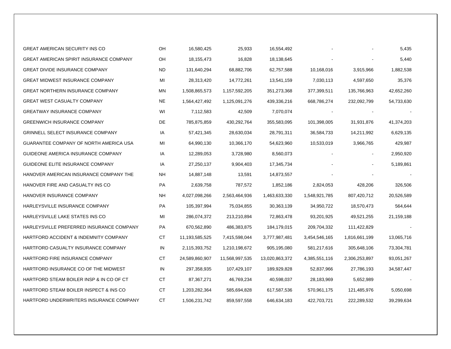| <b>GREAT AMERICAN SECURITY INS CO</b>          | OΗ        | 16,580,425     | 25,933         | 16,554,492     |               |               | 5,435      |
|------------------------------------------------|-----------|----------------|----------------|----------------|---------------|---------------|------------|
| <b>GREAT AMERICAN SPIRIT INSURANCE COMPANY</b> | OH        | 18,155,473     | 16,828         | 18,138,645     |               |               | 5,440      |
| <b>GREAT DIVIDE INSURANCE COMPANY</b>          | <b>ND</b> | 131,640,294    | 68,882,706     | 62,757,588     | 10,168,016    | 3,915,966     | 1,882,538  |
| <b>GREAT MIDWEST INSURANCE COMPANY</b>         | MI        | 28,313,420     | 14,772,261     | 13,541,159     | 7,030,113     | 4,597,650     | 35,376     |
| <b>GREAT NORTHERN INSURANCE COMPANY</b>        | ΜN        | 1,508,865,573  | 1,157,592,205  | 351,273,368    | 377,399,511   | 135,766,963   | 42,652,260 |
| <b>GREAT WEST CASUALTY COMPANY</b>             | <b>NE</b> | 1,564,427,492  | 1,125,091,276  | 439,336,216    | 668,786,274   | 232,092,799   | 54,733,630 |
| <b>GREATWAY INSURANCE COMPANY</b>              | WI        | 7,112,583      | 42,509         | 7,070,074      |               |               |            |
| <b>GREENWICH INSURANCE COMPANY</b>             | DE        | 785,875,859    | 430,292,764    | 355,583,095    | 101,398,005   | 31,931,876    | 41,374,203 |
| <b>GRINNELL SELECT INSURANCE COMPANY</b>       | IA        | 57,421,345     | 28,630,034     | 28,791,311     | 36,584,733    | 14,211,992    | 6,629,135  |
| GUARANTEE COMPANY OF NORTH AMERICA USA         | MI        | 64,990,130     | 10,366,170     | 54,623,960     | 10,533,019    | 3,966,765     | 429,987    |
| GUIDEONE AMERICA INSURANCE COMPANY             | IA        | 12,289,053     | 3,728,980      | 8,560,073      |               |               | 2,950,920  |
| GUIDEONE ELITE INSURANCE COMPANY               | IA        | 27,250,137     | 9,904,403      | 17,345,734     |               |               | 5,189,861  |
| HANOVER AMERICAN INSURANCE COMPANY THE         | <b>NH</b> | 14,887,148     | 13,591         | 14,873,557     |               |               |            |
| HANOVER FIRE AND CASUALTY INS CO               | PA        | 2,639,758      | 787,572        | 1,852,186      | 2,824,053     | 428,206       | 326,506    |
| HANOVER INSURANCE COMPANY                      | <b>NH</b> | 4,027,098,266  | 2,563,464,936  | 1,463,633,330  | 1,548,921,785 | 807,420,712   | 20,526,589 |
| HARLEYSVILLE INSURANCE COMPANY                 | PA        | 105,397,994    | 75,034,855     | 30,363,139     | 34,950,722    | 18,570,473    | 564,644    |
| HARLEYSVILLE LAKE STATES INS CO                | MI        | 286,074,372    | 213,210,894    | 72,863,478     | 93,201,925    | 49,521,255    | 21,159,188 |
| HARLEYSVILLE PREFERRED INSURANCE COMPANY       | PA        | 670,562,890    | 486,383,875    | 184,179,015    | 209,704,332   | 111,422,829   |            |
| HARTFORD ACCIDENT & INDEMNITY COMPANY          | СT        | 11,193,585,525 | 7,415,598,044  | 3,777,987,481  | 3,454,546,165 | 1,816,661,199 | 13,065,716 |
| HARTFORD CASUALTY INSURANCE COMPANY            | IN        | 2,115,393,752  | 1,210,198,672  | 905,195,080    | 581,217,616   | 305,648,106   | 73,304,781 |
| HARTFORD FIRE INSURANCE COMPANY                | СT        | 24,589,860,907 | 11,568,997,535 | 13,020,863,372 | 4,385,551,116 | 2,306,253,897 | 93,051,267 |
| HARTFORD INSURANCE CO OF THE MIDWEST           | IN        | 297,358,935    | 107,429,107    | 189,929,828    | 52,837,966    | 27,786,193    | 34,587,447 |
| HARTFORD STEAM BOILER INSP & IN CO OF CT       | СT        | 87,367,271     | 46,769,234     | 40,598,037     | 28,183,969    | 5,652,989     |            |
| HARTFORD STEAM BOILER INSPECT & INS CO         | СT        | 1,203,282,364  | 585,694,828    | 617,587,536    | 570,961,175   | 121,485,976   | 5,050,698  |
| HARTFORD UNDERWRITERS INSURANCE COMPANY        | СT        | 1,506,231,742  | 859,597,558    | 646,634,183    | 422,703,721   | 222,289,532   | 39,299,634 |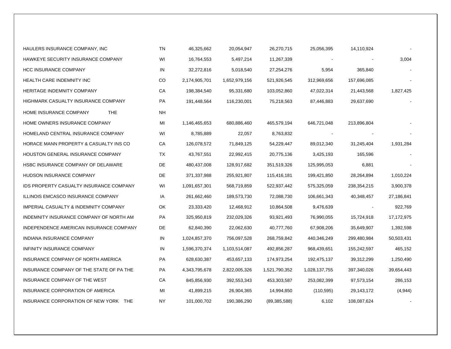| HAULERS INSURANCE COMPANY, INC                   | TN        | 46,325,662    | 20,054,947    | 26,270,715     | 25,056,395               | 14,110,924     |            |
|--------------------------------------------------|-----------|---------------|---------------|----------------|--------------------------|----------------|------------|
| HAWKEYE SECURITY INSURANCE COMPANY               | WI        | 16,764,553    | 5,497,214     | 11,267,339     | $\overline{\phantom{a}}$ |                | 3,004      |
| <b>HCC INSURANCE COMPANY</b>                     | IN        | 32,272,816    | 5,018,540     | 27,254,276     | 5,954                    | 365,840        |            |
| <b>HEALTH CARE INDEMNITY INC</b>                 | CO        | 2,174,905,701 | 1,652,979,156 | 521,926,545    | 312,969,656              | 157,696,085    |            |
| HERITAGE INDEMNITY COMPANY                       | СA        | 198,384,540   | 95,331,680    | 103,052,860    | 47,022,314               | 21,443,568     | 1,827,425  |
| HIGHMARK CASUALTY INSURANCE COMPANY              | PA        | 191,448,564   | 116,230,001   | 75,218,563     | 87,446,883               | 29,637,690     |            |
| HOME INSURANCE COMPANY<br><b>THE</b>             | <b>NH</b> |               |               |                |                          |                |            |
| HOME OWNERS INSURANCE COMPANY                    | MI        | 1,146,465,653 | 680,886,460   | 465,579,194    | 646,721,048              | 213,896,804    |            |
| HOMELAND CENTRAL INSURANCE COMPANY               | WI        | 8,785,889     | 22,057        | 8,763,832      |                          |                |            |
| HORACE MANN PROPERTY & CASUALTY INS CO           | CA        | 126,078,572   | 71,849,125    | 54,229,447     | 89,012,340               | 31,245,404     | 1,931,284  |
| HOUSTON GENERAL INSURANCE COMPANY                | <b>TX</b> | 43,767,551    | 22,992,415    | 20,775,136     | 3,425,193                | 165,596        |            |
| HSBC INSURANCE COMPANY OF DELAWARE               | DE        | 480,437,008   | 128,917,682   | 351,519,326    | 125,995,053              | 6,881          |            |
| HUDSON INSURANCE COMPANY                         | DE        | 371,337,988   | 255,921,807   | 115,416,181    | 199,421,850              | 28,264,894     | 1,010,224  |
| <b>IDS PROPERTY CASUALTY INSURANCE COMPANY</b>   | WI        | 1,091,657,301 | 568,719,859   | 522,937,442    | 575,325,059              | 238,354,215    | 3,900,378  |
| ILLINOIS EMCASCO INSURANCE COMPANY               | IA        | 261,662,460   | 189,573,730   | 72,088,730     | 106,661,343              | 40,348,457     | 27,186,841 |
| <b>IMPERIAL CASUALTY &amp; INDEMNITY COMPANY</b> | OK        | 23,333,420    | 12,468,912    | 10,864,508     | 9,476,639                | $\blacksquare$ | 922,769    |
| INDEMNITY INSURANCE COMPANY OF NORTH AM          | PA        | 325,950,819   | 232,029,326   | 93,921,493     | 76,990,055               | 15,724,918     | 17,172,975 |
| INDEPENDENCE AMERICAN INSURANCE COMPANY          | DE        | 62,840,390    | 22,062,630    | 40,777,760     | 67,908,206               | 35,649,907     | 1,392,598  |
| INDIANA INSURANCE COMPANY                        | IN        | 1,024,857,370 | 756,097,528   | 268,759,842    | 440,346,249              | 299,480,984    | 50,503,431 |
| INFINITY INSURANCE COMPANY                       | IN        | 1,596,370,374 | 1,103,514,087 | 492,856,287    | 968,439,651              | 155,242,597    | 465,152    |
| INSURANCE COMPANY OF NORTH AMERICA               | PA        | 628,630,387   | 453,657,133   | 174,973,254    | 192,475,137              | 39,312,299     | 1,250,490  |
| INSURANCE COMPANY OF THE STATE OF PA THE         | PA        | 4,343,795,678 | 2,822,005,326 | 1,521,790,352  | 1,028,137,755            | 397,340,026    | 39,654,443 |
| INSURANCE COMPANY OF THE WEST                    | CA        | 845,856,930   | 392,553,343   | 453,303,587    | 253,082,399              | 97,573,154     | 286,153    |
| INSURANCE CORPORATION OF AMERICA                 | MI        | 41,899,215    | 26,904,365    | 14,994,850     | (110, 595)               | 29,143,172     | (4,944)    |
| INSURANCE CORPORATION OF NEW YORK THE            | <b>NY</b> | 101,000,702   | 190,386,290   | (89, 385, 588) | 6,102                    | 108,087,624    |            |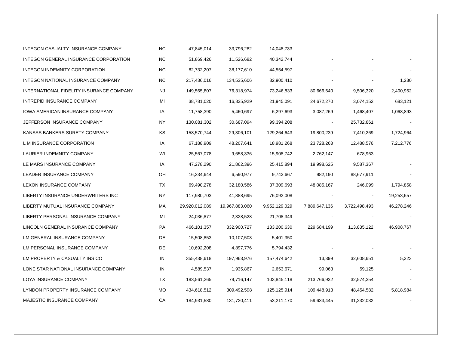| INTEGON CASUALTY INSURANCE COMPANY       | NC.       | 47,845,014     | 33,796,282     | 14,048,733    |               |               |            |
|------------------------------------------|-----------|----------------|----------------|---------------|---------------|---------------|------------|
| INTEGON GENERAL INSURANCE CORPORATION    | <b>NC</b> | 51,869,426     | 11,526,682     | 40,342,744    |               |               |            |
| INTEGON INDEMNITY CORPORATION            | <b>NC</b> | 82,732,207     | 38,177,610     | 44,554,597    |               |               |            |
| INTEGON NATIONAL INSURANCE COMPANY       | <b>NC</b> | 217,436,016    | 134,535,606    | 82,900,410    |               |               | 1,230      |
| INTERNATIONAL FIDELITY INSURANCE COMPANY | NJ        | 149,565,807    | 76,318,974     | 73,246,833    | 80,666,540    | 9,506,320     | 2,400,952  |
| INTREPID INSURANCE COMPANY               | MI        | 38,781,020     | 16,835,929     | 21,945,091    | 24,672,270    | 3,074,152     | 683,121    |
| IOWA AMERICAN INSURANCE COMPANY          | IA        | 11,758,390     | 5,460,697      | 6,297,693     | 3,087,269     | 1,468,407     | 1,068,893  |
| JEFFERSON INSURANCE COMPANY              | ΝY        | 130,081,302    | 30,687,094     | 99,394,208    |               | 25,732,861    |            |
| KANSAS BANKERS SURETY COMPANY            | KS.       | 158,570,744    | 29,306,101     | 129,264,643   | 19,800,239    | 7,410,269     | 1,724,964  |
| L M INSURANCE CORPORATION                | IA        | 67,188,909     | 48,207,641     | 18,981,268    | 23,728,263    | 12,488,576    | 7,212,776  |
| LAURIER INDEMNITY COMPANY                | WI        | 25,567,078     | 9,658,336      | 15,908,742    | 2,762,147     | 678,963       |            |
| LE MARS INSURANCE COMPANY                | IA        | 47,278,290     | 21,862,396     | 25,415,894    | 19,998,625    | 9,587,367     |            |
| LEADER INSURANCE COMPANY                 | OH        | 16,334,644     | 6,590,977      | 9,743,667     | 982,190       | 88,677,911    |            |
| <b>LEXON INSURANCE COMPANY</b>           | TX        | 69,490,278     | 32,180,586     | 37,309,693    | 48,085,167    | 246,099       | 1,794,858  |
| LIBERTY INSURANCE UNDERWRITERS INC       | NY        | 117,980,703    | 41,888,695     | 76,092,008    |               |               | 19,253,657 |
| LIBERTY MUTUAL INSURANCE COMPANY         | МA        | 29,920,012,089 | 19,967,883,060 | 9,952,129,029 | 7,889,647,136 | 3,722,498,493 | 46,278,246 |
| LIBERTY PERSONAL INSURANCE COMPANY       | MI        | 24,036,877     | 2,328,528      | 21,708,349    |               |               |            |
| LINCOLN GENERAL INSURANCE COMPANY        | PA        | 466,101,357    | 332,900,727    | 133,200,630   | 229,684,199   | 113,835,122   | 46,908,767 |
| LM GENERAL INSURANCE COMPANY             | DE        | 15,508,853     | 10,107,503     | 5,401,350     |               |               |            |
| LM PERSONAL INSURANCE COMPANY            | DE        | 10,692,208     | 4,897,776      | 5,794,432     |               |               |            |
| LM PROPERTY & CASUALTY INS CO            | IN        | 355,438,618    | 197,963,976    | 157,474,642   | 13,399        | 32,608,651    | 5,323      |
| LONE STAR NATIONAL INSURANCE COMPANY     | IN        | 4,589,537      | 1,935,867      | 2,653,671     | 99,063        | 59,125        |            |
| LOYA INSURANCE COMPANY                   | TX        | 183,561,265    | 79,716,147     | 103,845,118   | 213,766,932   | 32,574,354    |            |
| LYNDON PROPERTY INSURANCE COMPANY        | <b>MO</b> | 434,618,512    | 309,492,598    | 125,125,914   | 109,448,913   | 48,454,582    | 5,818,984  |
| MAJESTIC INSURANCE COMPANY               | СA        | 184,931,580    | 131,720,411    | 53,211,170    | 59,633,445    | 31,232,032    |            |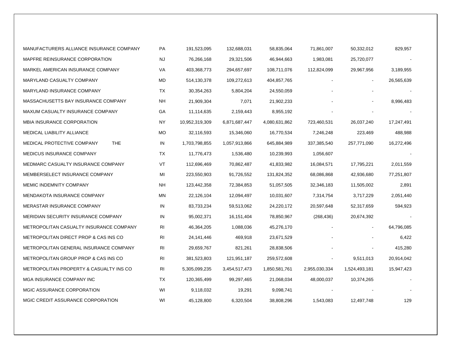| MANUFACTURERS ALLIANCE INSURANCE COMPANY   | PA             | 191,523,095    | 132,688,031   | 58,835,064    | 71,861,007    | 50,332,012     | 829,957    |
|--------------------------------------------|----------------|----------------|---------------|---------------|---------------|----------------|------------|
| MAPFRE REINSURANCE CORPORATION             | NJ             | 76,266,168     | 29,321,506    | 46,944,663    | 1,983,081     | 25,720,077     |            |
| MARKEL AMERICAN INSURANCE COMPANY          | VA             | 403,368,773    | 294,657,697   | 108,711,076   | 112,824,099   | 29,967,956     | 3,189,955  |
| MARYLAND CASUALTY COMPANY                  | MD             | 514,130,378    | 109,272,613   | 404,857,765   |               | $\blacksquare$ | 26,565,639 |
| MARYLAND INSURANCE COMPANY                 | ТX             | 30,354,263     | 5,804,204     | 24,550,059    |               |                |            |
| MASSACHUSETTS BAY INSURANCE COMPANY        | NH             | 21,909,304     | 7,071         | 21,902,233    |               |                | 8,996,483  |
| MAXUM CASUALTY INSURANCE COMPANY           | GA             | 11,114,635     | 2,159,443     | 8,955,192     |               |                |            |
| <b>MBIA INSURANCE CORPORATION</b>          | NY.            | 10,952,319,309 | 6,871,687,447 | 4,080,631,862 | 723,460,531   | 26,037,240     | 17,247,491 |
| MEDICAL LIABILITY ALLIANCE                 | МO             | 32,116,593     | 15,346,060    | 16,770,534    | 7,246,248     | 223,469        | 488,988    |
| <b>THE</b><br>MEDICAL PROTECTIVE COMPANY   | IN             | 1,703,798,855  | 1,057,913,866 | 645,884,989   | 337,385,540   | 257,771,090    | 16,272,496 |
| MEDICUS INSURANCE COMPANY                  | ТX             | 11,776,473     | 1,536,480     | 10,239,993    | 1,056,607     |                |            |
| MEDMARC CASUALTY INSURANCE COMPANY         | VT             | 112,696,469    | 70,862,487    | 41,833,982    | 16,084,571    | 17,795,221     | 2,011,559  |
| MEMBERSELECT INSURANCE COMPANY             | MI             | 223,550,903    | 91,726,552    | 131,824,352   | 68,086,868    | 42,936,680     | 77,251,807 |
| <b>MEMIC INDEMNITY COMPANY</b>             | NH.            | 123,442,358    | 72,384,853    | 51,057,505    | 32,346,183    | 11,505,002     | 2,891      |
| <b>MENDAKOTA INSURANCE COMPANY</b>         | ΜN             | 22,126,104     | 12,094,497    | 10,031,607    | 7,314,754     | 3,717,229      | 2,051,440  |
| <b>MERASTAR INSURANCE COMPANY</b>          | IN             | 83,733,234     | 59,513,062    | 24,220,172    | 20,597,648    | 52,317,659     | 594,923    |
| <b>MERIDIAN SECURITY INSURANCE COMPANY</b> | IN             | 95,002,371     | 16, 151, 404  | 78,850,967    | (268, 436)    | 20,674,392     |            |
| METROPOLITAN CASUALTY INSURANCE COMPANY    | RI             | 46,364,205     | 1,088,036     | 45,276,170    |               | $\sim$         | 64,796,085 |
| METROPOLITAN DIRECT PROP & CAS INS CO      | RI             | 24,141,446     | 469,918       | 23,671,529    |               |                | 6,422      |
| METROPOLITAN GENERAL INSURANCE COMPANY     | R <sub>l</sub> | 29,659,767     | 821,261       | 28,838,506    |               |                | 415,280    |
| METROPOLITAN GROUP PROP & CAS INS CO       | RI             | 381,523,803    | 121,951,187   | 259,572,608   |               | 9,511,013      | 20,914,042 |
| METROPOLITAN PROPERTY & CASUALTY INS CO    | R <sub>l</sub> | 5,305,099,235  | 3,454,517,473 | 1,850,581,761 | 2,955,030,334 | 1,524,493,181  | 15,947,423 |
| MGA INSURANCE COMPANY INC                  | ТX             | 120,365,499    | 99,297,465    | 21,068,034    | 48,000,037    | 10,374,265     |            |
| MGIC ASSURANCE CORPORATION                 | WI             | 9,118,032      | 19,291        | 9,098,741     |               |                |            |
| MGIC CREDIT ASSURANCE CORPORATION          | WI             | 45,128,800     | 6,320,504     | 38,808,296    | 1,543,083     | 12,497,748     | 129        |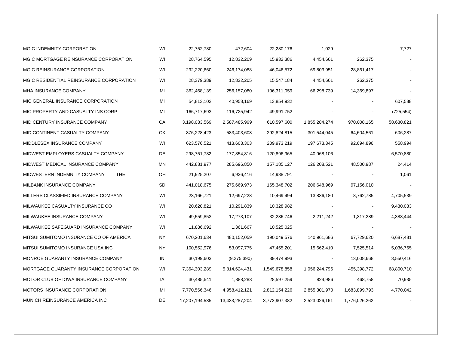| MGIC INDEMNITY CORPORATION                 | WI | 22,752,780     | 472,604        | 22,280,176    | 1,029         |               | 7,727      |
|--------------------------------------------|----|----------------|----------------|---------------|---------------|---------------|------------|
| MGIC MORTGAGE REINSURANCE CORPORATION      | WI | 28,764,595     | 12,832,209     | 15,932,386    | 4,454,661     | 262,375       |            |
| MGIC REINSURANCE CORPORATION               | WI | 292,220,660    | 246,174,088    | 46,046,572    | 69,803,951    | 28,861,417    |            |
| MGIC RESIDENTIAL REINSURANCE CORPORATION   | WI | 28,379,389     | 12,832,205     | 15,547,184    | 4,454,661     | 262,375       |            |
| MHA INSURANCE COMPANY                      | MI | 362,468,139    | 256,157,080    | 106,311,059   | 66,298,739    | 14,369,897    |            |
| MIC GENERAL INSURANCE CORPORATION          | MI | 54,813,102     | 40,958,169     | 13,854,932    |               |               | 607,588    |
| MIC PROPERTY AND CASUALTY INS CORP         | MI | 166,717,693    | 116,725,942    | 49,991,752    |               |               | (725, 554) |
| MID CENTURY INSURANCE COMPANY              | СA | 3,198,083,569  | 2,587,485,969  | 610,597,600   | 1,855,284,274 | 970,008,165   | 58,630,821 |
| MID CONTINENT CASUALTY COMPANY             | OK | 876,228,423    | 583,403,608    | 292,824,815   | 301,544,045   | 64,604,561    | 606,287    |
| MIDDLESEX INSURANCE COMPANY                | WI | 623,576,521    | 413,603,303    | 209,973,219   | 197,673,345   | 92,694,896    | 558,994    |
| MIDWEST EMPLOYERS CASUALTY COMPANY         | DE | 298,751,782    | 177,854,816    | 120,896,965   | 40,968,106    |               | 6,570,880  |
| MIDWEST MEDICAL INSURANCE COMPANY          | MN | 442,881,977    | 285,696,850    | 157, 185, 127 | 126,208,521   | 48,500,987    | 24,414     |
| MIDWESTERN INDEMNITY COMPANY<br><b>THE</b> | OH | 21,925,207     | 6,936,416      | 14,988,791    |               |               | 1,061      |
| MILBANK INSURANCE COMPANY                  | SD | 441,018,675    | 275,669,973    | 165,348,702   | 206,648,969   | 97,156,010    |            |
| MILLERS CLASSIFIED INSURANCE COMPANY       | WI | 23,166,721     | 12,697,228     | 10,469,494    | 13,836,180    | 8,762,785     | 4,705,539  |
| MILWAUKEE CASUALTY INSURANCE CO            | WI | 20,620,821     | 10,291,839     | 10,328,982    |               |               | 9,430,033  |
| MILWAUKEE INSURANCE COMPANY                | WI | 49,559,853     | 17,273,107     | 32,286,746    | 2,211,242     | 1,317,289     | 4,388,444  |
| MILWAUKEE SAFEGUARD INSURANCE COMPANY      | WI | 11,886,692     | 1,361,667      | 10,525,025    |               |               |            |
| MITSUI SUMITOMO INSURANCE CO OF AMERICA    | ΝY | 670,201,634    | 480,152,059    | 190,049,576   | 140,961,686   | 67,729,620    | 6,687,481  |
| MITSUI SUMITOMO INSURANCE USA INC          | ΝY | 100,552,976    | 53,097,775     | 47,455,201    | 15,662,410    | 7,525,514     | 5,036,765  |
| MONROE GUARANTY INSURANCE COMPANY          | IN | 30,199,603     | (9,275,390)    | 39,474,993    |               | 13,008,668    | 3,550,416  |
| MORTGAGE GUARANTY INSURANCE CORPORATION    | WI | 7,364,303,289  | 5,814,624,431  | 1,549,678,858 | 1,056,244,796 | 455,398,772   | 68,800,710 |
| MOTOR CLUB OF IOWA INSURANCE COMPANY       | IA | 30,485,541     | 1,888,283      | 28,597,259    | 824,986       | 468,758       | 70,935     |
| <b>MOTORS INSURANCE CORPORATION</b>        | MI | 7,770,566,346  | 4,958,412,121  | 2,812,154,226 | 2,855,301,970 | 1,683,899,793 | 4,770,042  |
| MUNICH REINSURANCE AMERICA INC             | DE | 17,207,194,585 | 13,433,287,204 | 3,773,907,382 | 2,523,026,161 | 1,776,026,262 |            |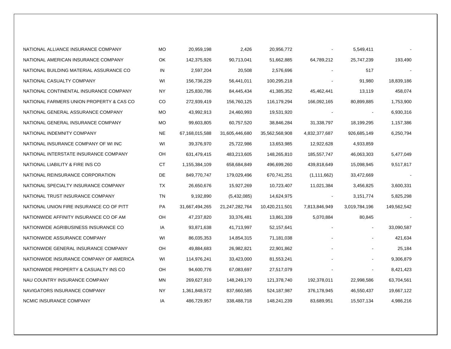| NATIONAL ALLIANCE INSURANCE COMPANY      | MO        | 20,959,198     | 2,426          | 20,956,772     |               | 5,549,411      |             |
|------------------------------------------|-----------|----------------|----------------|----------------|---------------|----------------|-------------|
| NATIONAL AMERICAN INSURANCE COMPANY      | OK        | 142,375,926    | 90,713,041     | 51,662,885     | 64,789,212    | 25,747,239     | 193,490     |
| NATIONAL BUILDING MATERIAL ASSURANCE CO  | IN        | 2,597,204      | 20,508         | 2,576,696      |               | 517            |             |
| NATIONAL CASUALTY COMPANY                | WI        | 156,736,229    | 56,441,011     | 100,295,218    |               | 91,980         | 18,839,186  |
| NATIONAL CONTINENTAL INSURANCE COMPANY   | NY        | 125,830,786    | 84,445,434     | 41,385,352     | 45,462,441    | 13,119         | 458,074     |
| NATIONAL FARMERS UNION PROPERTY & CAS CO | CO.       | 272,939,419    | 156,760,125    | 116,179,294    | 166,092,165   | 80,899,885     | 1,753,900   |
| NATIONAL GENERAL ASSURANCE COMPANY       | MO        | 43,992,913     | 24,460,993     | 19,531,920     |               |                | 6,930,316   |
| NATIONAL GENERAL INSURANCE COMPANY       | MO        | 99,603,805     | 60,757,520     | 38,846,284     | 31,338,797    | 18,199,295     | 1,157,386   |
| NATIONAL INDEMNITY COMPANY               | <b>NE</b> | 67,168,015,588 | 31,605,446,680 | 35,562,568,908 | 4,832,377,687 | 926,685,149    | 6,250,794   |
| NATIONAL INSURANCE COMPANY OF WI INC     | WI        | 39,376,970     | 25,722,986     | 13,653,985     | 12,922,628    | 4,933,859      |             |
| NATIONAL INTERSTATE INSURANCE COMPANY    | OH        | 631,479,415    | 483,213,605    | 148,265,810    | 185,557,747   | 46,063,303     | 5,477,049   |
| NATIONAL LIABILITY & FIRE INS CO         | СT        | 1,155,384,109  | 658,684,849    | 496,699,260    | 439,818,649   | 15,098,945     | 9,517,817   |
| NATIONAL REINSURANCE CORPORATION         | DE        | 849,770,747    | 179,029,496    | 670,741,251    | (1, 111, 662) | 33,472,669     |             |
| NATIONAL SPECIALTY INSURANCE COMPANY     | TX        | 26,650,676     | 15,927,269     | 10,723,407     | 11,021,384    | 3,456,825      | 3,600,331   |
| NATIONAL TRUST INSURANCE COMPANY         | TN        | 9,192,890      | (5,432,085)    | 14,624,975     |               | 3, 151, 774    | 5,825,298   |
| NATIONAL UNION FIRE INSURANCE CO OF PITT | PA        | 31,667,494,265 | 21,247,282,764 | 10,420,211,501 | 7,813,846,949 | 3,019,784,196  | 149,562,542 |
| NATIONWIDE AFFINITY INSURANCE CO OF AM   | OH        | 47,237,820     | 33,376,481     | 13,861,339     | 5,070,884     | 80,845         |             |
| NATIONWIDE AGRIBUSINESS INSURANCE CO     | IA        | 93,871,638     | 41,713,997     | 52,157,641     |               | $\blacksquare$ | 33,090,587  |
| NATIONWIDE ASSURANCE COMPANY             | WI        | 86,035,353     | 14,854,315     | 71,181,038     |               |                | 421,634     |
| NATIONWIDE GENERAL INSURANCE COMPANY     | OH        | 49,884,683     | 26,982,821     | 22,901,862     |               |                | 25,184      |
| NATIONWIDE INSURANCE COMPANY OF AMERICA  | WI        | 114,976,241    | 33,423,000     | 81,553,241     |               |                | 9,306,879   |
| NATIONWIDE PROPERTY & CASUALTY INS CO    | OH        | 94,600,776     | 67,083,697     | 27,517,079     |               |                | 8,421,423   |
| NAU COUNTRY INSURANCE COMPANY            | MN        | 269,627,910    | 148,249,170    | 121,378,740    | 192,378,011   | 22,998,586     | 63,704,561  |
| NAVIGATORS INSURANCE COMPANY             | NY        | 1,361,848,572  | 837,660,585    | 524,187,987    | 376,178,945   | 46,550,437     | 19,667,122  |
| NCMIC INSURANCE COMPANY                  | IA        | 486,729,957    | 338,488,718    | 148,241,239    | 83,689,951    | 15,507,134     | 4,986,216   |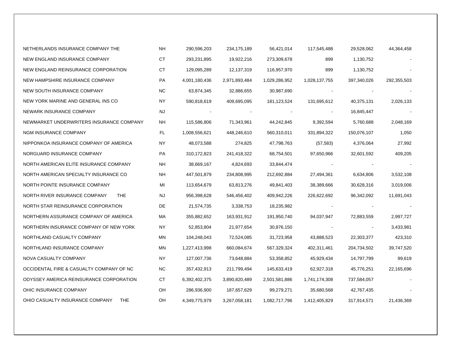| NETHERLANDS INSURANCE COMPANY THE             | NH        | 290,596,203   | 234,175,189   | 56,421,014    | 117,545,488   | 29,528,062  | 44,364,458  |
|-----------------------------------------------|-----------|---------------|---------------|---------------|---------------|-------------|-------------|
| NEW ENGLAND INSURANCE COMPANY                 | СT        | 293,231,895   | 19,922,216    | 273,309,678   | 899           | 1,130,752   |             |
| NEW ENGLAND REINSURANCE CORPORATION           | СT        | 129,095,289   | 12,137,319    | 116,957,970   | 899           | 1,130,752   |             |
| NEW HAMPSHIRE INSURANCE COMPANY               | PA        | 4,001,180,436 | 2,971,893,484 | 1,029,286,952 | 1,028,137,755 | 397,340,026 | 292,355,503 |
| NEW SOUTH INSURANCE COMPANY                   | NC.       | 63,874,345    | 32,886,655    | 30,987,690    |               |             |             |
| NEW YORK MARINE AND GENERAL INS CO            | NY.       | 590,818,619   | 409,695,095   | 181, 123, 524 | 131,695,612   | 40,375,131  | 2,026,133   |
| NEWARK INSURANCE COMPANY                      | NJ.       |               |               |               |               | 16,845,447  |             |
| NEWMARKET UNDERWRITERS INSURANCE COMPANY      | ΝH        | 115,586,806   | 71,343,961    | 44,242,845    | 9,392,594     | 5,760,688   | 2,048,169   |
| NGM INSURANCE COMPANY                         | FL        | 1,008,556,621 | 448,246,610   | 560,310,011   | 331,894,322   | 150,076,107 | 1,050       |
| NIPPONKOA INSURANCE COMPANY OF AMERICA        | ΝY        | 48,073,588    | 274,825       | 47,798,763    | (57, 583)     | 4,376,064   | 27,992      |
| NORGUARD INSURANCE COMPANY                    | <b>PA</b> | 310,172,823   | 241,418,322   | 68,754,501    | 97,650,966    | 32,601,592  | 409,205     |
| NORTH AMERICAN ELITE INSURANCE COMPANY        | NH.       | 38,669,167    | 4,824,693     | 33,844,474    |               |             |             |
| NORTH AMERICAN SPECIALTY INSURANCE CO         | NH.       | 447,501,879   | 234,808,995   | 212,692,884   | 27,494,361    | 6,634,806   | 3,532,108   |
| NORTH POINTE INSURANCE COMPANY                | MI        | 113,654,679   | 63,813,276    | 49,841,403    | 38,389,666    | 30,628,316  | 3,019,006   |
| NORTH RIVER INSURANCE COMPANY<br><b>THE</b>   | NJ        | 956,398,628   | 546,456,402   | 409,942,226   | 226,622,692   | 96,342,092  | 11,691,043  |
| NORTH STAR REINSURANCE CORPORATION            | DE        | 21,574,735    | 3,338,753     | 18,235,982    |               |             |             |
| NORTHERN ASSURANCE COMPANY OF AMERICA         | MA        | 355,882,652   | 163,931,912   | 191,950,740   | 94,037,947    | 72,883,559  | 2,997,727   |
| NORTHERN INSURANCE COMPANY OF NEW YORK        | NY.       | 52,853,804    | 21,977,654    | 30,876,150    |               |             | 3,433,981   |
| NORTHLAND CASUALTY COMPANY                    | MN        | 104,248,043   | 72,524,085    | 31,723,958    | 43,888,523    | 22,303,377  | 423,310     |
| NORTHLAND INSURANCE COMPANY                   | MN        | 1,227,413,998 | 660,084,674   | 567,329,324   | 402,311,461   | 204,734,502 | 39,747,520  |
| NOVA CASUALTY COMPANY                         | NY.       | 127,007,736   | 73,648,884    | 53,358,852    | 45,929,434    | 14,797,799  | 99,619      |
| OCCIDENTAL FIRE & CASUALTY COMPANY OF NC      | NC.       | 357,432,913   | 211,799,494   | 145,633,419   | 62,927,318    | 45,776,251  | 22,165,696  |
| ODYSSEY AMERICA REINSURANCE CORPORATION       | СT        | 6,392,402,375 | 3,890,820,489 | 2,501,581,886 | 1,741,174,308 | 737,584,057 |             |
| OHIC INSURANCE COMPANY                        | OH        | 286,936,900   | 187,657,629   | 99,279,271    | 35,680,568    | 42,767,435  |             |
| OHIO CASUALTY INSURANCE COMPANY<br><b>THE</b> | OH        | 4,349,775,979 | 3,267,058,181 | 1,082,717,796 | 1,412,405,829 | 317,914,571 | 21,436,369  |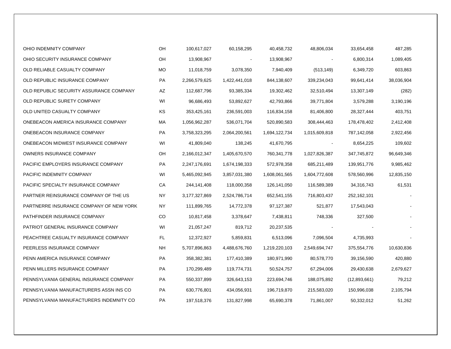| OHIO INDEMNITY COMPANY                  | OH        | 100,617,027   | 60,158,295     | 40,458,732    | 48,806,034               | 33,654,458   | 487,285    |  |
|-----------------------------------------|-----------|---------------|----------------|---------------|--------------------------|--------------|------------|--|
| OHIO SECURITY INSURANCE COMPANY         | OH        | 13,908,967    | $\blacksquare$ | 13,908,967    | $\overline{\phantom{a}}$ | 6,800,314    | 1,089,405  |  |
| OLD RELIABLE CASUALTY COMPANY           | <b>MO</b> | 11,018,759    | 3,078,350      | 7,940,409     | (513, 149)               | 6,349,720    | 603,863    |  |
| OLD REPUBLIC INSURANCE COMPANY          | PA        | 2,266,579,625 | 1,422,441,018  | 844,138,607   | 339,234,043              | 99,641,414   | 38,036,904 |  |
| OLD REPUBLIC SECURITY ASSURANCE COMPANY | AZ        | 112,687,796   | 93,385,334     | 19,302,462    | 32,510,494               | 13,307,149   | (282)      |  |
| OLD REPUBLIC SURETY COMPANY             | WI        | 96,686,493    | 53,892,627     | 42,793,866    | 39,771,804               | 3,579,288    | 3,190,196  |  |
| OLD UNITED CASUALTY COMPANY             | ΚS        | 353,425,161   | 236,591,003    | 116,834,158   | 81,406,800               | 28,327,444   | 403,751    |  |
| ONEBEACON AMERICA INSURANCE COMPANY     | МA        | 1,056,962,287 | 536,071,704    | 520,890,583   | 308,444,463              | 178,478,402  | 2,412,408  |  |
| ONEBEACON INSURANCE COMPANY             | PA        | 3,758,323,295 | 2,064,200,561  | 1,694,122,734 | 1,015,609,818            | 787,142,058  | 2,922,456  |  |
| ONEBEACON MIDWEST INSURANCE COMPANY     | WI        | 41,809,040    | 138,245        | 41,670,795    | $\overline{\phantom{a}}$ | 8,654,225    | 109,602    |  |
| OWNERS INSURANCE COMPANY                | OH        | 2,166,012,347 | 1,405,670,570  | 760,341,778   | 1,027,826,387            | 347,745,872  | 96,649,346 |  |
| PACIFIC EMPLOYERS INSURANCE COMPANY     | PA        | 2,247,176,691 | 1,674,198,333  | 572,978,358   | 685,211,489              | 139,951,776  | 9,985,462  |  |
| PACIFIC INDEMNITY COMPANY               | WI        | 5,465,092,945 | 3,857,031,380  | 1,608,061,565 | 1,604,772,608            | 578,560,996  | 12,835,150 |  |
| PACIFIC SPECIALTY INSURANCE COMPANY     | СA        | 244,141,408   | 118,000,358    | 126,141,050   | 116,589,389              | 34,316,743   | 61,531     |  |
| PARTNER REINSURANCE COMPANY OF THE US   | NY        | 3,177,327,869 | 2,524,786,714  | 652,541,155   | 716,803,437              | 252,162,101  |            |  |
| PARTNERRE INSURANCE COMPANY OF NEW YORK | NY.       | 111,899,765   | 14,772,378     | 97,127,387    | 521,877                  | 17,543,043   |            |  |
| PATHFINDER INSURANCE COMPANY            | CO.       | 10,817,458    | 3,378,647      | 7,438,811     | 748,336                  | 327,500      |            |  |
| PATRIOT GENERAL INSURANCE COMPANY       | WI        | 21,057,247    | 819,712        | 20,237,535    |                          |              |            |  |
| PEACHTREE CASUALTY INSURANCE COMPANY    | FL.       | 12,372,927    | 5,859,831      | 6,513,096     | 7,096,504                | 4,735,993    |            |  |
| PEERLESS INSURANCE COMPANY              | <b>NH</b> | 5,707,896,863 | 4,488,676,760  | 1,219,220,103 | 2,549,694,747            | 375,554,776  | 10,630,836 |  |
| PENN AMERICA INSURANCE COMPANY          | PA        | 358,382,381   | 177,410,389    | 180,971,990   | 80,578,770               | 39,156,590   | 420,880    |  |
| PENN MILLERS INSURANCE COMPANY          | PA        | 170,299,489   | 119,774,731    | 50,524,757    | 67,294,006               | 29,430,638   | 2,679,627  |  |
| PENNSYLVANIA GENERAL INSURANCE COMPANY  | PA        | 550,337,899   | 326,643,153    | 223,694,746   | 188,075,892              | (12,893,661) | 79,212     |  |
| PENNSYLVANIA MANUFACTURERS ASSN INS CO  | PA        | 630,776,801   | 434,056,931    | 196,719,870   | 215,583,020              | 150,996,038  | 2,105,794  |  |
| PENNSYLVANIA MANUFACTURERS INDEMNITY CO | PA        | 197,518,376   | 131,827,998    | 65,690,378    | 71,861,007               | 50,332,012   | 51,262     |  |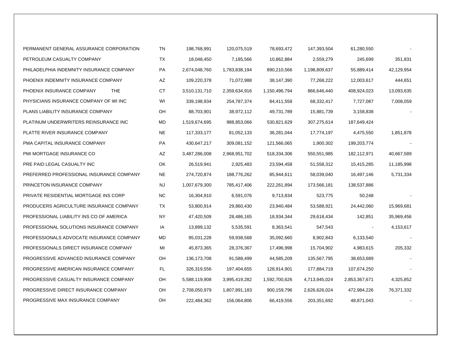| PERMANENT GENERAL ASSURANCE CORPORATION  | TN        | 198,768,991   | 120,075,519   | 78,693,472    | 147,393,504   | 61,280,550    |            |
|------------------------------------------|-----------|---------------|---------------|---------------|---------------|---------------|------------|
| PETROLEUM CASUALTY COMPANY               | TX        | 18,048,450    | 7,185,566     | 10,862,884    | 2,559,279     | 245,699       | 351,831    |
| PHILADELPHIA INDEMNITY INSURANCE COMPANY | PA        | 2,674,048,760 | 1,783,838,194 | 890,210,566   | 1,198,809,637 | 55,889,414    | 42,129,954 |
| PHOENIX INDEMNITY INSURANCE COMPANY      | AZ        | 109,220,378   | 71,072,988    | 38,147,390    | 77,268,222    | 12,003,617    | 444,651    |
| PHOENIX INSURANCE COMPANY<br>THE         | CT        | 3,510,131,710 | 2,359,634,916 | 1,150,496,794 | 866,646,440   | 408,924,023   | 13,093,635 |
| PHYSICIANS INSURANCE COMPANY OF WI INC   | WI        | 339,198,934   | 254,787,374   | 84,411,558    | 68,332,417    | 7,727,087     | 7,008,059  |
| PLANS LIABILITY INSURANCE COMPANY        | OH        | 88,703,901    | 38,972,112    | 49,731,789    | 15,881,739    | 3,158,838     |            |
| PLATINUM UNDERWRITERS REINSURANCE INC    | MD        | 1,519,674,695 | 988,853,066   | 530,821,629   | 307,275,614   | 187,649,424   |            |
| PLATTE RIVER INSURANCE COMPANY           | NE.       | 117,333,177   | 81,052,133    | 36,281,044    | 17,774,197    | 4,475,550     | 1,851,878  |
| PMA CAPITAL INSURANCE COMPANY            | PA        | 430,647,217   | 309,081,152   | 121,566,065   | 1,900,302     | 199,203,774   |            |
| PMI MORTGAGE INSURANCE CO                | AZ        | 3,487,286,008 | 2,968,951,702 | 518,334,306   | 550,551,985   | 182,112,971   | 40,667,589 |
| PRE PAID LEGAL CASUALTY INC              | OK        | 26,519,941    | 2,925,483     | 23,594,458    | 51,558,312    | 15,415,285    | 11,185,998 |
| PREFERRED PROFESSIONAL INSURANCE COMPANY | <b>NE</b> | 274,720,874   | 188,776,262   | 85,944,611    | 58,039,040    | 16,497,146    | 5,731,334  |
| PRINCETON INSURANCE COMPANY              | NJ        | 1,007,679,300 | 785,417,406   | 222,261,894   | 173,566,181   | 138,537,886   |            |
| PRIVATE RESIDENTIAL MORTGAGE INS CORP    | NC.       | 16,304,910    | 6,591,076     | 9,713,834     | 523,775       | 50,248        |            |
| PRODUCERS AGRICULTURE INSURANCE COMPANY  | TX        | 53,800,914    | 29,860,430    | 23,940,484    | 53,588,921    | 24,442,060    | 15,969,681 |
| PROFESSIONAL LIABILITY INS CO OF AMERICA | ΝY        | 47,420,509    | 28,486,165    | 18,934,344    | 29,618,434    | 142,851       | 35,969,456 |
| PROFESSIONAL SOLUTIONS INSURANCE COMPANY | IA        | 13,899,132    | 5,535,591     | 8,363,541     | 547,543       |               | 4,153,617  |
| PROFESSIONALS ADVOCATE INSURANCE COMPANY | MD        | 95,031,228    | 59,938,568    | 35,092,660    | 8,902,843     | 6,133,540     |            |
| PROFESSIONALS DIRECT INSURANCE COMPANY   | MI        | 45,873,365    | 28,376,367    | 17,496,998    | 15,704,902    | 4,983,615     | 205,332    |
| PROGRESSIVE ADVANCED INSURANCE COMPANY   | OH        | 136, 173, 708 | 91,588,499    | 44,585,209    | 135,567,795   | 38,653,689    |            |
| PROGRESSIVE AMERICAN INSURANCE COMPANY   | <b>FL</b> | 326,319,556   | 197,404,655   | 128,914,901   | 177,884,719   | 107,674,250   |            |
| PROGRESSIVE CASUALTY INSURANCE COMPANY   | OН        | 5,588,119,908 | 3,995,419,282 | 1,592,700,626 | 4,713,945,024 | 2,853,367,671 | 4,325,852  |
| PROGRESSIVE DIRECT INSURANCE COMPANY     | OH        | 2,708,050,979 | 1,807,891,183 | 900,159,796   | 2,626,626,024 | 472,984,226   | 76,371,332 |
| PROGRESSIVE MAX INSURANCE COMPANY        | OH        | 222,484,362   | 156,064,806   | 66,419,556    | 203,351,692   | 48,871,043    |            |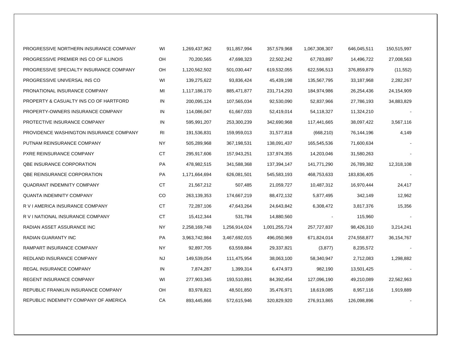| PROGRESSIVE NORTHERN INSURANCE COMPANY  | WI             | 1,269,437,962 | 911,857,994   | 357,579,968   | 1,067,308,307 | 646,045,511 | 150,515,997  |
|-----------------------------------------|----------------|---------------|---------------|---------------|---------------|-------------|--------------|
| PROGRESSIVE PREMIER INS CO OF ILLINOIS  | OH             | 70,200,565    | 47,698,323    | 22,502,242    | 67,783,897    | 14,496,722  | 27,008,563   |
| PROGRESSIVE SPECIALTY INSURANCE COMPANY | OH             | 1,120,562,502 | 501,030,447   | 619,532,055   | 622,596,513   | 376,859,879 | (11, 552)    |
| PROGRESSIVE UNIVERSAL INS CO            | WI             | 139,275,622   | 93,836,424    | 45,439,198    | 135,567,795   | 33,187,968  | 2,282,267    |
| PRONATIONAL INSURANCE COMPANY           | MI             | 1,117,186,170 | 885,471,877   | 231,714,293   | 184,974,986   | 26,254,436  | 24,154,909   |
| PROPERTY & CASUALTY INS CO OF HARTFORD  | IN             | 200,095,124   | 107,565,034   | 92,530,090    | 52,837,966    | 27,786,193  | 34,883,829   |
| PROPERTY-OWNERS INSURANCE COMPANY       | IN             | 114,086,047   | 61,667,033    | 52,419,014    | 54,118,327    | 11,324,210  |              |
| PROTECTIVE INSURANCE COMPANY            | IN             | 595,991,207   | 253,300,239   | 342,690,968   | 117,441,665   | 38,097,422  | 3,567,116    |
| PROVIDENCE WASHINGTON INSURANCE COMPANY | R <sub>l</sub> | 191,536,831   | 159,959,013   | 31,577,818    | (668, 210)    | 76,144,196  | 4,149        |
| PUTNAM REINSURANCE COMPANY              | <b>NY</b>      | 505,289,968   | 367,198,531   | 138,091,437   | 165,545,536   | 71,600,634  |              |
| PXRE REINSURANCE COMPANY                | <b>CT</b>      | 295,917,606   | 157,943,251   | 137,974,355   | 14,203,046    | 31,580,263  |              |
| QBE INSURANCE CORPORATION               | PA             | 478,982,515   | 341,588,368   | 137,394,147   | 141,771,290   | 26,789,382  | 12,318,108   |
| QBE REINSURANCE CORPORATION             | PA             | 1,171,664,694 | 626,081,501   | 545,583,193   | 468,753,633   | 183,836,405 |              |
| <b>QUADRANT INDEMNITY COMPANY</b>       | <b>CT</b>      | 21,567,212    | 507,485       | 21,059,727    | 10,487,312    | 16,970,444  | 24,417       |
| <b>QUANTA INDEMNITY COMPANY</b>         | CO             | 263,139,353   | 174,667,219   | 88,472,132    | 5,877,495     | 342,149     | 12,962       |
| R V I AMERICA INSURANCE COMPANY         | CT             | 72,287,106    | 47,643,264    | 24,643,842    | 6,308,472     | 3,817,376   | 15,356       |
| R V I NATIONAL INSURANCE COMPANY        | CT             | 15,412,344    | 531,784       | 14,880,560    |               | 115,960     |              |
| RADIAN ASSET ASSURANCE INC              | <b>NY</b>      | 2,258,169,748 | 1,256,914,024 | 1,001,255,724 | 257,727,837   | 98,426,310  | 3,214,241    |
| RADIAN GUARANTY INC                     | PA             | 3,963,742,984 | 3,467,692,015 | 496,050,969   | 671,824,014   | 274,558,877 | 36, 154, 767 |
| RAMPART INSURANCE COMPANY               | <b>NY</b>      | 92,897,705    | 63,559,884    | 29,337,821    | (3, 877)      | 8,235,572   |              |
| REDLAND INSURANCE COMPANY               | <b>NJ</b>      | 149,539,054   | 111,475,954   | 38,063,100    | 58,340,947    | 2,712,083   | 1,298,882    |
| REGAL INSURANCE COMPANY                 | IN             | 7,874,287     | 1,399,314     | 6,474,973     | 982,190       | 13,501,425  |              |
| <b>REGENT INSURANCE COMPANY</b>         | WI             | 277,903,345   | 193,510,891   | 84,392,454    | 127,096,190   | 49,210,089  | 22,562,963   |
| REPUBLIC FRANKLIN INSURANCE COMPANY     | OH             | 83,978,821    | 48,501,850    | 35,476,971    | 18,619,085    | 8,957,116   | 1,919,889    |
| REPUBLIC INDEMNITY COMPANY OF AMERICA   | СA             | 893,445,866   | 572,615,946   | 320,829,920   | 276,913,865   | 126,098,896 |              |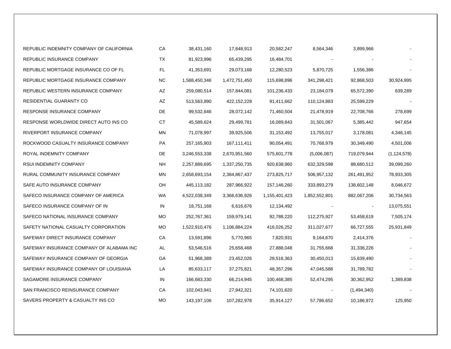| REPUBLIC INDEMNITY COMPANY OF CALIFORNIA | CA        | 38,431,160    | 17,848,913    | 20,582,247    | 8,564,346     | 3,899,966   |               |
|------------------------------------------|-----------|---------------|---------------|---------------|---------------|-------------|---------------|
| REPUBLIC INSURANCE COMPANY               | TX        | 81,923,996    | 65,439,295    | 16,484,701    |               |             |               |
| REPUBLIC MORTGAGE INSURANCE CO OF FL     | FL.       | 41,353,691    | 29,073,168    | 12,280,523    | 5,870,725     | 1,556,386   |               |
| REPUBLIC MORTGAGE INSURANCE COMPANY      | <b>NC</b> | 1,588,450,346 | 1,472,751,450 | 115,698,896   | 341,298,421   | 92,868,503  | 30,924,995    |
| REPUBLIC WESTERN INSURANCE COMPANY       | AZ        | 259,080,514   | 157,844,081   | 101,236,433   | 23,184,079    | 65,572,390  | 639,289       |
| RESIDENTIAL GUARANTY CO                  | AZ        | 513,563,890   | 422, 152, 228 | 91,411,662    | 110,124,883   | 25,599,229  |               |
| RESPONSE INSURANCE COMPANY               | DE        | 99,532,646    | 28,072,142    | 71,460,504    | 21,478,919    | 22,708,766  | 278,699       |
| RESPONSE WORLDWIDE DIRECT AUTO INS CO    | СT        | 45,589,624    | 29,499,781    | 16,089,843    | 31,501,067    | 5,385,442   | 947,654       |
| RIVERPORT INSURANCE COMPANY              | MN        | 71,078,997    | 39,925,506    | 31,153,492    | 13,755,017    | 3,178,081   | 4,346,145     |
| ROCKWOOD CASUALTY INSURANCE COMPANY      | PA        | 257,165,903   | 167,111,411   | 90,054,491    | 70,768,979    | 30,349,490  | 4,501,006     |
| ROYAL INDEMNITY COMPANY                  | DE        | 3,246,553,338 | 2,670,951,560 | 575,601,778   | (5,006,087)   | 719,079,944 | (1, 124, 578) |
| RSUI INDEMNITY COMPANY                   | NH        | 2,257,889,695 | 1,337,250,735 | 920,638,960   | 632,329,598   | 88,680,512  | 39,099,260    |
| RURAL COMMUNITY INSURANCE COMPANY        | ΜN        | 2,658,693,154 | 2,384,867,437 | 273,825,717   | 506,957,132   | 261,491,952 | 78,933,305    |
| SAFE AUTO INSURANCE COMPANY              | OH        | 445,113,182   | 287,966,922   | 157,146,260   | 333,893,279   | 138,602,148 | 8,046,672     |
| SAFECO INSURANCE COMPANY OF AMERICA      | WA        | 4,522,038,349 | 3,366,636,926 | 1,155,401,423 | 1,852,552,801 | 882,067,206 | 30,734,563    |
| SAFECO INSURANCE COMPANY OF IN           | IN        | 18,751,168    | 6,616,676     | 12,134,492    |               |             | 13,075,551    |
| SAFECO NATIONAL INSURANCE COMPANY        | МO        | 252,767,361   | 159,979,141   | 92,788,220    | 112,275,927   | 53,458,619  | 7,505,174     |
| SAFETY NATIONAL CASUALTY CORPORATION     | МO        | 1,522,910,476 | 1,106,884,224 | 416,026,252   | 311,027,677   | 66,727,555  | 25,931,849    |
| SAFEWAY DIRECT INSURANCE COMPANY         | CA        | 13,591,896    | 5,770,965     | 7,820,931     | 9,164,670     | 2,414,376   |               |
| SAFEWAY INSURANCE COMPANY OF ALABAMA INC | AL        | 53,546,516    | 25,658,468    | 27,888,048    | 31,755,668    | 31,336,226  |               |
| SAFEWAY INSURANCE COMPANY OF GEORGIA     | GА        | 51,968,389    | 23,452,026    | 28,516,363    | 30,450,013    | 15,639,490  |               |
| SAFEWAY INSURANCE COMPANY OF LOUISIANA   | LA        | 85,633,117    | 37,275,821    | 48,357,296    | 47,045,588    | 31,789,782  |               |
| SAGAMORE INSURANCE COMPANY               | IN        | 166,683,330   | 66,214,945    | 100,468,385   | 52,474,295    | 30,362,952  | 1,389,838     |
| SAN FRANCISCO REINSURANCE COMPANY        | CA        | 102,043,941   | 27,942,321    | 74,101,620    |               | (1,494,340) |               |
| SAVERS PROPERTY & CASUALTY INS CO        | МO        | 143,197,106   | 107,282,978   | 35,914,127    | 57,786,652    | 10,186,972  | 125,950       |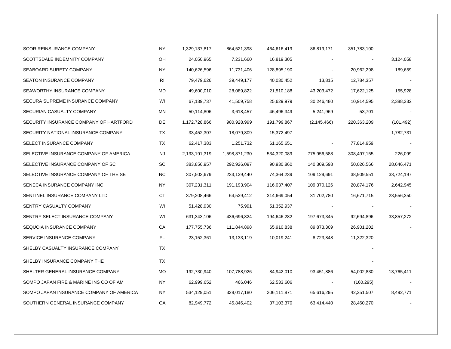| <b>SCOR REINSURANCE COMPANY</b>          | <b>NY</b> | 1,329,137,817 | 864,521,398   | 464,616,419 | 86,819,171    | 351,783,100    |            |
|------------------------------------------|-----------|---------------|---------------|-------------|---------------|----------------|------------|
| SCOTTSDALE INDEMNITY COMPANY             | OH        | 24,050,965    | 7,231,660     | 16,819,305  |               |                | 3,124,058  |
| SEABOARD SURETY COMPANY                  | ΝY        | 140,626,596   | 11,731,406    | 128,895,190 |               | 20,962,298     | 189,659    |
| SEATON INSURANCE COMPANY                 | RI        | 79,479,626    | 39,449,177    | 40,030,452  | 13,815        | 12,784,357     |            |
| SEAWORTHY INSURANCE COMPANY              | MD        | 49,600,010    | 28,089,822    | 21,510,188  | 43,203,472    | 17,622,125     | 155,928    |
| SECURA SUPREME INSURANCE COMPANY         | WI        | 67,139,737    | 41,509,758    | 25,629,979  | 30,246,480    | 10,914,595     | 2,388,332  |
| SECURIAN CASUALTY COMPANY                | ΜN        | 50,114,806    | 3,618,457     | 46,496,349  | 5,241,969     | 53,701         |            |
| SECURITY INSURANCE COMPANY OF HARTFORD   | DE        | 1,172,728,866 | 980,928,999   | 191,799,867 | (2, 145, 466) | 220,363,209    | (101, 492) |
| SECURITY NATIONAL INSURANCE COMPANY      | TX        | 33,452,307    | 18,079,809    | 15,372,497  |               | $\blacksquare$ | 1,782,731  |
| SELECT INSURANCE COMPANY                 | TX        | 62,417,383    | 1,251,732     | 61,165,651  |               | 77,814,959     |            |
| SELECTIVE INSURANCE COMPANY OF AMERICA   | NJ        | 2,133,191,319 | 1,598,871,230 | 534,320,089 | 775,956,588   | 308,497,155    | 226,099    |
| SELECTIVE INSURANCE COMPANY OF SC        | SC.       | 383,856,957   | 292,926,097   | 90,930,860  | 140,309,598   | 50,026,566     | 28,646,471 |
| SELECTIVE INSURANCE COMPANY OF THE SE    | <b>NC</b> | 307,503,679   | 233,139,440   | 74,364,239  | 109,129,691   | 38,909,551     | 33,724,197 |
| SENECA INSURANCE COMPANY INC             | NY.       | 307,231,311   | 191,193,904   | 116,037,407 | 109,370,126   | 20,874,176     | 2,642,945  |
| SENTINEL INSURANCE COMPANY LTD           | CT        | 379,208,466   | 64,539,412    | 314,669,054 | 31,702,780    | 16,671,715     | 23,556,350 |
| SENTRY CASUALTY COMPANY                  | WI        | 51,428,930    | 75,991        | 51,352,937  |               |                |            |
| SENTRY SELECT INSURANCE COMPANY          | WI        | 631,343,106   | 436,696,824   | 194,646,282 | 197,673,345   | 92,694,896     | 33,857,272 |
| SEQUOIA INSURANCE COMPANY                | CA        | 177,755,736   | 111,844,898   | 65,910,838  | 89,873,309    | 26,901,202     |            |
| SERVICE INSURANCE COMPANY                | <b>FL</b> | 23,152,361    | 13,133,119    | 10,019,241  | 8,723,848     | 11,322,320     |            |
| SHELBY CASUALTY INSURANCE COMPANY        | TX        |               |               |             |               |                |            |
| SHELBY INSURANCE COMPANY THE             | TX        |               |               |             |               |                |            |
| SHELTER GENERAL INSURANCE COMPANY        | МO        | 192,730,940   | 107,788,926   | 84,942,010  | 93,451,886    | 54,002,830     | 13,765,411 |
| SOMPO JAPAN FIRE & MARINE INS CO OF AM   | NY.       | 62,999,652    | 466,046       | 62,533,606  |               | (160, 295)     |            |
| SOMPO JAPAN INSURANCE COMPANY OF AMERICA | <b>NY</b> | 534,129,051   | 328,017,180   | 206,111,871 | 65,616,295    | 42,251,507     | 8,492,771  |
| SOUTHERN GENERAL INSURANCE COMPANY       | GA        | 82,949,772    | 45,846,402    | 37,103,370  | 63,414,440    | 28,460,270     |            |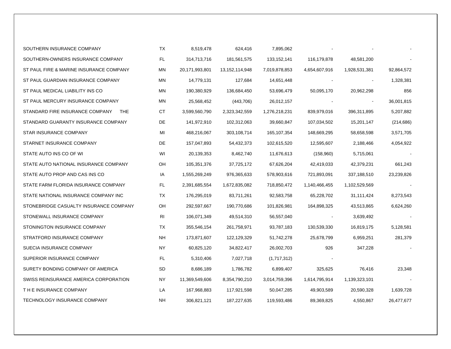| SOUTHERN INSURANCE COMPANY              | TX        | 8,519,478      | 624,416           | 7,895,062     |               |                |            |
|-----------------------------------------|-----------|----------------|-------------------|---------------|---------------|----------------|------------|
| SOUTHERN-OWNERS INSURANCE COMPANY       | FL        | 314,713,716    | 181,561,575       | 133, 152, 141 | 116,179,878   | 48,581,200     |            |
| ST PAUL FIRE & MARINE INSURANCE COMPANY | <b>MN</b> | 20,171,993,801 | 13, 152, 114, 948 | 7,019,878,853 | 4,654,607,916 | 1,928,531,381  | 92,864,572 |
| ST PAUL GUARDIAN INSURANCE COMPANY      | ΜN        | 14,779,131     | 127,684           | 14,651,448    |               |                | 1,328,381  |
| ST PAUL MEDICAL LIABILITY INS CO        | ΜN        | 190,380,929    | 136,684,450       | 53,696,479    | 50,095,170    | 20,962,298     | 856        |
| ST PAUL MERCURY INSURANCE COMPANY       | ΜN        | 25,568,452     | (443,706)         | 26,012,157    |               | $\blacksquare$ | 36,001,815 |
| STANDARD FIRE INSURANCE COMPANY<br>THE. | CT.       | 3,599,560,790  | 2,323,342,559     | 1,276,218,231 | 839,979,016   | 396,311,895    | 5,207,882  |
| STANDARD GUARANTY INSURANCE COMPANY     | DE        | 141,972,910    | 102,312,063       | 39,660,847    | 107,034,502   | 15,201,147     | (214, 686) |
| STAR INSURANCE COMPANY                  | MI        | 468,216,067    | 303,108,714       | 165, 107, 354 | 148,669,295   | 58,658,598     | 3,571,705  |
| STARNET INSURANCE COMPANY               | DE        | 157,047,893    | 54,432,373        | 102,615,520   | 12,595,607    | 2,188,466      | 4,054,922  |
| STATE AUTO INS CO OF WI                 | WI        | 20,139,353     | 8,462,740         | 11,676,613    | (158,960)     | 5,715,061      |            |
| STATE AUTO NATIONAL INSURANCE COMPANY   | OН        | 105,351,376    | 37,725,172        | 67,626,204    | 42,419,033    | 42,379,231     | 661,243    |
| STATE AUTO PROP AND CAS INS CO          | IA        | 1,555,269,249  | 976,365,633       | 578,903,616   | 721,893,091   | 337,188,510    | 23,239,826 |
| STATE FARM FLORIDA INSURANCE COMPANY    | FL.       | 2,391,685,554  | 1,672,835,082     | 718,850,472   | 1,140,466,455 | 1,102,529,569  |            |
| STATE NATIONAL INSURANCE COMPANY INC    | TX        | 176,295,019    | 83,711,261        | 92,583,758    | 65,228,702    | 31,111,424     | 8,273,543  |
| STONEBRIDGE CASUALTY INSURANCE COMPANY  | OH        | 292,597,667    | 190,770,686       | 101,826,981   | 164,898,325   | 43,513,865     | 6,624,260  |
| STONEWALL INSURANCE COMPANY             | RI        | 106,071,349    | 49,514,310        | 56,557,040    |               | 3,639,492      |            |
| STONINGTON INSURANCE COMPANY            | TX        | 355,546,154    | 261,758,971       | 93,787,183    | 130,539,330   | 16,819,175     | 5,128,581  |
| STRATFORD INSURANCE COMPANY             | <b>NH</b> | 173,871,607    | 122,129,329       | 51,742,278    | 25,678,799    | 6,959,251      | 281,379    |
| SUECIA INSURANCE COMPANY                | NY.       | 60,825,120     | 34,822,417        | 26,002,703    | 926           | 347,228        |            |
| SUPERIOR INSURANCE COMPANY              | FL        | 5,310,406      | 7,027,718         | (1,717,312)   |               |                |            |
| SURETY BONDING COMPANY OF AMERICA       | SD        | 8,686,189      | 1,786,782         | 6,899,407     | 325,625       | 76,416         | 23,348     |
| SWISS REINSURANCE AMERICA CORPORATION   | ΝY        | 11,369,549,606 | 8,354,790,210     | 3,014,759,396 | 1,614,795,914 | 1,139,323,101  |            |
| THE INSURANCE COMPANY                   | LA        | 167,968,883    | 117,921,598       | 50,047,285    | 49,903,589    | 20,590,328     | 1,639,728  |
| TECHNOLOGY INSURANCE COMPANY            | <b>NH</b> | 306,821,121    | 187,227,635       | 119,593,486   | 89,369,825    | 4,550,867      | 26,477,677 |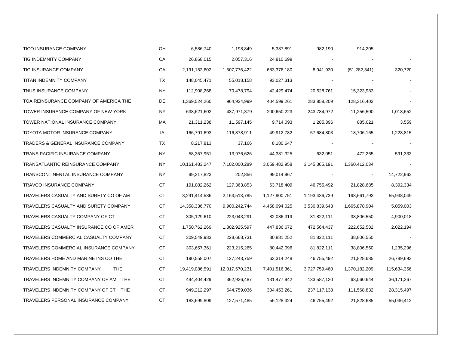| <b>TICO INSURANCE COMPANY</b>                    | OH        | 6,586,740      | 1,198,849      | 5,387,891     | 982,190       | 914,205        |             |
|--------------------------------------------------|-----------|----------------|----------------|---------------|---------------|----------------|-------------|
| TIG INDEMNITY COMPANY                            | СA        | 26,868,015     | 2,057,316      | 24,810,699    |               |                |             |
| TIG INSURANCE COMPANY                            | СA        | 2,191,152,602  | 1,507,776,422  | 683,376,180   | 8,941,930     | (51, 282, 341) | 320,720     |
| TITAN INDEMNITY COMPANY                          | TX        | 148,045,471    | 55,018,158     | 93,027,313    |               |                |             |
| TNUS INSURANCE COMPANY                           | ΝY        | 112,908,268    | 70,478,794     | 42,429,474    | 20,528,761    | 15,323,983     |             |
| TOA REINSURANCE COMPANY OF AMERICA THE           | DE        | 1,369,524,260  | 964,924,999    | 404,599,261   | 283,858,209   | 128,316,403    |             |
| TOWER INSURANCE COMPANY OF NEW YORK              | NY        | 638,621,602    | 437,971,379    | 200,650,223   | 243,784,972   | 11,256,500     | 1,018,652   |
| TOWER NATIONAL INSURANCE COMPANY                 | МA        | 21,311,238     | 11,597,145     | 9,714,093     | 1,285,396     | 885,021        | 3,559       |
| TOYOTA MOTOR INSURANCE COMPANY                   | IA        | 166,791,693    | 116,878,911    | 49,912,782    | 57,684,803    | 18,706,165     | 1,228,815   |
| <b>TRADERS &amp; GENERAL INSURANCE COMPANY</b>   | TX        | 8,217,813      | 37,166         | 8,180,647     |               |                |             |
| TRANS PACIFIC INSURANCE COMPANY                  | NY        | 58,357,951     | 13,976,626     | 44,381,325    | 632,051       | 472,265        | 591,333     |
| TRANSATLANTIC REINSURANCE COMPANY                | ΝY        | 10,161,483,247 | 7,102,000,289  | 3,059,482,958 | 3,145,365,191 | 1,360,412,034  |             |
| TRANSCONTINENTAL INSURANCE COMPANY               | NY.       | 99,217,823     | 202,856        | 99,014,967    |               |                | 14,722,962  |
| TRAVCO INSURANCE COMPANY                         | СT        | 191,082,262    | 127,363,853    | 63,718,409    | 46,755,492    | 21,828,685     | 8,392,334   |
| TRAVELERS CASUALTY AND SURETY CO OF AM           | СT        | 3,291,414,536  | 2,163,513,785  | 1,127,900,751 | 1,193,436,739 | 198,661,793    | 55,938,049  |
| TRAVELERS CASUALTY AND SURETY COMPANY            | СT        | 14,358,336,770 | 9,900,242,744  | 4,458,094,025 | 3,530,839,643 | 1,665,878,904  | 5,059,003   |
| TRAVELERS CASUALTY COMPANY OF CT                 | СT        | 305,129,610    | 223,043,291    | 82,086,319    | 81,822,111    | 38,806,550     | 4,900,018   |
| TRAVELERS CASUALTY INSURANCE CO OF AMER          | СT        | 1,750,762,269  | 1,302,925,597  | 447,836,672   | 472,564,437   | 222,652,582    | 2,022,194   |
| TRAVELERS COMMERCIAL CASUALTY COMPANY            | СT        | 309,549,983    | 228,668,731    | 80,881,252    | 81,822,111    | 38,806,550     |             |
| TRAVELERS COMMERCIAL INSURANCE COMPANY           | СT        | 303,657,361    | 223,215,265    | 80,442,096    | 81,822,111    | 38,806,550     | 1,235,296   |
| TRAVELERS HOME AND MARINE INS CO THE             | CT        | 190,558,007    | 127,243,759    | 63,314,248    | 46,755,492    | 21,828,685     | 26,789,693  |
| <b>TRAVELERS INDEMNITY COMPANY</b><br><b>THE</b> | СT        | 19,419,086,591 | 12,017,570,231 | 7,401,516,361 | 3,727,759,460 | 1,370,182,209  | 115,634,356 |
| TRAVELERS INDEMNITY COMPANY OF AM THE            | СT        | 494,404,429    | 362,926,487    | 131,477,942   | 133,587,120   | 63,060,644     | 36,171,267  |
| TRAVELERS INDEMNITY COMPANY OF CT THE            | СT        | 949,212,297    | 644,759,036    | 304,453,261   | 237,117,138   | 111,568,832    | 28,315,497  |
| TRAVELERS PERSONAL INSURANCE COMPANY             | <b>CT</b> | 183,699,809    | 127,571,485    | 56,128,324    | 46,755,492    | 21,828,685     | 55,036,412  |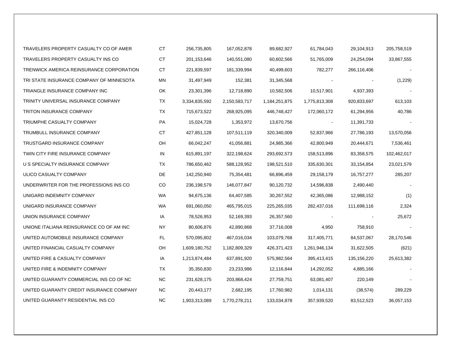| TRAVELERS PROPERTY CASUALTY CO OF AMER   | <b>CT</b> | 256,735,805   | 167,052,878   | 89,682,927    | 61,784,043    | 29,104,913    | 205,758,519 |
|------------------------------------------|-----------|---------------|---------------|---------------|---------------|---------------|-------------|
| TRAVELERS PROPERTY CASUALTY INS CO       | CT        | 201,153,646   | 140,551,080   | 60,602,566    | 51,765,009    | 24,254,094    | 33,867,555  |
| TRENWICK AMERICA REINSURANCE CORPORATION | CT        | 221,839,597   | 181,339,994   | 40,499,603    | 782,277       | 266,116,406   |             |
| TRI STATE INSURANCE COMPANY OF MINNESOTA | MN        | 31,497,949    | 152,381       | 31,345,568    |               |               | (1,229)     |
| TRIANGLE INSURANCE COMPANY INC           | OK        | 23,301,396    | 12,718,890    | 10,582,506    | 10,517,901    | 4,937,393     |             |
| TRINITY UNIVERSAL INSURANCE COMPANY      | ТX        | 3,334,835,592 | 2,150,583,717 | 1,184,251,875 | 1,775,813,308 | 920,833,697   | 613,103     |
| <b>TRITON INSURANCE COMPANY</b>          | TX        | 715,673,522   | 268,925,095   | 446,748,427   | 172,060,172   | 61,294,956    | 40,786      |
| TRIUMPHE CASUALTY COMPANY                | PA        | 15,024,728    | 1,353,972     | 13,670,756    |               | 11,391,733    |             |
| TRUMBULL INSURANCE COMPANY               | CT.       | 427,851,128   | 107,511,119   | 320,340,009   | 52,837,966    | 27,786,193    | 13,570,056  |
| TRUSTGARD INSURANCE COMPANY              | OH        | 66,042,247    | 41,056,881    | 24,985,366    | 42,800,949    | 20,444,671    | 7,536,461   |
| TWIN CITY FIRE INSURANCE COMPANY         | IN        | 615,891,197   | 322,198,624   | 293,692,573   | 158,513,896   | 83,358,575    | 102,462,017 |
| U S SPECIALTY INSURANCE COMPANY          | TX        | 786,650,462   | 588,128,952   | 198,521,510   | 335,630,301   | 33, 154, 854  | 23,021,579  |
| ULICO CASUALTY COMPANY                   | DE        | 142,250,940   | 75,354,481    | 66,896,459    | 29,158,179    | 16,757,277    | 285,207     |
| UNDERWRITER FOR THE PROFESSIONS INS CO   | CO        | 236,198,579   | 146,077,847   | 90,120,732    | 14,596,838    | 2,490,440     |             |
| UNIGARD INDEMNITY COMPANY                | <b>WA</b> | 94,675,136    | 64,407,585    | 30,267,552    | 42,365,086    | 12,988,152    | (1)         |
| UNIGARD INSURANCE COMPANY                | <b>WA</b> | 691,060,050   | 465,795,015   | 225,265,035   | 282,437,016   | 111,698,116   | 2,324       |
| UNION INSURANCE COMPANY                  | IA        | 78,526,953    | 52,169,393    | 26,357,560    |               |               | 25,672      |
| UNIONE ITALIANA REINSURANCE CO OF AM INC | ΝY        | 80,606,876    | 42,890,868    | 37,716,008    | 4,950         | 758,910       |             |
| UNITED AUTOMOBILE INSURANCE COMPANY      | FL.       | 570,095,802   | 467,016,034   | 103,079,768   | 317,405,771   | 84,537,067    | 28,170,546  |
| UNITED FINANCIAL CASUALTY COMPANY        | OH        | 1,609,180,752 | 1,182,809,329 | 426,371,423   | 1,261,946,134 | 31,622,505    | (621)       |
| UNITED FIRE & CASUALTY COMPANY           | IA        | 1,213,874,484 | 637,891,920   | 575,982,564   | 395,413,415   | 135, 156, 220 | 25,613,382  |
| UNITED FIRE & INDEMNITY COMPANY          | ТX        | 35,350,830    | 23,233,986    | 12,116,844    | 14,292,052    | 4,885,166     |             |
| UNITED GUARANTY COMMERCIAL INS CO OF NC  | NC.       | 231,628,175   | 203,868,424   | 27,759,751    | 63,081,407    | 220,149       |             |
| UNITED GUARANTY CREDIT INSURANCE COMPANY | NC.       | 20,443,177    | 2,682,195     | 17,760,982    | 1,014,131     | (38, 574)     | 289,229     |
| UNITED GUARANTY RESIDENTIAL INS CO       | <b>NC</b> | 1,903,313,089 | 1,770,278,211 | 133,034,878   | 357,939,520   | 83,512,523    | 36,057,153  |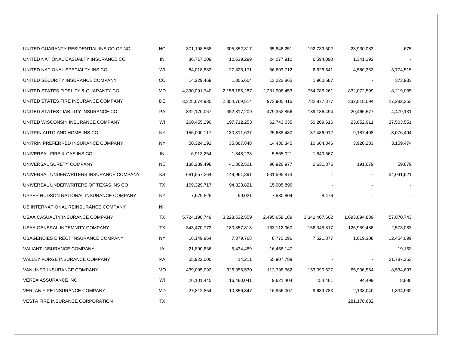| UNITED GUARANTY RESIDENTIAL INS CO OF NC | <b>NC</b> | 371,198,568   | 305,352,317   | 65,846,251    | 192,739,502   | 23,930,083    | 675        |
|------------------------------------------|-----------|---------------|---------------|---------------|---------------|---------------|------------|
| UNITED NATIONAL CASUALTY INSURANCE CO    | IN        | 36,717,209    | 12,639,299    | 24,077,910    | 6,594,090     | 1,341,192     |            |
| UNITED NATIONAL SPECIALTY INS CO         | WI        | 84,018,882    | 27,325,171    | 56,693,712    | 6,626,641     | 4,580,333     | 3,774,515  |
| UNITED SECURITY INSURANCE COMPANY        | CO        | 14,229,469    | 1,005,604     | 13,223,865    | 1,960,587     |               | 373,933    |
| UNITED STATES FIDELITY & GUARANTY CO     | <b>MD</b> | 4,390,091,740 | 2,158,185,287 | 2,231,906,453 | 764,786,261   | 832,072,599   | 8,219,085  |
| UNITED STATES FIRE INSURANCE COMPANY     | DE        | 3,328,674,930 | 2,354,769,514 | 973,905,416   | 782,877,377   | 332,818,094   | 17,282,353 |
| UNITED STATES LIABILITY INSURANCE CO     | PA        | 832,170,067   | 352,817,209   | 479,352,856   | 139,186,494   | 20,465,577    | 4,479,131  |
| UNITED WISCONSIN INSURANCE COMPANY       | WI        | 260,455,290   | 197,712,253   | 62,743,035    | 50,209,616    | 23,852,911    | 37,503,551 |
| UNITRIN AUTO AND HOME INS CO             | ΝY        | 156,000,117   | 130,311,637   | 25,688,480    | 37,486,012    | 9,187,408     | 3,076,494  |
| UNITRIN PREFERRED INSURANCE COMPANY      | NΥ        | 50,324,192    | 35,887,848    | 14,436,345    | 10,604,346    | 3,920,283     | 3,159,474  |
| UNIVERSAL FIRE & CAS INS CO              | IN        | 6,913,254     | 1,348,233     | 5,565,021     | 1,840,667     |               |            |
| UNIVERSAL SURETY COMPANY                 | NE        | 138,289,498   | 41,362,521    | 96,926,977    | 2,631,876     | 191,679       | 59,679     |
| UNIVERSAL UNDERWRITERS INSURANCE COMPANY | KS        | 681,557,264   | 149,961,391   | 531,595,873   |               |               | 34,041,621 |
| UNIVERSAL UNDERWRITERS OF TEXAS INS CO   | ТX        | 109,329,717   | 94,323,821    | 15,005,896    |               |               |            |
| UPPER HUDSON NATIONAL INSURANCE COMPANY  | ΝY        | 7,679,825     | 99,021        | 7,580,804     | 8,476         |               |            |
| US INTERNATIONAL REINSURANCE COMPANY     | <b>NH</b> |               |               |               |               |               |            |
| USAA CASUALTY INSURANCE COMPANY          | ТX        | 5,724,190,749 | 3,228,532,559 | 2,495,658,189 | 3,342,407,602 | 1,693,894,889 | 57,870,743 |
| USAA GENERAL INDEMNITY COMPANY           | ТX        | 343,470,773   | 180,357,813   | 163,112,960   | 156,345,817   | 126,959,486   | 2,573,083  |
| USAGENCIES DIRECT INSURANCE COMPANY      | <b>NY</b> | 16,149,864    | 7,379,768     | 8,770,096     | 7,521,877     | 1,019,308     | 12,454,099 |
| <b>VALIANT INSURANCE COMPANY</b>         | IA        | 21,890,636    | 5,434,489     | 16,456,147    |               |               | 19,163     |
| VALLEY FORGE INSURANCE COMPANY           | PA        | 55,922,000    | 14,211        | 55,907,789    |               |               | 21,787,353 |
| VANLINER INSURANCE COMPANY               | <b>MO</b> | 439,095,092   | 326,356,530   | 112,738,562   | 153,090,627   | 65,906,554    | 8,534,697  |
| <b>VEREX ASSURANCE INC</b>               | WI        | 26,101,445    | 16,480,041    | 9,621,404     | 154,461       | 94,499        | 8,836      |
| <b>VERLAN FIRE INSURANCE COMPANY</b>     | MD        | 27,812,854    | 10,856,847    | 16,956,007    | 9,639,783     | 2,138,040     | 1,834,962  |
| <b>VESTA FIRE INSURANCE CORPORATION</b>  | <b>TX</b> |               |               |               |               | 281,178,632   |            |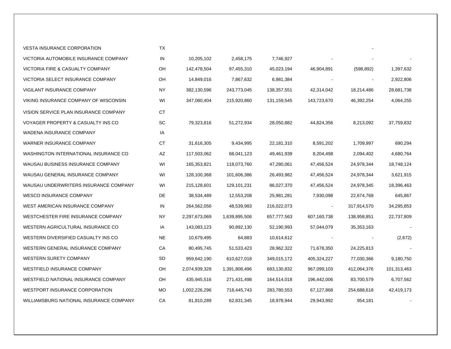| <b>VESTA INSURANCE CORPORATION</b>      | TX  |               |               |             |                |              |             |
|-----------------------------------------|-----|---------------|---------------|-------------|----------------|--------------|-------------|
| VICTORIA AUTOMOBILE INSURANCE COMPANY   | IN  | 10,205,102    | 2,458,175     | 7,746,927   |                |              |             |
| VICTORIA FIRE & CASUALTY COMPANY        | OH  | 142,478,504   | 97,455,310    | 45,023,194  | 46,904,891     | (598, 892)   | 1,397,632   |
| VICTORIA SELECT INSURANCE COMPANY       | OH  | 14,849,016    | 7,867,632     | 6,981,384   |                |              | 2,922,806   |
| VIGILANT INSURANCE COMPANY              | ΝY  | 382,130,596   | 243,773,045   | 138,357,551 | 42,314,042     | 18,214,486   | 28,681,738  |
| VIKING INSURANCE COMPANY OF WISCONSIN   | WI  | 347,080,404   | 215,920,860   | 131,159,545 | 143,723,670    | 46,392,254   | 4,064,255   |
| VISION SERVICE PLAN INSURANCE COMPANY   | CT. |               |               |             |                |              |             |
| VOYAGER PROPERTY & CASUALTY INS CO      | SC  | 79,323,816    | 51,272,934    | 28,050,882  | 44,824,356     | 8,213,092    | 37,759,832  |
| <b>WADENA INSURANCE COMPANY</b>         | IA  |               |               |             |                |              |             |
| WARNER INSURANCE COMPANY                | CT  | 31,616,305    | 9,434,995     | 22,181,310  | 8,591,202      | 1,709,997    | 690,294     |
| WASHINGTON INTERNATIONAL INSURANCE CO   | AZ  | 117,503,062   | 68,041,123    | 49,461,939  | 8,204,498      | 2,094,402    | 4,680,764   |
| WAUSAU BUSINESS INSURANCE COMPANY       | WI  | 165,353,821   | 118,073,760   | 47,280,061  | 47,456,524     | 24,978,344   | 18,748,124  |
| WAUSAU GENERAL INSURANCE COMPANY        | WI  | 128,100,368   | 101,606,386   | 26,493,982  | 47,456,524     | 24,978,344   | 3,621,915   |
| WAUSAU UNDERWRITERS INSURANCE COMPANY   | WI  | 215,128,601   | 129,101,231   | 86,027,370  | 47,456,524     | 24,978,345   | 18,396,463  |
| <b>WESCO INSURANCE COMPANY</b>          | DE  | 38,534,489    | 12,553,208    | 25,981,281  | 7,930,098      | 22,674,768   | 645,867     |
| WEST AMERICAN INSURANCE COMPANY         | IN  | 264,562,056   | 48,539,983    | 216,022,073 | $\blacksquare$ | 317,914,570  | 34,295,853  |
| WESTCHESTER FIRE INSURANCE COMPANY      | NY  | 2,297,673,069 | 1,639,895,506 | 657,777,563 | 607,160,738    | 138,958,851  | 22,737,809  |
| WESTERN AGRICULTURAL INSURANCE CO       | IA  | 143,083,123   | 90,892,130    | 52,190,993  | 57,044,079     | 35, 353, 163 |             |
| WESTERN DIVERSIFIED CASUALTY INS CO     | NE. | 10,679,495    | 64,883        | 10,614,612  |                |              | (2,672)     |
| WESTERN GENERAL INSURANCE COMPANY       | CA  | 80,495,745    | 51,533,423    | 28,962,322  | 71,678,350     | 24,225,813   |             |
| <b>WESTERN SURETY COMPANY</b>           | SD  | 959,642,190   | 610,627,018   | 349,015,172 | 405,324,227    | 77,030,366   | 9,180,750   |
| <b>WESTFIELD INSURANCE COMPANY</b>      | OH  | 2,074,939,328 | 1,391,808,496 | 683,130,832 | 967,099,103    | 412,064,376  | 101,313,463 |
| WESTFIELD NATIONAL INSURANCE COMPANY    | OН  | 435,945,516   | 271,431,498   | 164,514,018 | 196,442,006    | 83,700,579   | 6,707,562   |
| WESTPORT INSURANCE CORPORATION          | МO  | 1,002,226,296 | 718,445,743   | 283,780,553 | 67,127,868     | 254,688,618  | 42,419,173  |
| WILLIAMSBURG NATIONAL INSURANCE COMPANY | СA  | 81,810,289    | 62,831,345    | 18,978,944  | 29,943,992     | 954,181      |             |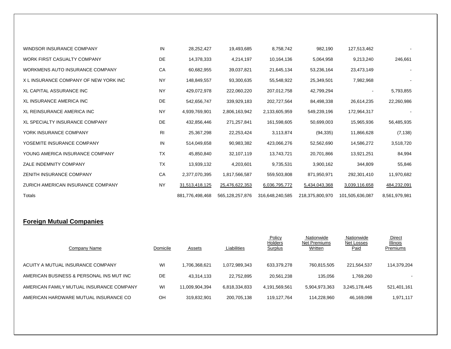| WINDSOR INSURANCE COMPANY             | IN             | 28,252,427      | 19,493,685      | 8,758,742       | 982,190         | 127,513,462     |               |
|---------------------------------------|----------------|-----------------|-----------------|-----------------|-----------------|-----------------|---------------|
| WORK FIRST CASUALTY COMPANY           | DE             | 14,378,333      | 4,214,197       | 10,164,136      | 5,064,958       | 9,213,240       | 246,661       |
| WORKMENS AUTO INSURANCE COMPANY       | CA             | 60,682,955      | 39,037,821      | 21,645,134      | 53,236,164      | 23,473,149      |               |
| X L INSURANCE COMPANY OF NEW YORK INC | <b>NY</b>      | 148,849,557     | 93,300,635      | 55,548,922      | 25,349,501      | 7,982,968       |               |
| XL CAPITAL ASSURANCE INC              | <b>NY</b>      | 429,072,978     | 222,060,220     | 207,012,758     | 42,799,294      |                 | 5,793,855     |
| <b>XL INSURANCE AMERICA INC</b>       | DE             | 542,656,747     | 339,929,183     | 202,727,564     | 84,498,338      | 26,614,235      | 22,260,986    |
| XL REINSURANCE AMERICA INC            | <b>NY</b>      | 4,939,769,901   | 2,806,163,942   | 2,133,605,959   | 549,239,196     | 172,964,317     |               |
| <b>XL SPECIALTY INSURANCE COMPANY</b> | DE             | 432,856,446     | 271,257,841     | 161,598,605     | 50,699,003      | 15,965,936      | 56,485,935    |
| YORK INSURANCE COMPANY                | R <sub>l</sub> | 25,367,298      | 22,253,424      | 3,113,874       | (94, 335)       | 11,866,628      | (7, 138)      |
| YOSEMITE INSURANCE COMPANY            | IN             | 514,049,658     | 90,983,382      | 423,066,276     | 52,562,690      | 14,586,272      | 3,518,720     |
| YOUNG AMERICA INSURANCE COMPANY       | <b>TX</b>      | 45,850,840      | 32,107,119      | 13,743,721      | 20,701,866      | 13,921,251      | 84,994        |
| ZALE INDEMNITY COMPANY                | <b>TX</b>      | 13,939,132      | 4,203,601       | 9,735,531       | 3,900,162       | 344,809         | 55,846        |
| ZENITH INSURANCE COMPANY              | CA             | 2,377,070,395   | 1,817,566,587   | 559,503,808     | 871,950,971     | 292,301,410     | 11,970,682    |
| ZURICH AMERICAN INSURANCE COMPANY     | <b>NY</b>      | 31,513,418,125  | 25,476,622,353  | 6,036,795,772   | 5,434,043,368   | 3,039,116,658   | 484,232,091   |
| Totals                                |                | 881,776,498,468 | 565,128,257,876 | 316,648,240,585 | 218,375,800,970 | 101,505,636,087 | 8,561,979,981 |

#### **Foreign Mutual Companies**

| Company Name                             | Domicile | Assets         | Liabilities   | Policy<br><b>Holders</b><br><b>Surplus</b> | Nationwide<br>Net Premiums<br>Written | Nationwide<br>Net Losses<br>Paid | Direct<br>Illinois<br>Premiums |
|------------------------------------------|----------|----------------|---------------|--------------------------------------------|---------------------------------------|----------------------------------|--------------------------------|
| ACUITY A MUTUAL INSURANCE COMPANY        | WI       | 1.706.368.621  | 1.072.989.343 | 633.379.278                                | 760.815.505                           | 221.564.537                      | 114,379,204                    |
| AMERICAN BUSINESS & PERSONAL INS MUT INC | DE       | 43.314.133     | 22,752,895    | 20.561.238                                 | 135.056                               | 1,769,260                        | $\overline{\phantom{a}}$       |
| AMERICAN FAMILY MUTUAL INSURANCE COMPANY | WI       | 11.009.904.394 | 6.818.334.833 | 4.191.569.561                              | 5.904.973.363                         | 3.245.178.445                    | 521,401,161                    |
| AMERICAN HARDWARE MUTUAL INSURANCE CO    | OН       | 319.832.901    | 200,705,138   | 119,127,764                                | 114,228,960                           | 46,169,098                       | 1,971,117                      |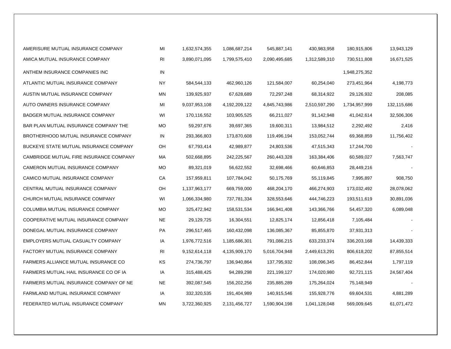| AMERISURE MUTUAL INSURANCE COMPANY      | MI        | 1,632,574,355 | 1,086,687,214 | 545,887,141   | 430,983,958   | 180,915,806   | 13,943,129  |
|-----------------------------------------|-----------|---------------|---------------|---------------|---------------|---------------|-------------|
| AMICA MUTUAL INSURANCE COMPANY          | <b>RI</b> | 3,890,071,095 | 1,799,575,410 | 2,090,495,685 | 1,312,589,310 | 730,511,808   | 16,671,525  |
| ANTHEM INSURANCE COMPANIES INC          | IN        |               |               |               |               | 1,948,275,352 |             |
| ATLANTIC MUTUAL INSURANCE COMPANY       | <b>NY</b> | 584,544,133   | 462,960,126   | 121,584,007   | 60,254,040    | 273,451,964   | 4,198,773   |
| AUSTIN MUTUAL INSURANCE COMPANY         | <b>MN</b> | 139,925,937   | 67,628,689    | 72,297,248    | 68,314,922    | 29,126,932    | 208,085     |
| AUTO OWNERS INSURANCE COMPANY           | MI        | 9,037,953,108 | 4,192,209,122 | 4,845,743,986 | 2,510,597,290 | 1,734,957,999 | 132,115,686 |
| BADGER MUTUAL INSURANCE COMPANY         | WI        | 170,116,552   | 103,905,525   | 66,211,027    | 91,142,948    | 41,042,614    | 32,506,306  |
| BAR PLAN MUTUAL INSURANCE COMPANY THE   | <b>MO</b> | 59,297,676    | 39,697,365    | 19,600,311    | 13,984,512    | 2,292,492     | 2,416       |
| BROTHERHOOD MUTUAL INSURANCE COMPANY    | IN        | 293,366,803   | 173,870,608   | 119,496,194   | 153,052,744   | 69,368,859    | 11,756,402  |
| BUCKEYE STATE MUTUAL INSURANCE COMPANY  | OH        | 67,793,414    | 42,989,877    | 24,803,536    | 47,515,343    | 17,244,700    |             |
| CAMBRIDGE MUTUAL FIRE INSURANCE COMPANY | МA        | 502,668,895   | 242,225,567   | 260,443,328   | 163,384,406   | 60,589,027    | 7,563,747   |
| CAMERON MUTUAL INSURANCE COMPANY        | MO        | 89,321,019    | 56,622,552    | 32,698,466    | 60,646,853    | 28,449,216    |             |
| CAMICO MUTUAL INSURANCE COMPANY         | CA        | 157,959,811   | 107,784,042   | 50,175,769    | 55,119,845    | 7,995,897     | 908,750     |
| CENTRAL MUTUAL INSURANCE COMPANY        | OH        | 1,137,963,177 | 669,759,000   | 468,204,170   | 466,274,903   | 173,032,492   | 28,078,062  |
| CHURCH MUTUAL INSURANCE COMPANY         | WI        | 1,066,334,980 | 737,781,334   | 328,553,646   | 444,746,223   | 193,511,619   | 30,891,036  |
| COLUMBIA MUTUAL INSURANCE COMPANY       | MO        | 325,472,942   | 158,531,534   | 166,941,408   | 143,366,766   | 54,457,320    | 6,089,048   |
| COOPERATIVE MUTUAL INSURANCE COMPANY    | <b>NE</b> | 29,129,725    | 16,304,551    | 12,825,174    | 12,856,418    | 7,105,484     |             |
| DONEGAL MUTUAL INSURANCE COMPANY        | PA        | 296,517,465   | 160,432,098   | 136,085,367   | 85,855,870    | 37,931,313    |             |
| EMPLOYERS MUTUAL CASUALTY COMPANY       | IA        | 1,976,772,516 | 1,185,686,301 | 791,086,215   | 633,233,374   | 336,203,168   | 14,439,333  |
| FACTORY MUTUAL INSURANCE COMPANY        | <b>RI</b> | 9,152,614,118 | 4,135,909,170 | 5,016,704,948 | 2,449,613,291 | 806,618,202   | 87,855,514  |
| FARMERS ALLIANCE MUTUAL INSURANCE CO    | KS        | 274,736,797   | 136,940,864   | 137,795,932   | 108,096,345   | 86,452,844    | 1,797,119   |
| FARMERS MUTUAL HAIL INSURANCE CO OF IA  | IA        | 315,488,425   | 94,289,298    | 221,199,127   | 174,020,980   | 92,721,115    | 24,567,404  |
| FARMERS MUTUAL INSURANCE COMPANY OF NE  | <b>NE</b> | 392,087,545   | 156,202,256   | 235,885,289   | 175,264,024   | 75,148,949    |             |
| FARMLAND MUTUAL INSURANCE COMPANY       | IA        | 332,320,535   | 191,404,989   | 140,915,546   | 155,928,776   | 69,604,531    | 4,881,289   |
| FEDERATED MUTUAL INSURANCE COMPANY      | MN        | 3,722,360,925 | 2,131,456,727 | 1,590,904,198 | 1,041,128,048 | 569,009,645   | 61,071,472  |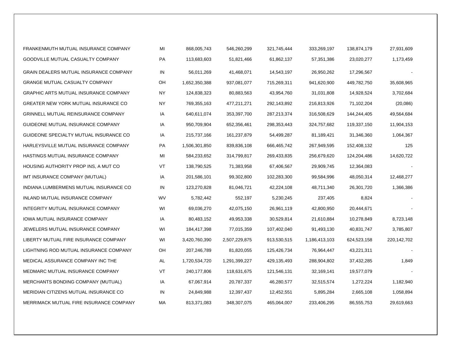| FRANKENMUTH MUTUAL INSURANCE COMPANY         | MI        | 868,005,743   | 546,260,299   | 321,745,444 | 333,269,197   | 138,874,179 | 27,931,609  |
|----------------------------------------------|-----------|---------------|---------------|-------------|---------------|-------------|-------------|
| GOODVILLE MUTUAL CASUALTY COMPANY            | PA        | 113,683,603   | 51,821,466    | 61,862,137  | 57,351,386    | 23,020,277  | 1,173,459   |
| GRAIN DEALERS MUTUAL INSURANCE COMPANY       | IN        | 56,011,269    | 41,468,071    | 14,543,197  | 26,950,262    | 17,296,567  |             |
| <b>GRANGE MUTUAL CASUALTY COMPANY</b>        | OH        | 1,652,350,388 | 937,081,077   | 715,269,311 | 941,620,900   | 449,782,750 | 35,608,965  |
| <b>GRAPHIC ARTS MUTUAL INSURANCE COMPANY</b> | <b>NY</b> | 124,838,323   | 80,883,563    | 43,954,760  | 31,031,808    | 14,928,524  | 3,702,684   |
| GREATER NEW YORK MUTUAL INSURANCE CO         | <b>NY</b> | 769,355,163   | 477,211,271   | 292,143,892 | 216,813,926   | 71,102,204  | (20,086)    |
| GRINNELL MUTUAL REINSURANCE COMPANY          | IA        | 640,611,074   | 353,397,700   | 287,213,374 | 316,508,629   | 144,244,405 | 49,564,684  |
| GUIDEONE MUTUAL INSURANCE COMPANY            | IA        | 950,709,904   | 652,356,461   | 298,353,443 | 324,757,682   | 119,337,150 | 11,904,153  |
| GUIDEONE SPECIALTY MUTUAL INSURANCE CO       | IA        | 215,737,166   | 161,237,879   | 54,499,287  | 81,189,421    | 31,346,360  | 1,064,367   |
| HARLEYSVILLE MUTUAL INSURANCE COMPANY        | PA        | 1,506,301,850 | 839,836,108   | 666,465,742 | 267,949,595   | 152,408,132 | 125         |
| HASTINGS MUTUAL INSURANCE COMPANY            | MI        | 584,233,652   | 314,799,817   | 269,433,835 | 256,679,620   | 124,204,486 | 14,620,722  |
| HOUSING AUTHORITY PROP INS, A MUT CO         | VT        | 138,790,525   | 71,383,958    | 67,406,567  | 29,909,745    | 12,364,083  |             |
| IMT INSURANCE COMPANY (MUTUAL)               | IA        | 201,586,101   | 99,302,800    | 102,283,300 | 99,584,996    | 48,050,314  | 12,468,277  |
| INDIANA LUMBERMENS MUTUAL INSURANCE CO       | IN        | 123,270,828   | 81,046,721    | 42,224,108  | 48,711,340    | 26,301,720  | 1,366,386   |
| INLAND MUTUAL INSURANCE COMPANY              | WV        | 5,782,442     | 552,197       | 5,230,245   | 237,405       | 8,824       |             |
| INTEGRITY MUTUAL INSURANCE COMPANY           | WI        | 69,036,270    | 42,075,150    | 26,961,119  | 42,800,950    | 20,444,671  |             |
| IOWA MUTUAL INSURANCE COMPANY                | IA        | 80,483,152    | 49,953,338    | 30,529,814  | 21,610,884    | 10,278,849  | 8,723,148   |
| JEWELERS MUTUAL INSURANCE COMPANY            | WI        | 184,417,398   | 77,015,359    | 107,402,040 | 91,493,130    | 40,831,747  | 3,785,807   |
| LIBERTY MUTUAL FIRE INSURANCE COMPANY        | WI        | 3,420,760,390 | 2,507,229,875 | 913,530,515 | 1,186,413,103 | 624,523,158 | 220,142,702 |
| LIGHTNING ROD MUTUAL INSURANCE COMPANY       | OH        | 207,246,789   | 81,820,055    | 125,426,734 | 76,964,447    | 43,221,311  |             |
| MEDICAL ASSURANCE COMPANY INC THE            | AL        | 1,720,534,720 | 1,291,399,227 | 429,135,493 | 288,904,802   | 37,432,285  | 1,849       |
| MEDMARC MUTUAL INSURANCE COMPANY             | VT        | 240,177,806   | 118,631,675   | 121,546,131 | 32,169,141    | 19,577,079  |             |
| <b>MERCHANTS BONDING COMPANY (MUTUAL)</b>    | IA        | 67,067,914    | 20,787,337    | 46,280,577  | 32,515,574    | 1,272,224   | 1,182,940   |
| MERIDIAN CITIZENS MUTUAL INSURANCE CO        | IN        | 24,849,988    | 12,397,437    | 12,452,551  | 5,895,284     | 2,665,108   | 1,058,894   |
| MERRIMACK MUTUAL FIRE INSURANCE COMPANY      | МA        | 813,371,083   | 348,307,075   | 465,064,007 | 233,406,295   | 86,555,753  | 29,619,663  |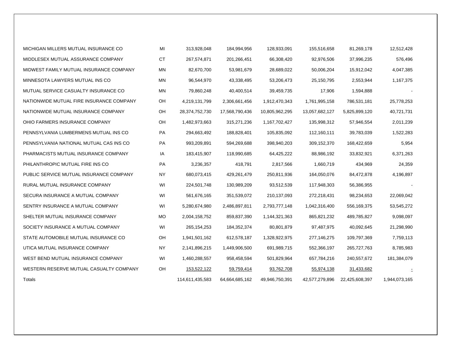| MICHIGAN MILLERS MUTUAL INSURANCE CO     | MI        | 313,928,048     | 184,994,956    | 128,933,091    | 155,516,658    | 81,269,178     | 12,512,428    |
|------------------------------------------|-----------|-----------------|----------------|----------------|----------------|----------------|---------------|
| MIDDLESEX MUTUAL ASSURANCE COMPANY       | <b>CT</b> | 267,574,871     | 201,266,451    | 66,308,420     | 92,976,506     | 37,996,235     | 576,496       |
| MIDWEST FAMILY MUTUAL INSURANCE COMPANY  | <b>MN</b> | 82,670,700      | 53,981,679     | 28,689,022     | 50,006,204     | 15,912,042     | 4,047,385     |
| MINNESOTA LAWYERS MUTUAL INS CO          | <b>MN</b> | 96,544,970      | 43,338,495     | 53,206,473     | 25,150,795     | 2,553,944      | 1,167,375     |
| MUTUAL SERVICE CASUALTY INSURANCE CO     | <b>MN</b> | 79,860,248      | 40,400,514     | 39,459,735     | 17,906         | 1,594,888      |               |
| NATIONWIDE MUTUAL FIRE INSURANCE COMPANY | OH        | 4,219,131,799   | 2,306,661,456  | 1,912,470,343  | 1,761,995,158  | 786,531,181    | 25,778,253    |
| NATIONWIDE MUTUAL INSURANCE COMPANY      | OH        | 28,374,752,730  | 17,568,790,436 | 10,805,962,295 | 13,057,682,127 | 5,825,899,120  | 40,721,731    |
| OHIO FARMERS INSURANCE COMPANY           | OH        | 1,482,973,663   | 315,271,236    | 1,167,702,427  | 135,998,312    | 57,946,554     | 2,011,239     |
| PENNSYLVANIA LUMBERMENS MUTUAL INS CO    | PA        | 294,663,492     | 188,828,401    | 105,835,092    | 112,160,111    | 39,783,039     | 1,522,283     |
| PENNSYLVANIA NATIONAL MUTUAL CAS INS CO  | PA        | 993,209,891     | 594,269,688    | 398,940,203    | 309,152,370    | 168,422,659    | 5,954         |
| PHARMACISTS MUTUAL INSURANCE COMPANY     | IA        | 183,415,907     | 118,990,685    | 64,425,222     | 88,986,192     | 33,832,921     | 6,371,263     |
| PHILANTHROPIC MUTUAL FIRE INS CO         | PA        | 3,236,357       | 418,791        | 2,817,566      | 1,660,719      | 434,969        | 24,359        |
| PUBLIC SERVICE MUTUAL INSURANCE COMPANY  | <b>NY</b> | 680,073,415     | 429,261,479    | 250,811,936    | 164,050,076    | 84,472,878     | 4,196,897     |
| RURAL MUTUAL INSURANCE COMPANY           | WI        | 224,501,748     | 130,989,209    | 93,512,539     | 117,948,303    | 56,386,955     |               |
| SECURA INSURANCE A MUTUAL COMPANY        | WI        | 561,676,165     | 351,539,072    | 210,137,093    | 272,218,431    | 98,234,653     | 22,069,042    |
| SENTRY INSURANCE A MUTUAL COMPANY        | WI        | 5,280,674,980   | 2,486,897,811  | 2,793,777,148  | 1,042,316,400  | 556,169,375    | 53,545,272    |
| SHELTER MUTUAL INSURANCE COMPANY         | <b>MO</b> | 2,004,158,752   | 859,837,390    | 1,144,321,363  | 865,821,232    | 489,785,827    | 9,098,097     |
| SOCIETY INSURANCE A MUTUAL COMPANY       | WI        | 265, 154, 253   | 184,352,374    | 80,801,879     | 97,487,975     | 40,092,645     | 21,298,990    |
| STATE AUTOMOBILE MUTUAL INSURANCE CO     | OH        | 1,941,501,162   | 612,578,187    | 1,328,922,975  | 277,146,275    | 109,797,369    | 7,759,113     |
| UTICA MUTUAL INSURANCE COMPANY           | <b>NY</b> | 2,141,896,215   | 1,449,906,500  | 691,989,715    | 552,366,197    | 265,727,763    | 8,785,983     |
| WEST BEND MUTUAL INSURANCE COMPANY       | WI        | 1,460,288,557   | 958,458,594    | 501,829,964    | 657,784,216    | 240,557,672    | 181,384,079   |
| WESTERN RESERVE MUTUAL CASUALTY COMPANY  | <b>OH</b> | 153,522,122     | 59,759,414     | 93,762,708     | 55,974,138     | 31,433,682     |               |
| Totals                                   |           | 114,611,435,583 | 64,664,685,162 | 49,946,750,391 | 42,577,279,896 | 22,425,608,397 | 1,944,073,165 |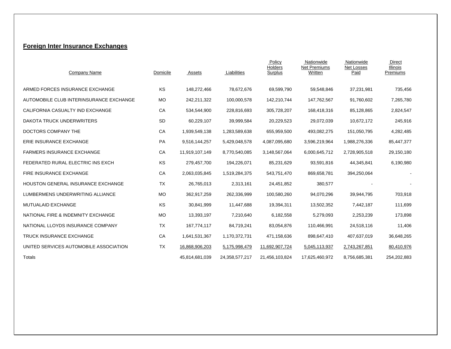#### **Foreign Inter Insurance Exchanges**

| Company Name                              | Domicile  | Assets         | Liabilities    | Policy<br>Holders<br>Surplus | Nationwide<br><b>Net Premiums</b><br>Written | Nationwide<br>Net Losses<br>Paid | Direct<br><b>Illinois</b><br>Premiums |
|-------------------------------------------|-----------|----------------|----------------|------------------------------|----------------------------------------------|----------------------------------|---------------------------------------|
| ARMED FORCES INSURANCE EXCHANGE           | KS        | 148,272,466    | 78,672,676     | 69,599,790                   | 59,548,846                                   | 37,231,981                       | 735,456                               |
| AUTOMOBILE CLUB INTERINSURANCE EXCHANGE   | <b>MO</b> | 242,211,322    | 100,000,578    | 142,210,744                  | 147,762,567                                  | 91,760,602                       | 7,265,780                             |
| CALIFORNIA CASUALTY IND EXCHANGE          | CA        | 534,544,900    | 228,816,693    | 305,728,207                  | 168,418,316                                  | 85,128,865                       | 2,824,547                             |
| DAKOTA TRUCK UNDERWRITERS                 | <b>SD</b> | 60,229,107     | 39,999,584     | 20,229,523                   | 29,072,039                                   | 10,672,172                       | 245,916                               |
| DOCTORS COMPANY THE                       | CA        | 1,939,549,138  | 1,283,589,638  | 655,959,500                  | 493,082,275                                  | 151,050,795                      | 4,282,485                             |
| ERIE INSURANCE EXCHANGE                   | <b>PA</b> | 9,516,144,257  | 5,429,048,578  | 4,087,095,680                | 3,596,219,964                                | 1,988,276,336                    | 85,447,377                            |
| <b>FARMERS INSURANCE EXCHANGE</b>         | CA        | 11,919,107,149 | 8,770,540,085  | 3,148,567,064                | 6,000,645,712                                | 2,728,905,518                    | 29,150,180                            |
| FEDERATED RURAL ELECTRIC INS EXCH         | KS        | 279,457,700    | 194,226,071    | 85,231,629                   | 93,591,816                                   | 44,345,841                       | 6,190,980                             |
| FIRE INSURANCE EXCHANGE                   | CA        | 2,063,035,845  | 1,519,284,375  | 543,751,470                  | 869,658,781                                  | 394,250,064                      |                                       |
| <b>HOUSTON GENERAL INSURANCE EXCHANGE</b> | <b>TX</b> | 26,765,013     | 2,313,161      | 24,451,852                   | 380,577                                      |                                  |                                       |
| LUMBERMENS UNDERWRITING ALLIANCE          | <b>MO</b> | 362,917,259    | 262,336,999    | 100,580,260                  | 94,070,296                                   | 39,944,795                       | 703,918                               |
| <b>MUTUALAID EXCHANGE</b>                 | KS        | 30,841,999     | 11,447,688     | 19,394,311                   | 13,502,352                                   | 7,442,187                        | 111,699                               |
| NATIONAL FIRE & INDEMNITY EXCHANGE        | <b>MO</b> | 13,393,197     | 7,210,640      | 6,182,558                    | 5,279,093                                    | 2,253,239                        | 173,898                               |
| NATIONAL LLOYDS INSURANCE COMPANY         | <b>TX</b> | 167,774,117    | 84,719,241     | 83,054,876                   | 110,466,991                                  | 24,518,116                       | 11,406                                |
| <b>TRUCK INSURANCE EXCHANGE</b>           | CA        | 1,641,531,367  | 1,170,372,731  | 471,158,636                  | 898,647,410                                  | 407,637,019                      | 36,648,265                            |
| UNITED SERVICES AUTOMOBILE ASSOCIATION    | TX        | 16,868,906,203 | 5,175,998,479  | 11,692,907,724               | 5,045,113,937                                | 2,743,267,851                    | 80,410,976                            |
| Totals                                    |           | 45,814,681,039 | 24,358,577,217 | 21,456,103,824               | 17,625,460,972                               | 8,756,685,381                    | 254,202,883                           |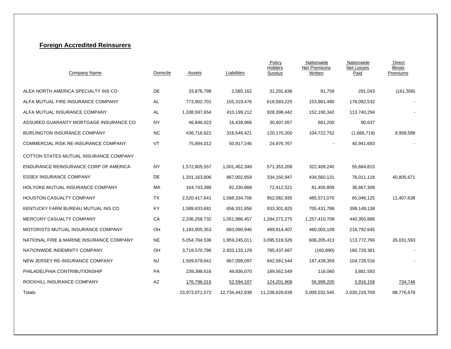#### **Foreign Accredited Reinsurers**

| Company Name                                | Domicile  | Assets         | Liabilities    | Policy<br>Holders<br>Surplus | Nationwide<br><b>Net Premiums</b><br>Written | Nationwide<br>Net Losses<br>Paid | Direct<br><b>Illinois</b><br>Premiums |
|---------------------------------------------|-----------|----------------|----------------|------------------------------|----------------------------------------------|----------------------------------|---------------------------------------|
| ALEA NORTH AMERICA SPECIALTY INS CO         | <b>DE</b> | 33,876,798     | 2,585,162      | 31,291,636                   | 91,759                                       | 291,043                          | (161, 558)                            |
| ALFA MUTUAL FIRE INSURANCE COMPANY          | AL        | 773,902,701    | 155,319,476    | 618,583,225                  | 153,981,490                                  | 178,092,532                      |                                       |
| ALFA MUTUAL INSURANCE COMPANY               | AL        | 1,338,597,654  | 410,199,212    | 928,398,442                  | 152,190,342                                  | 113,740,294                      |                                       |
| ASSURED GUARANTY MORTGAGE INSURANCE CO      | <b>NY</b> | 46,846,023     | 16,438,966     | 30,407,057                   | 661,200                                      | 90,637                           |                                       |
| <b>BURLINGTON INSURANCE COMPANY</b>         | <b>NC</b> | 436,716,621    | 316,546,421    | 120,170,200                  | 104,722,752                                  | (1,666,719)                      | 9,958,589                             |
| <b>COMMERCIAL RISK RE-INSURANCE COMPANY</b> | VT        | 75,894,012     | 50,917,246     | 24,976,767                   | $\blacksquare$                               | 40,941,693                       |                                       |
| COTTON STATES MUTUAL INSURANCE COMPANY      |           |                |                |                              |                                              |                                  |                                       |
| ENDURANCE REINSURANCE CORP OF AMERICA       | <b>NY</b> | 1,572,805,557  | 1,001,452,349  | 571,353,208                  | 322,409,240                                  | 55,684,815                       |                                       |
| <b>ESSEX INSURANCE COMPANY</b>              | DE        | 1,201,163,806  | 867,002,859    | 334,160,947                  | 434,560,131                                  | 76,011,118                       | 40,805,671                            |
| HOLYOKE MUTUAL INSURANCE COMPANY            | MA        | 164,743,389    | 92,330,868     | 72,412,521                   | 81,400,809                                   | 36,667,308                       |                                       |
| <b>HOUSTON CASUALTY COMPANY</b>             | TX        | 2,520,417,641  | 1,568,334,706  | 952,082,935                  | 485,571,070                                  | 65,046,125                       | 11,407,638                            |
| KENTUCKY FARM BUREAU MUTUAL INS CO          | KY        | 1,589,633,681  | 656,331,856    | 933,301,825                  | 705,431,788                                  | 399,149,138                      |                                       |
| MERCURY CASUALTY COMPANY                    | CA        | 2,336,258,732  | 1,051,986,457  | 1,284,272,275                | 1,257,410,708                                | 440,350,666                      |                                       |
| MOTORISTS MUTUAL INSURANCE COMPANY          | OH        | 1,183,005,353  | 683,090,946    | 499,914,407                  | 460,003,109                                  | 218,792,645                      |                                       |
| NATIONAL FIRE & MARINE INSURANCE COMPANY    | <b>NE</b> | 5,054,764,536  | 1,959,245,011  | 3,095,519,526                | 606,205,413                                  | 113,772,766                      | 26,031,593                            |
| NATIONWIDE INDEMNITY COMPANY                | OH        | 3,718,570,796  | 2,933,133,129  | 785,437,667                  | (160, 890)                                   | 180,729,381                      |                                       |
| NEW JERSEY RE-INSURANCE COMPANY             | <b>NJ</b> | 1,509,679,641  | 867,098,097    | 642,581,544                  | 187,439,359                                  | 104,728,516                      |                                       |
| PHILADELPHIA CONTRIBUTIONSHIP               | PA        | 239,398,616    | 49,836,070     | 189,562,549                  | 116,060                                      | 3,881,593                        |                                       |
| ROCKHILL INSURANCE COMPANY                  | AZ        | 176,796,015    | 52,594,107     | 124,201,908                  | 56,998,205                                   | 3,916,158                        | 734,746                               |
| Totals                                      |           | 23,973,071,572 | 12,734,442,938 | 11,238,628,639               | 5,009,032,545                                | 2,030,219,709                    | 88,776,679                            |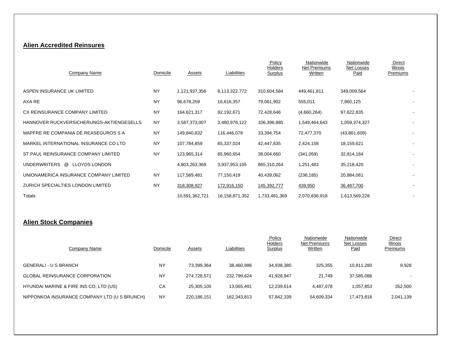#### **Alien Accredited Reinsures**

| Company Name                             | Domicile  | Assets         | Liabilities    | Policy<br>Holders<br>Surplus | Nationwide<br>Net Premiums<br>Written | Nationwide<br>Net Losses<br>Paid | <b>Direct</b><br>Illinois<br>Premiums |
|------------------------------------------|-----------|----------------|----------------|------------------------------|---------------------------------------|----------------------------------|---------------------------------------|
| ASPEN INSURANCE UK LIMITED               | <b>NY</b> | 1,121,937,356  | 8,113,322,772  | 310,604,584                  | 449,461,811                           | 349,009,564                      |                                       |
| AXA RE                                   | <b>NY</b> | 96,678,259     | 16,616,357     | 79,061,902                   | 555,011                               | 7,860,125                        |                                       |
| CX REINSURANCE COMPANY LIMITED           | <b>NY</b> | 164,621,317    | 92,192,671     | 72,428,646                   | (4,660,264)                           | 97,622,835                       | $\blacksquare$                        |
| HANNOVER RUCKVERSICHERUNGS-AKTIENGESELLS | <b>NY</b> | 3,587,373,007  | 3,480,976,122  | 106,396,885                  | 1,549,464,643                         | 1,059,374,327                    |                                       |
| MAPFRE RE COMPANIA DE REASEGUROS S A     | <b>NY</b> | 149,840,832    | 116,446,078    | 33,394,754                   | 72,477,370                            | (43,861,609)                     |                                       |
| MARKEL INTERNATIONAL INSURANCE CO LTD    | <b>NY</b> | 107,784,859    | 65,337,024     | 42,447,835                   | 2,424,158                             | 18,159,621                       |                                       |
| ST PAUL REINSURANCE COMPANY LIMITED      | <b>NY</b> | 123,965,314    | 85,960,654     | 38,004,660                   | (341, 059)                            | 32,814,184                       |                                       |
| UNDERWRITERS @ LLOYDS LONDON             |           | 4,803,263,369  | 3,937,953,105  | 865,310,264                  | 1,251,483                             | 35,218,420                       |                                       |
| UNIONAMERICA INSURANCE COMPANY LIMITED   | <b>NY</b> | 117,589,481    | 77,150,419     | 40,439,062                   | (236, 185)                            | 20,884,061                       |                                       |
| ZURICH SPECIALTIES LONDON LIMITED        | <b>NY</b> | 318,308,927    | 172,916,150    | 145,392,777                  | 439,950                               | 36,487,700                       |                                       |
| Totals                                   |           | 10,591,362,721 | 16,158,871,352 | 1,733,481,369                | 2,070,836,918                         | 1,613,569,228                    |                                       |

### **Alien Stock Companies**

| Company Name                                 | Domicile  | <b>Assets</b> | Liabilities | Policy<br>Holders<br><b>Surplus</b> | Nationwide<br>Net Premiums<br>Written | Nationwide<br>Net Losses<br>Paid | Direct<br><b>Illinois</b><br>Premiums |
|----------------------------------------------|-----------|---------------|-------------|-------------------------------------|---------------------------------------|----------------------------------|---------------------------------------|
| <b>GENERALI - U S BRANCH</b>                 | <b>NY</b> | 73.399.364    | 38,460,986  | 34,938,380                          | 325,355                               | 10.911.280                       | 9,928                                 |
| <b>GLOBAL REINSURANCE CORPORATION</b>        | <b>NY</b> | 274.728.571   | 232,799,624 | 41,928,947                          | 21.749                                | 37,585,086                       |                                       |
| HYUNDAI MARINE & FIRE INS CO, LTD (US)       | CA        | 25.305.105    | 13,065,491  | 12,239,614                          | 4,487,078                             | 1,057,853                        | 352,500                               |
| NIPPONKOA INSURANCE COMPANY LTD (U S BRUNCH) | <b>NY</b> | 220.186.151   | 162,343,813 | 57,842,339                          | 54,609,334                            | 17,473,816                       | 2,041,139                             |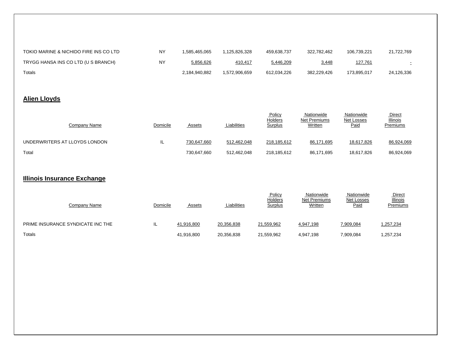| TOKIO MARINE & NICHIDO FIRE INS CO LTD | NY        | 1.585.465.065 | .125.826.328 | 459.638.737 | 322.782.462  | 106.739.221 | 21.722.769 |
|----------------------------------------|-----------|---------------|--------------|-------------|--------------|-------------|------------|
| TRYGG HANSA INS CO LTD (U S BRANCH)    | <b>NY</b> | 5,856,626     | 410,417      | 5,446,209   | <u>3,448</u> | 127,761     |            |
| Totals                                 |           | 2.184.940.882 | .572.906.659 | 612.034.226 | 382.229.426  | 173.895.017 | 24.126.336 |

### **Alien Lloyds**

| Company Name                  | Domicile | Assets      | Liabilities | <b>Policy</b><br>Holders<br>Surplus | Nationwide<br>Net Premiums<br>Written | Nationwide<br>Net Losses<br><u>Paid</u> | Direct<br>Illinois<br>Premiums |
|-------------------------------|----------|-------------|-------------|-------------------------------------|---------------------------------------|-----------------------------------------|--------------------------------|
| UNDERWRITERS AT LLOYDS LONDON | ⊢        | 730,647,660 | 512,462,048 | 218,185,612                         | 86,171,695                            | 18,617,826                              | 86,924,069                     |
| Total                         |          | 730,647,660 | 512.462.048 | 218,185,612                         | 86,171,695                            | 18,617,826                              | 86,924,069                     |

#### **Illinois Insurance Exchange**

| Company Name                      | Domicile | <b>Assets</b> | Liabilities | Policy<br>Holders<br><b>Surplus</b> | Nationwide<br><b>Net Premiums</b><br>Written | Nationwide<br>Net Losses<br>Paid | <b>Direct</b><br><b>Illinois</b><br>Premiums |
|-----------------------------------|----------|---------------|-------------|-------------------------------------|----------------------------------------------|----------------------------------|----------------------------------------------|
| PRIME INSURANCE SYNDICATE INC THE | IL.      | 41,916,800    | 20,356,838  | 21,559,962                          | 4,947,198                                    | 7,909,084                        | 1,257,234                                    |
| Totals                            |          | 41,916,800    | 20.356.838  | 21,559,962                          | 4.947.198                                    | 7,909,084                        | 1,257,234                                    |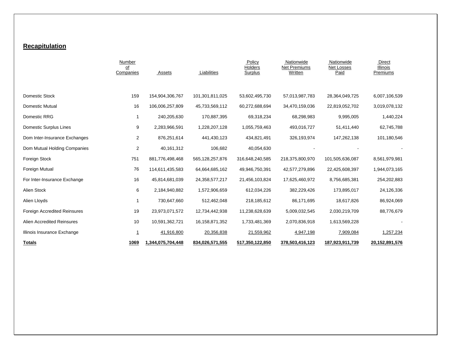#### **Recapitulation**

|                               | Number<br>οf<br>Companies | Assets            | Liabilities     | Policy<br>Holders<br>Surplus | Nationwide<br><b>Net Premiums</b><br>Written | Nationwide<br>Net Losses<br>Paid | Direct<br>Illinois<br>Premiums |
|-------------------------------|---------------------------|-------------------|-----------------|------------------------------|----------------------------------------------|----------------------------------|--------------------------------|
| Domestic Stock                | 159                       | 154,904,306,767   | 101,301,811,025 | 53,602,495,730               | 57,013,987,783                               | 28,364,049,725                   | 6,007,106,539                  |
| Domestic Mutual               | 16                        | 106,006,257,809   | 45,733,569,112  | 60,272,688,694               | 34,470,159,036                               | 22,819,052,702                   | 3,019,078,132                  |
| Domestic RRG                  | -1                        | 240,205,630       | 170,887,395     | 69,318,234                   | 68,298,983                                   | 9,995,005                        | 1,440,224                      |
| <b>Domestic Surplus Lines</b> | 9                         | 2,283,966,591     | 1,228,207,128   | 1,055,759,463                | 493,016,727                                  | 51,411,440                       | 62,745,788                     |
| Dom Inter-Insurance Exchanges | $\overline{2}$            | 876,251,614       | 441,430,123     | 434,821,491                  | 326, 193, 974                                | 147,262,138                      | 101,180,546                    |
| Dom Mutual Holding Companies  | $\overline{2}$            | 40,161,312        | 106,682         | 40,054,630                   |                                              |                                  |                                |
| Foreign Stock                 | 751                       | 881,776,498,468   | 565,128,257,876 | 316,648,240,585              | 218,375,800,970                              | 101,505,636,087                  | 8,561,979,981                  |
| Foreign Mutual                | 76                        | 114,611,435,583   | 64,664,685,162  | 49,946,750,391               | 42,577,279,896                               | 22,425,608,397                   | 1,944,073,165                  |
| For Inter-Insurance Exchange  | 16                        | 45,814,681,039    | 24,358,577,217  | 21,456,103,824               | 17,625,460,972                               | 8,756,685,381                    | 254,202,883                    |
| Alien Stock                   | 6                         | 2,184,940,882     | 1,572,906,659   | 612,034,226                  | 382,229,426                                  | 173,895,017                      | 24,126,336                     |
| Alien Lloyds                  |                           | 730,647,660       | 512,462,048     | 218,185,612                  | 86,171,695                                   | 18,617,826                       | 86,924,069                     |
| Foreign Accredited Reinsures  | 19                        | 23,973,071,572    | 12,734,442,938  | 11,238,628,639               | 5,009,032,545                                | 2,030,219,709                    | 88,776,679                     |
| Alien Accredited Reinsures    | 10                        | 10,591,362,721    | 16,158,871,352  | 1,733,481,369                | 2,070,836,918                                | 1,613,569,228                    |                                |
| Illinois Insurance Exchange   | $\mathbf{1}$              | 41,916,800        | 20,356,838      | 21,559,962                   | 4,947,198                                    | 7,909,084                        | 1,257,234                      |
| <b>Totals</b>                 | 1069                      | 1,344,075,704,448 | 834,026,571,555 | 517,350,122,850              | 378,503,416,123                              | 187,923,911,739                  | 20,152,891,576                 |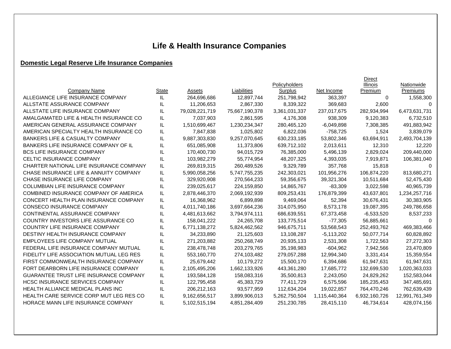# **Life & Health Insurance Companies**

## **Domestic Legal Reserve Life Insurance Companies**

|                                               |       |                |                    |               |               | Direct        |                |
|-----------------------------------------------|-------|----------------|--------------------|---------------|---------------|---------------|----------------|
|                                               |       |                |                    | Policyholders |               | Illinois      | Nationwide     |
| Company Name                                  | State | Assets         | <b>Liabilities</b> | Surplus       | Net Income    | Premium       | Premiums       |
| ALLEGIANCE LIFE INSURANCE COMPANY             | IL    | 264,696,686    | 12,897,744         | 251,798,942   | 363.397       | $\Omega$      | 1,558,300      |
| ALLSTATE ASSURANCE COMPANY                    | IL    | 11,206,653     | 2,867,330          | 8,339,322     | 369,683       | 2,600         | n              |
| ALLSTATE LIFE INSURANCE COMPANY               | IL    | 79,028,221,719 | 75,667,190,378     | 3,361,031,337 | 237,017,675   | 282,934,994   | 6,473,631,731  |
| AMALGAMATED LIFE & HEALTH INSURANCE CO        | IL    | 7,037,903      | 2,861,595          | 4,176,308     | 938,309       | 9,120,383     | 6,732,510      |
| AMERICAN GENERAL ASSURANCE COMPANY            | IL    | 1,510,699,467  | 1,230,234,347      | 280,465,120   | $-6,049,898$  | 7,308,385     | 491,883,942    |
| AMERICAN SPECIALTY HEALTH INSURANCE CO        | IL    | 7,847,838      | 1,025,802          | 6,822,036     | $-758,725$    | 1,524         | 3,839,079      |
| <b>BANKERS LIFE &amp; CASUALTY COMPANY</b>    | IL    | 9,887,303,830  | 9,257,070,645      | 630,233,185   | 53,802,346    | 63,694,911    | 2,493,704,139  |
| <b>BANKERS LIFE INSURANCE COMPANY OF IL</b>   | IL    | 651,085,908    | 11,373,806         | 639,712,102   | 2,013,611     | 12,310        | 12,220         |
| <b>BCS LIFE INSURANCE COMPANY</b>             | IL    | 170,400,730    | 94,015,729         | 76,385,000    | 5,496,139     | 2,829,024     | 209,440,000    |
| CELTIC INSURANCE COMPANY                      | IL    | 103,982,279    | 55,774,954         | 48,207,325    | 4,393,035     | 7,919,871     | 106,381,040    |
| CHARTER NATIONAL LIFE INSURANCE COMPANY       | IL    | 269,819,315    | 260,489,526        | 9,329,789     | 357,768       | 15,818        | 0              |
| CHASE INSURANCE LIFE & ANNUITY COMPANY        | IL    | 5,990,058,256  | 5,747,755,235      | 242,303,021   | 101,956,276   | 106,874,220   | 813,680,271    |
| CHASE INSURANCE LIFE COMPANY                  | IL    | 329,920,908    | 270,564,233        | 59,356,675    | 39,321,304    | 10,511,684    | 52,475,430     |
| <b>COLUMBIAN LIFE INSURANCE COMPANY</b>       | IL    | 239,025,617    | 224,159,850        | 14,865,767    | $-83,309$     | 3,022,598     | 40,965,739     |
| COMBINED INSURANCE COMPANY OF AMERICA         | IL    | 2,878,446,370  | 2,069,192,939      | 809,253,431   | 176,879,399   | 43,637,801    | 1,234,257,716  |
| CONCERT HEALTH PLAN INSURANCE COMPANY         | IL    | 16,368,962     | 6,899,898          | 9,469,064     | 52,394        | 30,676,431    | 30,383,905     |
| CONSECO INSURANCE COMPANY                     | IL    | 4,011,740,186  | 3,697,664,236      | 314,075,950   | 8,573,178     | 19,087,395    | 249,786,658    |
| CONTINENTAL ASSURANCE COMPANY                 | IL    | 4,481,613,662  | 3,794,974,111      | 686,639,551   | 67,373,458    | $-6,533,520$  | 8,537,233      |
| COUNTRY INVESTORS LIFE ASSURANCE CO           | IL    | 158,041,222    | 24,265,708         | 133,775,514   | $-77,305$     | 56,885,661    | $\Omega$       |
| COUNTRY LIFE INSURANCE COMPANY                | IL    | 6,771,138,272  | 5,824,462,562      | 946,675,711   | 53,568,543    | 252,493,762   | 469,383,466    |
| DESTINY HEALTH INSURANCE COMPANY              | IL    | 34,233,890     | 21,125,603         | 13,108,287    | $-5,113,202$  | 50,077,714    | 60,828,892     |
| EMPLOYEES LIFE COMPANY MUTUAL                 | IL    | 271,203,882    | 250,268,749        | 20,935,133    | 2,531,308     | 1,722,563     | 27,272,303     |
| FEDERAL LIFE INSURANCE COMPANY MUTUAL         | IL    | 238,478,748    | 203,279,765        | 35,198,983    | $-604,962$    | 7,942,566     | 23,470,809     |
| FIDELITY LIFE ASSOCIATION MUTUAL LEG RES      | IL    | 553,160,770    | 274,103,482        | 279,057,288   | 12,994,340    | 3,331,414     | 15,359,554     |
| FIRST COMMONWEALTH INSURANCE COMPANY          | IL    | 25,679,442     | 10,179,272         | 15,500,170    | 6,394,686     | 61,947,631    | 61,947,631     |
| FORT DEARBORN LIFE INSURANCE COMPANY          | IL    | 2,105,495,206  | 1,662,133,926      | 443,361,280   | 17,685,772    | 132,699,530   | 1,020,363,033  |
| <b>GUARANTEE TRUST LIFE INSURANCE COMPANY</b> | IL    | 193,584,128    | 158,083,316        | 35,500,813    | 2,243,050     | 24,829,262    | 152,583,044    |
| <b>HCSC INSURANCE SERVICES COMPANY</b>        | IL    | 122,795,458    | 45,383,729         | 77,411,729    | 6,575,596     | 185,235,453   | 347,485,691    |
| <b>HEALTH ALLIANCE MEDICAL PLANS INC</b>      | IL    | 206,212,163    | 93,577,959         | 112,634,204   | 19,022,857    | 764,470,246   | 762,639,439    |
| HEALTH CARE SERVICE CORP MUT LEG RES CO       | IL    | 9,162,656,517  | 3,899,906,013      | 5,262,750,504 | 1,115,440,364 | 6,932,160,726 | 12,991,761,349 |
| HORACE MANN LIFE INSURANCE COMPANY            | IL    | 5,102,515,194  | 4,851,284,409      | 251,230,785   | 28,415,110    | 46,734,614    | 428,074,156    |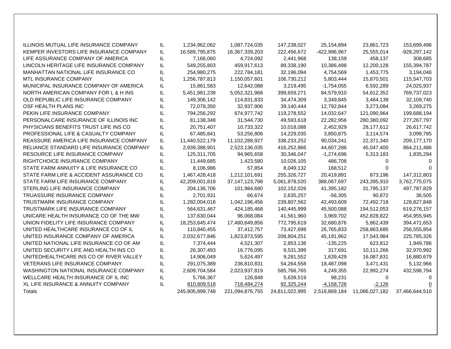| ILLINOIS MUTUAL LIFE INSURANCE COMPANY   | IL. | 1,234,962,062   | 1,087,724,035     | 147,238,027    | 25,154,894    | 23,861,723     | 153,699,496      |
|------------------------------------------|-----|-----------------|-------------------|----------------|---------------|----------------|------------------|
| KEMPER INVESTORS LIFE INSURANCE COMPANY  | IL  | 16,589,795,875  | 16,367,339,203    | 222,456,672    | -422,996,967  | 25,555,014     | $-928, 297, 142$ |
| LIFE ASSURANCE COMPANY OF AMERICA        | IL  | 7,166,060       | 4,724,092         | 2,441,968      | 138,159       | 458,137        | 308,685          |
| LINCOLN HERITAGE LIFE INSURANCE COMPANY  | IL  | 549,255,803     | 459,917,613       | 89,338,190     | 10,386,498    | 12,200,128     | 155,394,787      |
| MANHATTAN NATIONAL LIFE INSURANCE CO     | IL  | 254,980,275     | 222,784,181       | 32,196,094     | 4,754,569     | 1,453,775      | 3,194,046        |
| <b>MTL INSURANCE COMPANY</b>             | IL  | 1,256,787,813   | 1,150,057,601     | 106,730,212    | 5,803,444     | 15,870,501     | 115,547,703      |
| MUNICIPAL INSURANCE COMPANY OF AMERICA   | IL  | 15,861,583      | 12,642,088        | 3,219,495      | $-1,754,055$  | 6,592,289      | 24,025,937       |
| NORTH AMERICAN COMPANY FOR L & H INS     | IL  | 5,451,981,239   | 5,052,321,968     | 399,659,271    | 84,579,910    | 54,612,352     | 769,737,023      |
| OLD REPUBLIC LIFE INSURANCE COMPANY      | IL  | 149,306,142     | 114,831,833       | 34,474,309     | 3,349,845     | 3,464,139      | 32,109,740       |
| OSF HEALTH PLANS INC                     | IL  | 72,078,350      | 32,937,906        | 39,140,444     | 12,792,844    | 3,273,084      | 3,269,275        |
| PEKIN LIFE INSURANCE COMPANY             | IL  | 794,256,292     | 674,977,742       | 119,278,552    | 14,032,647    | 121,090,964    | 199,688,194      |
| PERSONALCARE INSURANCE OF ILLINOIS INC   | IL  | 81,138,348      | 31,544,730        | 49,593,618     | 22,282,956    | 280,380,092    | 277, 267, 797    |
| PHYSICIANS BENEFITS TRUST LIFE INS CO    | IL  | 20,751,407      | 10,733,322        | 10,018,088     | 2,452,929     | 28,177,612     | 26,617,742       |
| PROFESSIONAL LIFE & CASUALTY COMPANY     | IL  | 67,485,841      | 53,256,806        | 14,229,035     | 3,850,875     | 3,114,574      | 3,099,785        |
| REASSURE AMERICA LIFE INSURANCE COMPANY  | IL  | 11,440,522,179  | 11,102,288,927    | 338,233,252    | 90,034,241    | 22,371,340     | 209, 177, 170    |
| RELIANCE STANDARD LIFE INSURANCE COMPANY | IL  | 2,939,388,901   | 2,523,136,035     | 416,252,866    | 44,607,286    | 45,047,400     | 864,211,486      |
| RESOURCE LIFE INSURANCE COMPANY          | IL  | 125,311,705     | 94,965,658        | 30,346,047     | $-1,274,696$  | 5,313,183      | 1,835,294        |
| RIGHTCHOICE INSURANCE COMPANY            | IL  | 11,449,685      | 1,423,580         | 10,026,105     | 486,708       | 0              | $\Omega$         |
| STATE FARM ANNUITY & LIFE INSURANCE CO   | IL  | 8,106,986       | 57,854            | 8,049,132      | 168,512       | 0              |                  |
| STATE FARM LIFE & ACCIDENT ASSURANCE CO  | IL  | 1,467,428,418   | 1,212,101,691     | 255,326,727    | 20,419,891    | 873,196        | 147,312,803      |
| STATE FARM LIFE INSURANCE COMPANY        | IL. | 42,209,001,818  | 37, 147, 123, 798 | 5,061,878,020  | 388,067,697   | 243,395,910    | 3,762,775,075    |
| STERLING LIFE INSURANCE COMPANY          | IL  | 204,136,706     | 101,984,680       | 102,152,026    | 41,395,182    | 31,795,137     | 497,787,829      |
| TRUASSURE INSURANCE COMPANY              | IL  | 2,701,931       | 66,674            | 2,635,257      | $-56,305$     | 90,872         | 36,505           |
| TRUSTMARK INSURANCE COMPANY              | IL  | 1,282,004,018   | 1,042,196,456     | 239,807,562    | 42,493,609    | 72,492,718     | 128,827,848      |
| TRUSTMARK LIFE INSURANCE COMPANY         | IL  | 564,631,467     | 424,185,468       | 140,445,999    | 45,500,088    | 194,512,053    | 619,276,157      |
| UNICARE HEALTH INSURANCE CO OF THE MW    | IL  | 137,630,044     | 96,068,084        | 41,561,960     | 3,969,702     | 452,828,822    | 454,955,945      |
| UNION FIDELITY LIFE INSURANCE COMPANY    | IL  | 18,253,645,474  | 17,480,849,856    | 772,795,619    | 32,680,876    | 5,862,439      | 394,471,653      |
| UNITED HEALTHCARE INSURANCE CO OF IL     | IL  | 110,840,455     | 37,412,757        | 73,427,698     | 26,765,833    | 258,863,685    | 256,555,854      |
| UNITED INSURANCE COMPANY OF AMERICA      | IL  | 2,032,677,846   | 1,823,873,595     | 208,804,251    | 45,191,962    | 17,543,984     | 225,785,326      |
| UNITED NATIONAL LIFE INSURANCE CO OF AM  | IL. | 7,374,444       | 4,521,307         | 2,853,136      | $-135,225$    | 623,812        | 1,949,786        |
| UNITED SECURITY LIFE AND HEALTH INS CO   | IL  | 26,307,493      | 16,776,095        | 9,531,399      | 317,691       | 10,111,266     | 32,970,992       |
| UNITEDHEALTHCARE INS CO OF RIVER VALLEY  | IL  | 14,906,049      | 5,624,497         | 9,281,552      | 1,639,429     | 16,087,831     | 16,880,679       |
| <b>VETERANS LIFE INSURANCE COMPANY</b>   | IL  | 291,075,389     | 236,810,831       | 54,264,558     | 18,487,098    | 3,471,431      | 5,132,966        |
| WASHINGTON NATIONAL INSURANCE COMPANY    | IL  | 2,609,704,584   | 2,023,937,819     | 585,766,765    | 4,249,355     | 22,992,274     | 432,598,794      |
| WELLCARE HEALTH INSURANCE OF IL INC      | IL  | 5,766,367       | 126,848           | 5,639,519      | 98,231        | $\Omega$       | 0                |
| XL LIFE INSURANCE & ANNUITY COMPANY      | IL  | 810,809,518     | 718,484,274       | 92,325,244     | $-4,158,726$  | $-2,126$       | 0                |
| Totals                                   |     | 245,905,899,748 | 221,094,876,755   | 24,811,022,995 | 2,516,869,184 | 11.086.027.182 | 37,466,644,510   |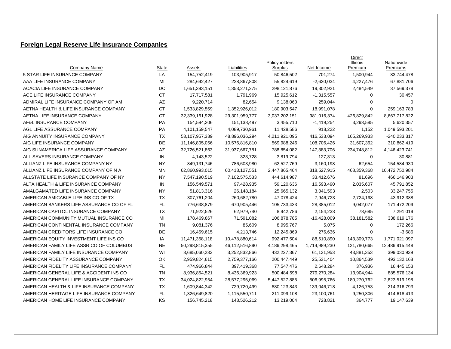### **Foreign Legal Reserve Life Insurance Companies**

|                                          |              |                |                | Policyholders |               | Direct<br><b>Illinois</b> | Nationwide     |
|------------------------------------------|--------------|----------------|----------------|---------------|---------------|---------------------------|----------------|
| Company Name                             | <b>State</b> | Assets         | Liabilities    | Surplus       | Net Income    | Premium                   | Premiums       |
| 5 STAR LIFE INSURANCE COMPANY            | LA           | 154,752,419    | 103,905,917    | 50,846,502    | 701,274       | 1,500,944                 | 83,744,478     |
| AAA LIFE INSURANCE COMPANY               | MI           | 284,692,427    | 228,867,808    | 55,824,619    | $-2,630,034$  | 4,227,476                 | 67,881,706     |
| ACACIA LIFE INSURANCE COMPANY            | DC           | 1,651,393,151  | 1,353,271,275  | 298,121,876   | 19,302,921    | 2,484,549                 | 37,569,378     |
| ACE LIFE INSURANCE COMPANY               | <b>CT</b>    | 17,717,581     | 1,791,969      | 15,925,612    | $-1,315,557$  | 0                         | 30,457         |
| ADMIRAL LIFE INSURANCE COMPANY OF AM     | AZ           | 9,220,714      | 82,654         | 9,138,060     | 259,044       | $\mathbf 0$               | $\Omega$       |
| AETNA HEALTH & LIFE INSURANCE COMPANY    | <b>CT</b>    | 1,533,829,559  | 1,352,926,012  | 180,903,547   | 18,991,078    | $\mathbf 0$               | 259, 163, 783  |
| AETNA LIFE INSURANCE COMPANY             | <b>CT</b>    | 32,339,161,928 | 29,301,959,777 | 3,037,202,151 | 981,016,374   | 426,829,842               | 8,667,717,822  |
| AF&L INSURANCE COMPANY                   | <b>PA</b>    | 154,594,206    | 151,138,497    | 3,455,710     | $-1,419,254$  | 3,293,585                 | 5,620,357      |
| AGL LIFE ASSURANCE COMPANY               | <b>PA</b>    | 4,101,159,547  | 4,089,730,961  | 11,428,586    | 918,222       | 1,152                     | 1,049,593,201  |
| AIG ANNUITY INSURANCE COMPANY            | TX           | 53,107,957,389 | 48,896,036,294 | 4,211,921,095 | 416,533,094   | 165,269,933               | $-240,233,317$ |
| AIG LIFE INSURANCE COMPANY               | DE           | 11,146,805,056 | 10,576,816,810 | 569,988,246   | 108,706,426   | 31,607,362                | 310,862,419    |
| AIG SUNAMERICA LIFE ASSURANCE COMPANY    | AZ           | 32,726,521,863 | 31,937,667,781 | 788,854,082   | 147,383,706   | 234,748,812               | 4,146,423,741  |
| ALL SAVERS INSURANCE COMPANY             | IN           | 4,143,522      | 323,728        | 3,819,794     | 127,313       | 0                         | 30,881         |
| ALLIANZ LIFE INSURANCE COMPANY NY        | <b>NY</b>    | 849,131,746    | 786,603,980    | 62,527,769    | 3,160,198     | 62,654                    | 154,584,930    |
| ALLIANZ LIFE INSURANCE COMPANY OF N A    | <b>MN</b>    | 62,860,993,015 | 60,413,127,551 | 2,447,865,464 | 318,527,915   | 468,359,368               | 10,472,750,984 |
| ALLSTATE LIFE INSURANCE COMPANY OF NY    | <b>NY</b>    | 7,547,190,519  | 7,102,575,533  | 444,614,987   | 33,412,676    | 81,696                    | 466,146,903    |
| ALTA HEALTH & LIFE INSURANCE COMPANY     | IN           | 156,549,571    | 97,428,935     | 59,120,636    | 16,593,490    | 2,035,607                 | 45,791,852     |
| AMALGAMATED LIFE INSURANCE COMPANY       | NY           | 51,813,316     | 26,148,184     | 25,665,132    | 3,041,593     | 2,503                     | 33,247,755     |
| AMERICAN AMICABLE LIFE INS CO OF TX      | <b>TX</b>    | 307,761,204    | 260,682,780    | 47,078,424    | 7,946,723     | 2,724,198                 | 43,912,388     |
| AMERICAN BANKERS LIFE ASSURANCE CO OF FL | FL.          | 776,638,879    | 670,905,446    | 105,733,433   | 28,385,012    | 9,042,077                 | 171,472,209    |
| AMERICAN CAPITOL INSURANCE COMPANY       | TX           | 71,922,526     | 62,979,740     | 8,942,786     | 2,154,233     | 78,685                    | 7,291,019      |
| AMERICAN COMMUNITY MUTUAL INSURANCE CO   | MI           | 178,469,867    | 71,591,082     | 106,878,785   | $-16,428,009$ | 38,181,582                | 338,619,176    |
| AMERICAN CONTINENTAL INSURANCE COMPANY   | <b>TN</b>    | 9,081,376      | 85,609         | 8,995,767     | 5,075         | 0                         | 172,266        |
| AMERICAN CREDITORS LIFE INSURANCE CO     | DE           | 16,459,615     | 4,213,746      | 12,245,869    | 276,636       | 0                         | $-3,686$       |
| AMERICAN EQUITY INVESTMENT LIFE INS CO   | IA           | 11,471,358,118 | 10,478,880,614 | 992,477,504   | 88,510,890    | 143,309,773               | 1,771,021,097  |
| AMERICAN FAMILY LIFE ASSR CO OF COLUMBUS | <b>NE</b>    | 50,298,815,355 | 46,112,516,890 | 4,186,298,465 | 1,714,989,230 | 121,780,665               | 12,486,915,448 |
| AMERICAN FAMILY LIFE INSURANCE COMPANY   | WI           | 3,685,060,233  | 3,252,832,866  | 432,227,367   | 61,131,953    | 43,881,353                | 399,030,939    |
| AMERICAN FIDELITY ASSURANCE COMPANY      | OK           | 2,959,824,615  | 2,759,377,166  | 200,447,449   | 25,531,404    | 10,864,539                | 493,132,168    |
| AMERICAN FIDELITY LIFE INSURANCE COMPANY | FL.          | 474,966,844    | 397,419,368    | 77,547,476    | 2,648,284     | 376,936                   | 16,445,153     |
| AMERICAN GENERAL LIFE & ACCIDENT INS CO  | TN           | 8,936,854,521  | 8,436,369,923  | 500,484,598   | 279,270,284   | 13,904,944                | 885,576,134    |
| AMERICAN GENERAL LIFE INSURANCE COMPANY  | <b>TX</b>    | 34,024,822,954 | 28,577,295,069 | 5,447,527,885 | 506,995,766   | 180,270,762               | 2,623,519,198  |
| AMERICAN HEALTH & LIFE INSURANCE COMPANY | <b>TX</b>    | 1,609,844,342  | 729,720,499    | 880,123,843   | 139,046,718   | 4,126,753                 | 214,316,793    |
| AMERICAN HERITAGE LIFE INSURANCE COMPANY | FL.          | 1,326,649,820  | 1,115,550,711  | 211,099,108   | 23,100,761    | 9,250,306                 | 414,618,413    |
| AMERICAN HOME LIFE INSURANCE COMPANY     | KS           | 156,745,218    | 143,526,212    | 13,219,004    | 728,821       | 364,777                   | 19,147,639     |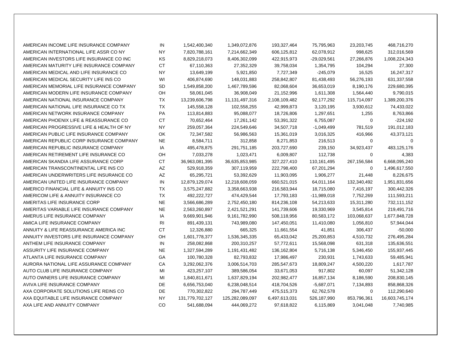| AMERICAN INCOME LIFE INSURANCE COMPANY   | IN        | 1,542,400,340   | 1,349,072,876   | 193,327,464   | 75,795,963    | 23,203,745  | 468,716,270    |
|------------------------------------------|-----------|-----------------|-----------------|---------------|---------------|-------------|----------------|
| AMERICAN INTERNATIONAL LIFE ASSR CO NY   | <b>NY</b> | 7,820,788,161   | 7,214,662,349   | 606,125,812   | 62,078,912    | 998,625     | 312,016,569    |
| AMERICAN INVESTORS LIFE INSURANCE CO INC | KS        | 8,829,218,073   | 8,406,302,099   | 422,915,973   | $-29,029,561$ | 27,266,876  | 1,008,224,343  |
| AMERICAN MATURITY LIFE INSURANCE COMPANY | <b>CT</b> | 67,110,363      | 27,352,329      | 39,758,034    | 1,354,795     | 104,294     | 27,300         |
| AMERICAN MEDICAL AND LIFE INSURANCE CO   | <b>NY</b> | 13,649,199      | 5,921,850       | 7,727,349     | $-245,079$    | 16,525      | 16,247,317     |
| AMERICAN MEDICAL SECURITY LIFE INS CO    | WI        | 406,874,690     | 148,031,883     | 258,842,807   | 81,438,493    | 56,276,193  | 631,337,558    |
| AMERICAN MEMORIAL LIFE INSURANCE COMPANY | SD        | 1,549,858,200   | 1,467,789,596   | 82,068,604    | 36,653,019    | 8,190,176   | 229,680,395    |
| AMERICAN MODERN LIFE INSURANCE COMPANY   | OH        | 58,061,045      | 36,908,049      | 21,152,996    | 1,611,308     | 1,564,440   | 9,790,015      |
| AMERICAN NATIONAL INSURANCE COMPANY      | TX        | 13,239,606,798  | 11,131,497,316  | 2,108,109,482 | 92,177,292    | 115,714,097 | 1,389,200,376  |
| AMERICAN NATIONAL LIFE INSURANCE CO TX   | <b>TX</b> | 145,558,128     | 102,558,255     | 42,999,873    | 3,120,195     | 3,930,612   | 74,433,022     |
| AMERICAN NETWORK INSURANCE COMPANY       | PA        | 113,814,883     | 95,088,077      | 18,726,806    | 1,297,651     | 1,255       | 8,763,866      |
| AMERICAN PHOENIX LIFE & REASSURANCE CO   | <b>CT</b> | 70,652,464      | 17,261,142      | 53,391,322    | 6,755,087     | $\mathbf 0$ | $-224,192$     |
| AMERICAN PROGRESSIVE LIFE & HEALTH OF NY | <b>NY</b> | 259,057,364     | 224,549,646     | 34,507,718    | $-1,049,499$  | 781,519     | 191,012,183    |
| AMERICAN PUBLIC LIFE INSURANCE COMPANY   | OK.       | 72,347,582      | 56,986,563      | 15,361,019    | 3,016,325     | 416,966     | 43,373,121     |
| AMERICAN REPUBLIC CORP INSURANCE COMPANY | <b>NE</b> | 8,584,711       | 312,858         | 8,271,853     | 216,513       | 0           | $\mathbf 0$    |
| AMERICAN REPUBLIC INSURANCE COMPANY      | IA        | 495,478,875     | 291,751,185     | 203,727,690   | 239,150       | 34,923,437  | 483,125,176    |
| AMERICAN RETIREMENT LIFE INSURANCE CO    | OH        | 7,033,278       | 1,023,471       | 6,009,807     | 112,738       | 0           | 4,383          |
| AMERICAN SKANDIA LIFE ASSURANCE CORP     | <b>CT</b> | 36,963,081,395  | 36,635,853,985  | 327,227,410   | 110,161,495   | 267,156,584 | 6,668,095,240  |
| AMERICAN TRANSCONTINENTAL LIFE INS CO    | AZ        | 529,918,359     | 307,119,959     | 222,798,400   | 67,201,294    | $\mathbf 0$ | 1,496,617,550  |
| AMERICAN UNDERWRITERS LIFE INSURANCE CO  | AZ        | 65,295,721      | 53,392,629      | 11,903,095    | 1,906,277     | 21,448      | 8,226,675      |
| AMERICAN UNITED LIFE INSURANCE COMPANY   | IN        | 12,879,129,074  | 12,218,608,059  | 660,521,015   | 64,011,164    | 132,340,492 | 1,951,831,656  |
| AMERICO FINANCIAL LIFE & ANNUITY INS CO  | TX        | 3,575,247,882   | 3,358,663,938   | 216,583,944   | 18,715,080    | 7,416,197   | 300,442,326    |
| AMERICOM LIFE & ANNUITY INSURANCE CO     | <b>TX</b> | 492,222,727     | 474,429,544     | 17,793,183    | $-11,989,018$ | 7,752,269   | 111,593,211    |
| AMERITAS LIFE INSURANCE CORP             | <b>NE</b> | 3,566,686,289   | 2,752,450,180   | 814,236,108   | 54,213,633    | 15,311,280  | 732,111,152    |
| AMERITAS VARIABLE LIFE INSURANCE COMPANY | <b>NE</b> | 2,563,260,897   | 2,421,521,291   | 141,739,606   | 19,330,969    | 3,545,814   | 219,491,716    |
| AMERUS LIFE INSURANCE COMPANY            | IA        | 9,669,901,946   | 9,161,782,990   | 508,118,956   | 80,583,172    | 103,068,637 | 1,677,848,728  |
| AMICA LIFE INSURANCE COMPANY             | <b>RI</b> | 891,439,131     | 743,989,080     | 147,450,051   | 11,410,080    | 1,056,810   | 57,944,044     |
| ANNUITY & LIFE REASSURANCE AMERICA INC   | <b>CT</b> | 12,326,880      | 665,325         | 11,661,554    | 41,851        | 306,437     | $-50,000$      |
| ANNUITY INVESTORS LIFE INSURANCE COMPANY | OH        | 1,601,778,377   | 1,536,345,335   | 65,433,042    | 25,200,853    | 4,510,732   | 276,495,284    |
| ANTHEM LIFE INSURANCE COMPANY            | IN        | 258,082,868     | 200,310,257     | 57,772,611    | 15,568,098    | 631,318     | 135,636,551    |
| ASSURITY LIFE INSURANCE COMPANY          | <b>NE</b> | 1,327,594,289   | 1,191,431,482   | 136,162,804   | 5,716,138     | 5,346,450   | 155,937,445    |
| ATLANTA LIFE INSURANCE COMPANY           | GA        | 100,780,328     | 82,793,832      | 17,986,497    | 230,931       | 1,743,633   | 59,485,941     |
| AURORA NATIONAL LIFE ASSURANCE COMPANY   | CA        | 3,292,062,376   | 3,006,514,703   | 285,547,673   | 18,809,247    | 4,500,220   | 1,617,787      |
| AUTO CLUB LIFE INSURANCE COMPANY         | MI        | 423,257,107     | 389,586,054     | 33,671,053    | 917,802       | 60,097      | 51,342,128     |
| AUTO OWNERS LIFE INSURANCE COMPANY       | MI        | 1,840,811,671   | 1,637,829,194   | 202,982,477   | 16,857,134    | 8,186,590   | 208,830,145    |
| AVIVA LIFE INSURANCE COMPANY             | DE        | 6,656,753,040   | 6,238,048,514   | 418,704,526   | $-5,687,071$  | 7,134,893   | 858,868,326    |
| AXA CORPORATE SOLUTIONS LIFE REINS CO    | DE        | 770,302,822     | 294,787,449     | 475,515,373   | 62,762,578    | $\mathbf 0$ | 112,290,640    |
| AXA EQUITABLE LIFE INSURANCE COMPANY     | <b>NY</b> | 131,779,702,127 | 125,282,089,097 | 6,497,613,031 | 526,187,990   | 853,796,361 | 16,603,745,174 |
| AXA LIFE AND ANNUITY COMPANY             | CO        | 541,688,094     | 444,069,272     | 97,618,822    | 6,115,869     | 3,041,048   | 7,740,985      |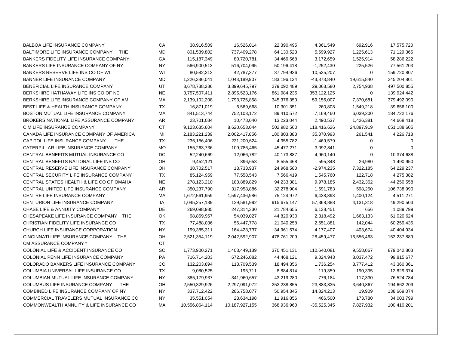| <b>BALBOA LIFE INSURANCE COMPANY</b>            | CA        | 38,916,509     | 16,526,014     | 22,390,495  | 4,361,549     | 692,916     | 17,575,720    |
|-------------------------------------------------|-----------|----------------|----------------|-------------|---------------|-------------|---------------|
| BALTIMORE LIFE INSURANCE COMPANY<br><b>THE</b>  | MD        | 801,539,802    | 737,409,278    | 64,130,523  | 5,599,927     | 1,225,613   | 71,129,365    |
| BANKERS FIDELITY LIFE INSURANCE COMPANY         | GA        | 115,187,349    | 80,720,781     | 34,466,568  | 3,172,659     | 1,525,914   | 58,286,222    |
| BANKERS LIFE INSURANCE COMPANY OF NY            | <b>NY</b> | 566,900,513    | 516,704,095    | 50,196,418  | $-1,252,430$  | 225,526     | 77,561,203    |
| BANKERS RESERVE LIFE INS CO OF WI               | WI        | 80,582,313     | 42,787,377     | 37,794,936  | 10,535,207    | 0           | 159,720,807   |
| BANNER LIFE INSURANCE COMPANY                   | MD        | 1,226,386,041  | 1,043,189,907  | 183,196,134 | -43,873,840   | 19,615,840  | 245,204,801   |
| BENEFICIAL LIFE INSURANCE COMPANY               | UT        | 3,678,738,286  | 3,399,645,797  | 279,092,489 | 29,063,580    | 2,754,938   | 497,500,855   |
| BERKSHIRE HATHAWAY LIFE INS CO OF NE            | <b>NE</b> | 3,757,507,411  | 2,895,523,176  | 861,984,235 | 353,122,125   | 0           | 139,924,442   |
| BERKSHIRE LIFE INSURANCE COMPANY OF AM          | МA        | 2,139,102,208  | 1,793,725,858  | 345,376,350 | 59,156,007    | 7,370,681   | 379,492,090   |
| <b>BEST LIFE &amp; HEALTH INSURANCE COMPANY</b> | ТX        | 16,871,019     | 6,569,668      | 10,301,351  | 260,808       | 1,549,218   | 39,656,100    |
| BOSTON MUTUAL LIFE INSURANCE COMPANY            | МA        | 841,513,744    | 752,103,172    | 89,410,572  | 7,169,460     | 6,039,200   | 184,722,176   |
| BROKERS NATIONAL LIFE ASSURANCE COMPANY         | AR.       | 23,701,084     | 10,478,040     | 13,223,044  | 2,490,537     | 1,426,381   | 44,668,418    |
| C M LIFE INSURANCE COMPANY                      | <b>CT</b> | 9,123,635,604  | 8,620,653,044  | 502,982,560 | 118,416,626   | 24,897,919  | 651,188,605   |
| CANADA LIFE INSURANCE COMPANY OF AMERICA        | MI        | 2,183,221,239  | 2,002,417,856  | 180,803,383 | 35,370,993    | 261,541     | 4,226,718     |
| CAPITOL LIFE INSURANCE COMPANY<br><b>THE</b>    | <b>TX</b> | 236,156,406    | 231,200,624    | 4,955,782   | $-1,469,579$  | 0           | 0             |
| CATERPILLAR LIFE INSURANCE COMPANY              | MO        | 155,263,736    | 109,786,465    | 45,477,271  | 3,092,841     | 0           | $\Omega$      |
| CENTRAL BENEFITS MUTUAL INSURANCE CO            | DC        | 52,240,669     | 12,066,782     | 40,173,887  | $-4,960,140$  | $\mathbf 0$ | 10,374,688    |
| CENTRAL BENEFITS NATIONAL LIFE INS CO           | OH        | 9,452,121      | 896,653        | 8,555,468   | 595,348       | 26,980      | 1,490,950     |
| CENTRAL RESERVE LIFE INSURANCE COMPANY          | OH        | 38,702,517     | 13,733,937     | 24,968,580  | $-2,974,235$  | 7,322,185   | 64,229,237    |
| CENTRAL SECURITY LIFE INSURANCE COMPANY         | TX        | 85,124,959     | 77,558,543     | 7,566,419   | 1,545,760     | 122,718     | 4,275,382     |
| CENTRAL STATES HEALTH & LIFE CO OF OMAHA        | <b>NE</b> | 278,123,210    | 183,889,829    | 94,233,381  | 9,978,185     | 2,432,362   | 44,250,558    |
| CENTRAL UNITED LIFE INSURANCE COMPANY           | AR        | 350,237,790    | 317,958,886    | 32,278,904  | 1,691,783     | 598,250     | 106,738,990   |
| CENTRE LIFE INSURANCE COMPANY                   | МA        | 1,672,561,959  | 1,597,436,986  | 75,124,972  | 6,438,893     | 1,400,124   | 4,511,271     |
| CENTURION LIFE INSURANCE COMPANY                | IA        | 1,045,257,139  | 129,581,992    | 915,675,147 | 57,368,888    | 4,131,318   | 49,290,503    |
| CHASE LIFE & ANNUITY COMPANY                    | DE        | 269,098,985    | 247,314,330    | 21,784,655  | 6,138,451     | 656         | 1,089,799     |
| CHESAPEAKE LIFE INSURANCE COMPANY<br><b>THE</b> | OK        | 98,859,957     | 54,039,027     | 44,820,930  | 2,318,492     | 1,663,133   | 61,020,624    |
| CHRISTIAN FIDELITY LIFE INSURANCE CO            | TX        | 77,488,036     | 56,447,778     | 21,040,258  | 2,651,881     | 142,044     | 60,259,436    |
| CHURCH LIFE INSURANCE CORPORATION               | <b>NY</b> | 199,385,311    | 164,423,737    | 34,961,574  | 4,177,407     | 403,674     | 40,404,934    |
| CINCINNATI LIFE INSURANCE COMPANY THE           | OH        | 2,521,354,119  | 2,042,592,907  | 478,761,209 | 28,459,477    | 16,556,463  | 153,237,889   |
| CM ASSURANCE COMPANY *                          | <b>CT</b> |                |                |             |               |             |               |
| COLONIAL LIFE & ACCIDENT INSURANCE CO           | SC        | 1,773,900,271  | 1,403,449,139  | 370,451,131 | 110,640,081   | 9,558,067   | 879,042,803   |
| COLONIAL PENN LIFE INSURANCE COMPANY            | PA        | 716,714,203    | 672,246,082    | 44,468,121  | 9,024,943     | 8,037,472   | 99,815,677    |
| COLORADO BANKERS LIFE INSURANCE COMPANY         | CO        | 132,203,894    | 113,709,539    | 18,494,356  | 1,736,254     | 3,777,412   | 43,360,361    |
| COLUMBIA UNIVERSAL LIFE INSURANCE CO            | ТX        | 9,080,525      | 195,711        | 8,884,814   | 119,359       | 190,335     | $-12,829,374$ |
| COLUMBIAN MUTUAL LIFE INSURANCE COMPANY         | <b>NY</b> | 385,179,937    | 341,960,657    | 43,219,280  | 776,184       | 117,330     | 76,524,784    |
| COLUMBUS LIFE INSURANCE COMPANY<br>THE          | OH        | 2,550,329,926  | 2,297,091,072  | 253,238,855 | 23,883,835    | 3,640,867   | 194,662,209   |
| COMBINED LIFE INSURANCE COMPANY OF NY           | <b>NY</b> | 337,712,422    | 286,758,077    | 50,954,345  | 14,824,213    | 19,909      | 138,669,074   |
| COMMERCIAL TRAVELERS MUTUAL INSURANCE CO        | <b>NY</b> | 35,551,054     | 23,634,198     | 11,916,856  | 466,500       | 173,780     | 34,003,799    |
| COMMONWEALTH ANNUITY & LIFE INSURANCE CO        | <b>MA</b> | 10,556,864,114 | 10,187,927,155 | 368,936,960 | $-35,525,345$ | 7,827,932   | 100,410,201   |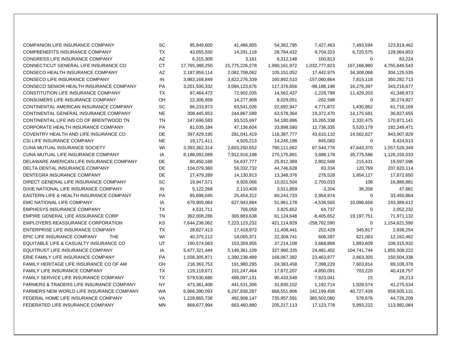| COMPANION LIFE INSURANCE COMPANY                    | SC        | 95,849,600     | 41,486,805     | 54,362,795    | 7,427,463     | 7,493,594   | 123,919,462   |
|-----------------------------------------------------|-----------|----------------|----------------|---------------|---------------|-------------|---------------|
| COMPBENEFITS INSURANCE COMPANY                      | ТX        | 43,055,550     | 14,291,118     | 28,764,432    | 9,704,323     | 6,720,575   | 128,064,853   |
| CONGRESS LIFE INSURANCE COMPANY                     | AZ        | 6,315,309      | 3,161          | 6,312,148     | 100,813       | 0           | 83,224        |
| CONNECTICUT GENERAL LIFE INSURANCE CO               | <b>CT</b> | 17,765,388,250 | 15,775,226,278 | 1,990,161,972 | 1,032,777,823 | 167,168,980 | 4,755,846,543 |
| <b>CONSECO HEALTH INSURANCE COMPANY</b>             | AZ        | 2,187,859,114  | 2,082,708,062  | 105,151,052   | 17,442,975    | 34,308,068  | 304,125,535   |
| CONSECO LIFE INSURANCE COMPANY                      | IN        | 3,983,168,849  | 3,822,276,339  | 160,892,510   | -157,060,864  | 7,815,118   | 350,282,713   |
| CONSECO SENIOR HEALTH INSURANCE COMPANY             | PA        | 3,201,500,332  | 3,084,123,676  | 117,376,656   | $-98,188,198$ | 16,276,397  | 343,216,677   |
| CONSTITUTION LIFE INSURANCE COMPANY                 | TX        | 87,464,472     | 72,902,035     | 14,562,437    | $-1,228,798$  | 11,429,203  | 41,348,973    |
| CONSUMERS LIFE INSURANCE COMPANY                    | OH        | 22,306,959     | 14,277,908     | 8,029,051     | $-262,598$    | 0           | 30,274,827    |
| CONTINENTAL AMERICAN INSURANCE COMPANY              | SC        | 86,233,973     | 63,541,026     | 22,692,947    | 4,771,872     | 1,430,862   | 61,718,169    |
| CONTINENTAL GENERAL INSURANCE COMPANY               | <b>NE</b> | 308,445,953    | 244,867,589    | 63,578,364    | 19,372,470    | 14,175,581  | 36,827,655    |
| CONTINENTAL LIFE INS CO OF BRENTWOOD TN             | <b>TN</b> | 147,696,583    | 93,515,697     | 54,180,886    | 10,265,338    | 2,332,475   | 170,871,141   |
| CORPORATE HEALTH INSURANCE COMPANY                  | PA        | 81,035,184     | 47,136,604     | 33,898,580    | 12,736,335    | 5,520,179   | 182,249,471   |
| COVENTRY HEALTH AND LIFE INSURANCE CO               | DE        | 397,429,195    | 281,041,419    | 116,387,777   | 43,610,110    | 14,562,627  | 943,907,829   |
| CSI LIFE INSURANCE COMPANY                          | <b>NE</b> | 19,171,411     | 4,926,213      | 14,245,198    | 845,083       | $\mathbf 0$ | 8,424,613     |
| CUNA MUTUAL INSURANCE SOCIETY                       | WI        | 3,393,362,314  | 2,603,250,652  | 790,111,662   | 67,544,776    | 47,643,370  | 1,557,529,349 |
| CUNA MUTUAL LIFE INSURANCE COMPANY                  | IA        | 8,188,092,089  | 7,912,916,198  | 275,175,891   | 3,888,178     | 35,775,586  | 1,126,155,033 |
| DELAWARE AMERICAN LIFE INSURANCE COMPANY            | DE        | 80,450,166     | 54,637,777     | 25,812,389    | 2,802,568     | 215,431     | 19,597,596    |
| DELTA DENTAL INSURANCE COMPANY                      | DE        | 104,079,360    | 59,332,732     | 44,746,628    | 83,334        | 120,769     | 207,620,114   |
| DENTEGRA INSURANCE COMPANY                          | <b>DE</b> | 27,479,289     | 14,130,913     | 13,348,376    | 276,528       | 1,954,127   | 17,872,650    |
| DIRECT GENERAL LIFE INSURANCE COMPANY               | <b>SC</b> | 19,947,571     | 9,926,066      | 10,021,504    | 2,700,033     | 108         | 16,886,881    |
| DIXIE NATIONAL LIFE INSURANCE COMPANY               | IN        | 5,122,268      | 2,110,409      | 3,011,859     | $-3,204$      | 36,208      | 47,681        |
| EASTERN LIFE & HEALTH INSURANCE COMPANY             | PA        | 85,698,045     | 25,454,312     | 60,243,733    | 2,954,974     | 0           | 33,450,864    |
| EMC NATIONAL LIFE COMPANY                           | IA        | 679,905,064    | 627,943,884    | 51,961,178    | $-4,536,565$  | 10,098,658  | 143,389,612   |
| <b>EMPHESYS INSURANCE COMPANY</b>                   | TX        | 4,531,711      | 706,059        | 3,825,652     | 64,737        | 0           | 2,052,232     |
| EMPIRE GENERAL LIFE ASSURANCE CORP                  | <b>TN</b> | 362,008,286    | 300,883,638    | 61,124,648    | $-8,405,652$  | 19,197,751  | 71,971,132    |
| <b>EMPLOYERS REASSURANCE CORPORATION</b>            | KS        | 7,644,238,062  | 7,223,123,232  | 421,114,829   | -258,762,590  | 0           | 1,154,621,590 |
| ENTERPRISE LIFE INSURANCE COMPANY                   | <b>TX</b> | 28,827,413     | 17,418,972     | 11,408,441    | 252,428       | 345,817     | 2,938,254     |
| EPIC LIFE INSURANCE COMPANY<br>THE                  | WI        | 40,375,112     | 18,065,371     | 22,309,741    | 606,287       | 621,063     | 12,162,462    |
| EQUITABLE LIFE & CASUALTY INSURANCE CO              | UT        | 190,574,063    | 153,359,955    | 37,214,108    | 3,668,869     | 1,893,609   | 109,315,932   |
| EQUITRUST LIFE INSURANCE COMPANY                    | IA        | 5,477,321,444  | 5,149,361,109  | 327,960,335   | 24,481,402    | 104,741,744 | 1,855,508,222 |
| ERIE FAMILY LIFE INSURANCE COMPANY                  | PA        | 1,558,305,871  | 1,390,238,489  | 168,067,382   | 23,463,877    | 2,663,305   | 150,504,338   |
| FAMILY HERITAGE LIFE INSURANCE CO OF AM             | OH        | 216,363,753    | 191,980,295    | 24,383,458    | 7,398,229     | 7,603,814   | 89,108,378    |
| <b>FAMILY LIFE INSURANCE COMPANY</b>                | <b>TX</b> | 119,119,671    | 101,247,464    | 17,872,207    | $-4,850,091$  | 703,220     | 40,418,757    |
| FAMILY SERVICE LIFE INSURANCE COMPANY               | <b>TX</b> | 579,530,680    | 489,097,131    | 90,433,548    | 7,823,041     | 15          | 28,213        |
| <b>FARMERS &amp; TRADERS LIFE INSURANCE COMPANY</b> | <b>NY</b> | 473,361,408    | 441,531,306    | 31,830,102    | 1,192,714     | 1,928,574   | 41,275,534    |
| FARMERS NEW WORLD LIFE INSURANCE COMPANY            | WA        | 6,966,390,093  | 6,297,838,287  | 668,551,806   | 142,199,458   | 40,727,439  | 659,505,131   |
| FEDERAL HOME LIFE INSURANCE COMPANY                 | <b>VA</b> | 1,228,865,738  | 492,908,147    | 735,957,591   | 365,502,080   | 578,676     | 44,726,208    |
| FEDERATED LIFE INSURANCE COMPANY                    | <b>MN</b> | 868,677,994    | 663,460,880    | 205,217,113   | 17,123,778    | 5,993,222   | 113,982,084   |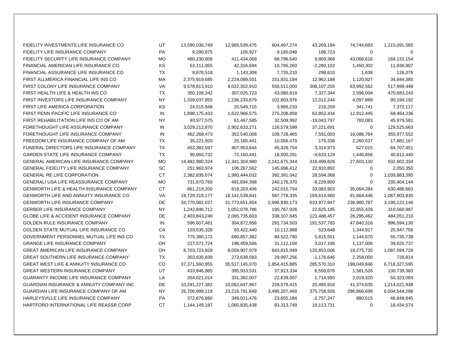| FIDELITY INVESTMENTS LIFE INSURANCE CO              | UT        | 13,590,036,749 | 12,985,539,475    | 604,497,274   | 43,269,194    | 74,744,693  | 1,215,091,585 |
|-----------------------------------------------------|-----------|----------------|-------------------|---------------|---------------|-------------|---------------|
| FIDELITY LIFE INSURANCE COMPANY                     | <b>PA</b> | 9,290,975      | 105,927           | 9,185,048     | 196,723       | 0           | $\Omega$      |
| FIDELITY SECURITY LIFE INSURANCE COMPANY            | <b>MO</b> | 480,230,608    | 411,434,068       | 68,796,540    | 9,869,366     | 43,068,616  | 164, 131, 154 |
| FINANCIAL AMERICAN LIFE INSURANCE CO                | KS        | 53,111,955     | 42,316,694        | 10,795,260    | $-2,280,102$  | 1,450,302   | 11,838,807    |
| FINANCIAL ASSURANCE LIFE INSURANCE CO               | TX        | 8,878,518      | 1,143,308         | 7,735,210     | 298,610       | 1,638       | 126,076       |
| FIRST ALLMERICA FINANCIAL LIFE INS CO               | MA        | 2,375,919,685  | 2,224,088,501     | 151,831,184   | 12,962,188    | 1,120,827   | 34,844,385    |
| FIRST COLONY LIFE INSURANCE COMPANY                 | VA        | 9,578,813,910  | 9,022,302,910     | 556,511,000   | 308, 107, 255 | 63,992,562  | 517,999,448   |
| FIRST HEALTH LIFE & HEALTH INS CO                   | <b>TX</b> | 350,106,342    | 307,025,723       | 43,080,619    | 7,327,344     | 2,596,004   | 470,683,243   |
| FIRST INVESTORS LIFE INSURANCE COMPANY              | NY        | 1,339,037,855  | 1,236,233,879     | 102,803,976   | 12,012,244    | 4,097,869   | 90,194,192    |
| FIRST LIFE AMERICA CORPORATION                      | KS        | 24,515,948     | 20,549,715        | 3,966,233     | 216,259       | 341,741     | 7,372,117     |
| FIRST PENN PACIFIC LIFE INSURANCE CO                | IN        | 1,898,175,433  | 1,622,966,575     | 275,208,858   | 62,852,434    | 12,912,445  | 68,464,236    |
| FIRST REHABILITATION LIFE INS CO OF AM              | <b>NY</b> | 93,977,575     | 61,467,585        | 32,509,992    | $-19,043,797$ | 783,083     | 45,979,581    |
| FORETHOUGHT LIFE ASSURANCE COMPANY                  | IN        | 3,029,212,870  | 2,902,633,271     | 126,579,599   | 37,221,691    | 0           | 129,525,663   |
| FORETHOUGHT LIFE INSURANCE COMPANY                  | IN        | 462,268,473    | 352,540,008       | 109,728,465   | 7,591,003     | 16,086,764  | 355,977,552   |
| FREEDOM LIFE INSURANCE COMPANY OF AM                | <b>TX</b> | 35,221,920     | 25,165,441        | 10,056,479    | 175,338       | 2,260,537   | 17,881,167    |
| FUNERAL DIRECTORS LIFE INSURANCE COMPANY            | TX        | 453,382,597    | 407,953,844       | 45,428,754    | 3,314,973     | 627,015     | 84,707,451    |
| <b>GARDEN STATE LIFE INSURANCE COMPANY</b>          | TX        | 90,660,732     | 72,160,441        | 18,500,291    | $-4,633,129$  | 1,446,656   | 40,812,440    |
| GENERAL AMERICAN LIFE INSURANCE COMPANY             | <b>MO</b> | 14,482,980,324 | 12,341,304,980    | 2,141,675,344 | 316,499,826   | 27,603,130  | 502,602,334   |
| GENERAL FIDELITY LIFE INSURANCE COMPANY             | SC        | 251,963,974    | 106,267,562       | 145,696,412   | 22,910,892    | 0           | 2,050,350     |
| <b>GENERAL RE LIFE CORPORATION</b>                  | <b>CT</b> | 2,382,835,074  | 1,990,444,032     | 392,391,042   | 28,594,368    | $\Omega$    | 1,039,883,395 |
| GENERALI USA LIFE REASSURANCE COMPANY               | <b>MO</b> | 731,870,769    | 491,694,398       | 240,176,370   | $-9,229,800$  | $\Omega$    | 235,404,144   |
| <b>GENWORTH LIFE &amp; HEALTH INSURANCE COMPANY</b> | <b>CT</b> | 861,219,200    | 619,203,406       | 242,015,794   | 33,083,903    | 35,064,284  | 630,486,683   |
| <b>GENWORTH LIFE AND ANNUITY INSURANCE CO</b>       | VA        | 18,729,318,177 | 18, 141, 539, 841 | 587,778,335   | 169,614,960   | 91,664,446  | 2,087,903,830 |
| <b>GENWORTH LIFE INSURANCE COMPANY</b>              | <b>DE</b> | 34,770,582,027 | 31,773,651,854    | 2,996,930,173 | 633,977,947   | 236,980,787 | 3,190,122,146 |
| GERBER LIFE INSURANCE COMPANY                       | NY        | 1,242,846,712  | 1,052,078,786     | 190,767,926   | 22,625,185    | 22,655,428  | 310,560,987   |
| <b>GLOBE LIFE &amp; ACCIDENT INSURANCE COMPANY</b>  | DE        | 2,403,843,248  | 2,065,735,603     | 338,107,645   | 123,488,457   | 26,295,462  | 484,051,210   |
| GOLDEN RULE INSURANCE COMPANY                       | IN        | 596,607,461    | 304,872,958       | 291,734,503   | 191,537,783   | 47,640,316  | 996,594,130   |
| GOLDEN STATE MUTUAL LIFE INSURANCE CO               | CA        | 103,535,328    | 93,422,440        | 10,112,888    | 523,648       | 1,344,917   | 25,947,756    |
| GOVERNMENT PERSONNEL MUTUAL LIFE INS CO             | TX        | 775,380,172    | 690,857,382       | 84,522,790    | 5,815,551     | 1,144,670   | 55,735,738    |
| <b>GRANGE LIFE INSURANCE COMPANY</b>                | OH        | 227,571,724    | 196,459,566       | 31,112,158    | 3,017,196     | 1,137,006   | 39,620,737    |
| <b>GREAT AMERICAN LIFE INSURANCE COMPANY</b>        | OH        | 8,703,723,928  | 8,059,907,979     | 643,815,949   | 120,853,006   | 18,275,735  | 1,087,594,729 |
| <b>GREAT SOUTHERN LIFE INSURANCE COMPANY</b>        | <b>TX</b> | 303,635,839    | 273,638,583       | 29,997,256    | $-1,176,646$  | 2,258,000   | 728,814       |
| <b>GREAT WEST LIFE &amp; ANNUITY INSURANCE CO</b>   | CO        | 37,371,560,955 | 35,517,145,070    | 1,854,415,885 | 285,570,310   | 198,049,846 | 6,718,327,595 |
| <b>GREAT WESTERN INSURANCE COMPANY</b>              | UT        | 433,846,865    | 395,933,531       | 37,913,334    | 6,550,676     | 1,581,526   | 130,739,383   |
| GUARANTY INCOME LIFE INSURANCE COMPANY              | LA        | 354,021,014    | 331,382,007       | 22,639,007    | 1,714,993     | 2,019,320   | 50,323,083    |
| <b>GUARDIAN INSURANCE &amp; ANNUITY COMPANY INC</b> | DE        | 10,291,227,382 | 10,062,647,967    | 228,579,415   | 20,485,916    | 41,374,635  | 1,214,021,938 |
| GUARDIAN LIFE INSURANCE COMPANY OF AM               | <b>NY</b> | 26,706,999,118 | 23,216,791,649    | 3,490,207,469 | 375,758,926   | 296,866,699 | 6,004,544,298 |
| HARLEYSVILLE LIFE INSURANCE COMPANY                 | PA        | 372,676,660    | 349,021,476       | 23,655,184    | $-2,757,247$  | 880,515     | 46,848,845    |
| HARTFORD INTERNATIONAL LIFE REASSR CORP             | <b>CT</b> | 1,144,149,187  | 1,060,835,438     | 83,313,749    | 19,113,731    | 0           | 18,434,574    |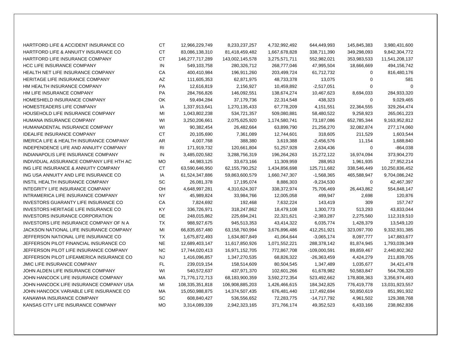| HARTFORD LIFE & ACCIDENT INSURANCE CO              | <b>CT</b>      | 12,966,229,749  | 8,233,237,257   | 4,732,992,492 | 644,449,993    | 145,845,383 | 3,980,431,600  |
|----------------------------------------------------|----------------|-----------------|-----------------|---------------|----------------|-------------|----------------|
| <b>HARTFORD LIFE &amp; ANNUITY INSURANCE CO</b>    | <b>CT</b>      | 83,086,138,310  | 81,418,459,482  | 1,667,678,828 | 338,711,390    | 349,298,093 | 9,842,304,772  |
| HARTFORD LIFE INSURANCE COMPANY                    | CT             | 146,277,717,289 | 143,002,145,578 | 3,275,571,711 | 552,982,021    | 353,983,533 | 11,541,208,137 |
| <b>HCC LIFE INSURANCE COMPANY</b>                  | IN             | 549,103,758     | 280,326,712     | 268,777,046   | 47,995,504     | 18,666,669  | 494,156,742    |
| HEALTH NET LIFE INSURANCE COMPANY                  | CA             | 400,410,984     | 196,911,260     | 203,499,724   | 61,712,732     | 0           | 816,480,176    |
| HERITAGE LIFE INSURANCE COMPANY                    | AZ             | 111,605,353     | 62,871,975      | 48,733,378    | 13,075         | 0           | 581            |
| HM HEALTH INSURANCE COMPANY                        | PA             | 12,616,819      | 2,156,927       | 10,459,892    | $-2,517,051$   | $\mathbf 0$ | $\Omega$       |
| HM LIFE INSURANCE COMPANY                          | PA             | 284,766,826     | 146,092,551     | 138,674,274   | 10,467,623     | 8,694,033   | 284,933,320    |
| HOMESHIELD INSURANCE COMPANY                       | OK             | 59,494,284      | 37,179,736      | 22,314,548    | 438,323        | $\mathbf 0$ | 9,029,465      |
| HOMESTEADERS LIFE COMPANY                          | IA             | 1,337,913,641   | 1,270,135,433   | 67,778,209    | 4,151,551      | 22,364,555  | 329,264,474    |
| HOUSEHOLD LIFE INSURANCE COMPANY                   | MI             | 1,043,802,238   | 534,721,357     | 509,080,881   | 58,480,522     | 9,258,923   | 265,061,223    |
| HUMANA INSURANCE COMPANY                           | WI             | 3,250,206,661   | 2,075,625,920   | 1,174,580,741 | 73,187,086     | 652,785,344 | 9,163,952,812  |
| HUMANADENTAL INSURANCE COMPANY                     | WI             | 90,382,454      | 26,482,664      | 63,899,790    | 21,256,270     | 32,082,874  | 277,174,060    |
| <b>IDEALIFE INSURANCE COMPANY</b>                  | <b>CT</b>      | 20,105,690      | 7,361,089       | 12,744,601    | 318,605        | 211,529     | 1,603,544      |
| <b>IMERICA LIFE &amp; HEALTH INSURANCE COMPANY</b> | AR             | 4,007,768       | 388,380         | 3,619,388     | $-2,456,576$   | 11,154      | 1,688,840      |
| INDEPENDENCE LIFE AND ANNUITY COMPANY              | R <sub>l</sub> | 171,919,732     | 120,661,804     | 51,257,928    | 2,634,436      | 0           | $-864,038$     |
| INDIANAPOLIS LIFE INSURANCE COMPANY                | IN             | 3,485,020,582   | 3,288,756,319   | 196,264,263   | 15,272,122     | 16,974,094  | 373,904,270    |
| INDIVIDUAL ASSURANCE COMPANY LIFE HTH AC           | <b>MO</b>      | 44,983,125      | 33,673,166      | 11,309,959    | 288,953        | 1,961,935   | 27,952,214     |
| ING LIFE INSURANCE & ANNUITY COMPANY               | <b>CT</b>      | 63,590,646,950  | 62,155,790,252  | 1,434,856,698 | 125,711,682    | 338,546,449 | 10,250,836,452 |
| ING USA ANNUITY AND LIFE INSURANCE CO              | IA             | 61,524,347,886  | 59,863,600,579  | 1,660,747,307 | $-1,568,365$   | 465,588,947 | 9,704,086,242  |
| INSTIL HEALTH INSURANCE COMPANY                    | SC             | 26,081,378      | 17,195,074      | 8,886,303     | $-9,234,530$   | 0           | 42,467,397     |
| <b>INTEGRITY LIFE INSURANCE COMPANY</b>            | OH             | 4,648,997,281   | 4,310,624,307   | 338,372,974   | 75,706,469     | 26,443,862  | 554,848,147    |
| INTRAMERICA LIFE INSURANCE COMPANY                 | NY             | 45,989,824      | 33,984,766      | 12,005,058    | 499,947        | 2,698       | 120,876        |
| <b>INVESTORS GUARANTY LIFE INSURANCE CO</b>        | СA             | 7,824,692       | 192,468         | 7,632,224     | 143,419        | 309         | 157,747        |
| <b>INVESTORS HERITAGE LIFE INSURANCE CO</b>        | KY             | 336,726,971     | 318,247,862     | 18,479,108    | 1,300,773      | 513,293     | 43,833,044     |
| <b>INVESTORS INSURANCE CORPORATION</b>             | DE             | 248,015,862     | 225,694,241     | 22,321,621    | $-2,383,287$   | 2,275,560   | 112,319,510    |
| INVESTORS LIFE INSURANCE COMPANY OF N A            | <b>TX</b>      | 988,927,675     | 945,513,353     | 43,414,322    | 6,035,774      | 1,428,379   | 13,549,120     |
| JACKSON NATIONAL LIFE INSURANCE COMPANY            | MI             | 66,835,657,480  | 63,158,760,994  | 3,676,896,486 | 412,251,921    | 323,097,700 | 9,332,931,385  |
| JEFFERSON NATIONAL LIFE INSURANCE CO               | TX             | 1,675,872,493   | 1,634,807,849   | 41,064,644    | $-3,065,174$   | 8,097,777   | 147,883,677    |
| JEFFERSON PILOT FINANCIAL INSURANCE CO             | <b>NE</b>      | 12,689,403,147  | 11,617,850,926  | 1,071,552,221 | 288,378,142    | 81,874,945  | 1,793,039,349  |
| JEFFERSON PILOT LIFE INSURANCE COMPANY             | <b>NC</b>      | 17,744,020,413  | 16,971,152,705  | 772,867,708   | $-109,000,591$ | 89,859,467  | 2,440,802,362  |
| JEFFERSON PILOT LIFEAMERICA INSURANCE CO           | NJ             | 1,416,096,857   | 1,347,270,535   | 68,826,322    | $-26,363,459$  | 4,424,279   | 211,839,705    |
| <b>JMIC LIFE INSURANCE COMPANY</b>                 | FL.            | 239,019,154     | 158,514,609     | 80,504,545    | 1,347,489      | 1,035,677   | 34,421,478     |
| JOHN ALDEN LIFE INSURANCE COMPANY                  | WI             | 540,572,637     | 437,971,370     | 102,601,266   | 61,678,982     | 50,583,847  | 564,706,320    |
| JOHN HANCOCK LIFE INSURANCE COMPANY                | MA             | 71,776,172,713  | 68,183,900,359  | 3,592,272,354 | 523,492,662    | 178,808,363 | 3,356,974,493  |
| JOHN HANCOCK LIFE INSURANCE COMPANY USA            | MI             | 108,335,351,818 | 106,908,885,203 | 1,426,466,615 | 184,342,825    | 776,419,778 | 13,031,923,557 |
| JOHN HANCOCK VARIABLE LIFE INSURANCE CO            | МA             | 15,050,988,875  | 14,374,507,435  | 676,481,440   | 117,492,694    | 50,850,619  | 851,991,932    |
| KANAWHA INSURANCE COMPANY                          | SC             | 608,840,427     | 536,556,652     | 72,283,775    | -14,717,792    | 4,961,502   | 129,388,768    |
| KANSAS CITY LIFE INSURANCE COMPANY                 | <b>MO</b>      | 3,314,089,339   | 2,942,323,165   | 371,766,174   | 49,352,523     | 6,433,166   | 238,862,836    |
|                                                    |                |                 |                 |               |                |             |                |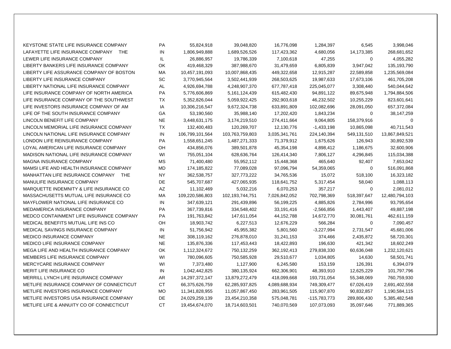| KEYSTONE STATE LIFE INSURANCE COMPANY          | PA        | 55,824,918      | 39,048,820      | 16,776,098    | 1,284,397    | 6,545       | 3,998,046      |
|------------------------------------------------|-----------|-----------------|-----------------|---------------|--------------|-------------|----------------|
| LAFAYETTE LIFE INSURANCE COMPANY<br><b>THE</b> | IN        | 1,806,949,888   | 1,689,526,526   | 117,423,362   | 4,680,056    | 14,173,385  | 268,681,652    |
| LEWER LIFE INSURANCE COMPANY                   | IL.       | 26,886,957      | 19,786,339      | 7,100,618     | 47,255       | 0           | 4,055,282      |
| LIBERTY BANKERS LIFE INSURANCE COMPANY         | OK        | 419,468,329     | 387,988,670     | 31,479,659    | 6,805,839    | 3,947,042   | 135,193,790    |
| LIBERTY LIFE ASSURANCE COMPANY OF BOSTON       | МA        | 10,457,191,093  | 10,007,868,435  | 449,322,658   | 12,915,287   | 22,589,858  | 1,235,569,084  |
| LIBERTY LIFE INSURANCE COMPANY                 | SC        | 3,770,945,564   | 3,502,441,939   | 268,503,625   | 19,987,633   | 17,673,106  | 461,705,208    |
| LIBERTY NATIONAL LIFE INSURANCE COMPANY        | AL        | 4,926,694,788   | 4,248,907,370   | 677,787,418   | 225,045,077  | 3,308,440   | 540,044,642    |
| LIFE INSURANCE COMPANY OF NORTH AMERICA        | PA        | 5,776,606,869   | 5,161,124,439   | 615,482,430   | 94,891,122   | 89,675,948  | 1,794,884,506  |
| LIFE INSURANCE COMPANY OF THE SOUTHWEST        | <b>TX</b> | 5,352,826,044   | 5,059,922,425   | 292,903,618   | 46,232,502   | 10,255,229  | 823,601,641    |
| LIFE INVESTORS INSURANCE COMPANY OF AM         | IA        | 10,306,216,547  | 9,672,324,738   | 633,891,809   | 102,082,696  | 28,091,050  | 657,372,084    |
| LIFE OF THE SOUTH INSURANCE COMPANY            | GA        | 53,190,560      | 35,988,140      | 17,202,420    | 1,843,234    | 0           | 38,147,259     |
| LINCOLN BENEFIT LIFE COMPANY                   | <b>NE</b> | 3,448,631,175   | 3,174,219,510   | 274,411,664   | 9,064,805    | 158,379,916 | $\mathbf 0$    |
| LINCOLN MEMORIAL LIFE INSURANCE COMPANY        | ТX        | 132,400,483     | 120,269,707     | 12,130,776    | $-1,433,198$ | 10,865,098  | 40,711,543     |
| LINCOLN NATIONAL LIFE INSURANCE COMPANY        | IN        | 106,799,101,564 | 103,763,759,803 | 3,035,341,761 | 224,140,394  | 549,131,510 | 13,867,849,521 |
| LONDON LIFE REINSURANCE COMPANY                | PA        | 1,558,651,245   | 1,487,271,333   | 71,379,912    | 1,675,626    | 126,943     | 30,892,539     |
| LOYAL AMERICAN LIFE INSURANCE COMPANY          | OH        | 434,856,076     | 389,501,878     | 45,354,198    | 4,898,412    | 1,186,675   | 32,600,906     |
| MADISON NATIONAL LIFE INSURANCE COMPANY        | WI        | 755,051,104     | 628,636,764     | 126,414,340   | 7,806,127    | 4,296,845   | 115,034,388    |
| MAGNA INSURANCE COMPANY                        | MS        | 71,400,480      | 55,952,112      | 15,448,368    | 465,640      | 92,407      | 7,653,042      |
| MAMSI LIFE AND HEALTH INSURANCE COMPANY        | MD        | 174,185,822     | 77,089,028      | 97,096,794    | 54,359,065   | 0           | 516,091,868    |
| MANHATTAN LIFE INSURANCE COMPANY THE           | <b>NY</b> | 362,538,757     | 327,773,222     | 34,765,536    | 15,072       | 518,100     | 16,323,182     |
| MANULIFE INSURANCE COMPANY                     | DE        | 545,707,687     | 427,065,935     | 118,641,752   | 5,317,454    | 58,040      | 1,088,113      |
| MARQUETTE INDEMNITY & LIFE INSURANCE CO        | AZ        | 11,102,469      | 5,032,216       | 6,070,253     | 357,217      | 0           | 2,081,012      |
| MASSACHUSETTS MUTUAL LIFE INSURANCE CO         | МA        | 109,220,586,803 | 102,193,744,751 | 7,026,842,052 | 702,798,369  | 518,397,647 | 12,480,794,103 |
| MAYFLOWER NATIONAL LIFE INSURANCE CO           | IN        | 347,639,121     | 291,439,896     | 56,199,225    | 4,885,826    | 2,784,996   | 93,795,654     |
| MEDAMERICA INSURANCE COMPANY                   | PA        | 367,739,816     | 334,548,402     | 33,191,416    | $-2,566,856$ | 1,443,407   | 49,887,198     |
| MEDCO CONTAINMENT LIFE INSURANCE COMPANY       | PA        | 191,763,842     | 147,611,054     | 44,152,788    | 14,672,770   | 30,081,761  | 462,611,159    |
| MEDICAL BENEFITS MUTUAL LIFE INS CO            | OH        | 18,903,742      | 6,227,513       | 12,676,229    | 566,284      | $\mathbf 0$ | 7,090,457      |
| MEDICAL SAVINGS INSURANCE COMPANY              | IN        | 51,756,942      | 45,955,382      | 5,801,560     | $-3,227,994$ | 2,731,547   | 45,681,006     |
| MEDICO INSURANCE COMPANY                       | <b>NE</b> | 308,119,162     | 276,878,010     | 31,241,153    | 374,466      | 2,435,872   | 58,720,301     |
| MEDICO LIFE INSURANCE COMPANY                  | <b>NE</b> | 135,876,336     | 117,453,443     | 18,422,893    | 196,630      | 421,342     | 18,602,249     |
| MEGA LIFE AND HEALTH INSURANCE COMPANY         | OK        | 1,112,324,672   | 750,132,259     | 362,192,413   | 279,838,330  | 60,636,048  | 1,232,120,621  |
| MEMBERS LIFE INSURANCE COMPANY                 | WI        | 780,096,605     | 750,585,928     | 29,510,677    | 1,034,805    | 14,630      | 58,501,741     |
| MERCYCARE INSURANCE COMPANY                    | WI        | 7,373,480       | 1,127,900       | 6,245,580     | 153,159      | 126,391     | 6,394,079      |
| <b>MERIT LIFE INSURANCE CO</b>                 | IN        | 1,042,442,825   | 380,135,924     | 662,306,901   | 48,393,910   | 12,625,229  | 101,797,796    |
| MERRILL LYNCH LIFE INSURANCE COMPANY           | AR        | 14,297,372,147  | 13,879,272,479  | 418,099,668   | 193,731,054  | 55,348,069  | 760,759,930    |
| METLIFE INSURANCE COMPANY OF CONNECTICUT       | СT        | 66,375,626,759  | 62,285,937,825  | 4,089,688,934 | 749,309,477  | 67,026,419  | 2,691,402,558  |
| METLIFE INVESTORS INSURANCE COMPANY            | <b>MO</b> | 11,341,828,955  | 11,057,867,450  | 283,961,505   | 115,907,870  | 90,832,857  | 1,190,584,115  |
| METLIFE INVESTORS USA INSURANCE COMPANY        | <b>DE</b> | 24,029,259,139  | 23,454,210,358  | 575,048,781   | -115,783,773 | 289,806,430 | 5,385,482,548  |
| METLIFE LIFE & ANNUITY CO OF CONNECTICUT       | <b>CT</b> | 19,454,674,070  | 18,714,603,501  | 740,070,569   | 107,073,093  | 35,097,646  | 771,889,365    |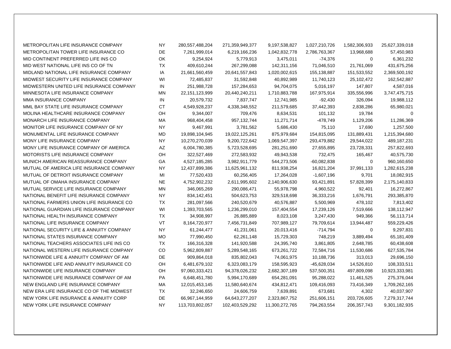| METROPOLITAN LIFE INSURANCE COMPANY      | <b>NY</b> | 280,557,488,204   | 271,359,949,377 | 9,197,538,827  | 1,027,210,726 | 1,582,306,933 | 25,627,339,018 |
|------------------------------------------|-----------|-------------------|-----------------|----------------|---------------|---------------|----------------|
| METROPOLITAN TOWER LIFE INSURANCE CO     | DE        | 7,261,999,014     | 6,219,166,236   | 1,042,832,778  | 2,786,763,367 | 13,968,688    | 57,450,983     |
| MID CONTINENT PREFERRED LIFE INS CO      | OK        | 9,254,924         | 5,779,913       | 3,475,011      | $-74,376$     | $\mathbf 0$   | 6,361,232      |
| MID WEST NATIONAL LIFE INS CO OF TN      | <b>TX</b> | 409,610,244       | 267,299,088     | 142,311,156    | 71,046,510    | 21,761,069    | 431,675,256    |
| MIDLAND NATIONAL LIFE INSURANCE COMPANY  | IA        | 21,661,560,459    | 20,641,557,843  | 1,020,002,615  | 155,138,887   | 151,533,552   | 2,369,500,192  |
| MIDWEST SECURITY LIFE INSURANCE COMPANY  | WI        | 72,485,837        | 31,592,848      | 40,892,989     | 11,740,123    | 25,102,472    | 162,542,887    |
| MIDWESTERN UNITED LIFE INSURANCE COMPANY | IN        | 251,988,728       | 157,284,653     | 94,704,075     | 5,016,197     | 147,807       | 4,587,016      |
| MINNESOTA LIFE INSURANCE COMPANY         | MN        | 22, 151, 123, 999 | 20,440,240,211  | 1,710,883,788  | 167,975,914   | 335,556,996   | 3,747,475,715  |
| MMA INSURANCE COMPANY                    | IN        | 20,579,732        | 7,837,747       | 12,741,985     | $-92,430$     | 326,094       | 19,988,112     |
| MML BAY STATE LIFE INSURANCE COMPANY     | <b>CT</b> | 4,549,928,237     | 4,338,348,552   | 211,579,685    | 37,442,393    | 2,838,286     | 65,980,021     |
| MOLINA HEALTHCARE INSURANCE COMPANY      | OH        | 9,344,007         | 709,476         | 8,634,531      | 101,132       | 19,784        | $\mathbf 0$    |
| MONARCH LIFE INSURANCE COMPANY           | МA        | 968,404,458       | 957,132,744     | 11,271,714     | $-478,749$    | 1,129,206     | 11,286,369     |
| MONITOR LIFE INSURANCE COMPANY OF NY     | NY        | 9,467,991         | 3,781,562       | 5,686,430      | 75,110        | 17,690        | 1,257,500      |
| MONUMENTAL LIFE INSURANCE COMPANY        | <b>MD</b> | 19,898,104,945    | 19,022,125,261  | 875,979,684    | 154,815,095   | 131,889,431   | 1,215,394,680  |
| MONY LIFE INSURANCE COMPANY              | NY        | 10,270,270,039    | 9,200,722,642   | 1,069,547,397  | 293,479,882   | 29,544,022    | 489,187,231    |
| MONY LIFE INSURANCE COMPANY OF AMERICA   | AZ        | 6,004,780,385     | 5,723,528,695   | 281,251,690    | 27,655,895    | 23,728,331    | 257,822,693    |
| MOTORISTS LIFE INSURANCE COMPANY         | OH        | 322,527,469       | 272,583,932     | 49,943,538     | 732,475       | 165,467       | 40,575,730     |
| MUNICH AMERICAN REASSURANCE COMPANY      | GA        | 4,527,185,285     | 3.982.911.779   | 544,273,506    | $-60,082,838$ | $\mathbf 0$   | 960,160,650    |
| MUTUAL OF AMERICA LIFE INSURANCE COMPANY | <b>NY</b> | 12,437,899,386    | 11,625,961,132  | 811,938,254    | 16,821,204    | 37,991,133    | 1,282,615,238  |
| MUTUAL OF DETROIT INSURANCE COMPANY      | MI        | 77,520,433        | 60,256,405      | 17,264,028     | $-1,607,196$  | 9,701         | 18,082,915     |
| MUTUAL OF OMAHA INSURANCE COMPANY        | <b>NE</b> | 4,752,902,232     | 2,611,995,602   | 2,140,906,630  | 93,421,891    | 57,828,399    | 2,175,140,833  |
| MUTUAL SERVICE LIFE INSURANCE COMPANY    | MN        | 346,065,269       | 290,086,471     | 55,978,798     | 4,960,522     | 92,401        | 16,272,867     |
| NATIONAL BENEFIT LIFE INSURANCE COMPANY  | <b>NY</b> | 834,142,451       | 504,623,753     | 329,518,698    | 36,333,216    | 1,676,791     | 293,385,870    |
| NATIONAL FARMERS UNION LIFE INSURANCE CO | <b>TX</b> | 281,097,566       | 240,520,679     | 40,576,887     | 5,500,969     | 478,102       | 7,813,402      |
| NATIONAL GUARDIAN LIFE INSURANCE COMPANY | WI        | 1,393,703,565     | 1,236,299,010   | 157,404,554    | 17,239,126    | 7,519,666     | 138,112,947    |
| NATIONAL HEALTH INSURANCE COMPANY        | <b>TX</b> | 34,908,997        | 26,885,889      | 8,023,108      | 3,247,430     | 949,366       | 56,113,714     |
| NATIONAL LIFE INSURANCE COMPANY          | <b>VT</b> | 8,164,720,977     | 7,456,731,849   | 707,989,127    | 79,709,614    | 13,944,487    | 559,229,426    |
| NATIONAL SECURITY LIFE & ANNUITY COMPANY | <b>NY</b> | 61,244,477        | 41,231,061      | 20,013,416     | $-714,794$    | $\mathbf 0$   | 9,297,831      |
| NATIONAL STATES INSURANCE COMPANY        | <b>MO</b> | 77,990,450        | 62,261,148      | 15,729,303     | 748,219       | 3,889,494     | 65,181,409     |
| NATIONAL TEACHERS ASSOCIATES LIFE INS CO | TX        | 166,316,328       | 141,920,588     | 24,395,740     | 3,861,805     | 2,648,785     | 60,438,608     |
| NATIONAL WESTERN LIFE INSURANCE COMPANY  | CO        | 5,962,809,887     | 5,289,548,165   | 673,261,722    | 72,584,716    | 11,530,686    | 627,535,784    |
| NATIONWIDE LIFE & ANNUITY COMPANY OF AM  | DE        | 909,864,018       | 835,802,043     | 74,061,975     | 10,188,736    | 313,013       | 29,696,150     |
| NATIONWIDE LIFE AND ANNUITY INSURANCE CO | OH        | 6,481,679,102     | 6,323,083,179   | 158,595,923    | -45,628,034   | 14,526,810    | 108,333,511    |
| NATIONWIDE LIFE INSURANCE COMPANY        | OH        | 97,060,333,421    | 94,378,026,232  | 2,682,307,189  | 537,500,351   | 497,809,098   | 10,923,333,981 |
| NATIONWIDE LIFE INSURANCE COMPANY OF AM  | PA        | 6,648,451,780     | 5,994,170,689   | 654,281,091    | 95,288,022    | 11,461,525    | 275,376,044    |
| NEW ENGLAND LIFE INSURANCE COMPANY       | МA        | 12,015,453,145    | 11,580,640,674  | 434,812,471    | 109,416,093   | 73,416,349    | 1,709,262,165  |
| NEW ERA LIFE INSURANCE CO OF THE MIDWEST | <b>TX</b> | 32,246,650        | 24,606,759      | 7,639,891      | 673,681       | 4,302         | 40,037,907     |
| NEW YORK LIFE INSURANCE & ANNUITY CORP   | DE        | 66,967,144,959    | 64,643,277,207  | 2,323,867,752  | 251,606,151   | 203,726,605   | 7,279,317,744  |
| NEW YORK LIFE INSURANCE COMPANY          | <b>NY</b> | 113,703,802,057   | 102,403,529,292 | 11,300,272,765 | 794,263,554   | 206, 357, 743 | 9,301,182,935  |
|                                          |           |                   |                 |                |               |               |                |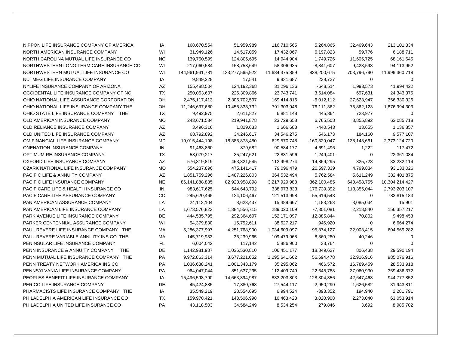| NIPPON LIFE INSURANCE COMPANY OF AMERICA       | IA        | 168,670,554     | 51,959,989      | 116,710,565    | 5,264,865    | 32,469,643  | 213,101,334    |
|------------------------------------------------|-----------|-----------------|-----------------|----------------|--------------|-------------|----------------|
| NORTH AMERICAN INSURANCE COMPANY               | WI        | 31,949,126      | 14,517,059      | 17,432,067     | 6,197,823    | 59,776      | 6,188,711      |
| NORTH CAROLINA MUTUAL LIFE INSURANCE CO        | <b>NC</b> | 139,750,599     | 124,805,695     | 14,944,904     | 1,749,726    | 11,605,725  | 68,161,645     |
| NORTHWESTERN LONG TERM CARE INSURANCE CO       | WI        | 217,060,584     | 158,753,649     | 58,306,935     | $-8,841,607$ | 9,423,593   | 94,113,952     |
| NORTHWESTERN MUTUAL LIFE INSURANCE CO          | WI        | 144,961,941,781 | 133,277,565,922 | 11,684,375,859 | 838,200,675  | 703,796,790 | 11,996,360,718 |
| NUTMEG LIFE INSURANCE COMPANY                  | IA        | 9,849,228       | 17,541          | 9,831,687      | 238,727      | $\mathbf 0$ | $\Omega$       |
| NYLIFE INSURANCE COMPANY OF ARIZONA            | AZ        | 155,488,504     | 124,192,368     | 31,296,136     | $-648,514$   | 1,993,573   | 41,994,422     |
| OCCIDENTAL LIFE INSURANCE COMPANY OF NC        | <b>TX</b> | 250,053,607     | 226,309,866     | 23,743,741     | 3,614,084    | 697,631     | 24,343,375     |
| OHIO NATIONAL LIFE ASSURANCE CORPORATION       | OH        | 2,475,117,413   | 2,305,702,597   | 169,414,816    | $-6,012,112$ | 27,623,947  | 356,330,326    |
| OHIO NATIONAL LIFE INSURANCE COMPANY THE       | OH        | 11,246,637,680  | 10,455,333,732  | 791,303,948    | 76,111,362   | 75,862,123  | 1,876,994,303  |
| OHIO STATE LIFE INSURANCE COMPANY THE          | <b>TX</b> | 9,492,975       | 2,611,827       | 6,881,148      | 445,364      | 723,977     | $\Omega$       |
| OLD AMERICAN INSURANCE COMPANY                 | <b>MO</b> | 243,671,534     | 219,941,878     | 23,729,658     | 6,765,508    | 3,855,892   | 63,085,718     |
| OLD RELIANCE INSURANCE COMPANY                 | AZ        | 3,496,316       | 1,829,633       | 1,666,683      | $-440,543$   | 13,655      | 1,136,857      |
| OLD UNITED LIFE INSURANCE COMPANY              | AZ        | 68,792,892      | 34,246,617      | 34,546,275     | 546,173      | 184,160     | 9,577,107      |
| OM FINANCIAL LIFE INSURANCE COMPANY            | <b>MD</b> | 19,015,444,198  | 18,385,873,450  | 629,570,748    | -160,329,047 | 138,143,661 | 2,373,124,720  |
| ONENATION INSURANCE COMPANY                    | IN        | 91,463,860      | 879,682         | 90,584,177     | 4,691,496    | 1,222       | 117,472        |
| OPTIMUM RE INSURANCE COMPANY                   | <b>TX</b> | 58,079,217      | 35,247,621      | 22,831,596     | 1,249,401    | $\mathbf 0$ | 22,361,034     |
| OXFORD LIFE INSURANCE COMPANY                  | AZ        | 576,319,819     | 463,321,545     | 112,998,274    | 14,869,295   | 325,723     | 33,232,114     |
| OZARK NATIONAL LIFE INSURANCE COMPANY          | <b>MO</b> | 554,237,896     | 475,141,417     | 79,096,479     | 20,597,339   | 4,799,834   | 93,133,026     |
| <b>PACIFIC LIFE &amp; ANNUITY COMPANY</b>      | AZ        | 1,851,759,296   | 1,487,226,803   | 364,532,494    | 5,762,584    | 5,611,249   | 382,401,875    |
| PACIFIC LIFE INSURANCE COMPANY                 | <b>NE</b> | 86,141,888,885  | 82,923,958,898  | 3,217,929,988  | 362,100,485  | 640,458,755 | 10,304,214,427 |
| PACIFICARE LIFE & HEALTH INSURANCE CO          | IN        | 983,617,625     | 644,643,792     | 338,973,833    | 176,739,392  | 113,356,044 | 2,793,203,107  |
| PACIFICARE LIFE ASSURANCE COMPANY              | CO        | 245,620,465     | 124,106,467     | 121,513,998    | 55,616,543   | $\mathbf 0$ | 783,815,183    |
| PAN AMERICAN ASSURANCE COMPANY                 | LA        | 24,113,104      | 8,623,437       | 15,489,667     | 1,183,263    | 3,085,034   | 15,901         |
| PAN AMERICAN LIFE INSURANCE COMPANY            | LA        | 1,673,576,823   | 1,384,556,715   | 289,020,109    | $-7,301,081$ | 2,218,840   | 156,357,217    |
| PARK AVENUE LIFE INSURANCE COMPANY             | DE        | 444,535,795     | 292,364,697     | 152,171,097    | 12,885,844   | 70,802      | 9,498,453      |
| PARKER CENTENNIAL ASSURANCE COMPANY            | WI        | 54,379,830      | 15,752,611      | 38,627,217     | 946,920      | $\mathbf 0$ | 6,664,274      |
| PAUL REVERE LIFE INSURANCE COMPANY THE         | MA        | 5,286,377,997   | 4,251,768,900   | 1,034,609,097  | 95,874,127   | 22,003,415  | 604,569,282    |
| PAUL REVERE VARIABLE ANNUITY INS CO THE        | МA        | 145,719,933     | 36,239,965      | 109,479,968    | 8,360,280    | 40,246      | $\mathbf 0$    |
| PENINSULAR LIFE INSURANCE COMPANY              | FL.       | 6,004,042       | 117,142         | 5,886,900      | 33,764       | 0           | $\Omega$       |
| PENN INSURANCE & ANNUITY COMPANY<br><b>THE</b> | DE        | 1,142,981,987   | 1,036,530,810   | 106,451,177    | 18,849,627   | 806,438     | 29,590,194     |
| PENN MUTUAL LIFE INSURANCE COMPANY THE         | PA        | 9,972,863,314   | 8,677,221,652   | 1,295,641,662  | 56,694,478   | 32,916,916  | 985,076,916    |
| PENN TREATY NETWORK AMERICA INS CO             | PA        | 1,036,638,241   | 1,001,343,179   | 35,295,062     | 466,572      | 16,789,459  | 28,533,918     |
| PENNSYLVANIA LIFE INSURANCE COMPANY            | PA        | 964,047,044     | 851,637,295     | 112,409,749    | 22,645,788   | 37,060,930  | 359,436,372    |
| PEOPLES BENEFIT LIFE INSURANCE COMPANY         | IA        | 15,496,598,790  | 14,663,394,987  | 833,203,803    | 128,304,356  | 42,647,463  | 944,777,852    |
| PERICO LIFE INSURANCE COMPANY                  | DE        | 45,424,885      | 17,880,768      | 27,544,117     | 2,950,290    | 1,626,582   | 31,943,811     |
| PHARMACISTS LIFE INSURANCE COMPANY THE         | IA        | 35,549,219      | 28,554,695      | 6,994,524      | $-393,352$   | 194,940     | 2,281,791      |
| PHILADELPHIA AMERICAN LIFE INSURANCE CO        | <b>TX</b> | 159,970,421     | 143,506,998     | 16,463,423     | 3,020,908    | 2,273,040   | 63,053,914     |
| PHILADELPHIA UNITED LIFE INSURANCE CO          | PA        | 43,118,503      | 34,584,249      | 8,534,254      | 279,846      | 3,692       | 8,985,702      |
|                                                |           |                 |                 |                |              |             |                |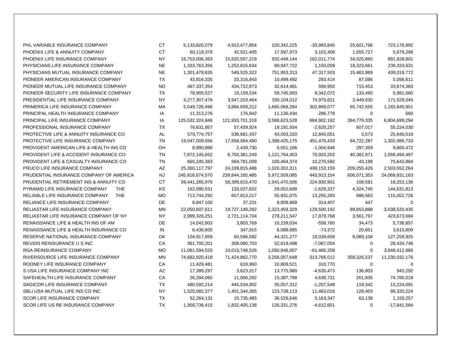| PHL VARIABLE INSURANCE COMPANY                | <b>CT</b> | 5,133,820,079   | 4,913,477,854   | 220,342,225   | $-33,993,845$ | 25,601,766  | 723,176,892    |
|-----------------------------------------------|-----------|-----------------|-----------------|---------------|---------------|-------------|----------------|
| PHOENIX LIFE & ANNUITY COMPANY                | <b>CT</b> | 60,119,378      | 42,521,405      | 17,597,973    | 3,102,406     | 1,655,727   | 5,679,298      |
| PHOENIX LIFE INSURANCE COMPANY                | NY        | 16,753,006,363  | 15,820,557,219  | 932,449,144   | 162,011,774   | 34,525,890  | 891,828,801    |
| PHYSICIANS LIFE INSURANCE COMPANY             | <b>NE</b> | 1,333,763,356   | 1,252,815,634   | 80,947,722    | 1,150,009     | 16,323,661  | 239,333,631    |
| PHYSICIANS MUTUAL INSURANCE COMPANY           | <b>NE</b> | 1,301,478,635   | 549,525,322     | 751,953,313   | 47,317,503    | 15,463,989  | 439,018,772    |
| PIONEER AMERICAN INSURANCE COMPANY            | <b>TX</b> | 43,816,335      | 33,316,843      | 10,499,492    | 283,414       | 87,086      | 5,056,611      |
| PIONEER MUTUAL LIFE INSURANCE COMPANY         | <b>ND</b> | 467,337,354     | 434,722,873     | 32,614,481    | 596,950       | 715,453     | 33,674,363     |
| PIONEER SECURITY LIFE INSURANCE COMPANY       | <b>TX</b> | 78,905,527      | 19,159,534      | 59,745,993    | 8,342,072     | 133,490     | 5,981,660      |
| PRESIDENTIAL LIFE INSURANCE COMPANY           | <b>NY</b> | 4,277,307,476   | 3,947,203,464   | 330,104,012   | 74,975,821    | 2,449,630   | 171,528,045    |
| PRIMERICA LIFE INSURANCE COMPANY              | МA        | 5,549,726,496   | 3,884,658,212   | 1,665,068,284 | 302,868,077   | 65,742,555  | 1,183,845,901  |
| PRINCIPAL HEALTH INSURANCE COMPANY            | IA        | 11,313,276      | 176,842         | 11,136,434    | 286,778       | 0           | 660            |
| PRINCIPAL LIFE INSURANCE COMPANY              | IA        | 125,532,324,846 | 121,933,701,318 | 3,598,623,528 | 684,902,162   | 394,779,335 | 6,804,699,294  |
| PROFESSIONAL INSURANCE COMPANY                | TX        | 76,631,857      | 57,439,924      | 19,191,934    | $-2,620,257$  | 607,017     | 55,224,030     |
| PROTECTIVE LIFE & ANNUITY INSURANCE CO        | <b>AL</b> | 579,774,757     | 536,681,437     | 43,093,320    | 12,845,051    | 3,573       | 25,840,516     |
| PROTECTIVE LIFE INSURANCE COMPANY             | <b>TN</b> | 19,047,009,656  | 17,658,584,480  | 1,388,425,175 | 451,476,433   | 64,722,287  | 1,302,989,733  |
| PROVIDENT AMERICAN LIFE & HEALTH INS CO       | OH        | 8,990,896       | 2,439,730       | 6,551,166     | $-1,004,946$  | 297,359     | 9,860,472      |
| PROVIDENT LIFE & ACCIDENT INSURANCE CO        | <b>TN</b> | 7,872,145,652   | 6,750,381,249   | 1,121,764,403 | 70,920,202    | 40,382,971  | 1,059,494,497  |
| PROVIDENT LIFE & CASUALTY INSURANCE CO        | <b>TN</b> | 665,245,383     | 564,781,009     | 100,464,374   | 10,270,582    | $-43,199$   | 75,643,884     |
| PRUCO LIFE INSURANCE COMPANY                  | AZ        | 25,360,117,797  | 24,339,815,486  | 1,020,302,311 | 499,153,159   | 209,255,426 | 2,503,552,264  |
| PRUDENTIAL INSURANCE COMPANY OF AMERICA       | <b>NJ</b> | 245,816,674,570 | 239,844,165,485 | 5,972,509,085 | 443,913,154   | 606,071,353 | 24,068,831,183 |
| PRUDENTIAL RETIREMENT INS & ANNUITY CO        | CT        | 59,441,285,976  | 58,399,815,470  | 1,041,470,506 | 224,930,901   | 108,591     | 18,253,136     |
| PYRAMID LIFE INSURANCE COMPANY<br><b>THE</b>  | <b>KS</b> | 162,080,531     | 133,027,832     | 29,052,699    | $-1,629,337$  | 4,324,745   | 144,531,813    |
| RELIABLE LIFE INSURANCE COMPANY<br><b>THE</b> | МO        | 713,744,292     | 657,813,217     | 55,931,075    | 13,255,293    | 986,563     | 115,052,726    |
| RELIANCE LIFE INSURANCE COMPANY               | DE        | 8,847,100       | 37,231          | 8,809,869     | 314,407       | 447         | 0              |
| <b>RELIASTAR LIFE INSURANCE COMPANY</b>       | <b>MN</b> | 22,050,607,611  | 19,727,148,282  | 2,323,459,329 | 129,500,192   | 99,853,888  | 3,038,520,435  |
| RELIASTAR LIFE INSURANCE COMPANY OF NY        | <b>NY</b> | 2,999,326,251   | 2,721,114,704   | 278,211,547   | 17,879,768    | 3,561,797   | 423,673,684    |
| RENAISSANCE LIFE & HEALTH INS OF AM           | <b>DE</b> | 14,042,803      | 3,803,769       | 10,239,034    | $-558,760$    | 34,473      | 5,738,857      |
| RENAISSANCE LIFE & HEALTH INSURANCE CO        | IN        | 6,436,600       | 347,915         | 6,088,685     | $-73,372$     | 20,851      | 3,615,809      |
| RESERVE NATIONAL INSURANCE COMPANY            | OK        | 104,917,859     | 60,596,582      | 44,321,277    | 18,039,659    | 9,089,108   | 127,259,925    |
| REVIOS REINSURANCE U S INC                    | CA        | 361,700,201     | 309,080,703     | 52,619,498    | $-7,067,004$  | 0           | 28,434,746     |
| RGA REINSURANCE COMPANY                       | <b>MO</b> | 11,061,594,533  | 10,010,748,526  | 1,050,846,007 | $-61,466,258$ | 0           | 3,848,412,866  |
| RIVERSOURCE LIFE INSURANCE COMPANY            | ΜN        | 74,682,920,418  | 71,424,862,770  | 3,258,057,648 | 513,766,012   | 358,326,537 | 11,230,032,176 |
| ROONEY LIFE INSURANCE COMPANY                 | CA        | 11,429,481      | 619,960         | 10,809,521    | 310,770       | $\mathbf 0$ | $\mathbf 0$    |
| S USA LIFE INSURANCE COMPANY INC              | AZ        | 17,399,297      | 3,623,317       | 13,775,980    | $-4,626,473$  | 136,803     | 943,292        |
| SAFEHEALTH LIFE INSURANCE COMPANY             | CA        | 26,394,060      | 11,006,262      | 15,387,798    | 4,638,731     | 261,935     | 74,766,018     |
| SAGICOR LIFE INSURANCE COMPANY                | TX        | 480,592,214     | 445,534,902     | 35,057,312    | $-1,207,549$  | 119,342     | 15,224,091     |
| SBLI USA MUTUAL LIFE INS CO INC               | <b>NY</b> | 1,525,082,377   | 1,401,344,265   | 123,738,113   | 11,463,016    | 128,403     | 99,320,224     |
| <b>SCOR LIFE INSURANCE COMPANY</b>            | <b>TX</b> | 52,264,131      | 15,735,485      | 36,528,646    | 5,163,347     | 63,138      | 1,150,257      |
| SCOR LIFE US RE INSURANCE COMPANY             | <b>TX</b> | 1,958,736,415   | 1,832,405,138   | 126,331,276   | $-4,612,651$  | $\mathbf 0$ | $-17,841,584$  |
|                                               |           |                 |                 |               |               |             |                |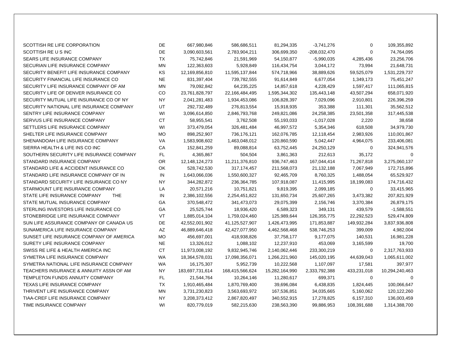| SCOTTISH RE LIFE CORPORATION               | DE        | 667,980,846     | 586,686,511     | 81,294,335     | $-3,741,276$   | $\mathbf 0$ | 109,355,892    |
|--------------------------------------------|-----------|-----------------|-----------------|----------------|----------------|-------------|----------------|
| SCOTTISH RE U S INC                        | DE        | 3,090,603,561   | 2,783,904,211   | 306,699,350    | $-208,032,470$ | $\mathbf 0$ | 74,764,095     |
| SEARS LIFE INSURANCE COMPANY               | <b>TX</b> | 75,742,846      | 21,591,969      | 54,150,877     | $-5,990,035$   | 4,285,436   | 23,256,706     |
| SECURIAN LIFE INSURANCE COMPANY            | ΜN        | 122,363,603     | 5,928,849       | 116,434,754    | 3,044,172      | 73,994      | 21,648,731     |
| SECURITY BENEFIT LIFE INSURANCE COMPANY    | KS        | 12,169,856,810  | 11,595,137,844  | 574,718,966    | 38,889,626     | 59,525,079  | 1,531,229,737  |
| SECURITY FINANCIAL LIFE INSURANCE CO       | <b>NE</b> | 831,397,404     | 739,782,555     | 91,614,849     | 6,677,054      | 1,349,173   | 75,451,247     |
| SECURITY LIFE INSURANCE COMPANY OF AM      | MN        | 79,092,842      | 64,235,225      | 14,857,618     | 4,228,429      | 1,597,417   | 111,065,815    |
| SECURITY LIFE OF DENVER INSURANCE CO       | CO        | 23,761,828,797  | 22,166,484,495  | 1,595,344,302  | 135,443,148    | 43,507,294  | 658,071,920    |
| SECURITY MUTUAL LIFE INSURANCE CO OF NY    | <b>NY</b> | 2,041,281,483   | 1,934,453,086   | 106,828,397    | 7,029,096      | 2,910,801   | 226,396,259    |
| SECURITY NATIONAL LIFE INSURANCE COMPANY   | UT        | 292,732,489     | 276,813,554     | 15,918,935     | 353,388        | 111,301     | 35,562,512     |
| SENTRY LIFE INSURANCE COMPANY              | WI        | 3,096,614,850   | 2,846,793,768   | 249,821,086    | 24,258,385     | 23,501,358  | 317,445,538    |
| SERVUS LIFE INSURANCE COMPANY              | <b>CT</b> | 58,955,541      | 3,762,508       | 55,193,033     | $-1,017,028$   | 2,220       | 38,658         |
| SETTLERS LIFE INSURANCE COMPANY            | WI        | 373,479,054     | 326,481,484     | 46,997,572     | 5,354,346      | 618,508     | 34,979,730     |
| SHELTER LIFE INSURANCE COMPANY             | <b>MO</b> | 898,252,907     | 736,176,121     | 162,076,785    | 12,118,454     | 2,983,926   | 110,001,867    |
| SHENANDOAH LIFE INSURANCE COMPANY          | VA        | 1,583,908,602   | 1,463,048,012   | 120,860,590    | 5,042,447      | 4,964,075   | 233,406,081    |
| SIERRA HEALTH & LIFE INS CO INC            | CA        | 152,841,259     | 89,088,814      | 63,752,445     | 24,250,129     | 0           | 324,941,576    |
| SOUTHERN SECURITY LIFE INSURANCE COMPANY   | FL.       | 4,365,867       | 504,504         | 3,861,363      | 212,613        | 35,172      | $\mathbf 0$    |
| STANDARD INSURANCE COMPANY                 | OR.       | 12,148,124,273  | 11,211,376,810  | 936,747,463    | 167,044,414    | 71,267,818  | 3,275,060,137  |
| STANDARD LIFE & ACCIDENT INSURANCE CO      | <b>OK</b> | 528,742,530     | 317, 174, 457   | 211,568,073    | 21,132,188     | 7,067,949   | 172,715,896    |
| STANDARD LIFE INSURANCE COMPANY OF IN      | IN        | 1,643,066,036   | 1,550,600,327   | 92,465,709     | 8,760,325      | 1,488,054   | 65,529,927     |
| STANDARD SECURITY LIFE INSURANCE CO NY     | <b>NY</b> | 344,282,872     | 236,364,785     | 107,918,087    | 11,415,995     | 18,199,083  | 174,716,432    |
| STARMOUNT LIFE INSURANCE COMPANY           | LA        | 20,571,216      | 10,751,821      | 9,819,395      | 2,099,185      | 0           | 33,415,965     |
| STATE LIFE INSURANCE COMPANY<br><b>THE</b> | IN        | 2,386,102,556   | 2,254,451,822   | 131,650,734    | 25,607,265     | 3,473,382   | 207,821,929    |
| STATE MUTUAL INSURANCE COMPANY             | GA        | 370,548,472     | 341,473,073     | 29,075,399     | 2,156,746      | 3,370,384   | 26,879,175     |
| STERLING INVESTORS LIFE INSURANCE CO       | <b>GA</b> | 25,525,744      | 18,936,420      | 6,589,323      | 349,131        | 439,579     | $-1,588,551$   |
| STONEBRIDGE LIFE INSURANCE COMPANY         | VT        | 1,885,014,104   | 1,759,024,460   | 125,989,644    | 126,355,775    | 22,292,523  | 529,474,809    |
| SUN LIFE ASSURANCE COMPANY OF CANADA US    | DE        | 42,552,001,902  | 41,125,527,907  | 1,426,473,995  | 171,853,887    | 149,932,284 | 3,837,936,808  |
| SUNAMERICA LIFE INSURANCE COMPANY          | AZ        | 46,889,646,418  | 42,427,077,950  | 4,462,568,468  | 538,746,253    | 399,009     | 4,982,004      |
| SUNSET LIFE INSURANCE COMPANY OF AMERICA   | <b>MO</b> | 456,697,001     | 418,938,826     | 37,758,177     | 9,177,075      | 140,531     | 16,981,228     |
| SURETY LIFE INSURANCE COMPANY              | <b>NE</b> | 13,326,012      | 1,088,102       | 12,237,910     | 453,069        | 3,165,599   | 19,700         |
| SWISS RE LIFE & HEALTH AMERICA INC         | <b>CT</b> | 11,973,008,192  | 9,832,945,746   | 2,140,062,446  | 233,300,219    | 0           | 2,317,763,933  |
| SYMETRA LIFE INSURANCE COMPANY             | <b>WA</b> | 18,364,578,031  | 17,098,356,071  | 1,266,221,960  | 145,020,195    | 44,639,043  | 1,065,611,002  |
| SYMETRA NATIONAL LIFE INSURANCE COMPANY    | WA        | 16,175,307      | 5,952,739       | 10,222,568     | 1,107,097      | 17,581      | 397,977        |
| TEACHERS INSURANCE & ANNUITY ASSN OF AM    | <b>NY</b> | 183,697,731,614 | 168,415,566,624 | 15,282,164,990 | 2,333,792,388  | 433,231,018 | 10,294,240,463 |
| TEMPLETON FUNDS ANNUITY COMPANY            | FL.       | 21,544,764      | 10,264,146      | 11,280,617     | 699,371        | 0           | $\mathbf 0$    |
| TEXAS LIFE INSURANCE COMPANY               | TX        | 1,910,465,484   | 1,870,769,400   | 39,696,084     | 6,438,835      | 1,824,445   | 100,066,647    |
| THRIVENT LIFE INSURANCE COMPANY            | ΜN        | 3,731,230,823   | 3,563,693,972   | 167,536,851    | 34,035,665     | 5,160,062   | 120,122,260    |
| TIAA-CREF LIFE INSURANCE COMPANY           | <b>NY</b> | 3,208,373,412   | 2,867,820,497   | 340,552,915    | 17,278,825     | 6,157,310   | 136,003,459    |
| TIME INSURANCE COMPANY                     | WI        | 820,779,019     | 582,215,630     | 238,563,390    | 99,886,953     | 108,391,688 | 1,314,388,700  |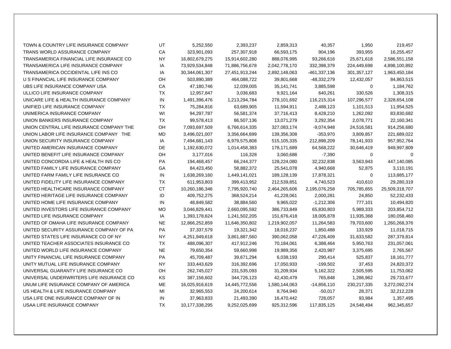| TOWN & COUNTRY LIFE INSURANCE COMPANY    | UT        | 5,252,550         | 2,393,237      | 2,859,313     | 40,357        | 1,950         | 219,457        |
|------------------------------------------|-----------|-------------------|----------------|---------------|---------------|---------------|----------------|
| TRANS WORLD ASSURANCE COMPANY            | СA        | 323,901,093       | 257,307,918    | 66,593,175    | 904,196       | 393,955       | 16,255,457     |
| TRANSAMERICA FINANCIAL LIFE INSURANCE CO | <b>NY</b> | 16,802,679,275    | 15,914,602,280 | 888,076,995   | 93,266,616    | 25,671,618    | 2,586,551,158  |
| TRANSAMERICA LIFE INSURANCE COMPANY      | IA        | 73,929,534,848    | 71,886,756,678 | 2,042,778,170 | 332,398,379   | 224,449,698   | 4,898,100,892  |
| TRANSAMERICA OCCIDENTAL LIFE INS CO      | IA        | 30, 344, 061, 307 | 27,451,913,244 | 2,892,148,063 | -461,337,136  | 301, 357, 127 | 1,963,450,184  |
| U S FINANCIAL LIFE INSURANCE COMPANY     | OН        | 503,890,389       | 464,088,722    | 39,801,668    | -48,332,279   | 12,432,057    | 84,863,515     |
| UBS LIFE INSURANCE COMPANY USA           | CA        | 47,180,746        | 12,039,005     | 35, 141, 741  | 3,885,598     | 0             | 1,184,762      |
| ULLICO LIFE INSURANCE COMPANY            | ТX        | 12,957,847        | 3,036,683      | 9,921,164     | 640,261       | 330,526       | 1,308,315      |
| UNICARE LIFE & HEALTH INSURANCE COMPANY  | IN        | 1,491,396,476     | 1,213,294,784  | 278,101,692   | 116,215,314   | 107,296,577   | 2,328,654,108  |
| UNIFIED LIFE INSURANCE COMPANY           | TX        | 75,284,816        | 63,689,905     | 11,594,911    | 2,488,123     | 1,101,513     | 11,954,525     |
| UNIMERICA INSURANCE COMPANY              | WI        | 94,297,787        | 56,581,374     | 37,716,413    | 8,428,210     | 1,262,092     | 83,830,682     |
| UNION BANKERS INSURANCE COMPANY          | <b>TX</b> | 99,578,413        | 86,507,136     | 13,071,279    | 3,292,354     | 2,078,771     | 22,160,341     |
| UNION CENTRAL LIFE INSURANCE COMPANY THE | OH        | 7,093,697,509     | 6,766,614,335  | 327,083,174   | $-9,074,948$  | 24,516,581    | 914,256,680    |
| UNION LABOR LIFE INSURANCE COMPANY THE   | MD        | 3,496,021,007     | 3,356,664,699  | 139,356,308   | $-353,970$    | 3,809,857     | 221,689,022    |
| UNION SECURITY INSURANCE COMPANY         | IA        | 7,494,681,143     | 6,979,575,808  | 515,105,335   | 212,898,209   | 78,141,933    | 957, 952, 764  |
| UNITED AMERICAN INSURANCE COMPANY        | <b>DE</b> | 1,192,630,072     | 1,014,458,383  | 178,171,689   | 64,568,222    | 30,646,419    | 949,997,809    |
| UNITED BENEFIT LIFE INSURANCE COMPANY    | OH        | 3,177,016         | 116,328        | 3,060,688     | $-7,390$      | 0             | $\Omega$       |
| UNITED CONCORDIA LIFE & HEALTH INS CO    | PA        | 194,468,457       | 66,244,377     | 128,224,080   | 32,232,838    | 3,563,943     | 447,140,085    |
| UNITED FAMILY LIFE INSURANCE COMPANY     | GA        | 84,423,450        | 58,882,372     | 25,541,078    | 4,940,668     | 52,875        | 3,110,191      |
| UNITED FARM FAMILY LIFE INSURANCE CO     | IN        | 1,638,269,160     | 1,449,141,021  | 189,128,139   | 17,878,321    | 0             | 113,885,177    |
| UNITED FIDELITY LIFE INSURANCE COMPANY   | ТX        | 611,953,803       | 399,413,952    | 212,539,851   | 4,740,523     | 410,610       | 29,280,319     |
| UNITED HEALTHCARE INSURANCE COMPANY      | <b>CT</b> | 10,260,186,346    | 7,795,920,740  | 2,464,265,606 | 2,195,076,258 | 705,785,655   | 25,509,318,707 |
| UNITED HERITAGE LIFE INSURANCE COMPANY   | ID        | 409,752,275       | 368,524,214    | 41,228,061    | 2,000,281     | 24,850        | 52,232,433     |
| UNITED HOME LIFE INSURANCE COMPANY       | IN        | 48,849,582        | 38,884,560     | 9,965,022     | $-1,212,306$  | 777,101       | 10,494,820     |
| UNITED INVESTORS LIFE INSURANCE COMPANY  | <b>MO</b> | 3,046,829,441     | 2,660,095,592  | 386,733,849   | 65,830,803    | 5,989,333     | 203,854,712    |
| UNITED LIFE INSURANCE COMPANY            | IA        | 1,393,178,624     | 1,241,502,205  | 151,676,418   | 18,005,878    | 11,935,368    | 180,058,460    |
| UNITED OF OMAHA LIFE INSURANCE COMPANY   | <b>NE</b> | 12,866,252,859    | 11,646,350,802 | 1,219,902,057 | 11,264,583    | 79,703,600    | 1,260,268,376  |
| UNITED SECURITY ASSURANCE COMPANY OF PA  | PA        | 37, 337, 579      | 19,321,342     | 18,016,237    | 1,850,488     | 133,929       | 11,018,715     |
| UNITED STATES LIFE INSURANCE CO OF NY    | ΝY        | 4,251,949,618     | 3,861,887,560  | 390,062,058   | 47,226,409    | 31,633,582    | 287,379,814    |
| UNITED TEACHER ASSOCIATES INSURANCE CO   | <b>TX</b> | 488,096,307       | 417,912,246    | 70,184,061    | 6,388,464     | 5,950,763     | 231,057,061    |
| UNITED WORLD LIFE INSURANCE COMPANY      | <b>NE</b> | 79,650,354        | 59,660,998     | 19,989,356    | 2,420,987     | 3,375,695     | 2,765,567      |
| UNITY FINANCIAL LIFE INSURANCE COMPANY   | PA        | 45,709,487        | 39,671,294     | 6,038,193     | 290,414       | 525,837       | 18, 161, 777   |
| UNITY MUTUAL LIFE INSURANCE COMPANY      | <b>NY</b> | 333,443,629       | 316,392,696    | 17,050,933    | $-199,502$    | 37,453        | 24,820,372     |
| UNIVERSAL GUARANTY LIFE INSURANCE CO     | OH        | 262,745,027       | 231,535,093    | 31,209,934    | 5,162,322     | 2,505,595     | 11,753,062     |
| UNIVERSAL UNDERWRITERS LIFE INSURANCE CO | <b>KS</b> | 387,156,602       | 344,726,123    | 42,430,479    | 765,848       | 1,286,962     | 29,733,677     |
| UNUM LIFE INSURANCE COMPANY OF AMERICA   | ME        | 16,025,916,619    | 14,445,772,556 | 1,580,144,063 | $-14,856,110$ | 230, 217, 335 | 3,272,092,274  |
| US HEALTH & LIFE INSURANCE COMPANY       | MI        | 32,965,553        | 24,200,614     | 8,764,940     | $-50,017$     | 28,371        | 32,212,228     |
| USA LIFE ONE INSURANCE COMPANY OF IN     | IN        | 37,963,833        | 21,493,390     | 16,470,442    | 726,057       | 93,984        | 1,357,495      |
| USAA LIFE INSURANCE COMPANY              | <b>TX</b> | 10,177,338,295    | 9,252,025,699  | 925,312,596   | 117,835,125   | 24,548,494    | 962,345,657    |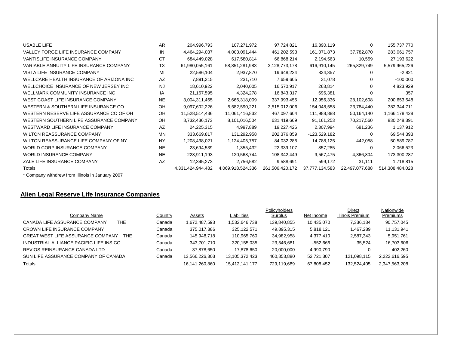| <b>USABLE LIFE</b>                       | AR        | 204,996,793       | 107,271,972       | 97,724,821      | 16,890,119     | 0              | 155,737,770     |
|------------------------------------------|-----------|-------------------|-------------------|-----------------|----------------|----------------|-----------------|
| VALLEY FORGE LIFE INSURANCE COMPANY      | IN        | 4,464,294,037     | 4,003,091,444     | 461,202,593     | 161,071,873    | 37,782,870     | 283,061,757     |
| <b>VANTISLIFE INSURANCE COMPANY</b>      | <b>CT</b> | 684,449,028       | 617,580,814       | 66,868,214      | 2,194,563      | 10,559         | 27,193,622      |
| VARIABLE ANNUITY LIFE INSURANCE COMPANY  | <b>TX</b> | 61,980,055,161    | 58,851,281,983    | 3,128,773,178   | 616,910,145    | 265,829,749    | 5,579,965,226   |
| VISTA LIFE INSURANCE COMPANY             | MI        | 22,586,104        | 2,937,870         | 19,648,234      | 824,357        | 0              | $-2,821$        |
| WELLCARE HEALTH INSURANCE OF ARIZONA INC | AZ        | 7,891,315         | 231,710           | 7,659,605       | 31,078         | 0              | $-100,000$      |
| WELLCHOICE INSURANCE OF NEW JERSEY INC   | <b>NJ</b> | 18,610,922        | 2,040,005         | 16,570,917      | 263,814        | 0              | 4,823,929       |
| WELLMARK COMMUNITY INSURANCE INC         | IA        | 21,167,595        | 4,324,278         | 16,843,317      | 696,381        | 0              | 357             |
| WEST COAST LIFE INSURANCE COMPANY        | <b>NE</b> | 3,004,311,465     | 2,666,318,009     | 337,993,455     | 12,956,336     | 28,102,608     | 200,653,548     |
| WESTERN & SOUTHERN LIFE INSURANCE CO     | OΗ        | 9,097,602,226     | 5,582,590,221     | 3,515,012,006   | 154,048,558    | 23,784,440     | 382,344,711     |
| WESTERN RESERVE LIFE ASSURANCE CO OF OH  | OH        | 11,528,514,436    | 11,061,416,832    | 467,097,604     | 111,988,888    | 50,164,140     | 1,166,178,428   |
| WESTERN SOUTHERN LIFE ASSURANCE COMPANY  | OH        | 8,732,436,173     | 8,101,016,504     | 631,419,669     | 91,161,253     | 70,217,560     | 830,248,391     |
| WESTWARD LIFE INSURANCE COMPANY          | AZ        | 24,225,315        | 4,997,889         | 19,227,426      | 2,307,994      | 681,236        | 1,137,912       |
| <b>WILTON REASSURANCE COMPANY</b>        | <b>MN</b> | 333,669,817       | 131,292,958       | 202,376,859     | $-123,529,182$ | 0              | 69,544,393      |
| WILTON REASSURANCE LIFE COMPANY OF NY    | <b>NY</b> | 1,208,438,021     | 1,124,405,757     | 84,032,285      | 14,788,125     | 442,058        | 50,589,787      |
| WORLD CORP INSURANCE COMPANY             | <b>NE</b> | 23,694,539        | 1,355,432         | 22,339,107      | 857,285        | 0              | 2,066,523       |
| <b>WORLD INSURANCE COMPANY</b>           | <b>NE</b> | 228,911,193       | 120,568,744       | 108,342,449     | 9,567,475      | 4,366,804      | 173,300,287     |
| ZALE LIFE INSURANCE COMPANY              | AZ        | 12,345,273        | 2,756,582         | 9,588,691       | 599,172        | 31,111         | 1,718,815       |
| Totals                                   |           | 4,331,424,944,482 | 4,069,918,524,336 | 261,506,420,172 | 37,777,134,583 | 22,497,077,688 | 514,308,484,028 |
| * $0.0007$                               |           |                   |                   |                 |                |                |                 |

\* Company withdrew from Illinois in January 2007

# **Alien Legal Reserve Life Insurance Companies**

|                                                        |         |                |                | Policyholders |              | Direct           | Nationwide    |
|--------------------------------------------------------|---------|----------------|----------------|---------------|--------------|------------------|---------------|
| Company Name                                           | Country | Assets         | Liabilities    | Surplus       | Net Income   | Illinois Premium | Premiums      |
| THE<br>CANADA LIFE ASSURANCE COMPANY                   | Canada  | 1,672,487,593  | 532,646,738    | 139,840,855   | 10,435,070   | 7,336,134        | 90,757,045    |
| CROWN LIFE INSURANCE COMPANY                           | Canada  | 375.017.886    | 325.122.571    | 49,895,315    | 5,818,121    | 1,467,289        | 11,131,941    |
| <b>GREAT WEST LIFE ASSURANCE COMPANY</b><br><b>THF</b> | Canada  | 145.948.718    | 110,965,760    | 34,982,958    | 4,377,410    | 2,587,343        | 5,951,761     |
| INDUSTRIAL ALLIANCE PACIFIC LIFE INS CO                | Canada  | 343.701.710    | 320,155,035    | 23,546,681    | -552.666     | 35.524           | 16,703,606    |
| REVIOS REINSURANCE CANADA LTD                          | Canada  | 37.878.650     | 17.878.650     | 20,000,000    | $-4,990,790$ |                  | 402,260       |
| SUN LIFE ASSURANCE COMPANY OF CANADA                   | Canada  | 13,566,226,303 | 13,105,372,423 | 460,853,880   | 52,721,307   | 121,098,115      | 2,222,616,595 |
| Totals                                                 |         | 16,141,260,860 | 15.412.141.177 | 729.119.689   | 67,808,452   | 132.524.405      | 2,347,563,208 |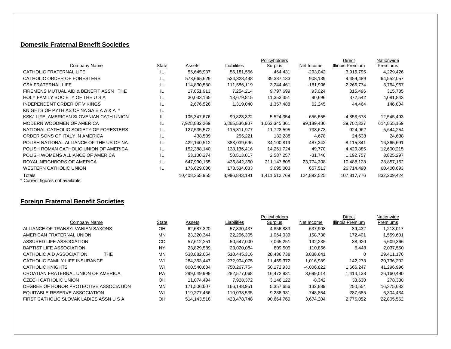#### **Domestic Fraternal Benefit Societies**

|                                           |              |                |               | Policyholders |             | Direct           | Nationwide  |
|-------------------------------------------|--------------|----------------|---------------|---------------|-------------|------------------|-------------|
| Company Name                              | <b>State</b> | Assets         | Liabilities   | Surplus       | Net Income  | Illinois Premium | Premiums    |
| CATHOLIC FRATERNAL LIFE                   | IL           | 55,645,987     | 55,181,556    | 464,431       | $-293,042$  | 3,916,795        | 4,229,426   |
| CATHOLIC ORDER OF FORESTERS               | IL           | 573,665,629    | 534,328,498   | 39,337,133    | 908,139     | 4,459,489        | 64,552,057  |
| <b>CSA FRATERNAL LIFE</b>                 | IL           | 114,830,580    | 111,586,119   | 3,244,461     | $-181,906$  | 2,266,774        | 3,764,967   |
| FIREMENS MUTUAL AID & BENEFIT ASSN<br>THE | IL           | 17,051,913     | 7,254,214     | 9,797,699     | 93,024      | 315,496          | 315,735     |
| HOLY FAMILY SOCIETY OF THE U S A          | IL           | 30,033,165     | 18,679,815    | 11,353,351    | 90,696      | 372,542          | 4,081,843   |
| INDEPENDENT ORDER OF VIKINGS              | IL           | 2,676,528      | 1,319,040     | 1,357,488     | 62,245      | 44,464           | 146,804     |
| KNIGHTS OF PYTHIAS OF NA SA E A A & A *   | IL           |                |               |               |             |                  |             |
| KSKJ LIFE, AMERICAN SLOVENIAN CATH UNION  | IL           | 105,347,676    | 99,823,322    | 5,524,354     | $-656,655$  | 4,858,678        | 12,545,493  |
| MODERN WOODMEN OF AMERICA                 | IL           | 7,928,882,269  | 6,865,536,907 | 1,063,345,361 | 99,189,486  | 39,702,337       | 614,855,159 |
| NATIONAL CATHOLIC SOCIETY OF FORESTERS    | IL           | 127,535,572    | 115,811,977   | 11,723,595    | 738,673     | 924,962          | 5,644,254   |
| ORDER SONS OF ITALY IN AMERICA            | IL           | 438,509        | 256,221       | 182,288       | 4,678       | 24,638           | 24,638      |
| POLISH NATIONAL ALLIANCE OF THE US OF NA  | IL           | 422,140,512    | 388,039,696   | 34,100,819    | 487,342     | 8,115,341        | 16,365,691  |
| POLISH ROMAN CATHOLIC UNION OF AMERICA    | IL           | 152,388,140    | 138,136,416   | 14.251.724    | 49.770      | 4,420,885        | 12,600,215  |
| POLISH WOMENS ALLIANCE OF AMERICA         | IL           | 53,100,274     | 50,513,017    | 2,587,257     | -31,746     | 1,192,757        | 3,825,297   |
| ROYAL NEIGHBORS OF AMERICA                | IL           | 647,990,165    | 436,842,360   | 211,147,805   | 23,774,308  | 10.488.128       | 28,857,152  |
| WESTERN CATHOLIC UNION                    | IL           | 176,629,036    | 173,534,033   | 3,095,003     | 657,513     | 26,714,490       | 60,400,693  |
| Totals<br>* Currant figuras nat quailabla |              | 10,408,355,955 | 8,996,843,191 | 1,411,512,769 | 124,892,525 | 107,817,776      | 832,209,424 |

Uurrent figures not available

### **Foreign Fraternal Benefit Societies**

|                                         |               |             |             | <b>Policyholders</b> |              | Direct           | Nationwide |
|-----------------------------------------|---------------|-------------|-------------|----------------------|--------------|------------------|------------|
| Company Name                            | State         | Assets      | Liabilities | Surplus              | Net Income   | Illinois Premium | Premiums   |
| ALLIANCE OF TRANSYLVANIAN SAXONS        | OH            | 62,687,320  | 57,830,437  | 4,856,883            | 637,908      | 39,432           | 1,213,017  |
| AMERICAN FRATERNAL UNION                | MN            | 23,320,344  | 22,256,305  | 1.064.039            | 158,738      | 172.401          | 1,559,601  |
| ASSURED LIFE ASSOCIATION                | <sub>CO</sub> | 57.612.251  | 50.547.000  | 7,065,251            | 192.235      | 38.920           | 5,609,366  |
| <b>BAPTIST LIFE ASSOCIATION</b>         | NY            | 23,829,589  | 23,020,084  | 809,505              | 110,856      | 6,448            | 2,037,550  |
| THE.<br>CATHOLIC AID ASSOCIATION        | MN            | 538,882,054 | 510.445.316 | 28,436,738           | 3,838,641    | 0                | 29,411,176 |
| CATHOLIC FAMILY LIFE INSURANCE          | WI            | 284.363.447 | 272.904.075 | 11,459,372           | 1,016,989    | 142.273          | 20,736,202 |
| CATHOLIC KNIGHTS                        | WI            | 800.540.684 | 750.267.754 | 50.272.930           | $-4.006.822$ | 1.666.247        | 41,296,996 |
| CROATIAN FRATERNAL UNION OF AMERICA     | PA            | 299.049.999 | 282,577,068 | 16,472,931           | 3,699,014    | 1,414,138        | 26,160,490 |
| <b>CZECH CATHOLIC UNION</b>             | OH            | 11.074.494  | 7.928.372   | 3.146.122            | $-8,342$     | 33,630           | 278,330    |
| DEGREE OF HONOR PROTECTIVE ASSOCIATION  | MN            | 171.506.607 | 166.148.951 | 5,357,656            | 132.889      | 250.554          | 16,375,683 |
| EQUITABLE RESERVE ASSOCIATION           | WI            | 119.277.466 | 110.038.535 | 9.238.931            | -748.854     | 287.685          | 6,304,434  |
| FIRST CATHOLIC SLOVAK LADIES ASSN U S A | <b>OH</b>     | 514.143.518 | 423.478.748 | 90.664.769           | 3.674.204    | 2.776.052        | 22,805,562 |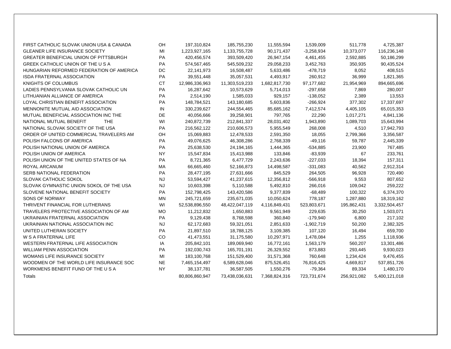| FIRST CATHOLIC SLOVAK UNION USA & CANADA      | <b>OH</b> | 197,310,824    | 185,755,230    | 11,555,594    | 1,539,009    | 511,778     | 4,725,387     |
|-----------------------------------------------|-----------|----------------|----------------|---------------|--------------|-------------|---------------|
| <b>GLEANER LIFE INSURANCE SOCIETY</b>         | MI        | 1,223,927,165  | 1,133,755,728  | 90,171,437    | $-3,258,934$ | 10,373,077  | 116,236,148   |
| <b>GREATER BENEFICIAL UNION OF PITTSBURGH</b> | PA        | 420,456,574    | 393,509,420    | 26,947,154    | 4,461,455    | 2,592,885   | 50,186,299    |
| GREEK CATHOLIC UNION OF THE U S A             | <b>PA</b> | 574,567,465    | 545,509,232    | 29,058,233    | 3,452,763    | 350,935     | 90,435,524    |
| HUNGARIAN REFORMED FEDERATION OF AMERICA      | DC        | 22,141,973     | 16,508,487     | 5,633,486     | -478,719     | 8,052       | 408,515       |
| <b>ISDA FRATERNAL ASSOCIATION</b>             | <b>PA</b> | 39,551,448     | 35,057,531     | 4,493,917     | 260,912      | 36,999      | 1,821,365     |
| <b>KNIGHTS OF COLUMBUS</b>                    | <b>CT</b> | 12,986,336,963 | 11,303,519,233 | 1,682,817,730 | 97,177,682   | 21,954,969  | 894,665,696   |
| LADIES PENNSYLVANIA SLOVAK CATHOLIC UN        | <b>PA</b> | 16,287,642     | 10,573,629     | 5,714,013     | $-297,658$   | 7,869       | 280,007       |
| LITHUANIAN ALLIANCE OF AMERICA                | <b>PA</b> | 2,514,190      | 1,585,033      | 929,157       | $-138,052$   | 2,389       | 13,553        |
| LOYAL CHRISTIAN BENEFIT ASSOCIATION           | <b>PA</b> | 148,784,521    | 143,180,685    | 5,603,836     | $-266,924$   | 377,302     | 17,337,697    |
| MENNONITE MUTUAL AID ASSOCIATION              | IN        | 330,239,627    | 244,554,465    | 85,685,162    | 7,412,574    | 4,405,105   | 65,015,353    |
| MUTUAL BENEFICIAL ASSOCIATION INC THE         | DE.       | 40,056,666     | 39,258,901     | 797,765       | 22,290       | 1,017,271   | 4,841,136     |
| NATIONAL MUTUAL BENEFIT<br><b>THE</b>         | WI        | 240,872,739    | 212,841,337    | 28,031,402    | 1,943,890    | 1,089,703   | 15,643,994    |
| NATIONAL SLOVAK SOCIETY OF THE USA            | <b>PA</b> | 216,562,122    | 210,606,573    | 5,955,549     | 268,008      | 4,510       | 17,942,793    |
| ORDER OF UNITED COMMERCIAL TRAVELERS AM       | OH.       | 15,069,883     | 12,478,533     | 2,591,350     | 18,055       | 2,799,366   | 3,356,587     |
| POLISH FALCONS OF AMERICA                     | <b>PA</b> | 49,076,625     | 46,308,286     | 2,768,339     | $-49,116$    | 59,787      | 2,445,339     |
| POLISH NATIONAL UNION OF AMERICA              | <b>PA</b> | 25,638,530     | 24,194,165     | 1,444,365     | $-534,885$   | 23,900      | 767,485       |
| POLISH UNION OF AMERICA                       | <b>NY</b> | 15,547,834     | 15,413,988     | 133,846       | $-83,939$    | 67          | 233,761       |
| POLISH UNION OF THE UNITED STATES OF NA       | <b>PA</b> | 8,721,365      | 6,477,729      | 2,243,636     | $-227,033$   | 18,394      | 157,311       |
| ROYAL ARCANUM                                 | MA.       | 66,665,460     | 52,166,873     | 14,498,587    | $-331,083$   | 40,562      | 2,912,314     |
| <b>SERB NATIONAL FEDERATION</b>               | <b>PA</b> | 28,477,195     | 27,631,666     | 845,529       | 264,505      | 96.928      | 720,490       |
| <b>SLOVAK CATHOLIC SOKOL</b>                  | <b>NJ</b> | 53,594,427     | 41,237,615     | 12,356,812    | $-566,918$   | 9,553       | 807,652       |
| SLOVAK GYMNASTIC UNION SOKOL OF THE USA       | NJ.       | 10,603,398     | 5,110,588      | 5,492,810     | 266,016      | 109,042     | 259,222       |
| SLOVENE NATIONAL BENEFIT SOCIETY              | <b>PA</b> | 152,798,425    | 143,420,586    | 9,377,839     | -68,489      | 100,322     | 6,374,370     |
| <b>SONS OF NORWAY</b>                         | MN.       | 245,721,659    | 235,671,035    | 10,050,624    | 778,187      | 1,287,880   | 18,319,162    |
| THRIVENT FINANCIAL FOR LUTHERANS              | WI        | 52,538,896,550 | 48,422,047,119 | 4,116,849,431 | 523,803,671  | 195,862,431 | 3,332,504,457 |
| TRAVELERS PROTECTIVE ASSOCIATION OF AM        | MO.       | 11,212,832     | 1,650,883      | 9,561,949     | 229,635      | 30,250      | 1,503,071     |
| UKRAINIAN FRATERNAL ASSOCIATION               | <b>PA</b> | 9,129,438      | 8,768,598      | 360,840       | -179,940     | 6,800       | 217,102       |
| UKRAINIAN NATIONAL ASSOCIATION INC            | NJ.       | 62,172,683     | 59,321,051     | 2,851,633     | $-1,902,719$ | 50,200      | 2,382,325     |
| UNITED LUTHERAN SOCIETY                       | <b>PA</b> | 21,897,510     | 18,788,125     | 3,109,385     | 107,120      | 16,494      | 659,700       |
| <b>W S A FRATERNAL LIFE</b>                   | <b>CO</b> | 41,473,551     | 31,175,580     | 10,297,971    | 1,478,084    | 1,255       | 1,118,936     |
| WESTERN FRATERNAL LIFE ASSOCIATION            | IA        | 205,842,101    | 189,069,940    | 16,772,161    | 1,563,179    | 560,207     | 13,301,486    |
| <b>WILLIAM PENN ASSOCIATION</b>               | <b>PA</b> | 192,030,743    | 165,701,191    | 26,329,552    | 873,883      | 293,445     | 9,930,023     |
| WOMANS LIFE INSURANCE SOCIETY                 | MI        | 183,100,768    | 151,529,400    | 31,571,368    | 760,648      | 1,234,424   | 9,476,455     |
| WOODMEN OF THE WORLD LIFE INSURANCE SOC       | NE.       | 7,465,154,497  | 6,589,628,046  | 875,526,451   | 76,816,425   | 4,669,817   | 537,851,726   |
| WORKMENS BENEFIT FUND OF THE U S A            | <b>NY</b> | 38,137,781     | 36,587,505     | 1,550,276     | $-79,364$    | 89,334      | 1,480,170     |
| Totals                                        |           | 80,806,860,947 | 73,438,036,631 | 7,368,824,316 | 723,731,674  | 256,921,082 | 5,400,121,018 |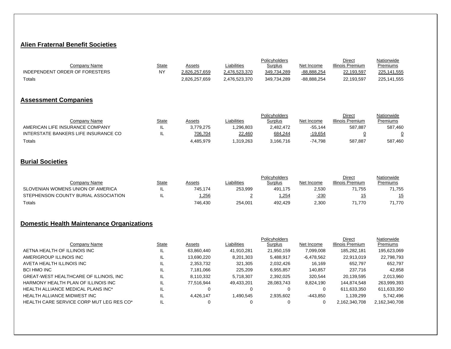#### **Alien Fraternal Benefit Societies**

|                                |       |               |               | Policyholders |             | Direct           | Nationwide  |
|--------------------------------|-------|---------------|---------------|---------------|-------------|------------------|-------------|
| Companv Name                   | State | Assets        | Liabilities   | Surplus       | Net Income  | Illinois Premium | Premiums    |
| INDEPENDENT ORDER OF FORESTERS | NY    | 2.826.257.659 | 2.476.523.370 | 349.734.289   | -88.888.254 | 22,193,597       | 225.141.555 |
| Totals                         |       | 2.826.257.659 | 2,476,523,370 | 349,734,289   | -88.888.254 | 22,193,597       | 225,141,555 |

#### **Assessment Companies**

|                                      |              |           |             | Policyholders  |                | Direct           | Nationwide |
|--------------------------------------|--------------|-----------|-------------|----------------|----------------|------------------|------------|
| Company Name                         | <b>State</b> | Assets    | Liabilities | <u>Surplus</u> | Net Income     | Illinois Premium | Premiums   |
| AMERICAN LIFE INSURANCE COMPANY      | IL           | 3.779.275 | .296.803    | 2.482.472      | $-55.144$      | 587,887          | 587,460    |
| INTERSTATE BANKERS LIFE INSURANCE CO |              | 706,704   | 22,460      | 684,244        | <u>-19,654</u> |                  |            |
| Totals                               |              | 4.485.979 | .319.263    | 3,166,716      | $-74.798$      | 587,887          | 587,460    |

#### **Burial Societies**

|                                      |       |         |             | Policyholders  |            | <b>Direct</b>    | Nationwide |
|--------------------------------------|-------|---------|-------------|----------------|------------|------------------|------------|
| Company Name                         | State | Assets  | Liabilities | <u>Surplus</u> | Net Income | Illinois Premium | Premiums   |
| SLOVENIAN WOMENS UNION OF AMERICA    |       | 745.174 | 253,999     | 491.175        | 2,530      | 71.755           | 71,755     |
| STEPHENSON COUNTY BURIAL ASSOCIATION |       | ,256    |             | ,254           | $-230$     |                  |            |
| Totals                               |       | 746.430 | 254.001     | 492.429        | 2,300      | 71.770           | 71.770     |

#### **Domestic Health Maintenance Organizations**

|                                           |       |            |             | <b>Policyholders</b> |              | <b>Direct</b>    | Nationwide    |
|-------------------------------------------|-------|------------|-------------|----------------------|--------------|------------------|---------------|
| Company Name                              | State | Assets     | Liabilities | Surplus              | Net Income   | Illinois Premium | Premiums      |
| AETNA HEALTH OF ILLINOIS INC              |       | 63,860,440 | 41,910,281  | 21,950,159           | 7,099,008    | 185,282,181      | 195,623,069   |
| AMERIGROUP ILLINOIS INC                   |       | 13,690,220 | 8,201,303   | 5,488,917            | $-6,478,562$ | 22,913,019       | 22,798,793    |
| AVETA HEALTH ILLINOIS INC                 |       | 2,353,732  | 321,305     | 2,032,426            | 16.169       | 652,797          | 652,797       |
| BCI HMO INC                               |       | 7.181.066  | 225,209     | 6,955,857            | 140.857      | 237,716          | 42,858        |
| GREAT-WEST HEALTHCARE OF ILLINOIS, INC    |       | 8,110,332  | 5,718,307   | 2,392,025            | 320,544      | 20,139,595       | 2,013,960     |
| HARMONY HEALTH PLAN OF ILLINOIS INC       |       | 77.516.944 | 49.433.201  | 28.083.743           | 8,824,190    | 144.874.548      | 263,999,393   |
| <b>HEALTH ALLIANCE MEDICAL PLANS INC*</b> | IL    | 0          |             |                      |              | 611,633,350      | 611,633,350   |
| HEALTH ALLIANCE MIDWEST INC               | IL    | 4.426.147  | 1.490.545   | 2,935,602            | -443,850     | 1.139.299        | 5,742,496     |
| HEALTH CARE SERVICE CORP MUT LEG RES CO*  | IL    |            |             |                      |              | 2,162,340,708    | 2,162,340,708 |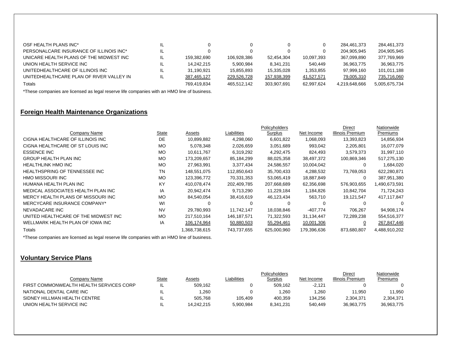| OSF HEALTH PLANS INC*                    | IL  |             |             | 0           |            | 284.461.373   | 284.461.373   |
|------------------------------------------|-----|-------------|-------------|-------------|------------|---------------|---------------|
| PERSONALCARE INSURANCE OF ILLINOIS INC*  | IL  |             |             |             |            | 204.905.945   | 204.905.945   |
| UNICARE HEALTH PLANS OF THE MIDWEST INC  | IL. | 159.382.690 | 106.928.386 | 52.454.304  | 10.097.393 | 367.099.890   | 377,769,969   |
| UNION HEALTH SERVICE INC                 | IL. | 14.242.215  | 5.900.984   | 8.341.231   | 540.449    | 36.963.775    | 36.963.775    |
| UNITEDHEALTHCARE OF ILLINOIS INC         | IL. | 31.190.921  | 15.855.893  | 15.335.028  | 1.353.855  | 97.999.160    | 101,011,188   |
| UNITEDHEALTHCARE PLAN OF RIVER VALLEY IN | IL. | 387,465,127 | 229.526.728 | 157,938,399 | 41.527.571 | 79,005,310    | 735,716,060   |
| Totals                                   |     | 769.419.834 | 465.512.142 | 303.907.691 | 62.997.624 | 4.219.648.666 | 5.005.675.734 |

\*These companies are licensed as legal reserve life companies with an HMO line of business.

### **Foreign Health Maintenance Organizations**

|                                       |              |             |             | Policyholders |             | Direct           | Nationwide    |
|---------------------------------------|--------------|-------------|-------------|---------------|-------------|------------------|---------------|
| Company Name                          | <b>State</b> | Assets      | Liabilities | Surplus       | Net Income  | Illinois Premium | Premiums      |
| CIGNA HEALTHCARE OF ILLINOIS INC      | DE           | 10,899,882  | 4,298,060   | 6,601,822     | 1,068,093   | 13,393,823       | 14,856,934    |
| CIGNA HEALTHCARE OF ST LOUIS INC      | <b>MO</b>    | 5.078.348   | 2,026,659   | 3,051,689     | 993,042     | 2,205,801        | 16,077,079    |
| <b>ESSENCE INC</b>                    | <b>MO</b>    | 10.611.767  | 6,319,292   | 4,292,475     | 824,493     | 3.579.373        | 31,997,110    |
| <b>GROUP HEALTH PLAN INC</b>          | MO           | 173,209,657 | 85,184,299  | 88,025,358    | 38,497,372  | 100,869,346      | 517,275,130   |
| HEALTHLINK HMO INC                    | <b>MO</b>    | 27,963,991  | 3,377,434   | 24,586,557    | 10,004,042  |                  | 1,684,020     |
| HEALTHSPRING OF TENNESSEE INC         | TN           | 148,551,075 | 112,850,643 | 35,700,433    | 4,288,532   | 73,769,053       | 622,280,871   |
| HMO MISSOURI INC                      | <b>MO</b>    | 123,396,772 | 70,331,353  | 53,065,419    | 18,887,849  | 0                | 387,951,380   |
| HUMANA HEALTH PLAN INC                | KY           | 410.078.474 | 202,409,785 | 207,668,689   | 62,356,698  | 576,903,655      | 1,490,673,591 |
| MEDICAL ASSOCIATES HEALTH PLAN INC    | IA           | 20,942,474  | 9,713,290   | 11,229,184    | 1,184,826   | 10,842,704       | 71,724,243    |
| MERCY HEALTH PLANS OF MISSOURI INC    | <b>MO</b>    | 84,540,054  | 38,416,619  | 46,123,434    | 563,710     | 19,121,547       | 417,117,847   |
| MERCYCARE INSURANCE COMPANY*          | WI           | 0           | $\Omega$    | 0             | 0           |                  | 0             |
| NEVADACARE INC                        | <b>NV</b>    | 29,780,993  | 11,742,147  | 18,038,846    | $-407,774$  | 706.267          | 94,908,174    |
| UNITED HEALTHCARE OF THE MIDWEST INC. | <b>MO</b>    | 217,510,164 | 146,187,571 | 71,322,593    | 31,134,447  | 72,289,238       | 554,516,377   |
| WELLMARK HEALTH PLAN OF IOWA INC      | IA           | 106,174,964 | 50,880,503  | 55,294,461    | 10,001,306  | 0                | 267,847,446   |
| Totals                                |              | 368,738,615 | 743,737,655 | 625,000,960   | 179,396,636 | 873,680,807      | 4,488,910,202 |

\*These companies are licensed as legal reserve life companies with an HMO line of business.

#### **Voluntary Service Plans**

|                                         |              |            |             | <b>Policyholders</b> |                 | Direct          | Nationwide |
|-----------------------------------------|--------------|------------|-------------|----------------------|-----------------|-----------------|------------|
| Company Name                            | <u>State</u> | Assets     | Liabilities | Surplus              | Net Income      | llinois Premium | Premiums   |
| FIRST COMMONWEALTH HEALTH SERVICES CORP | ╌            | 509.162    |             | 509.162              | $-2.121$        |                 |            |
| NATIONAL DENTAL CARE INC                | ╌            | .260       |             | .260                 | $^{\circ}$ .260 | 11.950          | 11.950     |
| SIDNEY HILLMAN HEALTH CENTRE            | - ≖          | 505.768    | 105.409     | 400.359              | 134.256         | 2.304.371       | 2.304.371  |
| UNION HEALTH SERVICE INC                | ╌            | 14.242.215 | 5.900.984   | 8.341.231            | 540.449         | 36.963.775      | 36.963.775 |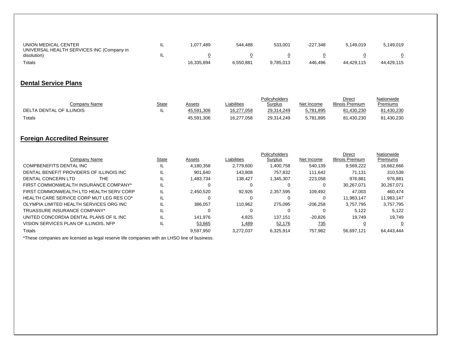| UNION MEDICAL CENTER<br>UNIVERSAL HEALTH SERVICES INC (Company in | -− | .077.489   | 544.488   | 533.001   | $-227.348$ | 5.149.019  | 5.149.019  |
|-------------------------------------------------------------------|----|------------|-----------|-----------|------------|------------|------------|
| disolution)                                                       |    |            |           |           |            |            |            |
| Totals                                                            |    | 16,335,894 | 6,550,881 | 9,785,013 | 446.496    | 44.429.115 | 44.429.115 |

### **Dental Service Plans**

|                          |              |               |             | Policyholders  |            | Direct           | Nationwide |
|--------------------------|--------------|---------------|-------------|----------------|------------|------------------|------------|
| Company Name             | <b>State</b> | <u>Assets</u> | Liabilities | <b>Surplus</b> | Net Income | Illinois Premium | Premiums   |
| DELTA DENTAL OF ILLINOIS | . .          | 45.591.306    | 16.277.058  | 29.314.249     | 5,781,895  | 81.430.230       | .430.230   |
| Totals                   |              | 45,591,306    | 16,277,058  | 29.314.249     | 5,781,895  | 81.430.230       | ,430,230   |

### **Foreign Accredited Reinsurer**

|                                          |       |           |             | Policyholders |            | Direct           | Nationwide |
|------------------------------------------|-------|-----------|-------------|---------------|------------|------------------|------------|
| Company Name                             | State | Assets    | Liabilities | Surplus       | Net Income | Illinois Premium | Premiums   |
| COMPBENEFITS DENTAL INC                  | IL    | 4.180.358 | 2.779.600   | 1.400.758     | 540.139    | 9.569.222        | 16,662,666 |
| DENTAL BENEFIT PROVIDERS OF ILLINOIS INC | IL.   | 901.640   | 143.808     | 757.832       | 111.642    | 71.131           | 310.539    |
| DENTAL CONCERN LTD<br>THE                | IL    | 1,483,734 | 138.427     | 1,345,307     | 223,058    | 976.881          | 976.881    |
| FIRST COMMONWEALTH INSURANCE COMPANY*    | IL    | 0         | $\Omega$    |               |            | 30.267.071       | 30,267,071 |
| FIRST COMMONWEALTH LTD HEALTH SERV CORP  | IL    | 2,450,520 | 92.926      | 2.357.595     | 109.492    | 47.003           | 460.474    |
| HEALTH CARE SERVICE CORP MUT LEG RES CO* | IL    | 0         | $\Omega$    |               |            | 11.983.147       | 11,983,147 |
| OLYMPIA LIMITED HEALTH SERVICES ORG INC  | IL    | 386,057   | 110.962     | 275.095       | $-206,258$ | 3.757.795        | 3.757.795  |
| TRUASSURE INSURANCE COMPANY*             | IL    | 0         | 0           |               |            | 5.122            | 5,122      |
| UNITED CONCORDIA DENTAL PLANS OF IL INC  | IL    | 141.976   | 4.825       | 137.151       | $-20.826$  | 19.749           | 19.749     |
| VISION SERVICES PLAN OF ILLINOIS, NFP    | IL    | 53,665    | 1,489       | 52,176        | <u>735</u> |                  |            |
| Totals                                   |       | 9.597.950 | 3.272.037   | 6.325.914     | 757.982    | 56.697.121       | 64.443.444 |

\*These companies are licensed as legal reserve life companies with an LHSO line of business.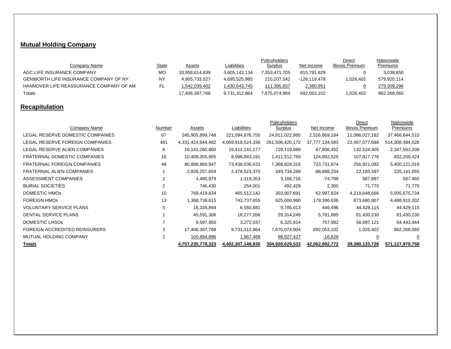## **Mutual Holding Company**

|                                              |              |                |               | Policyholders |              | Direct           | Nationwide  |
|----------------------------------------------|--------------|----------------|---------------|---------------|--------------|------------------|-------------|
| Company Name                                 | <u>State</u> | Assets         | Liabilities   | Surplus       | Net Income   | Illinois Premium | Premiums    |
| AGC LIFE INSURANCE COMPANY                   | МO           | 10.958.614.839 | 3,605,143,134 | 7.353.471.705 | 815.791.629  |                  | 3,038,650   |
| <b>GENWORTH LIFE INSURANCE COMPANY OF NY</b> | <b>NY</b>    | 4,905,733,527  | 4.695.525.985 | 210.207.542   | -126.119.478 | 1,026,402        | 579.920.114 |
| HANNOVER LIFE REASSURANCE COMPANY OF AM      |              | 1,542,039,402  | 430,643,745.ا | 111.395.657   | 2,380,951    |                  | 279.309.296 |
| Totals                                       |              | 17,406,387,768 | 9,731,312,864 | 7.675.074.904 | 692,053,102  | 1,026,402        | 862,268,060 |

## **Recapitulation**

|                                     |                |                   |                   | Policyholders   |                | Direct           | Nationwide      |
|-------------------------------------|----------------|-------------------|-------------------|-----------------|----------------|------------------|-----------------|
| Company Name                        | Number         | Assets            | Liabilities       | Surplus         | Net Income     | Illinois Premium | Premiums        |
| LEGAL RESERVE DOMESTIC COMPANIES    | 67             | 245,905,899,748   | 221,094,876,755   | 24,811,022,995  | 2,516,869,184  | 11,086,027,182   | 37,466,644,510  |
| LEGAL RESERVE FOREIGN COMPANIES     | 481            | 4,331,424,944,482 | 4,069,918,524,336 | 261,506,420,172 | 37,777,134,583 | 22,497,077,688   | 514,308,484,028 |
| LEGAL RESERVE ALIEN COMPANIES       | 6              | 16,141,260,860    | 15,412,141,177    | 729,119,689     | 67,808,452     | 132,524,405      | 2,347,563,208   |
| <b>FRATERNAL DOMESTIC COMPANIES</b> | 16             | 10,408,355,955    | 8,996,843,191     | 1,411,512,769   | 124,892,525    | 107,817,776      | 832,209,424     |
| <b>FRATERNAL FOREIGN COMPANIES</b>  | 48             | 80,806,860,947    | 73,438,036,631    | 7,368,824,316   | 723,731,674    | 256,921,082      | 5,400,121,018   |
| <b>FRATERNAL ALIEN COMPANIES</b>    |                | 2,826,257,659     | 2,476,523,370     | 349,734,289     | -88,888,254    | 22,193,597       | 225, 141, 555   |
| ASSESSMENT COMPANIES                | $\overline{2}$ | 4,485,979         | 1,319,263         | 3,166,716       | -74,798        | 587,887          | 587,460         |
| <b>BURIAL SOCIETIES</b>             | 2              | 746,430           | 254,001           | 492,429         | 2,300          | 71,770           | 71,770          |
| DOMESTIC HMOS                       | 10             | 769,419,834       | 465,512,142       | 303,907,691     | 62,997,624     | 4,219,648,666    | 5,005,675,734   |
| <b>FOREIGN HMOS</b>                 | 13             | 1,368,738,615     | 743,737,655       | 625,000,960     | 179,396,636    | 873,680,807      | 4,488,910,202   |
| <b>VOLUNTARY SERVICE PLANS</b>      | 5              | 16,335,894        | 6,550,881         | 9,785,013       | 446,496        | 44,429,115       | 44,429,115      |
| DENTAL SERVICE PLANS                |                | 45,591,306        | 16,277,058        | 29,314,249      | 5,781,895      | 81,430,230       | 81,430,230      |
| DOMESTIC LHSOS                      |                | 9,597,950         | 3,272,037         | 6,325,914       | 757,982        | 56,697,121       | 64,443,444      |
| FOREIGN ACCREDITED REINSURERS       | 3              | 17,406,387,768    | 9,731,312,864     | 7,675,074,904   | 692,053,102    | 1,026,402        | 862,268,060     |
| MUTUAL HOLDING COMPANY              | 2              | 100,894,896       | 1,967,469         | 98,927,427      | $-16,629$      | $\overline{0}$   | 0               |
| <b>Totals</b>                       |                | 4,707,235,778,323 | 4,402,307,148,830 | 304,928,629,533 | 42,062,892,772 | 39,380,133,728   | 571,127,979,758 |